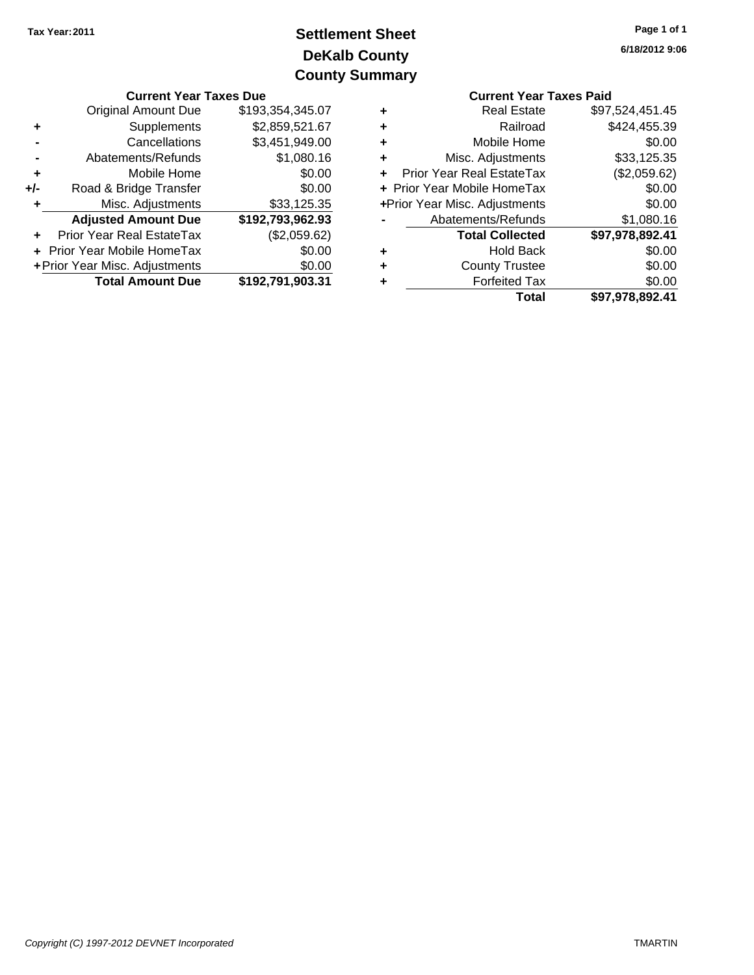# **DeKalb County Settlement Sheet Tax Year:2011 County Summary**

|                                                                                         | <b>Current Year Taxes Due</b>           |                  |   | <b>Current Year Taxes Paid</b>   |                 |  |
|-----------------------------------------------------------------------------------------|-----------------------------------------|------------------|---|----------------------------------|-----------------|--|
|                                                                                         | Original Amount Due<br>\$193,354,345.07 |                  | ٠ | <b>Real Estate</b>               | \$97,524,451.45 |  |
|                                                                                         | Supplements                             | \$2,859,521.67   | ٠ | Railroad                         | \$424,455.39    |  |
|                                                                                         | Cancellations                           | \$3,451,949.00   | ٠ | Mobile Home                      | \$0.00          |  |
|                                                                                         | Abatements/Refunds                      | \$1,080.16       |   | Misc. Adjustments                | \$33,125.35     |  |
| ٠                                                                                       | Mobile Home                             | \$0.00           |   | <b>Prior Year Real EstateTax</b> | (\$2,059.62)    |  |
| $+/-$                                                                                   | Road & Bridge Transfer                  | \$0.00           |   | + Prior Year Mobile HomeTax      | \$0.00          |  |
|                                                                                         | Misc. Adjustments                       | \$33,125.35      |   | +Prior Year Misc. Adjustments    | \$0.00          |  |
|                                                                                         | <b>Adjusted Amount Due</b>              | \$192,793,962.93 |   | Abatements/Refunds               | \$1,080.16      |  |
| $\ddot{\phantom{1}}$                                                                    | Prior Year Real EstateTax               | (\$2,059.62)     |   | <b>Total Collected</b>           | \$97,978,892.41 |  |
| + Prior Year Mobile HomeTax<br>\$0.00                                                   |                                         |                  | ٠ | <b>Hold Back</b>                 | \$0.00          |  |
| + Prior Year Misc. Adjustments<br>\$0.00<br><b>Total Amount Due</b><br>\$192,791,903.31 |                                         |                  | ٠ | <b>County Trustee</b>            | \$0.00          |  |
|                                                                                         |                                         |                  |   | <b>Forfeited Tax</b>             | \$0.00          |  |
|                                                                                         |                                         |                  |   | Total                            | \$Q7 Q78 8Q2 41 |  |

| <b>Current Year Taxes Paid</b> |
|--------------------------------|
| \$97,524,451.45                |
| \$424,455.39                   |
| \$0.00                         |
| \$33,125.35                    |
| (\$2,059.62)                   |
| \$0.00                         |
| \$0.00                         |
| \$1,080.16                     |
| \$97,978,892.41                |
| \$0.00                         |
| \$0.00                         |
| \$0.00                         |
| \$97,978,892.41                |
|                                |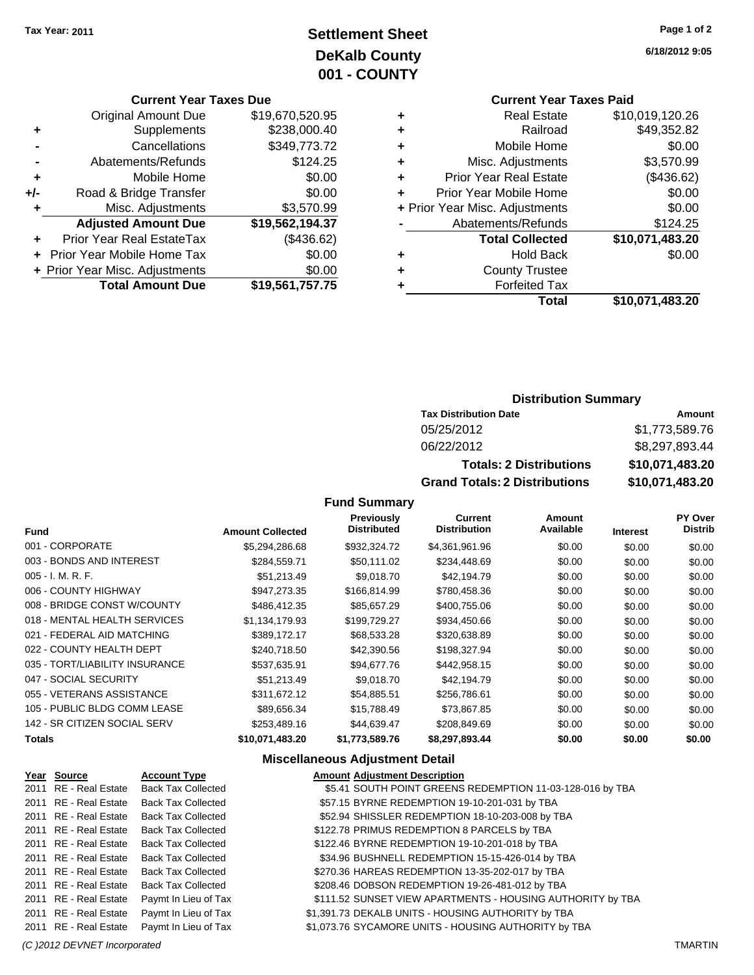# **Settlement Sheet Tax Year: 2011 Page 1 of 2 DeKalb County 001 - COUNTY**

#### **Current Year Taxes Due**

|       | <b>Original Amount Due</b>        | \$19,670,520.95 |
|-------|-----------------------------------|-----------------|
| ٠     | Supplements                       | \$238,000.40    |
|       | Cancellations                     | \$349,773.72    |
|       | Abatements/Refunds                | \$124.25        |
| ٠     | Mobile Home                       | \$0.00          |
| $+/-$ | Road & Bridge Transfer            | \$0.00          |
| ٠     | Misc. Adjustments                 | \$3,570.99      |
|       | <b>Adjusted Amount Due</b>        | \$19,562,194.37 |
|       | Prior Year Real EstateTax         | (\$436.62)      |
|       | <b>Prior Year Mobile Home Tax</b> | \$0.00          |
|       | + Prior Year Misc. Adjustments    | \$0.00          |
|       | <b>Total Amount Due</b>           | \$19,561,757.75 |

**6/18/2012 9:05**

# **Current Year Taxes Paid**

| ٠ | <b>Real Estate</b>             | \$10,019,120.26 |
|---|--------------------------------|-----------------|
| ٠ | Railroad                       | \$49,352.82     |
| ٠ | Mobile Home                    | \$0.00          |
| ٠ | Misc. Adjustments              | \$3,570.99      |
| ٠ | <b>Prior Year Real Estate</b>  | (\$436.62)      |
| ÷ | Prior Year Mobile Home         | \$0.00          |
|   | + Prior Year Misc. Adjustments | \$0.00          |
|   | Abatements/Refunds             | \$124.25        |
|   | <b>Total Collected</b>         | \$10,071,483.20 |
| ٠ | <b>Hold Back</b>               | \$0.00          |
| ٠ | <b>County Trustee</b>          |                 |
| ٠ | <b>Forfeited Tax</b>           |                 |
|   | Total                          | \$10,071,483.20 |
|   |                                |                 |

## **Distribution Summary**

| <b>Tax Distribution Date</b>         | Amount          |  |  |
|--------------------------------------|-----------------|--|--|
| 05/25/2012                           | \$1,773,589.76  |  |  |
| 06/22/2012                           | \$8,297,893.44  |  |  |
| <b>Totals: 2 Distributions</b>       | \$10,071,483.20 |  |  |
| <b>Grand Totals: 2 Distributions</b> | \$10,071,483.20 |  |  |

## **Fund Summary**

| <b>Fund</b>                    | <b>Amount Collected</b> | Previously<br><b>Distributed</b> | Current<br><b>Distribution</b> | Amount<br>Available | <b>Interest</b> | <b>PY Over</b><br><b>Distrib</b> |
|--------------------------------|-------------------------|----------------------------------|--------------------------------|---------------------|-----------------|----------------------------------|
| 001 - CORPORATE                | \$5,294,286.68          | \$932,324.72                     | \$4,361,961.96                 | \$0.00              | \$0.00          | \$0.00                           |
| 003 - BONDS AND INTEREST       | \$284,559.71            | \$50.111.02                      | \$234,448.69                   | \$0.00              | \$0.00          | \$0.00                           |
| 005 - I. M. R. F.              | \$51,213.49             | \$9,018.70                       | \$42,194.79                    | \$0.00              | \$0.00          | \$0.00                           |
| 006 - COUNTY HIGHWAY           | \$947.273.35            | \$166.814.99                     | \$780,458.36                   | \$0.00              | \$0.00          | \$0.00                           |
| 008 - BRIDGE CONST W/COUNTY    | \$486,412.35            | \$85.657.29                      | \$400,755.06                   | \$0.00              | \$0.00          | \$0.00                           |
| 018 - MENTAL HEALTH SERVICES   | \$1,134,179.93          | \$199,729.27                     | \$934,450.66                   | \$0.00              | \$0.00          | \$0.00                           |
| 021 - FEDERAL AID MATCHING     | \$389,172.17            | \$68,533.28                      | \$320,638.89                   | \$0.00              | \$0.00          | \$0.00                           |
| 022 - COUNTY HEALTH DEPT       | \$240.718.50            | \$42,390.56                      | \$198,327.94                   | \$0.00              | \$0.00          | \$0.00                           |
| 035 - TORT/LIABILITY INSURANCE | \$537.635.91            | \$94,677.76                      | \$442,958.15                   | \$0.00              | \$0.00          | \$0.00                           |
| 047 - SOCIAL SECURITY          | \$51,213.49             | \$9,018.70                       | \$42,194.79                    | \$0.00              | \$0.00          | \$0.00                           |
| 055 - VETERANS ASSISTANCE      | \$311.672.12            | \$54.885.51                      | \$256,786.61                   | \$0.00              | \$0.00          | \$0.00                           |
| 105 - PUBLIC BLDG COMM LEASE   | \$89,656.34             | \$15,788.49                      | \$73,867.85                    | \$0.00              | \$0.00          | \$0.00                           |
| 142 - SR CITIZEN SOCIAL SERV   | \$253,489.16            | \$44.639.47                      | \$208,849.69                   | \$0.00              | \$0.00          | \$0.00                           |
| Totals                         | \$10,071,483.20         | \$1,773,589.76                   | \$8,297,893.44                 | \$0.00              | \$0.00          | \$0.00                           |

## **Miscellaneous Adjustment Detail**

| Year Source           | <b>Account Type</b>       | <b>Amount Adjustment Description</b>                       |
|-----------------------|---------------------------|------------------------------------------------------------|
| 2011 RE - Real Estate | <b>Back Tax Collected</b> | \$5.41 SOUTH POINT GREENS REDEMPTION 11-03-128-016 by TBA  |
| 2011 RE - Real Estate | <b>Back Tax Collected</b> | \$57.15 BYRNE REDEMPTION 19-10-201-031 by TBA              |
| 2011 RE - Real Estate | <b>Back Tax Collected</b> | \$52.94 SHISSLER REDEMPTION 18-10-203-008 by TBA           |
| 2011 RE - Real Estate | <b>Back Tax Collected</b> | \$122.78 PRIMUS REDEMPTION 8 PARCELS by TBA                |
| 2011 RE - Real Estate | <b>Back Tax Collected</b> | \$122.46 BYRNE REDEMPTION 19-10-201-018 by TBA             |
| 2011 RE - Real Estate | <b>Back Tax Collected</b> | \$34.96 BUSHNELL REDEMPTION 15-15-426-014 by TBA           |
| 2011 RE - Real Estate | <b>Back Tax Collected</b> | \$270.36 HAREAS REDEMPTION 13-35-202-017 by TBA            |
| 2011 RE - Real Estate | <b>Back Tax Collected</b> | \$208.46 DOBSON REDEMPTION 19-26-481-012 by TBA            |
| 2011 RE - Real Estate | Paymt In Lieu of Tax      | \$111.52 SUNSET VIEW APARTMENTS - HOUSING AUTHORITY by TBA |
| 2011 RE - Real Estate | Paymt In Lieu of Tax      | \$1,391.73 DEKALB UNITS - HOUSING AUTHORITY by TBA         |
| 2011 RE - Real Estate | Paymt In Lieu of Tax      | \$1,073.76 SYCAMORE UNITS - HOUSING AUTHORITY by TBA       |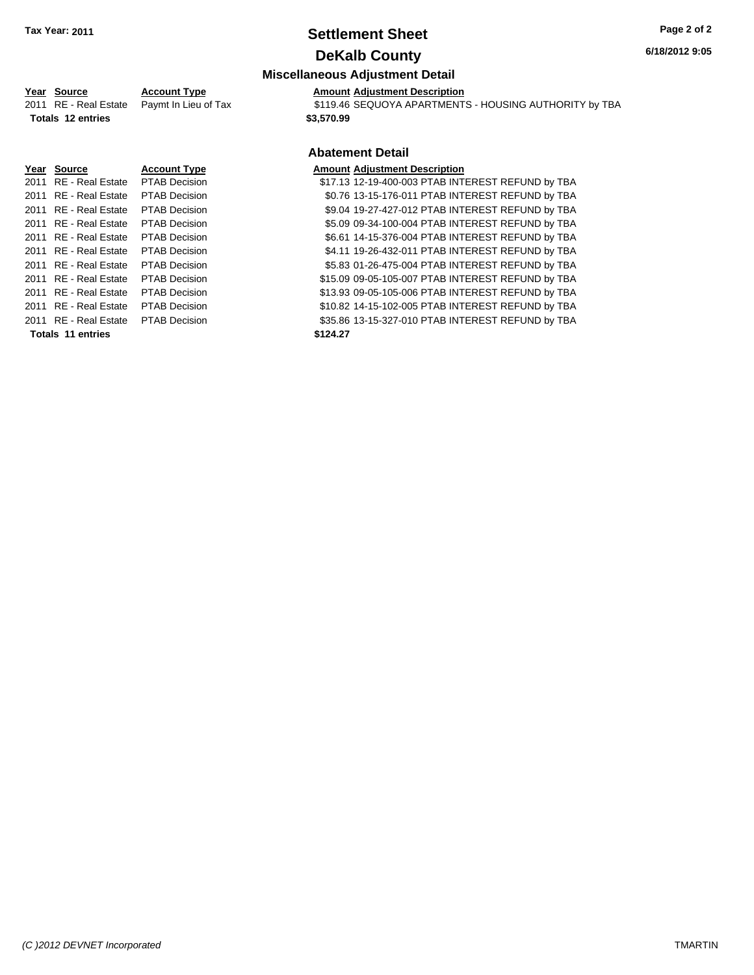# **Settlement Sheet Tax Year: 2011 Page 2 of 2 DeKalb County**

#### **6/18/2012 9:05**

# **Miscellaneous Adjustment Detail**

**Year Source Account Type Amount Adjustment Description**<br>2011 RE - Real Estate Paymt In Lieu of Tax \$119.46 SEQUOYA APARTMENT  $\overline{20119.46}$  SEQUOYA APARTMENTS - HOUSING AUTHORITY by TBA **Totals \$3,570.99 12 entries**

## **Abatement Detail**

|                          | Year Source                         | <b>Account Type</b>  | <b>Amount Adjustment Description</b>              |
|--------------------------|-------------------------------------|----------------------|---------------------------------------------------|
|                          | 2011 RE - Real Estate PTAB Decision |                      | \$17.13 12-19-400-003 PTAB INTEREST REFUND by TBA |
|                          | 2011 RE - Real Estate               | <b>PTAB Decision</b> | \$0.76 13-15-176-011 PTAB INTEREST REFUND by TBA  |
|                          | 2011 RE - Real Estate               | <b>PTAB Decision</b> | \$9.04 19-27-427-012 PTAB INTEREST REFUND by TBA  |
|                          | 2011 RE - Real Estate PTAB Decision |                      | \$5.09 09-34-100-004 PTAB INTEREST REFUND by TBA  |
|                          | 2011 RE - Real Estate               | <b>PTAB Decision</b> | \$6.61 14-15-376-004 PTAB INTEREST REFUND by TBA  |
|                          | 2011 RE - Real Estate PTAB Decision |                      | \$4.11 19-26-432-011 PTAB INTEREST REFUND by TBA  |
|                          | 2011 RE - Real Estate PTAB Decision |                      | \$5.83 01-26-475-004 PTAB INTEREST REFUND by TBA  |
|                          | 2011 RE - Real Estate PTAB Decision |                      | \$15.09 09-05-105-007 PTAB INTEREST REFUND by TBA |
|                          | 2011 RE - Real Estate               | <b>PTAB Decision</b> | \$13.93 09-05-105-006 PTAB INTEREST REFUND by TBA |
|                          | 2011 RE - Real Estate PTAB Decision |                      | \$10.82 14-15-102-005 PTAB INTEREST REFUND by TBA |
|                          | 2011 RE - Real Estate PTAB Decision |                      | \$35.86 13-15-327-010 PTAB INTEREST REFUND by TBA |
| <b>Totals 11 entries</b> |                                     |                      | \$124.27                                          |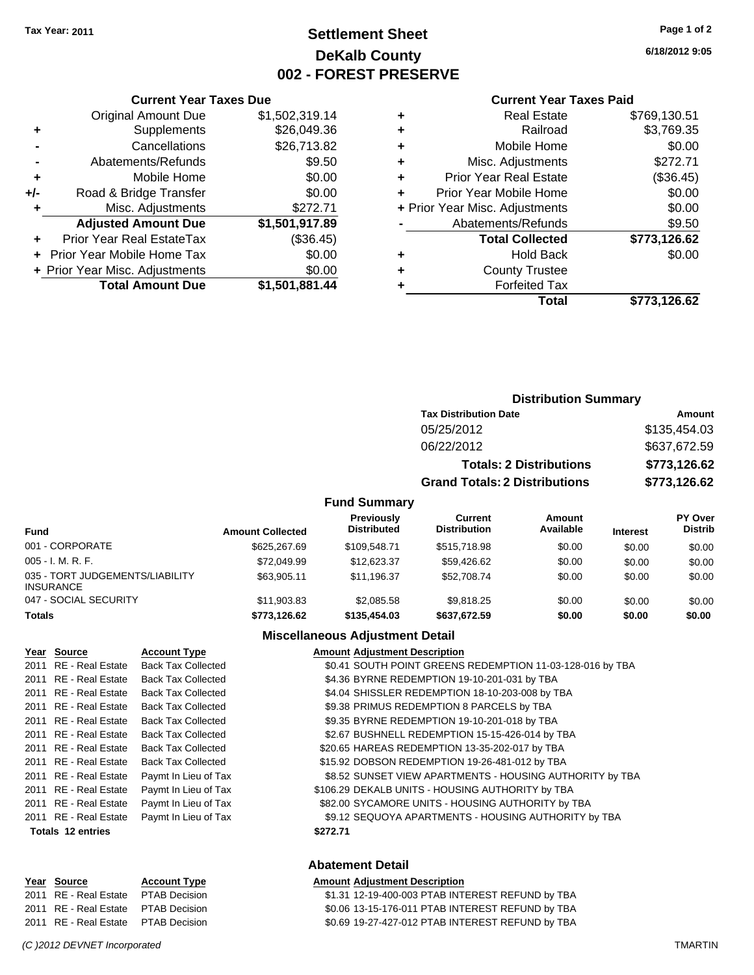# **Settlement Sheet Tax Year: 2011 Page 1 of 2 DeKalb County 002 - FOREST PRESERVE**

**6/18/2012 9:05**

#### **Current Year Taxes Paid**

|     | <b>Original Amount Due</b>     | \$1,502,319.14 |     |
|-----|--------------------------------|----------------|-----|
|     | Supplements                    | \$26,049.36    |     |
|     | Cancellations                  | \$26,713.82    | ٠   |
|     | Abatements/Refunds             | \$9.50         | ٠   |
|     | Mobile Home                    | \$0.00         |     |
| +/- | Road & Bridge Transfer         | \$0.00         |     |
|     | Misc. Adjustments              | \$272.71       | + F |
|     | <b>Adjusted Amount Due</b>     | \$1,501,917.89 |     |
|     | Prior Year Real EstateTax      | (\$36.45)      |     |
|     | Prior Year Mobile Home Tax     | \$0.00         |     |
|     | + Prior Year Misc. Adjustments | \$0.00         |     |
|     | <b>Total Amount Due</b>        | \$1,501,881.44 |     |
|     |                                |                |     |

**Current Year Taxes Due**

|   | <b>Real Estate</b>             | \$769,130.51 |
|---|--------------------------------|--------------|
| ٠ | Railroad                       | \$3,769.35   |
| ٠ | Mobile Home                    | \$0.00       |
| ٠ | Misc. Adjustments              | \$272.71     |
| ٠ | <b>Prior Year Real Estate</b>  | (\$36.45)    |
|   | Prior Year Mobile Home         | \$0.00       |
|   | + Prior Year Misc. Adjustments | \$0.00       |
|   | Abatements/Refunds             | \$9.50       |
|   | <b>Total Collected</b>         | \$773,126.62 |
| ٠ | Hold Back                      | \$0.00       |
| ٠ | <b>County Trustee</b>          |              |
| ٠ | <b>Forfeited Tax</b>           |              |
|   | Total                          | \$773,126.62 |
|   |                                |              |

# **Distribution Summary Tax Distribution Date Amount** 05/25/2012 \$135,454.03 06/22/2012 \$637,672.59 **Totals: 2 Distributions \$773,126.62 Grand Totals: 2 Distributions \$773,126.62 Fund Summary**

| <b>Fund</b>                                         | <b>Amount Collected</b> | <b>Previously</b><br><b>Distributed</b> | Current<br><b>Distribution</b> | Amount<br>Available | <b>Interest</b> | <b>PY Over</b><br><b>Distrib</b> |
|-----------------------------------------------------|-------------------------|-----------------------------------------|--------------------------------|---------------------|-----------------|----------------------------------|
| 001 - CORPORATE                                     | \$625,267.69            | \$109.548.71                            | \$515,718.98                   | \$0.00              | \$0.00          | \$0.00                           |
| $005 - I. M. R. F.$                                 | \$72,049.99             | \$12,623.37                             | \$59,426.62                    | \$0.00              | \$0.00          | \$0.00                           |
| 035 - TORT JUDGEMENTS/LIABILITY<br><b>INSURANCE</b> | \$63.905.11             | \$11.196.37                             | \$52,708.74                    | \$0.00              | \$0.00          | \$0.00                           |
| 047 - SOCIAL SECURITY                               | \$11,903.83             | \$2,085.58                              | \$9.818.25                     | \$0.00              | \$0.00          | \$0.00                           |
| <b>Totals</b>                                       | \$773,126.62            | \$135,454,03                            | \$637.672.59                   | \$0.00              | \$0.00          | \$0.00                           |

## **Miscellaneous Adjustment Detail**

| Year Source           | <b>Account Type</b>       | <b>Amount Adjustment Description</b>                      |
|-----------------------|---------------------------|-----------------------------------------------------------|
| 2011 RE - Real Estate | <b>Back Tax Collected</b> | \$0.41 SOUTH POINT GREENS REDEMPTION 11-03-128-016 by TBA |
| 2011 RE - Real Estate | <b>Back Tax Collected</b> | \$4.36 BYRNE REDEMPTION 19-10-201-031 by TBA              |
| 2011 RE - Real Estate | <b>Back Tax Collected</b> | \$4.04 SHISSLER REDEMPTION 18-10-203-008 by TBA           |
| 2011 RE - Real Estate | <b>Back Tax Collected</b> | \$9.38 PRIMUS REDEMPTION 8 PARCELS by TBA                 |
| 2011 RE - Real Estate | <b>Back Tax Collected</b> | \$9.35 BYRNE REDEMPTION 19-10-201-018 by TBA              |
| 2011 RE - Real Estate | <b>Back Tax Collected</b> | \$2.67 BUSHNELL REDEMPTION 15-15-426-014 by TBA           |
| 2011 RE - Real Estate | <b>Back Tax Collected</b> | \$20.65 HAREAS REDEMPTION 13-35-202-017 by TBA            |
| 2011 RE - Real Estate | <b>Back Tax Collected</b> | \$15.92 DOBSON REDEMPTION 19-26-481-012 by TBA            |
| 2011 RE - Real Estate | Paymt In Lieu of Tax      | \$8.52 SUNSET VIEW APARTMENTS - HOUSING AUTHORITY by TBA  |
| 2011 RE - Real Estate | Paymt In Lieu of Tax      | \$106.29 DEKALB UNITS - HOUSING AUTHORITY by TBA          |
| 2011 RE - Real Estate | Paymt In Lieu of Tax      | \$82.00 SYCAMORE UNITS - HOUSING AUTHORITY by TBA         |
| 2011 RE - Real Estate | Paymt In Lieu of Tax      | \$9.12 SEQUOYA APARTMENTS - HOUSING AUTHORITY by TBA      |
| Totals 12 entries     |                           | \$272.71                                                  |

#### **Abatement Detail**

#### **Year Source Account Type Amount Adjustment Description**

2011 RE - Real Estate \$1.31 12-19-400-003 PTAB INTEREST REFUND by TBA PTAB Decision 2011 RE - Real Estate \$0.06 13-15-176-011 PTAB INTEREST REFUND by TBA PTAB Decision 2011 RE - Real Estate \$0.69 19-27-427-012 PTAB INTEREST REFUND by TBA PTAB Decision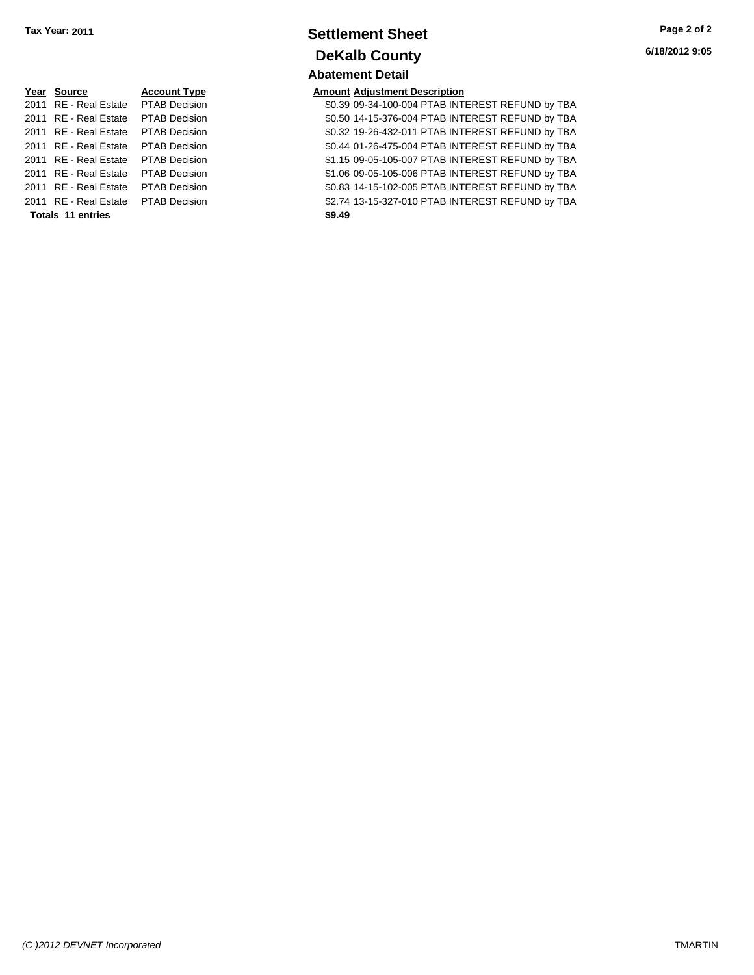# **Year Source Account Type Amount Adjustment Description Totals \$9.49 11 entries**

# **Settlement Sheet Tax Year: 2011 Page 2 of 2 DeKalb County Abatement Detail**

2011 RE - Real Estate PTAB Decision 30.39 09-34-100-004 PTAB INTEREST REFUND by TBA 2011 RE - Real Estate PTAB Decision 60.50 14-15-376-004 PTAB INTEREST REFUND by TBA 2011 RE - Real Estate \$0.32 19-26-432-011 PTAB INTEREST REFUND by TBA PTAB Decision 2011 RE - Real Estate \$0.44 01-26-475-004 PTAB INTEREST REFUND by TBA PTAB Decision 2011 RE - Real Estate \$1.15 09-05-105-007 PTAB INTEREST REFUND by TBA PTAB Decision 2011 RE - Real Estate \$1.06 09-05-105-006 PTAB INTEREST REFUND by TBA PTAB Decision 2011 RE - Real Estate \$0.83 14-15-102-005 PTAB INTEREST REFUND by TBA PTAB Decision 2011 RE - Real Estate \$2.74 13-15-327-010 PTAB INTEREST REFUND by TBA PTAB Decision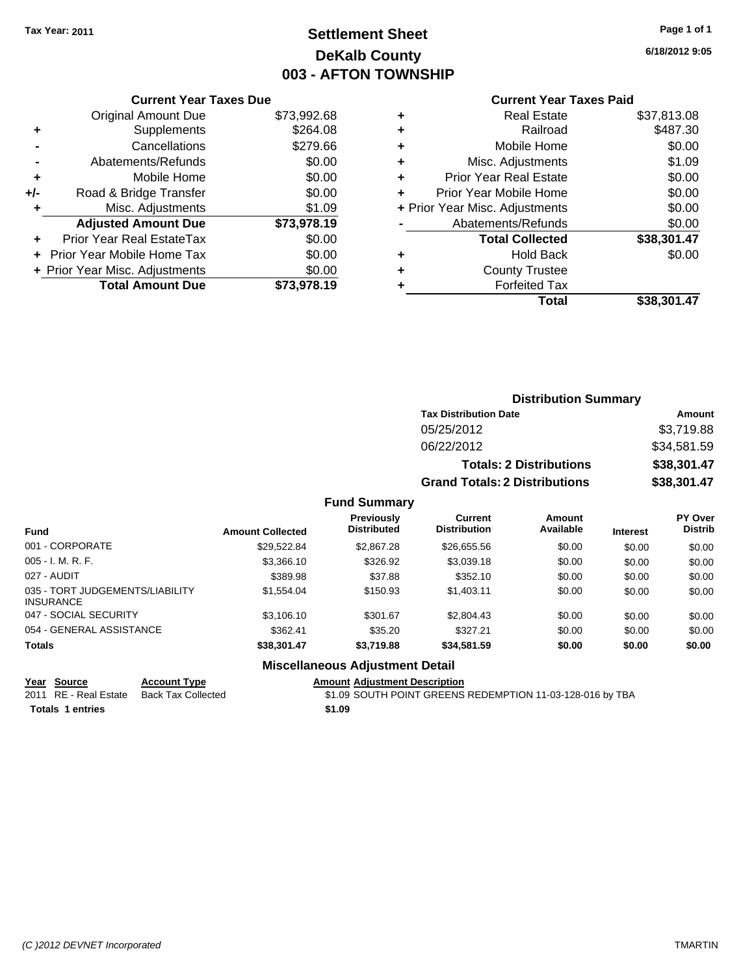# **Settlement Sheet Tax Year: 2011 Page 1 of 1 DeKalb County 003 - AFTON TOWNSHIP**

**6/18/2012 9:05**

|     | <b>Current Year Taxes Due</b>     |             |  |  |  |  |
|-----|-----------------------------------|-------------|--|--|--|--|
|     | <b>Original Amount Due</b>        | \$73,992.68 |  |  |  |  |
| ٠   | Supplements                       | \$264.08    |  |  |  |  |
|     | Cancellations                     | \$279.66    |  |  |  |  |
|     | Abatements/Refunds                | \$0.00      |  |  |  |  |
| ٠   | Mobile Home                       | \$0.00      |  |  |  |  |
| +/- | Road & Bridge Transfer            | \$0.00      |  |  |  |  |
| ٠   | Misc. Adjustments                 | \$1.09      |  |  |  |  |
|     | <b>Adjusted Amount Due</b>        | \$73,978.19 |  |  |  |  |
|     | Prior Year Real EstateTax         | \$0.00      |  |  |  |  |
|     | <b>Prior Year Mobile Home Tax</b> | \$0.00      |  |  |  |  |
|     | + Prior Year Misc. Adjustments    | \$0.00      |  |  |  |  |
|     | <b>Total Amount Due</b>           | \$73,978.19 |  |  |  |  |
|     |                                   |             |  |  |  |  |

#### **Current Year Taxes Paid**

|   | <b>Real Estate</b>             | \$37,813.08 |
|---|--------------------------------|-------------|
| ٠ | Railroad                       | \$487.30    |
| ٠ | Mobile Home                    | \$0.00      |
| ٠ | Misc. Adjustments              | \$1.09      |
| ٠ | <b>Prior Year Real Estate</b>  | \$0.00      |
|   | Prior Year Mobile Home         | \$0.00      |
|   | + Prior Year Misc. Adjustments | \$0.00      |
|   | Abatements/Refunds             | \$0.00      |
|   | <b>Total Collected</b>         | \$38,301.47 |
| ٠ | <b>Hold Back</b>               | \$0.00      |
| ٠ | <b>County Trustee</b>          |             |
| ٠ | <b>Forfeited Tax</b>           |             |
|   | Total                          | \$38,301.47 |
|   |                                |             |

#### **Distribution Summary Tax Distribution Date Amount** 05/25/2012 \$3,719.88 06/22/2012 \$34,581.59 **Totals: 2 Distributions \$38,301.47 Grand Totals: 2 Distributions \$38,301.47 Fund Summary Fund Interest Amount Collected Distributed PY Over Distrib Amount Available Current Distribution Previously**

|                                              |             | Micrallangous Adjustment Detail |             |        |        |        |
|----------------------------------------------|-------------|---------------------------------|-------------|--------|--------|--------|
| Totals                                       | \$38.301.47 | \$3,719.88                      | \$34.581.59 | \$0.00 | \$0.00 | \$0.00 |
| 054 - GENERAL ASSISTANCE                     | \$362.41    | \$35.20                         | \$327.21    | \$0.00 | \$0.00 | \$0.00 |
| 047 - SOCIAL SECURITY                        | \$3.106.10  | \$301.67                        | \$2,804.43  | \$0.00 | \$0.00 | \$0.00 |
| 035 - TORT JUDGEMENTS/LIABILITY<br>INSURANCE | \$1.554.04  | \$150.93                        | \$1,403.11  | \$0.00 | \$0.00 | \$0.00 |
| 027 - AUDIT                                  | \$389.98    | \$37.88                         | \$352.10    | \$0.00 | \$0.00 | \$0.00 |
| 005 - I. M. R. F.                            | \$3.366.10  | \$326.92                        | \$3.039.18  | \$0.00 | \$0.00 | \$0.00 |
| 001 - CORPORATE                              | \$29.522.84 | \$2,867.28                      | \$26,655.56 | \$0.00 | \$0.00 | \$0.00 |
|                                              |             |                                 |             |        |        |        |

#### **Miscellaneous Adjustment Detail**

**Year Source Account Type Amount Adjustment Description**

**Totals 1 entries** \$1.09

2011 RE - Real Estate Back Tax Collected \$1.09 SOUTH POINT GREENS REDEMPTION 11-03-128-016 by TBA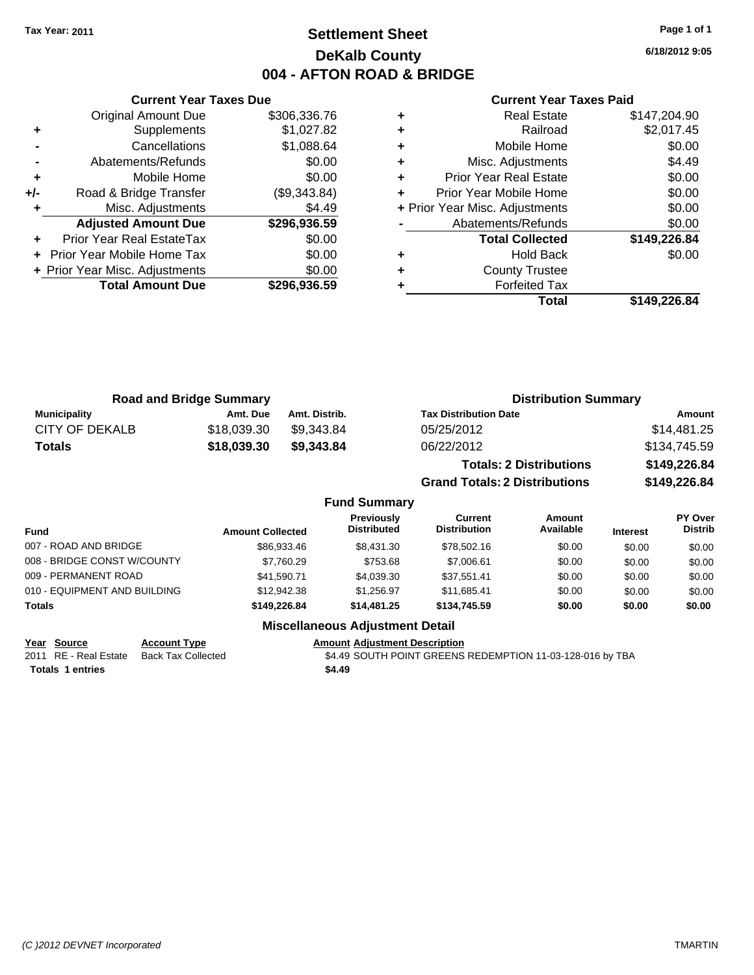# **Settlement Sheet Tax Year: 2011 Page 1 of 1 DeKalb County 004 - AFTON ROAD & BRIDGE**

**6/18/2012 9:05**

#### **Current Year Taxes Paid**

|     | <b>Current Year Taxes Due</b>  |              |
|-----|--------------------------------|--------------|
|     | <b>Original Amount Due</b>     | \$306,336.76 |
| ٠   | Supplements                    | \$1,027.82   |
|     | Cancellations                  | \$1,088.64   |
|     | Abatements/Refunds             | \$0.00       |
| ٠   | Mobile Home                    | \$0.00       |
| +/- | Road & Bridge Transfer         | (\$9,343.84) |
|     | Misc. Adjustments              | \$4.49       |
|     | <b>Adjusted Amount Due</b>     | \$296,936.59 |
| ÷   | Prior Year Real EstateTax      | \$0.00       |
|     | Prior Year Mobile Home Tax     | \$0.00       |
|     | + Prior Year Misc. Adjustments | \$0.00       |
|     | <b>Total Amount Due</b>        | \$296,936.59 |
|     |                                |              |

| <b>Real Estate</b>     | \$147,204.90                   |
|------------------------|--------------------------------|
| Railroad               | \$2,017.45                     |
| Mobile Home            | \$0.00                         |
| Misc. Adjustments      | \$4.49                         |
| Prior Year Real Estate | \$0.00                         |
| Prior Year Mobile Home | \$0.00                         |
|                        | \$0.00                         |
| Abatements/Refunds     | \$0.00                         |
| <b>Total Collected</b> | \$149,226.84                   |
| <b>Hold Back</b>       | \$0.00                         |
| <b>County Trustee</b>  |                                |
| <b>Forfeited Tax</b>   |                                |
| Total                  | \$149,226.84                   |
|                        | + Prior Year Misc. Adjustments |

**Grand Totals: 2 Distributions \$149,226.84**

|                     | <b>Road and Bridge Summary</b> |               | <b>Distribution Summary</b>    |              |
|---------------------|--------------------------------|---------------|--------------------------------|--------------|
| <b>Municipality</b> | Amt. Due                       | Amt. Distrib. | <b>Tax Distribution Date</b>   | Amount       |
| CITY OF DEKALB      | \$18.039.30                    | \$9,343.84    | 05/25/2012                     | \$14,481.25  |
| <b>Totals</b>       | \$18,039.30                    | \$9.343.84    | 06/22/2012                     | \$134,745.59 |
|                     |                                |               | <b>Totals: 2 Distributions</b> | \$149,226.84 |

|                              |                         | <b>Fund Summary</b>                     |                                |                            |                 |                           |
|------------------------------|-------------------------|-----------------------------------------|--------------------------------|----------------------------|-----------------|---------------------------|
| <b>Fund</b>                  | <b>Amount Collected</b> | <b>Previously</b><br><b>Distributed</b> | Current<br><b>Distribution</b> | <b>Amount</b><br>Available | <b>Interest</b> | PY Over<br><b>Distrib</b> |
| 007 - ROAD AND BRIDGE        | \$86.933.46             | \$8,431.30                              | \$78,502.16                    | \$0.00                     | \$0.00          | \$0.00                    |
| 008 - BRIDGE CONST W/COUNTY  | \$7.760.29              | \$753.68                                | \$7,006.61                     | \$0.00                     | \$0.00          | \$0.00                    |
| 009 - PERMANENT ROAD         | \$41.590.71             | \$4,039.30                              | \$37.551.41                    | \$0.00                     | \$0.00          | \$0.00                    |
| 010 - EQUIPMENT AND BUILDING | \$12,942.38             | \$1,256.97                              | \$11.685.41                    | \$0.00                     | \$0.00          | \$0.00                    |
| Totals                       | \$149,226,84            | \$14,481.25                             | \$134,745.59                   | \$0.00                     | \$0.00          | \$0.00                    |
|                              |                         |                                         |                                |                            |                 |                           |

## **Miscellaneous Adjustment Detail**

**Year Source Account Type Amount Adjustment Description**<br>
2011 RE - Real Estate Back Tax Collected **1989** \$4.49 SOUTH POINT GREENS

Totals 1 entries \$4.49

\$4.49 SOUTH POINT GREENS REDEMPTION 11-03-128-016 by TBA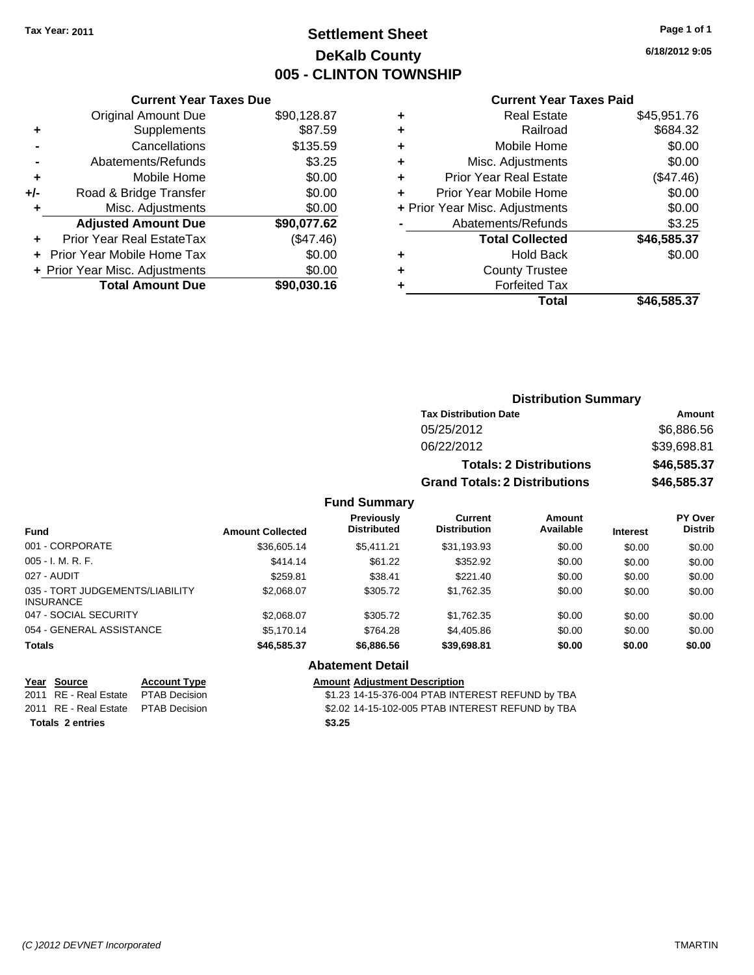# **Settlement Sheet Tax Year: 2011 Page 1 of 1 DeKalb County 005 - CLINTON TOWNSHIP**

**6/18/2012 9:05**

#### **Current Year Taxes Paid**

|     | 7911 VIII TUUT TUAUU DUU       |             |
|-----|--------------------------------|-------------|
|     | <b>Original Amount Due</b>     | \$90,128.87 |
| ٠   | Supplements                    | \$87.59     |
|     | Cancellations                  | \$135.59    |
|     | Abatements/Refunds             | \$3.25      |
| ٠   | Mobile Home                    | \$0.00      |
| +/- | Road & Bridge Transfer         | \$0.00      |
| ٠   | Misc. Adjustments              | \$0.00      |
|     | <b>Adjusted Amount Due</b>     | \$90,077.62 |
|     | Prior Year Real EstateTax      | (\$47.46)   |
|     | Prior Year Mobile Home Tax     | \$0.00      |
|     | + Prior Year Misc. Adjustments | \$0.00      |
|     | <b>Total Amount Due</b>        | \$90,030.16 |
|     |                                |             |

**Current Year Taxes Due**

| ٠ | <b>Real Estate</b>             | \$45,951.76 |
|---|--------------------------------|-------------|
| ٠ | Railroad                       | \$684.32    |
| ٠ | Mobile Home                    | \$0.00      |
| ٠ | Misc. Adjustments              | \$0.00      |
| ÷ | <b>Prior Year Real Estate</b>  | (\$47.46)   |
| ٠ | Prior Year Mobile Home         | \$0.00      |
|   | + Prior Year Misc. Adjustments | \$0.00      |
|   | Abatements/Refunds             | \$3.25      |
|   | <b>Total Collected</b>         | \$46,585.37 |
| ٠ | Hold Back                      | \$0.00      |
| ٠ | <b>County Trustee</b>          |             |
| ٠ | <b>Forfeited Tax</b>           |             |
|   | Total                          | \$46,585.37 |

## **Distribution Summary Tax Distribution Date Amount** 05/25/2012 \$6,886.56 06/22/2012 \$39,698.81 **Totals: 2 Distributions \$46,585.37 Grand Totals: 2 Distributions \$46,585.37 Fund Summary**

| <b>Fund</b>                                         | <b>Amount Collected</b> | <b>Previously</b><br><b>Distributed</b> | Current<br><b>Distribution</b> | Amount<br>Available | <b>Interest</b> | <b>PY Over</b><br><b>Distrib</b> |
|-----------------------------------------------------|-------------------------|-----------------------------------------|--------------------------------|---------------------|-----------------|----------------------------------|
| 001 - CORPORATE                                     | \$36,605.14             | \$5.411.21                              | \$31,193.93                    | \$0.00              | \$0.00          | \$0.00                           |
| $005 - I. M. R. F.$                                 | \$414.14                | \$61.22                                 | \$352.92                       | \$0.00              | \$0.00          | \$0.00                           |
| 027 - AUDIT                                         | \$259.81                | \$38.41                                 | \$221.40                       | \$0.00              | \$0.00          | \$0.00                           |
| 035 - TORT JUDGEMENTS/LIABILITY<br><b>INSURANCE</b> | \$2,068.07              | \$305.72                                | \$1,762.35                     | \$0.00              | \$0.00          | \$0.00                           |
| 047 - SOCIAL SECURITY                               | \$2,068.07              | \$305.72                                | \$1,762.35                     | \$0.00              | \$0.00          | \$0.00                           |
| 054 - GENERAL ASSISTANCE                            | \$5,170.14              | \$764.28                                | \$4,405.86                     | \$0.00              | \$0.00          | \$0.00                           |
| <b>Totals</b>                                       | \$46,585.37             | \$6,886.56                              | \$39,698.81                    | \$0.00              | \$0.00          | \$0.00                           |
|                                                     |                         | <b>Abatement Detail</b>                 |                                |                     |                 |                                  |

**Totals \$3.25 2 entries**

**Year Source Account Type Amount Adjustment Description**

2011 RE - Real Estate \$1.23 14-15-376-004 PTAB INTEREST REFUND by TBA PTAB Decision 2011 RE - Real Estate \$2.02 14-15-102-005 PTAB INTEREST REFUND by TBA PTAB Decision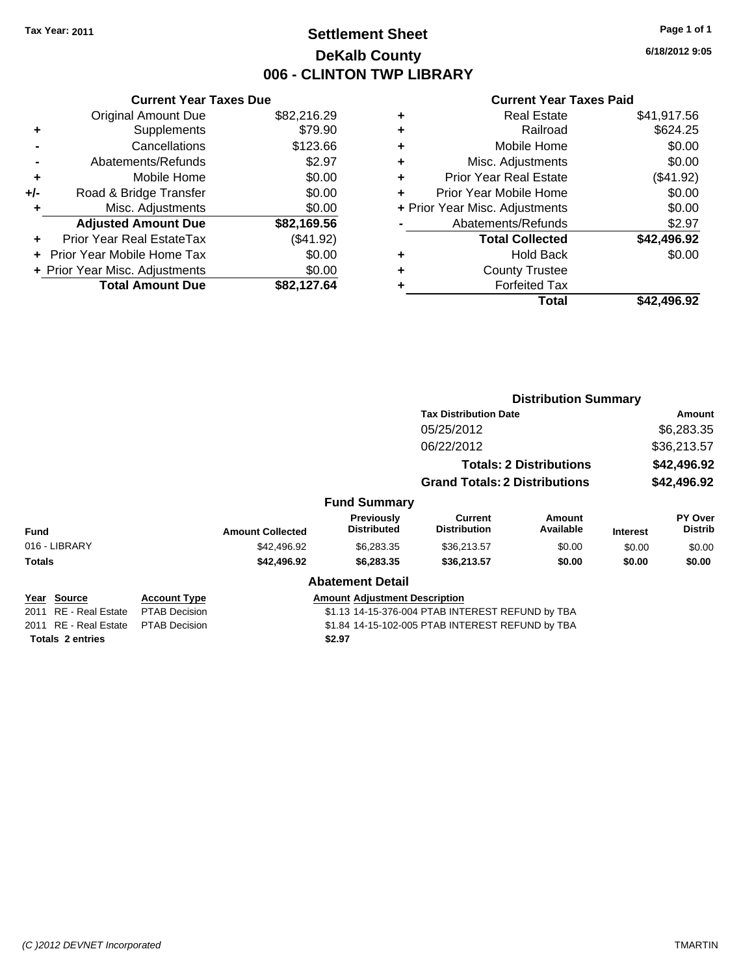# **Settlement Sheet Tax Year: 2011 Page 1 of 1 DeKalb County 006 - CLINTON TWP LIBRARY**

**Current Year Taxes Due** Original Amount Due \$82,216.29 **+** Supplements \$79.90 **-** Cancellations \$123.66 **-** Abatements/Refunds \$2.97 **+** Mobile Home \$0.00 **+/-** Road & Bridge Transfer \$0.00 **+** Misc. Adjustments \$0.00 **Adjusted Amount Due \$82,169.56 +** Prior Year Real EstateTax (\$41.92)

**+** Prior Year Mobile Home Tax \$0.00 **+ Prior Year Misc. Adjustments**  $$0.00$ 

**Total Amount Due \$82,127.64**

|   | <b>Real Estate</b>             | \$41,917.56 |
|---|--------------------------------|-------------|
| ٠ | Railroad                       | \$624.25    |
| ٠ | Mobile Home                    | \$0.00      |
| ٠ | Misc. Adjustments              | \$0.00      |
| ٠ | <b>Prior Year Real Estate</b>  | (\$41.92)   |
|   | Prior Year Mobile Home         | \$0.00      |
|   | + Prior Year Misc. Adjustments | \$0.00      |
|   | Abatements/Refunds             | \$2.97      |
|   | <b>Total Collected</b>         | \$42,496.92 |
| ٠ | <b>Hold Back</b>               | \$0.00      |
| ٠ | <b>County Trustee</b>          |             |
|   | <b>Forfeited Tax</b>           |             |
|   | Total                          | \$42,496.92 |
|   |                                |             |

|                       |                      | <b>Distribution Summary</b> |                                         |                                                  |                                |                            |                                  |
|-----------------------|----------------------|-----------------------------|-----------------------------------------|--------------------------------------------------|--------------------------------|----------------------------|----------------------------------|
|                       |                      |                             |                                         | <b>Tax Distribution Date</b>                     |                                | Amount                     |                                  |
|                       |                      |                             |                                         | 05/25/2012                                       |                                | \$6,283.35                 |                                  |
|                       |                      |                             |                                         | 06/22/2012                                       |                                | \$36,213.57                |                                  |
|                       |                      |                             |                                         |                                                  | <b>Totals: 2 Distributions</b> | \$42,496.92<br>\$42,496.92 |                                  |
|                       |                      |                             |                                         | <b>Grand Totals: 2 Distributions</b>             |                                |                            |                                  |
|                       |                      |                             | <b>Fund Summary</b>                     |                                                  |                                |                            |                                  |
| <b>Fund</b>           |                      | <b>Amount Collected</b>     | <b>Previously</b><br><b>Distributed</b> | Current<br><b>Distribution</b>                   | Amount<br>Available            | <b>Interest</b>            | <b>PY Over</b><br><b>Distrib</b> |
| 016 - LIBRARY         |                      | \$42,496.92                 | \$6,283.35                              | \$36,213.57                                      | \$0.00                         | \$0.00                     | \$0.00                           |
| Totals                |                      | \$42,496.92                 | \$6,283.35                              | \$36,213.57                                      | \$0.00                         | \$0.00                     | \$0.00                           |
|                       |                      |                             | <b>Abatement Detail</b>                 |                                                  |                                |                            |                                  |
| Year Source           | <b>Account Type</b>  |                             | <b>Amount Adjustment Description</b>    |                                                  |                                |                            |                                  |
| 2011 RE - Real Estate | <b>PTAB Decision</b> |                             |                                         | \$1.13 14-15-376-004 PTAB INTEREST REFUND by TBA |                                |                            |                                  |
| 2011 RE - Real Estate | <b>PTAB Decision</b> |                             |                                         | \$1.84 14-15-102-005 PTAB INTEREST REFUND by TBA |                                |                            |                                  |
| Totals 2 entries      |                      |                             | \$2.97                                  |                                                  |                                |                            |                                  |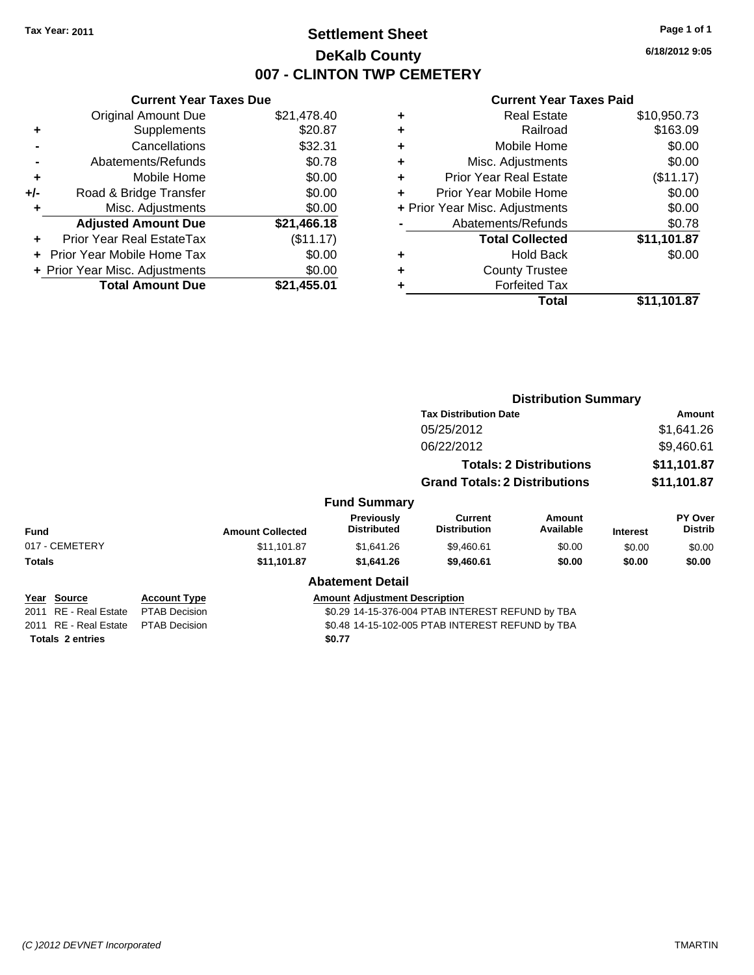# **Settlement Sheet Tax Year: 2011 Page 1 of 1 DeKalb County 007 - CLINTON TWP CEMETERY**

**6/18/2012 9:05**

| <b>Current Year Taxes Due</b>  |             |
|--------------------------------|-------------|
| <b>Original Amount Due</b>     | \$21,478.40 |
| Supplements                    | \$20.87     |
| Cancellations                  | \$32.31     |
| Abatements/Refunds             | \$0.78      |
| Mobile Home                    | \$0.00      |
| Road & Bridge Transfer         | \$0.00      |
| Misc. Adjustments              | \$0.00      |
| <b>Adjusted Amount Due</b>     | \$21,466.18 |
| Prior Year Real EstateTax      | (\$11.17)   |
| Prior Year Mobile Home Tax     | \$0.00      |
| + Prior Year Misc. Adjustments | \$0.00      |
|                                |             |
|                                |             |

| ٠ | <b>Real Estate</b>             | \$10,950.73 |
|---|--------------------------------|-------------|
| ٠ | Railroad                       | \$163.09    |
| ٠ | Mobile Home                    | \$0.00      |
| ٠ | Misc. Adjustments              | \$0.00      |
| ٠ | <b>Prior Year Real Estate</b>  | (\$11.17)   |
|   | Prior Year Mobile Home         | \$0.00      |
|   | + Prior Year Misc. Adjustments | \$0.00      |
|   | Abatements/Refunds             | \$0.78      |
|   | <b>Total Collected</b>         | \$11,101.87 |
| ٠ | <b>Hold Back</b>               | \$0.00      |
| ٠ | <b>County Trustee</b>          |             |
| ٠ | <b>Forfeited Tax</b>           |             |
|   | Total                          | \$11,101.87 |
|   |                                |             |

|                         |                      |                         |                                         | <b>Distribution Summary</b>                      |                                |                 |                           |
|-------------------------|----------------------|-------------------------|-----------------------------------------|--------------------------------------------------|--------------------------------|-----------------|---------------------------|
|                         |                      |                         |                                         | <b>Tax Distribution Date</b>                     |                                | Amount          |                           |
|                         |                      |                         |                                         | 05/25/2012                                       |                                |                 | \$1,641.26                |
|                         |                      |                         |                                         | 06/22/2012                                       |                                |                 | \$9,460.61                |
|                         |                      |                         |                                         |                                                  | <b>Totals: 2 Distributions</b> |                 | \$11,101.87               |
|                         |                      |                         |                                         | <b>Grand Totals: 2 Distributions</b>             |                                |                 | \$11,101.87               |
|                         |                      |                         | <b>Fund Summary</b>                     |                                                  |                                |                 |                           |
| <b>Fund</b>             |                      | <b>Amount Collected</b> | <b>Previously</b><br><b>Distributed</b> | <b>Current</b><br><b>Distribution</b>            | Amount<br>Available            | <b>Interest</b> | PY Over<br><b>Distrib</b> |
| 017 - CEMETERY          |                      | \$11,101.87             | \$1,641.26                              | \$9,460.61                                       | \$0.00                         | \$0.00          | \$0.00                    |
| <b>Totals</b>           |                      | \$11,101.87             | \$1,641.26                              | \$9,460.61                                       | \$0.00                         | \$0.00          | \$0.00                    |
|                         |                      |                         | <b>Abatement Detail</b>                 |                                                  |                                |                 |                           |
| Year Source             | <b>Account Type</b>  |                         | <b>Amount Adjustment Description</b>    |                                                  |                                |                 |                           |
| 2011 RE - Real Estate   | <b>PTAB Decision</b> |                         |                                         | \$0.29 14-15-376-004 PTAB INTEREST REFUND by TBA |                                |                 |                           |
| 2011 RE - Real Estate   | <b>PTAB Decision</b> |                         |                                         | \$0.48 14-15-102-005 PTAB INTEREST REFUND by TBA |                                |                 |                           |
| <b>Totals 2 entries</b> |                      |                         | \$0.77                                  |                                                  |                                |                 |                           |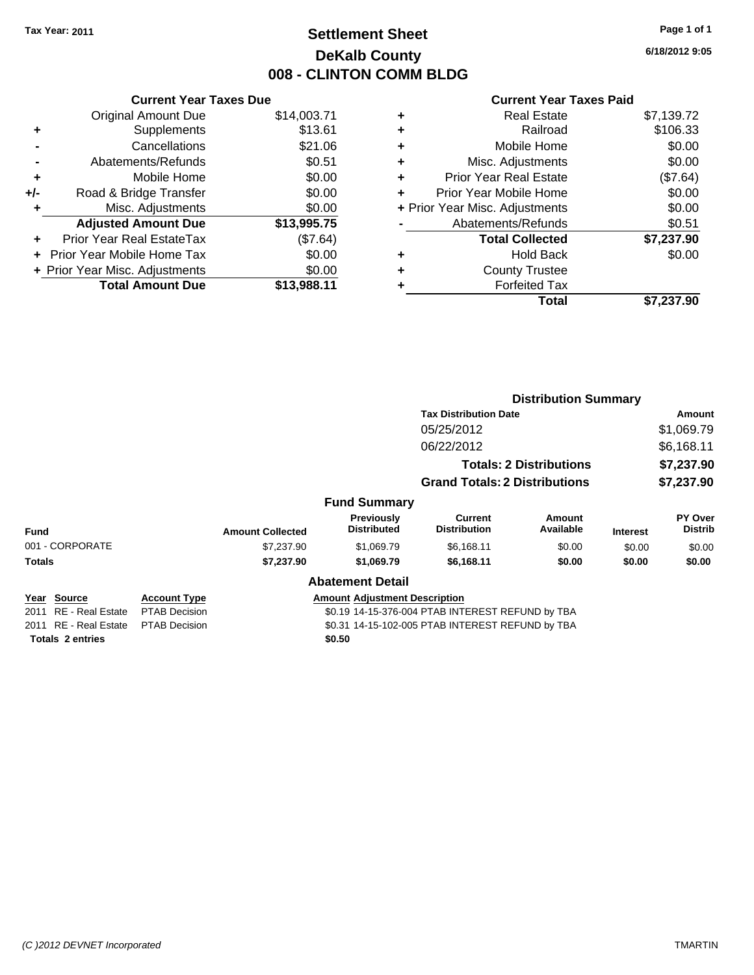# **Settlement Sheet Tax Year: 2011 Page 1 of 1 DeKalb County 008 - CLINTON COMM BLDG**

**6/18/2012 9:05**

|     | <b>Current Year Taxes Due</b>            |             |  |  |  |  |  |
|-----|------------------------------------------|-------------|--|--|--|--|--|
|     | <b>Original Amount Due</b>               | \$14,003.71 |  |  |  |  |  |
| ٠   | Supplements                              | \$13.61     |  |  |  |  |  |
|     | Cancellations                            | \$21.06     |  |  |  |  |  |
|     | Abatements/Refunds                       | \$0.51      |  |  |  |  |  |
| ٠   | Mobile Home                              | \$0.00      |  |  |  |  |  |
| +/- | Road & Bridge Transfer                   | \$0.00      |  |  |  |  |  |
|     | Misc. Adjustments                        | \$0.00      |  |  |  |  |  |
|     | <b>Adjusted Amount Due</b>               | \$13,995.75 |  |  |  |  |  |
| ÷   | Prior Year Real EstateTax                | (\$7.64)    |  |  |  |  |  |
|     | \$0.00<br>Prior Year Mobile Home Tax     |             |  |  |  |  |  |
|     | \$0.00<br>+ Prior Year Misc. Adjustments |             |  |  |  |  |  |
|     | <b>Total Amount Due</b>                  | \$13,988.11 |  |  |  |  |  |
|     |                                          |             |  |  |  |  |  |

|   | Total                          | \$7,237.90 |
|---|--------------------------------|------------|
| ٠ | <b>Forfeited Tax</b>           |            |
| ٠ | <b>County Trustee</b>          |            |
| ٠ | Hold Back                      | \$0.00     |
|   | <b>Total Collected</b>         | \$7,237.90 |
|   | Abatements/Refunds             | \$0.51     |
|   | + Prior Year Misc. Adjustments | \$0.00     |
| ٠ | Prior Year Mobile Home         | \$0.00     |
| ÷ | <b>Prior Year Real Estate</b>  | (\$7.64)   |
| ٠ | Misc. Adjustments              | \$0.00     |
| ٠ | Mobile Home                    | \$0.00     |
| ÷ | Railroad                       | \$106.33   |
| ٠ | <b>Real Estate</b>             | \$7,139.72 |
|   |                                |            |

|                         |                      |                         |                                      | <b>Distribution Summary</b>                      |                                |                 |                           |
|-------------------------|----------------------|-------------------------|--------------------------------------|--------------------------------------------------|--------------------------------|-----------------|---------------------------|
|                         |                      |                         |                                      | <b>Tax Distribution Date</b>                     |                                |                 | <b>Amount</b>             |
|                         |                      |                         |                                      | 05/25/2012                                       |                                |                 | \$1,069.79                |
|                         |                      |                         |                                      | 06/22/2012                                       |                                |                 | \$6,168.11                |
|                         |                      |                         |                                      |                                                  | <b>Totals: 2 Distributions</b> | \$7,237.90      |                           |
|                         |                      |                         |                                      | <b>Grand Totals: 2 Distributions</b>             |                                |                 | \$7,237.90                |
|                         |                      |                         | <b>Fund Summary</b>                  |                                                  |                                |                 |                           |
| <b>Fund</b>             |                      | <b>Amount Collected</b> | Previously<br><b>Distributed</b>     | Current<br><b>Distribution</b>                   | Amount<br>Available            | <b>Interest</b> | PY Over<br><b>Distrib</b> |
| 001 - CORPORATE         |                      | \$7,237.90              | \$1,069.79                           | \$6,168.11                                       | \$0.00                         | \$0.00          | \$0.00                    |
| Totals                  |                      | \$7,237.90              | \$1,069.79                           | \$6,168.11                                       | \$0.00                         | \$0.00          | \$0.00                    |
|                         |                      |                         | <b>Abatement Detail</b>              |                                                  |                                |                 |                           |
| Year Source             | <b>Account Type</b>  |                         | <b>Amount Adjustment Description</b> |                                                  |                                |                 |                           |
| 2011 RE - Real Estate   | <b>PTAB Decision</b> |                         |                                      | \$0.19 14-15-376-004 PTAB INTEREST REFUND by TBA |                                |                 |                           |
| 2011 RE - Real Estate   | <b>PTAB Decision</b> |                         |                                      | \$0.31 14-15-102-005 PTAB INTEREST REFUND by TBA |                                |                 |                           |
| <b>Totals 2 entries</b> |                      |                         | \$0.50                               |                                                  |                                |                 |                           |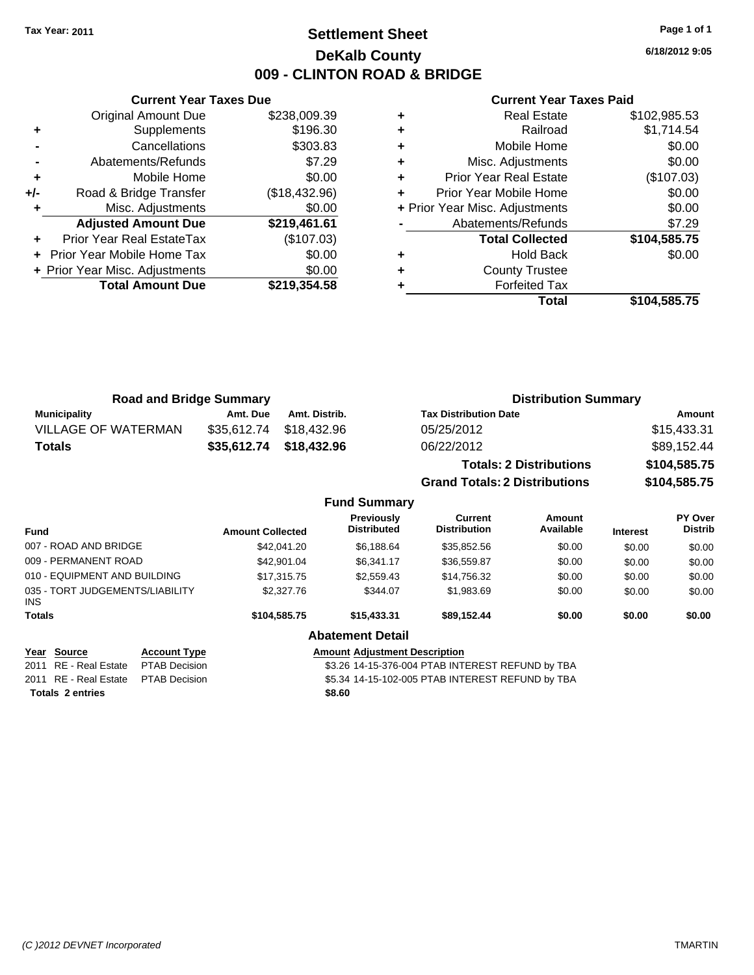# **Settlement Sheet Tax Year: 2011 Page 1 of 1 DeKalb County 009 - CLINTON ROAD & BRIDGE**

**6/18/2012 9:05**

#### **Current Year Taxes Paid**

|       | <b>Current Year Taxes Due</b>  |               |
|-------|--------------------------------|---------------|
|       | <b>Original Amount Due</b>     | \$238,009.39  |
| ٠     | Supplements                    | \$196.30      |
|       | Cancellations                  | \$303.83      |
|       | Abatements/Refunds             | \$7.29        |
| ٠     | Mobile Home                    | \$0.00        |
| $+/-$ | Road & Bridge Transfer         | (\$18,432.96) |
|       | Misc. Adjustments              | \$0.00        |
|       | <b>Adjusted Amount Due</b>     | \$219,461.61  |
|       | Prior Year Real EstateTax      | (\$107.03)    |
|       | Prior Year Mobile Home Tax     | \$0.00        |
|       | + Prior Year Misc. Adjustments | \$0.00        |
|       | <b>Total Amount Due</b>        | \$219.354.58  |
|       |                                |               |

|   | <b>Real Estate</b>             | \$102,985.53 |
|---|--------------------------------|--------------|
| ٠ | Railroad                       | \$1,714.54   |
| ٠ | Mobile Home                    | \$0.00       |
| ٠ | Misc. Adjustments              | \$0.00       |
| ٠ | <b>Prior Year Real Estate</b>  | (\$107.03)   |
|   | Prior Year Mobile Home         | \$0.00       |
|   | + Prior Year Misc. Adjustments | \$0.00       |
|   | Abatements/Refunds             | \$7.29       |
|   | <b>Total Collected</b>         | \$104,585.75 |
|   | <b>Hold Back</b>               | \$0.00       |
| ٠ | <b>County Trustee</b>          |              |
|   | <b>Forfeited Tax</b>           |              |
|   | Total                          | \$104,585.75 |

| <b>Road and Bridge Summary</b>                                        |                                                                     |                         |               |                                         |                                                                                                      | <b>Distribution Summary</b>    |                 |                           |
|-----------------------------------------------------------------------|---------------------------------------------------------------------|-------------------------|---------------|-----------------------------------------|------------------------------------------------------------------------------------------------------|--------------------------------|-----------------|---------------------------|
| <b>Municipality</b>                                                   |                                                                     | Amt. Due                | Amt. Distrib. |                                         | <b>Tax Distribution Date</b>                                                                         |                                |                 | <b>Amount</b>             |
| VILLAGE OF WATERMAN                                                   |                                                                     | \$35,612.74             | \$18,432.96   |                                         | 05/25/2012                                                                                           |                                |                 | \$15,433.31               |
| <b>Totals</b>                                                         |                                                                     | \$35,612.74             | \$18,432.96   |                                         | 06/22/2012                                                                                           |                                |                 | \$89,152.44               |
|                                                                       |                                                                     |                         |               |                                         |                                                                                                      | <b>Totals: 2 Distributions</b> |                 | \$104,585.75              |
|                                                                       |                                                                     |                         |               |                                         | <b>Grand Totals: 2 Distributions</b>                                                                 |                                |                 | \$104,585.75              |
|                                                                       |                                                                     |                         |               | <b>Fund Summary</b>                     |                                                                                                      |                                |                 |                           |
| <b>Fund</b>                                                           |                                                                     | <b>Amount Collected</b> |               | <b>Previously</b><br><b>Distributed</b> | <b>Current</b><br><b>Distribution</b>                                                                | Amount<br>Available            | <b>Interest</b> | PY Over<br><b>Distrib</b> |
| 007 - ROAD AND BRIDGE                                                 |                                                                     |                         | \$42,041.20   | \$6,188.64                              | \$35,852.56                                                                                          | \$0.00                         | \$0.00          | \$0.00                    |
| 009 - PERMANENT ROAD                                                  |                                                                     |                         | \$42,901.04   | \$6,341.17                              | \$36,559.87                                                                                          | \$0.00                         | \$0.00          | \$0.00                    |
| 010 - EQUIPMENT AND BUILDING                                          |                                                                     |                         | \$17,315.75   | \$2,559.43                              | \$14,756.32                                                                                          | \$0.00                         | \$0.00          | \$0.00                    |
| 035 - TORT JUDGEMENTS/LIABILITY<br>INS.                               |                                                                     |                         | \$2,327.76    | \$344.07                                | \$1,983.69                                                                                           | \$0.00                         | \$0.00          | \$0.00                    |
| Totals                                                                |                                                                     |                         | \$104,585.75  | \$15,433.31                             | \$89,152.44                                                                                          | \$0.00                         | \$0.00          | \$0.00                    |
|                                                                       |                                                                     |                         |               | <b>Abatement Detail</b>                 |                                                                                                      |                                |                 |                           |
| <u> Year Source</u><br>2011 RE - Real Estate<br>2011 RE - Real Estate | <b>Account Type</b><br><b>PTAB Decision</b><br><b>PTAB Decision</b> |                         |               | <b>Amount Adjustment Description</b>    | \$3.26 14-15-376-004 PTAB INTEREST REFUND by TBA<br>\$5.34 14-15-102-005 PTAB INTEREST REFUND by TBA |                                |                 |                           |
|                                                                       |                                                                     |                         |               |                                         |                                                                                                      |                                |                 |                           |

**Totals \$8.60 2 entries**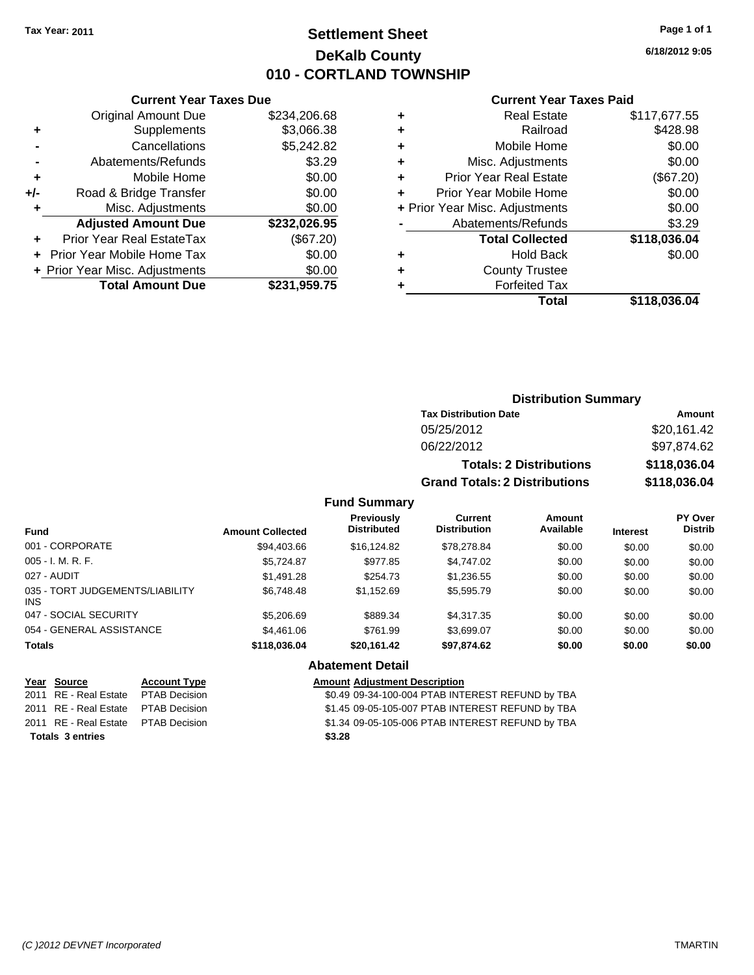# **Settlement Sheet Tax Year: 2011 Page 1 of 1 DeKalb County 010 - CORTLAND TOWNSHIP**

**6/18/2012 9:05**

#### **Current Year Taxes Paid**

|     | <b>Original Amount Due</b>     | \$234,206.68 | ÷ |                |
|-----|--------------------------------|--------------|---|----------------|
|     | Supplements                    | \$3,066.38   | ٠ |                |
|     | Cancellations                  | \$5,242.82   | ٠ |                |
|     | Abatements/Refunds             | \$3.29       | ٠ | N              |
|     | Mobile Home                    | \$0.00       | ÷ | Prior          |
| +/- | Road & Bridge Transfer         | \$0.00       |   | Prior Y        |
| ٠   | Misc. Adjustments              | \$0.00       |   | + Prior Year M |
|     | <b>Adjusted Amount Due</b>     | \$232,026.95 |   | Aba            |
|     | Prior Year Real EstateTax      | (\$67.20)    |   |                |
|     | Prior Year Mobile Home Tax     | \$0.00       | ٠ |                |
|     | + Prior Year Misc. Adjustments | \$0.00       | ٠ |                |
|     | <b>Total Amount Due</b>        | \$231,959.75 |   |                |
|     |                                |              |   |                |

**Current Year Taxes Due**

|   | <b>Real Estate</b>             | \$117,677.55 |
|---|--------------------------------|--------------|
| ٠ | Railroad                       | \$428.98     |
|   | Mobile Home                    | \$0.00       |
| ٠ | Misc. Adjustments              | \$0.00       |
| ٠ | <b>Prior Year Real Estate</b>  | (\$67.20)    |
| ÷ | Prior Year Mobile Home         | \$0.00       |
|   | + Prior Year Misc. Adjustments | \$0.00       |
|   | Abatements/Refunds             | \$3.29       |
|   | <b>Total Collected</b>         | \$118,036.04 |
| ٠ | <b>Hold Back</b>               | \$0.00       |
| ÷ | <b>County Trustee</b>          |              |
|   | <b>Forfeited Tax</b>           |              |
|   | Total                          | \$118.036.04 |

#### **Distribution Summary Tax Distribution Date Amount** 05/25/2012 \$20,161.42 06/22/2012 \$97,874.62 **Totals: 2 Distributions \$118,036.04 Grand Totals: 2 Distributions \$118,036.04 Fund Summary Fund Interest Amount Collected Distributed PY Over Distrib Amount Available Current Distribution Previously** 001 - CORPORATE \$94,403.66 \$16,124.82 \$78,278.84 \$0.00 \$0.00 \$0.00 005 - I. M. R. F. Charles Communication (St. 2014). State of the St. 2014.87 \$977.85 \$4,747.02 \$0.00 \$0.00 \$0.00 027 - AUDIT \$1,491.28 \$254.73 \$1,236.55 \$0.00 \$0.00 \$0.00 035 - TORT JUDGEMENTS/LIABILITY \$6,748.48 \$1,152.69 \$5,595.79 \$0.00 \$0.00 \$0.00

## 047 - SOCIAL SECURITY \$5,206.69 \$889.34 \$4,317.35 \$0.00 \$0.00 \$0.00 054 - GENERAL ASSISTANCE \$4,461.06 \$761.99 \$3,699.07 \$0.00 \$0.00 \$0.00 **Totals \$118,036.04 \$20,161.42 \$97,874.62 \$0.00 \$0.00 \$0.00 Abatement Detail Year Source Account Type Amount Adjustment Description** 2011 RE - Real Estate \$0.49 09-34-100-004 PTAB INTEREST REFUND by TBA PTAB Decision 2011 RE - Real Estate \$1.45 09-05-105-007 PTAB INTEREST REFUND by TBA PTAB Decision

**Totals \$3.28 3 entries**

INS

2011 RE - Real Estate \$1.34 09-05-105-006 PTAB INTEREST REFUND by TBA PTAB Decision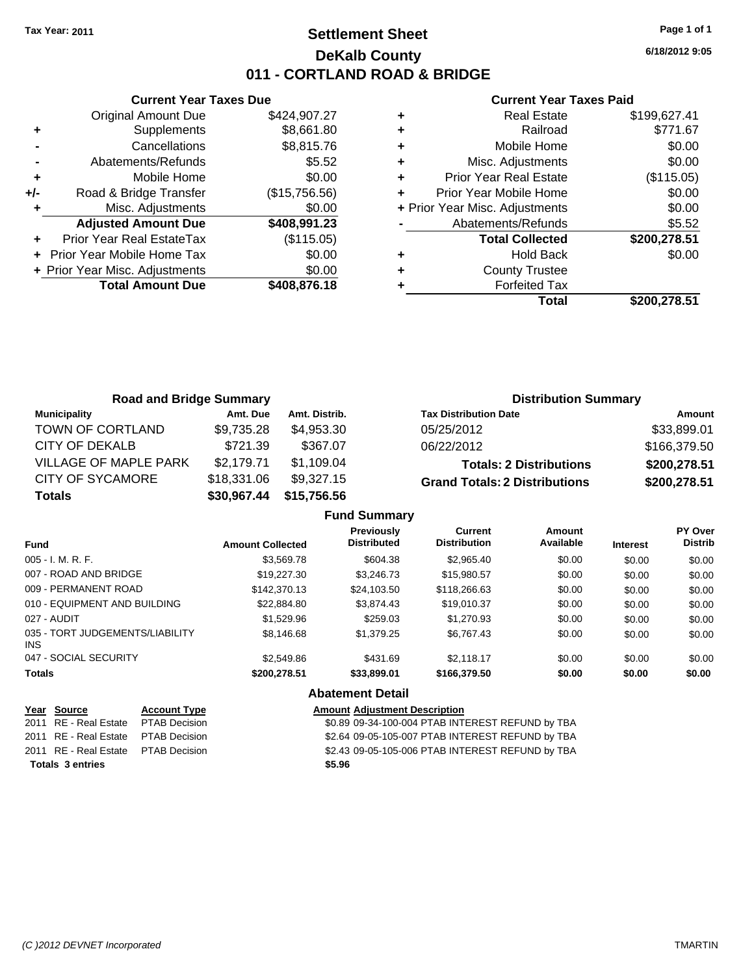# **Settlement Sheet Tax Year: 2011 Page 1 of 1 DeKalb County 011 - CORTLAND ROAD & BRIDGE**

**Current Year Taxes Due** Original Amount Due \$424,907.27 **+** Supplements \$8,661.80 **-** Cancellations \$8,815.76 **-** Abatements/Refunds **\$5.52 +** Mobile Home \$0.00 **+/-** Road & Bridge Transfer (\$15,756.56) **+** Misc. Adjustments \$0.00 **Adjusted Amount Due \$408,991.23 +** Prior Year Real EstateTax (\$115.05) **+** Prior Year Mobile Home Tax \$0.00 **+ Prior Year Misc. Adjustments**  $$0.00$ **Total Amount Due \$408,876.18**

#### **Current Year Taxes Paid**

|   | <b>Real Estate</b>             | \$199,627.41 |
|---|--------------------------------|--------------|
| ٠ | Railroad                       | \$771.67     |
| ٠ | Mobile Home                    | \$0.00       |
| ٠ | Misc. Adjustments              | \$0.00       |
| ٠ | <b>Prior Year Real Estate</b>  | (\$115.05)   |
|   | Prior Year Mobile Home         | \$0.00       |
|   | + Prior Year Misc. Adjustments | \$0.00       |
|   | Abatements/Refunds             | \$5.52       |
|   | <b>Total Collected</b>         | \$200,278.51 |
| ٠ | <b>Hold Back</b>               | \$0.00       |
| ٠ | <b>County Trustee</b>          |              |
| ٠ | <b>Forfeited Tax</b>           |              |
|   | Total                          | \$200,278.51 |
|   |                                |              |

| <b>Road and Bridge Summary</b> |             |               | <b>Distribution Summary</b>          |              |  |  |
|--------------------------------|-------------|---------------|--------------------------------------|--------------|--|--|
| <b>Municipality</b>            | Amt. Due    | Amt. Distrib. | <b>Tax Distribution Date</b>         | Amount       |  |  |
| TOWN OF CORTLAND               | \$9,735.28  | \$4,953,30    | 05/25/2012                           | \$33,899.01  |  |  |
| CITY OF DEKALB                 | \$721.39    | \$367.07      | 06/22/2012                           | \$166,379.50 |  |  |
| VILLAGE OF MAPLE PARK          | \$2,179.71  | \$1,109.04    | <b>Totals: 2 Distributions</b>       | \$200,278.51 |  |  |
| <b>CITY OF SYCAMORE</b>        | \$18,331.06 | \$9,327.15    | <b>Grand Totals: 2 Distributions</b> | \$200,278.51 |  |  |
| <b>Totals</b>                  | \$30,967.44 | \$15,756.56   |                                      |              |  |  |

|                                         |                         | <b>Fund Summary</b>                     |                                       |                     |                 |                           |
|-----------------------------------------|-------------------------|-----------------------------------------|---------------------------------------|---------------------|-----------------|---------------------------|
| <b>Fund</b>                             | <b>Amount Collected</b> | <b>Previously</b><br><b>Distributed</b> | <b>Current</b><br><b>Distribution</b> | Amount<br>Available | <b>Interest</b> | PY Over<br><b>Distrib</b> |
| 005 - I. M. R. F.                       | \$3,569.78              | \$604.38                                | \$2,965.40                            | \$0.00              | \$0.00          | \$0.00                    |
| 007 - ROAD AND BRIDGE                   | \$19,227.30             | \$3,246,73                              | \$15,980.57                           | \$0.00              | \$0.00          | \$0.00                    |
| 009 - PERMANENT ROAD                    | \$142,370.13            | \$24.103.50                             | \$118,266.63                          | \$0.00              | \$0.00          | \$0.00                    |
| 010 - EQUIPMENT AND BUILDING            | \$22,884.80             | \$3,874.43                              | \$19,010.37                           | \$0.00              | \$0.00          | \$0.00                    |
| 027 - AUDIT                             | \$1,529.96              | \$259.03                                | \$1,270.93                            | \$0.00              | \$0.00          | \$0.00                    |
| 035 - TORT JUDGEMENTS/LIABILITY<br>INS. | \$8.146.68              | \$1,379.25                              | \$6,767.43                            | \$0.00              | \$0.00          | \$0.00                    |
| 047 - SOCIAL SECURITY                   | \$2,549.86              | \$431.69                                | \$2.118.17                            | \$0.00              | \$0.00          | \$0.00                    |
| <b>Totals</b>                           | \$200,278.51            | \$33,899.01                             | \$166,379.50                          | \$0.00              | \$0.00          | \$0.00                    |
|                                         |                         | AL - ( - - - - - - AR - ( - 11          |                                       |                     |                 |                           |

|  |  |  | <b>Abatement Detail</b> |
|--|--|--|-------------------------|
|--|--|--|-------------------------|

| Year Source                         | <b>Account Type</b> | Amount |
|-------------------------------------|---------------------|--------|
| 2011 RE - Real Estate PTAB Decision |                     | \$0.89 |
| 2011 RE - Real Estate PTAB Decision |                     | \$2.64 |
| 2011 RE - Real Estate PTAB Decision |                     | \$2.43 |
| Totals 3 entries                    |                     | \$5.96 |

#### **PE Amount Adjustment Description**

2011 6011 80109 09-34-100-004 PTAB INTEREST REFUND by TBA 001 **2011 82.64 09-05-105-007 PTAB INTEREST REFUND by TBA** 001 **2011 Real Estate \$2.43 09-05-105-006 PTAB INTEREST REFUND by TBA**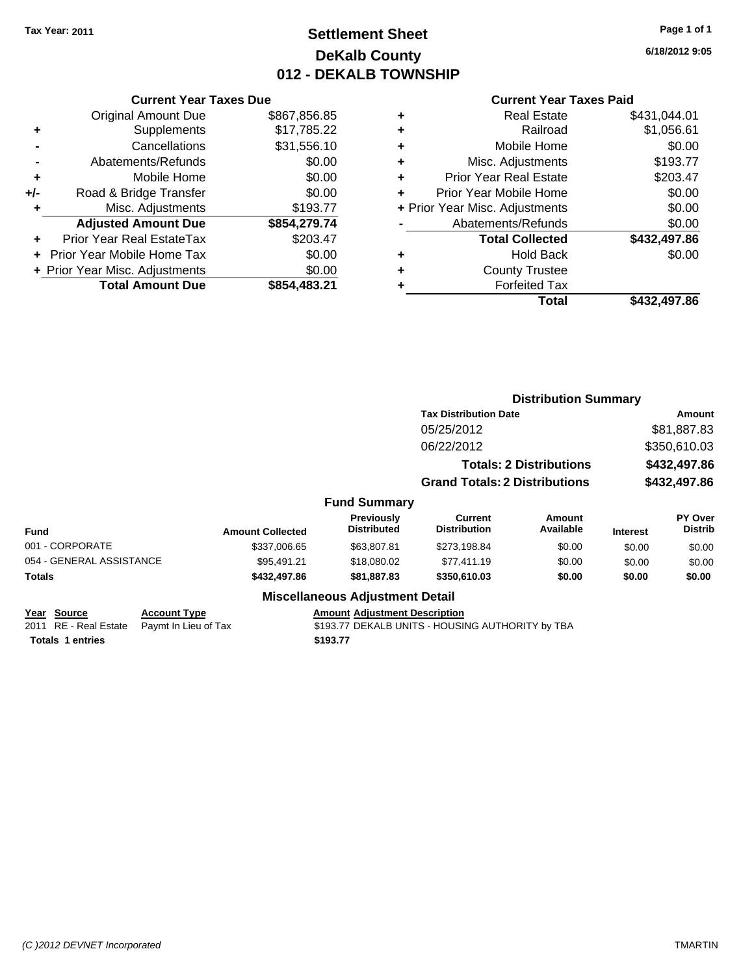# **Settlement Sheet Tax Year: 2011 Page 1 of 1 DeKalb County 012 - DEKALB TOWNSHIP**

**6/18/2012 9:05**

| <b>Current Year Taxes Paid</b> |  |  |
|--------------------------------|--|--|

|     | <b>Current Year Taxes Due</b>  |              |
|-----|--------------------------------|--------------|
|     | <b>Original Amount Due</b>     | \$867,856.85 |
| ٠   | Supplements                    | \$17,785.22  |
|     | Cancellations                  | \$31,556.10  |
|     | Abatements/Refunds             | \$0.00       |
| ٠   | Mobile Home                    | \$0.00       |
| +/- | Road & Bridge Transfer         | \$0.00       |
| ٠   | Misc. Adjustments              | \$193.77     |
|     | <b>Adjusted Amount Due</b>     | \$854,279.74 |
|     | Prior Year Real EstateTax      | \$203.47     |
|     | Prior Year Mobile Home Tax     | \$0.00       |
|     | + Prior Year Misc. Adjustments | \$0.00       |
|     | <b>Total Amount Due</b>        | \$854,483.21 |

| ٠ | <b>Real Estate</b>             | \$431,044.01 |
|---|--------------------------------|--------------|
| ٠ | Railroad                       | \$1,056.61   |
| ٠ | Mobile Home                    | \$0.00       |
| ٠ | Misc. Adjustments              | \$193.77     |
| ÷ | <b>Prior Year Real Estate</b>  | \$203.47     |
| ٠ | Prior Year Mobile Home         | \$0.00       |
|   | + Prior Year Misc. Adjustments | \$0.00       |
|   | Abatements/Refunds             | \$0.00       |
|   | <b>Total Collected</b>         | \$432,497.86 |
| ٠ | <b>Hold Back</b>               | \$0.00       |
| ٠ | <b>County Trustee</b>          |              |
| ٠ | <b>Forfeited Tax</b>           |              |
|   | Total                          | \$432,497.86 |
|   |                                |              |

|                          |                      |                         |                                         |                                                  |                                | <b>Distribution Summary</b> |                           |  |  |
|--------------------------|----------------------|-------------------------|-----------------------------------------|--------------------------------------------------|--------------------------------|-----------------------------|---------------------------|--|--|
|                          |                      |                         |                                         | <b>Tax Distribution Date</b>                     |                                |                             | Amount                    |  |  |
|                          |                      |                         |                                         | 05/25/2012                                       |                                |                             | \$81,887.83               |  |  |
|                          |                      |                         |                                         | 06/22/2012                                       |                                |                             | \$350,610.03              |  |  |
|                          |                      |                         |                                         |                                                  | <b>Totals: 2 Distributions</b> | \$432,497.86                |                           |  |  |
|                          |                      |                         |                                         | <b>Grand Totals: 2 Distributions</b>             | \$432,497.86                   |                             |                           |  |  |
|                          |                      |                         | <b>Fund Summary</b>                     |                                                  |                                |                             |                           |  |  |
| <b>Fund</b>              |                      | <b>Amount Collected</b> | <b>Previously</b><br><b>Distributed</b> | Current<br><b>Distribution</b>                   | Amount<br>Available            | <b>Interest</b>             | PY Over<br><b>Distrib</b> |  |  |
| 001 - CORPORATE          |                      | \$337,006.65            | \$63,807.81                             | \$273,198.84                                     | \$0.00                         | \$0.00                      | \$0.00                    |  |  |
| 054 - GENERAL ASSISTANCE |                      | \$95,491.21             | \$18,080.02                             | \$77,411.19                                      | \$0.00                         | \$0.00                      | \$0.00                    |  |  |
| Totals                   |                      | \$432,497.86            | \$81,887.83                             | \$350,610.03                                     | \$0.00                         | \$0.00                      | \$0.00                    |  |  |
|                          |                      |                         | <b>Miscellaneous Adjustment Detail</b>  |                                                  |                                |                             |                           |  |  |
| Year Source              | <b>Account Type</b>  |                         | <b>Amount Adjustment Description</b>    |                                                  |                                |                             |                           |  |  |
| 2011 RE - Real Estate    | Paymt In Lieu of Tax |                         |                                         | \$193.77 DEKALB UNITS - HOUSING AUTHORITY by TBA |                                |                             |                           |  |  |

**Totals 1 entries** \$193.77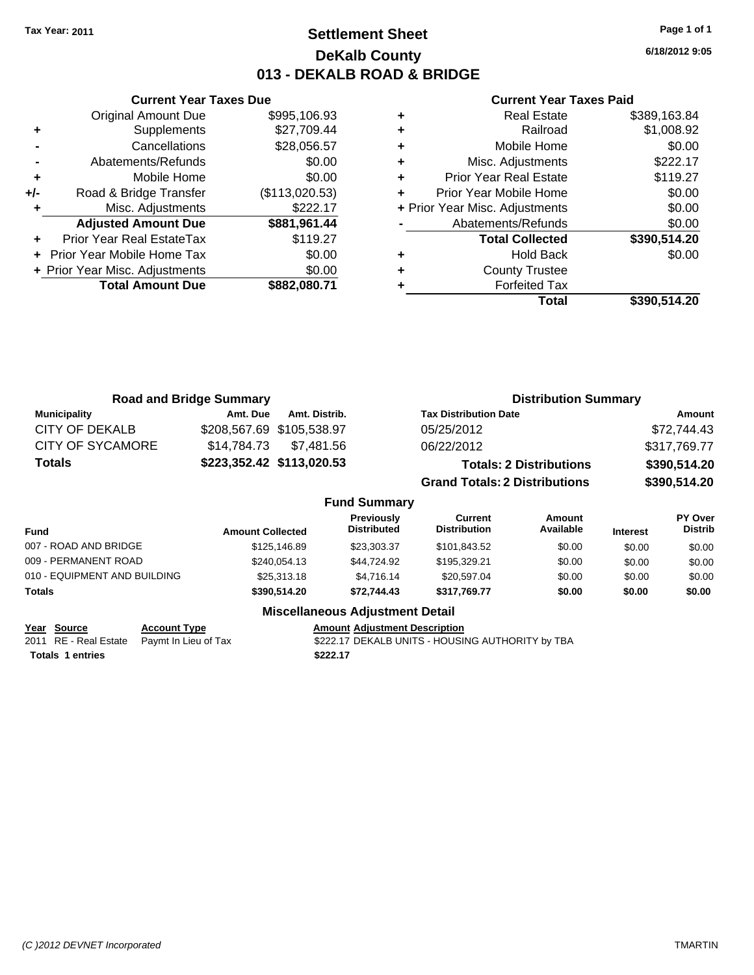# **Settlement Sheet Tax Year: 2011 Page 1 of 1 DeKalb County 013 - DEKALB ROAD & BRIDGE**

**6/18/2012 9:05**

#### **Current Year Taxes Paid**

|     | <b>Current Year Taxes Due</b>  |                |
|-----|--------------------------------|----------------|
|     | <b>Original Amount Due</b>     | \$995,106.93   |
| ٠   | Supplements                    | \$27,709.44    |
|     | Cancellations                  | \$28,056.57    |
|     | Abatements/Refunds             | \$0.00         |
| ٠   | Mobile Home                    | \$0.00         |
| +/- | Road & Bridge Transfer         | (\$113,020.53) |
|     | Misc. Adjustments              | \$222.17       |
|     | <b>Adjusted Amount Due</b>     | \$881,961.44   |
|     | Prior Year Real EstateTax      | \$119.27       |
|     | Prior Year Mobile Home Tax     | \$0.00         |
|     | + Prior Year Misc. Adjustments | \$0.00         |
|     | <b>Total Amount Due</b>        | \$882,080.71   |
|     |                                |                |

|   | Total                          | \$390,514.20 |
|---|--------------------------------|--------------|
|   | <b>Forfeited Tax</b>           |              |
| ٠ | <b>County Trustee</b>          |              |
| ٠ | <b>Hold Back</b>               | \$0.00       |
|   | <b>Total Collected</b>         | \$390,514.20 |
|   | Abatements/Refunds             | \$0.00       |
|   | + Prior Year Misc. Adjustments | \$0.00       |
|   | Prior Year Mobile Home         | \$0.00       |
| ٠ | <b>Prior Year Real Estate</b>  | \$119.27     |
| ٠ | Misc. Adjustments              | \$222.17     |
| ٠ | Mobile Home                    | \$0.00       |
| ÷ | Railroad                       | \$1,008.92   |
|   | <b>Real Estate</b>             | \$389,163.84 |

|                         | <b>Road and Bridge Summary</b> |                                  |                                       | <b>Distribution Summary</b>    |                 |                           |
|-------------------------|--------------------------------|----------------------------------|---------------------------------------|--------------------------------|-----------------|---------------------------|
| <b>Municipality</b>     | Amt. Due                       | Amt. Distrib.                    | <b>Tax Distribution Date</b>          |                                |                 | Amount                    |
| <b>CITY OF DEKALB</b>   | \$208,567.69 \$105,538.97      |                                  | 05/25/2012                            |                                |                 | \$72,744.43               |
| <b>CITY OF SYCAMORE</b> | \$14,784,73                    | \$7,481.56                       | 06/22/2012                            |                                |                 | \$317,769.77              |
| <b>Totals</b>           |                                | \$223,352.42 \$113,020.53        |                                       | <b>Totals: 2 Distributions</b> |                 | \$390,514.20              |
|                         |                                |                                  | <b>Grand Totals: 2 Distributions</b>  |                                |                 | \$390,514.20              |
|                         |                                | <b>Fund Summary</b>              |                                       |                                |                 |                           |
| <b>Fund</b>             | <b>Amount Collected</b>        | Previously<br><b>Distributed</b> | <b>Current</b><br><b>Distribution</b> | <b>Amount</b><br>Available     | <b>Interest</b> | PY Over<br><b>Distrib</b> |
| 007 - DOAD AND DDIDCE   |                                | $0.425$ $0.460$<br>0.000007      | 0.1010100                             | 0000                           | 0000            | 0000                      |

| Totals                       | \$390,514.20    | \$72.744.43 | \$317.769.77 | \$0.00 | \$0.00 | \$0.00 |
|------------------------------|-----------------|-------------|--------------|--------|--------|--------|
| 010 - EQUIPMENT AND BUILDING | \$25,313,18     | \$4.716.14  | \$20,597.04  | \$0.00 | \$0.00 | \$0.00 |
| 009 - PERMANENT ROAD         | \$240.054.13    | \$44.724.92 | \$195.329.21 | \$0.00 | \$0.00 | \$0.00 |
| 007 - ROAD AND BRIDGE        | \$125,146.89    | \$23,303,37 | \$101.843.52 | \$0.00 | \$0.00 | \$0.00 |
| . u.u                        | AMOUNT OUNGLIGU |             |              |        |        |        |

**Year Source Account Type Amount Adjustment Description**<br>
2011 RE - Real Estate Paymt In Lieu of Tax \$222.17 DEKALB UNITS - HOUSII **Totals \$222.17 1 entries**

**Miscellaneous Adjustment Detail**

\$222.17 DEKALB UNITS - HOUSING AUTHORITY by TBA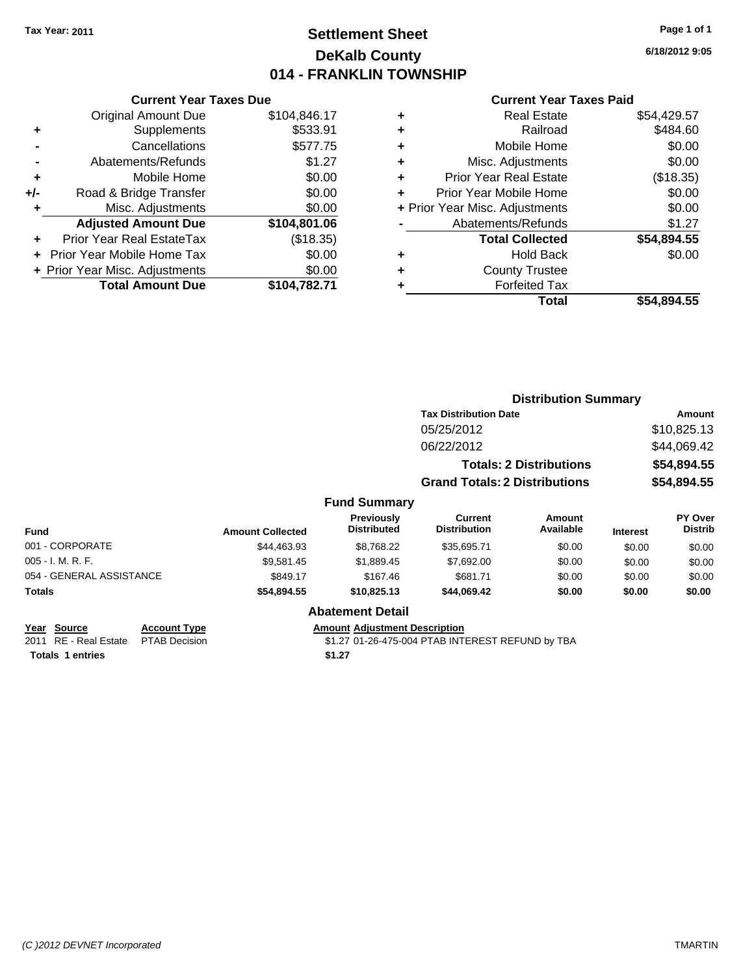# **Settlement Sheet Tax Year: 2011 Page 1 of 1 DeKalb County 014 - FRANKLIN TOWNSHIP**

**6/18/2012 9:05**

#### **Current Year Taxes Paid**

|     | <b>Current Year Taxes Due</b>  |              |
|-----|--------------------------------|--------------|
|     | <b>Original Amount Due</b>     | \$104,846.17 |
| ٠   | Supplements                    | \$533.91     |
|     | Cancellations                  | \$577.75     |
|     | Abatements/Refunds             | \$1.27       |
| ٠   | Mobile Home                    | \$0.00       |
| +/- | Road & Bridge Transfer         | \$0.00       |
| ٠   | Misc. Adjustments              | \$0.00       |
|     | <b>Adjusted Amount Due</b>     | \$104,801.06 |
| ÷   | Prior Year Real EstateTax      | (\$18.35)    |
|     | Prior Year Mobile Home Tax     | \$0.00       |
|     | + Prior Year Misc. Adjustments | \$0.00       |
|     | <b>Total Amount Due</b>        | \$104,782.71 |
|     |                                |              |

|   | <b>Real Estate</b>             | \$54,429.57 |
|---|--------------------------------|-------------|
| ٠ | Railroad                       | \$484.60    |
| ٠ | Mobile Home                    | \$0.00      |
| ٠ | Misc. Adjustments              | \$0.00      |
| ٠ | <b>Prior Year Real Estate</b>  | (\$18.35)   |
| ٠ | Prior Year Mobile Home         | \$0.00      |
|   | + Prior Year Misc. Adjustments | \$0.00      |
|   | Abatements/Refunds             | \$1.27      |
|   | <b>Total Collected</b>         | \$54,894.55 |
| ٠ | <b>Hold Back</b>               | \$0.00      |
| ٠ | <b>County Trustee</b>          |             |
| ٠ | <b>Forfeited Tax</b>           |             |
|   | Total                          | \$54.894.55 |
|   |                                |             |

|                          |                         |                                  | <b>Distribution Summary</b>          |                                |                 |                           |
|--------------------------|-------------------------|----------------------------------|--------------------------------------|--------------------------------|-----------------|---------------------------|
|                          |                         |                                  | <b>Tax Distribution Date</b>         |                                |                 | Amount                    |
|                          |                         |                                  | 05/25/2012                           |                                |                 | \$10,825.13               |
|                          |                         |                                  | 06/22/2012                           |                                |                 | \$44,069.42               |
|                          |                         |                                  |                                      | <b>Totals: 2 Distributions</b> |                 | \$54,894.55               |
|                          |                         |                                  | <b>Grand Totals: 2 Distributions</b> |                                |                 | \$54,894.55               |
|                          |                         | <b>Fund Summary</b>              |                                      |                                |                 |                           |
| <b>Fund</b>              | <b>Amount Collected</b> | Previously<br><b>Distributed</b> | Current<br><b>Distribution</b>       | <b>Amount</b><br>Available     | <b>Interest</b> | PY Over<br><b>Distrib</b> |
| 001 - CORPORATE          | \$44,463.93             | \$8,768.22                       | \$35,695.71                          | \$0.00                         | \$0.00          | \$0.00                    |
| 005 - I. M. R. F.        | \$9.581.45              | \$1,889.45                       | \$7,692.00                           | \$0.00                         | \$0.00          | \$0.00                    |
| 054 - GENERAL ASSISTANCE | \$849.17                | \$167.46                         | \$681.71                             | \$0.00                         | \$0.00          | \$0.00                    |
| Totals                   | \$54,894.55             | \$10,825.13                      | \$44,069.42                          | \$0.00                         | \$0.00          | \$0.00                    |
|                          |                         | <b>Abatement Detail</b>          |                                      |                                |                 |                           |

**Totals 1 entries** \$1.27

**Year Source Account Type Amount Adjustment Description** 2011 RE - Real Estate PTAB Decision 31.27 01-26-475-004 PTAB INTEREST REFUND by TBA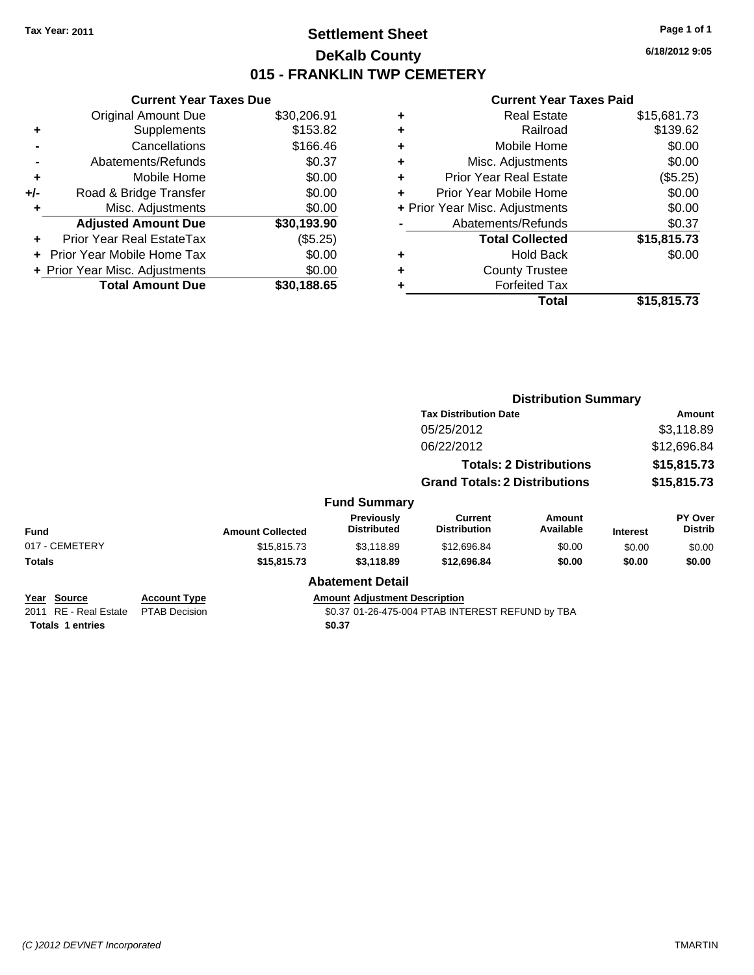# **Settlement Sheet Tax Year: 2011 Page 1 of 1 DeKalb County 015 - FRANKLIN TWP CEMETERY**

**6/18/2012 9:05**

|     | <b>Current Year Taxes Due</b>  |             |
|-----|--------------------------------|-------------|
|     | <b>Original Amount Due</b>     | \$30,206.91 |
| ٠   | Supplements                    | \$153.82    |
|     | Cancellations                  | \$166.46    |
|     | Abatements/Refunds             | \$0.37      |
| ٠   | Mobile Home                    | \$0.00      |
| +/- | Road & Bridge Transfer         | \$0.00      |
| ٠   | Misc. Adjustments              | \$0.00      |
|     | <b>Adjusted Amount Due</b>     | \$30,193.90 |
| ٠   | Prior Year Real EstateTax      | (\$5.25)    |
|     | Prior Year Mobile Home Tax     | \$0.00      |
|     | + Prior Year Misc. Adjustments | \$0.00      |
|     | <b>Total Amount Due</b>        | \$30,188.65 |
|     |                                |             |

|   | Total                          | \$15,815.73 |
|---|--------------------------------|-------------|
| ٠ | <b>Forfeited Tax</b>           |             |
| ٠ | <b>County Trustee</b>          |             |
| ٠ | <b>Hold Back</b>               | \$0.00      |
|   | <b>Total Collected</b>         | \$15,815.73 |
|   | Abatements/Refunds             | \$0.37      |
|   | + Prior Year Misc. Adjustments | \$0.00      |
| ٠ | Prior Year Mobile Home         | \$0.00      |
| ٠ | <b>Prior Year Real Estate</b>  | (\$5.25)    |
| ٠ | Misc. Adjustments              | \$0.00      |
| ٠ | Mobile Home                    | \$0.00      |
| ٠ | Railroad                       | \$139.62    |
| ٠ | <b>Real Estate</b>             | \$15,681.73 |
|   |                                |             |

|                                                                 |                                             |                         |                                                |                                                  | <b>Distribution Summary</b>    |                 |                           |
|-----------------------------------------------------------------|---------------------------------------------|-------------------------|------------------------------------------------|--------------------------------------------------|--------------------------------|-----------------|---------------------------|
|                                                                 |                                             |                         |                                                | <b>Tax Distribution Date</b>                     |                                |                 | Amount                    |
|                                                                 |                                             |                         |                                                | 05/25/2012                                       |                                |                 | \$3,118.89                |
|                                                                 |                                             |                         |                                                | 06/22/2012                                       |                                |                 | \$12,696.84               |
|                                                                 |                                             |                         |                                                |                                                  | <b>Totals: 2 Distributions</b> |                 | \$15,815.73               |
|                                                                 |                                             |                         |                                                | <b>Grand Totals: 2 Distributions</b>             |                                |                 | \$15,815.73               |
|                                                                 |                                             |                         | <b>Fund Summary</b>                            |                                                  |                                |                 |                           |
| <b>Fund</b>                                                     |                                             | <b>Amount Collected</b> | <b>Previously</b><br><b>Distributed</b>        | <b>Current</b><br><b>Distribution</b>            | Amount<br>Available            | <b>Interest</b> | PY Over<br><b>Distrib</b> |
| 017 - CEMETERY                                                  |                                             | \$15,815.73             | \$3,118.89                                     | \$12,696.84                                      | \$0.00                         | \$0.00          | \$0.00                    |
| Totals                                                          |                                             | \$15,815.73             | \$3,118.89                                     | \$12,696.84                                      | \$0.00                         | \$0.00          | \$0.00                    |
|                                                                 |                                             |                         | <b>Abatement Detail</b>                        |                                                  |                                |                 |                           |
| Year Source<br>2011 RE - Real Estate<br><b>Totals 1 entries</b> | <b>Account Type</b><br><b>PTAB Decision</b> |                         | <b>Amount Adjustment Description</b><br>\$0.37 | \$0.37 01-26-475-004 PTAB INTEREST REFUND by TBA |                                |                 |                           |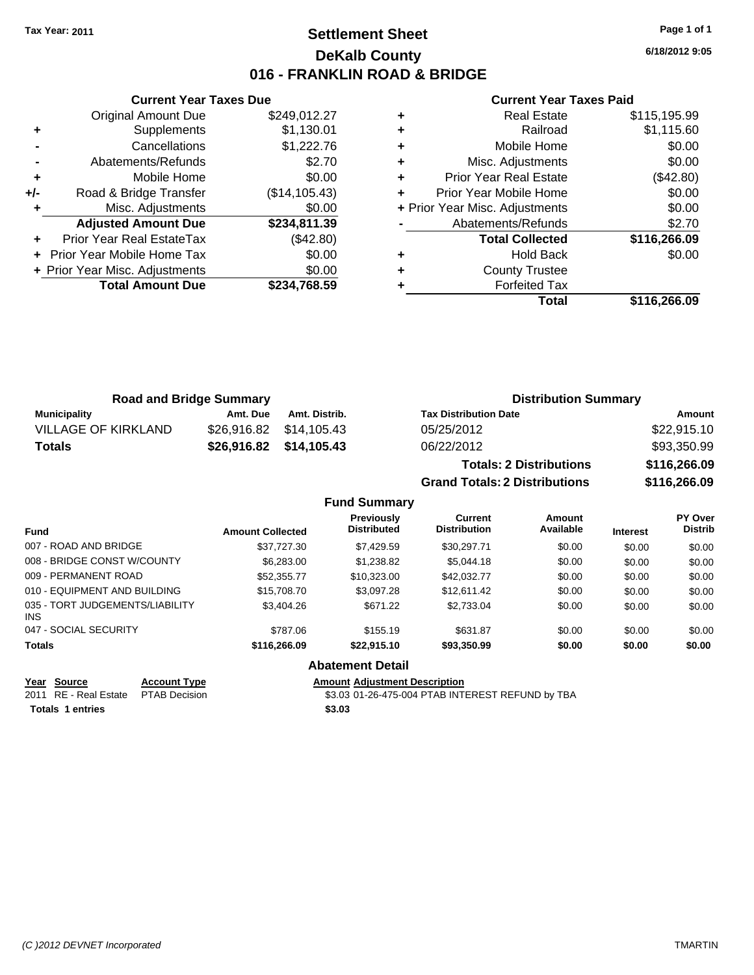# **Settlement Sheet Tax Year: 2011 Page 1 of 1 DeKalb County 016 - FRANKLIN ROAD & BRIDGE**

**6/18/2012 9:05**

#### **Current Year Taxes Paid**

|     | <b>Original Amount Due</b>     | \$249,012.27   | ٠ |             |
|-----|--------------------------------|----------------|---|-------------|
|     | Supplements                    | \$1,130.01     | ٠ |             |
|     | Cancellations                  | \$1,222.76     | ٠ |             |
|     | Abatements/Refunds             | \$2.70         | ٠ |             |
|     | Mobile Home                    | \$0.00         |   | Pri         |
| +/- | Road & Bridge Transfer         | (\$14, 105.43) |   | Prio        |
|     | Misc. Adjustments              | \$0.00         |   | + Prior Yea |
|     | <b>Adjusted Amount Due</b>     | \$234,811.39   |   | А           |
|     | Prior Year Real EstateTax      | (\$42.80)      |   |             |
|     | + Prior Year Mobile Home Tax   | \$0.00         | ٠ |             |
|     | + Prior Year Misc. Adjustments | \$0.00         | ٠ |             |
|     | <b>Total Amount Due</b>        | \$234,768.59   |   |             |
|     |                                |                |   |             |

**Current Year Taxes Due**

|   | Total                          | \$116,266.09 |
|---|--------------------------------|--------------|
|   | <b>Forfeited Tax</b>           |              |
| ٠ | <b>County Trustee</b>          |              |
| ٠ | <b>Hold Back</b>               | \$0.00       |
|   | <b>Total Collected</b>         | \$116,266.09 |
|   | Abatements/Refunds             | \$2.70       |
|   | + Prior Year Misc. Adjustments | \$0.00       |
|   | Prior Year Mobile Home         | \$0.00       |
| ٠ | <b>Prior Year Real Estate</b>  | (\$42.80)    |
| ٠ | Misc. Adjustments              | \$0.00       |
| ٠ | Mobile Home                    | \$0.00       |
|   | Railroad                       | \$1,115.60   |
|   | <b>Real Estate</b>             | \$115,195.99 |

**Grand Totals: 2 Distributions \$116,266.09**

| <b>Road and Bridge Summary</b> |          |               | <b>Distribution Summary</b>    |              |  |
|--------------------------------|----------|---------------|--------------------------------|--------------|--|
| <b>Municipality</b>            | Amt. Due | Amt. Distrib. | <b>Tax Distribution Date</b>   | Amount       |  |
| VILLAGE OF KIRKLAND            |          |               | 05/25/2012                     | \$22,915.10  |  |
| <b>Totals</b>                  |          |               | 06/22/2012                     | \$93,350.99  |  |
|                                |          |               | <b>Totals: 2 Distributions</b> | \$116,266.09 |  |

**Fund Summary Fund Interest Amount Collected Distributed PY Over Distrib Amount Available Current Distribution Previously** 007 - ROAD AND BRIDGE \$37,727.30 \$7,429.59 \$30,297.71 \$0.00 \$0.00 \$0.00 008 - BRIDGE CONST W/COUNTY  $$6,283.00$   $$1,238.82$   $$5,044.18$   $$0.00$   $$0.00$   $$0.00$ 009 - PERMANENT ROAD \$52,355.77 \$10,323.00 \$42,032.77 \$0.00 \$0.00 \$0.00 010 - EQUIPMENT AND BUILDING \$15,708.70 \$3,097.28 \$12,611.42 \$0.00 \$0.00 \$0.00 035 - TORT JUDGEMENTS/LIABILITY INS \$3,404.26 \$671.22 \$2,733.04 \$0.00 \$0.00 \$0.00 047 - SOCIAL SECURITY \$787.06 \$631.87 \$0.00 \$0.00 \$0.00 \$0.00 **Totals \$116,266.09 \$22,915.10 \$93,350.99 \$0.00 \$0.00 \$0.00 Abatement Detail**

| <u>rear</u> source                  | <b>ACCOUNT TYDE</b> | Amount |
|-------------------------------------|---------------------|--------|
| 2011 RE - Real Estate PTAB Decision |                     | \$3.03 |
| <b>Totals 1 entries</b>             |                     | \$3.03 |

**Year Source Account Type Amount Adjustment Description** 2011 Becision Real Estate Real Estate \$3.03 01-26-475-004 PTAB INTEREST REFUND by TBA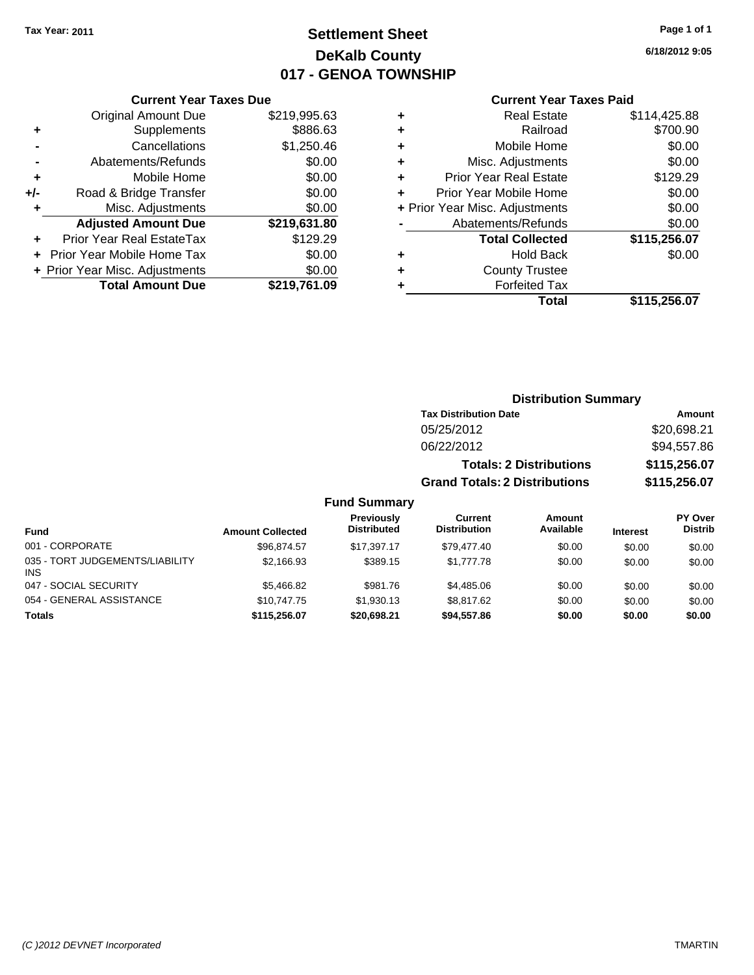# **Settlement Sheet Tax Year: 2011 Page 1 of 1 DeKalb County 017 - GENOA TOWNSHIP**

**6/18/2012 9:05**

#### **Current Year Taxes Paid**

| ÷   |                                | \$0.00<br>\$0.00 |
|-----|--------------------------------|------------------|
| +/- | Road & Bridge Transfer         |                  |
| ۰   | Misc. Adjustments              | \$0.00           |
|     | <b>Adjusted Amount Due</b>     | \$219,631.80     |
|     | Prior Year Real EstateTax      | \$129.29         |
|     | Prior Year Mobile Home Tax     | \$0.00           |
|     |                                |                  |
|     | + Prior Year Misc. Adjustments | \$0.00           |
|     | <b>Total Amount Due</b>        | \$219,761.09     |

**Current Year Taxes Due**

| ٠                              | <b>Real Estate</b>            | \$114,425.88 |
|--------------------------------|-------------------------------|--------------|
| ٠                              | Railroad                      | \$700.90     |
| ٠                              | Mobile Home                   | \$0.00       |
| ٠                              | Misc. Adjustments             | \$0.00       |
| ٠                              | <b>Prior Year Real Estate</b> | \$129.29     |
| ٠                              | Prior Year Mobile Home        | \$0.00       |
| + Prior Year Misc. Adjustments |                               | \$0.00       |
|                                | Abatements/Refunds            | \$0.00       |
|                                | <b>Total Collected</b>        | \$115,256.07 |
| ٠                              | <b>Hold Back</b>              | \$0.00       |
| ٠                              | <b>County Trustee</b>         |              |
| ٠                              | <b>Forfeited Tax</b>          |              |
|                                | Total                         | \$115,256.07 |
|                                |                               |              |

#### **Distribution Summary Tax Distribution Date Amount** 05/25/2012 \$20,698.21 06/22/2012 \$94,557.86 **Totals: 2 Distributions \$115,256.07 Grand Totals: 2 Distributions \$115,256.07 Fund Summary PY Over Amount Current Previously**

| <b>Fund</b>                             | <b>Amount Collected</b> | <b>Previously</b><br><b>Distributed</b> | Current<br><b>Distribution</b> | <b>Amount</b><br>Available | <b>Interest</b> | PY Over<br><b>Distrib</b> |
|-----------------------------------------|-------------------------|-----------------------------------------|--------------------------------|----------------------------|-----------------|---------------------------|
| 001 - CORPORATE                         | \$96.874.57             | \$17.397.17                             | \$79.477.40                    | \$0.00                     | \$0.00          | \$0.00                    |
| 035 - TORT JUDGEMENTS/LIABILITY<br>INS. | \$2.166.93              | \$389.15                                | \$1,777.78                     | \$0.00                     | \$0.00          | \$0.00                    |
| 047 - SOCIAL SECURITY                   | \$5,466.82              | \$981.76                                | \$4,485.06                     | \$0.00                     | \$0.00          | \$0.00                    |
| 054 - GENERAL ASSISTANCE                | \$10.747.75             | \$1.930.13                              | \$8,817.62                     | \$0.00                     | \$0.00          | \$0.00                    |
| <b>Totals</b>                           | \$115,256.07            | \$20,698.21                             | \$94,557.86                    | \$0.00                     | \$0.00          | \$0.00                    |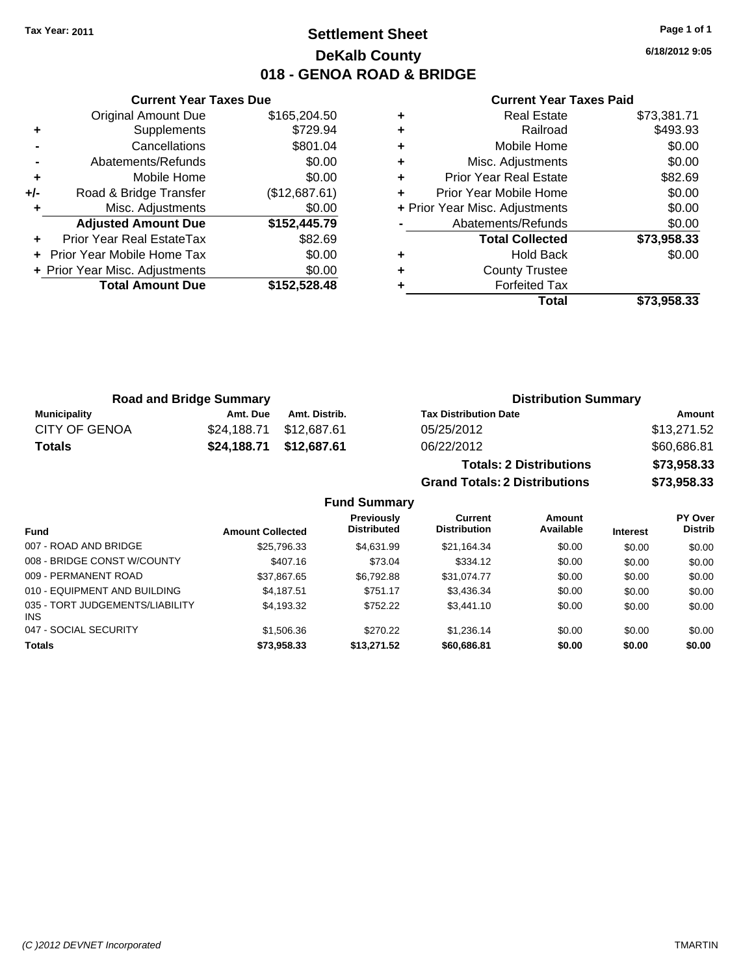# **Settlement Sheet Tax Year: 2011 Page 1 of 1 DeKalb County 018 - GENOA ROAD & BRIDGE**

**6/18/2012 9:05**

#### **Current Year Taxes Paid**

|     | <b>Original Amount Due</b>        | \$165,204.50  |   |
|-----|-----------------------------------|---------------|---|
|     | Supplements                       | \$729.94      |   |
|     | Cancellations                     | \$801.04      | ٠ |
|     | Abatements/Refunds                | \$0.00        | ٠ |
|     | Mobile Home                       | \$0.00        | ٠ |
| +/- | Road & Bridge Transfer            | (\$12,687.61) | ٠ |
|     | Misc. Adjustments                 | \$0.00        |   |
|     | <b>Adjusted Amount Due</b>        | \$152,445.79  |   |
|     | Prior Year Real EstateTax         | \$82.69       |   |
|     | <b>Prior Year Mobile Home Tax</b> | \$0.00        |   |
|     | + Prior Year Misc. Adjustments    | \$0.00        |   |
|     | <b>Total Amount Due</b>           | \$152,528.48  |   |
|     |                                   |               |   |

**Current Year Taxes Due**

| <b>Real Estate</b>            | \$73,381.71                    |
|-------------------------------|--------------------------------|
| Railroad                      | \$493.93                       |
| Mobile Home                   | \$0.00                         |
| Misc. Adjustments             | \$0.00                         |
| <b>Prior Year Real Estate</b> | \$82.69                        |
| Prior Year Mobile Home        | \$0.00                         |
|                               | \$0.00                         |
| Abatements/Refunds            | \$0.00                         |
| <b>Total Collected</b>        | \$73,958.33                    |
| <b>Hold Back</b>              | \$0.00                         |
| <b>County Trustee</b>         |                                |
| <b>Forfeited Tax</b>          |                                |
| Total                         | \$73.958.33                    |
|                               | + Prior Year Misc. Adjustments |

**Grand Totals: 2 Distributions \$73,958.33**

| <b>Road and Bridge Summary</b> |          | <b>Distribution Summary</b> |                                |             |
|--------------------------------|----------|-----------------------------|--------------------------------|-------------|
| Municipality                   | Amt. Due | Amt. Distrib.               | <b>Tax Distribution Date</b>   | Amount      |
| <b>CITY OF GENOA</b>           |          | \$24,188.71 \$12,687.61     | 05/25/2012                     | \$13,271.52 |
| <b>Totals</b>                  |          | \$24,188.71 \$12,687.61     | 06/22/2012                     | \$60,686.81 |
|                                |          |                             | <b>Totals: 2 Distributions</b> | \$73,958.33 |

**Fund Summary Fund Interest Amount Collected Distributed PY Over Distrib Amount Available Current Distribution Previously** 007 - ROAD AND BRIDGE 60.00 \$25,796.33 \$4,631.99 \$21,164.34 \$0.00 \$0.00 \$0.00 \$0.00 008 - BRIDGE CONST W/COUNTY  $$407.16$  \$73.04 \$334.12 \$0.00 \$0.00 \$0.00 \$0.00 009 - PERMANENT ROAD \$37,867.65 \$6,792.88 \$31,074.77 \$0.00 \$0.00 \$0.00 010 - EQUIPMENT AND BUILDING \$4,187.51 \$751.17 \$3,436.34 \$0.00 \$0.00 \$0.00 035 - TORT JUDGEMENTS/LIABILITY INS \$4,193.32 \$752.22 \$3,441.10 \$0.00 \$0.00 \$0.00 047 - SOCIAL SECURITY \$1,506.36 \$270.22 \$1,236.14 \$0.00 \$0.00 \$0.00 **Totals \$73,958.33 \$13,271.52 \$60,686.81 \$0.00 \$0.00 \$0.00**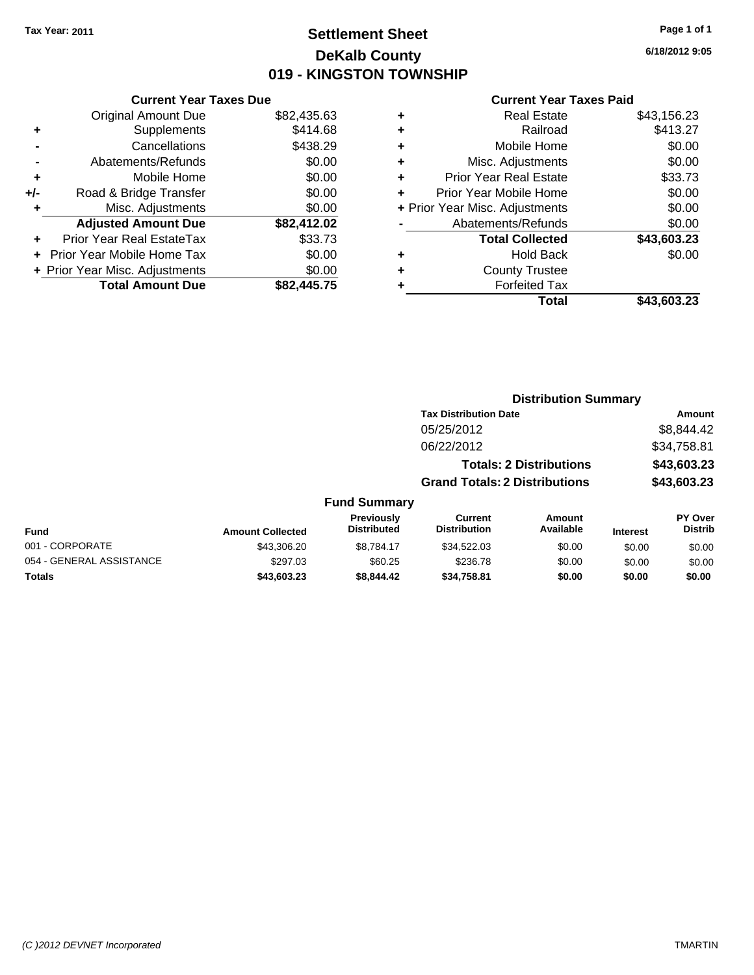# **Settlement Sheet Tax Year: 2011 Page 1 of 1 DeKalb County 019 - KINGSTON TOWNSHIP**

**6/18/2012 9:05**

|     | <b>Current Year Taxes Due</b>     |             |  |  |  |  |  |
|-----|-----------------------------------|-------------|--|--|--|--|--|
|     | <b>Original Amount Due</b>        | \$82,435.63 |  |  |  |  |  |
| ٠   | Supplements                       | \$414.68    |  |  |  |  |  |
|     | Cancellations                     | \$438.29    |  |  |  |  |  |
|     | Abatements/Refunds                | \$0.00      |  |  |  |  |  |
| ٠   | Mobile Home                       | \$0.00      |  |  |  |  |  |
| +/- | Road & Bridge Transfer            | \$0.00      |  |  |  |  |  |
| ٠   | Misc. Adjustments                 | \$0.00      |  |  |  |  |  |
|     | <b>Adjusted Amount Due</b>        | \$82,412.02 |  |  |  |  |  |
|     | Prior Year Real EstateTax         | \$33.73     |  |  |  |  |  |
|     | <b>Prior Year Mobile Home Tax</b> | \$0.00      |  |  |  |  |  |
|     | + Prior Year Misc. Adjustments    | \$0.00      |  |  |  |  |  |
|     | <b>Total Amount Due</b>           | \$82,445.75 |  |  |  |  |  |

| \$43,156.23 |
|-------------|
| \$413.27    |
| \$0.00      |
| \$0.00      |
| \$33.73     |
| \$0.00      |
| \$0.00      |
| \$0.00      |
| \$43,603.23 |
| \$0.00      |
|             |
|             |
| \$43,603.23 |
|             |

|                          | <b>Distribution Summary</b> |                                         |                                       |                                |                 |                                  |  |
|--------------------------|-----------------------------|-----------------------------------------|---------------------------------------|--------------------------------|-----------------|----------------------------------|--|
|                          |                             |                                         | <b>Tax Distribution Date</b>          |                                |                 | Amount                           |  |
|                          |                             |                                         | 05/25/2012                            |                                |                 | \$8,844.42                       |  |
|                          |                             |                                         | 06/22/2012                            |                                |                 | \$34,758.81                      |  |
|                          |                             |                                         |                                       | <b>Totals: 2 Distributions</b> |                 | \$43,603.23                      |  |
|                          |                             |                                         | <b>Grand Totals: 2 Distributions</b>  |                                |                 | \$43,603.23                      |  |
|                          |                             | <b>Fund Summary</b>                     |                                       |                                |                 |                                  |  |
| Fund                     | <b>Amount Collected</b>     | <b>Previously</b><br><b>Distributed</b> | <b>Current</b><br><b>Distribution</b> | <b>Amount</b><br>Available     | <b>Interest</b> | <b>PY Over</b><br><b>Distrib</b> |  |
| 001 - CORPORATE          | \$43,306.20                 | \$8.784.17                              | \$34,522,03                           | \$0.00                         | \$0.00          | \$0.00                           |  |
| 054 - GENERAL ASSISTANCE | \$297.03                    | \$60.25                                 | \$236.78                              | \$0.00                         | \$0.00          | \$0.00                           |  |
| Totals                   | \$43,603.23                 | \$8,844.42                              | \$34,758.81                           | \$0.00                         | \$0.00          | \$0.00                           |  |
|                          |                             |                                         |                                       |                                |                 |                                  |  |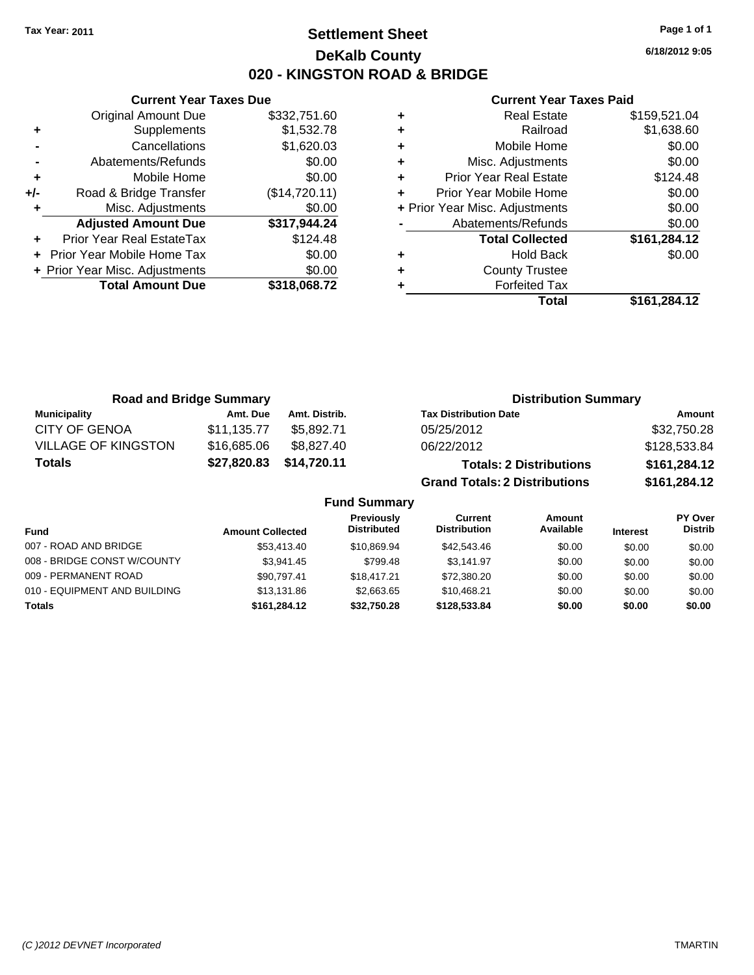Original Amount Due

**Adjusted Amount Due** 

**Total Amount Due** 

**+** Supplements **-** Cancellations **-** Abatements/Refunds **+** Mobile Home **+/-** Road & Bridge Transfer **+** Misc. Adjustments

**+** Prior Year Real EstateTax **+** Prior Year Mobile Home Tax **+ Prior Year Misc. Adjustments** 

# **Settlement Sheet Tax Year: 2011 Page 1 of 1 DeKalb County 020 - KINGSTON ROAD & BRIDGE**

**6/18/2012 9:05**

**Total \$161,284.12**

| <b>Current Year Taxes Due</b> |               | <b>Current Year Taxes Paid</b> |                                |              |  |
|-------------------------------|---------------|--------------------------------|--------------------------------|--------------|--|
| ıl Amount Due                 | \$332,751.60  | ÷                              | <b>Real Estate</b>             | \$159,521.04 |  |
| Supplements                   | \$1,532.78    | ٠                              | Railroad                       | \$1,638.60   |  |
| Cancellations                 | \$1,620.03    | ٠                              | Mobile Home                    | \$0.00       |  |
| าents/Refunds                 | \$0.00        | ÷                              | Misc. Adjustments              | \$0.00       |  |
| Mobile Home                   | \$0.00        | ÷                              | <b>Prior Year Real Estate</b>  | \$124.48     |  |
| ridge Transfer                | (\$14,720.11) | ÷                              | Prior Year Mobile Home         | \$0.00       |  |
| :. Adjustments                | \$0.00        |                                | + Prior Year Misc. Adjustments | \$0.00       |  |
| <b>Amount Due</b>             | \$317,944.24  |                                | Abatements/Refunds             | \$0.00       |  |
| eal EstateTax                 | \$124.48      |                                | <b>Total Collected</b>         | \$161,284.12 |  |
| pile Home Tax                 | \$0.00        | ٠                              | <b>Hold Back</b>               | \$0.00       |  |
| . Adjustments                 | \$0.00        | ÷                              | <b>County Trustee</b>          |              |  |
| <b>Amount Due</b>             | \$318,068.72  |                                | <b>Forfeited Tax</b>           |              |  |
|                               |               |                                | Total                          | \$161.284.12 |  |

| <b>Road and Bridge Summary</b> |             |               | <b>Distribution Summary</b>          |              |
|--------------------------------|-------------|---------------|--------------------------------------|--------------|
| <b>Municipality</b>            | Amt. Due    | Amt. Distrib. | <b>Tax Distribution Date</b>         | Amount       |
| <b>CITY OF GENOA</b>           | \$11,135.77 | \$5.892.71    | 05/25/2012                           | \$32,750.28  |
| <b>VILLAGE OF KINGSTON</b>     | \$16,685.06 | \$8.827.40    | 06/22/2012                           | \$128,533.84 |
| <b>Totals</b>                  | \$27,820.83 | \$14,720.11   | <b>Totals: 2 Distributions</b>       | \$161,284.12 |
|                                |             |               | <b>Grand Totals: 2 Distributions</b> | \$161,284.12 |

| <b>Fund Summary</b>          |                         |                                         |                                |                     |                 |                           |
|------------------------------|-------------------------|-----------------------------------------|--------------------------------|---------------------|-----------------|---------------------------|
| <b>Fund</b>                  | <b>Amount Collected</b> | <b>Previously</b><br><b>Distributed</b> | Current<br><b>Distribution</b> | Amount<br>Available | <b>Interest</b> | PY Over<br><b>Distrib</b> |
| 007 - ROAD AND BRIDGE        | \$53,413,40             | \$10,869.94                             | \$42,543.46                    | \$0.00              | \$0.00          | \$0.00                    |
| 008 - BRIDGE CONST W/COUNTY  | \$3.941.45              | \$799.48                                | \$3.141.97                     | \$0.00              | \$0.00          | \$0.00                    |
| 009 - PERMANENT ROAD         | \$90.797.41             | \$18,417.21                             | \$72,380.20                    | \$0.00              | \$0.00          | \$0.00                    |
| 010 - EQUIPMENT AND BUILDING | \$13.131.86             | \$2,663.65                              | \$10.468.21                    | \$0.00              | \$0.00          | \$0.00                    |
| <b>Totals</b>                | \$161.284.12            | \$32.750.28                             | \$128,533,84                   | \$0.00              | \$0.00          | \$0.00                    |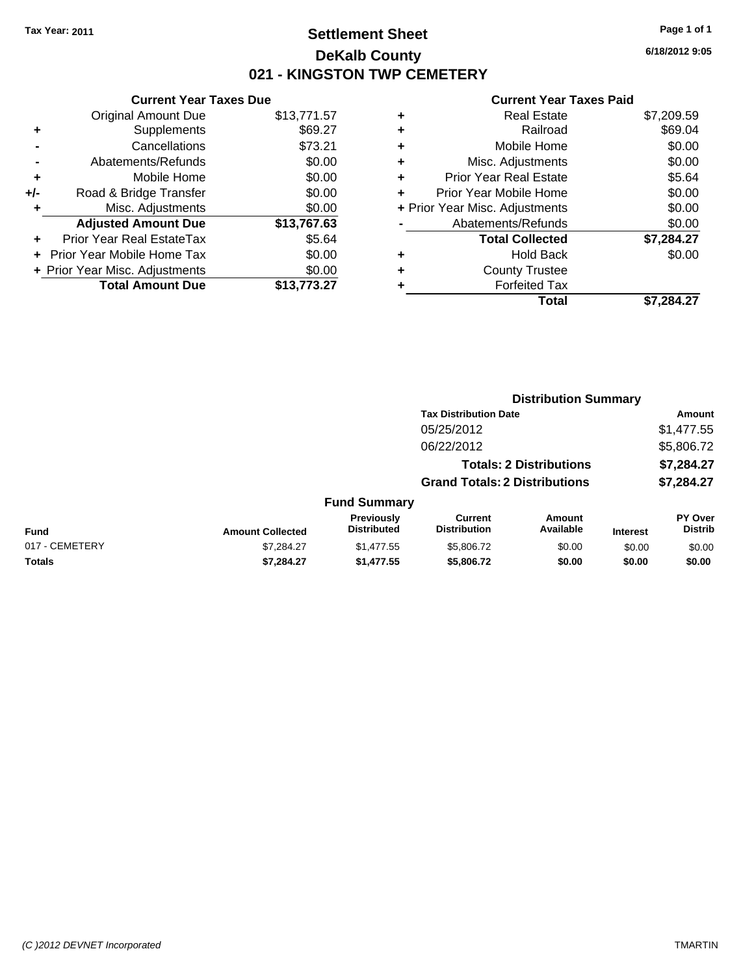# **Settlement Sheet Tax Year: 2011 Page 1 of 1 DeKalb County 021 - KINGSTON TWP CEMETERY**

## **Current Year Taxes Due** Original Amount Due \$13,771.57 **+** Supplements \$69.27 **-** Cancellations \$73.21 **-** Abatements/Refunds \$0.00 **+** Mobile Home \$0.00 **+/-** Road & Bridge Transfer \$0.00 **+** Misc. Adjustments \$0.00 **Adjusted Amount Due \$13,767.63 +** Prior Year Real EstateTax \$5.64 **+** Prior Year Mobile Home Tax \$0.00 **+ Prior Year Misc. Adjustments**  $$0.00$ **Total Amount Due \$13,773.27**

| <b>Real Estate</b>            | \$7,209.59                     |
|-------------------------------|--------------------------------|
| Railroad                      | \$69.04                        |
| Mobile Home                   | \$0.00                         |
| Misc. Adjustments             | \$0.00                         |
| <b>Prior Year Real Estate</b> | \$5.64                         |
| Prior Year Mobile Home        | \$0.00                         |
|                               | \$0.00                         |
| Abatements/Refunds            | \$0.00                         |
| <b>Total Collected</b>        | \$7,284.27                     |
| Hold Back                     | \$0.00                         |
| <b>County Trustee</b>         |                                |
| <b>Forfeited Tax</b>          |                                |
| Total                         | \$7,284.27                     |
|                               | + Prior Year Misc. Adjustments |

|                | <b>Distribution Summary</b> |                                  |                                       |                                |                 |                                  |  |
|----------------|-----------------------------|----------------------------------|---------------------------------------|--------------------------------|-----------------|----------------------------------|--|
|                |                             |                                  | <b>Tax Distribution Date</b>          |                                |                 | Amount                           |  |
|                |                             |                                  | 05/25/2012                            |                                |                 | \$1,477.55                       |  |
|                |                             |                                  | 06/22/2012                            |                                |                 | \$5,806.72                       |  |
|                |                             |                                  |                                       | <b>Totals: 2 Distributions</b> |                 | \$7,284.27                       |  |
|                |                             |                                  | <b>Grand Totals: 2 Distributions</b>  |                                |                 | \$7,284.27                       |  |
|                |                             | <b>Fund Summary</b>              |                                       |                                |                 |                                  |  |
| <b>Fund</b>    | <b>Amount Collected</b>     | Previously<br><b>Distributed</b> | <b>Current</b><br><b>Distribution</b> | Amount<br>Available            | <b>Interest</b> | <b>PY Over</b><br><b>Distrib</b> |  |
| 017 - CEMETERY | \$7,284.27                  | \$1,477.55                       | \$5,806.72                            | \$0.00                         | \$0.00          | \$0.00                           |  |
| Totals         | \$7,284.27                  | \$1,477.55                       | \$5,806.72                            | \$0.00                         | \$0.00          | \$0.00                           |  |
|                |                             |                                  |                                       |                                |                 |                                  |  |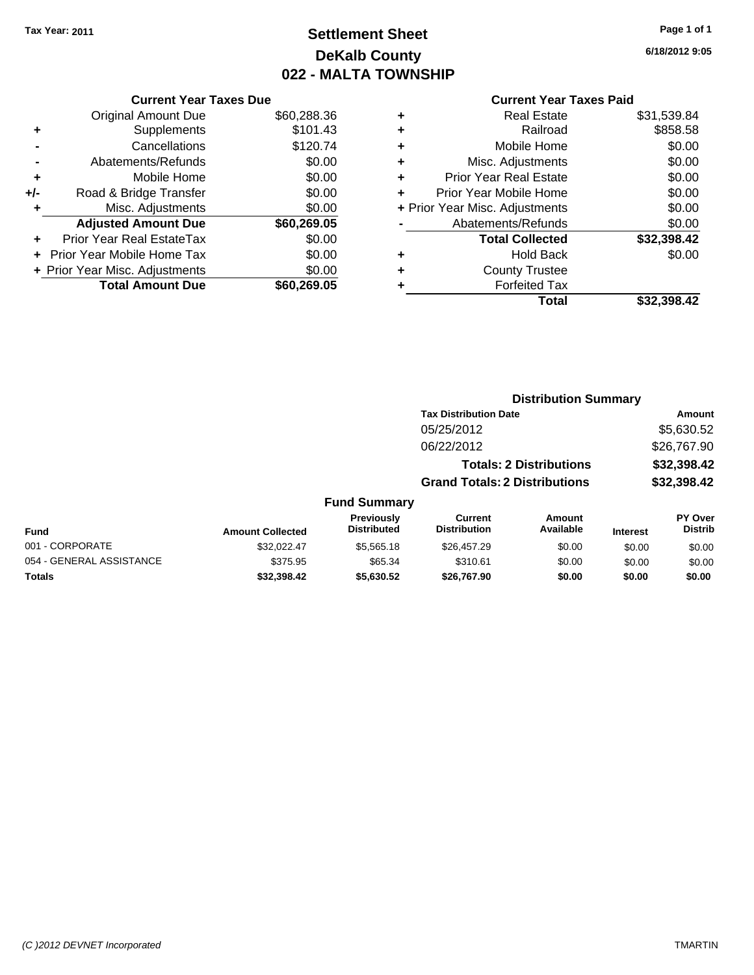# **Settlement Sheet Tax Year: 2011 Page 1 of 1 DeKalb County 022 - MALTA TOWNSHIP**

**6/18/2012 9:05**

| <b>Current Year Taxes Paid</b> |  |  |
|--------------------------------|--|--|
|                                |  |  |

|     | <b>Current Year Taxes Due</b>  |             |  |  |  |  |
|-----|--------------------------------|-------------|--|--|--|--|
|     | <b>Original Amount Due</b>     | \$60,288.36 |  |  |  |  |
| ٠   | Supplements                    | \$101.43    |  |  |  |  |
|     | Cancellations                  | \$120.74    |  |  |  |  |
|     | Abatements/Refunds             | \$0.00      |  |  |  |  |
| ٠   | Mobile Home                    | \$0.00      |  |  |  |  |
| +/- | Road & Bridge Transfer         | \$0.00      |  |  |  |  |
| ٠   | Misc. Adjustments              | \$0.00      |  |  |  |  |
|     | <b>Adjusted Amount Due</b>     | \$60,269.05 |  |  |  |  |
|     | Prior Year Real EstateTax      | \$0.00      |  |  |  |  |
|     | Prior Year Mobile Home Tax     | \$0.00      |  |  |  |  |
|     | + Prior Year Misc. Adjustments | \$0.00      |  |  |  |  |
|     | <b>Total Amount Due</b>        | \$60,269,05 |  |  |  |  |

| ٠                              | <b>Real Estate</b>            | \$31,539.84 |
|--------------------------------|-------------------------------|-------------|
| ٠                              | Railroad                      | \$858.58    |
| ٠                              | Mobile Home                   | \$0.00      |
| ٠                              | Misc. Adjustments             | \$0.00      |
| ٠                              | <b>Prior Year Real Estate</b> | \$0.00      |
| ÷                              | Prior Year Mobile Home        | \$0.00      |
| + Prior Year Misc. Adjustments |                               | \$0.00      |
|                                | Abatements/Refunds            | \$0.00      |
|                                | <b>Total Collected</b>        | \$32,398.42 |
| ٠                              | <b>Hold Back</b>              | \$0.00      |
| ٠                              | <b>County Trustee</b>         |             |
| ٠                              | <b>Forfeited Tax</b>          |             |
|                                | Total                         | \$32,398.42 |

|                          |                         |                                  | <b>Distribution Summary</b>           |                                |                 |                           |  |
|--------------------------|-------------------------|----------------------------------|---------------------------------------|--------------------------------|-----------------|---------------------------|--|
|                          |                         |                                  | <b>Tax Distribution Date</b>          |                                |                 | Amount                    |  |
|                          |                         |                                  | 05/25/2012                            |                                |                 | \$5,630.52                |  |
|                          |                         |                                  | 06/22/2012                            |                                |                 | \$26,767.90               |  |
|                          |                         |                                  |                                       | <b>Totals: 2 Distributions</b> |                 | \$32,398.42               |  |
|                          |                         |                                  | <b>Grand Totals: 2 Distributions</b>  |                                |                 | \$32,398.42               |  |
|                          |                         | <b>Fund Summary</b>              |                                       |                                |                 |                           |  |
| <b>Fund</b>              | <b>Amount Collected</b> | Previously<br><b>Distributed</b> | <b>Current</b><br><b>Distribution</b> | Amount<br>Available            | <b>Interest</b> | PY Over<br><b>Distrib</b> |  |
| 001 - CORPORATE          | \$32.022.47             | \$5,565.18                       | \$26,457.29                           | \$0.00                         | \$0.00          | \$0.00                    |  |
| 054 - GENERAL ASSISTANCE | \$375.95                | \$65.34                          | \$310.61                              | \$0.00                         | \$0.00          | \$0.00                    |  |
| Totals                   | \$32.398.42             | \$5,630.52                       | \$26.767.90                           | \$0.00                         | \$0.00          | \$0.00                    |  |
|                          |                         |                                  |                                       |                                |                 |                           |  |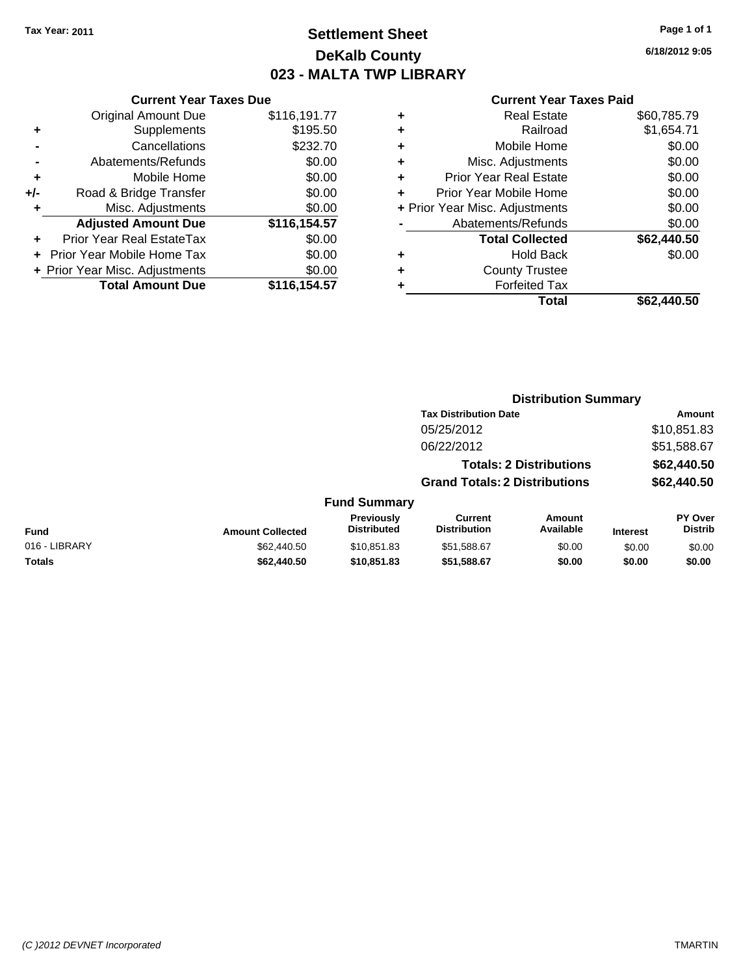# **Settlement Sheet Tax Year: 2011 Page 1 of 1 DeKalb County 023 - MALTA TWP LIBRARY**

**6/18/2012 9:05**

|     | <b>Current Year Taxes Due</b>  |              |  |  |  |
|-----|--------------------------------|--------------|--|--|--|
|     | <b>Original Amount Due</b>     | \$116,191.77 |  |  |  |
| ٠   | \$195.50<br>Supplements        |              |  |  |  |
|     | Cancellations                  | \$232.70     |  |  |  |
|     | \$0.00<br>Abatements/Refunds   |              |  |  |  |
| ٠   | Mobile Home                    | \$0.00       |  |  |  |
| +/- | Road & Bridge Transfer         | \$0.00       |  |  |  |
| ٠   | Misc. Adjustments              | \$0.00       |  |  |  |
|     | <b>Adjusted Amount Due</b>     | \$116,154.57 |  |  |  |
|     | Prior Year Real EstateTax      | \$0.00       |  |  |  |
|     | Prior Year Mobile Home Tax     | \$0.00       |  |  |  |
|     | + Prior Year Misc. Adjustments | \$0.00       |  |  |  |
|     | <b>Total Amount Due</b>        | \$116,154.57 |  |  |  |
|     |                                |              |  |  |  |

| ٠ | <b>Real Estate</b>             | \$60,785.79 |
|---|--------------------------------|-------------|
| ٠ | Railroad                       | \$1,654.71  |
| ٠ | Mobile Home                    | \$0.00      |
| ٠ | Misc. Adjustments              | \$0.00      |
| ٠ | Prior Year Real Estate         | \$0.00      |
|   | Prior Year Mobile Home         | \$0.00      |
|   | + Prior Year Misc. Adjustments | \$0.00      |
|   | Abatements/Refunds             | \$0.00      |
|   | <b>Total Collected</b>         | \$62,440.50 |
| ٠ | <b>Hold Back</b>               | \$0.00      |
|   | <b>County Trustee</b>          |             |
| ٠ | <b>Forfeited Tax</b>           |             |
|   | Total                          | \$62.440.50 |
|   |                                |             |

|               |                         |                                  | <b>Distribution Summary</b>           |                                |                 |                           |  |
|---------------|-------------------------|----------------------------------|---------------------------------------|--------------------------------|-----------------|---------------------------|--|
|               |                         |                                  | <b>Tax Distribution Date</b>          |                                |                 | Amount                    |  |
|               |                         |                                  | 05/25/2012                            |                                |                 | \$10,851.83               |  |
|               |                         |                                  | 06/22/2012                            |                                |                 | \$51,588.67               |  |
|               |                         |                                  |                                       | <b>Totals: 2 Distributions</b> |                 | \$62,440.50               |  |
|               |                         |                                  | <b>Grand Totals: 2 Distributions</b>  |                                |                 | \$62,440.50               |  |
|               |                         | <b>Fund Summary</b>              |                                       |                                |                 |                           |  |
| <b>Fund</b>   | <b>Amount Collected</b> | Previously<br><b>Distributed</b> | <b>Current</b><br><b>Distribution</b> | Amount<br>Available            | <b>Interest</b> | PY Over<br><b>Distrib</b> |  |
| 016 - LIBRARY | \$62,440.50             | \$10.851.83                      | \$51,588.67                           | \$0.00                         | \$0.00          | \$0.00                    |  |
| Totals        | \$62,440.50             | \$10,851.83                      | \$51,588.67                           | \$0.00                         | \$0.00          | \$0.00                    |  |
|               |                         |                                  |                                       |                                |                 |                           |  |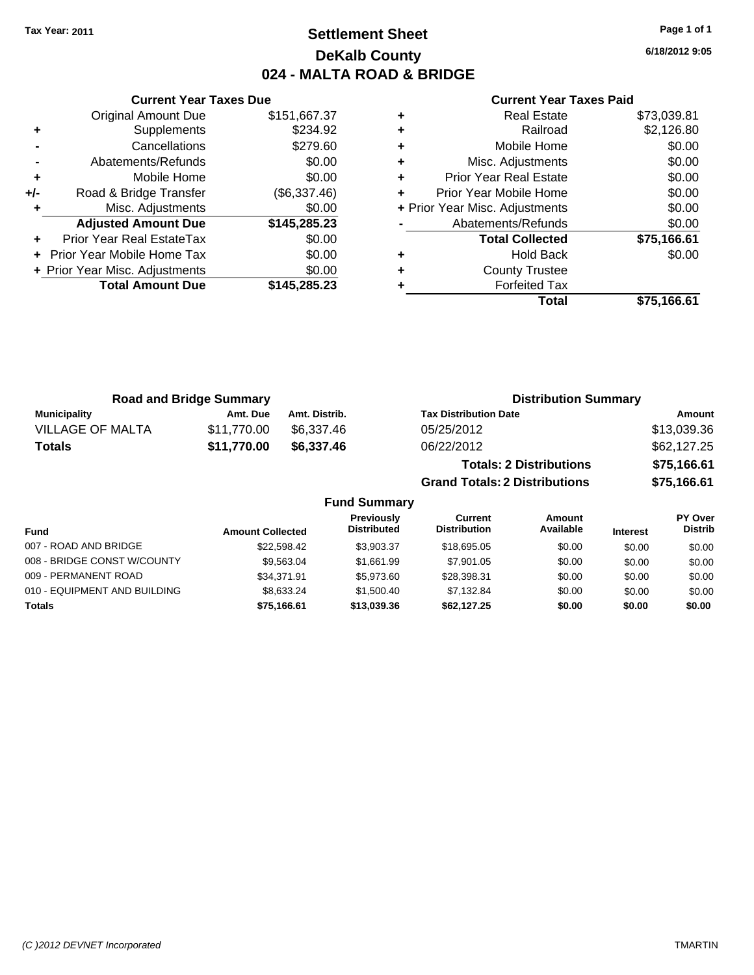# **Settlement Sheet Tax Year: 2011 Page 1 of 1 DeKalb County 024 - MALTA ROAD & BRIDGE**

**6/18/2012 9:05**

#### **Current Year Taxes Paid**

|     | <b>Current Year Taxes Due</b>  |              |  |  |  |  |
|-----|--------------------------------|--------------|--|--|--|--|
|     | <b>Original Amount Due</b>     | \$151,667.37 |  |  |  |  |
| ٠   | Supplements                    | \$234.92     |  |  |  |  |
|     | Cancellations                  | \$279.60     |  |  |  |  |
|     | Abatements/Refunds             | \$0.00       |  |  |  |  |
| ٠   | Mobile Home                    | \$0.00       |  |  |  |  |
| +/- | Road & Bridge Transfer         | (\$6,337.46) |  |  |  |  |
|     | Misc. Adjustments              | \$0.00       |  |  |  |  |
|     | <b>Adjusted Amount Due</b>     | \$145,285.23 |  |  |  |  |
|     | Prior Year Real EstateTax      | \$0.00       |  |  |  |  |
|     | Prior Year Mobile Home Tax     | \$0.00       |  |  |  |  |
|     | + Prior Year Misc. Adjustments | \$0.00       |  |  |  |  |
|     | <b>Total Amount Due</b>        | \$145,285.23 |  |  |  |  |
|     |                                |              |  |  |  |  |

|                                | Total                         | \$75,166.61 |
|--------------------------------|-------------------------------|-------------|
|                                | <b>Forfeited Tax</b>          |             |
| ٠                              | <b>County Trustee</b>         |             |
| ٠                              | <b>Hold Back</b>              | \$0.00      |
|                                | <b>Total Collected</b>        | \$75,166.61 |
|                                | Abatements/Refunds            | \$0.00      |
| + Prior Year Misc. Adjustments |                               | \$0.00      |
| ٠                              | Prior Year Mobile Home        | \$0.00      |
| ٠                              | <b>Prior Year Real Estate</b> | \$0.00      |
| ٠                              | Misc. Adjustments             | \$0.00      |
| ٠                              | Mobile Home                   | \$0.00      |
| ٠                              | Railroad                      | \$2,126.80  |
| ۰                              | <b>Real Estate</b>            | \$73,039.81 |

**Grand Totals: 2 Distributions \$75,166.61**

| <b>Road and Bridge Summary</b> |             |               | <b>Distribution Summary</b>    |             |  |
|--------------------------------|-------------|---------------|--------------------------------|-------------|--|
| <b>Municipality</b>            | Amt. Due    | Amt. Distrib. | <b>Tax Distribution Date</b>   | Amount      |  |
| VILLAGE OF MALTA               | \$11.770.00 | \$6.337.46    | 05/25/2012                     | \$13,039.36 |  |
| <b>Totals</b>                  | \$11,770.00 | \$6,337.46    | 06/22/2012                     | \$62,127.25 |  |
|                                |             |               | <b>Totals: 2 Distributions</b> | \$75,166.61 |  |

| <b>Fund Summary</b>          |                         |                                         |                                |                     |                 |                           |
|------------------------------|-------------------------|-----------------------------------------|--------------------------------|---------------------|-----------------|---------------------------|
| <b>Fund</b>                  | <b>Amount Collected</b> | <b>Previously</b><br><b>Distributed</b> | Current<br><b>Distribution</b> | Amount<br>Available | <b>Interest</b> | PY Over<br><b>Distrib</b> |
| 007 - ROAD AND BRIDGE        | \$22.598.42             | \$3.903.37                              | \$18,695,05                    | \$0.00              | \$0.00          | \$0.00                    |
| 008 - BRIDGE CONST W/COUNTY  | \$9.563.04              | \$1.661.99                              | \$7,901.05                     | \$0.00              | \$0.00          | \$0.00                    |
| 009 - PERMANENT ROAD         | \$34.371.91             | \$5,973,60                              | \$28,398.31                    | \$0.00              | \$0.00          | \$0.00                    |
| 010 - EQUIPMENT AND BUILDING | \$8.633.24              | \$1.500.40                              | \$7.132.84                     | \$0.00              | \$0.00          | \$0.00                    |
| Totals                       | \$75.166.61             | \$13,039,36                             | \$62,127,25                    | \$0.00              | \$0.00          | \$0.00                    |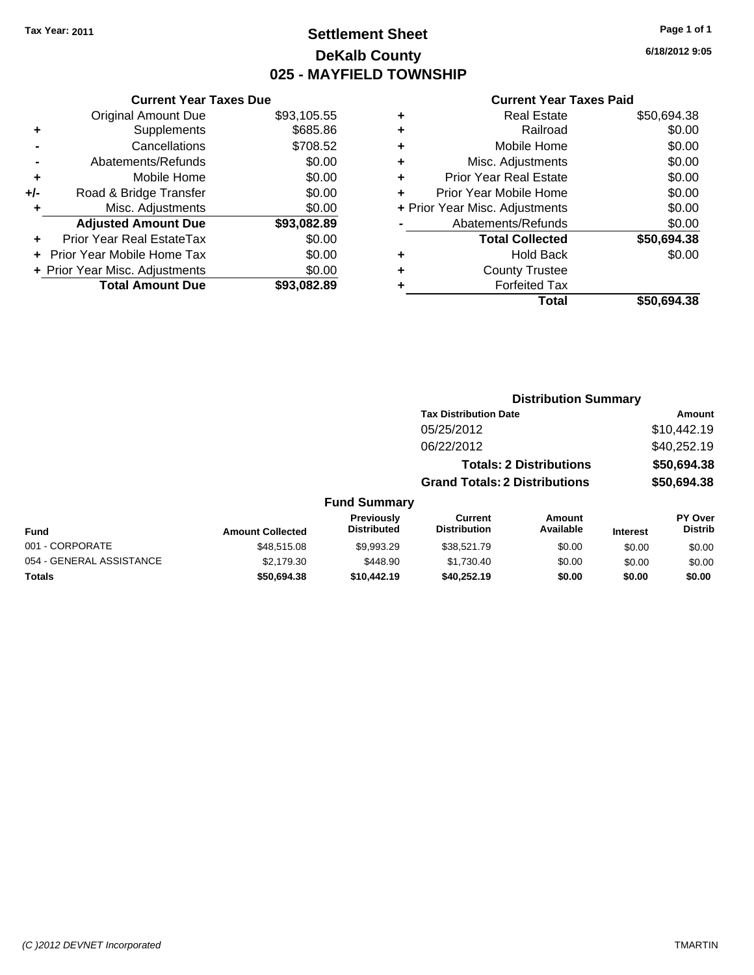# **Settlement Sheet Tax Year: 2011 Page 1 of 1 DeKalb County 025 - MAYFIELD TOWNSHIP**

**6/18/2012 9:05**

#### **Current Year Taxes Paid**

|     | OGNOM TOGET GAOS DUC           |             |   |                   |
|-----|--------------------------------|-------------|---|-------------------|
|     | <b>Original Amount Due</b>     | \$93,105.55 | ٠ |                   |
|     | <b>Supplements</b>             | \$685.86    | ٠ |                   |
|     | Cancellations                  | \$708.52    | ٠ |                   |
|     | Abatements/Refunds             | \$0.00      | ٠ | Miso              |
|     | Mobile Home                    | \$0.00      | ٠ | Prior Ye          |
| +/- | Road & Bridge Transfer         | \$0.00      | ٠ | <b>Prior Year</b> |
|     | Misc. Adjustments              | \$0.00      |   | + Prior Year Misc |
|     | <b>Adjusted Amount Due</b>     | \$93,082.89 |   | Abaten            |
|     | Prior Year Real EstateTax      | \$0.00      |   | Т٥                |
|     | Prior Year Mobile Home Tax     | \$0.00      | ٠ |                   |
|     | + Prior Year Misc. Adjustments | \$0.00      | ٠ | C                 |
|     | <b>Total Amount Due</b>        | \$93,082.89 |   |                   |
|     |                                |             |   |                   |

**Current Year Taxes Due**

|   | <b>Real Estate</b>             | \$50,694.38 |
|---|--------------------------------|-------------|
| ٠ | Railroad                       | \$0.00      |
| ٠ | Mobile Home                    | \$0.00      |
| ٠ | Misc. Adjustments              | \$0.00      |
| ٠ | <b>Prior Year Real Estate</b>  | \$0.00      |
|   | Prior Year Mobile Home         | \$0.00      |
|   | + Prior Year Misc. Adjustments | \$0.00      |
|   | Abatements/Refunds             | \$0.00      |
|   | <b>Total Collected</b>         | \$50,694.38 |
| ٠ | <b>Hold Back</b>               | \$0.00      |
|   | <b>County Trustee</b>          |             |
|   | <b>Forfeited Tax</b>           |             |
|   | Total                          | \$50,694.38 |
|   |                                |             |

**Distribution Summary**

#### **Tax Distribution Date Amount** 05/25/2012 \$10,442.19 06/22/2012 \$40,252.19 **Totals: 2 Distributions \$50,694.38 Grand Totals: 2 Distributions \$50,694.38 Fund Summary Fund Interest Amount Collected Distributed PY Over Distrib Amount Available Current Distribution Previously** 001 - CORPORATE \$48,515.08 \$9,993.29 \$38,521.79 \$0.00 \$0.00 \$0.00 054 - GENERAL ASSISTANCE  $$2,179.30$   $$448.90$   $$1,730.40$   $$0.00$   $$0.00$   $$0.00$ **Totals \$50,694.38 \$10,442.19 \$40,252.19 \$0.00 \$0.00 \$0.00**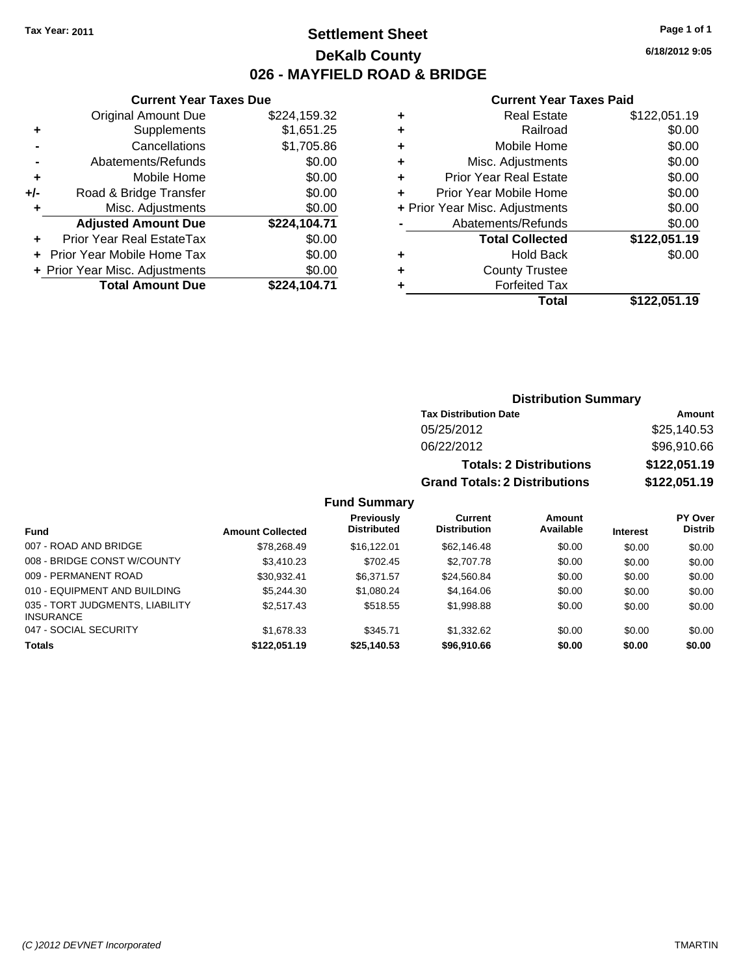# **Settlement Sheet Tax Year: 2011 Page 1 of 1 DeKalb County 026 - MAYFIELD ROAD & BRIDGE**

**6/18/2012 9:05**

#### **Current Year Taxes Paid**

| ٠ | <b>Real Estate</b>             | \$122,051.19 |
|---|--------------------------------|--------------|
| ٠ | Railroad                       | \$0.00       |
| ٠ | Mobile Home                    | \$0.00       |
| ٠ | Misc. Adjustments              | \$0.00       |
| ٠ | <b>Prior Year Real Estate</b>  | \$0.00       |
| ٠ | Prior Year Mobile Home         | \$0.00       |
|   | + Prior Year Misc. Adjustments | \$0.00       |
|   | Abatements/Refunds             | \$0.00       |
|   | <b>Total Collected</b>         | \$122,051.19 |
| ٠ | <b>Hold Back</b>               | \$0.00       |
| ٠ | <b>County Trustee</b>          |              |
|   | <b>Forfeited Tax</b>           |              |
|   | Total                          | \$122.051.19 |

|     | <b>Current Year Taxes Due</b>  |              |
|-----|--------------------------------|--------------|
|     | <b>Original Amount Due</b>     | \$224,159.32 |
| ٠   | Supplements                    | \$1,651.25   |
|     | Cancellations                  | \$1,705.86   |
|     | Abatements/Refunds             | \$0.00       |
| ٠   | Mobile Home                    | \$0.00       |
| +/- | Road & Bridge Transfer         | \$0.00       |
|     | Misc. Adjustments              | \$0.00       |
|     | <b>Adjusted Amount Due</b>     | \$224,104.71 |
|     | Prior Year Real EstateTax      | \$0.00       |
|     | Prior Year Mobile Home Tax     | \$0.00       |
|     | + Prior Year Misc. Adjustments | \$0.00       |
|     | <b>Total Amount Due</b>        | \$224,104.71 |

# **Distribution Summary**

| <b>Tax Distribution Date</b>         | Amount       |
|--------------------------------------|--------------|
| 05/25/2012                           | \$25,140.53  |
| 06/22/2012                           | \$96,910.66  |
| <b>Totals: 2 Distributions</b>       | \$122,051.19 |
| <b>Grand Totals: 2 Distributions</b> | \$122,051.19 |

#### **Fund Summary**

|                                                     |                         | Previously         | Current             | Amount    |                 | PY Over        |
|-----------------------------------------------------|-------------------------|--------------------|---------------------|-----------|-----------------|----------------|
| Fund                                                | <b>Amount Collected</b> | <b>Distributed</b> | <b>Distribution</b> | Available | <b>Interest</b> | <b>Distrib</b> |
| 007 - ROAD AND BRIDGE                               | \$78,268.49             | \$16,122.01        | \$62,146.48         | \$0.00    | \$0.00          | \$0.00         |
| 008 - BRIDGE CONST W/COUNTY                         | \$3.410.23              | \$702.45           | \$2,707.78          | \$0.00    | \$0.00          | \$0.00         |
| 009 - PERMANENT ROAD                                | \$30.932.41             | \$6.371.57         | \$24,560.84         | \$0.00    | \$0.00          | \$0.00         |
| 010 - EQUIPMENT AND BUILDING                        | \$5,244,30              | \$1,080.24         | \$4.164.06          | \$0.00    | \$0.00          | \$0.00         |
| 035 - TORT JUDGMENTS, LIABILITY<br><b>INSURANCE</b> | \$2,517.43              | \$518.55           | \$1,998.88          | \$0.00    | \$0.00          | \$0.00         |
| 047 - SOCIAL SECURITY                               | \$1,678.33              | \$345.71           | \$1,332.62          | \$0.00    | \$0.00          | \$0.00         |
| <b>Totals</b>                                       | \$122,051.19            | \$25,140.53        | \$96,910.66         | \$0.00    | \$0.00          | \$0.00         |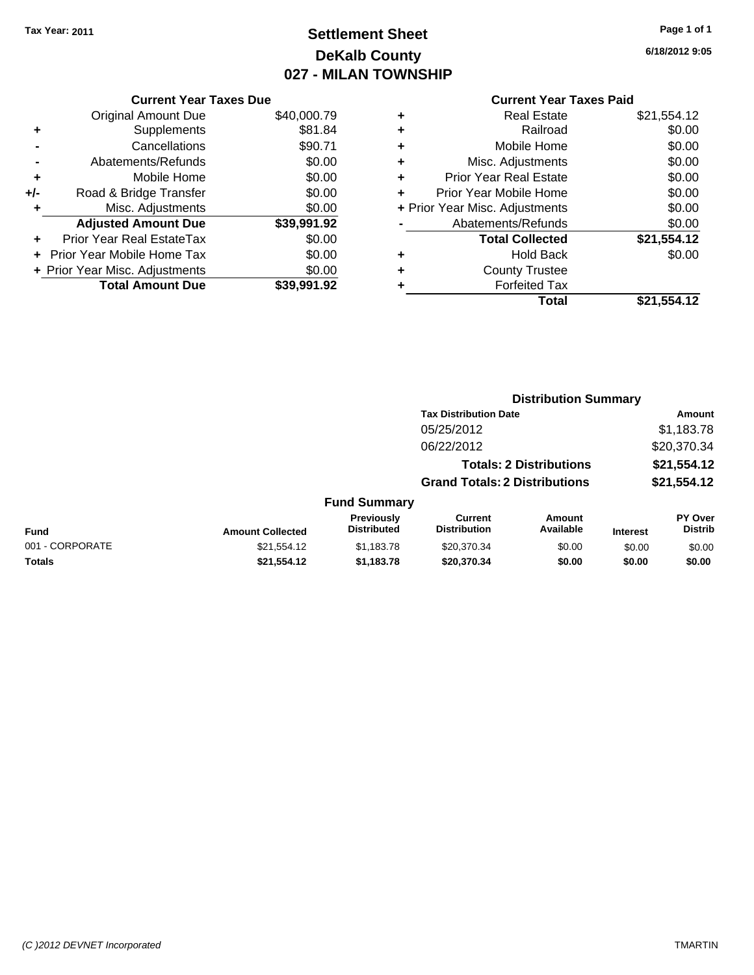# **Settlement Sheet Tax Year: 2011 Page 1 of 1 DeKalb County 027 - MILAN TOWNSHIP**

**6/18/2012 9:05**

|  | <b>Current Year Taxes Paid</b> |  |  |  |
|--|--------------------------------|--|--|--|
|--|--------------------------------|--|--|--|

|     | <b>Current Year Taxes Due</b>    |             |
|-----|----------------------------------|-------------|
|     | <b>Original Amount Due</b>       | \$40,000.79 |
| ٠   | Supplements                      | \$81.84     |
|     | Cancellations                    | \$90.71     |
|     | Abatements/Refunds               | \$0.00      |
| ٠   | Mobile Home                      | \$0.00      |
| +/- | Road & Bridge Transfer           | \$0.00      |
| ۰   | Misc. Adjustments                | \$0.00      |
|     | <b>Adjusted Amount Due</b>       | \$39,991.92 |
|     | <b>Prior Year Real EstateTax</b> | \$0.00      |
|     | Prior Year Mobile Home Tax       | \$0.00      |
|     | + Prior Year Misc. Adjustments   | \$0.00      |
|     | <b>Total Amount Due</b>          | \$39.991.92 |

| ٠ | <b>Real Estate</b>             | \$21,554.12 |
|---|--------------------------------|-------------|
| ٠ | Railroad                       | \$0.00      |
| ٠ | Mobile Home                    | \$0.00      |
| ٠ | Misc. Adjustments              | \$0.00      |
| ٠ | Prior Year Real Estate         | \$0.00      |
|   | Prior Year Mobile Home         | \$0.00      |
|   | + Prior Year Misc. Adjustments | \$0.00      |
|   | Abatements/Refunds             | \$0.00      |
|   | <b>Total Collected</b>         | \$21,554.12 |
| ٠ | <b>Hold Back</b>               | \$0.00      |
| ٠ | <b>County Trustee</b>          |             |
| ٠ | <b>Forfeited Tax</b>           |             |
|   | Total                          | \$21,554.12 |
|   |                                |             |

|                 |                         |                                  |                                       | <b>Distribution Summary</b>    |                 |                           |
|-----------------|-------------------------|----------------------------------|---------------------------------------|--------------------------------|-----------------|---------------------------|
|                 |                         |                                  | <b>Tax Distribution Date</b>          |                                |                 | Amount                    |
|                 |                         |                                  | 05/25/2012                            |                                |                 | \$1,183.78                |
|                 |                         |                                  | 06/22/2012                            |                                |                 | \$20,370.34               |
|                 |                         |                                  |                                       | <b>Totals: 2 Distributions</b> |                 | \$21,554.12               |
|                 |                         |                                  | <b>Grand Totals: 2 Distributions</b>  |                                |                 | \$21,554.12               |
|                 |                         | <b>Fund Summary</b>              |                                       |                                |                 |                           |
| <b>Fund</b>     | <b>Amount Collected</b> | Previously<br><b>Distributed</b> | <b>Current</b><br><b>Distribution</b> | Amount<br>Available            | <b>Interest</b> | PY Over<br><b>Distrib</b> |
| 001 - CORPORATE | \$21,554.12             | \$1,183.78                       | \$20,370.34                           | \$0.00                         | \$0.00          | \$0.00                    |
| Totals          | \$21,554.12             | \$1,183.78                       | \$20,370.34                           | \$0.00                         | \$0.00          | \$0.00                    |
|                 |                         |                                  |                                       |                                |                 |                           |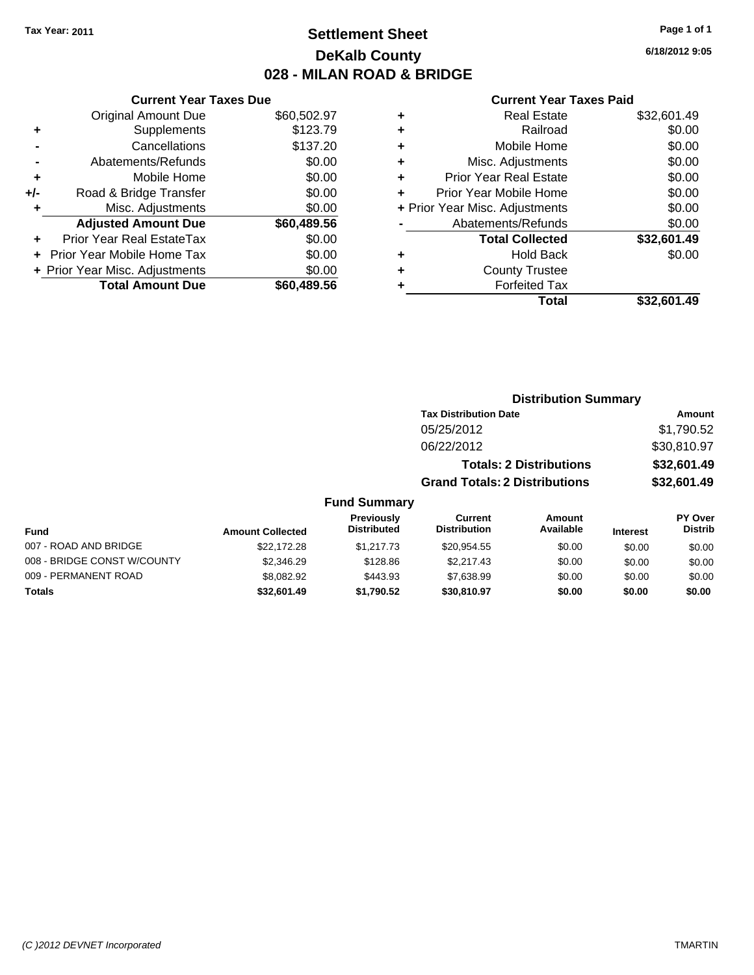# **Settlement Sheet Tax Year: 2011 Page 1 of 1 DeKalb County 028 - MILAN ROAD & BRIDGE**

**6/18/2012 9:05**

#### **Current Year Taxes Paid**

|     | <b>Current Year Taxes Due</b>  |             |
|-----|--------------------------------|-------------|
|     | <b>Original Amount Due</b>     | \$60,502.97 |
| ٠   | Supplements                    | \$123.79    |
|     | Cancellations                  | \$137.20    |
|     | Abatements/Refunds             | \$0.00      |
| ٠   | Mobile Home                    | \$0.00      |
| +/- | Road & Bridge Transfer         | \$0.00      |
| ٠   | Misc. Adjustments              | \$0.00      |
|     | <b>Adjusted Amount Due</b>     | \$60,489.56 |
|     | Prior Year Real EstateTax      | \$0.00      |
|     | Prior Year Mobile Home Tax     | \$0.00      |
|     | + Prior Year Misc. Adjustments | \$0.00      |
|     | <b>Total Amount Due</b>        | \$60.489.56 |
|     |                                |             |

| <b>Distribution Summary</b>    |             |
|--------------------------------|-------------|
| <b>Tax Distribution Date</b>   | Amount      |
| 05/25/2012                     | \$1,790.52  |
| 06/22/2012                     | \$30,810.97 |
| <b>Totals: 2 Distributions</b> | \$32,601.49 |

**Grand Totals: 2 Distributions \$32,601.49**

### **Fund Summary**

| Fund                        | <b>Amount Collected</b> | <b>Previously</b><br><b>Distributed</b> | Current<br><b>Distribution</b> | Amount<br>Available | <b>Interest</b> | PY Over<br><b>Distrib</b> |
|-----------------------------|-------------------------|-----------------------------------------|--------------------------------|---------------------|-----------------|---------------------------|
| 007 - ROAD AND BRIDGE       | \$22,172.28             | \$1,217.73                              | \$20.954.55                    | \$0.00              | \$0.00          | \$0.00                    |
| 008 - BRIDGE CONST W/COUNTY | \$2,346.29              | \$128.86                                | \$2,217.43                     | \$0.00              | \$0.00          | \$0.00                    |
| 009 - PERMANENT ROAD        | \$8,082.92              | \$443.93                                | \$7.638.99                     | \$0.00              | \$0.00          | \$0.00                    |
| Totals                      | \$32,601.49             | \$1.790.52                              | \$30,810.97                    | \$0.00              | \$0.00          | \$0.00                    |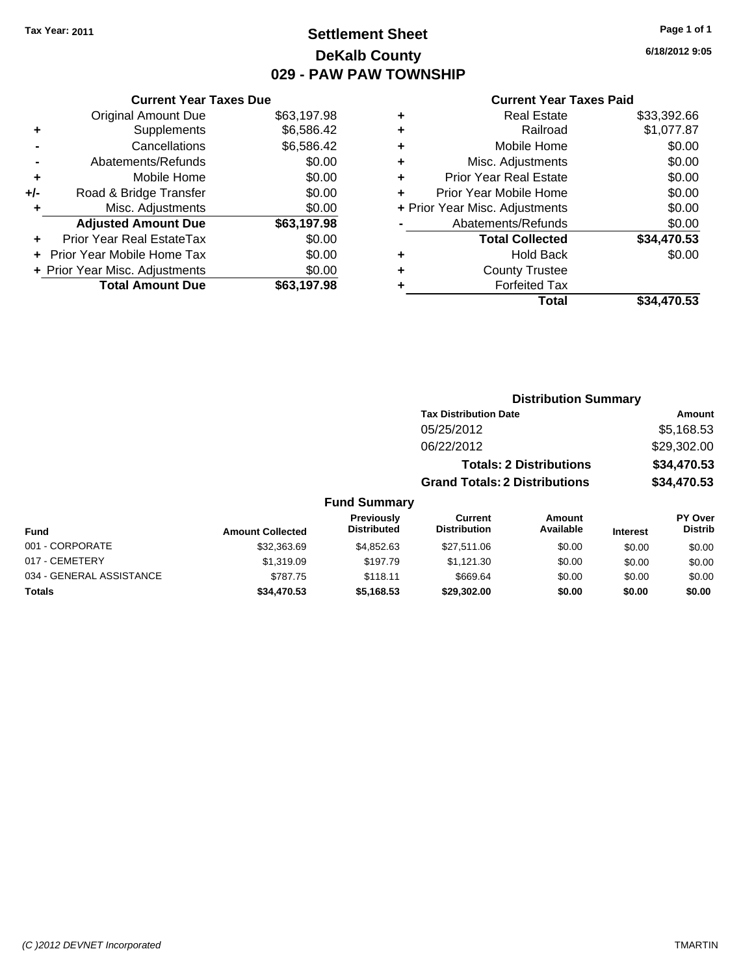# **Settlement Sheet Tax Year: 2011 Page 1 of 1 DeKalb County 029 - PAW PAW TOWNSHIP**

**6/18/2012 9:05**

| <b>Current Year Taxes Due</b>  |                         |
|--------------------------------|-------------------------|
| <b>Original Amount Due</b>     | \$63,197.98             |
| Supplements                    | \$6,586.42              |
| Cancellations                  | \$6,586.42              |
| Abatements/Refunds             | \$0.00                  |
| Mobile Home                    | \$0.00                  |
| Road & Bridge Transfer         | \$0.00                  |
| Misc. Adjustments              | \$0.00                  |
| <b>Adjusted Amount Due</b>     | \$63,197.98             |
| Prior Year Real EstateTax      | \$0.00                  |
| Prior Year Mobile Home Tax     | \$0.00                  |
| + Prior Year Misc. Adjustments | \$0.00                  |
|                                | \$63,197,98             |
|                                | <b>Total Amount Due</b> |

| ٠ | <b>Real Estate</b>             | \$33,392.66 |
|---|--------------------------------|-------------|
| ٠ | Railroad                       | \$1,077.87  |
| ٠ | Mobile Home                    | \$0.00      |
| ٠ | Misc. Adjustments              | \$0.00      |
| ٠ | <b>Prior Year Real Estate</b>  | \$0.00      |
| ÷ | Prior Year Mobile Home         | \$0.00      |
|   | + Prior Year Misc. Adjustments | \$0.00      |
|   | Abatements/Refunds             | \$0.00      |
|   | <b>Total Collected</b>         | \$34,470.53 |
| ٠ | <b>Hold Back</b>               | \$0.00      |
| ٠ | <b>County Trustee</b>          |             |
| ٠ | <b>Forfeited Tax</b>           |             |
|   | Total                          | \$34,470.53 |
|   |                                |             |

|                          |                         |                                         | <b>Distribution Summary</b>           |                                |                 |                                  |
|--------------------------|-------------------------|-----------------------------------------|---------------------------------------|--------------------------------|-----------------|----------------------------------|
|                          |                         |                                         | <b>Tax Distribution Date</b>          |                                |                 | Amount                           |
|                          |                         |                                         | 05/25/2012                            |                                |                 | \$5,168.53                       |
|                          |                         |                                         | 06/22/2012                            |                                |                 | \$29,302.00                      |
|                          |                         |                                         |                                       | <b>Totals: 2 Distributions</b> |                 | \$34,470.53                      |
|                          |                         |                                         | <b>Grand Totals: 2 Distributions</b>  |                                |                 | \$34,470.53                      |
|                          |                         | <b>Fund Summary</b>                     |                                       |                                |                 |                                  |
| <b>Fund</b>              | <b>Amount Collected</b> | <b>Previously</b><br><b>Distributed</b> | <b>Current</b><br><b>Distribution</b> | Amount<br>Available            | <b>Interest</b> | <b>PY Over</b><br><b>Distrib</b> |
| 001 - CORPORATE          | \$32,363.69             | \$4,852.63                              | \$27,511.06                           | \$0.00                         | \$0.00          | \$0.00                           |
| 017 - CEMETERY           | \$1,319.09              | \$197.79                                | \$1,121.30                            | \$0.00                         | \$0.00          | \$0.00                           |
| 034 - GENERAL ASSISTANCE | \$787.75                | \$118.11                                | \$669.64                              | \$0.00                         | \$0.00          | \$0.00                           |
| <b>Totals</b>            | \$34,470.53             | \$5,168.53                              | \$29,302.00                           | \$0.00                         | \$0.00          | \$0.00                           |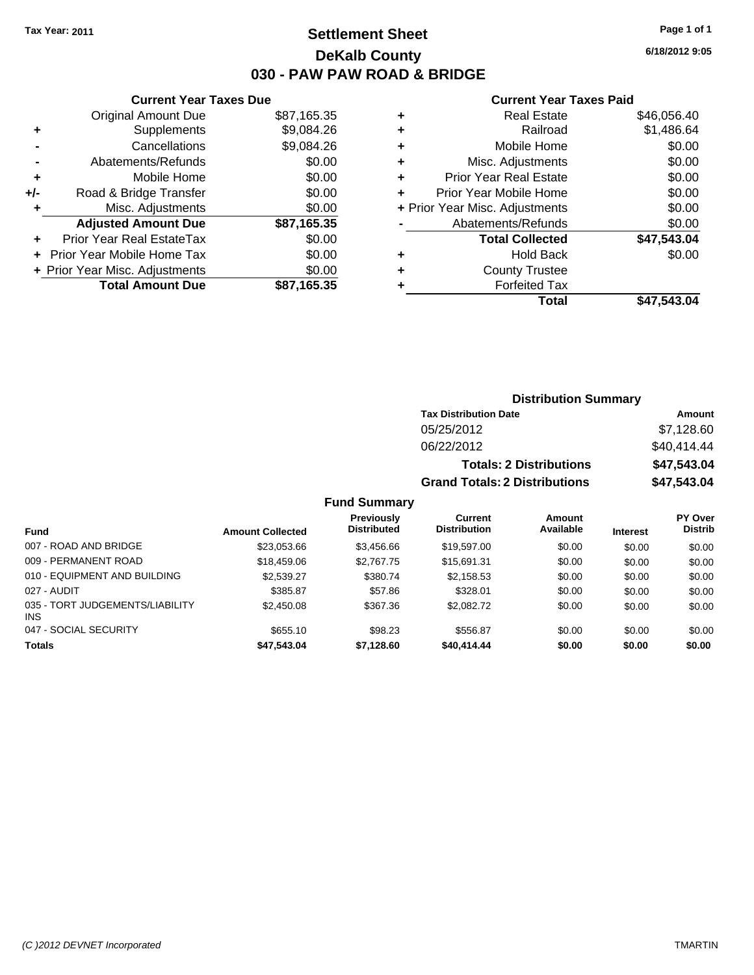# **Settlement Sheet Tax Year: 2011 Page 1 of 1 DeKalb County 030 - PAW PAW ROAD & BRIDGE**

**Current Year Taxes Paid**

|   | OUITUR TUUT TUAUS TURU         |             |
|---|--------------------------------|-------------|
| ٠ | <b>Real Estate</b>             | \$46,056.40 |
| ٠ | Railroad                       | \$1,486.64  |
| ٠ | Mobile Home                    | \$0.00      |
| ٠ | Misc. Adjustments              | \$0.00      |
| ٠ | <b>Prior Year Real Estate</b>  | \$0.00      |
| ÷ | Prior Year Mobile Home         | \$0.00      |
|   | + Prior Year Misc. Adjustments | \$0.00      |
|   | Abatements/Refunds             | \$0.00      |
|   | <b>Total Collected</b>         | \$47,543.04 |
| ٠ | <b>Hold Back</b>               | \$0.00      |
| ÷ | <b>County Trustee</b>          |             |
| ٠ | <b>Forfeited Tax</b>           |             |
|   | Total                          | \$47.543.04 |
|   |                                |             |

|     | <b>Total Amount Due</b>        | \$87,165.35 |
|-----|--------------------------------|-------------|
|     | + Prior Year Misc. Adjustments | \$0.00      |
|     | Prior Year Mobile Home Tax     | \$0.00      |
| ٠   | Prior Year Real EstateTax      | \$0.00      |
|     | <b>Adjusted Amount Due</b>     | \$87,165.35 |
| ٠   | Misc. Adjustments              | \$0.00      |
| +/- | Road & Bridge Transfer         | \$0.00      |
| ٠   | Mobile Home                    | \$0.00      |
| -   | Abatements/Refunds             | \$0.00      |
| -   | Cancellations                  | \$9,084.26  |
| ٠   | Supplements                    | \$9,084.26  |
|     | <b>Original Amount Due</b>     | \$87,165.35 |

**Current Year Taxes Due**

# **Distribution Summary**

| <b>Tax Distribution Date</b>         | Amount      |
|--------------------------------------|-------------|
| 05/25/2012                           | \$7,128.60  |
| 06/22/2012                           | \$40.414.44 |
| <b>Totals: 2 Distributions</b>       | \$47,543,04 |
| <b>Grand Totals: 2 Distributions</b> | \$47,543.04 |

#### **Fund Summary**

|                                        |                         | Previously         | Current             | Amount    |                 | PY Over        |
|----------------------------------------|-------------------------|--------------------|---------------------|-----------|-----------------|----------------|
| Fund                                   | <b>Amount Collected</b> | <b>Distributed</b> | <b>Distribution</b> | Available | <b>Interest</b> | <b>Distrib</b> |
| 007 - ROAD AND BRIDGE                  | \$23,053.66             | \$3.456.66         | \$19,597.00         | \$0.00    | \$0.00          | \$0.00         |
| 009 - PERMANENT ROAD                   | \$18,459.06             | \$2,767.75         | \$15,691.31         | \$0.00    | \$0.00          | \$0.00         |
| 010 - EQUIPMENT AND BUILDING           | \$2,539.27              | \$380.74           | \$2,158.53          | \$0.00    | \$0.00          | \$0.00         |
| 027 - AUDIT                            | \$385.87                | \$57.86            | \$328.01            | \$0.00    | \$0.00          | \$0.00         |
| 035 - TORT JUDGEMENTS/LIABILITY<br>INS | \$2,450.08              | \$367.36           | \$2,082.72          | \$0.00    | \$0.00          | \$0.00         |
| 047 - SOCIAL SECURITY                  | \$655.10                | \$98.23            | \$556.87            | \$0.00    | \$0.00          | \$0.00         |
| <b>Totals</b>                          | \$47,543.04             | \$7,128.60         | \$40,414.44         | \$0.00    | \$0.00          | \$0.00         |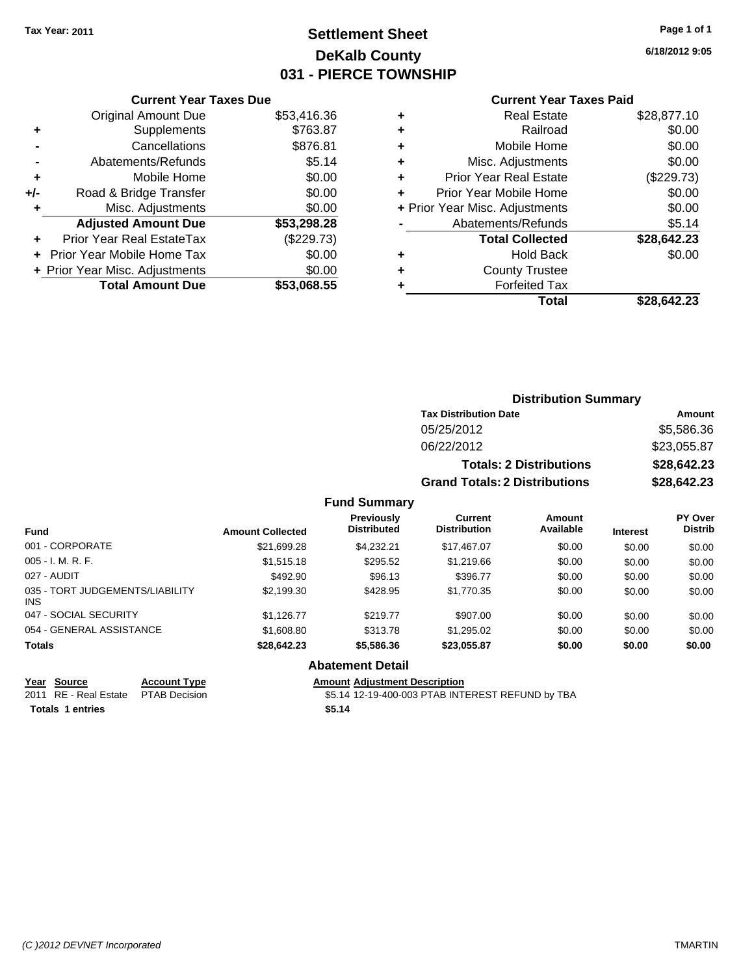# **Settlement Sheet Tax Year: 2011 Page 1 of 1 DeKalb County 031 - PIERCE TOWNSHIP**

**6/18/2012 9:05**

|     | <b>Current Year Taxes Due</b>  |             |
|-----|--------------------------------|-------------|
|     | Original Amount Due            | \$53,416.36 |
| ٠   | Supplements                    | \$763.87    |
|     | Cancellations                  | \$876.81    |
|     | Abatements/Refunds             | \$5.14      |
| ٠   | Mobile Home                    | \$0.00      |
| +/- | Road & Bridge Transfer         | \$0.00      |
|     | Misc. Adjustments              | \$0.00      |
|     | <b>Adjusted Amount Due</b>     | \$53,298.28 |
|     | Prior Year Real EstateTax      | (\$229.73)  |
|     | Prior Year Mobile Home Tax     | \$0.00      |
|     | + Prior Year Misc. Adjustments | \$0.00      |
|     | <b>Total Amount Due</b>        | \$53,068.55 |
|     |                                |             |

#### **Current Year Taxes Paid**

| <b>Real Estate</b>            | \$28,877.10                    |
|-------------------------------|--------------------------------|
| Railroad                      | \$0.00                         |
| Mobile Home                   | \$0.00                         |
| Misc. Adjustments             | \$0.00                         |
| <b>Prior Year Real Estate</b> | (\$229.73)                     |
| Prior Year Mobile Home        | \$0.00                         |
|                               | \$0.00                         |
| Abatements/Refunds            | \$5.14                         |
| <b>Total Collected</b>        | \$28,642.23                    |
| <b>Hold Back</b>              | \$0.00                         |
| <b>County Trustee</b>         |                                |
| <b>Forfeited Tax</b>          |                                |
| Total                         | \$28,642.23                    |
|                               | + Prior Year Misc. Adjustments |

#### **Distribution Summary Tax Distribution Date Amount** 05/25/2012 \$5,586.36 06/22/2012 \$23,055.87 **Totals: 2 Distributions \$28,642.23 Grand Totals: 2 Distributions \$28,642.23 Fund Summary Fund Interest Amount Collected Distributed PY Over Distrib Amount Available Current Distribution Previously** 001 - CORPORATE \$21,699.28 \$4,232.21 \$17,467.07 \$0.00 \$0.00 \$0.00 005 - I. M. R. F. \$1,515.18 \$295.52 \$1,219.66 \$0.00 \$0.00 \$0.00 027 - AUDIT \$492.90 \$96.13 \$396.77 \$0.00 \$0.00 \$0.00 035 - TORT JUDGEMENTS/LIABILITY \$2,199.30 \$428.95 \$1,770.35 \$0.00 \$0.00 \$0.00 047 - SOCIAL SECURITY \$1,126.77 \$219.77 \$907.00 \$0.00 \$0.00 \$0.00 \$0.00 054 - GENERAL ASSISTANCE  $$1,608.80$   $$313.78$   $$1,295.02$   $$0.00$   $$0.00$   $$0.00$

#### **Totals \$28,642.23 \$5,586.36 \$23,055.87 \$0.00 \$0.00 \$0.00**

INS

**Totals \$5.14 1 entries**

**Year Source Account Type Amount Adjustment Description** 2011 RE - Real Estate \$5.14 12-19-400-003 PTAB INTEREST REFUND by TBA PTAB Decision

**Abatement Detail**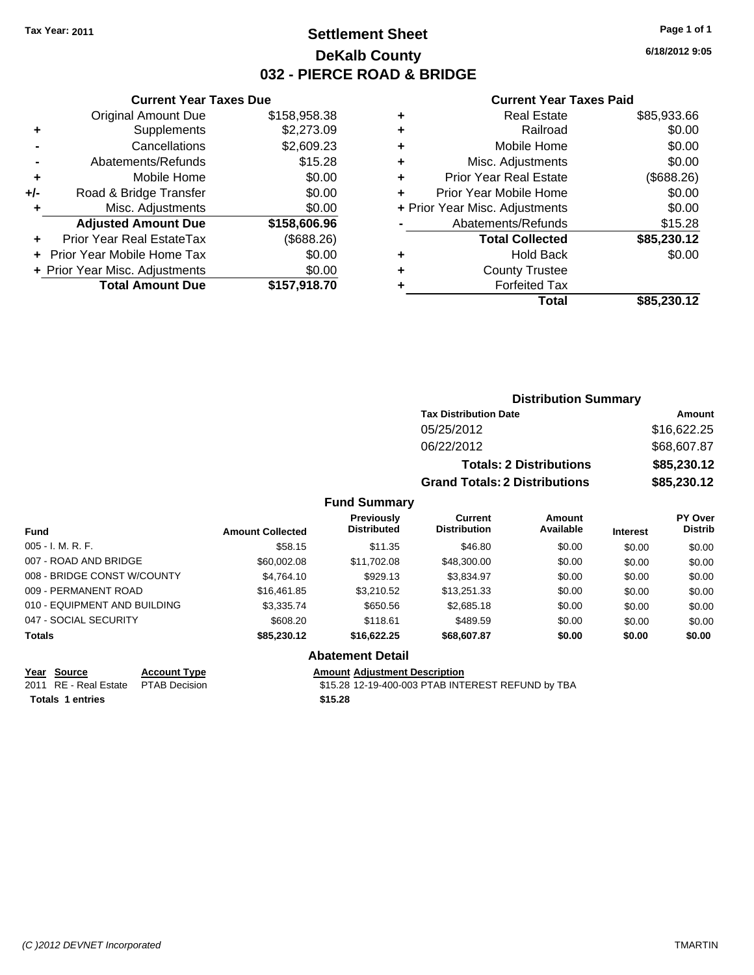# **Settlement Sheet Tax Year: 2011 Page 1 of 1 DeKalb County 032 - PIERCE ROAD & BRIDGE**

**6/18/2012 9:05**

#### **Current Year Taxes Paid**

|     | <b>Current Year Taxes Due</b>  |              |  |  |  |
|-----|--------------------------------|--------------|--|--|--|
|     | <b>Original Amount Due</b>     | \$158,958.38 |  |  |  |
| ٠   | Supplements                    | \$2,273.09   |  |  |  |
|     | Cancellations                  | \$2,609.23   |  |  |  |
|     | Abatements/Refunds             | \$15.28      |  |  |  |
| ٠   | Mobile Home                    | \$0.00       |  |  |  |
| +/- | Road & Bridge Transfer         | \$0.00       |  |  |  |
| ٠   | Misc. Adjustments              | \$0.00       |  |  |  |
|     | <b>Adjusted Amount Due</b>     | \$158,606.96 |  |  |  |
|     | Prior Year Real EstateTax      | (\$688.26)   |  |  |  |
|     | Prior Year Mobile Home Tax     | \$0.00       |  |  |  |
|     | + Prior Year Misc. Adjustments | \$0.00       |  |  |  |
|     | <b>Total Amount Due</b>        | \$157,918.70 |  |  |  |
|     |                                |              |  |  |  |

## **Distribution Summary**

| <b>Tax Distribution Date</b>         | Amount      |
|--------------------------------------|-------------|
| 05/25/2012                           | \$16,622,25 |
| 06/22/2012                           | \$68,607.87 |
| <b>Totals: 2 Distributions</b>       | \$85,230.12 |
| <b>Grand Totals: 2 Distributions</b> | \$85,230.12 |

#### **Fund Summary**

| <b>Fund</b>                  | <b>Amount Collected</b> | <b>Previously</b><br><b>Distributed</b> | Current<br><b>Distribution</b> | Amount<br>Available | <b>Interest</b> | PY Over<br><b>Distrib</b> |
|------------------------------|-------------------------|-----------------------------------------|--------------------------------|---------------------|-----------------|---------------------------|
| $005 - I. M. R. F.$          | \$58.15                 | \$11.35                                 | \$46.80                        | \$0.00              | \$0.00          | \$0.00                    |
| 007 - ROAD AND BRIDGE        | \$60,002.08             | \$11.702.08                             | \$48,300.00                    | \$0.00              | \$0.00          | \$0.00                    |
| 008 - BRIDGE CONST W/COUNTY  | \$4.764.10              | \$929.13                                | \$3.834.97                     | \$0.00              | \$0.00          | \$0.00                    |
| 009 - PERMANENT ROAD         | \$16,461.85             | \$3.210.52                              | \$13.251.33                    | \$0.00              | \$0.00          | \$0.00                    |
| 010 - EQUIPMENT AND BUILDING | \$3,335.74              | \$650.56                                | \$2,685.18                     | \$0.00              | \$0.00          | \$0.00                    |
| 047 - SOCIAL SECURITY        | \$608.20                | \$118.61                                | \$489.59                       | \$0.00              | \$0.00          | \$0.00                    |
| <b>Totals</b>                | \$85,230.12             | \$16,622.25                             | \$68,607.87                    | \$0.00              | \$0.00          | \$0.00                    |

**Totals \$15.28 1 entries**

### **Abatement Detail**

**Year Source Account Type Amount Adjustment Description**<br>
2011 RE - Real Estate PTAB Decision **Amount** \$15.28 12-19-400-003 PTAB INTI

\$15.28 12-19-400-003 PTAB INTEREST REFUND by TBA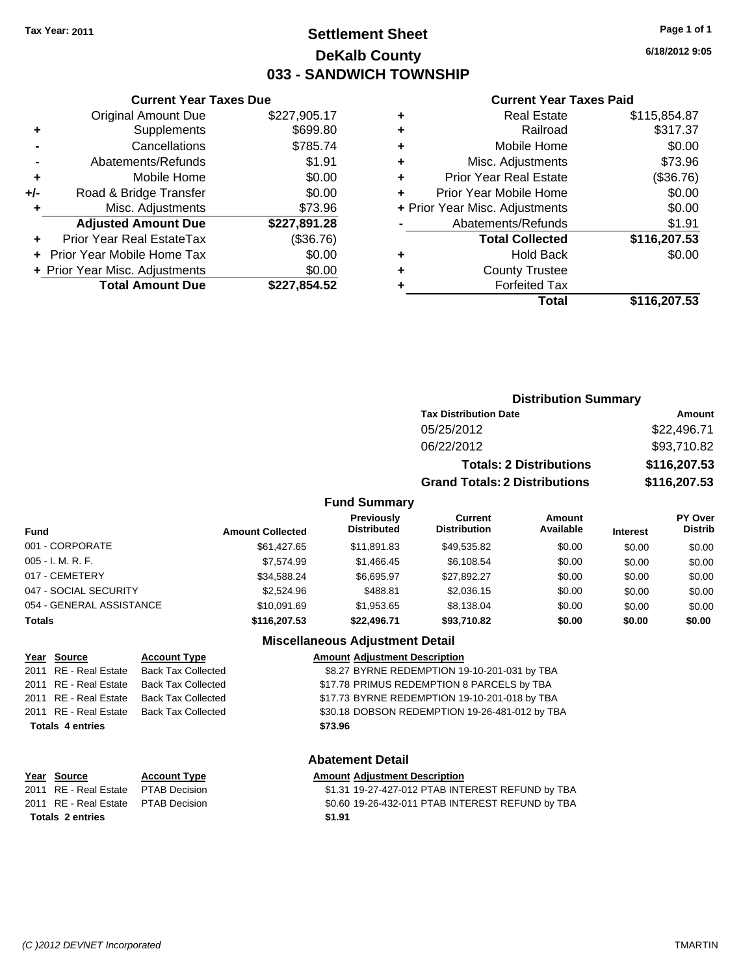# **Settlement Sheet Tax Year: 2011 Page 1 of 1 DeKalb County 033 - SANDWICH TOWNSHIP**

**6/18/2012 9:05**

#### **Current Year Taxes Paid**

| ٠   | Mobile Home                    | \$0.00       |
|-----|--------------------------------|--------------|
| +/- | Road & Bridge Transfer         | \$0.00       |
| ٠   | Misc. Adjustments              | \$73.96      |
|     | <b>Adjusted Amount Due</b>     | \$227,891.28 |
|     |                                |              |
|     | Prior Year Real EstateTax      | (\$36.76)    |
|     | Prior Year Mobile Home Tax     | \$0.00       |
|     | + Prior Year Misc. Adjustments | \$0.00       |
|     | <b>Total Amount Due</b>        | \$227,854.52 |

**Current Year Taxes Due**

| ٠ | Real Estate                    | \$115,854.87 |
|---|--------------------------------|--------------|
| ٠ | Railroad                       | \$317.37     |
| ٠ | Mobile Home                    | \$0.00       |
| ٠ | Misc. Adjustments              | \$73.96      |
| ٠ | <b>Prior Year Real Estate</b>  | (\$36.76)    |
| ٠ | Prior Year Mobile Home         | \$0.00       |
|   | + Prior Year Misc. Adjustments | \$0.00       |
|   | Abatements/Refunds             | \$1.91       |
|   | <b>Total Collected</b>         | \$116,207.53 |
| ٠ | Hold Back                      | \$0.00       |
| ٠ | <b>County Trustee</b>          |              |
|   | <b>Forfeited Tax</b>           |              |
|   | Total                          | \$116,207.53 |
|   |                                |              |

# **Distribution Summary Tax Distribution Date Amount** 05/25/2012 \$22,496.71 06/22/2012 \$93,710.82 **Totals: 2 Distributions \$116,207.53 Grand Totals: 2 Distributions \$116,207.53**

### **Fund Summary**

| <b>Fund</b>              | <b>Amount Collected</b> | Previously<br><b>Distributed</b> | Current<br><b>Distribution</b> | Amount<br>Available | <b>Interest</b> | PY Over<br><b>Distrib</b> |
|--------------------------|-------------------------|----------------------------------|--------------------------------|---------------------|-----------------|---------------------------|
| 001 - CORPORATE          | \$61,427.65             | \$11,891.83                      | \$49,535.82                    | \$0.00              | \$0.00          | \$0.00                    |
| $005 - I. M. R. F.$      | \$7.574.99              | \$1,466,45                       | \$6,108.54                     | \$0.00              | \$0.00          | \$0.00                    |
| 017 - CEMETERY           | \$34.588.24             | \$6.695.97                       | \$27.892.27                    | \$0.00              | \$0.00          | \$0.00                    |
| 047 - SOCIAL SECURITY    | \$2,524.96              | \$488.81                         | \$2,036.15                     | \$0.00              | \$0.00          | \$0.00                    |
| 054 - GENERAL ASSISTANCE | \$10.091.69             | \$1.953.65                       | \$8.138.04                     | \$0.00              | \$0.00          | \$0.00                    |
| <b>Totals</b>            | \$116,207.53            | \$22,496.71                      | \$93.710.82                    | \$0.00              | \$0.00          | \$0.00                    |

## **Miscellaneous Adjustment Detail**

| Year Source             | <b>Account Type</b>                      | <b>Amount Adjustment Description</b>           |
|-------------------------|------------------------------------------|------------------------------------------------|
| 2011 RE - Real Estate   | <b>Back Tax Collected</b>                | \$8.27 BYRNE REDEMPTION 19-10-201-031 by TBA   |
| 2011 RE - Real Estate   | Back Tax Collected                       | \$17.78 PRIMUS REDEMPTION 8 PARCELS by TBA     |
|                         | 2011 RE - Real Estate Back Tax Collected | \$17.73 BYRNE REDEMPTION 19-10-201-018 by TBA  |
|                         | 2011 RE - Real Estate Back Tax Collected | \$30.18 DOBSON REDEMPTION 19-26-481-012 by TBA |
| <b>Totals 4 entries</b> |                                          | \$73.96                                        |
|                         |                                          |                                                |
|                         |                                          |                                                |

### **Abatement Detail**

#### **Year Source Account Type Amount Adjustment Description**

2011 RE - Real Estate \$1.31 19-27-427-012 PTAB INTEREST REFUND by TBA PTAB Decision 2011 RE - Real Estate \$0.60 19-26-432-011 PTAB INTEREST REFUND by TBA PTAB Decision **Totals \$1.91 2 entries**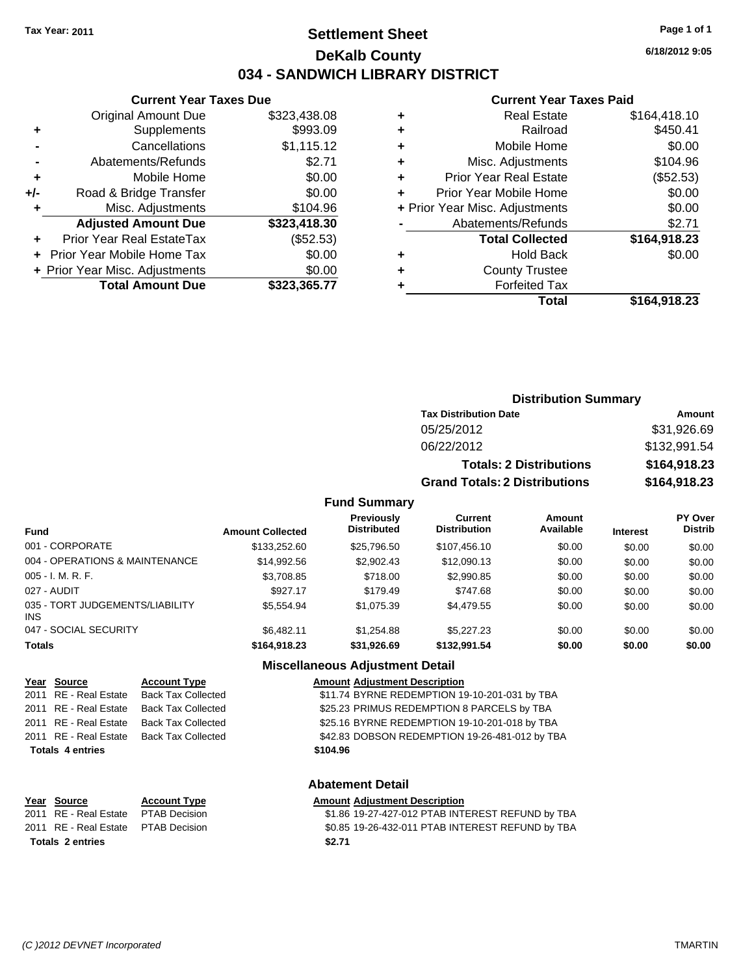# **Settlement Sheet Tax Year: 2011 Page 1 of 1 DeKalb County 034 - SANDWICH LIBRARY DISTRICT**

**6/18/2012 9:05**

#### **Current Year Taxes Paid**

|     | <b>Current Year Taxes Due</b>  |              |  |
|-----|--------------------------------|--------------|--|
|     | <b>Original Amount Due</b>     | \$323,438.08 |  |
| ٠   | Supplements                    | \$993.09     |  |
|     | Cancellations                  | \$1,115.12   |  |
|     | Abatements/Refunds             | \$2.71       |  |
| ٠   | Mobile Home                    | \$0.00       |  |
| +/- | Road & Bridge Transfer         | \$0.00       |  |
| ٠   | Misc. Adjustments              | \$104.96     |  |
|     | <b>Adjusted Amount Due</b>     | \$323,418.30 |  |
| ÷   | Prior Year Real EstateTax      | (\$52.53)    |  |
|     | Prior Year Mobile Home Tax     | \$0.00       |  |
|     | + Prior Year Misc. Adjustments | \$0.00       |  |
|     | <b>Total Amount Due</b>        | \$323,365.77 |  |
|     |                                |              |  |

| <b>Real Estate</b>             | \$164,418.10 |
|--------------------------------|--------------|
| Railroad                       | \$450.41     |
| Mobile Home                    | \$0.00       |
| Misc. Adjustments              | \$104.96     |
| <b>Prior Year Real Estate</b>  | (\$52.53)    |
| Prior Year Mobile Home         | \$0.00       |
| + Prior Year Misc. Adjustments | \$0.00       |
| Abatements/Refunds             | \$2.71       |
| <b>Total Collected</b>         | \$164,918.23 |
| <b>Hold Back</b>               | \$0.00       |
| <b>County Trustee</b>          |              |
| <b>Forfeited Tax</b>           |              |
| Total                          | \$164,918.23 |
|                                |              |

## **Distribution Summary Tax Distribution Date Amount** 05/25/2012 \$31,926.69 06/22/2012 \$132,991.54

**Totals: 2 Distributions \$164,918.23 Grand Totals: 2 Distributions \$164,918.23**

#### **Fund Summary**

| <b>Fund</b>                                   | <b>Amount Collected</b> | <b>Previously</b><br><b>Distributed</b> | Current<br><b>Distribution</b> | Amount<br>Available | <b>Interest</b> | PY Over<br><b>Distrib</b> |
|-----------------------------------------------|-------------------------|-----------------------------------------|--------------------------------|---------------------|-----------------|---------------------------|
| 001 - CORPORATE                               | \$133,252.60            | \$25,796.50                             | \$107.456.10                   | \$0.00              | \$0.00          | \$0.00                    |
| 004 - OPERATIONS & MAINTENANCE                | \$14.992.56             | \$2,902.43                              | \$12,090.13                    | \$0.00              | \$0.00          | \$0.00                    |
| $005 - I. M. R. F.$                           | \$3,708.85              | \$718.00                                | \$2,990.85                     | \$0.00              | \$0.00          | \$0.00                    |
| 027 - AUDIT                                   | \$927.17                | \$179.49                                | \$747.68                       | \$0.00              | \$0.00          | \$0.00                    |
| 035 - TORT JUDGEMENTS/LIABILITY<br><b>INS</b> | \$5.554.94              | \$1,075.39                              | \$4,479.55                     | \$0.00              | \$0.00          | \$0.00                    |
| 047 - SOCIAL SECURITY                         | \$6,482.11              | \$1.254.88                              | \$5,227,23                     | \$0.00              | \$0.00          | \$0.00                    |
| <b>Totals</b>                                 | \$164.918.23            | \$31.926.69                             | \$132,991.54                   | \$0.00              | \$0.00          | \$0.00                    |

#### **Miscellaneous Adjustment Detail**

|                         | Year Source | <b>Account Type</b>                      | <b>Amount Adjustment Description</b>           |
|-------------------------|-------------|------------------------------------------|------------------------------------------------|
|                         |             | 2011 RE - Real Estate Back Tax Collected | \$11.74 BYRNE REDEMPTION 19-10-201-031 by TBA  |
|                         |             | 2011 RE - Real Estate Back Tax Collected | \$25.23 PRIMUS REDEMPTION 8 PARCELS by TBA     |
|                         |             | 2011 RE - Real Estate Back Tax Collected | \$25.16 BYRNE REDEMPTION 19-10-201-018 by TBA  |
|                         |             | 2011 RE - Real Estate Back Tax Collected | \$42.83 DOBSON REDEMPTION 19-26-481-012 by TBA |
| <b>Totals 4 entries</b> |             |                                          | \$104.96                                       |

#### **Abatement Detail**

\$1.86 19-27-427-012 PTAB INTEREST REFUND by TBA 2011 RE - Real Estate \$0.85 19-26-432-011 PTAB INTEREST REFUND by TBA PTAB Decision **Totals \$2.71 2 entries**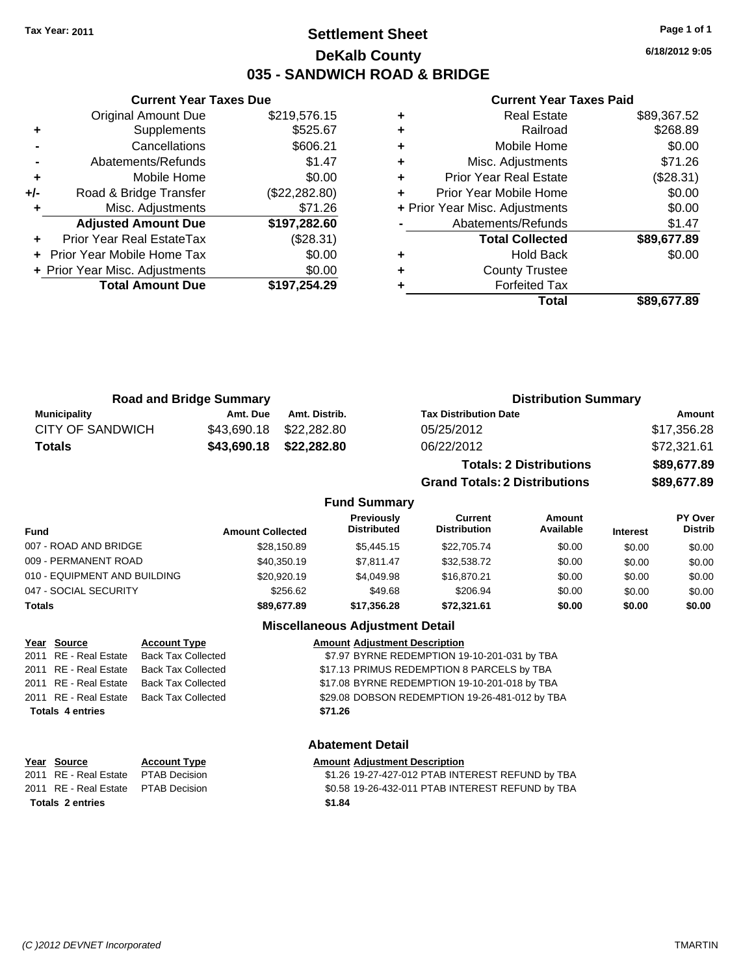# **Settlement Sheet Tax Year: 2011 Page 1 of 1 DeKalb County 035 - SANDWICH ROAD & BRIDGE**

**6/18/2012 9:05**

#### **Current Year Taxes Paid**

| <b>Adjusted Amount Due</b><br><b>Prior Year Real EstateTax</b><br>Prior Year Mobile Home Tax<br>+ Prior Year Misc. Adjustments | (\$28.31)<br>\$0.00<br>\$0.00 |
|--------------------------------------------------------------------------------------------------------------------------------|-------------------------------|
|                                                                                                                                |                               |
|                                                                                                                                |                               |
|                                                                                                                                |                               |
|                                                                                                                                | \$197,282.60                  |
| Misc. Adjustments                                                                                                              | \$71.26                       |
| Road & Bridge Transfer                                                                                                         | (\$22,282.80)                 |
| Mobile Home                                                                                                                    | \$0.00                        |
| Abatements/Refunds                                                                                                             | \$1.47                        |
| Cancellations                                                                                                                  | \$606.21                      |
| Supplements                                                                                                                    | \$525.67                      |
| <b>Original Amount Due</b>                                                                                                     | \$219,576.15                  |
|                                                                                                                                |                               |

**Current Year Taxes Due**

| <b>Real Estate</b>            | \$89,367.52                    |
|-------------------------------|--------------------------------|
| Railroad                      | \$268.89                       |
| Mobile Home                   | \$0.00                         |
| Misc. Adjustments             | \$71.26                        |
| <b>Prior Year Real Estate</b> | (\$28.31)                      |
| Prior Year Mobile Home        | \$0.00                         |
|                               | \$0.00                         |
| Abatements/Refunds            | \$1.47                         |
| <b>Total Collected</b>        | \$89,677.89                    |
| Hold Back                     | \$0.00                         |
| <b>County Trustee</b>         |                                |
| <b>Forfeited Tax</b>          |                                |
| Total                         | \$89.677.89                    |
|                               | + Prior Year Misc. Adjustments |

**Grand Totals: 2 Distributions \$89,677.89**

| <b>Road and Bridge Summary</b> |             |                         | <b>Distribution Summary</b>    |             |  |
|--------------------------------|-------------|-------------------------|--------------------------------|-------------|--|
| <b>Municipality</b>            | Amt. Due    | Amt. Distrib.           | <b>Tax Distribution Date</b>   | Amount      |  |
| <b>CITY OF SANDWICH</b>        |             | \$43.690.18 \$22.282.80 | 05/25/2012                     | \$17,356.28 |  |
| <b>Totals</b>                  | \$43,690.18 | \$22,282.80             | 06/22/2012                     | \$72,321.61 |  |
|                                |             |                         | <b>Totals: 2 Distributions</b> | \$89,677.89 |  |

**Fund Summary Fund Interest Amount Collected Distributed PY Over Distrib Amount Available Current Distribution Previously** 007 - ROAD AND BRIDGE 60.00 \$28,150.89 \$5,445.15 \$22,705.74 \$0.00 \$0.00 \$0.00 \$0.00 009 - PERMANENT ROAD \$40,350.19 \$7,811.47 \$32,538.72 \$0.00 \$0.00 \$0.00 010 - EQUIPMENT AND BUILDING \$20,920.19 \$4,049.98 \$16,870.21 \$0.00 \$0.00 \$0.00 047 - SOCIAL SECURITY \$256.62 \$49.68 \$206.94 \$0.00 \$0.00 \$0.00 **Totals \$89,677.89 \$17,356.28 \$72,321.61 \$0.00 \$0.00 \$0.00**

#### **Miscellaneous Adjustment Detail**

|                         | Year Source | <b>Account Type</b>                      | <b>Amount Adjustment Description</b>           |
|-------------------------|-------------|------------------------------------------|------------------------------------------------|
|                         |             | 2011 RE - Real Estate Back Tax Collected | \$7.97 BYRNE REDEMPTION 19-10-201-031 by TBA   |
|                         |             | 2011 RE - Real Estate Back Tax Collected | \$17.13 PRIMUS REDEMPTION 8 PARCELS by TBA     |
|                         |             | 2011 RE - Real Estate Back Tax Collected | \$17.08 BYRNE REDEMPTION 19-10-201-018 by TBA  |
|                         |             | 2011 RE - Real Estate Back Tax Collected | \$29.08 DOBSON REDEMPTION 19-26-481-012 by TBA |
| <b>Totals 4 entries</b> |             |                                          | \$71.26                                        |
|                         |             |                                          |                                                |

|                         | <b>Abatement Detail</b>             |                     |                                                  |
|-------------------------|-------------------------------------|---------------------|--------------------------------------------------|
|                         | Year Source                         | <b>Account Type</b> | <b>Amount Adjustment Description</b>             |
|                         | 2011 RE - Real Estate PTAB Decision |                     | \$1.26 19-27-427-012 PTAB INTEREST REFUND by TBA |
|                         | 2011 RE - Real Estate PTAB Decision |                     | \$0.58 19-26-432-011 PTAB INTEREST REFUND by TBA |
| <b>Totals 2 entries</b> |                                     |                     | \$1.84                                           |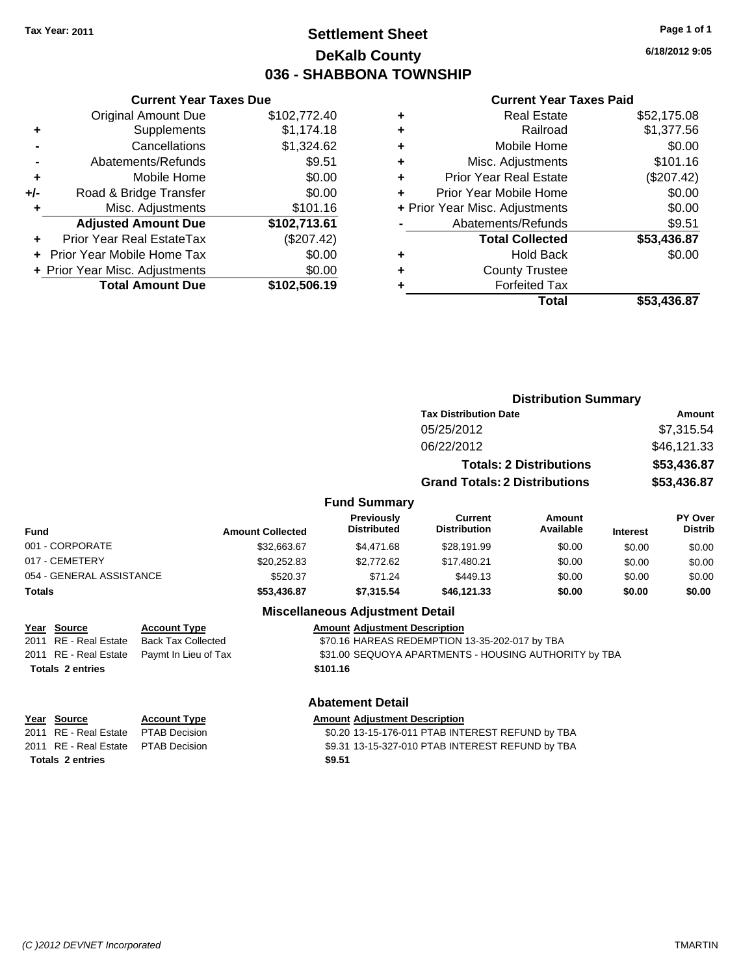# **Settlement Sheet Tax Year: 2011 Page 1 of 1 DeKalb County 036 - SHABBONA TOWNSHIP**

**6/18/2012 9:05**

#### **Current Year Taxes Paid**

|     | <b>Total Amount Due</b>           | \$102,506.19 |
|-----|-----------------------------------|--------------|
|     | + Prior Year Misc. Adjustments    | \$0.00       |
|     | <b>Prior Year Mobile Home Tax</b> | \$0.00       |
|     | Prior Year Real EstateTax         | (\$207.42)   |
|     | <b>Adjusted Amount Due</b>        | \$102,713.61 |
| ٠   | Misc. Adjustments                 | \$101.16     |
| +/- | Road & Bridge Transfer            | \$0.00       |
| ٠   | Mobile Home                       | \$0.00       |
|     | Abatements/Refunds                | \$9.51       |
|     | Cancellations                     | \$1,324.62   |
| ٠   | Supplements                       | \$1,174.18   |
|     | <b>Original Amount Due</b>        | \$102,772.40 |
|     |                                   |              |

**Current Year Taxes Due**

| ٠ | <b>Real Estate</b>             | \$52,175.08 |
|---|--------------------------------|-------------|
| ٠ | Railroad                       | \$1,377.56  |
| ٠ | Mobile Home                    | \$0.00      |
| ٠ | Misc. Adjustments              | \$101.16    |
| ٠ | <b>Prior Year Real Estate</b>  | (\$207.42)  |
| ٠ | Prior Year Mobile Home         | \$0.00      |
|   | + Prior Year Misc. Adjustments | \$0.00      |
|   | Abatements/Refunds             | \$9.51      |
|   | <b>Total Collected</b>         | \$53,436.87 |
| ٠ | <b>Hold Back</b>               | \$0.00      |
| ٠ | <b>County Trustee</b>          |             |
|   | <b>Forfeited Tax</b>           |             |
|   | Total                          | \$53,436.87 |
|   |                                |             |

|                          | <b>Distribution Summary</b> |                                         |                                       |                                |                 |                           |
|--------------------------|-----------------------------|-----------------------------------------|---------------------------------------|--------------------------------|-----------------|---------------------------|
|                          |                             |                                         | <b>Tax Distribution Date</b>          |                                |                 | Amount                    |
|                          |                             |                                         | 05/25/2012                            |                                |                 | \$7,315.54                |
|                          |                             |                                         | 06/22/2012                            |                                |                 | \$46,121.33               |
|                          |                             |                                         |                                       | <b>Totals: 2 Distributions</b> |                 | \$53,436.87               |
|                          |                             |                                         | <b>Grand Totals: 2 Distributions</b>  |                                |                 | \$53,436.87               |
|                          |                             | <b>Fund Summary</b>                     |                                       |                                |                 |                           |
| <b>Fund</b>              | <b>Amount Collected</b>     | <b>Previously</b><br><b>Distributed</b> | <b>Current</b><br><b>Distribution</b> | Amount<br>Available            | <b>Interest</b> | PY Over<br><b>Distrib</b> |
| 001 - CORPORATE          | \$32,663.67                 | \$4,471.68                              | \$28,191.99                           | \$0.00                         | \$0.00          | \$0.00                    |
| 017 - CEMETERY           | \$20,252.83                 | \$2,772.62                              | \$17,480.21                           | \$0.00                         | \$0.00          | \$0.00                    |
| 054 - GENERAL ASSISTANCE | \$520.37                    | \$71.24                                 | \$449.13                              | \$0.00                         | \$0.00          | \$0.00                    |
| <b>Totals</b>            | \$53,436.87                 | \$7,315,54                              | \$46.121.33                           | \$0.00                         | \$0.00          | \$0.00                    |

## **Miscellaneous Adjustment Detail**

## **Year Source Account Type Amount Adjustment Description**

2011 RE - Real Estate Back Tax Collected **1998 STO.16 HAREAS REDEMPTION 13-35-202-017 by TBA** 82011 RE - Real Estate Paymt In Lieu of Tax \$31.00 SEQUOYA APARTMENTS - HOUSING AUTHO \$31.00 SEQUOYA APARTMENTS - HOUSING AUTHORITY by TBA **Totals \$101.16 2 entries**

#### **Abatement Detail**

| Year Source                         | <b>Account Type</b> | <b>Amount Adjustment Description</b>             |
|-------------------------------------|---------------------|--------------------------------------------------|
| 2011 RE - Real Estate PTAB Decision |                     | \$0.20 13-15-176-011 PTAB INTEREST REFUND by TBA |
| 2011 RE - Real Estate PTAB Decision |                     | \$9.31 13-15-327-010 PTAB INTEREST REFUND by TBA |
| <b>Totals 2 entries</b>             |                     | \$9.51                                           |

**Year Source Account Type Amount Adjustment Description**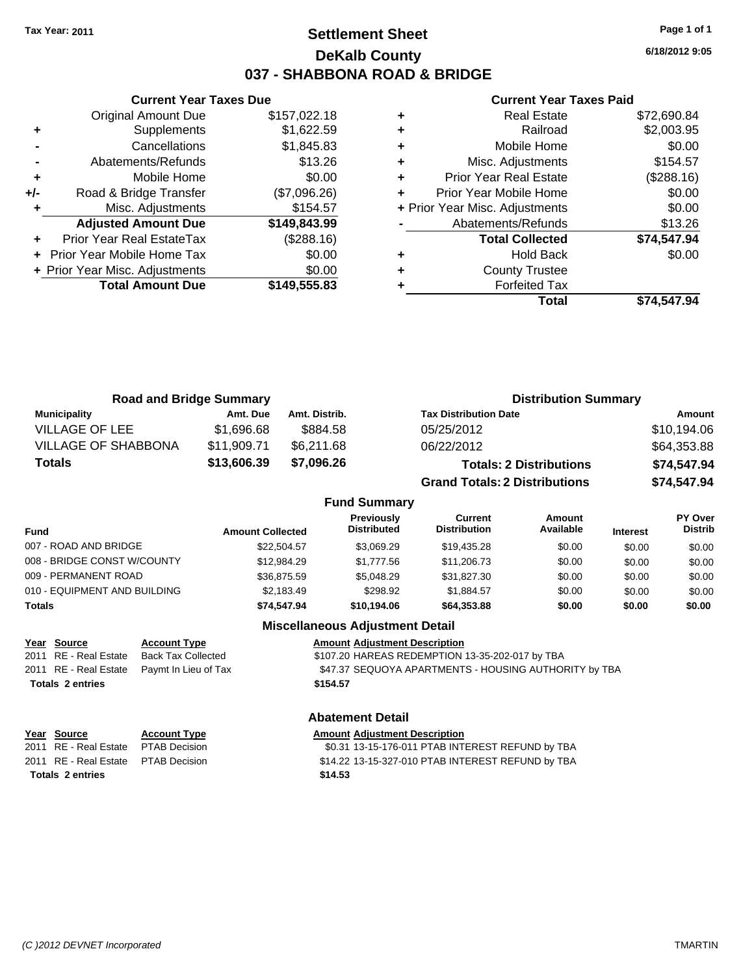**Current Year Taxes Due** Original Amount Due \$157,022.18

**Adjusted Amount Due \$149,843.99**

**Total Amount Due \$149,555.83**

**+** Supplements \$1,622.59 **-** Cancellations \$1,845.83 **-** Abatements/Refunds \$13.26 **+** Mobile Home \$0.00 **+/-** Road & Bridge Transfer (\$7,096.26) **+** Misc. Adjustments \$154.57

**+** Prior Year Real EstateTax (\$288.16) **+** Prior Year Mobile Home Tax \$0.00 **+ Prior Year Misc. Adjustments**  $$0.00$ 

## **Settlement Sheet Tax Year: 2011 Page 1 of 1 DeKalb County 037 - SHABBONA ROAD & BRIDGE**

**6/18/2012 9:05**

#### **Current Year Taxes Paid**

| Total                          | \$74.547.94 |
|--------------------------------|-------------|
| <b>Forfeited Tax</b>           |             |
| <b>County Trustee</b>          |             |
| <b>Hold Back</b>               | \$0.00      |
| <b>Total Collected</b>         | \$74,547.94 |
| Abatements/Refunds             | \$13.26     |
| + Prior Year Misc. Adjustments | \$0.00      |
| Prior Year Mobile Home         | \$0.00      |
| <b>Prior Year Real Estate</b>  | (\$288.16)  |
| Misc. Adjustments              | \$154.57    |
| Mobile Home                    | \$0.00      |
| Railroad                       | \$2,003.95  |
| <b>Real Estate</b>             | \$72,690.84 |
|                                |             |

| <b>Road and Bridge Summary</b> |             |                     | <b>Distribution Summary</b>          |             |  |
|--------------------------------|-------------|---------------------|--------------------------------------|-------------|--|
| <b>Municipality</b>            | Amt. Due    | Amt. Distrib.       | <b>Tax Distribution Date</b>         | Amount      |  |
| <b>VILLAGE OF LEE</b>          | \$1,696.68  | \$884.58            | 05/25/2012                           | \$10,194.06 |  |
| <b>VILLAGE OF SHABBONA</b>     | \$11,909.71 | \$6,211.68          | 06/22/2012                           | \$64,353.88 |  |
| <b>Totals</b>                  | \$13,606.39 | \$7,096.26          | <b>Totals: 2 Distributions</b>       | \$74,547.94 |  |
|                                |             |                     | <b>Grand Totals: 2 Distributions</b> | \$74,547.94 |  |
|                                |             | <b>Fund Summary</b> |                                      |             |  |

| Fund                         | <b>Amount Collected</b> | <b>Previously</b><br><b>Distributed</b> | Current<br><b>Distribution</b> | Amount<br>Available | <b>Interest</b> | PY Over<br><b>Distrib</b> |
|------------------------------|-------------------------|-----------------------------------------|--------------------------------|---------------------|-----------------|---------------------------|
| 007 - ROAD AND BRIDGE        | \$22,504.57             | \$3.069.29                              | \$19,435.28                    | \$0.00              | \$0.00          | \$0.00                    |
| 008 - BRIDGE CONST W/COUNTY  | \$12,984.29             | \$1.777.56                              | \$11,206.73                    | \$0.00              | \$0.00          | \$0.00                    |
| 009 - PERMANENT ROAD         | \$36,875.59             | \$5,048.29                              | \$31,827.30                    | \$0.00              | \$0.00          | \$0.00                    |
| 010 - EQUIPMENT AND BUILDING | \$2.183.49              | \$298.92                                | \$1.884.57                     | \$0.00              | \$0.00          | \$0.00                    |
| Totals                       | \$74,547.94             | \$10.194.06                             | \$64,353.88                    | \$0.00              | \$0.00          | \$0.00                    |

#### **Miscellaneous Adjustment Detail**

| <u>Year Source</u>      | <b>Account Type</b>                        | <b>Amount Adjustment Description</b>                  |
|-------------------------|--------------------------------------------|-------------------------------------------------------|
| 2011 RE - Real Estate   | Back Tax Collected                         | \$107.20 HAREAS REDEMPTION 13-35-202-017 by TBA       |
|                         | 2011 RE - Real Estate Paymt In Lieu of Tax | \$47.37 SEQUOYA APARTMENTS - HOUSING AUTHORITY by TBA |
| <b>Totals 2 entries</b> |                                            | \$154.57                                              |
|                         |                                            |                                                       |

### **Abatement Detail**

| Year Source                          | <b>Account Type</b> | <b>Amount Adjustment Description</b>              |
|--------------------------------------|---------------------|---------------------------------------------------|
| 2011 RE - Real Estate  PTAB Decision |                     | \$0.31 13-15-176-011 PTAB INTEREST REFUND by TBA  |
| 2011 RE - Real Estate  PTAB Decision |                     | \$14.22 13-15-327-010 PTAB INTEREST REFUND by TBA |
| <b>Totals 2 entries</b>              |                     | \$14.53                                           |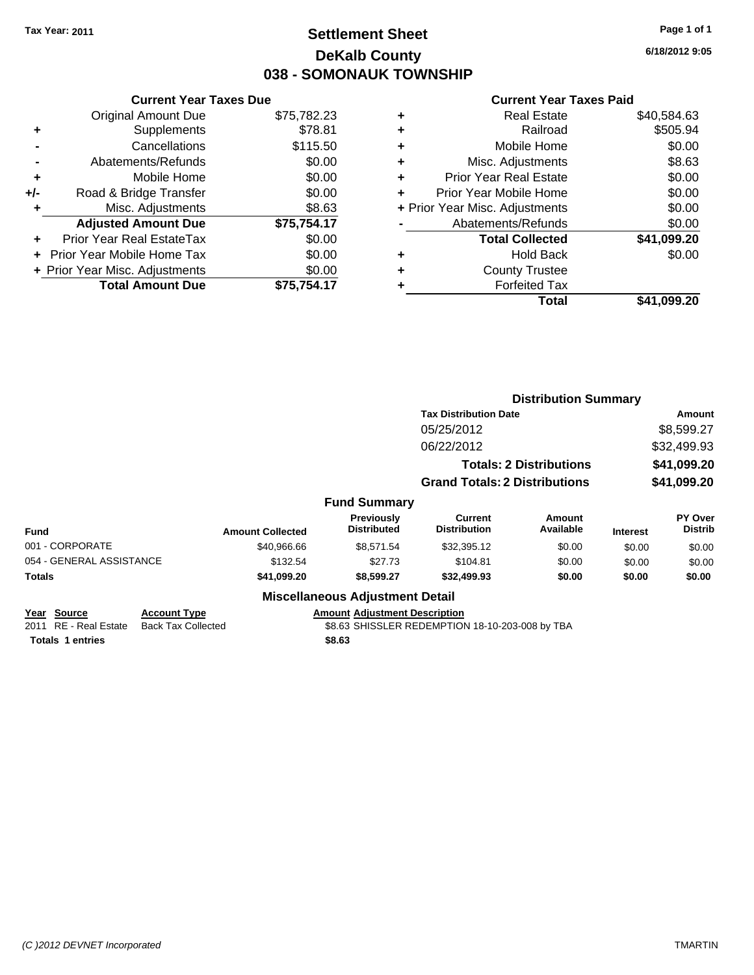# **Settlement Sheet Tax Year: 2011 Page 1 of 1 DeKalb County 038 - SOMONAUK TOWNSHIP**

**6/18/2012 9:05**

#### **Current Year Taxes Paid**

|     | <b>Current Year Taxes Due</b>  |             |
|-----|--------------------------------|-------------|
|     | <b>Original Amount Due</b>     | \$75,782.23 |
| ٠   | Supplements                    | \$78.81     |
|     | Cancellations                  | \$115.50    |
|     | Abatements/Refunds             | \$0.00      |
| ٠   | Mobile Home                    | \$0.00      |
| +/- | Road & Bridge Transfer         | \$0.00      |
| ٠   | Misc. Adjustments              | \$8.63      |
|     | <b>Adjusted Amount Due</b>     | \$75,754.17 |
|     | Prior Year Real EstateTax      | \$0.00      |
|     | Prior Year Mobile Home Tax     | \$0.00      |
|     | + Prior Year Misc. Adjustments | \$0.00      |
|     | <b>Total Amount Due</b>        | \$75,754.17 |
|     |                                |             |

|          | \$40,584.63                                                                                                                                                                                                                                                              |
|----------|--------------------------------------------------------------------------------------------------------------------------------------------------------------------------------------------------------------------------------------------------------------------------|
| Railroad | \$505.94                                                                                                                                                                                                                                                                 |
|          | \$0.00                                                                                                                                                                                                                                                                   |
|          | \$8.63                                                                                                                                                                                                                                                                   |
|          | \$0.00                                                                                                                                                                                                                                                                   |
|          | \$0.00                                                                                                                                                                                                                                                                   |
|          | \$0.00                                                                                                                                                                                                                                                                   |
|          | \$0.00                                                                                                                                                                                                                                                                   |
|          | \$41,099.20                                                                                                                                                                                                                                                              |
|          | \$0.00                                                                                                                                                                                                                                                                   |
|          |                                                                                                                                                                                                                                                                          |
|          |                                                                                                                                                                                                                                                                          |
| Total    | \$41.099.20                                                                                                                                                                                                                                                              |
|          | <b>Real Estate</b><br>Mobile Home<br>Misc. Adjustments<br><b>Prior Year Real Estate</b><br>Prior Year Mobile Home<br>+ Prior Year Misc. Adjustments<br>Abatements/Refunds<br><b>Total Collected</b><br><b>Hold Back</b><br><b>County Trustee</b><br><b>Forfeited Tax</b> |

|                          |                           |                         |                                         | <b>Distribution Summary</b>                     |                                |                 |                                  |
|--------------------------|---------------------------|-------------------------|-----------------------------------------|-------------------------------------------------|--------------------------------|-----------------|----------------------------------|
|                          |                           |                         |                                         | <b>Tax Distribution Date</b>                    |                                | <b>Amount</b>   |                                  |
|                          |                           |                         |                                         | 05/25/2012                                      |                                |                 | \$8,599.27                       |
|                          |                           |                         |                                         | 06/22/2012                                      |                                |                 | \$32,499.93                      |
|                          |                           |                         |                                         |                                                 | <b>Totals: 2 Distributions</b> |                 | \$41,099.20                      |
|                          |                           |                         |                                         | <b>Grand Totals: 2 Distributions</b>            |                                |                 | \$41,099.20                      |
|                          |                           |                         | <b>Fund Summary</b>                     |                                                 |                                |                 |                                  |
| <b>Fund</b>              |                           | <b>Amount Collected</b> | <b>Previously</b><br><b>Distributed</b> | Current<br><b>Distribution</b>                  | Amount<br>Available            | <b>Interest</b> | <b>PY Over</b><br><b>Distrib</b> |
| 001 - CORPORATE          |                           | \$40,966.66             | \$8,571.54                              | \$32,395.12                                     | \$0.00                         | \$0.00          | \$0.00                           |
| 054 - GENERAL ASSISTANCE |                           | \$132.54                | \$27.73                                 | \$104.81                                        | \$0.00                         | \$0.00          | \$0.00                           |
| <b>Totals</b>            |                           | \$41,099.20             | \$8,599.27                              | \$32,499.93                                     | \$0.00                         | \$0.00          | \$0.00                           |
|                          |                           |                         | <b>Miscellaneous Adjustment Detail</b>  |                                                 |                                |                 |                                  |
| <b>Source</b><br>Year    | <b>Account Type</b>       |                         | <b>Amount Adjustment Description</b>    |                                                 |                                |                 |                                  |
| RE - Real Estate<br>2011 | <b>Back Tax Collected</b> |                         |                                         | \$8.63 SHISSLER REDEMPTION 18-10-203-008 by TBA |                                |                 |                                  |

**Totals \$8.63 1 entries**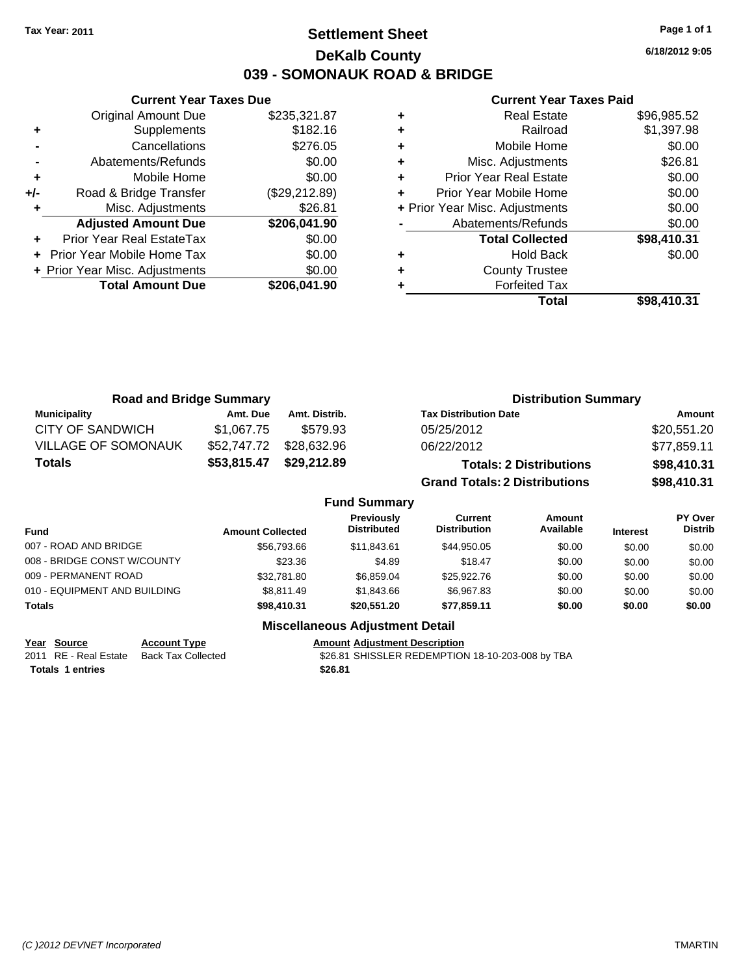## **Settlement Sheet Tax Year: 2011 Page 1 of 1 DeKalb County 039 - SOMONAUK ROAD & BRIDGE**

**6/18/2012 9:05**

#### **Current Year Taxes Paid**

|     | <b>Current Year Taxes Due</b>  |               |
|-----|--------------------------------|---------------|
|     | <b>Original Amount Due</b>     | \$235,321.87  |
| ٠   | Supplements                    | \$182.16      |
|     | Cancellations                  | \$276.05      |
|     | Abatements/Refunds             | \$0.00        |
| ٠   | Mobile Home                    | \$0.00        |
| +/- | Road & Bridge Transfer         | (\$29,212.89) |
| ٠   | Misc. Adjustments              | \$26.81       |
|     | <b>Adjusted Amount Due</b>     | \$206,041.90  |
|     | Prior Year Real EstateTax      | \$0.00        |
|     | Prior Year Mobile Home Tax     | \$0.00        |
|     | + Prior Year Misc. Adjustments | \$0.00        |
|     | <b>Total Amount Due</b>        | \$206,041.90  |
|     |                                |               |

| ٠ | <b>Real Estate</b>             | \$96,985.52 |
|---|--------------------------------|-------------|
| ٠ | Railroad                       | \$1,397.98  |
| ٠ | Mobile Home                    | \$0.00      |
| ٠ | Misc. Adjustments              | \$26.81     |
| ÷ | <b>Prior Year Real Estate</b>  | \$0.00      |
| ÷ | Prior Year Mobile Home         | \$0.00      |
|   | + Prior Year Misc. Adjustments | \$0.00      |
|   | Abatements/Refunds             | \$0.00      |
|   | <b>Total Collected</b>         | \$98,410.31 |
| ٠ | <b>Hold Back</b>               | \$0.00      |
| ٠ | <b>County Trustee</b>          |             |
|   | <b>Forfeited Tax</b>           |             |
|   | Total                          | \$98,410.31 |

| <b>Road and Bridge Summary</b> |             |               | <b>Distribution Summary</b>          |             |  |
|--------------------------------|-------------|---------------|--------------------------------------|-------------|--|
| <b>Municipality</b>            | Amt. Due    | Amt. Distrib. | <b>Tax Distribution Date</b>         | Amount      |  |
| <b>CITY OF SANDWICH</b>        | \$1.067.75  | \$579.93      | 05/25/2012                           | \$20,551.20 |  |
| <b>VILLAGE OF SOMONAUK</b>     | \$52,747.72 | \$28,632.96   | 06/22/2012                           | \$77,859.11 |  |
| <b>Totals</b>                  | \$53,815.47 | \$29,212.89   | <b>Totals: 2 Distributions</b>       | \$98,410.31 |  |
|                                |             |               | <b>Grand Totals: 2 Distributions</b> | \$98,410.31 |  |

#### **Fund Summary**

| Fund                         | <b>Amount Collected</b> | <b>Previously</b><br><b>Distributed</b> | Current<br><b>Distribution</b> | Amount<br>Available | <b>Interest</b> | PY Over<br><b>Distrib</b> |
|------------------------------|-------------------------|-----------------------------------------|--------------------------------|---------------------|-----------------|---------------------------|
| 007 - ROAD AND BRIDGE        | \$56,793,66             | \$11.843.61                             | \$44.950.05                    | \$0.00              | \$0.00          | \$0.00                    |
| 008 - BRIDGE CONST W/COUNTY  | \$23.36                 | \$4.89                                  | \$18.47                        | \$0.00              | \$0.00          | \$0.00                    |
| 009 - PERMANENT ROAD         | \$32,781.80             | \$6.859.04                              | \$25,922,76                    | \$0.00              | \$0.00          | \$0.00                    |
| 010 - EQUIPMENT AND BUILDING | \$8.811.49              | \$1,843,66                              | \$6,967.83                     | \$0.00              | \$0.00          | \$0.00                    |
| <b>Totals</b>                | \$98,410.31             | \$20.551.20                             | \$77.859.11                    | \$0.00              | \$0.00          | \$0.00                    |

### **Miscellaneous Adjustment Detail**

**Year Source Account Type Amount Adjustment Description**<br>
2011 RE - Real Estate Back Tax Collected \$26.81 SHISSLER REDEMPTION

\$26.81 SHISSLER REDEMPTION 18-10-203-008 by TBA

**Totals \$26.81 1 entries**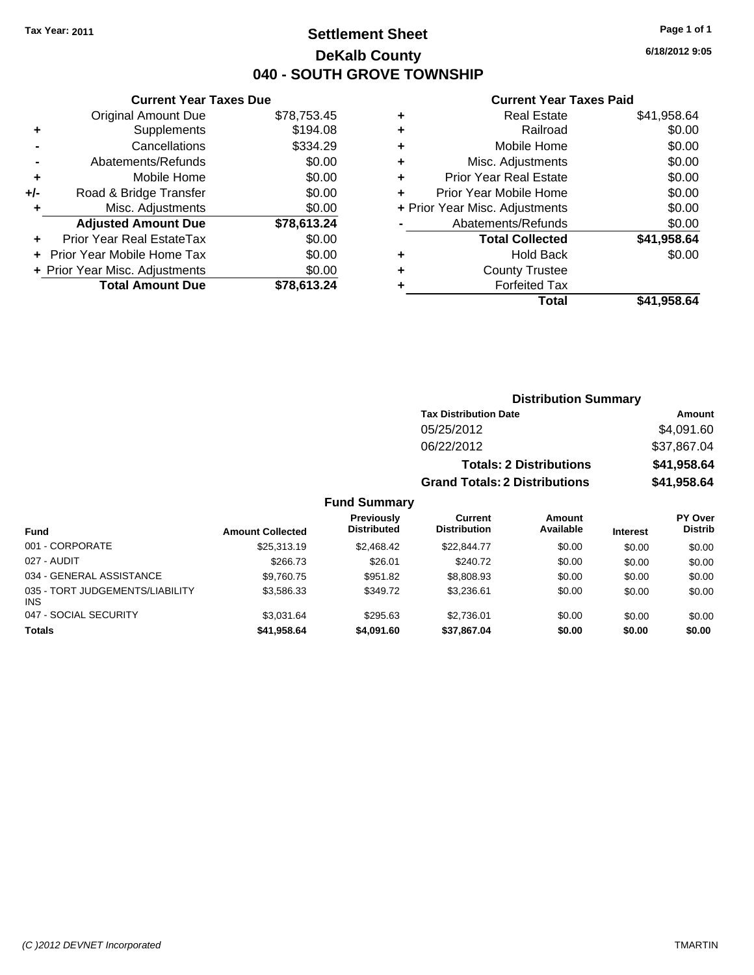# **Settlement Sheet Tax Year: 2011 Page 1 of 1 DeKalb County 040 - SOUTH GROVE TOWNSHIP**

**6/18/2012 9:05**

### **Current Year Taxes Paid**

|       | <b>Current Year Taxes Due</b>  |             |           | <b>Current Year Ta</b>         |
|-------|--------------------------------|-------------|-----------|--------------------------------|
|       | Original Amount Due            | \$78,753.45 | ٠         | <b>Real Estate</b>             |
|       | Supplements                    | \$194.08    | ٠         | Railroad                       |
|       | Cancellations                  | \$334.29    | ٠         | Mobile Home                    |
|       | Abatements/Refunds             | \$0.00      | ٠         | Misc. Adjustments              |
|       | Mobile Home                    | \$0.00      | ÷         | <b>Prior Year Real Estate</b>  |
| $+/-$ | Road & Bridge Transfer         | \$0.00      | ÷         | Prior Year Mobile Home         |
|       | Misc. Adjustments              | \$0.00      |           | + Prior Year Misc. Adjustments |
|       | <b>Adjusted Amount Due</b>     | \$78,613.24 |           | Abatements/Refunds             |
|       | Prior Year Real EstateTax      | \$0.00      |           | <b>Total Collected</b>         |
|       | + Prior Year Mobile Home Tax   | \$0.00      | $\ddot{}$ | <b>Hold Back</b>               |
|       | + Prior Year Misc. Adjustments | \$0.00      | ٠         | <b>County Trustee</b>          |
|       | <b>Total Amount Due</b>        | \$78,613.24 |           | <b>Forfeited Tax</b>           |
|       |                                |             |           | $T0$ tal                       |

|   | Guright rear raxes Falu        |             |
|---|--------------------------------|-------------|
| ÷ | <b>Real Estate</b>             | \$41,958.64 |
| ÷ | Railroad                       | \$0.00      |
| ÷ | Mobile Home                    | \$0.00      |
| ÷ | Misc. Adjustments              | \$0.00      |
| ÷ | <b>Prior Year Real Estate</b>  | \$0.00      |
| ÷ | Prior Year Mobile Home         | \$0.00      |
|   | + Prior Year Misc. Adjustments | \$0.00      |
|   | Abatements/Refunds             | \$0.00      |
|   | <b>Total Collected</b>         | \$41,958.64 |
| ÷ | <b>Hold Back</b>               | \$0.00      |
| ÷ | <b>County Trustee</b>          |             |
| ٠ | <b>Forfeited Tax</b>           |             |
|   | Total                          | \$41,958.64 |
|   |                                |             |

|                                         |                         |                                         |                                      | <b>Distribution Summary</b>    |                 |                                  |
|-----------------------------------------|-------------------------|-----------------------------------------|--------------------------------------|--------------------------------|-----------------|----------------------------------|
|                                         |                         |                                         | <b>Tax Distribution Date</b>         |                                |                 | Amount                           |
|                                         |                         |                                         | 05/25/2012                           |                                |                 | \$4,091.60                       |
|                                         |                         |                                         | 06/22/2012                           |                                |                 | \$37,867.04                      |
|                                         |                         |                                         |                                      | <b>Totals: 2 Distributions</b> |                 | \$41,958.64                      |
|                                         |                         |                                         | <b>Grand Totals: 2 Distributions</b> |                                |                 | \$41,958.64                      |
|                                         |                         | <b>Fund Summary</b>                     |                                      |                                |                 |                                  |
| Fund                                    | <b>Amount Collected</b> | <b>Previously</b><br><b>Distributed</b> | Current<br><b>Distribution</b>       | <b>Amount</b><br>Available     | <b>Interest</b> | <b>PY Over</b><br><b>Distrib</b> |
| 001 - CORPORATE                         | \$25,313.19             | \$2,468.42                              | \$22,844.77                          | \$0.00                         | \$0.00          | \$0.00                           |
| 027 - AUDIT                             | \$266.73                | \$26.01                                 | \$240.72                             | \$0.00                         | \$0.00          | \$0.00                           |
| 034 - GENERAL ASSISTANCE                | \$9,760.75              | \$951.82                                | \$8,808.93                           | \$0.00                         | \$0.00          | \$0.00                           |
| 035 - TORT JUDGEMENTS/LIABILITY<br>INS. | \$3,586.33              | \$349.72                                | \$3,236.61                           | \$0.00                         | \$0.00          | \$0.00                           |
| 047 - SOCIAL SECURITY                   | \$3,031.64              | \$295.63                                | \$2,736.01                           | \$0.00                         | \$0.00          | \$0.00                           |
| Totals                                  | \$41,958.64             | \$4,091.60                              | \$37,867.04                          | \$0.00                         | \$0.00          | \$0.00                           |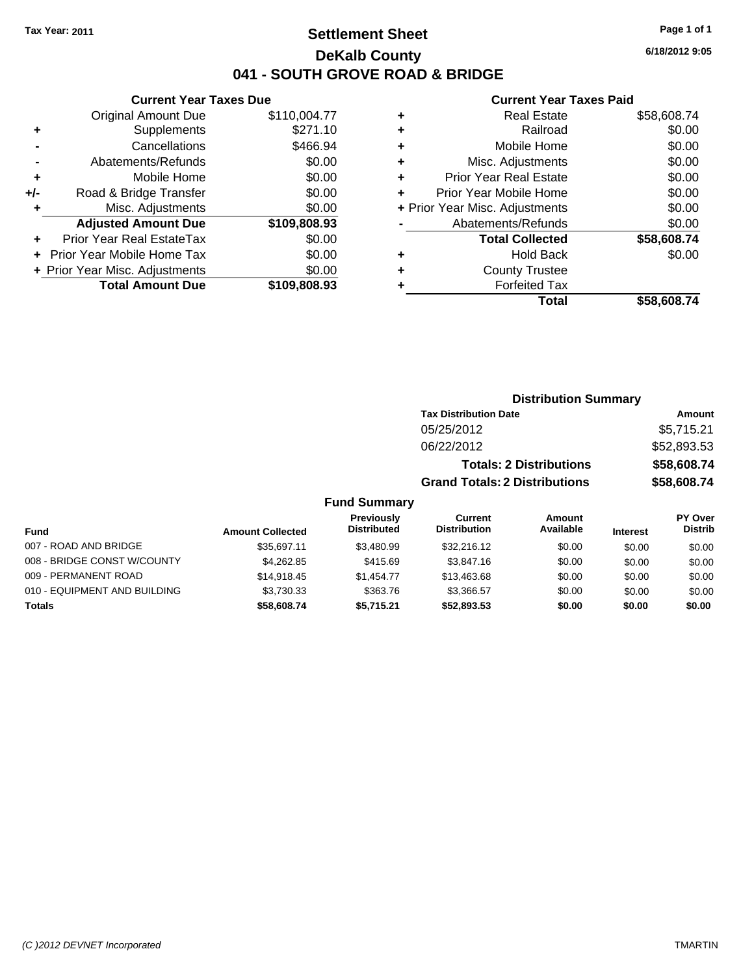## **Settlement Sheet Tax Year: 2011 Page 1 of 1 DeKalb County 041 - SOUTH GROVE ROAD & BRIDGE**

### **Current Year Taxes Due**

|     | <b>Original Amount Due</b>       | \$110,004.77 |
|-----|----------------------------------|--------------|
| ٠   | Supplements                      | \$271.10     |
|     | Cancellations                    | \$466.94     |
|     | Abatements/Refunds               | \$0.00       |
| ٠   | Mobile Home                      | \$0.00       |
| +/- | Road & Bridge Transfer           | \$0.00       |
| ٠   | Misc. Adjustments                | \$0.00       |
|     | <b>Adjusted Amount Due</b>       | \$109,808.93 |
|     |                                  |              |
|     | <b>Prior Year Real EstateTax</b> | \$0.00       |
|     | Prior Year Mobile Home Tax       | \$0.00       |
|     | + Prior Year Misc. Adjustments   | \$0.00       |
|     | <b>Total Amount Due</b>          | \$109,808.93 |

#### **Current Year Taxes Paid**

|   | <b>Real Estate</b>             | \$58,608.74 |
|---|--------------------------------|-------------|
| ٠ | Railroad                       | \$0.00      |
| ٠ | Mobile Home                    | \$0.00      |
| ٠ | Misc. Adjustments              | \$0.00      |
| ٠ | <b>Prior Year Real Estate</b>  | \$0.00      |
|   | Prior Year Mobile Home         | \$0.00      |
|   | + Prior Year Misc. Adjustments | \$0.00      |
|   | Abatements/Refunds             | \$0.00      |
|   | <b>Total Collected</b>         | \$58,608.74 |
| ٠ | Hold Back                      | \$0.00      |
| ٠ | <b>County Trustee</b>          |             |
| ٠ | <b>Forfeited Tax</b>           |             |
|   | Total                          | \$58,608.74 |
|   |                                |             |

|                   |                                      | <b>Distribution Summary</b>    |                |
|-------------------|--------------------------------------|--------------------------------|----------------|
|                   | <b>Tax Distribution Date</b>         |                                | Amount         |
|                   | 05/25/2012                           |                                | \$5,715.21     |
|                   | 06/22/2012                           |                                | \$52,893.53    |
|                   |                                      | <b>Totals: 2 Distributions</b> | \$58,608.74    |
|                   | <b>Grand Totals: 2 Distributions</b> |                                | \$58,608.74    |
| nd Summary        |                                      |                                |                |
| <b>Previously</b> | Current                              | Amount                         | <b>PY Over</b> |

## **Fur**

| <b>Fund</b>                  | <b>Amount Collected</b> | Previously<br><b>Distributed</b> | Current<br><b>Distribution</b> | Amount<br>Available | <b>Interest</b> | <b>PY Over</b><br><b>Distrib</b> |
|------------------------------|-------------------------|----------------------------------|--------------------------------|---------------------|-----------------|----------------------------------|
| 007 - ROAD AND BRIDGE        | \$35.697.11             | \$3.480.99                       | \$32,216.12                    | \$0.00              | \$0.00          | \$0.00                           |
| 008 - BRIDGE CONST W/COUNTY  | \$4,262.85              | \$415.69                         | \$3,847.16                     | \$0.00              | \$0.00          | \$0.00                           |
| 009 - PERMANENT ROAD         | \$14,918,45             | \$1.454.77                       | \$13,463.68                    | \$0.00              | \$0.00          | \$0.00                           |
| 010 - EQUIPMENT AND BUILDING | \$3.730.33              | \$363.76                         | \$3.366.57                     | \$0.00              | \$0.00          | \$0.00                           |
| <b>Totals</b>                | \$58,608.74             | \$5.715.21                       | \$52,893.53                    | \$0.00              | \$0.00          | \$0.00                           |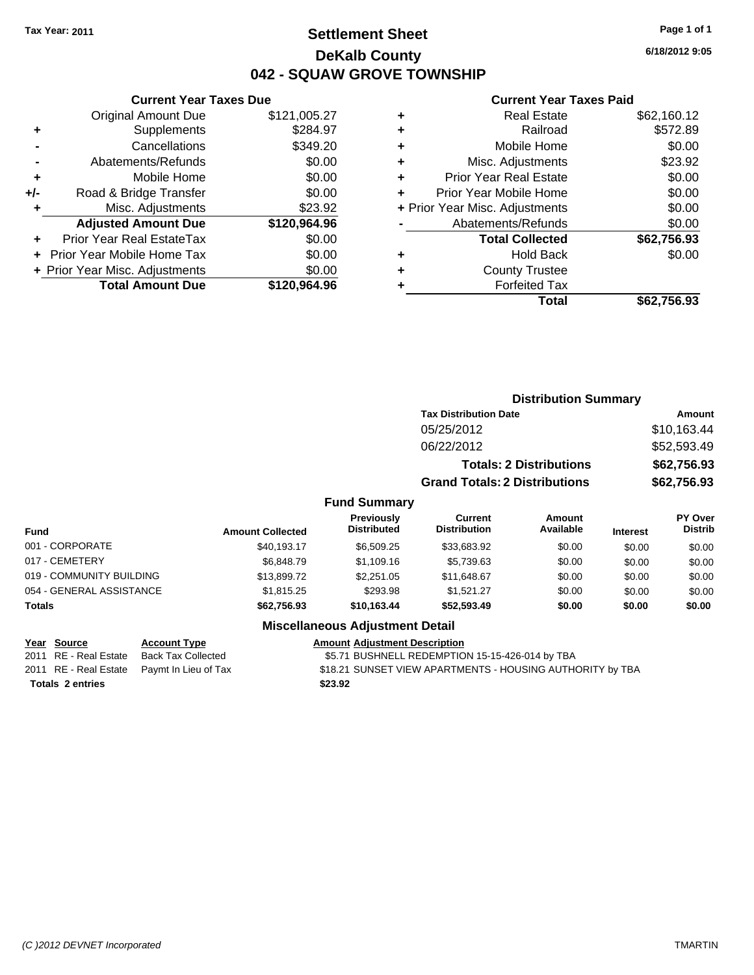# **Settlement Sheet Tax Year: 2011 Page 1 of 1 DeKalb County 042 - SQUAW GROVE TOWNSHIP**

**6/18/2012 9:05**

#### **Current Year Taxes Paid**

|     | <b>Current Year Taxes Due</b>  |              |  |
|-----|--------------------------------|--------------|--|
|     | <b>Original Amount Due</b>     | \$121,005.27 |  |
| ٠   | Supplements                    | \$284.97     |  |
|     | Cancellations                  | \$349.20     |  |
|     | Abatements/Refunds             | \$0.00       |  |
| ٠   | Mobile Home                    | \$0.00       |  |
| +/- | Road & Bridge Transfer         | \$0.00       |  |
|     | Misc. Adjustments              | \$23.92      |  |
|     | <b>Adjusted Amount Due</b>     | \$120,964.96 |  |
| ÷   | Prior Year Real EstateTax      | \$0.00       |  |
|     | Prior Year Mobile Home Tax     | \$0.00       |  |
|     | + Prior Year Misc. Adjustments | \$0.00       |  |
|     | <b>Total Amount Due</b>        | \$120,964.96 |  |
|     |                                |              |  |

| <b>Real Estate</b>             | \$62,160.12           |
|--------------------------------|-----------------------|
| Railroad                       | \$572.89              |
| Mobile Home                    | \$0.00                |
| Misc. Adjustments              | \$23.92               |
| <b>Prior Year Real Estate</b>  | \$0.00                |
| Prior Year Mobile Home         | \$0.00                |
| + Prior Year Misc. Adjustments | \$0.00                |
| Abatements/Refunds             | \$0.00                |
| <b>Total Collected</b>         | \$62,756.93           |
| <b>Hold Back</b>               | \$0.00                |
|                                |                       |
|                                |                       |
| <b>Forfeited Tax</b>           |                       |
|                                | <b>County Trustee</b> |

|                          |                         |                                         |                                      | <b>Distribution Summary</b>    |                 |                           |
|--------------------------|-------------------------|-----------------------------------------|--------------------------------------|--------------------------------|-----------------|---------------------------|
|                          |                         |                                         | <b>Tax Distribution Date</b>         |                                |                 | Amount                    |
|                          |                         |                                         | 05/25/2012                           |                                |                 | \$10,163.44               |
|                          |                         |                                         | 06/22/2012                           |                                |                 | \$52,593.49               |
|                          |                         |                                         |                                      | <b>Totals: 2 Distributions</b> |                 | \$62,756.93               |
|                          |                         |                                         | <b>Grand Totals: 2 Distributions</b> |                                |                 | \$62,756.93               |
|                          |                         | <b>Fund Summary</b>                     |                                      |                                |                 |                           |
| Fund                     | <b>Amount Collected</b> | <b>Previously</b><br><b>Distributed</b> | <b>Current</b><br>Distribution       | Amount<br>Available            | <b>Interest</b> | PY Over<br><b>Distrib</b> |
| 001 - CORPORATE          | \$40,193.17             | \$6,509.25                              | \$33,683.92                          | \$0.00                         | \$0.00          | \$0.00                    |
| 017 - CEMETERY           | \$6,848.79              | \$1,109.16                              | \$5,739.63                           | \$0.00                         | \$0.00          | \$0.00                    |
| 019 - COMMUNITY BUILDING | \$13,899.72             | \$2,251.05                              | \$11,648.67                          | \$0.00                         | \$0.00          | \$0.00                    |
| 054 - GENERAL ASSISTANCE | \$1,815.25              | \$293.98                                | \$1,521.27                           | \$0.00                         | \$0.00          | \$0.00                    |
| Totals                   | \$62,756.93             | \$10,163.44                             | \$52,593.49                          | \$0.00                         | \$0.00          | \$0.00                    |
|                          |                         | <b>Miscellaneous Adjustment Detail</b>  |                                      |                                |                 |                           |

**Totals \$23.92 2 entries**

**Year Source Account Type Amount Adjustment Description** 2011 RE - Real Estate Back Tax Collected \$5.71 BUSHNELL REDEMPTION 15-15-426-014 by TBA 2011 RE - Real Estate Paymt In Lieu of Tax **\$18.21 SUNSET VIEW APARTMENTS - HOUSING AUTHORITY by TBA**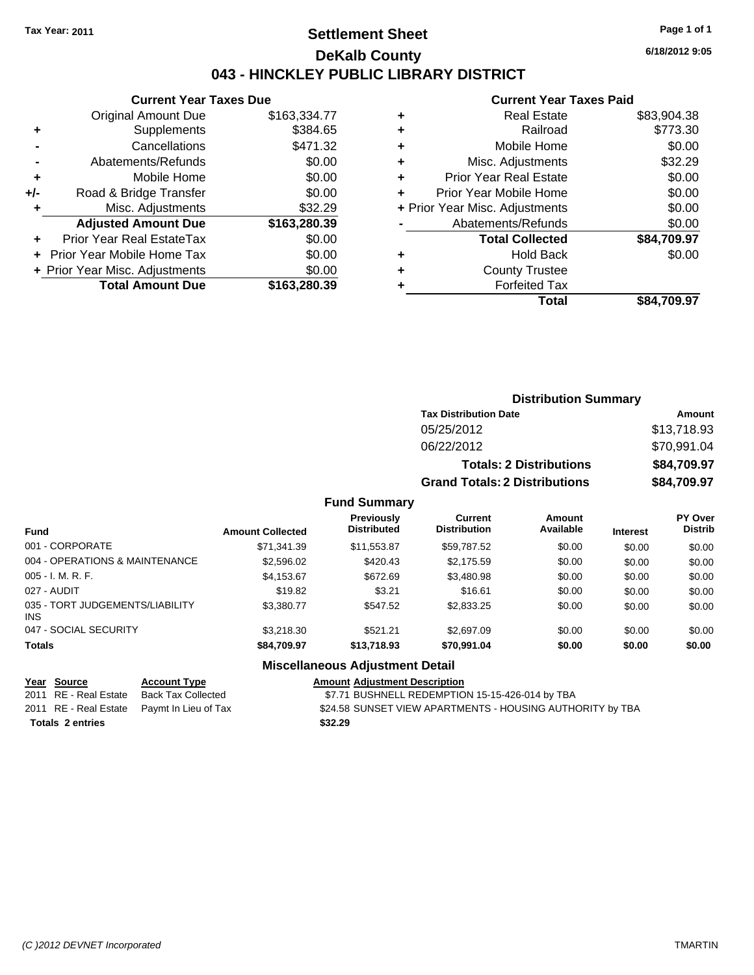## **Settlement Sheet Tax Year: 2011 Page 1 of 1 DeKalb County 043 - HINCKLEY PUBLIC LIBRARY DISTRICT**

**Current Year Taxes Due**

|     | <b>Original Amount Due</b>     | \$163,334.77 |
|-----|--------------------------------|--------------|
| ٠   | Supplements                    | \$384.65     |
|     | Cancellations                  | \$471.32     |
|     | Abatements/Refunds             | \$0.00       |
| ٠   | Mobile Home                    | \$0.00       |
| +/- | Road & Bridge Transfer         | \$0.00       |
| ٠   | Misc. Adjustments              | \$32.29      |
|     | <b>Adjusted Amount Due</b>     | \$163,280.39 |
|     | Prior Year Real EstateTax      | \$0.00       |
|     | Prior Year Mobile Home Tax     | \$0.00       |
|     | + Prior Year Misc. Adjustments | \$0.00       |
|     | <b>Total Amount Due</b>        | \$163,280.39 |
|     |                                |              |

#### **Current Year Taxes Paid**

| ٠ | Real Estate                    | \$83,904.38 |
|---|--------------------------------|-------------|
| ٠ | Railroad                       | \$773.30    |
| ٠ | Mobile Home                    | \$0.00      |
| ٠ | Misc. Adjustments              | \$32.29     |
| ٠ | <b>Prior Year Real Estate</b>  | \$0.00      |
| ٠ | Prior Year Mobile Home         | \$0.00      |
|   | + Prior Year Misc. Adjustments | \$0.00      |
|   | Abatements/Refunds             | \$0.00      |
|   | <b>Total Collected</b>         | \$84,709.97 |
| ٠ | Hold Back                      | \$0.00      |
| ٠ | <b>County Trustee</b>          |             |
|   | <b>Forfeited Tax</b>           |             |
|   | Total                          | \$84,709.97 |
|   |                                |             |

| <b>Distribution Summary</b>          |             |  |  |  |  |
|--------------------------------------|-------------|--|--|--|--|
| <b>Tax Distribution Date</b>         | Amount      |  |  |  |  |
| 05/25/2012                           | \$13,718.93 |  |  |  |  |
| 06/22/2012                           | \$70,991.04 |  |  |  |  |
| <b>Totals: 2 Distributions</b>       | \$84,709.97 |  |  |  |  |
| <b>Grand Totals: 2 Distributions</b> | \$84,709.97 |  |  |  |  |

## **Fund Summary**

| <b>Fund</b>                                   | <b>Amount Collected</b> | <b>Previously</b><br><b>Distributed</b> | Current<br><b>Distribution</b> | Amount<br>Available | <b>Interest</b> | PY Over<br><b>Distrib</b> |
|-----------------------------------------------|-------------------------|-----------------------------------------|--------------------------------|---------------------|-----------------|---------------------------|
| 001 - CORPORATE                               | \$71,341.39             | \$11,553.87                             | \$59,787.52                    | \$0.00              | \$0.00          | \$0.00                    |
| 004 - OPERATIONS & MAINTENANCE                | \$2,596.02              | \$420.43                                | \$2,175.59                     | \$0.00              | \$0.00          | \$0.00                    |
| $005 - I. M. R. F.$                           | \$4,153.67              | \$672.69                                | \$3,480.98                     | \$0.00              | \$0.00          | \$0.00                    |
| 027 - AUDIT                                   | \$19.82                 | \$3.21                                  | \$16.61                        | \$0.00              | \$0.00          | \$0.00                    |
| 035 - TORT JUDGEMENTS/LIABILITY<br><b>INS</b> | \$3,380.77              | \$547.52                                | \$2,833.25                     | \$0.00              | \$0.00          | \$0.00                    |
| 047 - SOCIAL SECURITY                         | \$3,218,30              | \$521.21                                | \$2,697.09                     | \$0.00              | \$0.00          | \$0.00                    |
| <b>Totals</b>                                 | \$84,709.97             | \$13,718.93                             | \$70,991.04                    | \$0.00              | \$0.00          | \$0.00                    |

#### **Miscellaneous Adjustment Detail**

| <u>Year Source</u>      | <b>Account Type</b>                        | <b>Amount Adjustment Description</b>                      |
|-------------------------|--------------------------------------------|-----------------------------------------------------------|
| 2011 RE - Real Estate   | Back Tax Collected                         | \$7.71 BUSHNELL REDEMPTION 15-15-426-014 by TBA           |
|                         | 2011 RE - Real Estate Paymt In Lieu of Tax | \$24.58 SUNSET VIEW APARTMENTS - HOUSING AUTHORITY by TBA |
| <b>Totals 2 entries</b> |                                            | \$32.29                                                   |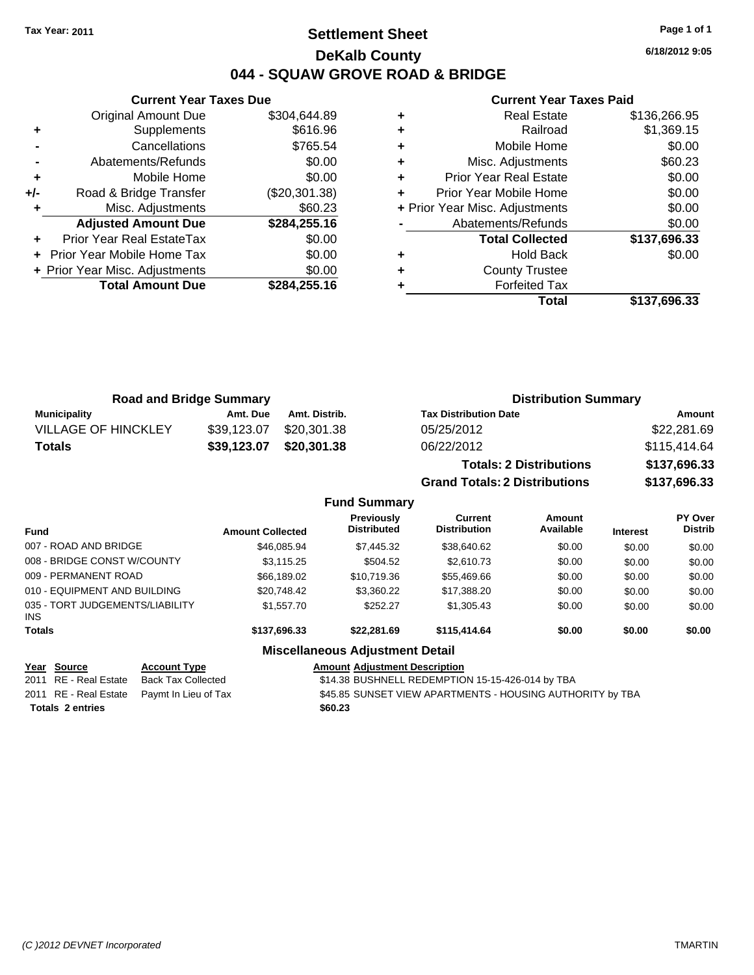**Current Year Taxes Due** Original Amount Due \$304,644.89

**Adjusted Amount Due \$284,255.16**

**Total Amount Due \$284,255.16**

**+** Supplements \$616.96 **-** Cancellations \$765.54 **-** Abatements/Refunds \$0.00 **+** Mobile Home \$0.00 **+/-** Road & Bridge Transfer (\$20,301.38) **+** Misc. Adjustments \$60.23

**+** Prior Year Real EstateTax \$0.00 **+** Prior Year Mobile Home Tax \$0.00 **+ Prior Year Misc. Adjustments**  $$0.00$ 

## **Settlement Sheet Tax Year: 2011 Page 1 of 1 DeKalb County 044 - SQUAW GROVE ROAD & BRIDGE**

**6/18/2012 9:05**

#### **Current Year Taxes Paid**

|   | Total                          | \$137.696.33 |
|---|--------------------------------|--------------|
| ٠ | <b>Forfeited Tax</b>           |              |
| ٠ | <b>County Trustee</b>          |              |
| ٠ | <b>Hold Back</b>               | \$0.00       |
|   | <b>Total Collected</b>         | \$137,696.33 |
|   | Abatements/Refunds             | \$0.00       |
|   | + Prior Year Misc. Adjustments | \$0.00       |
| ÷ | Prior Year Mobile Home         | \$0.00       |
| ÷ | <b>Prior Year Real Estate</b>  | \$0.00       |
| ÷ | Misc. Adjustments              | \$60.23      |
| ÷ | Mobile Home                    | \$0.00       |
| ٠ | Railroad                       | \$1,369.15   |
| ٠ | <b>Real Estate</b>             | \$136,266.95 |
|   |                                |              |

|                            | <b>Road and Bridge Summary</b> |               | <b>Distribution Summary</b>          |              |
|----------------------------|--------------------------------|---------------|--------------------------------------|--------------|
| <b>Municipality</b>        | Amt. Due                       | Amt. Distrib. | <b>Tax Distribution Date</b>         | Amount       |
| <b>VILLAGE OF HINCKLEY</b> | \$39,123.07                    | \$20,301.38   | 05/25/2012                           | \$22,281.69  |
| <b>Totals</b>              | \$39,123.07                    | \$20,301.38   | 06/22/2012                           | \$115,414.64 |
|                            |                                |               | <b>Totals: 2 Distributions</b>       | \$137,696.33 |
|                            |                                |               | <b>Grand Totals: 2 Distributions</b> | \$137,696.33 |

|                                         |                         | <b>Fund Summary</b>                     |                                |                     |                 |                           |
|-----------------------------------------|-------------------------|-----------------------------------------|--------------------------------|---------------------|-----------------|---------------------------|
| <b>Fund</b>                             | <b>Amount Collected</b> | <b>Previously</b><br><b>Distributed</b> | Current<br><b>Distribution</b> | Amount<br>Available | <b>Interest</b> | PY Over<br><b>Distrib</b> |
| 007 - ROAD AND BRIDGE                   | \$46,085.94             | \$7,445.32                              | \$38,640.62                    | \$0.00              | \$0.00          | \$0.00                    |
| 008 - BRIDGE CONST W/COUNTY             | \$3,115.25              | \$504.52                                | \$2,610.73                     | \$0.00              | \$0.00          | \$0.00                    |
| 009 - PERMANENT ROAD                    | \$66,189.02             | \$10,719.36                             | \$55,469.66                    | \$0.00              | \$0.00          | \$0.00                    |
| 010 - EQUIPMENT AND BUILDING            | \$20.748.42             | \$3,360.22                              | \$17,388.20                    | \$0.00              | \$0.00          | \$0.00                    |
| 035 - TORT JUDGEMENTS/LIABILITY<br>INS. | \$1,557.70              | \$252.27                                | \$1,305.43                     | \$0.00              | \$0.00          | \$0.00                    |
| <b>Totals</b>                           | \$137,696.33            | \$22,281.69                             | \$115,414.64                   | \$0.00              | \$0.00          | \$0.00                    |
|                                         |                         | <b>Miscellaneous Adjustment Detail</b>  |                                |                     |                 |                           |

### **Year Source Account Type Amount Adjustment Description**

**Totals \$60.23 2 entries**

2011 RE - Real Estate Back Tax Collected \$14.38 BUSHNELL REDEMPTION 15-15-426-014 by TBA 2011 RE - Real Estate Paymt In Lieu of Tax **\$45.85 SUNSET VIEW APARTMENTS - HOUSING AUTHORITY by TBA**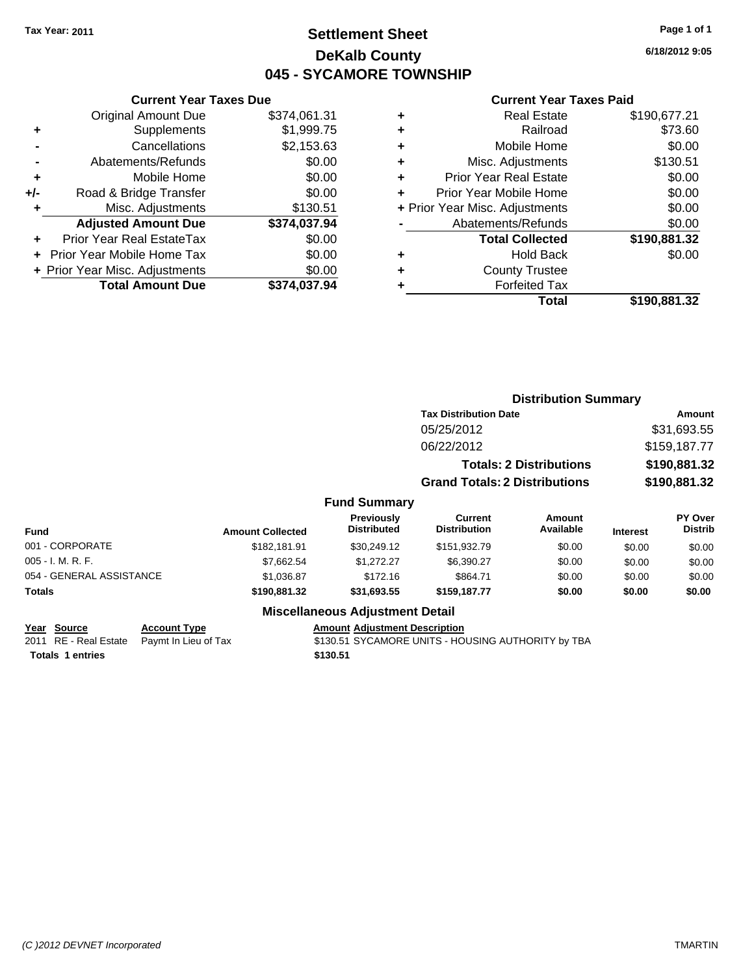# **Settlement Sheet Tax Year: 2011 Page 1 of 1 DeKalb County 045 - SYCAMORE TOWNSHIP**

**6/18/2012 9:05**

#### **Current Year Taxes Paid**

| <b>Original Amount Due</b>     | \$374,061.31                  |
|--------------------------------|-------------------------------|
| Supplements                    | \$1,999.75                    |
| Cancellations                  | \$2,153.63                    |
| Abatements/Refunds             | \$0.00                        |
| Mobile Home                    | \$0.00                        |
| Road & Bridge Transfer         | \$0.00                        |
| Misc. Adjustments              | \$130.51                      |
| <b>Adjusted Amount Due</b>     | \$374,037.94                  |
| Prior Year Real EstateTax      | \$0.00                        |
| Prior Year Mobile Home Tax     | \$0.00                        |
|                                |                               |
| + Prior Year Misc. Adjustments | \$0.00                        |
|                                | <b>Current Year Taxes Due</b> |

| ٠ | <b>Real Estate</b>             | \$190,677.21 |
|---|--------------------------------|--------------|
| ٠ | Railroad                       | \$73.60      |
| ٠ | Mobile Home                    | \$0.00       |
| ٠ | Misc. Adjustments              | \$130.51     |
| ÷ | <b>Prior Year Real Estate</b>  | \$0.00       |
| ÷ | Prior Year Mobile Home         | \$0.00       |
|   | + Prior Year Misc. Adjustments | \$0.00       |
|   | Abatements/Refunds             | \$0.00       |
|   | <b>Total Collected</b>         | \$190,881.32 |
| ٠ | <b>Hold Back</b>               | \$0.00       |
| ٠ | <b>County Trustee</b>          |              |
| ٠ | <b>Forfeited Tax</b>           |              |
|   | Total                          | \$190,881.32 |
|   |                                |              |

|                          |                         |                                         | <b>Distribution Summary</b>          |                                |                 |                           |
|--------------------------|-------------------------|-----------------------------------------|--------------------------------------|--------------------------------|-----------------|---------------------------|
|                          |                         |                                         | <b>Tax Distribution Date</b>         |                                | Amount          |                           |
|                          |                         |                                         | 05/25/2012                           |                                |                 | \$31,693.55               |
|                          |                         |                                         | 06/22/2012                           |                                |                 | \$159,187.77              |
|                          |                         |                                         |                                      | <b>Totals: 2 Distributions</b> |                 | \$190,881.32              |
|                          |                         |                                         | <b>Grand Totals: 2 Distributions</b> |                                |                 | \$190,881.32              |
|                          |                         | <b>Fund Summary</b>                     |                                      |                                |                 |                           |
| <b>Fund</b>              | <b>Amount Collected</b> | <b>Previously</b><br><b>Distributed</b> | Current<br><b>Distribution</b>       | Amount<br>Available            | <b>Interest</b> | PY Over<br><b>Distrib</b> |
| 001 - CORPORATE          | \$182,181.91            | \$30,249.12                             | \$151,932.79                         | \$0.00                         | \$0.00          | \$0.00                    |
| 005 - I. M. R. F.        | \$7,662.54              | \$1,272.27                              | \$6,390.27                           | \$0.00                         | \$0.00          | \$0.00                    |
| 054 - GENERAL ASSISTANCE | \$1,036.87              | \$172.16                                | \$864.71                             | \$0.00                         | \$0.00          | \$0.00                    |
| Totals                   | \$190,881.32            | \$31,693.55                             | \$159,187.77                         | \$0.00                         | \$0.00          | \$0.00                    |
|                          |                         | <b>Miscellaneous Adjustment Detail</b>  |                                      |                                |                 |                           |

**Totals \$130.51 1 entries**

**Year Source Account Type Amount Adjustment Description**

2011 RE - Real Estate Paymt In Lieu of Tax **\$130.51 SYCAMORE UNITS - HOUSING AUTHORITY** by TBA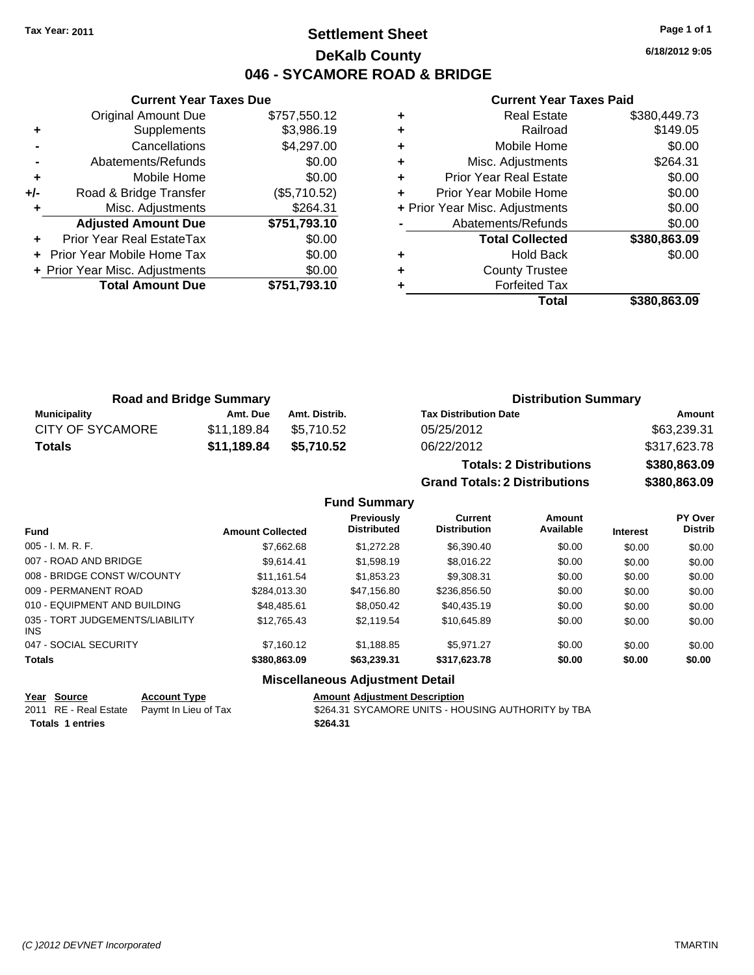# **Settlement Sheet Tax Year: 2011 Page 1 of 1 DeKalb County 046 - SYCAMORE ROAD & BRIDGE**

**6/18/2012 9:05**

#### **Current Year Taxes Paid**

|     | <b>Current Year Taxes Due</b>  |              |      |
|-----|--------------------------------|--------------|------|
|     | <b>Original Amount Due</b>     | \$757,550.12 |      |
|     | Supplements                    | \$3,986.19   |      |
|     | Cancellations                  | \$4,297.00   |      |
|     | Abatements/Refunds             | \$0.00       | ٠    |
|     | Mobile Home                    | \$0.00       |      |
| +/- | Road & Bridge Transfer         | (\$5,710.52) |      |
|     | Misc. Adjustments              | \$264.31     | + Pi |
|     | <b>Adjusted Amount Due</b>     | \$751,793.10 |      |
|     | Prior Year Real EstateTax      | \$0.00       |      |
|     | Prior Year Mobile Home Tax     | \$0.00       |      |
|     | + Prior Year Misc. Adjustments | \$0.00       |      |
|     | <b>Total Amount Due</b>        | \$751,793.10 |      |
|     |                                |              |      |

|   | Total                          | \$380,863.09 |
|---|--------------------------------|--------------|
| ٠ | <b>Forfeited Tax</b>           |              |
| ٠ | <b>County Trustee</b>          |              |
| ٠ | <b>Hold Back</b>               | \$0.00       |
|   | <b>Total Collected</b>         | \$380,863.09 |
|   | Abatements/Refunds             | \$0.00       |
|   | + Prior Year Misc. Adjustments | \$0.00       |
|   | Prior Year Mobile Home         | \$0.00       |
| ٠ | <b>Prior Year Real Estate</b>  | \$0.00       |
| ٠ | Misc. Adjustments              | \$264.31     |
| ٠ | Mobile Home                    | \$0.00       |
| ٠ | Railroad                       | \$149.05     |
| ٠ | <b>Real Estate</b>             | \$380,449.73 |

**Grand Totals: 2 Distributions \$380,863.09**

| <b>Road and Bridge Summary</b> |             |               | <b>Distribution Summary</b>    |              |  |
|--------------------------------|-------------|---------------|--------------------------------|--------------|--|
| Municipality                   | Amt. Due    | Amt. Distrib. | <b>Tax Distribution Date</b>   | Amount       |  |
| <b>CITY OF SYCAMORE</b>        | \$11.189.84 | \$5.710.52    | 05/25/2012                     | \$63,239.31  |  |
| Totals                         | \$11,189.84 | \$5,710.52    | 06/22/2012                     | \$317,623.78 |  |
|                                |             |               | <b>Totals: 2 Distributions</b> | \$380,863.09 |  |

|                                         |                         | <b>Fund Summary</b>                    |                                       |                     |                 |                           |
|-----------------------------------------|-------------------------|----------------------------------------|---------------------------------------|---------------------|-----------------|---------------------------|
| <b>Fund</b>                             | <b>Amount Collected</b> | Previously<br><b>Distributed</b>       | <b>Current</b><br><b>Distribution</b> | Amount<br>Available | <b>Interest</b> | PY Over<br><b>Distrib</b> |
| $005 - I. M. R. F.$                     | \$7,662.68              | \$1,272.28                             | \$6,390.40                            | \$0.00              | \$0.00          | \$0.00                    |
| 007 - ROAD AND BRIDGE                   | \$9.614.41              | \$1,598.19                             | \$8,016.22                            | \$0.00              | \$0.00          | \$0.00                    |
| 008 - BRIDGE CONST W/COUNTY             | \$11.161.54             | \$1,853.23                             | \$9,308.31                            | \$0.00              | \$0.00          | \$0.00                    |
| 009 - PERMANENT ROAD                    | \$284.013.30            | \$47.156.80                            | \$236,856.50                          | \$0.00              | \$0.00          | \$0.00                    |
| 010 - EQUIPMENT AND BUILDING            | \$48,485.61             | \$8.050.42                             | \$40,435.19                           | \$0.00              | \$0.00          | \$0.00                    |
| 035 - TORT JUDGEMENTS/LIABILITY<br>INS. | \$12.765.43             | \$2.119.54                             | \$10,645.89                           | \$0.00              | \$0.00          | \$0.00                    |
| 047 - SOCIAL SECURITY                   | \$7.160.12              | \$1.188.85                             | \$5.971.27                            | \$0.00              | \$0.00          | \$0.00                    |
| <b>Totals</b>                           | \$380,863,09            | \$63.239.31                            | \$317.623.78                          | \$0.00              | \$0.00          | \$0.00                    |
|                                         |                         | <b>Miscellaneous Adjustment Detail</b> |                                       |                     |                 |                           |

| Year Source             | <b>Account Type</b>                        | <b>Amount Adjustment Description</b>               |
|-------------------------|--------------------------------------------|----------------------------------------------------|
|                         | 2011 RE - Real Estate Paymt In Lieu of Tax | \$264.31 SYCAMORE UNITS - HOUSING AUTHORITY by TBA |
| <b>Totals 1 entries</b> |                                            | \$264.31                                           |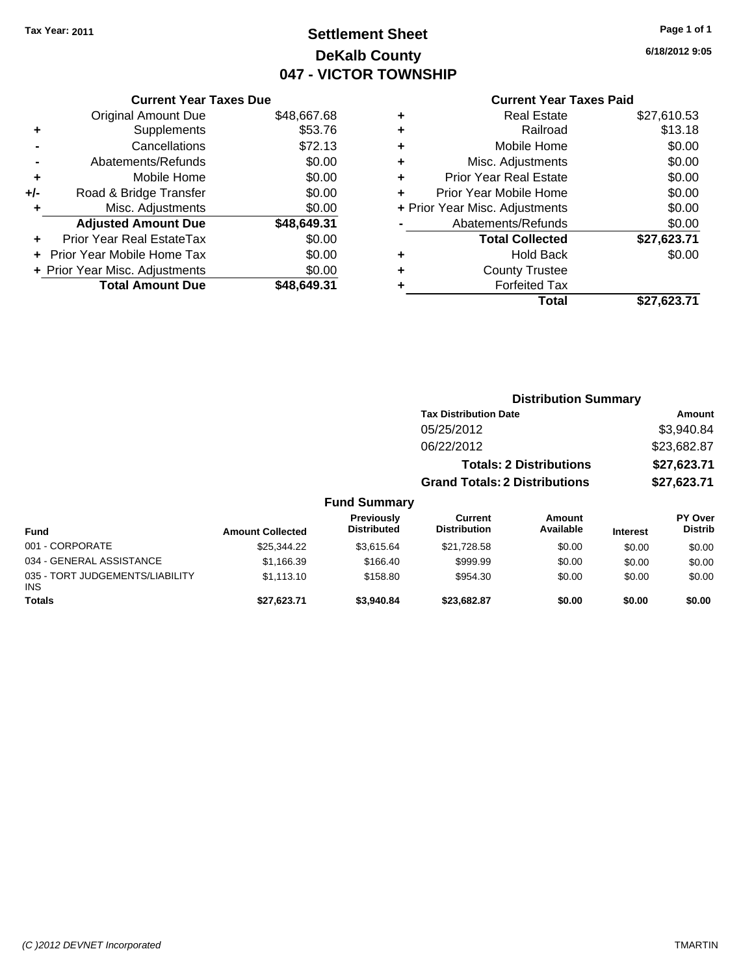# **Settlement Sheet Tax Year: 2011 Page 1 of 1 DeKalb County 047 - VICTOR TOWNSHIP**

**6/18/2012 9:05**

## **Current Year Taxes Paid**

|     | <b>Current Year Taxes Due</b>  |             |  |  |
|-----|--------------------------------|-------------|--|--|
|     | <b>Original Amount Due</b>     | \$48,667.68 |  |  |
| ٠   | Supplements                    | \$53.76     |  |  |
|     | Cancellations                  | \$72.13     |  |  |
|     | Abatements/Refunds             | \$0.00      |  |  |
| ٠   | \$0.00<br>Mobile Home          |             |  |  |
| +/- | Road & Bridge Transfer         | \$0.00      |  |  |
| ٠   | Misc. Adjustments              | \$0.00      |  |  |
|     | <b>Adjusted Amount Due</b>     | \$48,649.31 |  |  |
| ÷   | Prior Year Real EstateTax      | \$0.00      |  |  |
|     | Prior Year Mobile Home Tax     | \$0.00      |  |  |
|     | + Prior Year Misc. Adjustments | \$0.00      |  |  |
|     | <b>Total Amount Due</b>        | \$48.649.31 |  |  |
|     |                                |             |  |  |

|   | Total                          | \$27,623.71 |
|---|--------------------------------|-------------|
| ٠ | <b>Forfeited Tax</b>           |             |
| ٠ | <b>County Trustee</b>          |             |
| ٠ | <b>Hold Back</b>               | \$0.00      |
|   | <b>Total Collected</b>         | \$27,623.71 |
|   | Abatements/Refunds             | \$0.00      |
|   | + Prior Year Misc. Adjustments | \$0.00      |
| ٠ | Prior Year Mobile Home         | \$0.00      |
| ÷ | Prior Year Real Estate         | \$0.00      |
| ٠ | Misc. Adjustments              | \$0.00      |
| ÷ | Mobile Home                    | \$0.00      |
| ÷ | Railroad                       | \$13.18     |
| ٠ | <b>Real Estate</b>             | \$27,610.53 |
|   |                                |             |

|                                         |                         |                                  |                                       | <b>Distribution Summary</b>    |                 |                           |
|-----------------------------------------|-------------------------|----------------------------------|---------------------------------------|--------------------------------|-----------------|---------------------------|
|                                         |                         |                                  | <b>Tax Distribution Date</b>          |                                |                 | Amount                    |
|                                         |                         |                                  | 05/25/2012                            |                                |                 | \$3,940.84                |
|                                         |                         |                                  | 06/22/2012                            |                                |                 | \$23,682.87               |
|                                         |                         |                                  |                                       | <b>Totals: 2 Distributions</b> |                 | \$27,623.71               |
|                                         |                         |                                  | <b>Grand Totals: 2 Distributions</b>  |                                |                 | \$27,623.71               |
|                                         |                         | <b>Fund Summary</b>              |                                       |                                |                 |                           |
| <b>Fund</b>                             | <b>Amount Collected</b> | Previously<br><b>Distributed</b> | <b>Current</b><br><b>Distribution</b> | Amount<br>Available            | <b>Interest</b> | PY Over<br><b>Distrib</b> |
| 001 - CORPORATE                         | \$25,344.22             | \$3,615.64                       | \$21,728.58                           | \$0.00                         | \$0.00          | \$0.00                    |
| 034 - GENERAL ASSISTANCE                | \$1,166.39              | \$166.40                         | \$999.99                              | \$0.00                         | \$0.00          | \$0.00                    |
| 035 - TORT JUDGEMENTS/LIABILITY<br>INS. | \$1,113.10              | \$158.80                         | \$954.30                              | \$0.00                         | \$0.00          | \$0.00                    |
| <b>Totals</b>                           | \$27,623.71             | \$3,940.84                       | \$23,682.87                           | \$0.00                         | \$0.00          | \$0.00                    |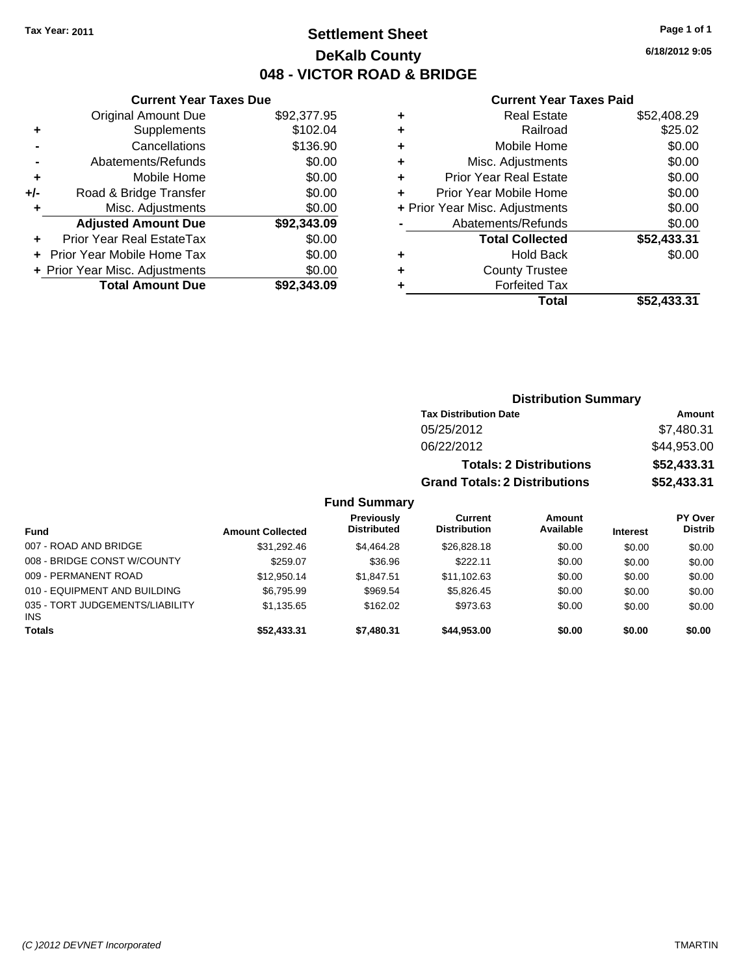# **Settlement Sheet Tax Year: 2011 Page 1 of 1 DeKalb County 048 - VICTOR ROAD & BRIDGE**

**6/18/2012 9:05**

#### **Current Year Taxes Paid**

| <b>Current Ye</b>            |   |             | <b>Current Year Taxes Due</b>  |       |
|------------------------------|---|-------------|--------------------------------|-------|
| <b>Real Esta</b>             | ٠ | \$92,377.95 | Original Amount Due            |       |
| Railro                       | ٠ | \$102.04    | <b>Supplements</b>             | ٠     |
| <b>Mobile Hor</b>            | ٠ | \$136.90    | Cancellations                  |       |
| Misc. Adjustmer              | ٠ | \$0.00      | Abatements/Refunds             |       |
| <b>Prior Year Real Esta</b>  | ÷ | \$0.00      | Mobile Home                    | ٠     |
| Prior Year Mobile Hor        |   | \$0.00      | Road & Bridge Transfer         | $+/-$ |
| + Prior Year Misc. Adjustmer |   | \$0.00      | Misc. Adjustments              | ٠     |
| Abatements/Refun             |   | \$92,343.09 | <b>Adjusted Amount Due</b>     |       |
| <b>Total Collect</b>         |   | \$0.00      | Prior Year Real EstateTax      |       |
| Hold Ba                      | ٠ | \$0.00      | + Prior Year Mobile Home Tax   |       |
| <b>County Trust</b>          | ٠ | \$0.00      | + Prior Year Misc. Adjustments |       |
| <b>Forfeited T</b>           |   | \$92,343.09 | <b>Total Amount Due</b>        |       |
| т.                           |   |             |                                |       |

|                                | \$52,433.31 |
|--------------------------------|-------------|
| <b>Forfeited Tax</b>           |             |
| <b>County Trustee</b>          |             |
| <b>Hold Back</b>               | \$0.00      |
| <b>Total Collected</b>         | \$52,433.31 |
| Abatements/Refunds             | \$0.00      |
| + Prior Year Misc. Adjustments | \$0.00      |
| Prior Year Mobile Home         | \$0.00      |
| <b>Prior Year Real Estate</b>  | \$0.00      |
| Misc. Adjustments              | \$0.00      |
| Mobile Home                    | \$0.00      |
| Railroad                       | \$25.02     |
| <b>Real Estate</b>             | \$52,408.29 |
|                                | Total       |

|                                               |                         |                                         |                                       | <b>Distribution Summary</b>    |                 |                           |
|-----------------------------------------------|-------------------------|-----------------------------------------|---------------------------------------|--------------------------------|-----------------|---------------------------|
|                                               |                         |                                         | <b>Tax Distribution Date</b>          |                                |                 | <b>Amount</b>             |
|                                               |                         |                                         | 05/25/2012                            |                                |                 | \$7,480.31                |
|                                               |                         |                                         | 06/22/2012                            |                                |                 | \$44,953.00               |
|                                               |                         |                                         |                                       | <b>Totals: 2 Distributions</b> |                 | \$52,433.31               |
|                                               |                         |                                         | <b>Grand Totals: 2 Distributions</b>  |                                |                 | \$52,433.31               |
|                                               |                         | <b>Fund Summary</b>                     |                                       |                                |                 |                           |
| <b>Fund</b>                                   | <b>Amount Collected</b> | <b>Previously</b><br><b>Distributed</b> | <b>Current</b><br><b>Distribution</b> | Amount<br>Available            | <b>Interest</b> | PY Over<br><b>Distrib</b> |
| 007 - ROAD AND BRIDGE                         | \$31,292.46             | \$4,464.28                              | \$26,828.18                           | \$0.00                         | \$0.00          | \$0.00                    |
| 008 - BRIDGE CONST W/COUNTY                   | \$259.07                | \$36.96                                 | \$222.11                              | \$0.00                         | \$0.00          | \$0.00                    |
| 009 - PERMANENT ROAD                          | \$12,950.14             | \$1,847.51                              | \$11,102.63                           | \$0.00                         | \$0.00          | \$0.00                    |
| 010 - EQUIPMENT AND BUILDING                  | \$6,795.99              | \$969.54                                | \$5,826.45                            | \$0.00                         | \$0.00          | \$0.00                    |
| 035 - TORT JUDGEMENTS/LIABILITY<br><b>INS</b> | \$1,135.65              | \$162.02                                | \$973.63                              | \$0.00                         | \$0.00          | \$0.00                    |
| <b>Totals</b>                                 | \$52,433.31             | \$7,480.31                              | \$44,953.00                           | \$0.00                         | \$0.00          | \$0.00                    |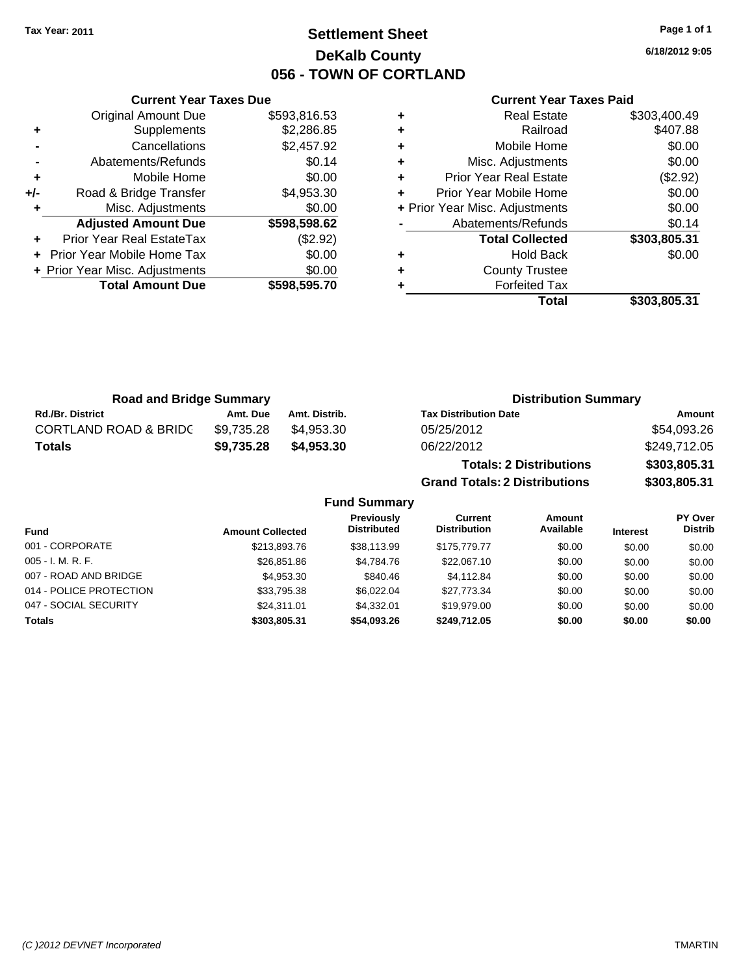**Current Year Taxes Due** Original Amount Due \$593,816.53

**Adjusted Amount Due \$598,598.62**

**Total Amount Due \$598,595.70**

**+** Supplements \$2,286.85 **-** Cancellations \$2,457.92 **-** Abatements/Refunds \$0.14 **+** Mobile Home \$0.00 **+/-** Road & Bridge Transfer \$4,953.30 **+** Misc. Adjustments \$0.00

**+** Prior Year Real EstateTax (\$2.92) **+** Prior Year Mobile Home Tax \$0.00 **+ Prior Year Misc. Adjustments**  $$0.00$ 

# **Settlement Sheet Tax Year: 2011 Page 1 of 1 DeKalb County 056 - TOWN OF CORTLAND**

**6/18/2012 9:05**

#### **Current Year Taxes Paid**

|   | <b>Real Estate</b>             | \$303,400.49 |
|---|--------------------------------|--------------|
| ٠ | Railroad                       | \$407.88     |
| ٠ | Mobile Home                    | \$0.00       |
| ٠ | Misc. Adjustments              | \$0.00       |
| ٠ | <b>Prior Year Real Estate</b>  | (\$2.92)     |
| ÷ | Prior Year Mobile Home         | \$0.00       |
|   | + Prior Year Misc. Adjustments | \$0.00       |
|   | Abatements/Refunds             | \$0.14       |
|   | <b>Total Collected</b>         | \$303,805.31 |
| ٠ | <b>Hold Back</b>               | \$0.00       |
| ٠ | <b>County Trustee</b>          |              |
|   | <b>Forfeited Tax</b>           |              |
|   | Total                          | \$303.805.31 |

**Grand Totals: 2 Distributions \$303,805.31**

| <b>Road and Bridge Summary</b>   |            |               | <b>Distribution Summary</b>    |              |  |
|----------------------------------|------------|---------------|--------------------------------|--------------|--|
| <b>Rd./Br. District</b>          | Amt. Due   | Amt. Distrib. | <b>Tax Distribution Date</b>   | Amount       |  |
| <b>CORTLAND ROAD &amp; BRIDC</b> | \$9.735.28 | \$4.953.30    | 05/25/2012                     | \$54,093.26  |  |
| <b>Totals</b>                    | \$9,735.28 | \$4,953.30    | 06/22/2012                     | \$249,712.05 |  |
|                                  |            |               | <b>Totals: 2 Distributions</b> | \$303,805.31 |  |

**Fund Summary Fund Interest Amount Collected Distributed PY Over Distrib Amount Available Current Distribution Previously** 001 - CORPORATE \$213,893.76 \$38,113.99 \$175,779.77 \$0.00 \$0.00 \$0.00 005 - I. M. R. F. \$26,851.86 \$4,784.76 \$22,067.10 \$0.00 \$0.00 \$0.00 007 - ROAD AND BRIDGE \$4,053.30 \$4,953.30 \$840.46 \$4,112.84 \$0.00 \$0.00 \$0.00 \$0.00 014 - POLICE PROTECTION \$33,795.38 \$6,022.04 \$27,773.34 \$0.00 \$0.00 \$0.00 047 - SOCIAL SECURITY \$24,311.01 \$4,332.01 \$19,979.00 \$0.00 \$0.00 \$0.00 **Totals \$303,805.31 \$54,093.26 \$249,712.05 \$0.00 \$0.00 \$0.00**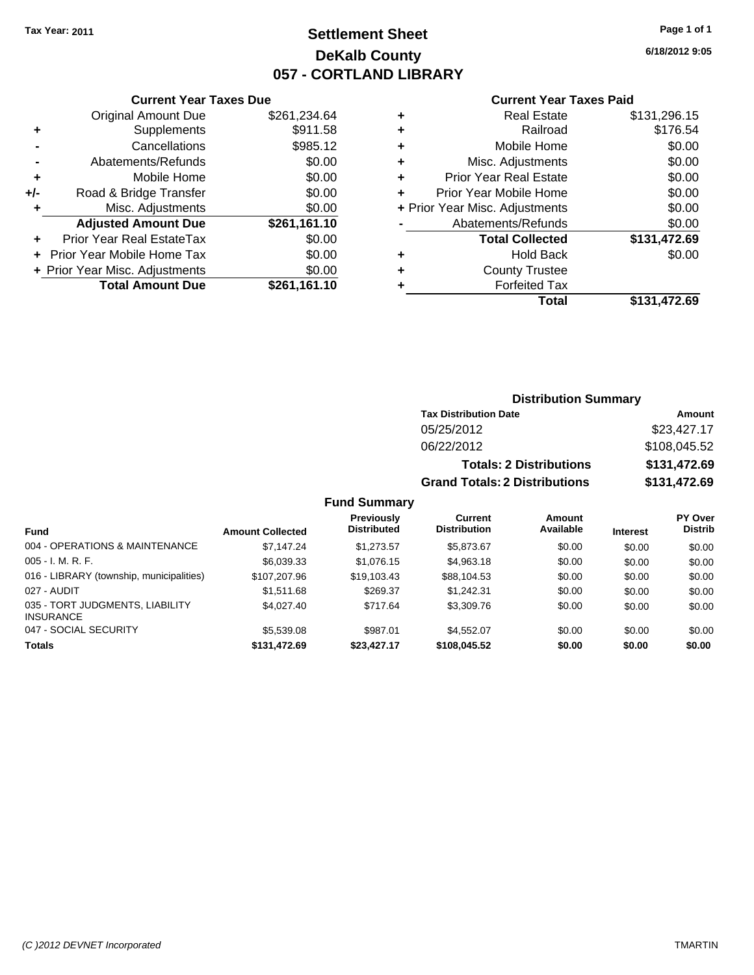# **Settlement Sheet Tax Year: 2011 Page 1 of 1 DeKalb County 057 - CORTLAND LIBRARY**

**6/18/2012 9:05**

#### **Current Year Taxes Paid**

|     | <b>Current Year Taxes Due</b>  |              |
|-----|--------------------------------|--------------|
|     | <b>Original Amount Due</b>     | \$261,234.64 |
| ٠   | Supplements                    | \$911.58     |
|     | Cancellations                  | \$985.12     |
|     | Abatements/Refunds             | \$0.00       |
| ٠   | Mobile Home                    | \$0.00       |
| +/- | Road & Bridge Transfer         | \$0.00       |
| ٠   | Misc. Adjustments              | \$0.00       |
|     | <b>Adjusted Amount Due</b>     | \$261,161.10 |
|     | Prior Year Real EstateTax      | \$0.00       |
|     | Prior Year Mobile Home Tax     | \$0.00       |
|     | + Prior Year Misc. Adjustments | \$0.00       |
|     | <b>Total Amount Due</b>        | \$261,161.10 |
|     |                                |              |

| ٠ | <b>Real Estate</b>             | \$131,296.15 |
|---|--------------------------------|--------------|
| ٠ | Railroad                       | \$176.54     |
| ٠ | Mobile Home                    | \$0.00       |
| ٠ | Misc. Adjustments              | \$0.00       |
| ٠ | Prior Year Real Estate         | \$0.00       |
|   | Prior Year Mobile Home         | \$0.00       |
|   | + Prior Year Misc. Adjustments | \$0.00       |
|   | Abatements/Refunds             | \$0.00       |
|   | <b>Total Collected</b>         | \$131,472.69 |
| ٠ | <b>Hold Back</b>               | \$0.00       |
| ٠ | <b>County Trustee</b>          |              |
| ٠ | <b>Forfeited Tax</b>           |              |
|   | Total                          | \$131,472.69 |
|   |                                |              |

## **Distribution Summary Tax Distribution Date Amount** 05/25/2012 \$23,427.17 06/22/2012 \$108,045.52 **Totals: 2 Distributions \$131,472.69 Grand Totals: 2 Distributions \$131,472.69**

**Fund Summary**

| Fund                                                | <b>Amount Collected</b> | <b>Previously</b><br><b>Distributed</b> | Current<br><b>Distribution</b> | <b>Amount</b><br>Available | <b>Interest</b> | <b>PY Over</b><br><b>Distrib</b> |
|-----------------------------------------------------|-------------------------|-----------------------------------------|--------------------------------|----------------------------|-----------------|----------------------------------|
| 004 - OPERATIONS & MAINTENANCE                      | \$7,147.24              | \$1,273.57                              | \$5.873.67                     | \$0.00                     | \$0.00          | \$0.00                           |
| $005 - I. M. R. F.$                                 | \$6,039.33              | \$1,076.15                              | \$4,963.18                     | \$0.00                     | \$0.00          | \$0.00                           |
| 016 - LIBRARY (township, municipalities)            | \$107.207.96            | \$19.103.43                             | \$88.104.53                    | \$0.00                     | \$0.00          | \$0.00                           |
| 027 - AUDIT                                         | \$1,511.68              | \$269.37                                | \$1.242.31                     | \$0.00                     | \$0.00          | \$0.00                           |
| 035 - TORT JUDGMENTS, LIABILITY<br><b>INSURANCE</b> | \$4,027.40              | \$717.64                                | \$3,309.76                     | \$0.00                     | \$0.00          | \$0.00                           |
| 047 - SOCIAL SECURITY                               | \$5,539.08              | \$987.01                                | \$4,552,07                     | \$0.00                     | \$0.00          | \$0.00                           |
| <b>Totals</b>                                       | \$131,472.69            | \$23,427.17                             | \$108,045.52                   | \$0.00                     | \$0.00          | \$0.00                           |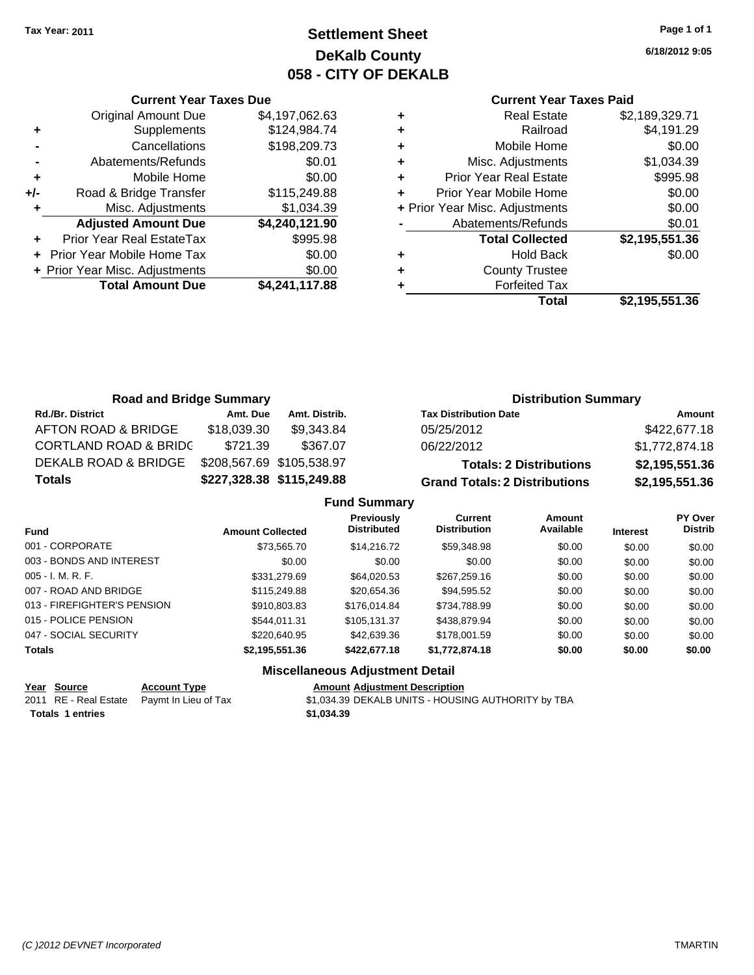**Current Year Taxes Due**

# **Settlement Sheet Tax Year: 2011 Page 1 of 1 DeKalb County 058 - CITY OF DEKALB**

**6/18/2012 9:05**

#### **Current Year Taxes Paid**

|     |                                |                |   | <b>Total</b>                   | \$2,195,551.36 |
|-----|--------------------------------|----------------|---|--------------------------------|----------------|
|     | <b>Total Amount Due</b>        | \$4,241,117.88 |   | <b>Forfeited Tax</b>           |                |
|     | + Prior Year Misc. Adjustments | \$0.00         | ٠ | <b>County Trustee</b>          |                |
|     | + Prior Year Mobile Home Tax   | \$0.00         | ٠ | <b>Hold Back</b>               | \$0.00         |
| ÷.  | Prior Year Real EstateTax      | \$995.98       |   | <b>Total Collected</b>         | \$2,195,551.36 |
|     | <b>Adjusted Amount Due</b>     | \$4,240,121.90 |   | Abatements/Refunds             | \$0.01         |
|     | Misc. Adjustments              | \$1,034.39     |   | + Prior Year Misc. Adjustments | \$0.00         |
| +/- | Road & Bridge Transfer         | \$115,249.88   | ÷ | Prior Year Mobile Home         | \$0.00         |
| ٠   | Mobile Home                    | \$0.00         | ٠ | <b>Prior Year Real Estate</b>  | \$995.98       |
|     | Abatements/Refunds             | \$0.01         | ٠ | Misc. Adjustments              | \$1,034.39     |
|     | Cancellations                  | \$198,209.73   | ٠ | Mobile Home                    | \$0.00         |
| ٠   | Supplements                    | \$124,984.74   | ٠ | Railroad                       | \$4,191.29     |
|     | <b>Original Amount Due</b>     | \$4,197,062.63 | ٠ | <b>Real Estate</b>             | \$2,189,329.71 |
|     |                                |                |   |                                |                |

| <b>Road and Bridge Summary</b>   |                           |                           | <b>Distribution Summary</b>          |                |  |
|----------------------------------|---------------------------|---------------------------|--------------------------------------|----------------|--|
| <b>Rd./Br. District</b>          | Amt. Due                  | Amt. Distrib.             | <b>Tax Distribution Date</b>         | Amount         |  |
| AFTON ROAD & BRIDGE              | \$18,039.30               | \$9,343.84                | 05/25/2012                           | \$422,677.18   |  |
| <b>CORTLAND ROAD &amp; BRIDC</b> | \$721.39                  | \$367.07                  | 06/22/2012                           | \$1,772,874.18 |  |
| DEKALB ROAD & BRIDGE             | \$208,567.69 \$105,538.97 |                           | <b>Totals: 2 Distributions</b>       | \$2,195,551.36 |  |
| <b>Totals</b>                    |                           | \$227,328.38 \$115,249.88 | <b>Grand Totals: 2 Distributions</b> | \$2,195,551.36 |  |

|                             |                         | <b>Fund Summary</b>                         |                                       |                     |                 |                           |
|-----------------------------|-------------------------|---------------------------------------------|---------------------------------------|---------------------|-----------------|---------------------------|
| <b>Fund</b>                 | <b>Amount Collected</b> | Previously<br><b>Distributed</b>            | <b>Current</b><br><b>Distribution</b> | Amount<br>Available | <b>Interest</b> | PY Over<br><b>Distrib</b> |
| 001 - CORPORATE             | \$73.565.70             | \$14,216,72                                 | \$59,348.98                           | \$0.00              | \$0.00          | \$0.00                    |
| 003 - BONDS AND INTEREST    | \$0.00                  | \$0.00                                      | \$0.00                                | \$0.00              | \$0.00          | \$0.00                    |
| 005 - I. M. R. F.           | \$331,279.69            | \$64.020.53                                 | \$267.259.16                          | \$0.00              | \$0.00          | \$0.00                    |
| 007 - ROAD AND BRIDGE       | \$115,249.88            | \$20.654.36                                 | \$94,595.52                           | \$0.00              | \$0.00          | \$0.00                    |
| 013 - FIREFIGHTER'S PENSION | \$910.803.83            | \$176,014.84                                | \$734.788.99                          | \$0.00              | \$0.00          | \$0.00                    |
| 015 - POLICE PENSION        | \$544.011.31            | \$105.131.37                                | \$438,879.94                          | \$0.00              | \$0.00          | \$0.00                    |
| 047 - SOCIAL SECURITY       | \$220.640.95            | \$42,639.36                                 | \$178,001.59                          | \$0.00              | \$0.00          | \$0.00                    |
| Totals                      | \$2,195,551.36          | \$422,677.18                                | \$1,772,874.18                        | \$0.00              | \$0.00          | \$0.00                    |
|                             |                         | <b>Missellanessen, Auto-stroppet Batall</b> |                                       |                     |                 |                           |

#### **Miscellaneous Adjustment Detail**

|                         | Year Source | <b>Account Type</b>                        | <b>Amount Adjustment Description</b>               |
|-------------------------|-------------|--------------------------------------------|----------------------------------------------------|
|                         |             | 2011 RE - Real Estate Paymt In Lieu of Tax | \$1,034.39 DEKALB UNITS - HOUSING AUTHORITY by TBA |
| <b>Totals 1 entries</b> |             |                                            | \$1.034.39                                         |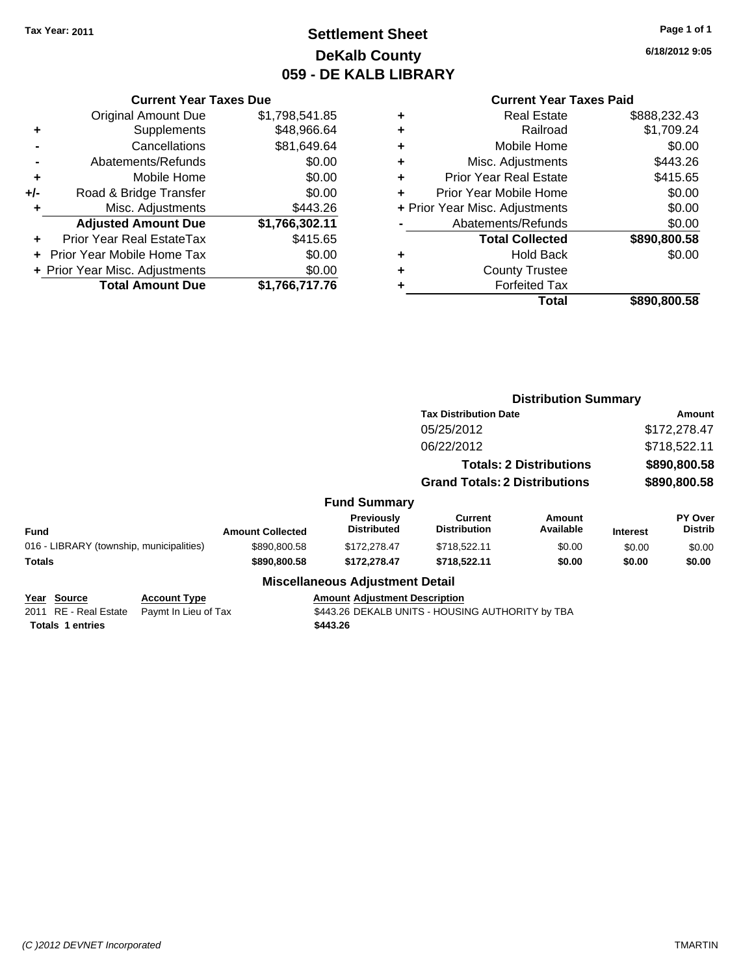# **Settlement Sheet Tax Year: 2011 Page 1 of 1 DeKalb County 059 - DE KALB LIBRARY**

**6/18/2012 9:05**

#### **Current Year Taxes Paid**

|                | <b>Current Year Taxes Due</b>  |                |   | <b>Current Year Taxes Paid</b> |              |  |  |
|----------------|--------------------------------|----------------|---|--------------------------------|--------------|--|--|
|                | Original Amount Due            | \$1,798,541.85 | ٠ | <b>Real Estate</b>             | \$888,232.43 |  |  |
| ÷              | Supplements                    | \$48,966.64    | ٠ | Railroad                       | \$1,709.24   |  |  |
| $\blacksquare$ | Cancellations                  | \$81,649.64    | ٠ | Mobile Home                    | \$0.00       |  |  |
|                | Abatements/Refunds             | \$0.00         | ٠ | Misc. Adjustments              | \$443.26     |  |  |
| ٠              | Mobile Home                    | \$0.00         |   | <b>Prior Year Real Estate</b>  | \$415.65     |  |  |
| I-             | Road & Bridge Transfer         | \$0.00         |   | Prior Year Mobile Home         | \$0.00       |  |  |
| ٠              | Misc. Adjustments              | \$443.26       |   | + Prior Year Misc. Adjustments | \$0.00       |  |  |
|                | <b>Adjusted Amount Due</b>     | \$1,766,302.11 |   | Abatements/Refunds             | \$0.00       |  |  |
| ÷              | Prior Year Real EstateTax      | \$415.65       |   | <b>Total Collected</b>         | \$890,800.58 |  |  |
|                | + Prior Year Mobile Home Tax   | \$0.00         | ٠ | <b>Hold Back</b>               | \$0.00       |  |  |
|                | + Prior Year Misc. Adjustments | \$0.00         | ٠ | <b>County Trustee</b>          |              |  |  |
|                | <b>Total Amount Due</b>        | \$1,766,717.76 |   | <b>Forfeited Tax</b>           |              |  |  |
|                |                                |                |   | Total                          | \$890,800.58 |  |  |

|                                                                    |                                             |                         |                                                  | <b>Distribution Summary</b>                      |                                |                 |                                  |
|--------------------------------------------------------------------|---------------------------------------------|-------------------------|--------------------------------------------------|--------------------------------------------------|--------------------------------|-----------------|----------------------------------|
|                                                                    |                                             |                         |                                                  | <b>Tax Distribution Date</b>                     |                                |                 | Amount                           |
|                                                                    |                                             |                         |                                                  | 05/25/2012                                       |                                |                 | \$172,278.47                     |
|                                                                    |                                             |                         |                                                  | 06/22/2012                                       |                                |                 | \$718,522.11                     |
|                                                                    |                                             |                         |                                                  |                                                  | <b>Totals: 2 Distributions</b> |                 | \$890,800.58                     |
|                                                                    |                                             |                         |                                                  | <b>Grand Totals: 2 Distributions</b>             |                                | \$890,800.58    |                                  |
|                                                                    |                                             |                         | <b>Fund Summary</b>                              |                                                  |                                |                 |                                  |
| <b>Fund</b>                                                        |                                             | <b>Amount Collected</b> | <b>Previously</b><br><b>Distributed</b>          | <b>Current</b><br><b>Distribution</b>            | <b>Amount</b><br>Available     | <b>Interest</b> | <b>PY Over</b><br><b>Distrib</b> |
| 016 - LIBRARY (township, municipalities)                           |                                             | \$890,800.58            | \$172,278,47                                     | \$718,522.11                                     | \$0.00                         | \$0.00          | \$0.00                           |
| <b>Totals</b>                                                      |                                             | \$890,800.58            | \$172,278.47                                     | \$718,522.11                                     | \$0.00                         | \$0.00          | \$0.00                           |
|                                                                    |                                             |                         | <b>Miscellaneous Adjustment Detail</b>           |                                                  |                                |                 |                                  |
| Year Source<br>2011<br>RE - Real Estate<br><b>Totals 1 entries</b> | <b>Account Type</b><br>Paymt In Lieu of Tax |                         | <b>Amount Adjustment Description</b><br>\$443.26 | \$443.26 DEKALB UNITS - HOUSING AUTHORITY by TBA |                                |                 |                                  |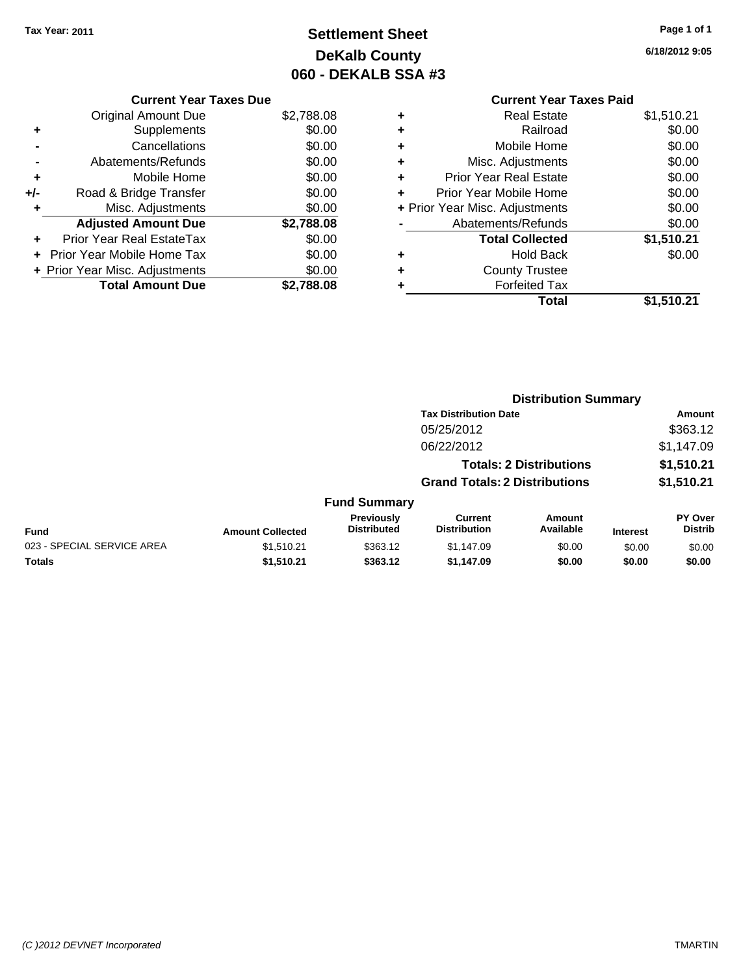# **Settlement Sheet Tax Year: 2011 Page 1 of 1 DeKalb County 060 - DEKALB SSA #3**

**6/18/2012 9:05**

|       | <b>Current Year Taxes Due</b>  |            |   |                    |
|-------|--------------------------------|------------|---|--------------------|
|       | Original Amount Due            | \$2,788.08 | ٠ |                    |
|       | Supplements                    | \$0.00     | ٠ |                    |
|       | Cancellations                  | \$0.00     | ٠ |                    |
|       | Abatements/Refunds             | \$0.00     | ٠ | Misc.              |
| ٠     | Mobile Home                    | \$0.00     | ÷ | <b>Prior Year</b>  |
| $+/-$ | Road & Bridge Transfer         | \$0.00     |   | Prior Year N       |
|       | Misc. Adjustments              | \$0.00     |   | + Prior Year Misc. |
|       | <b>Adjusted Amount Due</b>     | \$2,788.08 |   | Abateme            |
|       | Prior Year Real EstateTax      | \$0.00     |   | Tot                |
|       | Prior Year Mobile Home Tax     | \$0.00     | ٠ |                    |
|       | + Prior Year Misc. Adjustments | \$0.00     | ٠ | Co                 |
|       | <b>Total Amount Due</b>        | \$2,788.08 |   |                    |
|       |                                |            |   |                    |

## **Current Year Taxes Paid +** Real Estate \$1,510.21

|   | Total                          | \$1,510.21 |
|---|--------------------------------|------------|
| ٠ | <b>Forfeited Tax</b>           |            |
| ÷ | <b>County Trustee</b>          |            |
| ÷ | <b>Hold Back</b>               | \$0.00     |
|   | <b>Total Collected</b>         | \$1,510.21 |
|   | Abatements/Refunds             | \$0.00     |
|   | + Prior Year Misc. Adjustments | \$0.00     |
| ÷ | Prior Year Mobile Home         | \$0.00     |
| ÷ | <b>Prior Year Real Estate</b>  | \$0.00     |
| ÷ | Misc. Adjustments              | \$0.00     |
| ÷ | Mobile Home                    | \$0.00     |
| ٠ | Railroad                       | \$0.00     |

|                         |                                         | <b>Distribution Summary</b>           |                     |                                                                                                        |                                  |  |
|-------------------------|-----------------------------------------|---------------------------------------|---------------------|--------------------------------------------------------------------------------------------------------|----------------------------------|--|
|                         |                                         |                                       |                     |                                                                                                        | Amount                           |  |
|                         |                                         | 05/25/2012                            |                     |                                                                                                        | \$363.12                         |  |
|                         |                                         | 06/22/2012                            |                     |                                                                                                        | \$1,147.09                       |  |
|                         |                                         |                                       |                     |                                                                                                        | \$1,510.21                       |  |
|                         |                                         |                                       |                     |                                                                                                        | \$1,510.21                       |  |
|                         |                                         |                                       |                     |                                                                                                        |                                  |  |
| <b>Amount Collected</b> | <b>Previously</b><br><b>Distributed</b> | <b>Current</b><br><b>Distribution</b> | Amount<br>Available | <b>Interest</b>                                                                                        | <b>PY Over</b><br><b>Distrib</b> |  |
| \$1,510.21              | \$363.12                                | \$1,147.09                            | \$0.00              | \$0.00                                                                                                 | \$0.00                           |  |
| \$1,510.21              | \$363.12                                | \$1.147.09                            | \$0.00              | \$0.00                                                                                                 | \$0.00                           |  |
|                         |                                         |                                       | <b>Fund Summary</b> | <b>Tax Distribution Date</b><br><b>Totals: 2 Distributions</b><br><b>Grand Totals: 2 Distributions</b> |                                  |  |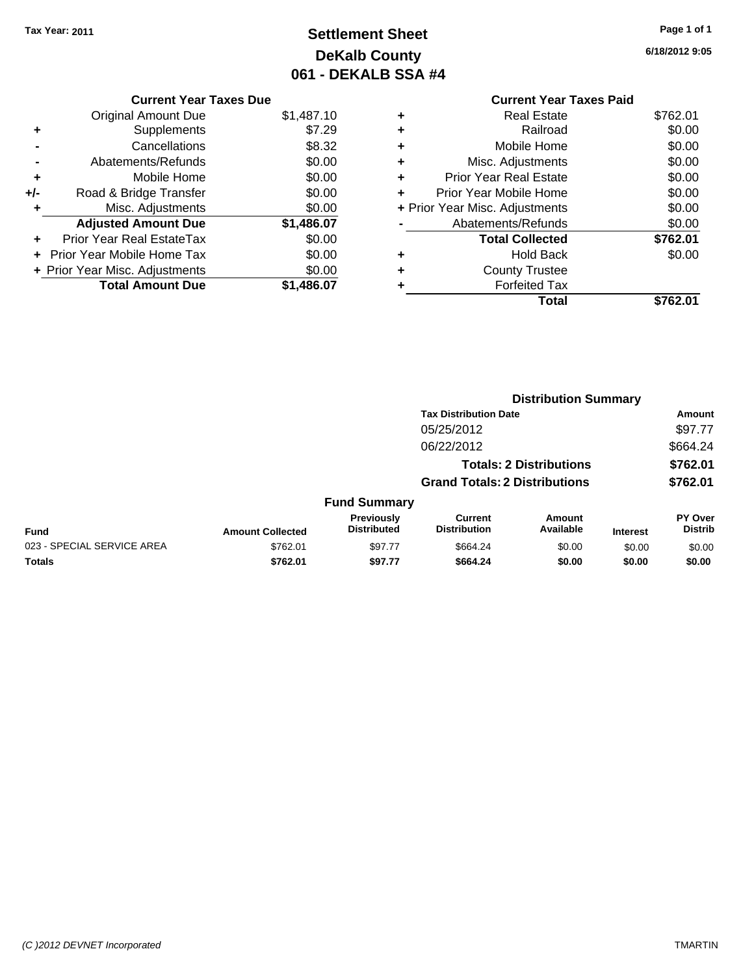# **Settlement Sheet Tax Year: 2011 Page 1 of 1 DeKalb County 061 - DEKALB SSA #4**

**6/18/2012 9:05**

|   | <b>Current Year Taxes Paid</b> |          |  |  |
|---|--------------------------------|----------|--|--|
| ٠ | <b>Real Estate</b>             | \$762.01 |  |  |
| ٠ | Railroad                       | \$0.00   |  |  |
| ٠ | Mobile Home                    | \$0.00   |  |  |
| ٠ | Misc. Adjustments              | \$0.00   |  |  |
| ٠ | <b>Prior Year Real Estate</b>  | \$0.00   |  |  |
| ٠ | Prior Year Mobile Home         | \$0.00   |  |  |
|   | + Prior Year Misc. Adjustments | \$0.00   |  |  |
|   | Abatements/Refunds             | \$0.00   |  |  |
|   | <b>Total Collected</b>         | \$762.01 |  |  |
| ٠ | <b>Hold Back</b>               | \$0.00   |  |  |
| ٠ | <b>County Trustee</b>          |          |  |  |
| ٠ | <b>Forfeited Tax</b>           |          |  |  |
|   | Total                          | \$762.01 |  |  |

|                            |                         |                                  | <b>Distribution Summary</b>           |                                |                 |                                  |  |
|----------------------------|-------------------------|----------------------------------|---------------------------------------|--------------------------------|-----------------|----------------------------------|--|
|                            |                         |                                  | <b>Tax Distribution Date</b>          |                                |                 | Amount                           |  |
|                            |                         |                                  | 05/25/2012                            |                                |                 | \$97.77                          |  |
|                            |                         |                                  | 06/22/2012                            |                                |                 | \$664.24                         |  |
|                            |                         |                                  |                                       | <b>Totals: 2 Distributions</b> |                 | \$762.01                         |  |
|                            |                         |                                  | <b>Grand Totals: 2 Distributions</b>  |                                |                 | \$762.01                         |  |
|                            |                         | <b>Fund Summary</b>              |                                       |                                |                 |                                  |  |
| Fund                       | <b>Amount Collected</b> | Previously<br><b>Distributed</b> | <b>Current</b><br><b>Distribution</b> | Amount<br>Available            | <b>Interest</b> | <b>PY Over</b><br><b>Distrib</b> |  |
| 023 - SPECIAL SERVICE AREA | \$762.01                | \$97.77                          | \$664.24                              | \$0.00                         | \$0.00          | \$0.00                           |  |
| Totals                     | \$762.01                | \$97.77                          | \$664.24                              | \$0.00                         | \$0.00          | \$0.00                           |  |
|                            |                         |                                  |                                       |                                |                 |                                  |  |

|       | <b>Current Year Taxes Due</b>  |            |
|-------|--------------------------------|------------|
|       | <b>Original Amount Due</b>     | \$1,487.10 |
| ÷     | Supplements                    | \$7.29     |
|       | Cancellations                  | \$8.32     |
|       | Abatements/Refunds             | \$0.00     |
| ٠     | Mobile Home                    | \$0.00     |
| $+/-$ | Road & Bridge Transfer         | \$0.00     |
| ٠     | Misc. Adjustments              | \$0.00     |
|       | <b>Adjusted Amount Due</b>     | \$1,486.07 |
|       | Prior Year Real EstateTax      | \$0.00     |
|       | Prior Year Mobile Home Tax     | \$0.00     |
|       | + Prior Year Misc. Adjustments | \$0.00     |
|       | <b>Total Amount Due</b>        | \$1.486.07 |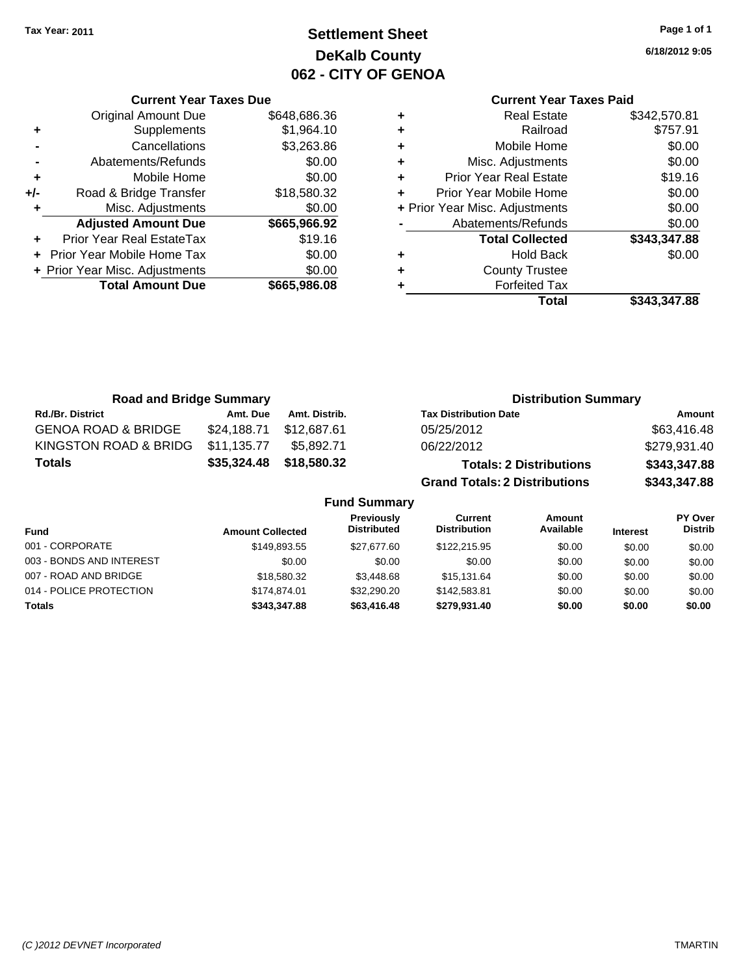# **Settlement Sheet Tax Year: 2011 Page 1 of 1 DeKalb County 062 - CITY OF GENOA**

**6/18/2012 9:05**

|       | <b>Original Amount Due</b>     | \$648,686.36 |
|-------|--------------------------------|--------------|
| ٠     | Supplements                    | \$1,964.10   |
|       | Cancellations                  | \$3,263.86   |
|       | Abatements/Refunds             | \$0.00       |
| ٠     | Mobile Home                    | \$0.00       |
| $+/-$ | Road & Bridge Transfer         | \$18,580.32  |
|       | Misc. Adjustments              | \$0.00       |
|       | <b>Adjusted Amount Due</b>     | \$665,966.92 |
|       | Prior Year Real EstateTax      | \$19.16      |
|       | Prior Year Mobile Home Tax     | \$0.00       |
|       | + Prior Year Misc. Adjustments | \$0.00       |
|       | <b>Total Amount Due</b>        | \$665,986.08 |
|       |                                |              |

**Current Year Taxes Due**

|   | <b>Current Year Taxes Paid</b> |              |  |  |  |  |  |
|---|--------------------------------|--------------|--|--|--|--|--|
| ٠ | <b>Real Estate</b>             | \$342,570.81 |  |  |  |  |  |
| ٠ | Railroad                       | \$757.91     |  |  |  |  |  |
| ٠ | Mobile Home                    | \$0.00       |  |  |  |  |  |
| ٠ | \$0.00<br>Misc. Adjustments    |              |  |  |  |  |  |
| ٠ | <b>Prior Year Real Estate</b>  | \$19.16      |  |  |  |  |  |
| ÷ | Prior Year Mobile Home         | \$0.00       |  |  |  |  |  |
|   | + Prior Year Misc. Adjustments | \$0.00       |  |  |  |  |  |
|   | Abatements/Refunds             | \$0.00       |  |  |  |  |  |
|   | <b>Total Collected</b>         | \$343,347.88 |  |  |  |  |  |
| ٠ | <b>Hold Back</b>               | \$0.00       |  |  |  |  |  |
|   | <b>County Trustee</b>          |              |  |  |  |  |  |
|   | <b>Forfeited Tax</b>           |              |  |  |  |  |  |
|   | Total                          | \$343,347.88 |  |  |  |  |  |

| <b>Road and Bridge Summary</b> |                         |                     |                                                                                  | <b>Distribution Summary</b>    |                 |                           |
|--------------------------------|-------------------------|---------------------|----------------------------------------------------------------------------------|--------------------------------|-----------------|---------------------------|
| <b>Rd./Br. District</b>        | Amt. Due                | Amt. Distrib.       | <b>Tax Distribution Date</b>                                                     |                                |                 | Amount                    |
| <b>GENOA ROAD &amp; BRIDGE</b> | \$24,188.71             | \$12,687.61         | 05/25/2012                                                                       |                                |                 | \$63,416.48               |
| KINGSTON ROAD & BRIDG          | \$11,135.77             | \$5.892.71          | 06/22/2012                                                                       |                                |                 | \$279,931.40              |
| <b>Totals</b>                  | \$35,324.48             | \$18,580.32         |                                                                                  | <b>Totals: 2 Distributions</b> |                 | \$343,347.88              |
|                                |                         |                     | <b>Grand Totals: 2 Distributions</b>                                             |                                |                 | \$343,347.88              |
|                                |                         | <b>Fund Summary</b> |                                                                                  |                                |                 |                           |
| <b>Fund</b>                    | <b>Amount Collected</b> |                     | <b>Previously</b><br><b>Current</b><br><b>Distributed</b><br><b>Distribution</b> | <b>Amount</b><br>Available     | <b>Interest</b> | PY Over<br><b>Distrib</b> |
| 001 CORRODATE                  |                         | 0.440000E           | 027220<br>$0.400 \, 0.45 \, 0.5$                                                 | 0000                           | 0000            | 0000                      |

|              |                  |              |             |        | -----  |
|--------------|------------------|--------------|-------------|--------|--------|
| \$149,893.55 | \$27.677.60      | \$122,215.95 | \$0.00      | \$0.00 | \$0.00 |
| \$0.00       | \$0.00           | \$0.00       | \$0.00      | \$0.00 | \$0.00 |
| \$18,580.32  | \$3,448.68       | \$15.131.64  | \$0.00      | \$0.00 | \$0.00 |
| \$174,874,01 | \$32,290.20      | \$142,583.81 | \$0.00      | \$0.00 | \$0.00 |
| \$343.347.88 | \$63,416,48      | \$279.931.40 | \$0.00      | \$0.00 | \$0.00 |
|              | Amount Collected | -----------  | ----------- | .      | merest |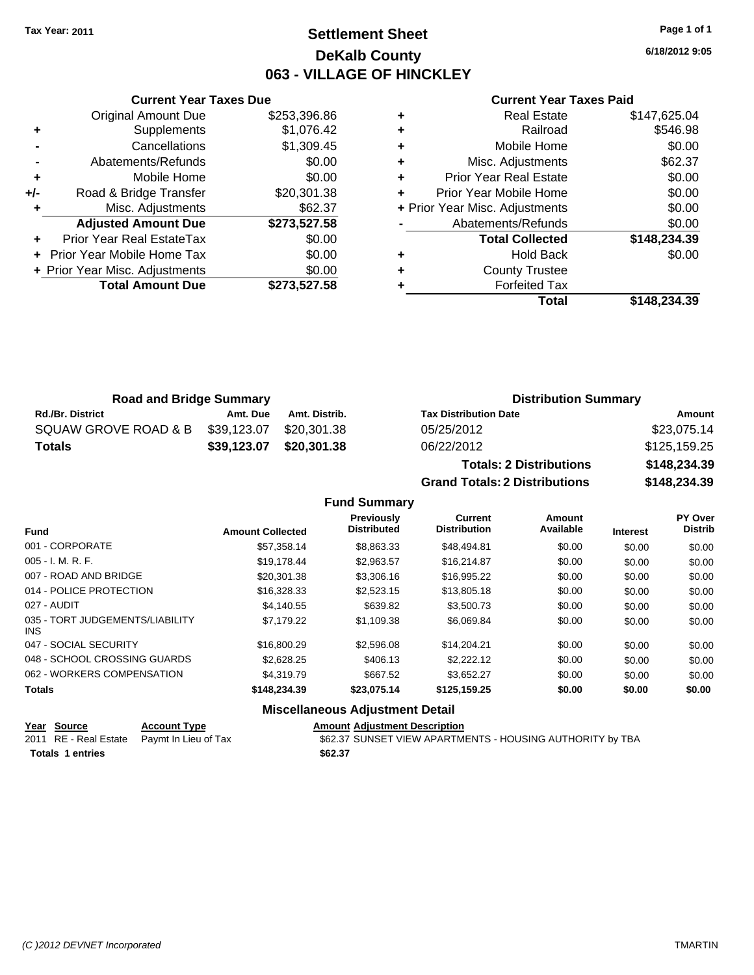# **Settlement Sheet Tax Year: 2011 Page 1 of 1 DeKalb County 063 - VILLAGE OF HINCKLEY**

**6/18/2012 9:05**

#### **Current Year Taxes Paid**

|     | <b>Original Amount Due</b>       | \$253,396.86 |
|-----|----------------------------------|--------------|
| ٠   | Supplements                      | \$1,076.42   |
|     | Cancellations                    | \$1,309.45   |
|     | Abatements/Refunds               | \$0.00       |
| ÷   | Mobile Home                      | \$0.00       |
| +/- | Road & Bridge Transfer           | \$20,301.38  |
| ٠   | Misc. Adjustments                | \$62.37      |
|     | <b>Adjusted Amount Due</b>       | \$273,527.58 |
|     | <b>Prior Year Real EstateTax</b> | \$0.00       |
|     | Prior Year Mobile Home Tax       | \$0.00       |
|     | + Prior Year Misc. Adjustments   | \$0.00       |
|     | <b>Total Amount Due</b>          | \$273,527.58 |
|     |                                  |              |

**Current Year Taxes Due**

|   | <b>Real Estate</b>             | \$147,625.04 |
|---|--------------------------------|--------------|
| ٠ | Railroad                       | \$546.98     |
| ٠ | Mobile Home                    | \$0.00       |
| ٠ | Misc. Adjustments              | \$62.37      |
| ٠ | <b>Prior Year Real Estate</b>  | \$0.00       |
| ٠ | Prior Year Mobile Home         | \$0.00       |
|   | + Prior Year Misc. Adjustments | \$0.00       |
|   | Abatements/Refunds             | \$0.00       |
|   | <b>Total Collected</b>         | \$148,234.39 |
| ٠ | Hold Back                      | \$0.00       |
| ٠ | <b>County Trustee</b>          |              |
|   | <b>Forfeited Tax</b>           |              |
|   | Total                          | \$148.234.39 |

**Grand Totals: 2 Distributions \$148,234.39**

| <b>Road and Bridge Summary</b> |             |               | <b>Distribution Summary</b>    |              |  |
|--------------------------------|-------------|---------------|--------------------------------|--------------|--|
| <b>Rd./Br. District</b>        | Amt. Due    | Amt. Distrib. | <b>Tax Distribution Date</b>   | Amount       |  |
| SQUAW GROVE ROAD & B           | \$39,123.07 | \$20.301.38   | 05/25/2012                     | \$23,075.14  |  |
| Totals                         | \$39,123.07 | \$20,301.38   | 06/22/2012                     | \$125,159.25 |  |
|                                |             |               | <b>Totals: 2 Distributions</b> | \$148,234.39 |  |

**Fund Summary Fund Interest Amount Collected Distributed PY Over Distrib Amount Available Current Distribution Previously** 001 - CORPORATE \$57,358.14 \$8,863.33 \$48,494.81 \$0.00 \$0.00 \$0.00 005 - I. M. R. F. \$19,178.44 \$2,963.57 \$16,214.87 \$0.00 \$0.00 \$0.00 007 - ROAD AND BRIDGE 60.00 \$20,301.38 \$3,306.16 \$16,995.22 \$0.00 \$0.00 \$0.00 \$0.00 014 - POLICE PROTECTION \$16,328.33 \$2,523.15 \$13,805.18 \$0.00 \$0.00 \$0.00 \$0.00 027 - AUDIT \$4,140.55 \$639.82 \$3,500.73 \$0.00 \$0.00 \$0.00 035 - TORT JUDGEMENTS/LIABILITY INS \$7,179.22 \$1,109.38 \$6,069.84 \$0.00 \$0.00 \$0.00 047 - SOCIAL SECURITY \$16,800.29 \$2,596.08 \$14,204.21 \$0.00 \$0.00 \$0.00 048 - SCHOOL CROSSING GUARDS \$2,628.25 \$406.13 \$2,222.12 \$0.00 \$0.00 \$0.00 062 - WORKERS COMPENSATION \$4,319.79 \$667.52 \$3,652.27 \$0.00 \$0.00 \$0.00 **Totals \$148,234.39 \$23,075.14 \$125,159.25 \$0.00 \$0.00 \$0.00 Miscellaneous Adjustment Detail**

## **Year Source Account Type Amount Adjustment Description**

| <u>rear source</u>      | ACCOUNT IVDE                               | Allioulit Aujustinent Description                         |
|-------------------------|--------------------------------------------|-----------------------------------------------------------|
|                         | 2011 RE - Real Estate Paymt In Lieu of Tax | \$62.37 SUNSET VIEW APARTMENTS - HOUSING AUTHORITY by TBA |
| <b>Totals 1 entries</b> |                                            | \$62.37                                                   |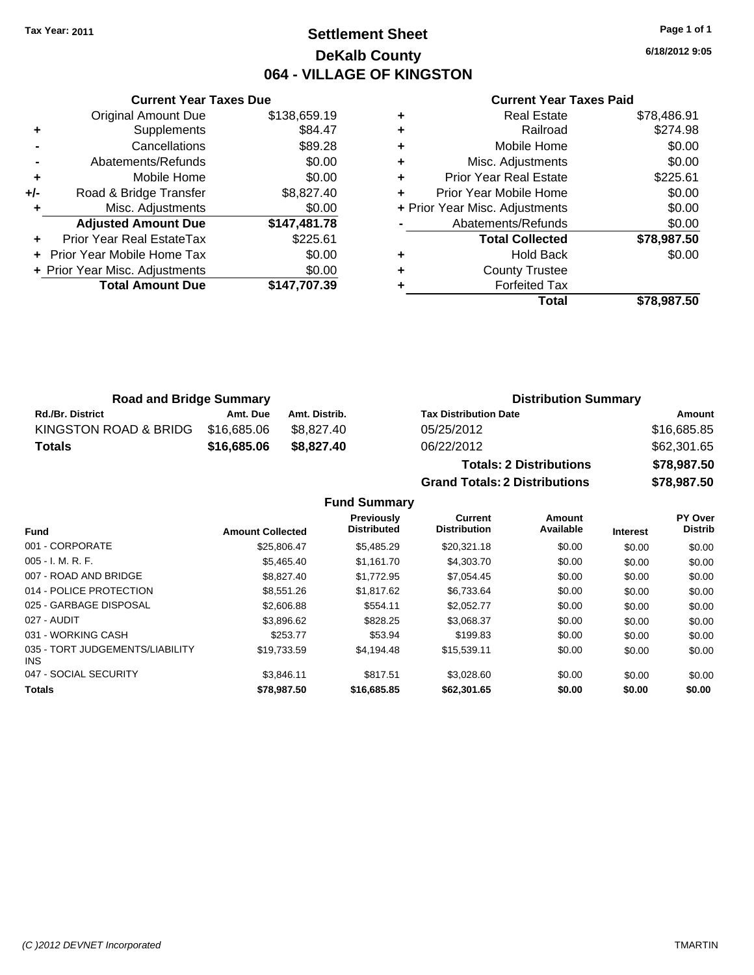# **Settlement Sheet Tax Year: 2011 Page 1 of 1 DeKalb County 064 - VILLAGE OF KINGSTON**

**6/18/2012 9:05**

#### **Current Year Taxes Paid**

|     | <b>Current Year Taxes Due</b>  |              |  |  |  |  |  |
|-----|--------------------------------|--------------|--|--|--|--|--|
|     | <b>Original Amount Due</b>     | \$138,659.19 |  |  |  |  |  |
|     | Supplements                    | \$84.47      |  |  |  |  |  |
|     | Cancellations                  | \$89.28      |  |  |  |  |  |
|     | Abatements/Refunds             | \$0.00       |  |  |  |  |  |
| ٠   | Mobile Home                    | \$0.00       |  |  |  |  |  |
| +/- | Road & Bridge Transfer         | \$8,827.40   |  |  |  |  |  |
|     | Misc. Adjustments              | \$0.00       |  |  |  |  |  |
|     | <b>Adjusted Amount Due</b>     | \$147,481.78 |  |  |  |  |  |
|     | Prior Year Real EstateTax      | \$225.61     |  |  |  |  |  |
|     | Prior Year Mobile Home Tax     | \$0.00       |  |  |  |  |  |
|     | + Prior Year Misc. Adjustments | \$0.00       |  |  |  |  |  |
|     | <b>Total Amount Due</b>        | \$147,707.39 |  |  |  |  |  |
|     |                                |              |  |  |  |  |  |

| ٠ | Real Estate                    | \$78,486.91 |
|---|--------------------------------|-------------|
| ٠ | Railroad                       | \$274.98    |
| ٠ | Mobile Home                    | \$0.00      |
| ٠ | Misc. Adjustments              | \$0.00      |
| ٠ | <b>Prior Year Real Estate</b>  | \$225.61    |
| ÷ | Prior Year Mobile Home         | \$0.00      |
|   | + Prior Year Misc. Adjustments | \$0.00      |
|   | Abatements/Refunds             | \$0.00      |
|   | <b>Total Collected</b>         | \$78,987.50 |
| ٠ | Hold Back                      | \$0.00      |
|   | <b>County Trustee</b>          |             |
|   | <b>Forfeited Tax</b>           |             |
|   | Total                          | \$78.987.50 |

**Grand Totals: 2 Distributions \$78,987.50**

| <b>Road and Bridge Summary</b> |             |               | <b>Distribution Summary</b>    |             |  |
|--------------------------------|-------------|---------------|--------------------------------|-------------|--|
| <b>Rd./Br. District</b>        | Amt. Due    | Amt. Distrib. | <b>Tax Distribution Date</b>   | Amount      |  |
| KINGSTON ROAD & BRIDG          | \$16,685.06 | \$8.827.40    | 05/25/2012                     | \$16,685.85 |  |
| Totals                         | \$16,685.06 | \$8,827,40    | 06/22/2012                     | \$62,301.65 |  |
|                                |             |               | <b>Totals: 2 Distributions</b> | \$78,987.50 |  |

**Fund Summary Fund Interest Amount Collected Distributed PY Over Distrib Amount Available Current Distribution Previously** 001 - CORPORATE \$25,806.47 \$5,485.29 \$20,321.18 \$0.00 \$0.00 \$0.00 005 - I. M. R. F. \$5,465.40 \$1,161.70 \$4,303.70 \$0.00 \$0.00 \$0.00 007 - ROAD AND BRIDGE \$8,827.40 \$8,827.40 \$1,772.95 \$7,054.45 \$0.00 \$0.00 \$0.00 \$0.00 014 - POLICE PROTECTION \$8,551.26 \$1,817.62 \$6,733.64 \$0.00 \$0.00 \$0.00 025 - GARBAGE DISPOSAL \$2,606.88 \$554.11 \$2,052.77 \$0.00 \$0.00 \$0.00 027 - AUDIT \$3,896.62 \$828.25 \$3,068.37 \$0.00 \$0.00 \$0.00 031 - WORKING CASH \$253.77 \$53.94 \$199.83 \$0.00 \$0.00 \$0.00 035 - TORT JUDGEMENTS/LIABILITY INS \$19,733.59 \$4,194.48 \$15,539.11 \$0.00 \$0.00 \$0.00 047 - SOCIAL SECURITY 63,846.11 \$817.51 \$3,028.60 \$0.00 \$0.00 \$0.00 \$0.00 **Totals \$78,987.50 \$16,685.85 \$62,301.65 \$0.00 \$0.00 \$0.00**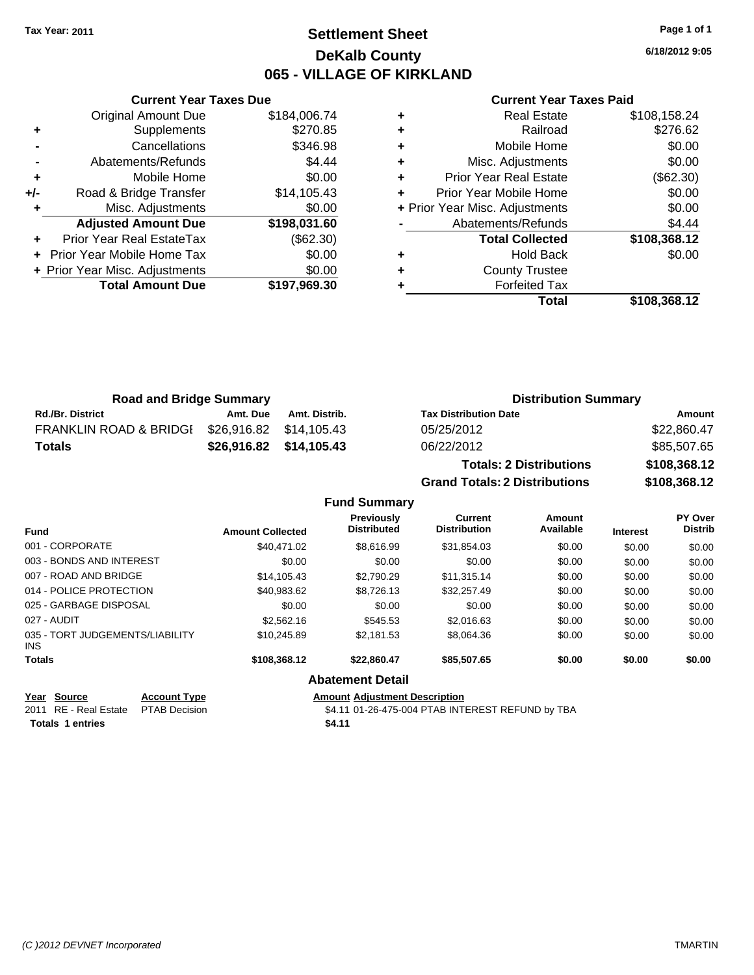# **Settlement Sheet Tax Year: 2011 Page 1 of 1 DeKalb County 065 - VILLAGE OF KIRKLAND**

**6/18/2012 9:05**

#### **Current Year Taxes Paid**

|   | <b>Real Estate</b>             | \$108,158.24 |
|---|--------------------------------|--------------|
| ٠ | Railroad                       | \$276.62     |
| ٠ | Mobile Home                    | \$0.00       |
| ٠ | Misc. Adjustments              | \$0.00       |
| ٠ | <b>Prior Year Real Estate</b>  | (\$62.30)    |
| ٠ | Prior Year Mobile Home         | \$0.00       |
|   | + Prior Year Misc. Adjustments | \$0.00       |
|   | Abatements/Refunds             | \$4.44       |
|   | <b>Total Collected</b>         | \$108,368.12 |
| ٠ | <b>Hold Back</b>               | \$0.00       |
| ٠ | <b>County Trustee</b>          |              |
|   | <b>Forfeited Tax</b>           |              |
|   | Total                          | \$108,368.12 |

|     | <b>Current Year Taxes Due</b>  |              |  |  |  |  |
|-----|--------------------------------|--------------|--|--|--|--|
|     | <b>Original Amount Due</b>     | \$184,006.74 |  |  |  |  |
| ٠   | Supplements                    | \$270.85     |  |  |  |  |
|     | Cancellations                  | \$346.98     |  |  |  |  |
|     | Abatements/Refunds             | \$4.44       |  |  |  |  |
| ٠   | Mobile Home                    | \$0.00       |  |  |  |  |
| +/- | Road & Bridge Transfer         | \$14,105.43  |  |  |  |  |
| ٠   | Misc. Adjustments              | \$0.00       |  |  |  |  |
|     | <b>Adjusted Amount Due</b>     | \$198,031.60 |  |  |  |  |
|     | Prior Year Real EstateTax      | (\$62.30)    |  |  |  |  |
|     | Prior Year Mobile Home Tax     | \$0.00       |  |  |  |  |
|     | + Prior Year Misc. Adjustments | \$0.00       |  |  |  |  |
|     | <b>Total Amount Due</b>        | \$197,969.30 |  |  |  |  |
|     |                                |              |  |  |  |  |

| <b>Road and Bridge Summary</b>    |          |               | <b>Distribution Summary</b>          |              |  |
|-----------------------------------|----------|---------------|--------------------------------------|--------------|--|
| <b>Rd./Br. District</b>           | Amt. Due | Amt. Distrib. | <b>Tax Distribution Date</b>         | Amount       |  |
| <b>FRANKLIN ROAD &amp; BRIDGI</b> |          |               | 05/25/2012                           | \$22,860.47  |  |
| <b>Totals</b>                     |          |               | 06/22/2012                           | \$85,507.65  |  |
|                                   |          |               | <b>Totals: 2 Distributions</b>       | \$108,368.12 |  |
|                                   |          |               | <b>Grand Totals: 2 Distributions</b> | \$108,368.12 |  |

|                                         |                         | <b>Fund Summary</b>                     |                                       |                     |                 |                                  |
|-----------------------------------------|-------------------------|-----------------------------------------|---------------------------------------|---------------------|-----------------|----------------------------------|
| <b>Fund</b>                             | <b>Amount Collected</b> | <b>Previously</b><br><b>Distributed</b> | <b>Current</b><br><b>Distribution</b> | Amount<br>Available | <b>Interest</b> | <b>PY Over</b><br><b>Distrib</b> |
| 001 - CORPORATE                         | \$40.471.02             | \$8.616.99                              | \$31,854.03                           | \$0.00              | \$0.00          | \$0.00                           |
| 003 - BONDS AND INTEREST                | \$0.00                  | \$0.00                                  | \$0.00                                | \$0.00              | \$0.00          | \$0.00                           |
| 007 - ROAD AND BRIDGE                   | \$14.105.43             | \$2.790.29                              | \$11.315.14                           | \$0.00              | \$0.00          | \$0.00                           |
| 014 - POLICE PROTECTION                 | \$40,983.62             | \$8,726.13                              | \$32,257.49                           | \$0.00              | \$0.00          | \$0.00                           |
| 025 - GARBAGE DISPOSAL                  | \$0.00                  | \$0.00                                  | \$0.00                                | \$0.00              | \$0.00          | \$0.00                           |
| 027 - AUDIT                             | \$2,562.16              | \$545.53                                | \$2,016.63                            | \$0.00              | \$0.00          | \$0.00                           |
| 035 - TORT JUDGEMENTS/LIABILITY<br>INS. | \$10.245.89             | \$2.181.53                              | \$8,064.36                            | \$0.00              | \$0.00          | \$0.00                           |
| <b>Totals</b>                           | \$108,368.12            | \$22.860.47                             | \$85,507.65                           | \$0.00              | \$0.00          | \$0.00                           |
|                                         |                         | <b>Abatement Detail</b>                 |                                       |                     |                 |                                  |

## **Year Source Account Type Amount Adjustment Description**

2011 RE - Real Estate \$4.11 01-26-475-004 PTAB INTEREST REFUND by TBA PTAB Decision **Totals 1 entries** \$4.11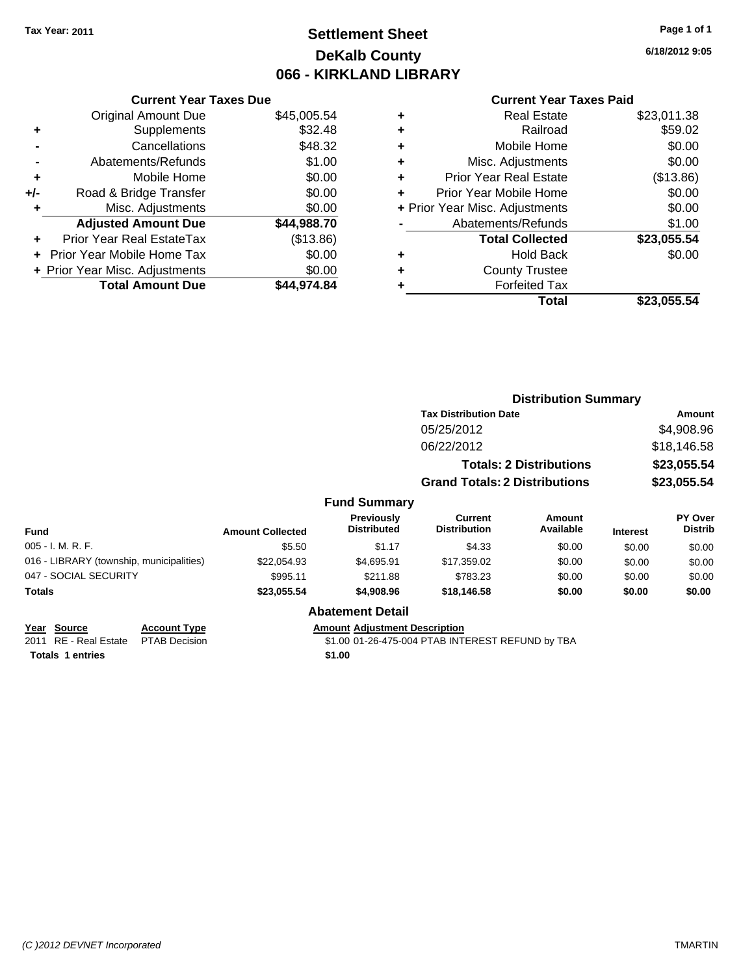# **Settlement Sheet Tax Year: 2011 Page 1 of 1 DeKalb County 066 - KIRKLAND LIBRARY**

**6/18/2012 9:05**

#### **Current Year Taxes Paid**

| <b>Current Year Taxes Due</b>  |             |
|--------------------------------|-------------|
| <b>Original Amount Due</b>     | \$45,005.54 |
| Supplements                    | \$32.48     |
| Cancellations                  | \$48.32     |
| Abatements/Refunds             | \$1.00      |
| Mobile Home                    | \$0.00      |
| Road & Bridge Transfer         | \$0.00      |
| Misc. Adjustments              | \$0.00      |
| <b>Adjusted Amount Due</b>     | \$44,988.70 |
| Prior Year Real EstateTax      | (\$13.86)   |
| Prior Year Mobile Home Tax     | \$0.00      |
| + Prior Year Misc. Adjustments | \$0.00      |
|                                |             |
|                                |             |

| ٠ | <b>Real Estate</b>             | \$23,011.38 |
|---|--------------------------------|-------------|
| ٠ | Railroad                       | \$59.02     |
| ٠ | Mobile Home                    | \$0.00      |
| ٠ | Misc. Adjustments              | \$0.00      |
| ٠ | <b>Prior Year Real Estate</b>  | (\$13.86)   |
| ÷ | Prior Year Mobile Home         | \$0.00      |
|   | + Prior Year Misc. Adjustments | \$0.00      |
|   | Abatements/Refunds             | \$1.00      |
|   | <b>Total Collected</b>         | \$23,055.54 |
| ٠ | <b>Hold Back</b>               | \$0.00      |
| ٠ | <b>County Trustee</b>          |             |
| ٠ | <b>Forfeited Tax</b>           |             |
|   | Total                          | \$23,055.54 |
|   |                                |             |

|                                          |                         |                                  | <b>Distribution Summary</b>          |                                |                 |                           |
|------------------------------------------|-------------------------|----------------------------------|--------------------------------------|--------------------------------|-----------------|---------------------------|
|                                          |                         |                                  | <b>Tax Distribution Date</b>         |                                |                 | Amount                    |
|                                          |                         |                                  | 05/25/2012                           |                                |                 | \$4,908.96                |
|                                          |                         |                                  | 06/22/2012                           |                                |                 | \$18,146.58               |
|                                          |                         |                                  |                                      | <b>Totals: 2 Distributions</b> |                 | \$23,055.54               |
|                                          |                         |                                  | <b>Grand Totals: 2 Distributions</b> |                                |                 | \$23,055.54               |
|                                          |                         | <b>Fund Summary</b>              |                                      |                                |                 |                           |
| <b>Fund</b>                              | <b>Amount Collected</b> | Previously<br><b>Distributed</b> | Current<br><b>Distribution</b>       | Amount<br>Available            | <b>Interest</b> | PY Over<br><b>Distrib</b> |
| 005 - I. M. R. F.                        | \$5.50                  | \$1.17                           | \$4.33                               | \$0.00                         | \$0.00          | \$0.00                    |
| 016 - LIBRARY (township, municipalities) | \$22.054.93             | \$4,695.91                       | \$17,359.02                          | \$0.00                         | \$0.00          | \$0.00                    |
| 047 - SOCIAL SECURITY                    | \$995.11                | \$211.88                         | \$783.23                             | \$0.00                         | \$0.00          | \$0.00                    |
| Totals                                   | \$23,055.54             | \$4,908.96                       | \$18,146.58                          | \$0.00                         | \$0.00          | \$0.00                    |
|                                          |                         | <b>Abatement Detail</b>          |                                      |                                |                 |                           |

| Year Source                         | <b>Account Type</b> | Amount |
|-------------------------------------|---------------------|--------|
| 2011 RE - Real Estate PTAB Decision |                     | \$1.00 |
| <b>Totals 1 entries</b>             |                     | \$1.00 |

**Year Source Account Type Amount Adjustment Description**  $\overline{\text{201-26-475-004 P} }$  PTAB INTEREST REFUND by TBA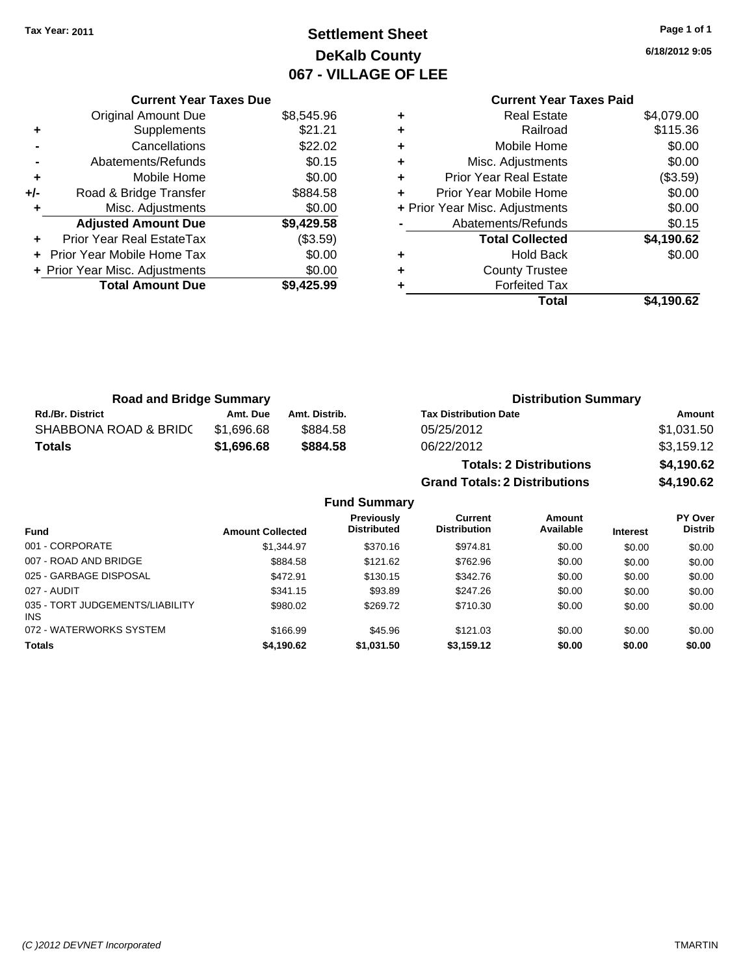# **Settlement Sheet Tax Year: 2011 Page 1 of 1 DeKalb County 067 - VILLAGE OF LEE**

**6/18/2012 9:05**

## **Current Year Taxes Due** Original Amount Due \$8,545.96 **+** Supplements \$21.21 **-** Cancellations \$22.02 **-** Abatements/Refunds \$0.15 **+** Mobile Home \$0.00 **+/-** Road & Bridge Transfer \$884.58 **+** Misc. Adjustments \$0.00 **Adjusted Amount Due \$9,429.58 +** Prior Year Real EstateTax (\$3.59) **+** Prior Year Mobile Home Tax \$0.00 **+ Prior Year Misc. Adjustments**  $$0.00$ **Total Amount Due \$9,425.99**

## **Current Year Taxes Paid +** Real Estate \$4,079.00 **+** Railroad \$115.36 **+** Mobile Home \$0.00 **+** Misc. Adjustments \$0.00 **+** Prior Year Real Estate (\$3.59) **+** Prior Year Mobile Home \$0.00 **+** Prior Year Misc. Adjustments  $$0.00$ Abatements/Refunds \$0.15 **Total Collected \$4,190.62 +** Hold Back \$0.00 **+** County Trustee **+** Forfeited Tax

**Grand Totals: 2 Distributions \$4,190.62**

**Total \$4,190.62**

| <b>Road and Bridge Summary</b> |            |               | <b>Distribution Summary</b>    |            |  |
|--------------------------------|------------|---------------|--------------------------------|------------|--|
| <b>Rd./Br. District</b>        | Amt. Due   | Amt. Distrib. | <b>Tax Distribution Date</b>   | Amount     |  |
| SHABBONA ROAD & BRIDC          | \$1.696.68 | \$884.58      | 05/25/2012                     | \$1,031.50 |  |
| <b>Totals</b>                  | \$1.696.68 | \$884.58      | 06/22/2012                     | \$3,159.12 |  |
|                                |            |               | <b>Totals: 2 Distributions</b> | \$4,190.62 |  |

**Fund Summary Fund Interest Amount Collected Distributed PY Over Distrib Amount Available Current Distribution Previously** 001 - CORPORATE \$1,344.97 \$370.16 \$974.81 \$0.00 \$0.00 \$0.00 007 - ROAD AND BRIDGE 60.00 \$884.58 \$121.62 \$762.96 \$0.00 \$0.00 \$0.00 \$0.00 025 - GARBAGE DISPOSAL \$472.91 \$342.76 \$0.00 \$0.00 \$0.00 \$0.00 027 - AUDIT \$341.15 \$93.89 \$247.26 \$0.00 \$0.00 \$0.00 035 - TORT JUDGEMENTS/LIABILITY INS \$980.02 \$269.72 \$710.30 \$0.00 \$0.00 \$0.00 072 - WATERWORKS SYSTEM \$166.99 \$45.96 \$121.03 \$0.00 \$0.00 \$0.00 \$0.00 **Totals \$4,190.62 \$1,031.50 \$3,159.12 \$0.00 \$0.00 \$0.00**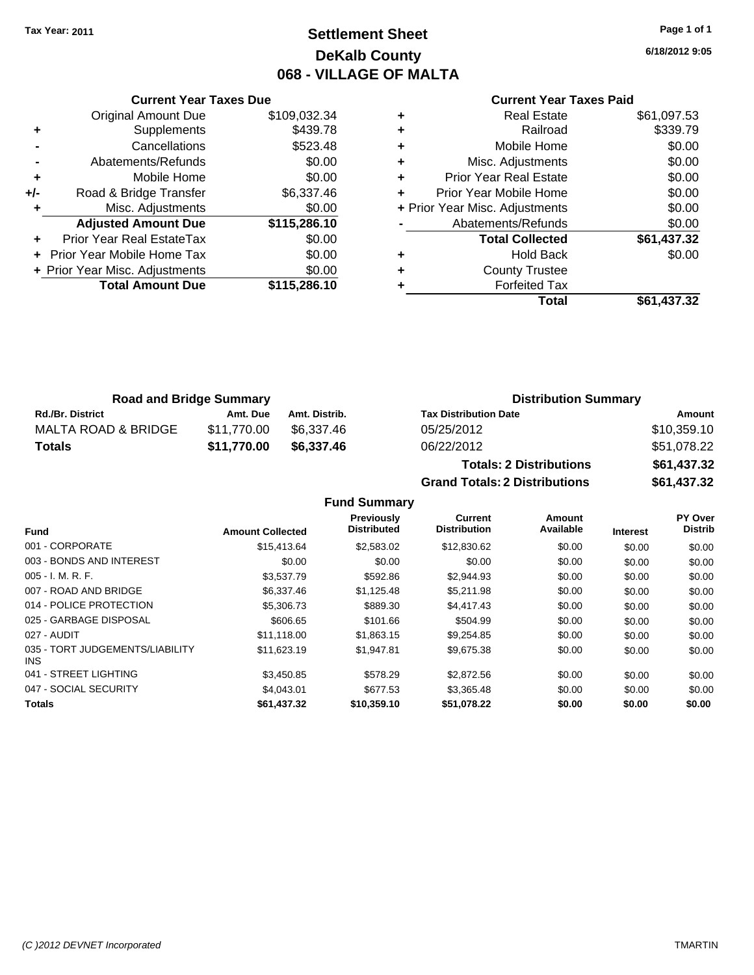# **Settlement Sheet Tax Year: 2011 Page 1 of 1 DeKalb County 068 - VILLAGE OF MALTA**

**6/18/2012 9:05**

#### **Current Year Taxes Paid**

|     | <b>Current Year Taxes Due</b>  |              |  |  |  |
|-----|--------------------------------|--------------|--|--|--|
|     | <b>Original Amount Due</b>     | \$109,032.34 |  |  |  |
|     | Supplements                    | \$439.78     |  |  |  |
|     | Cancellations                  | \$523.48     |  |  |  |
|     | Abatements/Refunds             | \$0.00       |  |  |  |
| ٠   | Mobile Home                    | \$0.00       |  |  |  |
| +/- | Road & Bridge Transfer         | \$6,337.46   |  |  |  |
|     | Misc. Adjustments              | \$0.00       |  |  |  |
|     | <b>Adjusted Amount Due</b>     | \$115,286.10 |  |  |  |
|     | Prior Year Real EstateTax      | \$0.00       |  |  |  |
|     | Prior Year Mobile Home Tax     | \$0.00       |  |  |  |
|     | + Prior Year Misc. Adjustments | \$0.00       |  |  |  |
|     | <b>Total Amount Due</b>        | \$115,286.10 |  |  |  |
|     |                                |              |  |  |  |

| ٠ | <b>Real Estate</b>             | \$61,097.53 |
|---|--------------------------------|-------------|
| ٠ | Railroad                       | \$339.79    |
| ٠ | Mobile Home                    | \$0.00      |
| ٠ | Misc. Adjustments              | \$0.00      |
| ٠ | Prior Year Real Estate         | \$0.00      |
| ÷ | Prior Year Mobile Home         | \$0.00      |
|   | + Prior Year Misc. Adjustments | \$0.00      |
|   | Abatements/Refunds             | \$0.00      |
|   | <b>Total Collected</b>         | \$61,437.32 |
| ٠ | Hold Back                      | \$0.00      |
| ٠ | <b>County Trustee</b>          |             |
| ٠ | <b>Forfeited Tax</b>           |             |
|   | Total                          | \$61,437.32 |
|   |                                |             |

**Grand Totals: 2 Distributions \$61,437.32**

| <b>Road and Bridge Summary</b> |             |               | <b>Distribution Summary</b>    |             |
|--------------------------------|-------------|---------------|--------------------------------|-------------|
| <b>Rd./Br. District</b>        | Amt. Due    | Amt. Distrib. | <b>Tax Distribution Date</b>   | Amount      |
| MALTA ROAD & BRIDGE            | \$11.770.00 | \$6.337.46    | 05/25/2012                     | \$10,359.10 |
| Totals                         | \$11,770.00 | \$6,337.46    | 06/22/2012                     | \$51,078.22 |
|                                |             |               | <b>Totals: 2 Distributions</b> | \$61,437.32 |

**Fund Summary Fund Interest Amount Collected Distributed PY Over Distrib Amount Available Current Distribution Previously** 001 - CORPORATE \$15,413.64 \$2,583.02 \$12,830.62 \$0.00 \$0.00 \$0.00 003 - BONDS AND INTEREST  $$0.00$   $$0.00$   $$0.00$   $$0.00$   $$0.00$   $$0.00$   $$0.00$   $$0.00$ 005 - I. M. R. F. Charles Communication (St. 2006) \$3,537.79 \$1,592.86 \$2,944.93 \$0.00 \$0.00 \$0.00 \$0.00 007 - ROAD AND BRIDGE \$6,337.46 \$1,125.48 \$5,211.98 \$0.00 \$0.00 \$0.00 014 - POLICE PROTECTION \$5,306.73 \$889.30 \$4,417.43 \$0.00 \$0.00 \$0.00 \$0.00 025 - GARBAGE DISPOSAL \$606.65 \$101.66 \$504.99 \$0.00 \$0.00 \$0.00 027 - AUDIT \$11,118.00 \$1,863.15 \$9,254.85 \$0.00 \$0.00 \$0.00 035 - TORT JUDGEMENTS/LIABILITY INS \$11,623.19 \$1,947.81 \$9,675.38 \$0.00 \$0.00 \$0.00 041 - STREET LIGHTING \$3,450.85 \$3,450.85 \$578.29 \$2,872.56 \$0.00 \$0.00 \$0.00 \$0.00 047 - SOCIAL SECURITY \$4,043.01 \$677.53 \$3,365.48 \$0.00 \$0.00 \$0.00 **Totals \$61,437.32 \$10,359.10 \$51,078.22 \$0.00 \$0.00 \$0.00**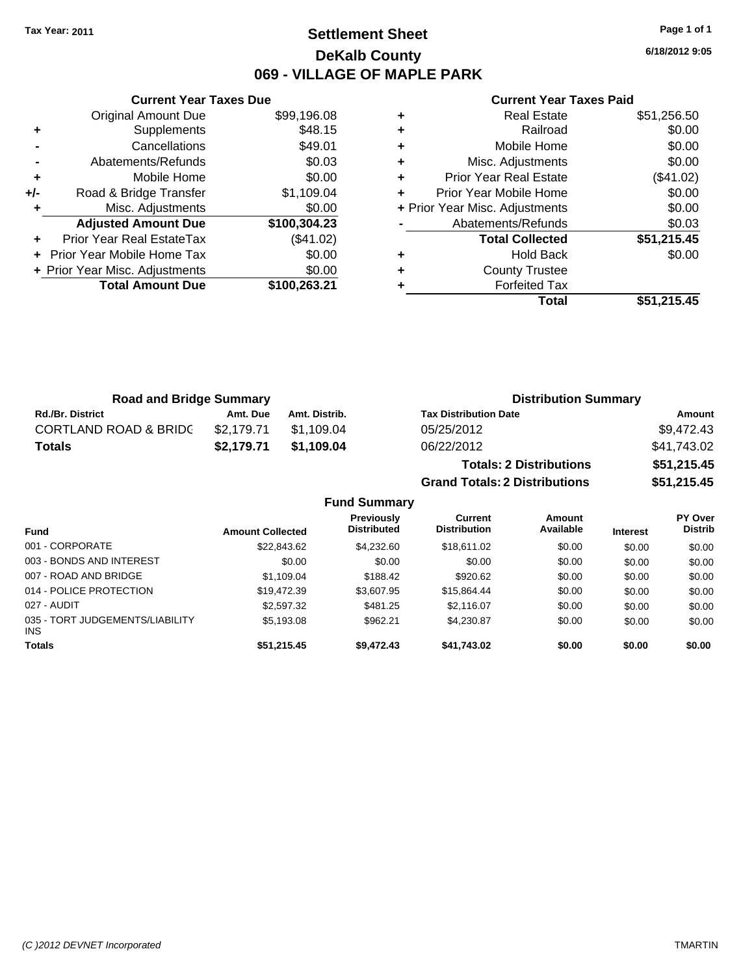# **Settlement Sheet Tax Year: 2011 Page 1 of 1 DeKalb County 069 - VILLAGE OF MAPLE PARK**

**6/18/2012 9:05**

#### **Current Year Taxes Paid**

|     | <b>Original Amount Due</b>     | \$99,196.08  |
|-----|--------------------------------|--------------|
| ٠   | Supplements                    | \$48.15      |
|     | Cancellations                  | \$49.01      |
|     | Abatements/Refunds             | \$0.03       |
| ٠   | Mobile Home                    | \$0.00       |
| +/- | Road & Bridge Transfer         | \$1,109.04   |
|     | Misc. Adjustments              | \$0.00       |
|     | <b>Adjusted Amount Due</b>     | \$100,304.23 |
|     | Prior Year Real EstateTax      | (\$41.02)    |
|     | Prior Year Mobile Home Tax     | \$0.00       |
|     | + Prior Year Misc. Adjustments | \$0.00       |
|     | <b>Total Amount Due</b>        | \$100,263.21 |
|     |                                |              |

**Current Year Taxes Due**

|   | Total                          | \$51,215.45 |
|---|--------------------------------|-------------|
| ٠ | <b>Forfeited Tax</b>           |             |
| ٠ | <b>County Trustee</b>          |             |
| ٠ | <b>Hold Back</b>               | \$0.00      |
|   | <b>Total Collected</b>         | \$51,215.45 |
|   | Abatements/Refunds             | \$0.03      |
|   | + Prior Year Misc. Adjustments | \$0.00      |
| ٠ | Prior Year Mobile Home         | \$0.00      |
| ÷ | Prior Year Real Estate         | (\$41.02)   |
| ٠ | Misc. Adjustments              | \$0.00      |
| ٠ | Mobile Home                    | \$0.00      |
| ٠ | Railroad                       | \$0.00      |
| ٠ | <b>Real Estate</b>             | \$51,256.50 |
|   |                                |             |

**Grand Totals: 2 Distributions \$51,215.45**

| <b>Road and Bridge Summary</b>   |            |               | <b>Distribution Summary</b>    |             |
|----------------------------------|------------|---------------|--------------------------------|-------------|
| <b>Rd./Br. District</b>          | Amt. Due   | Amt. Distrib. | <b>Tax Distribution Date</b>   | Amount      |
| <b>CORTLAND ROAD &amp; BRIDC</b> | \$2.179.71 | \$1.109.04    | 05/25/2012                     | \$9,472.43  |
| <b>Totals</b>                    | \$2.179.71 | \$1.109.04    | 06/22/2012                     | \$41.743.02 |
|                                  |            |               | <b>Totals: 2 Distributions</b> | \$51,215.45 |

**Fund Summary Fund Interest Amount Collected Distributed PY Over Distrib Amount Available Current Distribution Previously** 001 - CORPORATE 6 60.00 \$22,843.62 \$4,232.60 \$18,611.02 \$0.00 \$0.00 \$0.00 \$0.00 003 - BONDS AND INTEREST  $$0.00$   $$0.00$   $$0.00$   $$0.00$   $$0.00$   $$0.00$   $$0.00$   $$0.00$ 007 - ROAD AND BRIDGE \$1,109.04 \$1,109.04 \$188.42 \$920.62 \$0.00 \$0.00 \$0.00 \$0.00 014 - POLICE PROTECTION \$19,472.39 \$3,607.95 \$15,864.44 \$0.00 \$0.00 \$0.00 027 - AUDIT \$2,597.32 \$481.25 \$2,116.07 \$0.00 \$0.00 \$0.00 035 - TORT JUDGEMENTS/LIABILITY INS \$5,193.08 \$962.21 \$4,230.87 \$0.00 \$0.00 \$0.00 **Totals \$51,215.45 \$9,472.43 \$41,743.02 \$0.00 \$0.00 \$0.00**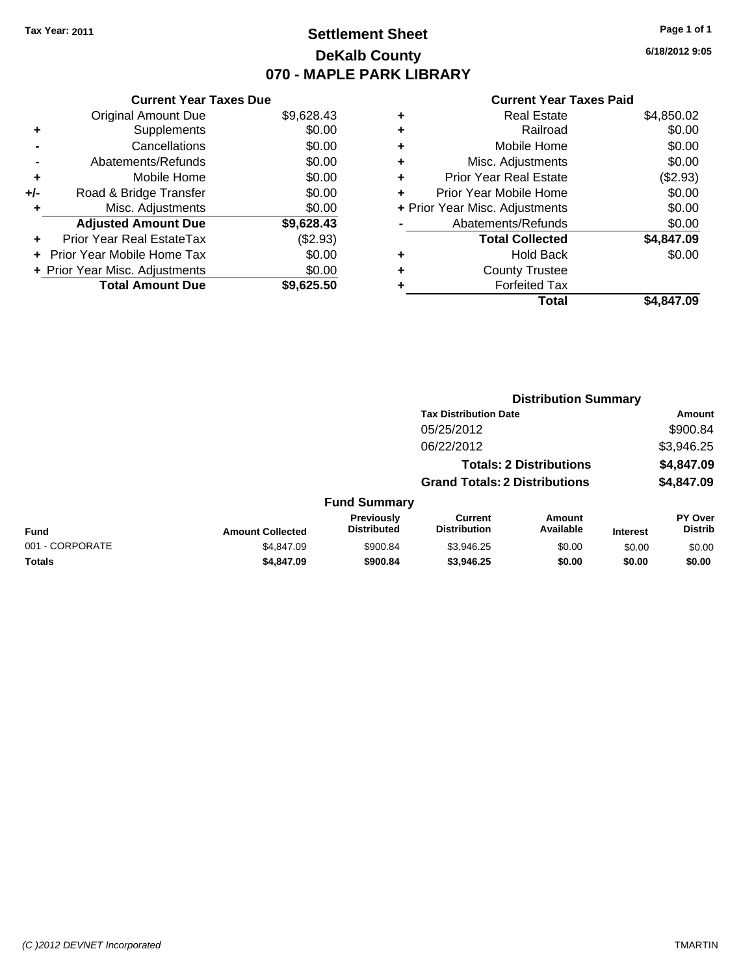# **Settlement Sheet Tax Year: 2011 Page 1 of 1 DeKalb County 070 - MAPLE PARK LIBRARY**

**6/18/2012 9:05**

## **Current Year Taxes Paid**

|     | <b>Current Year Taxes Due</b>  |            |   | <b>Current Year Taxes Paid</b> |            |
|-----|--------------------------------|------------|---|--------------------------------|------------|
|     | <b>Original Amount Due</b>     | \$9,628.43 |   | <b>Real Estate</b>             | \$4,850.02 |
| ٠   | <b>Supplements</b>             | \$0.00     | ٠ | Railroad                       | \$0.00     |
|     | Cancellations                  | \$0.00     |   | Mobile Home                    | \$0.00     |
|     | Abatements/Refunds             | \$0.00     | ٠ | Misc. Adjustments              | \$0.00     |
| ٠   | Mobile Home                    | \$0.00     | ٠ | <b>Prior Year Real Estate</b>  | (\$2.93)   |
| +/- | Road & Bridge Transfer         | \$0.00     |   | Prior Year Mobile Home         | \$0.00     |
|     | Misc. Adjustments              | \$0.00     |   | + Prior Year Misc. Adjustments | \$0.00     |
|     | <b>Adjusted Amount Due</b>     | \$9,628.43 |   | Abatements/Refunds             | \$0.00     |
| ٠   | Prior Year Real EstateTax      | $(\$2.93)$ |   | <b>Total Collected</b>         | \$4,847.09 |
|     | + Prior Year Mobile Home Tax   | \$0.00     | ٠ | <b>Hold Back</b>               | \$0.00     |
|     | + Prior Year Misc. Adjustments | \$0.00     |   | <b>County Trustee</b>          |            |
|     | <b>Total Amount Due</b>        | \$9,625.50 |   | <b>Forfeited Tax</b>           |            |
|     |                                |            |   | Total                          | \$4,847.09 |

| \$4,847.09 |
|------------|

|                 |                         |                                  | <b>Distribution Summary</b>           |                                |                 |                                  |
|-----------------|-------------------------|----------------------------------|---------------------------------------|--------------------------------|-----------------|----------------------------------|
|                 |                         |                                  | <b>Tax Distribution Date</b>          |                                |                 | Amount                           |
|                 |                         |                                  | 05/25/2012                            |                                |                 | \$900.84                         |
|                 |                         |                                  | 06/22/2012                            |                                |                 | \$3,946.25                       |
|                 |                         |                                  |                                       | <b>Totals: 2 Distributions</b> |                 | \$4,847.09                       |
|                 |                         |                                  | <b>Grand Totals: 2 Distributions</b>  |                                |                 | \$4,847.09                       |
|                 |                         | <b>Fund Summary</b>              |                                       |                                |                 |                                  |
| Fund            | <b>Amount Collected</b> | Previously<br><b>Distributed</b> | <b>Current</b><br><b>Distribution</b> | <b>Amount</b><br>Available     | <b>Interest</b> | <b>PY Over</b><br><b>Distrib</b> |
| 001 - CORPORATE | \$4.847.09              | \$900.84                         | \$3,946.25                            | \$0.00                         | \$0.00          | \$0.00                           |
| Totals          | \$4,847.09              | \$900.84                         | \$3,946.25                            | \$0.00                         | \$0.00          | \$0.00                           |
|                 |                         |                                  |                                       |                                |                 |                                  |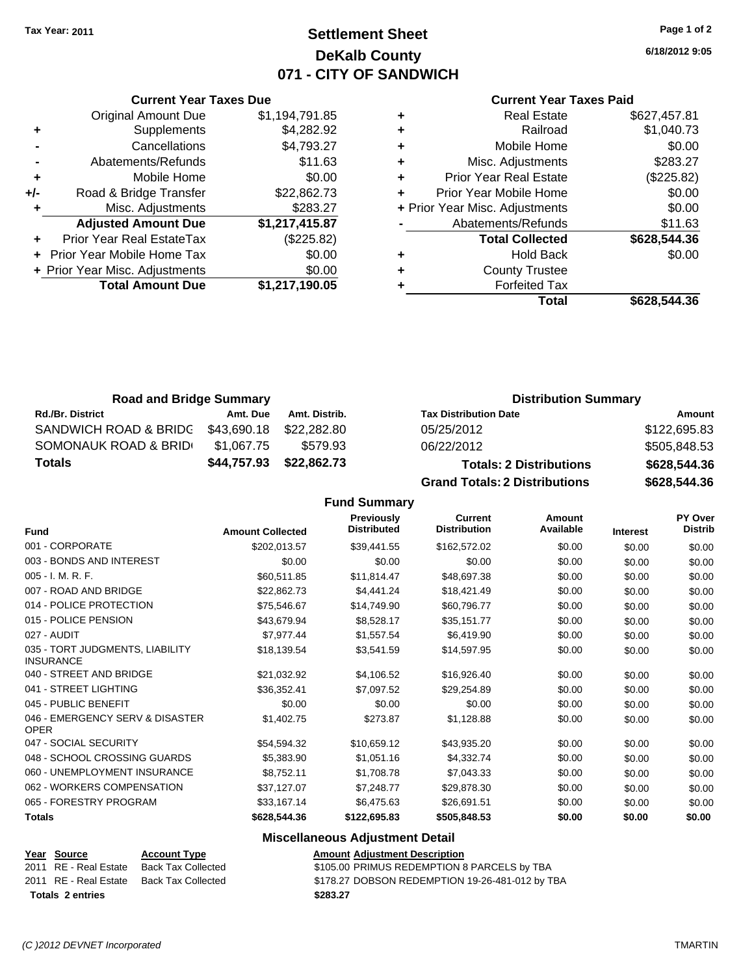# **Settlement Sheet Tax Year: 2011 Page 1 of 2 DeKalb County 071 - CITY OF SANDWICH**

**6/18/2012 9:05**

#### **Current Year Taxes Paid**

|   | <b>Total</b>                   | \$628,544.36 |
|---|--------------------------------|--------------|
|   | <b>Forfeited Tax</b>           |              |
| ٠ | <b>County Trustee</b>          |              |
| ٠ | <b>Hold Back</b>               | \$0.00       |
|   | <b>Total Collected</b>         | \$628,544.36 |
|   | Abatements/Refunds             | \$11.63      |
|   | + Prior Year Misc. Adjustments | \$0.00       |
| ÷ | Prior Year Mobile Home         | \$0.00       |
| ٠ | <b>Prior Year Real Estate</b>  | (\$225.82)   |
| ٠ | Misc. Adjustments              | \$283.27     |
| ٠ | Mobile Home                    | \$0.00       |
| ٠ | Railroad                       | \$1,040.73   |
|   | <b>Real Estate</b>             | \$627.457.81 |

| <b>Original Amount Due</b>        | \$1,194,791.85                                                  |
|-----------------------------------|-----------------------------------------------------------------|
| Supplements                       | \$4,282.92                                                      |
| Cancellations                     | \$4,793.27                                                      |
| Abatements/Refunds                | \$11.63                                                         |
| Mobile Home                       | \$0.00                                                          |
| Road & Bridge Transfer            | \$22,862.73                                                     |
| Misc. Adjustments                 | \$283.27                                                        |
| <b>Adjusted Amount Due</b>        | \$1,217,415.87                                                  |
| Prior Year Real EstateTax         | (\$225.82)                                                      |
| <b>Prior Year Mobile Home Tax</b> | \$0.00                                                          |
|                                   | \$0.00                                                          |
| <b>Total Amount Due</b>           | \$1,217,190.05                                                  |
|                                   | <b>Current Year Taxes Due</b><br>+ Prior Year Misc. Adjustments |

| <b>Road and Bridge Summary</b> |             |               | <b>Distribution Summary</b>          |              |
|--------------------------------|-------------|---------------|--------------------------------------|--------------|
| <b>Rd./Br. District</b>        | Amt. Due    | Amt. Distrib. | <b>Tax Distribution Date</b>         | Amount       |
| SANDWICH ROAD & BRIDG          | \$43,690.18 | \$22,282.80   | 05/25/2012                           | \$122,695.83 |
| SOMONAUK ROAD & BRID           | \$1.067.75  | \$579.93      | 06/22/2012                           | \$505,848.53 |
| <b>Totals</b>                  | \$44,757.93 | \$22,862.73   | <b>Totals: 2 Distributions</b>       | \$628,544.36 |
|                                |             |               | <b>Grand Totals: 2 Distributions</b> | \$628,544.36 |

**Fund Summary**

| <b>Fund</b>                                         | <b>Amount Collected</b> | <b>Previously</b><br><b>Distributed</b> | <b>Current</b><br><b>Distribution</b> | Amount<br>Available | Interest | <b>PY Over</b><br><b>Distrib</b> |
|-----------------------------------------------------|-------------------------|-----------------------------------------|---------------------------------------|---------------------|----------|----------------------------------|
| 001 - CORPORATE                                     | \$202,013.57            | \$39,441.55                             | \$162,572.02                          | \$0.00              | \$0.00   | \$0.00                           |
| 003 - BONDS AND INTEREST                            | \$0.00                  | \$0.00                                  | \$0.00                                | \$0.00              | \$0.00   | \$0.00                           |
| 005 - I. M. R. F.                                   | \$60,511.85             | \$11,814.47                             | \$48,697.38                           | \$0.00              | \$0.00   | \$0.00                           |
| 007 - ROAD AND BRIDGE                               | \$22,862.73             | \$4,441.24                              | \$18,421.49                           | \$0.00              | \$0.00   | \$0.00                           |
| 014 - POLICE PROTECTION                             | \$75,546.67             | \$14,749.90                             | \$60,796.77                           | \$0.00              | \$0.00   | \$0.00                           |
| 015 - POLICE PENSION                                | \$43,679.94             | \$8,528.17                              | \$35,151.77                           | \$0.00              | \$0.00   | \$0.00                           |
| 027 - AUDIT                                         | \$7,977.44              | \$1,557.54                              | \$6,419.90                            | \$0.00              | \$0.00   | \$0.00                           |
| 035 - TORT JUDGMENTS, LIABILITY<br><b>INSURANCE</b> | \$18,139.54             | \$3,541.59                              | \$14,597.95                           | \$0.00              | \$0.00   | \$0.00                           |
| 040 - STREET AND BRIDGE                             | \$21,032.92             | \$4,106.52                              | \$16,926.40                           | \$0.00              | \$0.00   | \$0.00                           |
| 041 - STREET LIGHTING                               | \$36,352.41             | \$7,097.52                              | \$29,254.89                           | \$0.00              | \$0.00   | \$0.00                           |
| 045 - PUBLIC BENEFIT                                | \$0.00                  | \$0.00                                  | \$0.00                                | \$0.00              | \$0.00   | \$0.00                           |
| 046 - EMERGENCY SERV & DISASTER<br><b>OPER</b>      | \$1,402.75              | \$273.87                                | \$1,128.88                            | \$0.00              | \$0.00   | \$0.00                           |
| 047 - SOCIAL SECURITY                               | \$54,594.32             | \$10,659.12                             | \$43,935.20                           | \$0.00              | \$0.00   | \$0.00                           |
| 048 - SCHOOL CROSSING GUARDS                        | \$5,383.90              | \$1,051.16                              | \$4,332.74                            | \$0.00              | \$0.00   | \$0.00                           |
| 060 - UNEMPLOYMENT INSURANCE                        | \$8,752.11              | \$1,708.78                              | \$7,043.33                            | \$0.00              | \$0.00   | \$0.00                           |
| 062 - WORKERS COMPENSATION                          | \$37,127.07             | \$7,248.77                              | \$29,878.30                           | \$0.00              | \$0.00   | \$0.00                           |
| 065 - FORESTRY PROGRAM                              | \$33,167.14             | \$6,475.63                              | \$26,691.51                           | \$0.00              | \$0.00   | \$0.00                           |
| <b>Totals</b>                                       | \$628,544.36            | \$122,695.83                            | \$505,848.53                          | \$0.00              | \$0.00   | \$0.00                           |

#### **Miscellaneous Adjustment Detail**

#### **Year Source Account Type Amount Adjustment Description** 2011 RE - Real Estate Back Tax Collected \$105.00 PRIMUS REDEMPTION 8 PARCELS by TBA 2011 RE - Real Estate Back Tax Collected \$178.27 DOBSON REDEMPTION 19-26-481-012 by TBA **Totals \$283.27 2 entries**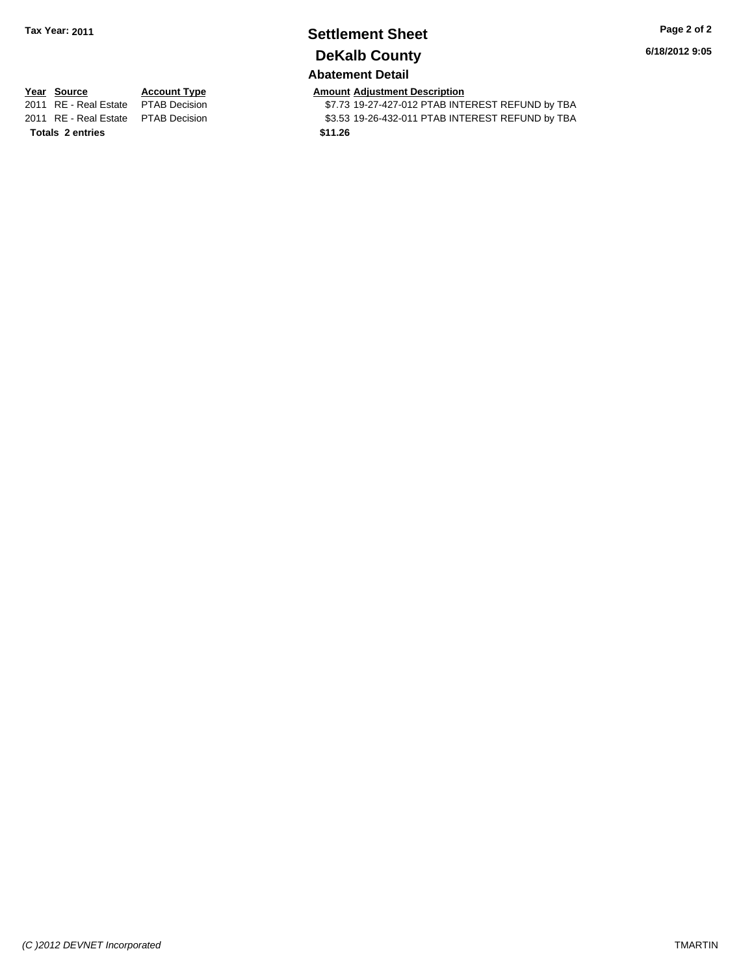# **Settlement Sheet Tax Year: 2011 Page 2 of 2 DeKalb County**

**6/18/2012 9:05**

## **Abatement Detail**

Totals 2 entries **2 and 2 and 2 and 2 and 2 and 2 and 2 and 2 and 2 and 2 and 2 and 2 and 2 and 2 and 2 and 2 and 2 and 2 and 2 and 2 and 2 and 2 and 2 and 2 and 2 and 2 and 2 and 2 and 2 and 2 and 2 and 2 and 2 and 2 and** 

**Year Source Account Type Amount Adjustment Description**<br>2011 RE - Real Estate PTAB Decision **Amount** \$7.73 19-27-427-012 PTAB INTI \$7.73 19-27-427-012 PTAB INTEREST REFUND by TBA 2011 RE - Real Estate \$3.53 19-26-432-011 PTAB INTEREST REFUND by TBA PTAB Decision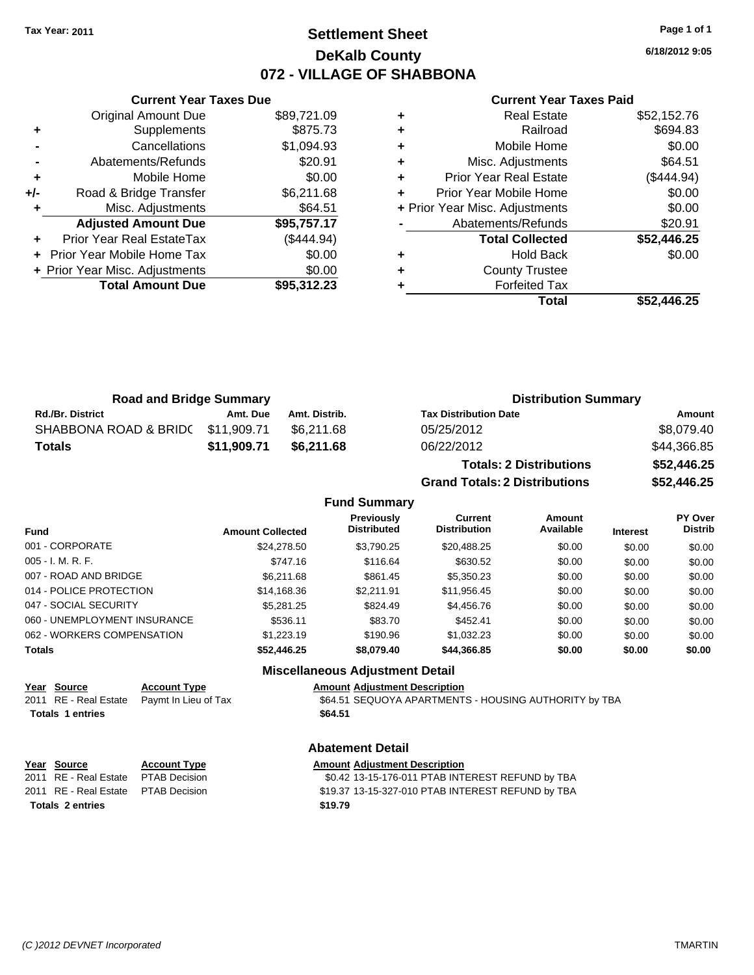## **Settlement Sheet Tax Year: 2011 Page 1 of 1 DeKalb County 072 - VILLAGE OF SHABBONA**

**6/18/2012 9:05**

#### **Current Year Taxes Paid**

|     | <b>Current Year Taxes Due</b>    |             |
|-----|----------------------------------|-------------|
|     | <b>Original Amount Due</b>       | \$89,721.09 |
| ٠   | Supplements                      | \$875.73    |
|     | Cancellations                    | \$1,094.93  |
|     | Abatements/Refunds               | \$20.91     |
| ٠   | Mobile Home                      | \$0.00      |
| +/- | Road & Bridge Transfer           | \$6,211.68  |
| ٠   | Misc. Adjustments                | \$64.51     |
|     | <b>Adjusted Amount Due</b>       | \$95,757.17 |
|     | <b>Prior Year Real EstateTax</b> | (\$444.94)  |
|     | Prior Year Mobile Home Tax       | \$0.00      |
|     | + Prior Year Misc. Adjustments   | \$0.00      |
|     | <b>Total Amount Due</b>          | \$95,312.23 |
|     |                                  |             |

|   | <b>Real Estate</b>             | \$52,152.76 |
|---|--------------------------------|-------------|
| ٠ | Railroad                       | \$694.83    |
| ٠ | Mobile Home                    | \$0.00      |
| ٠ | Misc. Adjustments              | \$64.51     |
| ٠ | <b>Prior Year Real Estate</b>  | (\$444.94)  |
| ٠ | Prior Year Mobile Home         | \$0.00      |
|   | + Prior Year Misc. Adjustments | \$0.00      |
|   | Abatements/Refunds             | \$20.91     |
|   | <b>Total Collected</b>         | \$52,446.25 |
| ٠ | <b>Hold Back</b>               | \$0.00      |
| ٠ | <b>County Trustee</b>          |             |
|   | <b>Forfeited Tax</b>           |             |
|   | Total                          | \$52.446.25 |

| <b>Road and Bridge Summary</b>   |             |               | <b>Distribution Summary</b>  |             |  |
|----------------------------------|-------------|---------------|------------------------------|-------------|--|
| <b>Rd./Br. District</b>          | Amt. Due    | Amt. Distrib. | <b>Tax Distribution Date</b> | Amount      |  |
| SHABBONA ROAD & BRID(\$11,909.71 |             | \$6.211.68    | 05/25/2012                   | \$8,079.40  |  |
| Totals                           | \$11.909.71 | \$6.211.68    | 06/22/2012                   | \$44,366.85 |  |

| <b>Totals: 2 Distributions</b>       | \$52,446.25 |
|--------------------------------------|-------------|
| <b>Grand Totals: 2 Distributions</b> | \$52,446.25 |

#### **Fund Summary**

| <b>Fund</b>                  | <b>Amount Collected</b> | Previously<br><b>Distributed</b> | Current<br><b>Distribution</b> | Amount<br>Available | <b>Interest</b> | PY Over<br><b>Distrib</b> |
|------------------------------|-------------------------|----------------------------------|--------------------------------|---------------------|-----------------|---------------------------|
| 001 - CORPORATE              | \$24,278.50             | \$3.790.25                       | \$20,488.25                    | \$0.00              | \$0.00          | \$0.00                    |
| 005 - I. M. R. F.            | \$747.16                | \$116.64                         | \$630.52                       | \$0.00              | \$0.00          | \$0.00                    |
| 007 - ROAD AND BRIDGE        | \$6.211.68              | \$861.45                         | \$5,350.23                     | \$0.00              | \$0.00          | \$0.00                    |
| 014 - POLICE PROTECTION      | \$14,168.36             | \$2.211.91                       | \$11,956.45                    | \$0.00              | \$0.00          | \$0.00                    |
| 047 - SOCIAL SECURITY        | \$5,281.25              | \$824.49                         | \$4,456.76                     | \$0.00              | \$0.00          | \$0.00                    |
| 060 - UNEMPLOYMENT INSURANCE | \$536.11                | \$83.70                          | \$452.41                       | \$0.00              | \$0.00          | \$0.00                    |
| 062 - WORKERS COMPENSATION   | \$1,223.19              | \$190.96                         | \$1,032.23                     | \$0.00              | \$0.00          | \$0.00                    |
| Totals                       | \$52,446.25             | \$8,079.40                       | \$44,366.85                    | \$0.00              | \$0.00          | \$0.00                    |

## **Miscellaneous Adjustment Detail**

| rear source             | <b>ACCOUNT LYDE</b> |
|-------------------------|---------------------|
| 2011 RE - Real Estate   | Paymt In Lieu o     |
| <b>Totals 1 entries</b> |                     |

# **Year Source Account Type Amount Adjustment Description** 2011 Tax 64.51 SEQUOYA APARTMENTS - HOUSING AUTHORITY by TBA **\$64.51**

#### **Abatement Detail**

| Year Source                          | <b>Account Type</b> | <b>Amount Adjustment Description</b>              |
|--------------------------------------|---------------------|---------------------------------------------------|
| 2011 RE - Real Estate PTAB Decision  |                     | \$0.42 13-15-176-011 PTAB INTEREST REFUND by TBA  |
| 2011 RE - Real Estate  PTAB Decision |                     | \$19.37 13-15-327-010 PTAB INTEREST REFUND by TBA |
| <b>Totals 2 entries</b>              |                     | \$19.79                                           |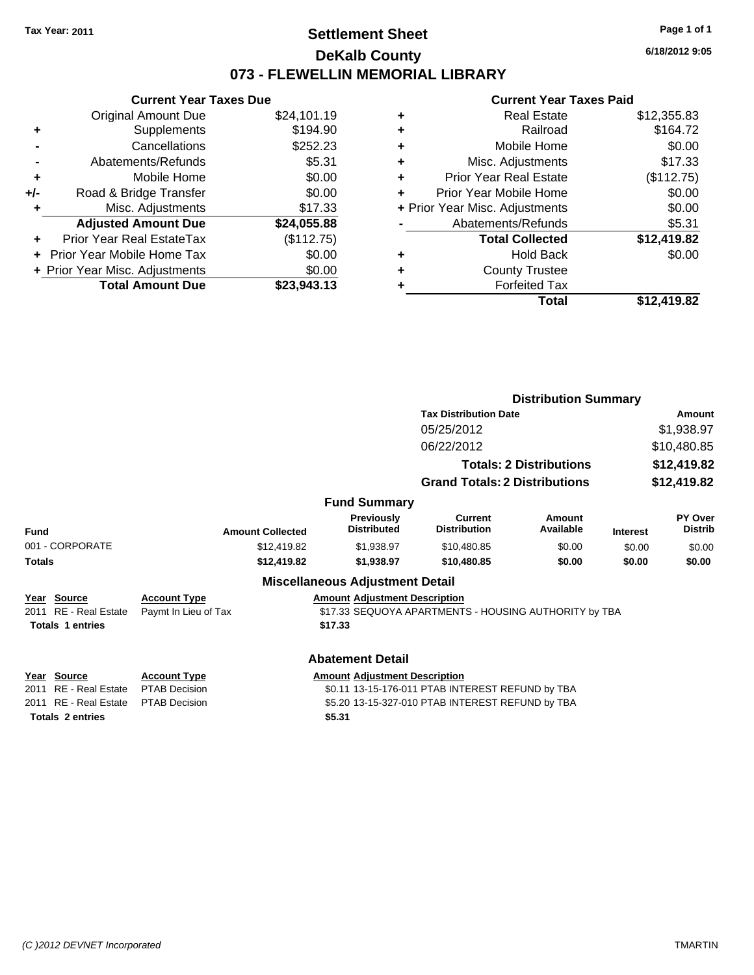## **Settlement Sheet Tax Year: 2011 Page 1 of 1 DeKalb County 073 - FLEWELLIN MEMORIAL LIBRARY**

**6/18/2012 9:05**

## **Current Year Taxes Paid**

|     | <b>Current Year Taxes Due</b>     |             |
|-----|-----------------------------------|-------------|
|     | <b>Original Amount Due</b>        | \$24,101.19 |
| ٠   | Supplements                       | \$194.90    |
|     | Cancellations                     | \$252.23    |
|     | Abatements/Refunds                | \$5.31      |
| ٠   | Mobile Home                       | \$0.00      |
| +/- | Road & Bridge Transfer            | \$0.00      |
|     | Misc. Adjustments                 | \$17.33     |
|     | <b>Adjusted Amount Due</b>        | \$24,055.88 |
|     | <b>Prior Year Real EstateTax</b>  | (\$112.75)  |
|     | <b>Prior Year Mobile Home Tax</b> | \$0.00      |
|     | + Prior Year Misc. Adjustments    | \$0.00      |
|     | <b>Total Amount Due</b>           | \$23.943.13 |

| ٠ | <b>Real Estate</b>             | \$12,355.83 |
|---|--------------------------------|-------------|
| ٠ | Railroad                       | \$164.72    |
| ٠ | Mobile Home                    | \$0.00      |
| ٠ | Misc. Adjustments              | \$17.33     |
| ÷ | <b>Prior Year Real Estate</b>  | (\$112.75)  |
| ÷ | Prior Year Mobile Home         | \$0.00      |
|   | + Prior Year Misc. Adjustments | \$0.00      |
|   | Abatements/Refunds             | \$5.31      |
|   | <b>Total Collected</b>         | \$12,419.82 |
| ٠ | <b>Hold Back</b>               | \$0.00      |
| ٠ | <b>County Trustee</b>          |             |
| ٠ | <b>Forfeited Tax</b>           |             |
|   | Total                          | \$12,419.82 |

|                                 |                         |                                         | <b>Distribution Summary</b>                           |                                |                 |                           |  |
|---------------------------------|-------------------------|-----------------------------------------|-------------------------------------------------------|--------------------------------|-----------------|---------------------------|--|
|                                 |                         |                                         | <b>Tax Distribution Date</b>                          |                                |                 | Amount                    |  |
|                                 |                         |                                         | 05/25/2012                                            |                                |                 | \$1,938.97                |  |
|                                 |                         |                                         | 06/22/2012                                            |                                |                 | \$10,480.85               |  |
|                                 |                         |                                         |                                                       | <b>Totals: 2 Distributions</b> |                 | \$12,419.82               |  |
|                                 |                         |                                         | <b>Grand Totals: 2 Distributions</b>                  |                                |                 | \$12,419.82               |  |
|                                 |                         | <b>Fund Summary</b>                     |                                                       |                                |                 |                           |  |
| Fund                            | <b>Amount Collected</b> | <b>Previously</b><br><b>Distributed</b> | Current<br><b>Distribution</b>                        | Amount<br>Available            | <b>Interest</b> | PY Over<br><b>Distrib</b> |  |
| 001 - CORPORATE                 | \$12,419.82             | \$1,938.97                              | \$10,480.85                                           | \$0.00                         | \$0.00          | \$0.00                    |  |
| <b>Totals</b>                   | \$12,419.82             | \$1,938.97                              | \$10,480.85                                           | \$0.00                         | \$0.00          | \$0.00                    |  |
|                                 |                         | <b>Miscellaneous Adjustment Detail</b>  |                                                       |                                |                 |                           |  |
| Year Source                     | <b>Account Type</b>     | <b>Amount Adjustment Description</b>    |                                                       |                                |                 |                           |  |
| 2011 RE - Real Estate           | Paymt In Lieu of Tax    |                                         | \$17.33 SEQUOYA APARTMENTS - HOUSING AUTHORITY by TBA |                                |                 |                           |  |
| <b>Totals 1 entries</b>         |                         | \$17.33                                 |                                                       |                                |                 |                           |  |
|                                 |                         | <b>Abatement Detail</b>                 |                                                       |                                |                 |                           |  |
| Source<br>Ye <u>ar</u>          | <b>Account Type</b>     | <b>Amount Adjustment Description</b>    |                                                       |                                |                 |                           |  |
| <b>RE</b> - Real Estate<br>2011 | <b>PTAB Decision</b>    |                                         | \$0.11 13-15-176-011 PTAB INTEREST REFUND by TBA      |                                |                 |                           |  |
| <b>RE</b> - Real Estate<br>2011 | <b>PTAB Decision</b>    |                                         | \$5.20 13-15-327-010 PTAB INTEREST REFUND by TBA      |                                |                 |                           |  |
| <b>Totals 2 entries</b>         |                         | \$5.31                                  |                                                       |                                |                 |                           |  |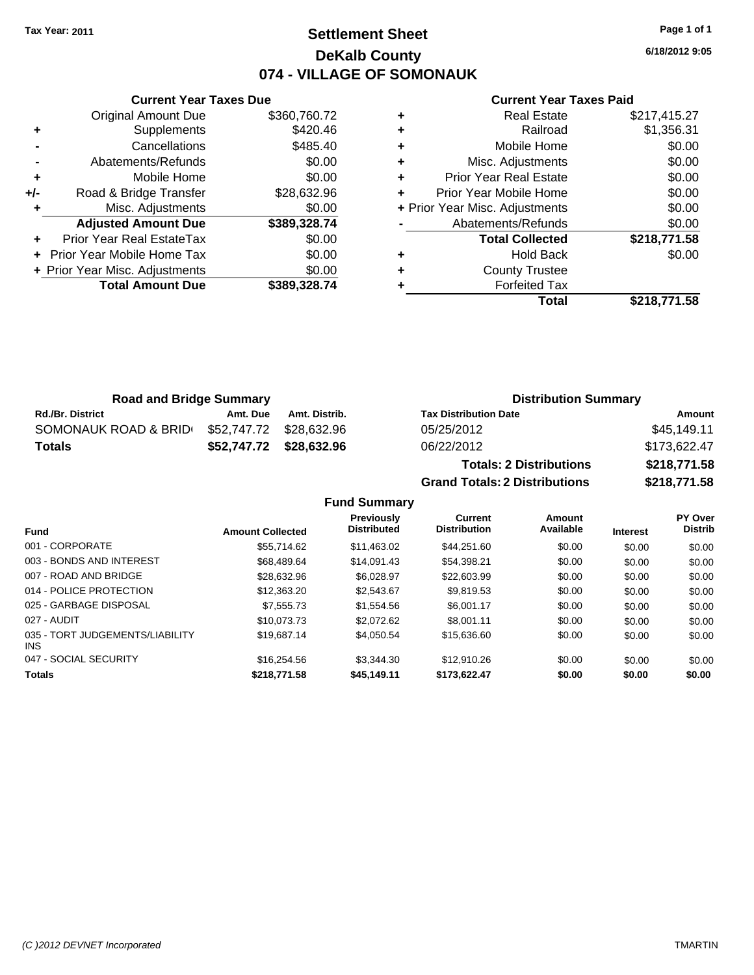# **Settlement Sheet Tax Year: 2011 Page 1 of 1 DeKalb County 074 - VILLAGE OF SOMONAUK**

**6/18/2012 9:05**

#### **Current Year Taxes Paid**

|     | <b>Current Year Taxes Due</b>  |              |  |  |  |
|-----|--------------------------------|--------------|--|--|--|
|     | <b>Original Amount Due</b>     | \$360,760.72 |  |  |  |
| ٠   | Supplements                    | \$420.46     |  |  |  |
|     | Cancellations                  | \$485.40     |  |  |  |
|     | Abatements/Refunds             | \$0.00       |  |  |  |
| ٠   | Mobile Home                    | \$0.00       |  |  |  |
| +/- | Road & Bridge Transfer         | \$28,632.96  |  |  |  |
| ٠   | Misc. Adjustments              | \$0.00       |  |  |  |
|     | <b>Adjusted Amount Due</b>     | \$389,328.74 |  |  |  |
|     | Prior Year Real EstateTax      | \$0.00       |  |  |  |
|     | Prior Year Mobile Home Tax     | \$0.00       |  |  |  |
|     | + Prior Year Misc. Adjustments | \$0.00       |  |  |  |
|     | <b>Total Amount Due</b>        | \$389,328.74 |  |  |  |
|     |                                |              |  |  |  |

|   | <b>Real Estate</b>             | \$217,415.27 |
|---|--------------------------------|--------------|
| ٠ | Railroad                       | \$1,356.31   |
| ٠ | Mobile Home                    | \$0.00       |
| ٠ | Misc. Adjustments              | \$0.00       |
| ٠ | <b>Prior Year Real Estate</b>  | \$0.00       |
|   | Prior Year Mobile Home         | \$0.00       |
|   | + Prior Year Misc. Adjustments | \$0.00       |
|   | Abatements/Refunds             | \$0.00       |
|   | <b>Total Collected</b>         | \$218,771.58 |
| ٠ | <b>Hold Back</b>               | \$0.00       |
|   | <b>County Trustee</b>          |              |
|   | <b>Forfeited Tax</b>           |              |
|   | Total                          | \$218.771.58 |

| <b>Road and Bridge Summary</b> |                         |                         | <b>Distribution Summary</b>  |              |  |
|--------------------------------|-------------------------|-------------------------|------------------------------|--------------|--|
| <b>Rd./Br. District</b>        | Amt. Due                | Amt. Distrib.           | <b>Tax Distribution Date</b> | Amount       |  |
| SOMONAUK ROAD & BRID           | \$52,747.72 \$28,632.96 |                         | 05/25/2012                   | \$45,149.11  |  |
| <b>Totals</b>                  |                         | \$52,747.72 \$28,632.96 | 06/22/2012                   | \$173.622.47 |  |
|                                |                         |                         |                              |              |  |

**Totals: 2 Distributions \$218,771.58 Grand Totals: 2 Distributions \$218,771.58**

#### **Fund Summary**

| <b>Fund</b>                             | <b>Amount Collected</b> | Previously<br><b>Distributed</b> | Current<br><b>Distribution</b> | Amount<br>Available | <b>Interest</b> | PY Over<br><b>Distrib</b> |
|-----------------------------------------|-------------------------|----------------------------------|--------------------------------|---------------------|-----------------|---------------------------|
| 001 - CORPORATE                         | \$55.714.62             | \$11.463.02                      | \$44.251.60                    | \$0.00              | \$0.00          | \$0.00                    |
| 003 - BONDS AND INTEREST                | \$68,489.64             | \$14.091.43                      | \$54.398.21                    | \$0.00              | \$0.00          | \$0.00                    |
| 007 - ROAD AND BRIDGE                   | \$28,632.96             | \$6.028.97                       | \$22,603.99                    | \$0.00              | \$0.00          | \$0.00                    |
| 014 - POLICE PROTECTION                 | \$12,363,20             | \$2.543.67                       | \$9.819.53                     | \$0.00              | \$0.00          | \$0.00                    |
| 025 - GARBAGE DISPOSAL                  | \$7.555.73              | \$1,554.56                       | \$6,001.17                     | \$0.00              | \$0.00          | \$0.00                    |
| 027 - AUDIT                             | \$10.073.73             | \$2,072.62                       | \$8,001.11                     | \$0.00              | \$0.00          | \$0.00                    |
| 035 - TORT JUDGEMENTS/LIABILITY<br>INS. | \$19,687.14             | \$4.050.54                       | \$15,636,60                    | \$0.00              | \$0.00          | \$0.00                    |
| 047 - SOCIAL SECURITY                   | \$16,254.56             | \$3,344,30                       | \$12,910.26                    | \$0.00              | \$0.00          | \$0.00                    |
| <b>Totals</b>                           | \$218,771.58            | \$45.149.11                      | \$173.622.47                   | \$0.00              | \$0.00          | \$0.00                    |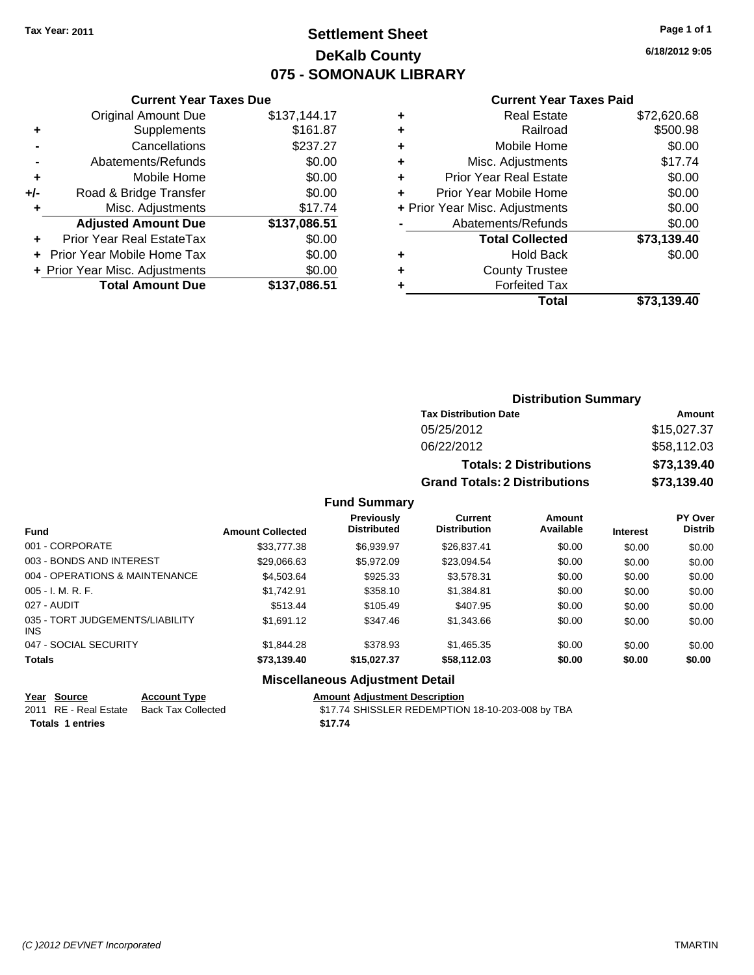# **Settlement Sheet Tax Year: 2011 Page 1 of 1 DeKalb County 075 - SOMONAUK LIBRARY**

**6/18/2012 9:05**

#### **Current Year Taxes Paid**

|     | <b>Original Amount Due</b>       | \$137,144.17 |
|-----|----------------------------------|--------------|
| ٠   | Supplements                      | \$161.87     |
|     | Cancellations                    | \$237.27     |
|     | Abatements/Refunds               | \$0.00       |
| ÷   | Mobile Home                      | \$0.00       |
| +/- | Road & Bridge Transfer           | \$0.00       |
| ٠   | Misc. Adjustments                | \$17.74      |
|     | <b>Adjusted Amount Due</b>       | \$137,086.51 |
|     | <b>Prior Year Real EstateTax</b> | \$0.00       |
|     | Prior Year Mobile Home Tax       | \$0.00       |
|     | + Prior Year Misc. Adjustments   | \$0.00       |
|     | <b>Total Amount Due</b>          | \$137,086.51 |
|     |                                  |              |

**Current Year Taxes Due**

|   | <b>Real Estate</b>             | \$72,620.68 |
|---|--------------------------------|-------------|
| ٠ | Railroad                       | \$500.98    |
| ٠ | Mobile Home                    | \$0.00      |
| ٠ | Misc. Adjustments              | \$17.74     |
| ٠ | <b>Prior Year Real Estate</b>  | \$0.00      |
| ÷ | Prior Year Mobile Home         | \$0.00      |
|   | + Prior Year Misc. Adjustments | \$0.00      |
|   | Abatements/Refunds             | \$0.00      |
|   | <b>Total Collected</b>         | \$73,139.40 |
| ٠ | Hold Back                      | \$0.00      |
| ٠ | <b>County Trustee</b>          |             |
| ٠ | <b>Forfeited Tax</b>           |             |
|   | Total                          | \$73,139.40 |
|   |                                |             |

## **Distribution Summary Tax Distribution Date Amount** 05/25/2012 \$15,027.37 06/22/2012 \$58,112.03 **Totals: 2 Distributions \$73,139.40 Grand Totals: 2 Distributions \$73,139.40**

#### **Fund Summary**

| <b>Fund</b>                            | <b>Amount Collected</b> | <b>Previously</b><br><b>Distributed</b> | Current<br><b>Distribution</b> | Amount<br>Available | <b>Interest</b> | PY Over<br><b>Distrib</b> |
|----------------------------------------|-------------------------|-----------------------------------------|--------------------------------|---------------------|-----------------|---------------------------|
| 001 - CORPORATE                        | \$33,777.38             | \$6.939.97                              | \$26,837.41                    | \$0.00              | \$0.00          | \$0.00                    |
| 003 - BONDS AND INTEREST               | \$29,066.63             | \$5,972.09                              | \$23,094.54                    | \$0.00              | \$0.00          | \$0.00                    |
| 004 - OPERATIONS & MAINTENANCE         | \$4,503.64              | \$925.33                                | \$3,578.31                     | \$0.00              | \$0.00          | \$0.00                    |
| $005 - I. M. R. F.$                    | \$1.742.91              | \$358.10                                | \$1,384.81                     | \$0.00              | \$0.00          | \$0.00                    |
| 027 - AUDIT                            | \$513.44                | \$105.49                                | \$407.95                       | \$0.00              | \$0.00          | \$0.00                    |
| 035 - TORT JUDGEMENTS/LIABILITY<br>INS | \$1,691.12              | \$347.46                                | \$1,343.66                     | \$0.00              | \$0.00          | \$0.00                    |
| 047 - SOCIAL SECURITY                  | \$1,844.28              | \$378.93                                | \$1,465.35                     | \$0.00              | \$0.00          | \$0.00                    |
| <b>Totals</b>                          | \$73,139.40             | \$15,027.37                             | \$58,112.03                    | \$0.00              | \$0.00          | \$0.00                    |

## **Miscellaneous Adjustment Detail**

#### **Year Source Account Type Amount Adjustment Description**

2011 RE - Real Estate Back Tax Collected \$17.74 SHISSLER REDEMPTION 18-10-203-008 by TBA **Totals 1 entries** \$17.74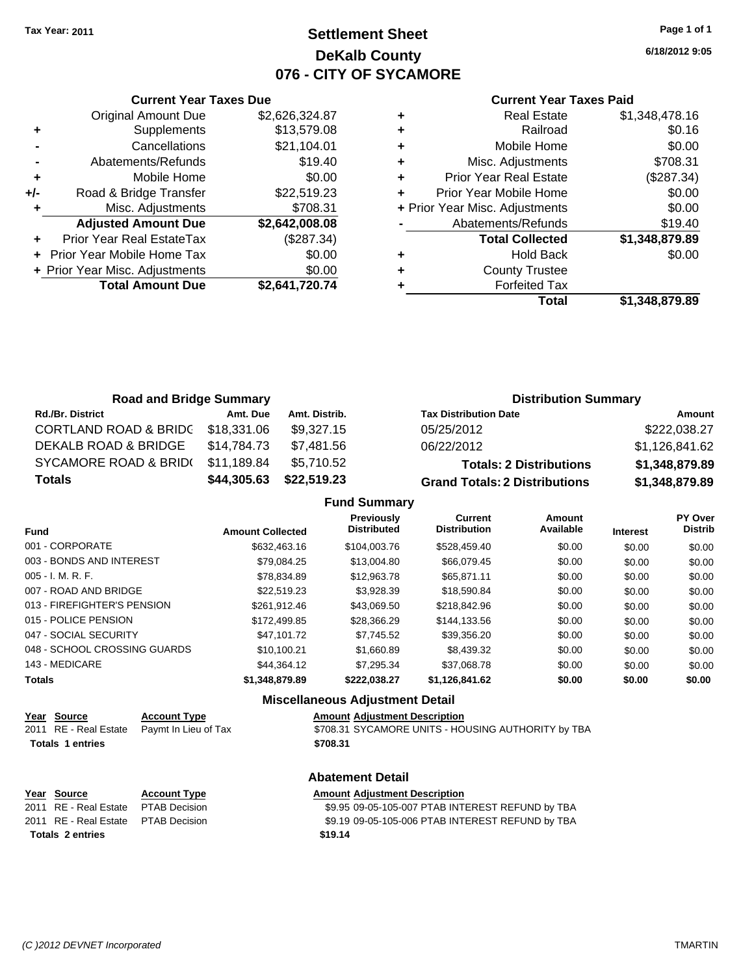## **Settlement Sheet Tax Year: 2011 Page 1 of 1 DeKalb County 076 - CITY OF SYCAMORE**

**6/18/2012 9:05**

### **Current Year Taxes Paid**

|     | <b>Original Amount Due</b>     | \$2,626,324.87 |
|-----|--------------------------------|----------------|
| ٠   | Supplements                    | \$13,579.08    |
|     | Cancellations                  | \$21,104.01    |
|     | Abatements/Refunds             | \$19.40        |
| ÷   | Mobile Home                    | \$0.00         |
| +/- | Road & Bridge Transfer         | \$22,519.23    |
|     | Misc. Adjustments              | \$708.31       |
|     | <b>Adjusted Amount Due</b>     | \$2,642,008.08 |
|     | Prior Year Real EstateTax      | (\$287.34)     |
|     | Prior Year Mobile Home Tax     | \$0.00         |
|     | + Prior Year Misc. Adjustments | \$0.00         |
|     | <b>Total Amount Due</b>        | \$2,641,720.74 |
|     |                                |                |

**Current Year Taxes Due**

| ٠ | <b>Real Estate</b>             | \$1,348,478.16 |
|---|--------------------------------|----------------|
| ٠ | Railroad                       | \$0.16         |
| ٠ | Mobile Home                    | \$0.00         |
| ٠ | Misc. Adjustments              | \$708.31       |
| ٠ | <b>Prior Year Real Estate</b>  | (\$287.34)     |
| ٠ | Prior Year Mobile Home         | \$0.00         |
|   | + Prior Year Misc. Adjustments | \$0.00         |
|   | Abatements/Refunds             | \$19.40        |
|   | <b>Total Collected</b>         | \$1,348,879.89 |
| ٠ | <b>Hold Back</b>               | \$0.00         |
| ÷ | <b>County Trustee</b>          |                |
|   | <b>Forfeited Tax</b>           |                |
|   | Total                          | \$1,348,879.89 |

| <b>Road and Bridge Summary</b>   |             |               | <b>Distribution Summary</b>          |                |  |
|----------------------------------|-------------|---------------|--------------------------------------|----------------|--|
| <b>Rd./Br. District</b>          | Amt. Due    | Amt. Distrib. | <b>Tax Distribution Date</b>         | Amount         |  |
| <b>CORTLAND ROAD &amp; BRIDC</b> | \$18,331.06 | \$9,327.15    | 05/25/2012                           | \$222,038.27   |  |
| DEKALB ROAD & BRIDGE             | \$14.784.73 | \$7,481.56    | 06/22/2012                           | \$1,126,841.62 |  |
| SYCAMORE ROAD & BRID(            | \$11.189.84 | \$5,710.52    | <b>Totals: 2 Distributions</b>       | \$1,348,879.89 |  |
| <b>Totals</b>                    | \$44,305.63 | \$22,519.23   | <b>Grand Totals: 2 Distributions</b> | \$1,348,879.89 |  |

**Fund Summary**

| <b>Fund</b>                  | <b>Amount Collected</b> | Previously<br><b>Distributed</b> | Current<br><b>Distribution</b> | Amount<br>Available | <b>Interest</b> | PY Over<br><b>Distrib</b> |
|------------------------------|-------------------------|----------------------------------|--------------------------------|---------------------|-----------------|---------------------------|
| 001 - CORPORATE              | \$632,463.16            | \$104,003.76                     | \$528,459.40                   | \$0.00              | \$0.00          | \$0.00                    |
| 003 - BONDS AND INTEREST     | \$79,084.25             | \$13,004.80                      | \$66,079.45                    | \$0.00              | \$0.00          | \$0.00                    |
| $005 - I. M. R. F.$          | \$78,834.89             | \$12,963.78                      | \$65.871.11                    | \$0.00              | \$0.00          | \$0.00                    |
| 007 - ROAD AND BRIDGE        | \$22,519.23             | \$3.928.39                       | \$18,590.84                    | \$0.00              | \$0.00          | \$0.00                    |
| 013 - FIREFIGHTER'S PENSION  | \$261.912.46            | \$43.069.50                      | \$218,842.96                   | \$0.00              | \$0.00          | \$0.00                    |
| 015 - POLICE PENSION         | \$172,499.85            | \$28,366.29                      | \$144,133.56                   | \$0.00              | \$0.00          | \$0.00                    |
| 047 - SOCIAL SECURITY        | \$47.101.72             | \$7.745.52                       | \$39,356.20                    | \$0.00              | \$0.00          | \$0.00                    |
| 048 - SCHOOL CROSSING GUARDS | \$10,100.21             | \$1,660.89                       | \$8,439.32                     | \$0.00              | \$0.00          | \$0.00                    |
| 143 - MEDICARE               | \$44.364.12             | \$7.295.34                       | \$37.068.78                    | \$0.00              | \$0.00          | \$0.00                    |
| <b>Totals</b>                | \$1,348,879.89          | \$222,038.27                     | \$1,126,841.62                 | \$0.00              | \$0.00          | \$0.00                    |

## **Miscellaneous Adjustment Detail**

|                         | Year Source | <b>Account Type</b>                        | <b>Amount Adiustment Description</b>               |
|-------------------------|-------------|--------------------------------------------|----------------------------------------------------|
|                         |             | 2011 RE - Real Estate Paymt In Lieu of Tax | \$708.31 SYCAMORE UNITS - HOUSING AUTHORITY by TBA |
| <b>Totals 1 entries</b> |             |                                            | \$708.31                                           |

| Year Source                         | <b>Account Typ</b>  |
|-------------------------------------|---------------------|
| 2011 RE - Real Estate               | <b>PTAB Decisio</b> |
| 2011 RE - Real Estate PTAB Decision |                     |

## **Abatement Detail**

### **Year Source Account Type Amount Adjustment Description** 2011 89.95 09-05-105-007 PTAB INTEREST REFUND by TBA 001 **2012 8211 83 19 109-05-105-006 PTAB INTEREST REFUND by TBA**

**Totals \$19.14 2 entries**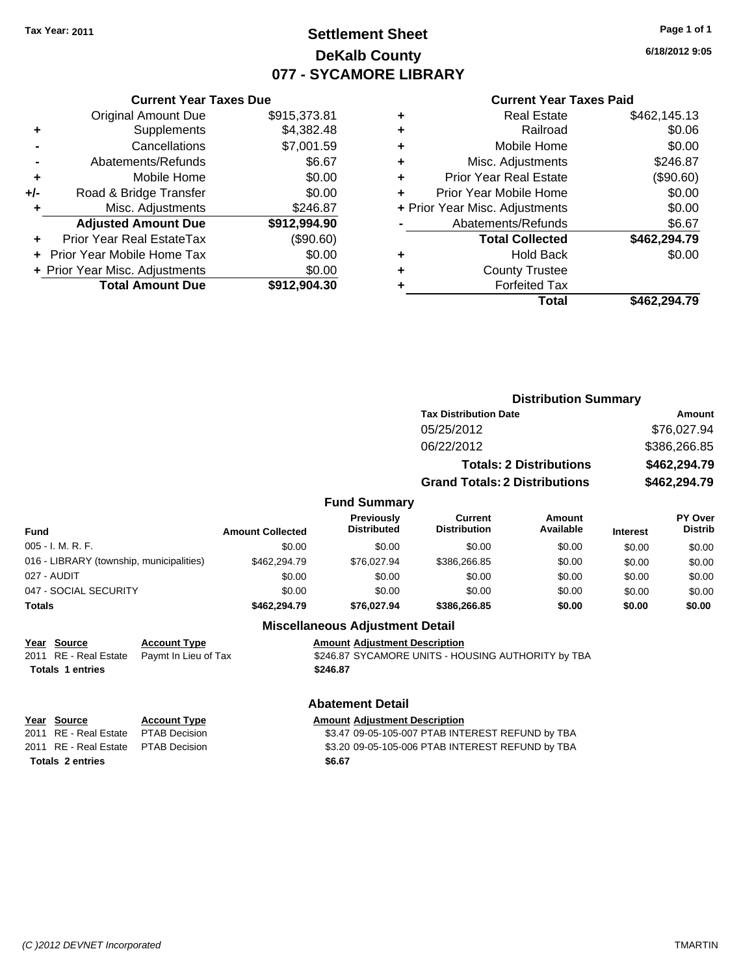## **Settlement Sheet Tax Year: 2011 Page 1 of 1 DeKalb County 077 - SYCAMORE LIBRARY**

**6/18/2012 9:05**

| <b>Current Year Taxes Paid</b> |  |  |  |
|--------------------------------|--|--|--|
|--------------------------------|--|--|--|

| <b>Current Year Taxes Due</b>  |              |  |  |  |  |
|--------------------------------|--------------|--|--|--|--|
| <b>Original Amount Due</b>     | \$915,373.81 |  |  |  |  |
| Supplements                    | \$4,382.48   |  |  |  |  |
| Cancellations                  | \$7,001.59   |  |  |  |  |
| Abatements/Refunds             | \$6.67       |  |  |  |  |
| Mobile Home                    | \$0.00       |  |  |  |  |
| Road & Bridge Transfer         | \$0.00       |  |  |  |  |
| Misc. Adjustments              | \$246.87     |  |  |  |  |
| <b>Adjusted Amount Due</b>     | \$912,994.90 |  |  |  |  |
| Prior Year Real EstateTax      | (\$90.60)    |  |  |  |  |
| Prior Year Mobile Home Tax     | \$0.00       |  |  |  |  |
| + Prior Year Misc. Adjustments | \$0.00       |  |  |  |  |
|                                |              |  |  |  |  |
|                                |              |  |  |  |  |

|   | <b>Real Estate</b>             | \$462,145.13 |
|---|--------------------------------|--------------|
| ٠ | Railroad                       | \$0.06       |
| ٠ | Mobile Home                    | \$0.00       |
| ٠ | Misc. Adjustments              | \$246.87     |
| ٠ | <b>Prior Year Real Estate</b>  | (\$90.60)    |
|   | Prior Year Mobile Home         | \$0.00       |
|   | + Prior Year Misc. Adjustments | \$0.00       |
|   | Abatements/Refunds             | \$6.67       |
|   | <b>Total Collected</b>         | \$462,294.79 |
| ٠ | <b>Hold Back</b>               | \$0.00       |
|   | <b>County Trustee</b>          |              |
|   | <b>Forfeited Tax</b>           |              |
|   | Total                          | \$462,294.79 |
|   |                                |              |

|                                          |                         |                                         | <b>Distribution Summary</b>          |                                |                 |                           |
|------------------------------------------|-------------------------|-----------------------------------------|--------------------------------------|--------------------------------|-----------------|---------------------------|
|                                          |                         |                                         | <b>Tax Distribution Date</b>         |                                |                 | Amount                    |
|                                          |                         |                                         | 05/25/2012                           |                                |                 | \$76,027.94               |
|                                          |                         |                                         | 06/22/2012                           |                                |                 | \$386,266.85              |
|                                          |                         |                                         |                                      | <b>Totals: 2 Distributions</b> |                 | \$462,294.79              |
|                                          |                         |                                         | <b>Grand Totals: 2 Distributions</b> |                                |                 | \$462,294.79              |
|                                          |                         | <b>Fund Summary</b>                     |                                      |                                |                 |                           |
| Fund                                     | <b>Amount Collected</b> | <b>Previously</b><br><b>Distributed</b> | Current<br><b>Distribution</b>       | Amount<br>Available            | <b>Interest</b> | PY Over<br><b>Distrib</b> |
| 005 - I. M. R. F.                        | \$0.00                  | \$0.00                                  | \$0.00                               | \$0.00                         | \$0.00          | \$0.00                    |
| 016 - LIBRARY (township, municipalities) | \$462,294.79            | \$76,027.94                             | \$386,266.85                         | \$0.00                         | \$0.00          | \$0.00                    |
| 027 - AUDIT                              | \$0.00                  | \$0.00                                  | \$0.00                               | \$0.00                         | \$0.00          | \$0.00                    |
| 047 - SOCIAL SECURITY                    | \$0.00                  | \$0.00                                  | \$0.00                               | \$0.00                         | \$0.00          | \$0.00                    |
| Totals                                   | \$462,294.79            | \$76,027.94                             | \$386,266.85                         | \$0.00                         | \$0.00          | \$0.00                    |
|                                          |                         | <b>Miscellaneous Adiustment Detail</b>  |                                      |                                |                 |                           |

### **Miscellaneous Adjustment Detail**

**Year Source Account Type**<br> **Adding Adding Light** Paymt In Lieu of Tax **Amount Adjustment Description<br>\$246.87 SYCAMORE UNITS - HOUSING AUTHORITY by TBA Totals \$246.87 1 entries**

### **Abatement Detail**

|                         | Year Source                          | <b>Account Type</b> | <b>Amount Adjustment Description</b>             |
|-------------------------|--------------------------------------|---------------------|--------------------------------------------------|
|                         | 2011 RE - Real Estate PTAB Decision  |                     | \$3.47 09-05-105-007 PTAB INTEREST REFUND by TBA |
|                         | 2011 RE - Real Estate  PTAB Decision |                     | \$3.20 09-05-105-006 PTAB INTEREST REFUND by TBA |
| <b>Totals 2 entries</b> |                                      |                     | \$6.67                                           |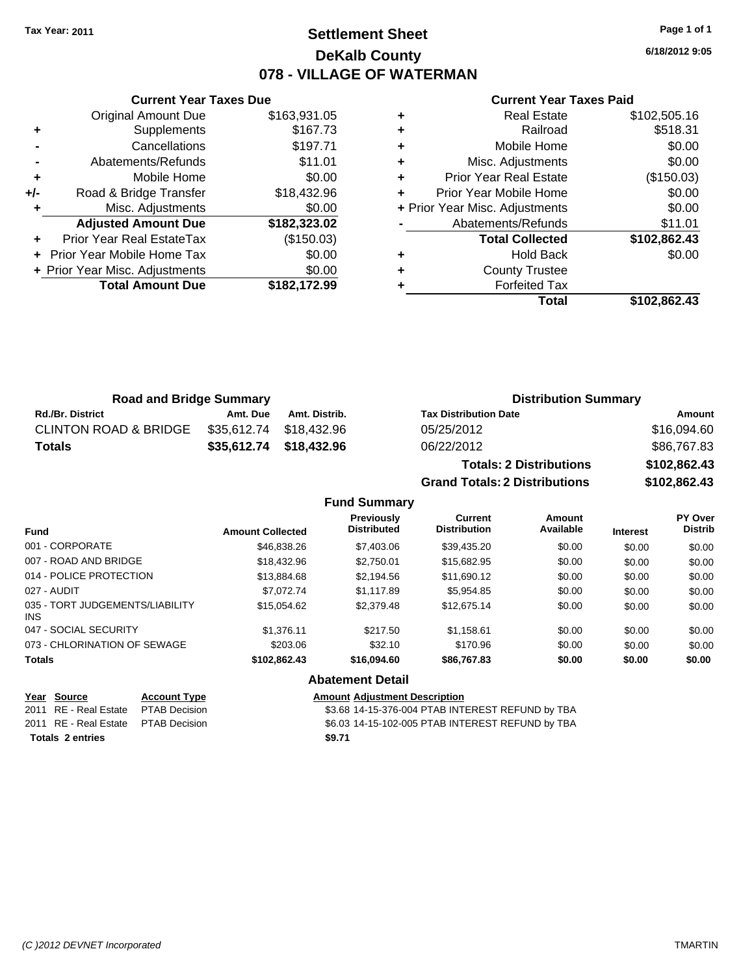## **Settlement Sheet Tax Year: 2011 Page 1 of 1 DeKalb County 078 - VILLAGE OF WATERMAN**

**6/18/2012 9:05**

## **Current Year Taxes Paid**

|     | <b>Current Year Taxes Due</b>    |              |  |  |  |  |
|-----|----------------------------------|--------------|--|--|--|--|
|     | <b>Original Amount Due</b>       | \$163,931.05 |  |  |  |  |
| ٠   | Supplements                      | \$167.73     |  |  |  |  |
|     | Cancellations                    | \$197.71     |  |  |  |  |
|     | Abatements/Refunds               | \$11.01      |  |  |  |  |
| ٠   | Mobile Home                      | \$0.00       |  |  |  |  |
| +/- | Road & Bridge Transfer           | \$18,432.96  |  |  |  |  |
| ٠   | Misc. Adjustments                | \$0.00       |  |  |  |  |
|     | <b>Adjusted Amount Due</b>       | \$182,323.02 |  |  |  |  |
|     | <b>Prior Year Real EstateTax</b> | (\$150.03)   |  |  |  |  |
|     | Prior Year Mobile Home Tax       | \$0.00       |  |  |  |  |
|     | + Prior Year Misc. Adjustments   | \$0.00       |  |  |  |  |
|     | <b>Total Amount Due</b>          | \$182,172.99 |  |  |  |  |
|     |                                  |              |  |  |  |  |

|   | <b>Real Estate</b>             | \$102,505.16 |
|---|--------------------------------|--------------|
| ٠ | Railroad                       | \$518.31     |
| ٠ | Mobile Home                    | \$0.00       |
| ٠ | Misc. Adjustments              | \$0.00       |
| ٠ | <b>Prior Year Real Estate</b>  | (\$150.03)   |
| ٠ | Prior Year Mobile Home         | \$0.00       |
|   | + Prior Year Misc. Adjustments | \$0.00       |
|   | Abatements/Refunds             | \$11.01      |
|   | <b>Total Collected</b>         | \$102,862.43 |
| ٠ | <b>Hold Back</b>               | \$0.00       |
| ٠ | <b>County Trustee</b>          |              |
|   | <b>Forfeited Tax</b>           |              |
|   | Total                          | \$102,862.43 |

| <b>Road and Bridge Summary</b>   |          |                         | <b>Distribution Summary</b>  |             |
|----------------------------------|----------|-------------------------|------------------------------|-------------|
| <b>Rd./Br. District</b>          | Amt. Due | Amt. Distrib.           | <b>Tax Distribution Date</b> | Amount      |
| <b>CLINTON ROAD &amp; BRIDGE</b> |          | \$35.612.74 \$18.432.96 | 05/25/2012                   | \$16,094.60 |
| Totals                           |          | \$35,612.74 \$18,432.96 | 06/22/2012                   | \$86,767.83 |
|                                  |          |                         | Tatala, A Blatello et au a   |             |

**Totals: 2 Distributions \$102,862.43 Grand Totals: 2 Distributions \$102,862.43**

|                                         |                         | <b>Fund Summary</b>                     |                                       |                     |                 |                           |
|-----------------------------------------|-------------------------|-----------------------------------------|---------------------------------------|---------------------|-----------------|---------------------------|
| <b>Fund</b>                             | <b>Amount Collected</b> | <b>Previously</b><br><b>Distributed</b> | <b>Current</b><br><b>Distribution</b> | Amount<br>Available | <b>Interest</b> | PY Over<br><b>Distrib</b> |
| 001 - CORPORATE                         | \$46,838,26             | \$7,403.06                              | \$39.435.20                           | \$0.00              | \$0.00          | \$0.00                    |
| 007 - ROAD AND BRIDGE                   | \$18,432.96             | \$2.750.01                              | \$15,682.95                           | \$0.00              | \$0.00          | \$0.00                    |
| 014 - POLICE PROTECTION                 | \$13,884.68             | \$2.194.56                              | \$11,690.12                           | \$0.00              | \$0.00          | \$0.00                    |
| 027 - AUDIT                             | \$7,072.74              | \$1.117.89                              | \$5,954.85                            | \$0.00              | \$0.00          | \$0.00                    |
| 035 - TORT JUDGEMENTS/LIABILITY<br>INS. | \$15.054.62             | \$2,379.48                              | \$12,675.14                           | \$0.00              | \$0.00          | \$0.00                    |
| 047 - SOCIAL SECURITY                   | \$1.376.11              | \$217.50                                | \$1,158.61                            | \$0.00              | \$0.00          | \$0.00                    |
| 073 - CHLORINATION OF SEWAGE            | \$203.06                | \$32.10                                 | \$170.96                              | \$0.00              | \$0.00          | \$0.00                    |
| <b>Totals</b>                           | \$102,862.43            | \$16,094.60                             | \$86,767.83                           | \$0.00              | \$0.00          | \$0.00                    |
|                                         |                         | <b>Abatement Detail</b>                 |                                       |                     |                 |                           |

| Year Source                         | <b>Account Type</b> | <b>Amount Adjustment Description</b>             |
|-------------------------------------|---------------------|--------------------------------------------------|
| 2011 RE - Real Estate PTAB Decision |                     | \$3.68 14-15-376-004 PTAB INTEREST REFUND by TBA |
| 2011 RE - Real Estate PTAB Decision |                     | \$6.03 14-15-102-005 PTAB INTEREST REFUND by TBA |
| <b>Totals 2 entries</b>             |                     | \$9.71                                           |
|                                     |                     |                                                  |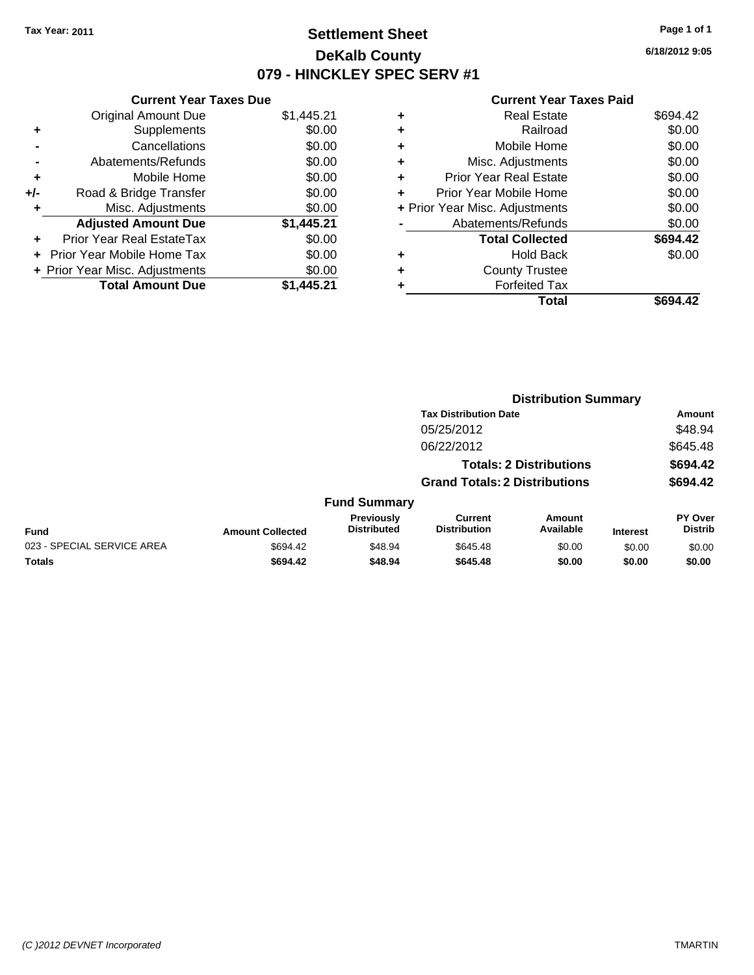## **Settlement Sheet Tax Year: 2011 Page 1 of 1 DeKalb County 079 - HINCKLEY SPEC SERV #1**

**6/18/2012 9:05**

|     | <b>Current Year Taxes Due</b>  |            |
|-----|--------------------------------|------------|
|     | <b>Original Amount Due</b>     | \$1,445.21 |
| ٠   | Supplements                    | \$0.00     |
|     | Cancellations                  | \$0.00     |
|     | Abatements/Refunds             | \$0.00     |
| ٠   | Mobile Home                    | \$0.00     |
| +/- | Road & Bridge Transfer         | \$0.00     |
| ٠   | Misc. Adjustments              | \$0.00     |
|     | <b>Adjusted Amount Due</b>     | \$1,445.21 |
| ÷   | Prior Year Real EstateTax      | \$0.00     |
|     | Prior Year Mobile Home Tax     | \$0.00     |
|     | + Prior Year Misc. Adjustments | \$0.00     |
|     | <b>Total Amount Due</b>        | \$1.445.21 |

|   | <b>Real Estate</b>             | \$694.42 |
|---|--------------------------------|----------|
| ٠ | Railroad                       | \$0.00   |
| ٠ | Mobile Home                    | \$0.00   |
| ٠ | Misc. Adjustments              | \$0.00   |
| ÷ | Prior Year Real Estate         | \$0.00   |
| ÷ | Prior Year Mobile Home         | \$0.00   |
|   | + Prior Year Misc. Adjustments | \$0.00   |
|   | Abatements/Refunds             | \$0.00   |
|   | <b>Total Collected</b>         | \$694.42 |
| ٠ | <b>Hold Back</b>               | \$0.00   |
|   | <b>County Trustee</b>          |          |
| ٠ | <b>Forfeited Tax</b>           |          |
|   | Total                          | \$694.42 |
|   |                                |          |

|                            |                         |                                  |                                       | <b>Distribution Summary</b>    |                 |                                  |
|----------------------------|-------------------------|----------------------------------|---------------------------------------|--------------------------------|-----------------|----------------------------------|
|                            |                         |                                  | <b>Tax Distribution Date</b>          |                                |                 | Amount                           |
|                            |                         |                                  | 05/25/2012                            |                                |                 | \$48.94                          |
|                            |                         |                                  | 06/22/2012                            |                                |                 | \$645.48                         |
|                            |                         |                                  |                                       | <b>Totals: 2 Distributions</b> |                 | \$694.42                         |
|                            |                         |                                  | <b>Grand Totals: 2 Distributions</b>  |                                |                 | \$694.42                         |
|                            |                         | <b>Fund Summary</b>              |                                       |                                |                 |                                  |
| <b>Fund</b>                | <b>Amount Collected</b> | Previously<br><b>Distributed</b> | <b>Current</b><br><b>Distribution</b> | Amount<br>Available            | <b>Interest</b> | <b>PY Over</b><br><b>Distrib</b> |
| 023 - SPECIAL SERVICE AREA | \$694.42                | \$48.94                          | \$645.48                              | \$0.00                         | \$0.00          | \$0.00                           |
| Totals                     | \$694.42                | \$48.94                          | \$645.48                              | \$0.00                         | \$0.00          | \$0.00                           |
|                            |                         |                                  |                                       |                                |                 |                                  |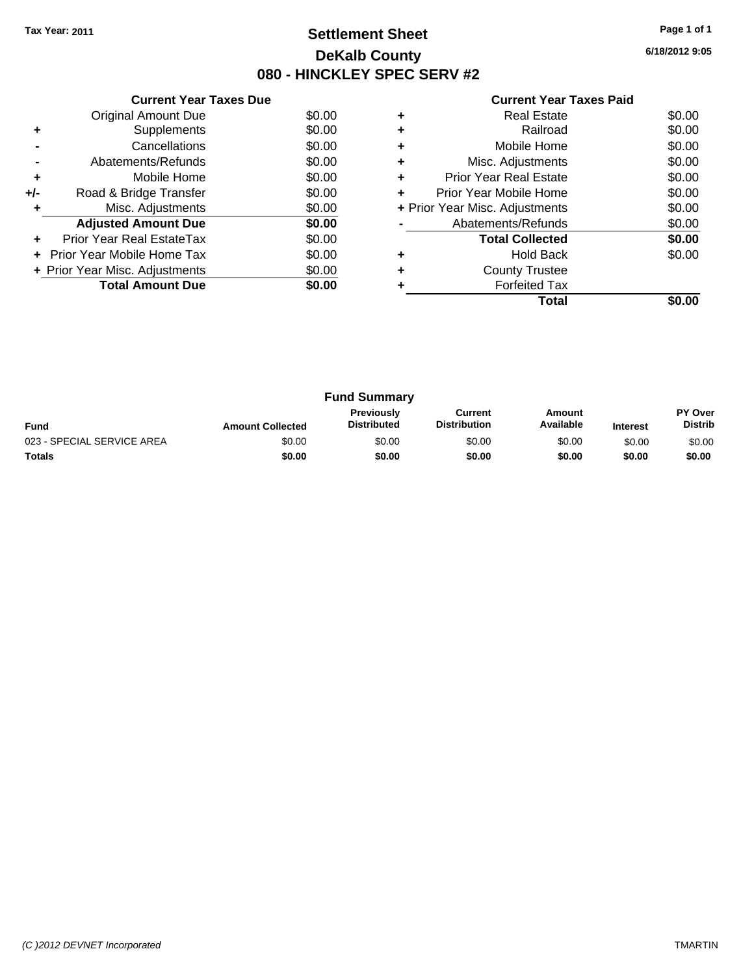## **Settlement Sheet Tax Year: 2011 Page 1 of 1 DeKalb County 080 - HINCKLEY SPEC SERV #2**

**6/18/2012 9:05**

|       | <b>Current Year Taxes Due</b>  |        |
|-------|--------------------------------|--------|
|       | Original Amount Due            | \$0.00 |
|       | Supplements                    | \$0.00 |
|       | Cancellations                  | \$0.00 |
|       | Abatements/Refunds             | \$0.00 |
| ٠     | Mobile Home                    | \$0.00 |
| $+/-$ | Road & Bridge Transfer         | \$0.00 |
|       | Misc. Adjustments              | \$0.00 |
|       | <b>Adjusted Amount Due</b>     | \$0.00 |
|       | Prior Year Real EstateTax      | \$0.00 |
|       | Prior Year Mobile Home Tax     | \$0.00 |
|       | + Prior Year Misc. Adjustments | \$0.00 |
|       | <b>Total Amount Due</b>        | \$0.00 |
|       |                                |        |

|   | Total                          |        |
|---|--------------------------------|--------|
|   | <b>Forfeited Tax</b>           |        |
| ÷ | <b>County Trustee</b>          |        |
| ٠ | <b>Hold Back</b>               | \$0.00 |
|   | <b>Total Collected</b>         | \$0.00 |
|   | Abatements/Refunds             | \$0.00 |
|   | + Prior Year Misc. Adjustments | \$0.00 |
| ٠ | Prior Year Mobile Home         | \$0.00 |
| ٠ | <b>Prior Year Real Estate</b>  | \$0.00 |
| ÷ | Misc. Adjustments              | \$0.00 |
| ٠ | Mobile Home                    | \$0.00 |
|   | Railroad                       | \$0.00 |
|   | <b>Real Estate</b>             | \$0.00 |
|   |                                |        |

| <b>Fund Summary</b>        |                         |                                         |                                |                     |                 |                                  |
|----------------------------|-------------------------|-----------------------------------------|--------------------------------|---------------------|-----------------|----------------------------------|
| <b>Fund</b>                | <b>Amount Collected</b> | <b>Previously</b><br><b>Distributed</b> | Current<br><b>Distribution</b> | Amount<br>Available | <b>Interest</b> | <b>PY Over</b><br><b>Distrib</b> |
| 023 - SPECIAL SERVICE AREA | \$0.00                  | \$0.00                                  | \$0.00                         | \$0.00              | \$0.00          | \$0.00                           |
| Totals                     | \$0.00                  | \$0.00                                  | \$0.00                         | \$0.00              | \$0.00          | \$0.00                           |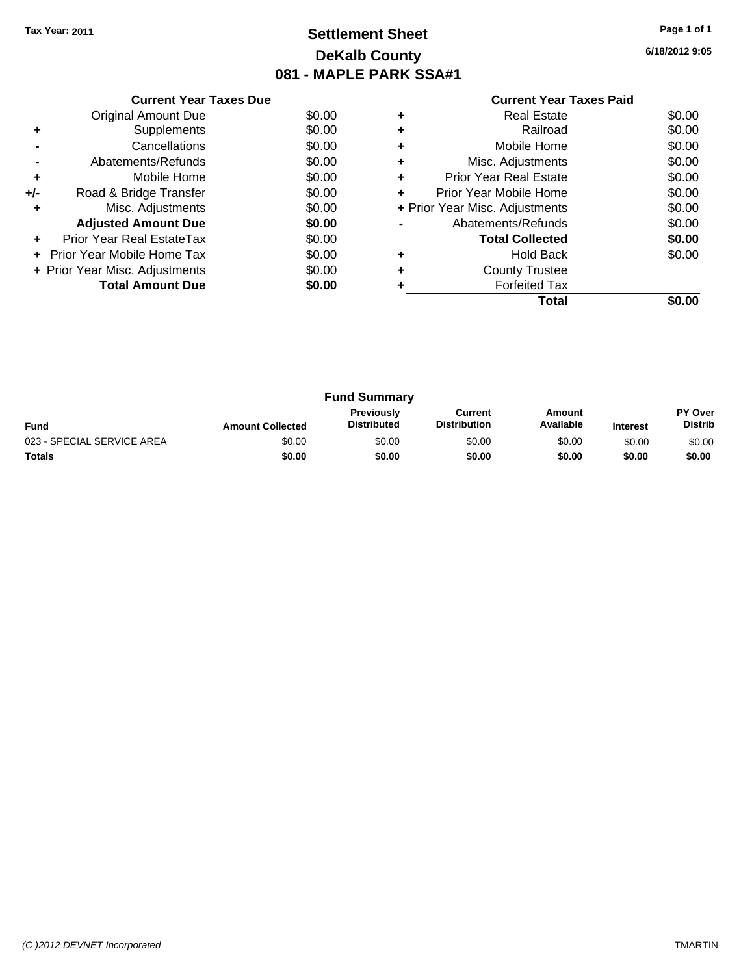## **Settlement Sheet Tax Year: 2011 Page 1 of 1 DeKalb County 081 - MAPLE PARK SSA#1**

**6/18/2012 9:05**

|     | <b>Current Year Taxes Due</b>  |        |  |  |  |
|-----|--------------------------------|--------|--|--|--|
|     | Original Amount Due            | \$0.00 |  |  |  |
| ٠   | Supplements                    | \$0.00 |  |  |  |
|     | Cancellations                  | \$0.00 |  |  |  |
|     | \$0.00<br>Abatements/Refunds   |        |  |  |  |
| ٠   | \$0.00<br>Mobile Home          |        |  |  |  |
| +/- | Road & Bridge Transfer         | \$0.00 |  |  |  |
| ٠   | \$0.00<br>Misc. Adjustments    |        |  |  |  |
|     | <b>Adjusted Amount Due</b>     | \$0.00 |  |  |  |
| ٠   | Prior Year Real EstateTax      | \$0.00 |  |  |  |
| ÷   | Prior Year Mobile Home Tax     | \$0.00 |  |  |  |
|     | + Prior Year Misc. Adjustments | \$0.00 |  |  |  |
|     | <b>Total Amount Due</b>        | \$0.00 |  |  |  |
|     |                                |        |  |  |  |

### **Current Year Taxes Paid +** Real Estate \$0.00

|   | Total                          | \$0.00 |
|---|--------------------------------|--------|
|   | <b>Forfeited Tax</b>           |        |
|   | <b>County Trustee</b>          |        |
|   | <b>Hold Back</b>               | \$0.00 |
|   | <b>Total Collected</b>         | \$0.00 |
|   | Abatements/Refunds             | \$0.00 |
|   | + Prior Year Misc. Adjustments | \$0.00 |
|   | Prior Year Mobile Home         | \$0.00 |
|   | <b>Prior Year Real Estate</b>  | \$0.00 |
| ٠ | Misc. Adjustments              | \$0.00 |
| ٠ | Mobile Home                    | \$0.00 |
|   | Railroad                       | \$0.00 |
|   | NGAI CSIAIG                    | ou.uu  |

| <b>Fund Summary</b>        |                         |                                         |                         |                     |                 |                                  |
|----------------------------|-------------------------|-----------------------------------------|-------------------------|---------------------|-----------------|----------------------------------|
| <b>Fund</b>                | <b>Amount Collected</b> | <b>Previously</b><br><b>Distributed</b> | Current<br>Distribution | Amount<br>Available | <b>Interest</b> | <b>PY Over</b><br><b>Distrib</b> |
| 023 - SPECIAL SERVICE AREA | \$0.00                  | \$0.00                                  | \$0.00                  | \$0.00              | \$0.00          | \$0.00                           |
| <b>Totals</b>              | \$0.00                  | \$0.00                                  | \$0.00                  | \$0.00              | \$0.00          | \$0.00                           |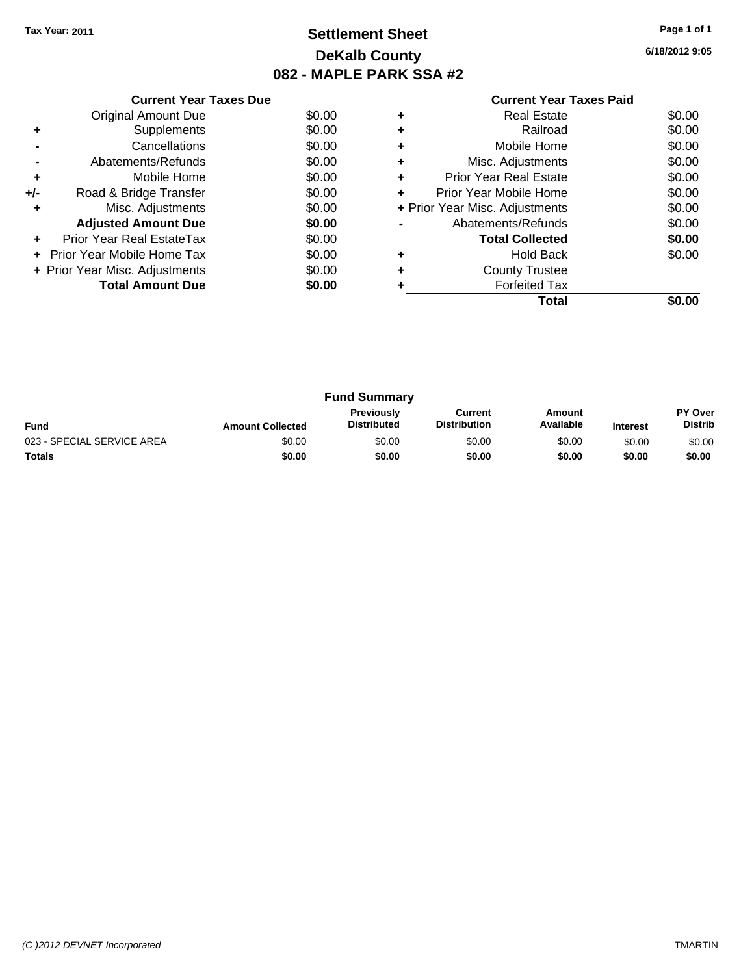## **Settlement Sheet Tax Year: 2011 Page 1 of 1 DeKalb County 082 - MAPLE PARK SSA #2**

**6/18/2012 9:05**

|     | <b>Current Year Taxes Due</b>  |        |
|-----|--------------------------------|--------|
|     | <b>Original Amount Due</b>     | \$0.00 |
| ٠   | Supplements                    | \$0.00 |
|     | Cancellations                  | \$0.00 |
|     | Abatements/Refunds             | \$0.00 |
| ٠   | Mobile Home                    | \$0.00 |
| +/- | Road & Bridge Transfer         | \$0.00 |
| ٠   | Misc. Adjustments              | \$0.00 |
|     | <b>Adjusted Amount Due</b>     | \$0.00 |
|     | Prior Year Real EstateTax      | \$0.00 |
|     | Prior Year Mobile Home Tax     | \$0.00 |
|     | + Prior Year Misc. Adjustments | \$0.00 |
|     | <b>Total Amount Due</b>        | \$0.00 |
|     |                                |        |

|   | Real Estate                    | \$0.00 |
|---|--------------------------------|--------|
|   | Railroad                       | \$0.00 |
| ٠ | Mobile Home                    | \$0.00 |
| ٠ | Misc. Adjustments              | \$0.00 |
| ÷ | Prior Year Real Estate         | \$0.00 |
| ٠ | Prior Year Mobile Home         | \$0.00 |
|   | + Prior Year Misc. Adjustments | \$0.00 |
|   | Abatements/Refunds             | \$0.00 |
|   | <b>Total Collected</b>         | \$0.00 |
| ٠ | <b>Hold Back</b>               | \$0.00 |
| ٠ | <b>County Trustee</b>          |        |
|   | <b>Forfeited Tax</b>           |        |
|   | Total                          |        |

| <b>Fund Summary</b>        |                         |                                         |                                |                     |                 |                                  |
|----------------------------|-------------------------|-----------------------------------------|--------------------------------|---------------------|-----------------|----------------------------------|
| <b>Fund</b>                | <b>Amount Collected</b> | <b>Previously</b><br><b>Distributed</b> | Current<br><b>Distribution</b> | Amount<br>Available | <b>Interest</b> | <b>PY Over</b><br><b>Distrib</b> |
| 023 - SPECIAL SERVICE AREA | \$0.00                  | \$0.00                                  | \$0.00                         | \$0.00              | \$0.00          | \$0.00                           |
| <b>Totals</b>              | \$0.00                  | \$0.00                                  | \$0.00                         | \$0.00              | \$0.00          | \$0.00                           |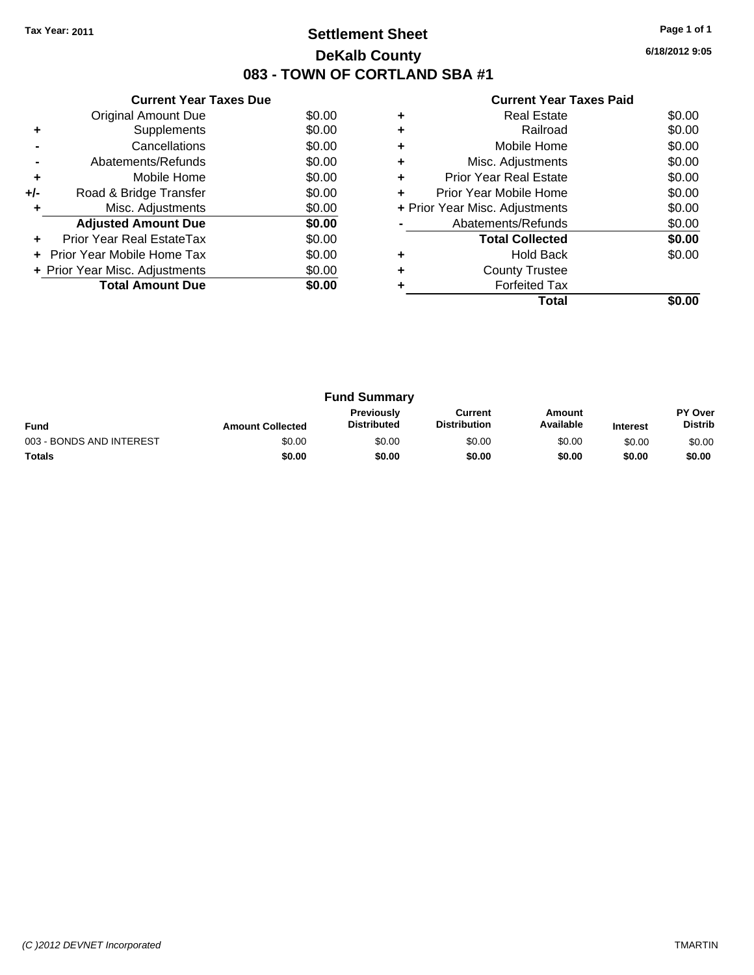## **Settlement Sheet Tax Year: 2011 Page 1 of 1 DeKalb County 083 - TOWN OF CORTLAND SBA #1**

**6/18/2012 9:05**

|     | <b>Current Year Taxes Due</b>     |        |
|-----|-----------------------------------|--------|
|     | Original Amount Due               | \$0.00 |
| ٠   | Supplements                       | \$0.00 |
|     | Cancellations                     | \$0.00 |
|     | Abatements/Refunds                | \$0.00 |
| ٠   | Mobile Home                       | \$0.00 |
| +/- | Road & Bridge Transfer            | \$0.00 |
|     | Misc. Adjustments                 | \$0.00 |
|     | <b>Adjusted Amount Due</b>        | \$0.00 |
|     | Prior Year Real EstateTax         | \$0.00 |
|     | <b>Prior Year Mobile Home Tax</b> | \$0.00 |
|     | + Prior Year Misc. Adjustments    | \$0.00 |
|     | <b>Total Amount Due</b>           | \$0.00 |
|     |                                   |        |

| Total                          |        |
|--------------------------------|--------|
| <b>Forfeited Tax</b>           |        |
| <b>County Trustee</b>          |        |
| <b>Hold Back</b>               | \$0.00 |
| <b>Total Collected</b>         | \$0.00 |
| Abatements/Refunds             | \$0.00 |
| + Prior Year Misc. Adjustments | \$0.00 |
| Prior Year Mobile Home         | \$0.00 |
| <b>Prior Year Real Estate</b>  | \$0.00 |
| Misc. Adjustments              | \$0.00 |
| Mobile Home                    | \$0.00 |
| Railroad                       | \$0.00 |
| Real Estate                    | \$0.00 |
|                                |        |

| <b>Fund Summary</b>      |                         |                                         |                                |                     |                 |                                  |
|--------------------------|-------------------------|-----------------------------------------|--------------------------------|---------------------|-----------------|----------------------------------|
| <b>Fund</b>              | <b>Amount Collected</b> | <b>Previously</b><br><b>Distributed</b> | Current<br><b>Distribution</b> | Amount<br>Available | <b>Interest</b> | <b>PY Over</b><br><b>Distrib</b> |
| 003 - BONDS AND INTEREST | \$0.00                  | \$0.00                                  | \$0.00                         | \$0.00              | \$0.00          | \$0.00                           |
| Totals                   | \$0.00                  | \$0.00                                  | \$0.00                         | \$0.00              | \$0.00          | \$0.00                           |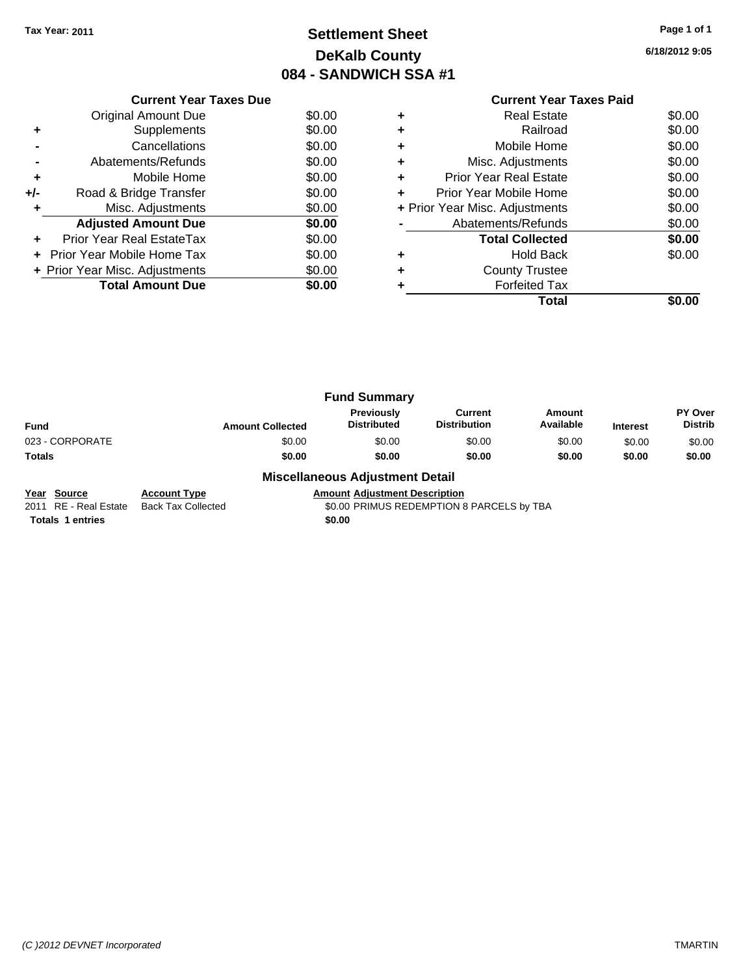## **Settlement Sheet Tax Year: 2011 Page 1 of 1 DeKalb County 084 - SANDWICH SSA #1**

**6/18/2012 9:05**

|     | <b>Current Year Taxes Due</b>  |        |
|-----|--------------------------------|--------|
|     | Original Amount Due            | \$0.00 |
|     | Supplements                    | \$0.00 |
|     | Cancellations                  | \$0.00 |
|     | Abatements/Refunds             | \$0.00 |
| ٠   | Mobile Home                    | \$0.00 |
| +/- | Road & Bridge Transfer         | \$0.00 |
|     | Misc. Adjustments              | \$0.00 |
|     | <b>Adjusted Amount Due</b>     | \$0.00 |
|     | Prior Year Real EstateTax      | \$0.00 |
|     | Prior Year Mobile Home Tax     | \$0.00 |
|     | + Prior Year Misc. Adjustments | \$0.00 |
|     | <b>Total Amount Due</b>        | \$0.00 |
|     |                                |        |

## **Current Year Taxes Paid +** Real Estate \$0.00 **+** Railroad \$0.00 **+** Mobile Home \$0.00 **+** Misc. Adjustments \$0.00 **+** Prior Year Real Estate \$0.00 **+** Prior Year Mobile Home \$0.00 **+** Prior Year Misc. Adjustments \$0.00 **-** Abatements/Refunds \$0.00 Total Collected \$0.00 **+** Hold Back \$0.00 **+** County Trustee **+** Forfeited Tax **Total \$0.00**

|                 |                         | <b>Fund Summary</b>              |                                       |                     |                 |                                  |
|-----------------|-------------------------|----------------------------------|---------------------------------------|---------------------|-----------------|----------------------------------|
| <b>Fund</b>     | <b>Amount Collected</b> | Previously<br><b>Distributed</b> | <b>Current</b><br><b>Distribution</b> | Amount<br>Available | <b>Interest</b> | <b>PY Over</b><br><b>Distrib</b> |
| 023 - CORPORATE | \$0.00                  | \$0.00                           | \$0.00                                | \$0.00              | \$0.00          | \$0.00                           |
| Totals          | \$0.00                  | \$0.00                           | \$0.00                                | \$0.00              | \$0.00          | \$0.00                           |
|                 | - - -<br>$ -$           | _ _ _ _                          |                                       |                     |                 |                                  |

### **Miscellaneous Adjustment Detail**

**Year Source Account Type Amount Adjustment Description**<br>2011 RE - Real Estate Back Tax Collected **Amount SO.00 PRIMUS REDEMPTION** Back Tax Collected **2011 COLLECTED SOLID** SO.00 PRIMUS REDEMPTION 8 PARCELS by TBA

**Totals 1 entries** \$0.00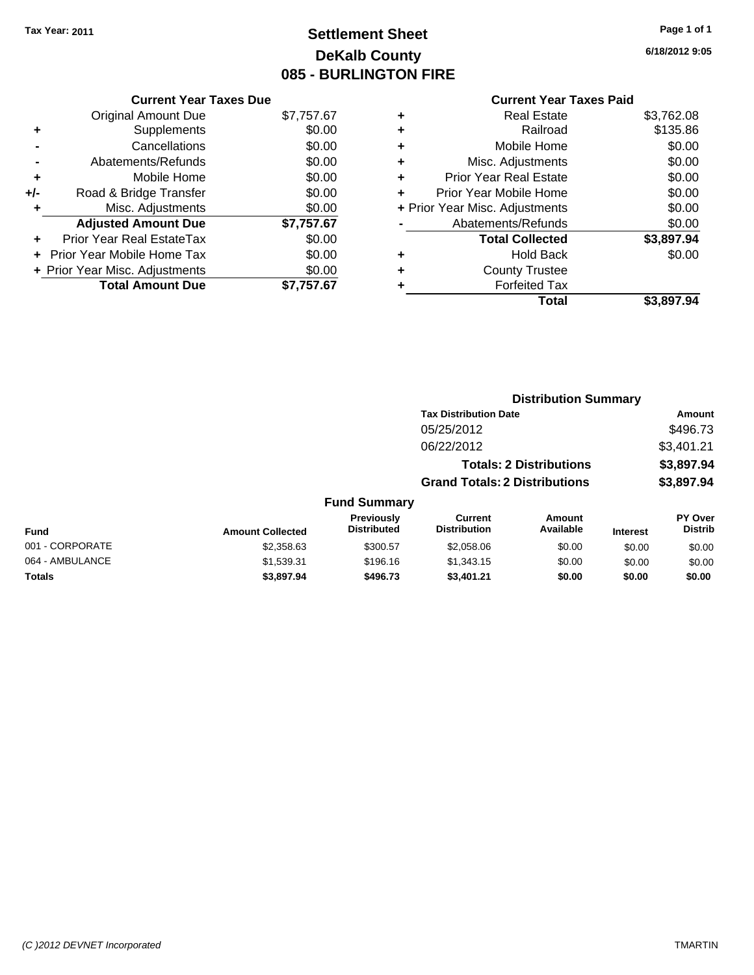## **Settlement Sheet Tax Year: 2011 Page 1 of 1 DeKalb County 085 - BURLINGTON FIRE**

**6/18/2012 9:05**

|     | <b>Current Year Taxes Due</b>  |            |
|-----|--------------------------------|------------|
|     | <b>Original Amount Due</b>     | \$7,757.67 |
| ٠   | Supplements                    | \$0.00     |
|     | Cancellations                  | \$0.00     |
|     | Abatements/Refunds             | \$0.00     |
| ٠   | Mobile Home                    | \$0.00     |
| +/- | Road & Bridge Transfer         | \$0.00     |
|     | Misc. Adjustments              | \$0.00     |
|     | <b>Adjusted Amount Due</b>     | \$7,757.67 |
| ٠   | Prior Year Real EstateTax      | \$0.00     |
|     | Prior Year Mobile Home Tax     | \$0.00     |
|     | + Prior Year Misc. Adjustments | \$0.00     |
|     | <b>Total Amount Due</b>        | \$7.757.67 |

|   | <b>Real Estate</b>             | \$3,762.08 |
|---|--------------------------------|------------|
| ٠ | Railroad                       | \$135.86   |
| ٠ | Mobile Home                    | \$0.00     |
| ٠ | Misc. Adjustments              | \$0.00     |
| ٠ | <b>Prior Year Real Estate</b>  | \$0.00     |
| ٠ | Prior Year Mobile Home         | \$0.00     |
|   | + Prior Year Misc. Adjustments | \$0.00     |
|   | Abatements/Refunds             | \$0.00     |
|   | <b>Total Collected</b>         | \$3,897.94 |
| ٠ | <b>Hold Back</b>               | \$0.00     |
| ٠ | <b>County Trustee</b>          |            |
|   | <b>Forfeited Tax</b>           |            |
|   | Total                          | \$3,897.94 |

|                 |                         |                                  |                                       | <b>Distribution Summary</b>    |                 |                                  |
|-----------------|-------------------------|----------------------------------|---------------------------------------|--------------------------------|-----------------|----------------------------------|
|                 |                         |                                  | <b>Tax Distribution Date</b>          |                                |                 | Amount                           |
|                 |                         |                                  | 05/25/2012                            |                                |                 | \$496.73                         |
|                 |                         |                                  | 06/22/2012                            |                                |                 | \$3,401.21                       |
|                 |                         |                                  |                                       | <b>Totals: 2 Distributions</b> |                 | \$3,897.94                       |
|                 |                         |                                  | <b>Grand Totals: 2 Distributions</b>  |                                |                 | \$3,897.94                       |
|                 |                         | <b>Fund Summary</b>              |                                       |                                |                 |                                  |
| Fund            | <b>Amount Collected</b> | Previously<br><b>Distributed</b> | <b>Current</b><br><b>Distribution</b> | Amount<br>Available            | <b>Interest</b> | <b>PY Over</b><br><b>Distrib</b> |
| 001 - CORPORATE | \$2,358.63              | \$300.57                         | \$2,058.06                            | \$0.00                         | \$0.00          | \$0.00                           |
| 064 - AMBULANCE | \$1,539.31              | \$196.16                         | \$1,343.15                            | \$0.00                         | \$0.00          | \$0.00                           |
| Totals          | \$3,897.94              | \$496.73                         | \$3,401.21                            | \$0.00                         | \$0.00          | \$0.00                           |
|                 |                         |                                  |                                       |                                |                 |                                  |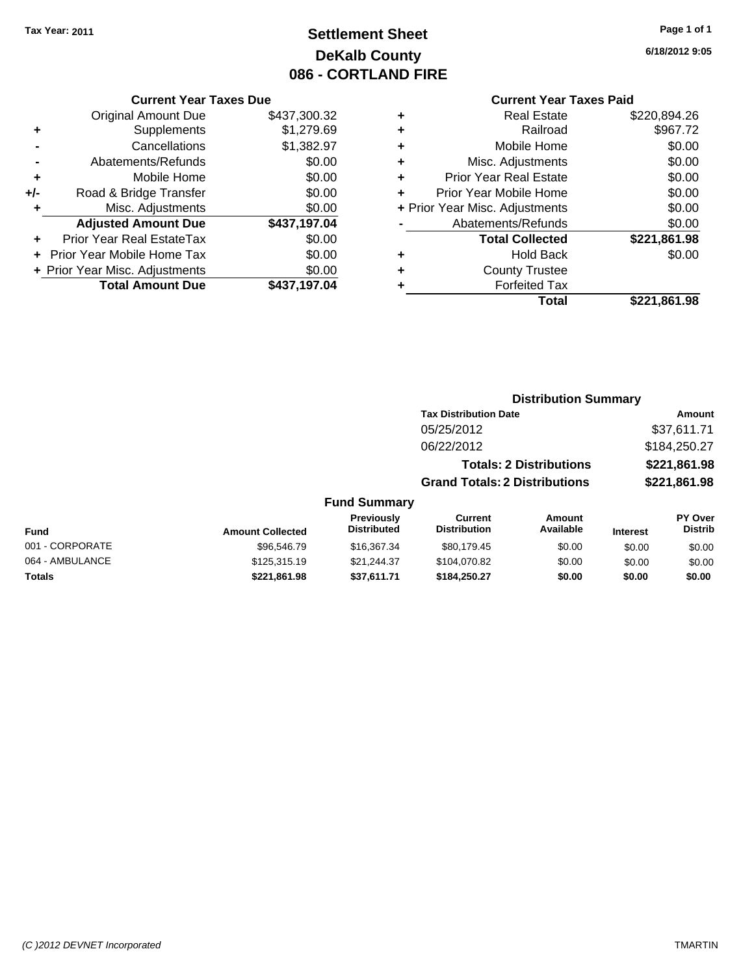## **Settlement Sheet Tax Year: 2011 Page 1 of 1 DeKalb County 086 - CORTLAND FIRE**

**6/18/2012 9:05**

### **Current Year Taxes Paid**

|     | <b>Current Year Taxes Due</b>  |              |  |  |  |
|-----|--------------------------------|--------------|--|--|--|
|     | <b>Original Amount Due</b>     | \$437,300.32 |  |  |  |
| ٠   | Supplements                    | \$1,279.69   |  |  |  |
|     | Cancellations                  | \$1,382.97   |  |  |  |
|     | Abatements/Refunds             | \$0.00       |  |  |  |
| ٠   | Mobile Home                    | \$0.00       |  |  |  |
| +/- | Road & Bridge Transfer         | \$0.00       |  |  |  |
| ٠   | Misc. Adjustments              | \$0.00       |  |  |  |
|     | <b>Adjusted Amount Due</b>     | \$437,197.04 |  |  |  |
| ٠   | Prior Year Real EstateTax      | \$0.00       |  |  |  |
|     | Prior Year Mobile Home Tax     | \$0.00       |  |  |  |
|     | + Prior Year Misc. Adjustments | \$0.00       |  |  |  |
|     | <b>Total Amount Due</b>        | \$437,197.04 |  |  |  |

| \$967.72<br>Railroad<br>٠<br>\$0.00<br>Mobile Home<br>٠<br>\$0.00<br>Misc. Adjustments<br>٠<br>\$0.00<br><b>Prior Year Real Estate</b><br>٠<br>\$0.00<br>Prior Year Mobile Home<br>÷<br>\$0.00<br>+ Prior Year Misc. Adjustments<br>\$0.00<br>Abatements/Refunds<br>\$221,861.98<br><b>Total Collected</b><br>\$0.00<br><b>Hold Back</b><br>٠ |
|-----------------------------------------------------------------------------------------------------------------------------------------------------------------------------------------------------------------------------------------------------------------------------------------------------------------------------------------------|
|                                                                                                                                                                                                                                                                                                                                               |
|                                                                                                                                                                                                                                                                                                                                               |
|                                                                                                                                                                                                                                                                                                                                               |
|                                                                                                                                                                                                                                                                                                                                               |
|                                                                                                                                                                                                                                                                                                                                               |
|                                                                                                                                                                                                                                                                                                                                               |
|                                                                                                                                                                                                                                                                                                                                               |
|                                                                                                                                                                                                                                                                                                                                               |
|                                                                                                                                                                                                                                                                                                                                               |
| <b>County Trustee</b><br>٠                                                                                                                                                                                                                                                                                                                    |
| <b>Forfeited Tax</b><br>٠                                                                                                                                                                                                                                                                                                                     |
| \$221,861.98<br>Total                                                                                                                                                                                                                                                                                                                         |

## **Distribution Summary**

|                     | <b>Tax Distribution Date</b>         | Amount       |
|---------------------|--------------------------------------|--------------|
|                     | 05/25/2012                           | \$37,611.71  |
|                     | 06/22/2012                           | \$184,250,27 |
|                     | <b>Totals: 2 Distributions</b>       | \$221,861.98 |
|                     | <b>Grand Totals: 2 Distributions</b> | \$221,861.98 |
| <b>Fund Summary</b> |                                      |              |

| <b>Fund</b>     | <b>Amount Collected</b> | <b>Previously</b><br><b>Distributed</b> | Current<br><b>Distribution</b> | Amount<br>Available | <b>Interest</b> | <b>PY Over</b><br><b>Distrib</b> |
|-----------------|-------------------------|-----------------------------------------|--------------------------------|---------------------|-----------------|----------------------------------|
| 001 - CORPORATE | \$96,546.79             | \$16,367,34                             | \$80.179.45                    | \$0.00              | \$0.00          | \$0.00                           |
| 064 - AMBULANCE | \$125,315.19            | \$21.244.37                             | \$104.070.82                   | \$0.00              | \$0.00          | \$0.00                           |
| Totals          | \$221,861.98            | \$37,611.71                             | \$184,250.27                   | \$0.00              | \$0.00          | \$0.00                           |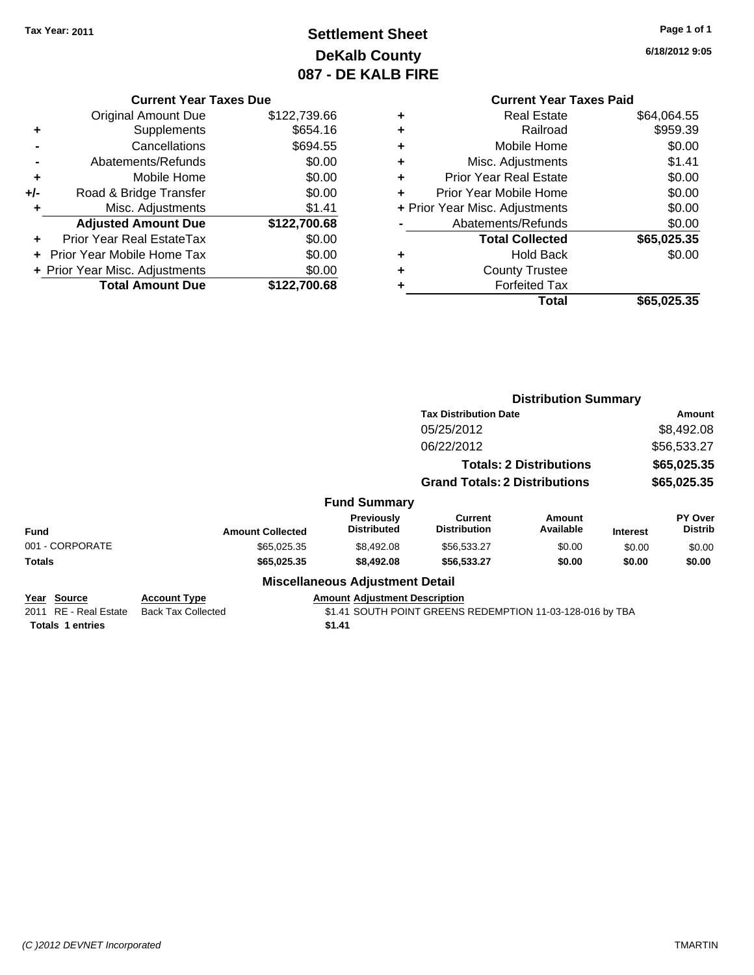## **Settlement Sheet Tax Year: 2011 Page 1 of 1 DeKalb County 087 - DE KALB FIRE**

**6/18/2012 9:05**

|     | <b>Current Year Taxes Due</b>           |              |  |  |  |
|-----|-----------------------------------------|--------------|--|--|--|
|     | Original Amount Due                     | \$122,739.66 |  |  |  |
| ٠   | Supplements                             | \$654.16     |  |  |  |
|     | Cancellations                           | \$694.55     |  |  |  |
|     | Abatements/Refunds                      | \$0.00       |  |  |  |
| ÷   | Mobile Home                             | \$0.00       |  |  |  |
| +/- | Road & Bridge Transfer                  | \$0.00       |  |  |  |
| ÷   | Misc. Adjustments                       | \$1.41       |  |  |  |
|     | <b>Adjusted Amount Due</b>              | \$122,700.68 |  |  |  |
| ٠   | Prior Year Real EstateTax               | \$0.00       |  |  |  |
|     | Prior Year Mobile Home Tax              | \$0.00       |  |  |  |
|     | + Prior Year Misc. Adjustments          | \$0.00       |  |  |  |
|     | <b>Total Amount Due</b><br>\$122,700.68 |              |  |  |  |
|     |                                         |              |  |  |  |

|   | Real Estate                    | \$64,064.55 |
|---|--------------------------------|-------------|
|   | Railroad                       | \$959.39    |
| ٠ | Mobile Home                    | \$0.00      |
| ٠ | Misc. Adjustments              | \$1.41      |
| ٠ | <b>Prior Year Real Estate</b>  | \$0.00      |
| ÷ | Prior Year Mobile Home         | \$0.00      |
|   | + Prior Year Misc. Adjustments | \$0.00      |
|   | Abatements/Refunds             | \$0.00      |
|   | <b>Total Collected</b>         | \$65,025.35 |
| ٠ | <b>Hold Back</b>               | \$0.00      |
|   | <b>County Trustee</b>          |             |
|   | <b>Forfeited Tax</b>           |             |
|   | <b>Total</b>                   | \$65,025.35 |
|   |                                |             |

|                                                                 |                                                  |                                                | <b>Distribution Summary</b>                               |                            |                 |                           |
|-----------------------------------------------------------------|--------------------------------------------------|------------------------------------------------|-----------------------------------------------------------|----------------------------|-----------------|---------------------------|
|                                                                 |                                                  |                                                | <b>Tax Distribution Date</b>                              |                            | Amount          |                           |
|                                                                 |                                                  |                                                | 05/25/2012                                                |                            | \$8,492.08      |                           |
|                                                                 |                                                  |                                                | 06/22/2012                                                | \$56,533.27<br>\$65,025.35 |                 |                           |
|                                                                 |                                                  |                                                | <b>Totals: 2 Distributions</b>                            |                            |                 |                           |
|                                                                 |                                                  |                                                | <b>Grand Totals: 2 Distributions</b>                      |                            | \$65,025.35     |                           |
|                                                                 |                                                  | <b>Fund Summary</b>                            |                                                           |                            |                 |                           |
| <b>Fund</b>                                                     | <b>Amount Collected</b>                          | <b>Previously</b><br><b>Distributed</b>        | Current<br><b>Distribution</b>                            | Amount<br>Available        | <b>Interest</b> | PY Over<br><b>Distrib</b> |
| 001 - CORPORATE                                                 | \$65,025.35                                      | \$8,492.08                                     | \$56,533.27                                               | \$0.00                     | \$0.00          | \$0.00                    |
| <b>Totals</b>                                                   | \$65,025.35                                      | \$8,492.08                                     | \$56,533.27                                               | \$0.00                     | \$0.00          | \$0.00                    |
|                                                                 |                                                  | <b>Miscellaneous Adjustment Detail</b>         |                                                           |                            |                 |                           |
| Year Source<br>2011 RE - Real Estate<br><b>Totals 1 entries</b> | <b>Account Type</b><br><b>Back Tax Collected</b> | <b>Amount Adjustment Description</b><br>\$1.41 | \$1.41 SOUTH POINT GREENS REDEMPTION 11-03-128-016 by TBA |                            |                 |                           |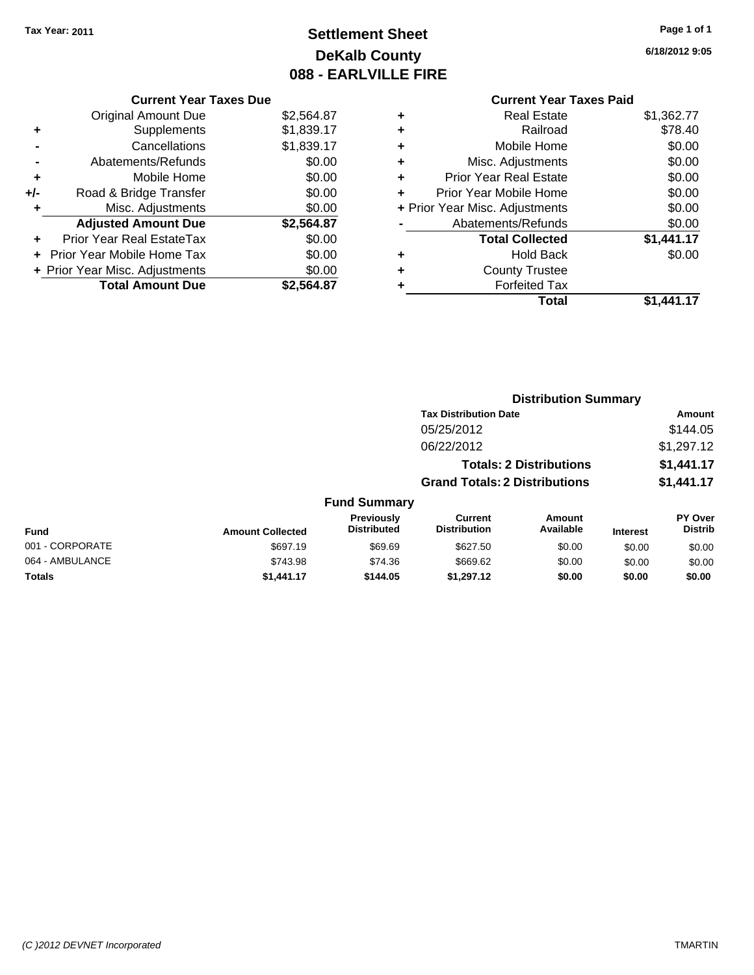## **Settlement Sheet Tax Year: 2011 Page 1 of 1 DeKalb County 088 - EARLVILLE FIRE**

**6/18/2012 9:05**

|     | <b>Current Year Taxes Due</b>  |            |
|-----|--------------------------------|------------|
|     | <b>Original Amount Due</b>     | \$2,564.87 |
| ٠   | Supplements                    | \$1,839.17 |
|     | Cancellations                  | \$1,839.17 |
|     | Abatements/Refunds             | \$0.00     |
| ٠   | Mobile Home                    | \$0.00     |
| +/- | Road & Bridge Transfer         | \$0.00     |
| ٠   | Misc. Adjustments              | \$0.00     |
|     | <b>Adjusted Amount Due</b>     | \$2,564.87 |
| ÷   | Prior Year Real EstateTax      | \$0.00     |
|     | Prior Year Mobile Home Tax     | \$0.00     |
|     | + Prior Year Misc. Adjustments | \$0.00     |
|     | <b>Total Amount Due</b>        | \$2,564.87 |
|     |                                |            |

| ٠ | <b>Real Estate</b>             | \$1,362.77 |
|---|--------------------------------|------------|
| ٠ | Railroad                       | \$78.40    |
| ٠ | Mobile Home                    | \$0.00     |
| ٠ | Misc. Adjustments              | \$0.00     |
| ÷ | <b>Prior Year Real Estate</b>  | \$0.00     |
| ٠ | Prior Year Mobile Home         | \$0.00     |
|   | + Prior Year Misc. Adjustments | \$0.00     |
|   | Abatements/Refunds             | \$0.00     |
|   | <b>Total Collected</b>         | \$1,441.17 |
| ٠ | <b>Hold Back</b>               | \$0.00     |
| ٠ | <b>County Trustee</b>          |            |
| ٠ | <b>Forfeited Tax</b>           |            |
|   | Total                          | \$1.441.17 |
|   |                                |            |

|                 | <b>Distribution Summary</b> |                                  |                                       |                                |                 |                                  |  |
|-----------------|-----------------------------|----------------------------------|---------------------------------------|--------------------------------|-----------------|----------------------------------|--|
|                 |                             |                                  | <b>Tax Distribution Date</b>          |                                |                 | Amount                           |  |
|                 |                             |                                  | 05/25/2012                            |                                |                 | \$144.05                         |  |
|                 |                             |                                  | 06/22/2012                            |                                |                 | \$1,297.12                       |  |
|                 |                             |                                  |                                       | <b>Totals: 2 Distributions</b> |                 | \$1,441.17                       |  |
|                 |                             |                                  | <b>Grand Totals: 2 Distributions</b>  |                                |                 | \$1,441.17                       |  |
|                 |                             | <b>Fund Summary</b>              |                                       |                                |                 |                                  |  |
| <b>Fund</b>     | <b>Amount Collected</b>     | Previously<br><b>Distributed</b> | <b>Current</b><br><b>Distribution</b> | Amount<br>Available            | <b>Interest</b> | <b>PY Over</b><br><b>Distrib</b> |  |
| 001 - CORPORATE | \$697.19                    | \$69.69                          | \$627.50                              | \$0.00                         | \$0.00          | \$0.00                           |  |
| 064 - AMBULANCE | \$743.98                    | \$74.36                          | \$669.62                              | \$0.00                         | \$0.00          | \$0.00                           |  |
| Totals          | \$1,441.17                  | \$144.05                         | \$1,297.12                            | \$0.00                         | \$0.00          | \$0.00                           |  |
|                 |                             |                                  |                                       |                                |                 |                                  |  |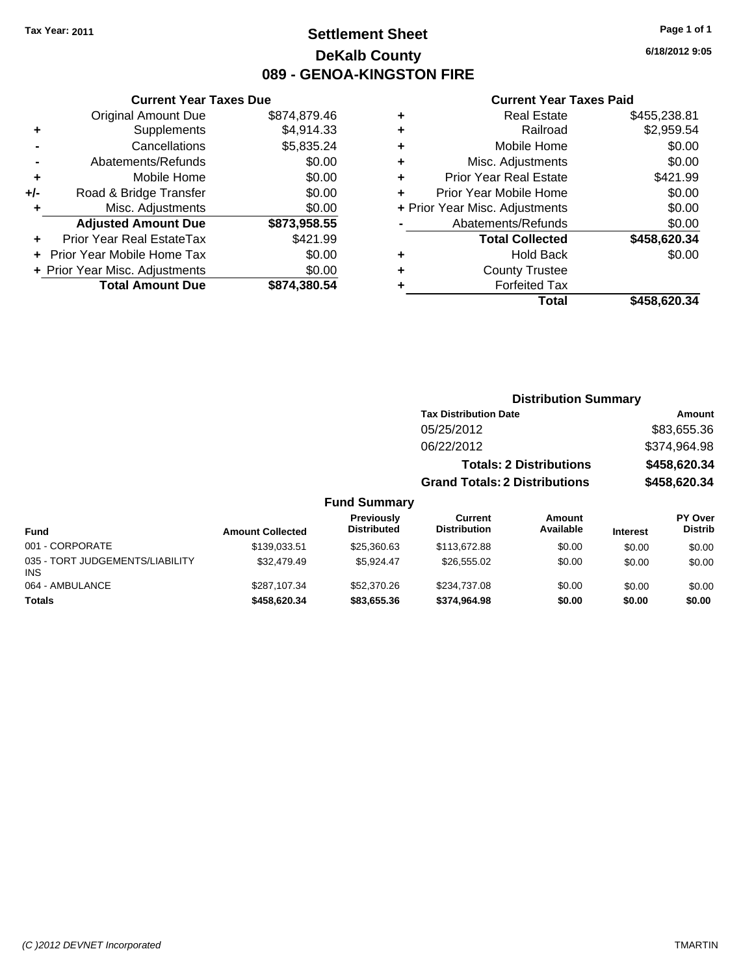## **Settlement Sheet Tax Year: 2011 Page 1 of 1 DeKalb County 089 - GENOA-KINGSTON FIRE**

**6/18/2012 9:05**

### **Current Year Taxes Paid**

| ٠ | <b>Forfeited Tax</b>           |              |
|---|--------------------------------|--------------|
| ٠ | <b>County Trustee</b>          |              |
| ٠ | <b>Hold Back</b>               | \$0.00       |
|   | <b>Total Collected</b>         | \$458,620.34 |
|   | Abatements/Refunds             | \$0.00       |
|   | + Prior Year Misc. Adjustments | \$0.00       |
| ÷ | Prior Year Mobile Home         | \$0.00       |
| ٠ | <b>Prior Year Real Estate</b>  | \$421.99     |
| ٠ | Misc. Adjustments              | \$0.00       |
| ٠ | Mobile Home                    | \$0.00       |
|   |                                | \$2,959.54   |
| ٠ | Railroad                       |              |
| ٠ | <b>Real Estate</b>             | \$455,238.81 |

|                                         |                         |                                  | <b>Distribution Summary</b>           |                                |                 |                                  |
|-----------------------------------------|-------------------------|----------------------------------|---------------------------------------|--------------------------------|-----------------|----------------------------------|
|                                         |                         |                                  | <b>Tax Distribution Date</b>          |                                |                 | Amount                           |
|                                         |                         |                                  | 05/25/2012                            |                                |                 | \$83,655.36                      |
|                                         |                         |                                  | 06/22/2012                            |                                |                 | \$374,964.98                     |
|                                         |                         |                                  |                                       | <b>Totals: 2 Distributions</b> |                 | \$458,620.34                     |
|                                         |                         |                                  | <b>Grand Totals: 2 Distributions</b>  |                                | \$458,620.34    |                                  |
|                                         |                         | <b>Fund Summary</b>              |                                       |                                |                 |                                  |
| <b>Fund</b>                             | <b>Amount Collected</b> | Previously<br><b>Distributed</b> | <b>Current</b><br><b>Distribution</b> | Amount<br>Available            | <b>Interest</b> | <b>PY Over</b><br><b>Distrib</b> |
| 001 - CORPORATE                         | \$139,033.51            | \$25,360.63                      | \$113,672.88                          | \$0.00                         | \$0.00          | \$0.00                           |
| 035 - TORT JUDGEMENTS/LIABILITY<br>INS. | \$32,479.49             | \$5,924.47                       | \$26,555.02                           | \$0.00                         | \$0.00          | \$0.00                           |
| 064 - AMBULANCE                         | \$287,107.34            | \$52,370.26                      | \$234,737.08                          | \$0.00                         | \$0.00          | \$0.00                           |
| Totals                                  | \$458,620.34            | \$83,655.36                      | \$374,964,98                          | \$0.00                         | \$0.00          | \$0.00                           |

**Current Year Taxes Due** Original Amount Due \$874,879.46

**Adjusted Amount Due \$873,958.55**

**Total Amount Due \$874,380.54**

**+** Supplements \$4,914.33 **-** Cancellations \$5,835.24 **-** Abatements/Refunds \$0.00 **+** Mobile Home \$0.00 **+/-** Road & Bridge Transfer \$0.00 **+** Misc. Adjustments \$0.00

**+** Prior Year Real EstateTax \$421.99 **+** Prior Year Mobile Home Tax \$0.00 **+ Prior Year Misc. Adjustments**  $$0.00$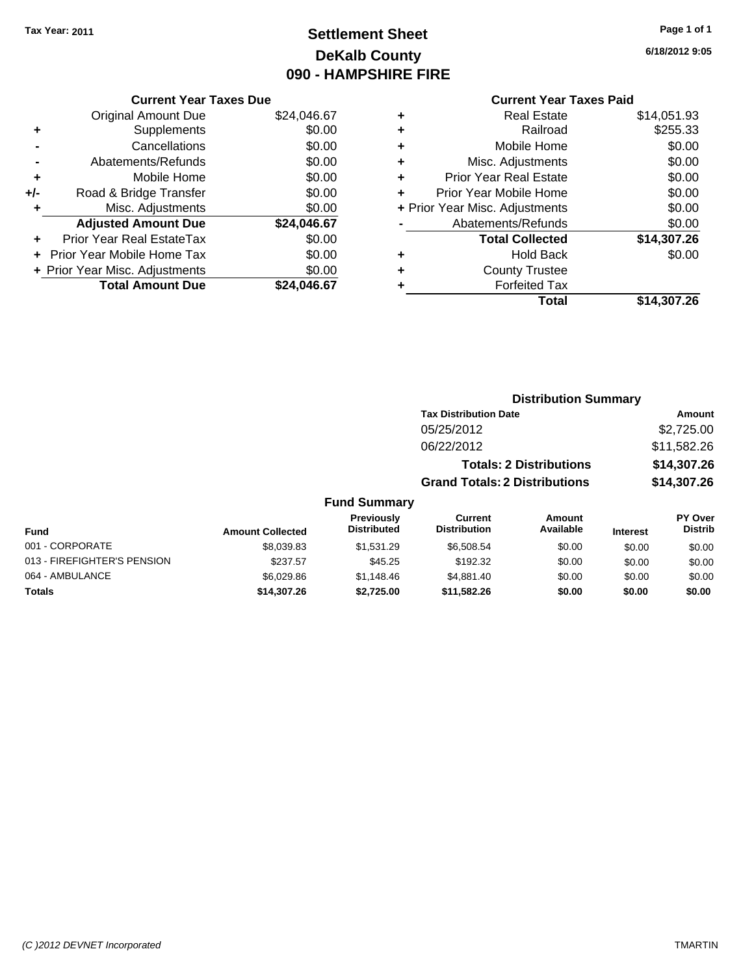## **Settlement Sheet Tax Year: 2011 Page 1 of 1 DeKalb County 090 - HAMPSHIRE FIRE**

**6/18/2012 9:05**

| <b>Current Year Taxes Paid</b> |  |  |
|--------------------------------|--|--|
|                                |  |  |

| <b>Current Year Taxes Due</b> |                                |             |  |
|-------------------------------|--------------------------------|-------------|--|
|                               | <b>Original Amount Due</b>     | \$24,046.67 |  |
| ٠                             | Supplements                    | \$0.00      |  |
|                               | Cancellations                  | \$0.00      |  |
|                               | Abatements/Refunds             | \$0.00      |  |
| ٠                             | Mobile Home                    | \$0.00      |  |
| +/-                           | Road & Bridge Transfer         | \$0.00      |  |
|                               | Misc. Adjustments              | \$0.00      |  |
|                               | <b>Adjusted Amount Due</b>     | \$24,046.67 |  |
| ÷                             | Prior Year Real EstateTax      | \$0.00      |  |
|                               | Prior Year Mobile Home Tax     | \$0.00      |  |
|                               | + Prior Year Misc. Adjustments | \$0.00      |  |
|                               | <b>Total Amount Due</b>        | \$24.046.67 |  |

| <b>Hold Back</b><br><b>County Trustee</b><br><b>Forfeited Tax</b> | \$0.00      |
|-------------------------------------------------------------------|-------------|
|                                                                   |             |
|                                                                   |             |
|                                                                   |             |
| <b>Total Collected</b>                                            | \$14,307.26 |
| Abatements/Refunds                                                | \$0.00      |
| + Prior Year Misc. Adjustments                                    | \$0.00      |
| Prior Year Mobile Home                                            | \$0.00      |
| <b>Prior Year Real Estate</b>                                     | \$0.00      |
| Misc. Adjustments                                                 | \$0.00      |
| Mobile Home                                                       | \$0.00      |
| Railroad                                                          | \$255.33    |
| Real Estate                                                       | \$14,051.93 |
|                                                                   |             |

|                     | <b>Distribution Summary</b>          |                                |                |
|---------------------|--------------------------------------|--------------------------------|----------------|
|                     | <b>Tax Distribution Date</b>         |                                | <b>Amount</b>  |
|                     | 05/25/2012                           |                                | \$2,725.00     |
|                     | 06/22/2012                           |                                | \$11,582.26    |
|                     |                                      | <b>Totals: 2 Distributions</b> | \$14,307.26    |
|                     | <b>Grand Totals: 2 Distributions</b> |                                | \$14,307.26    |
| <b>Fund Summary</b> |                                      |                                |                |
| <b>Dravioushi</b>   | $P_{11}$ rrant                       | $A$ mount                      | <b>DV Over</b> |

| <b>Fund</b>                 | <b>Amount Collected</b> | <b>Previously</b><br><b>Distributed</b> | Current<br><b>Distribution</b> | Amount<br>Available | <b>Interest</b> | <b>PY Over</b><br><b>Distrib</b> |
|-----------------------------|-------------------------|-----------------------------------------|--------------------------------|---------------------|-----------------|----------------------------------|
| 001 - CORPORATE             | \$8.039.83              | \$1.531.29                              | \$6,508,54                     | \$0.00              | \$0.00          | \$0.00                           |
| 013 - FIREFIGHTER'S PENSION | \$237.57                | \$45.25                                 | \$192.32                       | \$0.00              | \$0.00          | \$0.00                           |
| 064 - AMBULANCE             | \$6.029.86              | \$1,148.46                              | \$4.881.40                     | \$0.00              | \$0.00          | \$0.00                           |
| <b>Totals</b>               | \$14,307.26             | \$2.725.00                              | \$11,582.26                    | \$0.00              | \$0.00          | \$0.00                           |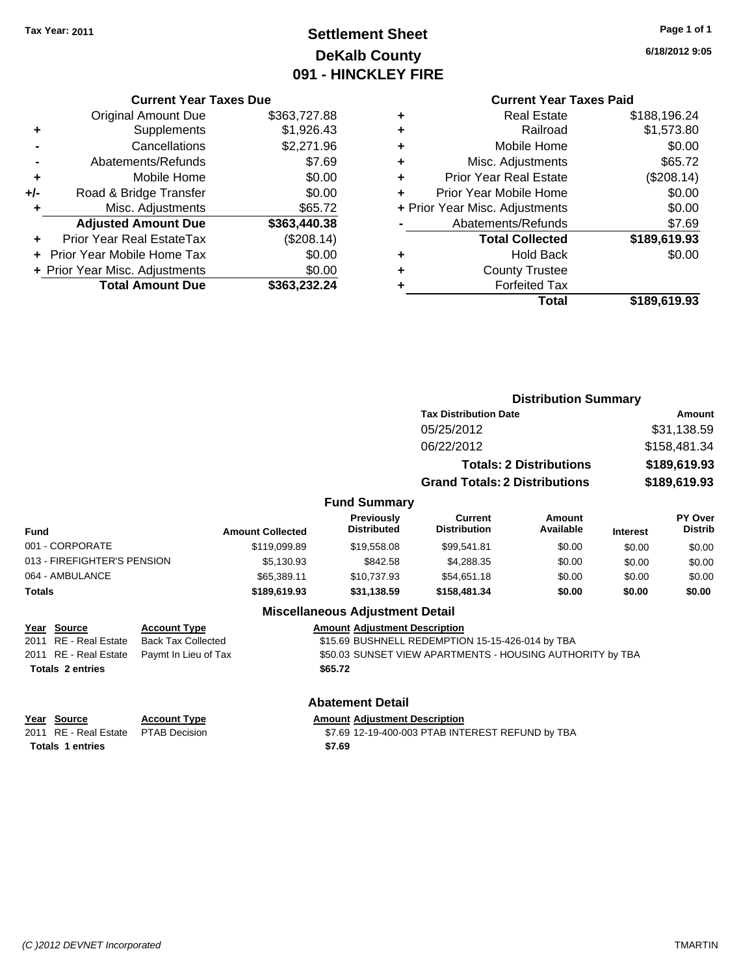## **Settlement Sheet Tax Year: 2011 Page 1 of 1 DeKalb County 091 - HINCKLEY FIRE**

**6/18/2012 9:05**

# **Current Year Taxes Paid**

**Distribution Summary**

|   | OUITUR TUUT TUAUJ TURU         |              |
|---|--------------------------------|--------------|
| ٠ | <b>Real Estate</b>             | \$188,196.24 |
| ٠ | Railroad                       | \$1,573.80   |
| ٠ | Mobile Home                    | \$0.00       |
| ٠ | Misc. Adjustments              | \$65.72      |
| ٠ | <b>Prior Year Real Estate</b>  | (\$208.14)   |
| ÷ | Prior Year Mobile Home         | \$0.00       |
|   | + Prior Year Misc. Adjustments | \$0.00       |
|   | Abatements/Refunds             | \$7.69       |
|   | <b>Total Collected</b>         | \$189,619.93 |
| ٠ | <b>Hold Back</b>               | \$0.00       |
| ٠ | <b>County Trustee</b>          |              |
|   | <b>Forfeited Tax</b>           |              |
|   | Total                          | \$189,619.93 |
|   |                                |              |

|     | <b>Current Year Taxes Due</b>     |              |  |
|-----|-----------------------------------|--------------|--|
|     | <b>Original Amount Due</b>        | \$363,727.88 |  |
| ٠   | Supplements                       | \$1,926.43   |  |
|     | Cancellations                     | \$2,271.96   |  |
|     | Abatements/Refunds                | \$7.69       |  |
| ÷   | Mobile Home                       | \$0.00       |  |
| +/- | Road & Bridge Transfer            | \$0.00       |  |
| ٠   | Misc. Adjustments                 | \$65.72      |  |
|     | <b>Adjusted Amount Due</b>        | \$363,440.38 |  |
|     | Prior Year Real EstateTax         | (\$208.14)   |  |
|     | <b>Prior Year Mobile Home Tax</b> | \$0.00       |  |
|     | + Prior Year Misc. Adjustments    | \$0.00       |  |
|     | <b>Total Amount Due</b>           | \$363,232.24 |  |

|                             |                         |                                         | <b>Tax Distribution Date</b>         |                                |                 | Amount                    |
|-----------------------------|-------------------------|-----------------------------------------|--------------------------------------|--------------------------------|-----------------|---------------------------|
|                             |                         |                                         | 05/25/2012                           |                                |                 | \$31,138.59               |
|                             |                         |                                         | 06/22/2012                           |                                |                 | \$158,481.34              |
|                             |                         |                                         |                                      | <b>Totals: 2 Distributions</b> |                 | \$189,619.93              |
|                             |                         |                                         | <b>Grand Totals: 2 Distributions</b> |                                |                 | \$189,619.93              |
|                             |                         | <b>Fund Summary</b>                     |                                      |                                |                 |                           |
| Fund                        | <b>Amount Collected</b> | <b>Previously</b><br><b>Distributed</b> | Current<br><b>Distribution</b>       | Amount<br>Available            | <b>Interest</b> | PY Over<br><b>Distrib</b> |
| 001 - CORPORATE             | \$119,099.89            | \$19,558,08                             | \$99,541.81                          | \$0.00                         | \$0.00          | \$0.00                    |
| 013 - FIREFIGHTER'S PENSION | \$5,130.93              | \$842.58                                | \$4,288.35                           | \$0.00                         | \$0.00          | \$0.00                    |
| 064 - AMBULANCE             | \$65,389.11             | \$10.737.93                             | \$54,651.18                          | \$0.00                         | \$0.00          | \$0.00                    |
| Totals                      | \$189,619.93            | \$31,138.59                             | \$158,481,34                         | \$0.00                         | \$0.00          | \$0.00                    |

### **Miscellaneous Adjustment Detail**

### **Year Source Account Type Amount Adjustment Description**

2011 RE - Real Estate Back Tax Collected \$15.69 BUSHNELL REDEMPTION 15-15-426-014 by TBA 2011 RE - Real Estate Paymt In Lieu of Tax **\$50.03 SUNSET VIEW APARTMENTS - HOUSING AUTHORITY by TBA Totals \$65.72 2 entries**

### **Abatement Detail**

**Year Source Account Type Amount Adjustment Description Totals \$7.69 1 entries**

2011 RE - Real Estate \$7.69 12-19-400-003 PTAB INTEREST REFUND by TBA PTAB Decision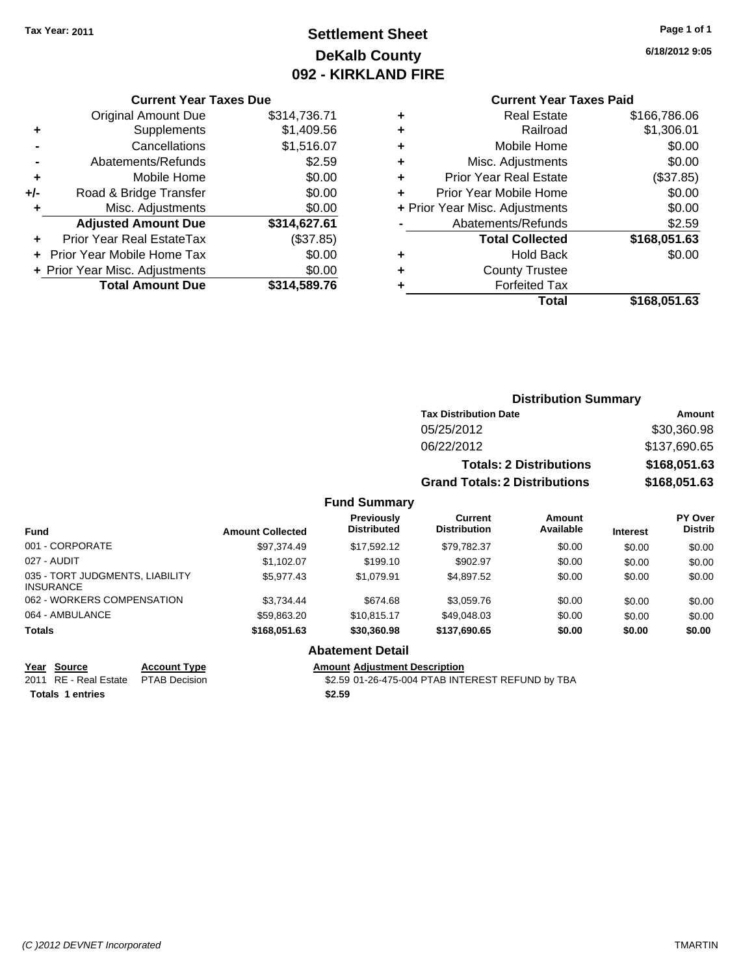## **Settlement Sheet Tax Year: 2011 Page 1 of 1 DeKalb County 092 - KIRKLAND FIRE**

**6/18/2012 9:05**

# **Current Year Taxes Paid**

|   | Total                          | \$168,051.63 |
|---|--------------------------------|--------------|
|   | <b>Forfeited Tax</b>           |              |
|   | <b>County Trustee</b>          |              |
| ٠ | <b>Hold Back</b>               | \$0.00       |
|   | <b>Total Collected</b>         | \$168,051.63 |
|   | Abatements/Refunds             | \$2.59       |
|   | + Prior Year Misc. Adjustments | \$0.00       |
|   | Prior Year Mobile Home         | \$0.00       |
| ٠ | <b>Prior Year Real Estate</b>  | (\$37.85)    |
| ÷ | Misc. Adjustments              | \$0.00       |
| ٠ | Mobile Home                    | \$0.00       |
| ٠ | Railroad                       | \$1,306.01   |
| ٠ | <b>Real Estate</b>             | \$166,786.06 |
|   | odhoni Todi Taxoo Fala         |              |

|     | <b>Current Year Taxes Due</b>  |              |  |
|-----|--------------------------------|--------------|--|
|     | <b>Original Amount Due</b>     | \$314,736.71 |  |
| ٠   | Supplements                    | \$1,409.56   |  |
|     | Cancellations                  | \$1,516.07   |  |
|     | Abatements/Refunds             | \$2.59       |  |
| ٠   | Mobile Home                    | \$0.00       |  |
| +/- | Road & Bridge Transfer         | \$0.00       |  |
| ٠   | Misc. Adjustments              | \$0.00       |  |
|     | <b>Adjusted Amount Due</b>     | \$314,627.61 |  |
|     | Prior Year Real EstateTax      | (\$37.85)    |  |
|     | Prior Year Mobile Home Tax     | \$0.00       |  |
|     | + Prior Year Misc. Adjustments | \$0.00       |  |
|     | <b>Total Amount Due</b>        | \$314,589.76 |  |
|     |                                |              |  |

| <b>Distribution Summary</b> |  |
|-----------------------------|--|
|-----------------------------|--|

| <b>Tax Distribution Date</b>         | Amount       |
|--------------------------------------|--------------|
| 05/25/2012                           | \$30,360.98  |
| 06/22/2012                           | \$137,690.65 |
| <b>Totals: 2 Distributions</b>       | \$168,051.63 |
| <b>Grand Totals: 2 Distributions</b> | \$168,051.63 |

### **Fund Summary**

| <b>Fund</b>                                         | <b>Amount Collected</b> | <b>Previously</b><br><b>Distributed</b> | Current<br><b>Distribution</b> | Amount<br>Available | <b>Interest</b> | PY Over<br><b>Distrib</b> |
|-----------------------------------------------------|-------------------------|-----------------------------------------|--------------------------------|---------------------|-----------------|---------------------------|
| 001 - CORPORATE                                     | \$97.374.49             | \$17.592.12                             | \$79,782.37                    | \$0.00              | \$0.00          | \$0.00                    |
| 027 - AUDIT                                         | \$1.102.07              | \$199.10                                | \$902.97                       | \$0.00              | \$0.00          | \$0.00                    |
| 035 - TORT JUDGMENTS, LIABILITY<br><b>INSURANCE</b> | \$5.977.43              | \$1.079.91                              | \$4,897.52                     | \$0.00              | \$0.00          | \$0.00                    |
| 062 - WORKERS COMPENSATION                          | \$3.734.44              | \$674.68                                | \$3.059.76                     | \$0.00              | \$0.00          | \$0.00                    |
| 064 - AMBULANCE                                     | \$59.863.20             | \$10.815.17                             | \$49,048.03                    | \$0.00              | \$0.00          | \$0.00                    |
| <b>Totals</b>                                       | \$168,051,63            | \$30,360,98                             | \$137,690.65                   | \$0.00              | \$0.00          | \$0.00                    |

## **Abatement Detail**

**Totals 1 entries** \$2.59

**Year Source Account Type Amount Adjustment Description** 2011 RE - Real Estate \$2.59 01-26-475-004 PTAB INTEREST REFUND by TBA PTAB Decision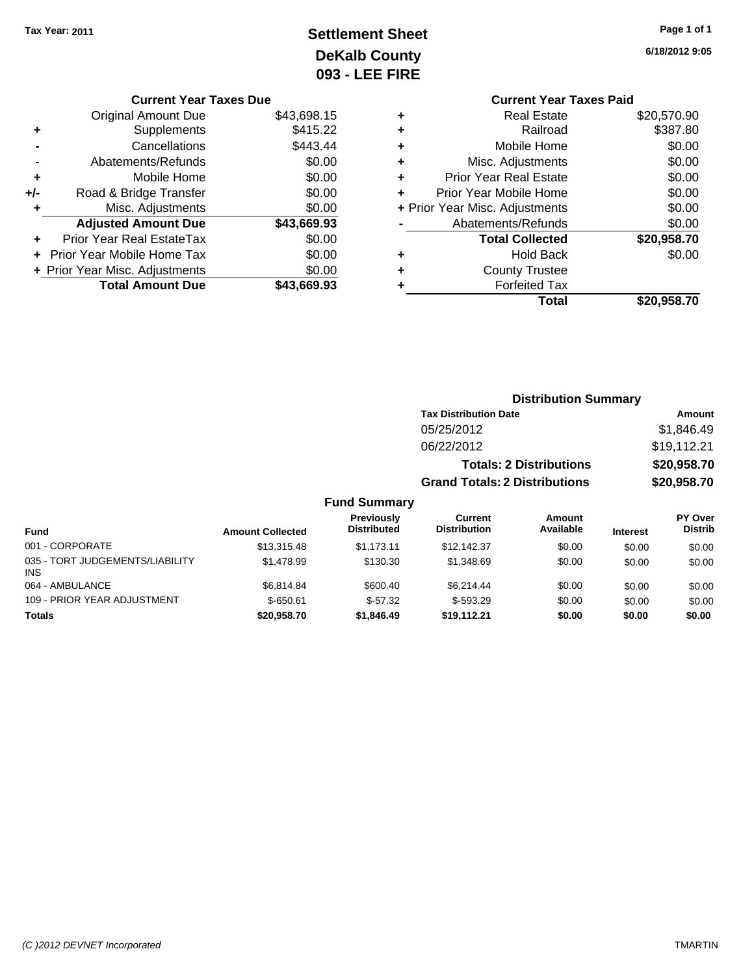## **Settlement Sheet Tax Year: 2011 Page 1 of 1 DeKalb County 093 - LEE FIRE**

|     | <b>Current Year Taxes Due</b>     |             |
|-----|-----------------------------------|-------------|
|     | <b>Original Amount Due</b>        | \$43,698.15 |
| ٠   | Supplements                       | \$415.22    |
|     | Cancellations                     | \$443.44    |
|     | Abatements/Refunds                | \$0.00      |
| ٠   | Mobile Home                       | \$0.00      |
| +/- | Road & Bridge Transfer            | \$0.00      |
| ٠   | Misc. Adjustments                 | \$0.00      |
|     | <b>Adjusted Amount Due</b>        | \$43,669.93 |
|     | Prior Year Real EstateTax         | \$0.00      |
|     | <b>Prior Year Mobile Home Tax</b> | \$0.00      |
|     | + Prior Year Misc. Adjustments    | \$0.00      |
|     | <b>Total Amount Due</b>           | \$43.669.93 |

**6/18/2012 9:05**

|   | <b>Current Year Taxes Paid</b> |             |
|---|--------------------------------|-------------|
| ٠ | <b>Real Estate</b>             | \$20,570.90 |
| ٠ | Railroad                       | \$387.80    |
| ٠ | Mobile Home                    | \$0.00      |
| ٠ | Misc. Adjustments              | \$0.00      |
| ٠ | <b>Prior Year Real Estate</b>  | \$0.00      |
|   | Prior Year Mobile Home         | \$0.00      |
|   | + Prior Year Misc. Adjustments | \$0.00      |
|   | Abatements/Refunds             | \$0.00      |
|   | <b>Total Collected</b>         | \$20,958.70 |
|   | <b>Hold Back</b>               | \$0.00      |
|   | <b>County Trustee</b>          |             |
|   | <b>Forfeited Tax</b>           |             |
|   | Total                          | \$20,958.70 |

|                                               |                         |                                  |                                       | <b>Distribution Summary</b>    |                 |                           |
|-----------------------------------------------|-------------------------|----------------------------------|---------------------------------------|--------------------------------|-----------------|---------------------------|
|                                               |                         |                                  | <b>Tax Distribution Date</b>          |                                |                 | <b>Amount</b>             |
|                                               |                         |                                  | 05/25/2012                            |                                |                 | \$1,846.49                |
|                                               |                         |                                  | 06/22/2012                            |                                |                 | \$19,112.21               |
|                                               |                         |                                  |                                       | <b>Totals: 2 Distributions</b> |                 | \$20,958.70               |
|                                               |                         |                                  | <b>Grand Totals: 2 Distributions</b>  |                                |                 | \$20,958.70               |
|                                               |                         | <b>Fund Summary</b>              |                                       |                                |                 |                           |
| Fund                                          | <b>Amount Collected</b> | Previously<br><b>Distributed</b> | <b>Current</b><br><b>Distribution</b> | Amount<br>Available            | <b>Interest</b> | PY Over<br><b>Distrib</b> |
| 001 - CORPORATE                               | \$13,315.48             | \$1,173.11                       | \$12,142.37                           | \$0.00                         | \$0.00          | \$0.00                    |
| 035 - TORT JUDGEMENTS/LIABILITY<br><b>INS</b> | \$1,478.99              | \$130.30                         | \$1,348.69                            | \$0.00                         | \$0.00          | \$0.00                    |
| 064 - AMBULANCE                               | \$6,814.84              | \$600.40                         | \$6,214.44                            | \$0.00                         | \$0.00          | \$0.00                    |
| 109 - PRIOR YEAR ADJUSTMENT                   | $$-650.61$              | $$-57.32$                        | $$-593.29$                            | \$0.00                         | \$0.00          | \$0.00                    |

**Totals \$20,958.70 \$1,846.49 \$19,112.21 \$0.00 \$0.00 \$0.00**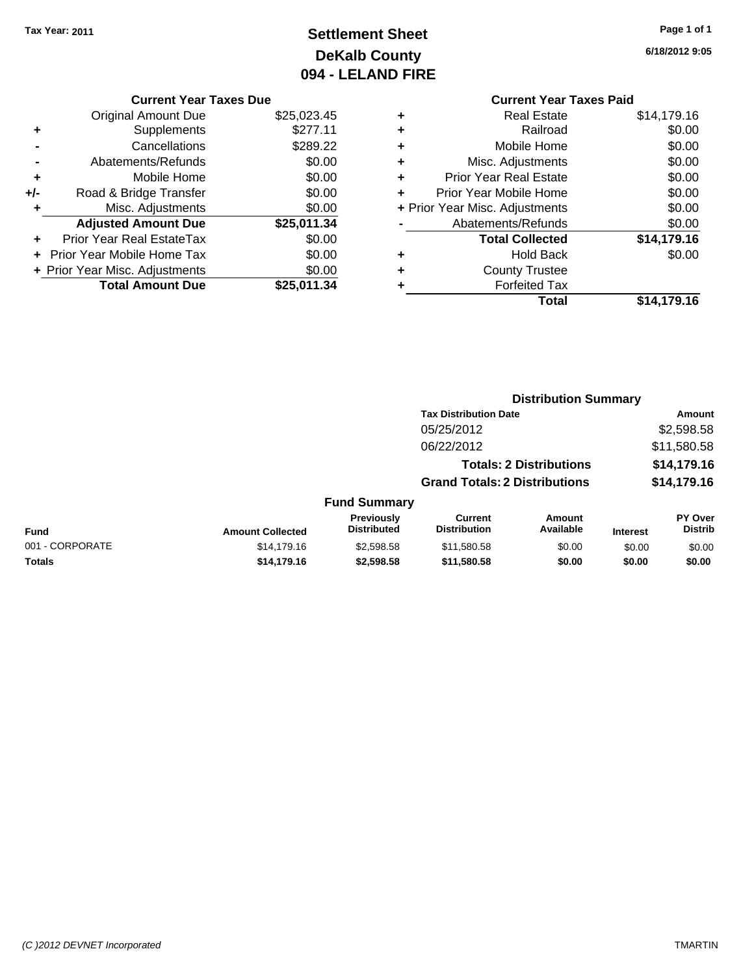## **Settlement Sheet Tax Year: 2011 Page 1 of 1 DeKalb County 094 - LELAND FIRE**

**6/18/2012 9:05**

### **Current Year Taxes Due**

|     | <b>Original Amount Due</b>     | \$25,023.45 |
|-----|--------------------------------|-------------|
| ٠   | Supplements                    | \$277.11    |
|     | Cancellations                  | \$289.22    |
|     | Abatements/Refunds             | \$0.00      |
| ٠   | Mobile Home                    | \$0.00      |
| +/- | Road & Bridge Transfer         | \$0.00      |
| ٠   | Misc. Adjustments              | \$0.00      |
|     | <b>Adjusted Amount Due</b>     | \$25,011.34 |
|     | Prior Year Real EstateTax      | \$0.00      |
|     | + Prior Year Mobile Home Tax   | \$0.00      |
|     | + Prior Year Misc. Adjustments | \$0.00      |
|     | <b>Total Amount Due</b>        | \$25,011.34 |

## **Current Year Taxes Paid +** Real Estate \$14,179.16

|   | Railroad                       | \$0.00      |
|---|--------------------------------|-------------|
| ٠ | Mobile Home                    | \$0.00      |
| ٠ | Misc. Adjustments              | \$0.00      |
| ٠ | <b>Prior Year Real Estate</b>  | \$0.00      |
| ٠ | Prior Year Mobile Home         | \$0.00      |
|   | + Prior Year Misc. Adjustments | \$0.00      |
|   | Abatements/Refunds             | \$0.00      |
|   | <b>Total Collected</b>         | \$14,179.16 |
|   | <b>Hold Back</b>               | \$0.00      |
|   | <b>County Trustee</b>          |             |
|   | <b>Forfeited Tax</b>           |             |
|   | Total                          | \$14,179.16 |
|   |                                |             |

### **Distribution Summary Tax Distribution Date Amount** 05/25/2012 \$2,598.58 06/22/2012 \$11,580.58 **Totals: 2 Distributions \$14,179.16 Grand Totals: 2 Distributions \$14,179.16 Fund Summary Fund Interest Amount Collected Distributed PY Over Distrib Amount Available Current Distribution Previously** 001 - CORPORATE 6 \$14,179.16 \$2,598.58 \$11,580.58 \$0.00 \$0.00 \$0.00 \$0.00 **Totals \$14,179.16 \$2,598.58 \$11,580.58 \$0.00 \$0.00 \$0.00**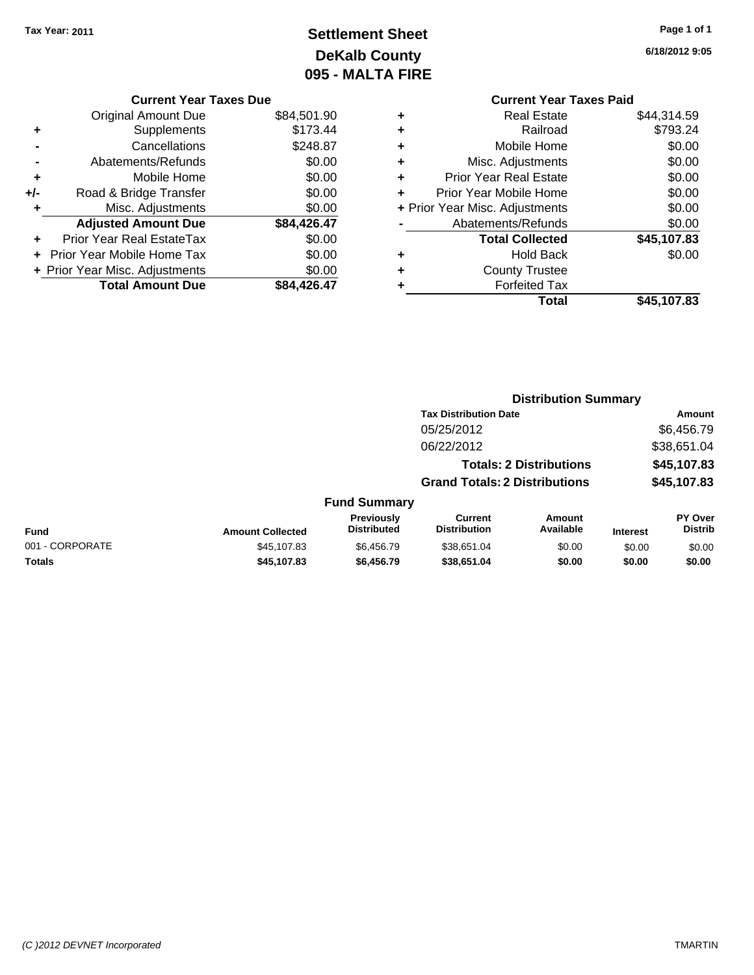## **Settlement Sheet Tax Year: 2011 Page 1 of 1 DeKalb County 095 - MALTA FIRE**

**6/18/2012 9:05**

|   | <b>Current Year Taxes Paid</b> |             |
|---|--------------------------------|-------------|
| ٠ | <b>Real Estate</b>             | \$44,314.59 |
| ٠ | Railroad                       | \$793.24    |
| ٠ | Mobile Home                    | \$0.00      |
| ٠ | Misc. Adjustments              | \$0.00      |
| ٠ | <b>Prior Year Real Estate</b>  | \$0.00      |
| ÷ | Prior Year Mobile Home         | \$0.00      |
|   | + Prior Year Misc. Adjustments | \$0.00      |
|   | Abatements/Refunds             | \$0.00      |
|   | <b>Total Collected</b>         | \$45,107.83 |
| ٠ | <b>Hold Back</b>               | \$0.00      |
|   | <b>County Trustee</b>          |             |
|   | <b>Forfeited Tax</b>           |             |
|   | Total                          | \$45,107.83 |
|   |                                |             |

**Distribution Summary**

|     | <b>Current Year Taxes Due</b>  |             |
|-----|--------------------------------|-------------|
|     | <b>Original Amount Due</b>     | \$84,501.90 |
| ٠   | Supplements                    | \$173.44    |
|     | Cancellations                  | \$248.87    |
|     | Abatements/Refunds             | \$0.00      |
| ٠   | Mobile Home                    | \$0.00      |
| +/- | Road & Bridge Transfer         | \$0.00      |
|     | Misc. Adjustments              | \$0.00      |
|     | <b>Adjusted Amount Due</b>     | \$84,426.47 |
|     | Prior Year Real EstateTax      | \$0.00      |
|     | Prior Year Mobile Home Tax     | \$0.00      |
|     | + Prior Year Misc. Adjustments | \$0.00      |
|     | <b>Total Amount Due</b>        | \$84.426.47 |
|     |                                |             |

|                         |                                  |                                |                     |                                                                                                        | Amount                    |
|-------------------------|----------------------------------|--------------------------------|---------------------|--------------------------------------------------------------------------------------------------------|---------------------------|
|                         |                                  | 05/25/2012                     |                     |                                                                                                        | \$6,456.79                |
|                         |                                  | 06/22/2012                     |                     |                                                                                                        | \$38,651.04               |
|                         |                                  |                                |                     |                                                                                                        | \$45,107.83               |
|                         |                                  |                                |                     |                                                                                                        | \$45,107.83               |
|                         |                                  |                                |                     |                                                                                                        |                           |
| <b>Amount Collected</b> | Previously<br><b>Distributed</b> | Current<br><b>Distribution</b> | Amount<br>Available | <b>Interest</b>                                                                                        | PY Over<br><b>Distrib</b> |
| \$45,107.83             | \$6,456.79                       | \$38,651.04                    | \$0.00              | \$0.00                                                                                                 | \$0.00                    |
| \$45,107.83             | \$6,456.79                       | \$38,651.04                    | \$0.00              | \$0.00                                                                                                 | \$0.00                    |
|                         |                                  |                                | <b>Fund Summary</b> | <b>Tax Distribution Date</b><br><b>Totals: 2 Distributions</b><br><b>Grand Totals: 2 Distributions</b> |                           |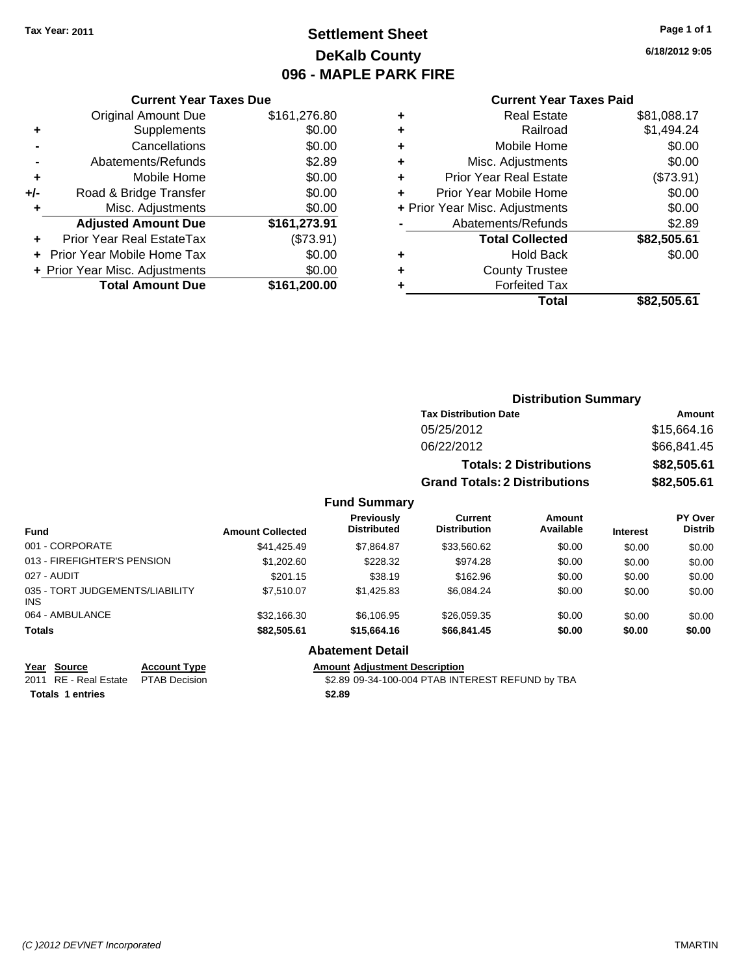## **Settlement Sheet Tax Year: 2011 Page 1 of 1 DeKalb County 096 - MAPLE PARK FIRE**

**6/18/2012 9:05**

| <b>Current Year Taxes Due</b> |  |  |  |  |
|-------------------------------|--|--|--|--|
|-------------------------------|--|--|--|--|

|     | <b>Original Amount Due</b>     | \$161,276.80 |
|-----|--------------------------------|--------------|
| ٠   | Supplements                    | \$0.00       |
|     | Cancellations                  | \$0.00       |
|     | Abatements/Refunds             | \$2.89       |
| ٠   | Mobile Home                    | \$0.00       |
| +/- | Road & Bridge Transfer         | \$0.00       |
| ٠   | Misc. Adjustments              | \$0.00       |
|     | <b>Adjusted Amount Due</b>     | \$161,273.91 |
|     | Prior Year Real EstateTax      | (\$73.91)    |
|     | Prior Year Mobile Home Tax     | \$0.00       |
|     | + Prior Year Misc. Adjustments | \$0.00       |
|     | <b>Total Amount Due</b>        | \$161,200.00 |

### **Current Year Taxes Paid**

| <b>Real Estate</b>             | \$81,088.17 |
|--------------------------------|-------------|
| Railroad                       | \$1,494.24  |
| Mobile Home                    | \$0.00      |
| Misc. Adjustments              | \$0.00      |
| <b>Prior Year Real Estate</b>  | (\$73.91)   |
| Prior Year Mobile Home         | \$0.00      |
| + Prior Year Misc. Adjustments | \$0.00      |
| Abatements/Refunds             | \$2.89      |
| <b>Total Collected</b>         | \$82,505.61 |
| <b>Hold Back</b>               | \$0.00      |
| <b>County Trustee</b>          |             |
| <b>Forfeited Tax</b>           |             |
| Total                          | \$82,505.61 |
|                                |             |

|                                         |                         |                                  |                                      | <b>Distribution Summary</b>    |                 |                                  |
|-----------------------------------------|-------------------------|----------------------------------|--------------------------------------|--------------------------------|-----------------|----------------------------------|
|                                         |                         |                                  | <b>Tax Distribution Date</b>         |                                | Amount          |                                  |
|                                         |                         |                                  | 05/25/2012                           |                                |                 | \$15,664.16                      |
|                                         |                         |                                  | 06/22/2012                           |                                |                 | \$66,841.45                      |
|                                         |                         |                                  |                                      | <b>Totals: 2 Distributions</b> | \$82,505.61     |                                  |
|                                         |                         |                                  | <b>Grand Totals: 2 Distributions</b> |                                | \$82,505.61     |                                  |
|                                         |                         | <b>Fund Summary</b>              |                                      |                                |                 |                                  |
| <b>Fund</b>                             | <b>Amount Collected</b> | Previously<br><b>Distributed</b> | Current<br><b>Distribution</b>       | Amount<br>Available            | <b>Interest</b> | <b>PY Over</b><br><b>Distrib</b> |
| 001 - CORPORATE                         | \$41,425.49             | \$7,864.87                       | \$33,560.62                          | \$0.00                         | \$0.00          | \$0.00                           |
| 013 - FIREFIGHTER'S PENSION             | \$1,202.60              | \$228.32                         | \$974.28                             | \$0.00                         | \$0.00          | \$0.00                           |
| 027 - AUDIT                             | \$201.15                | \$38.19                          | \$162.96                             | \$0.00                         | \$0.00          | \$0.00                           |
| 035 - TORT JUDGEMENTS/LIABILITY<br>INS. | \$7,510.07              | \$1,425.83                       | \$6,084.24                           | \$0.00                         | \$0.00          | \$0.00                           |
| 064 - AMBULANCE                         | \$32,166.30             | \$6,106.95                       | \$26,059.35                          | \$0.00                         | \$0.00          | \$0.00                           |

### **Totals \$82,505.61 \$15,664.16 \$66,841.45 \$0.00 \$0.00 \$0.00**

**Totals \$2.89 1 entries**

**Year Source Account Type Amount Adjustment Description**

**Abatement Detail**

2011 RE - Real Estate \$2.89 09-34-100-004 PTAB INTEREST REFUND by TBA PTAB Decision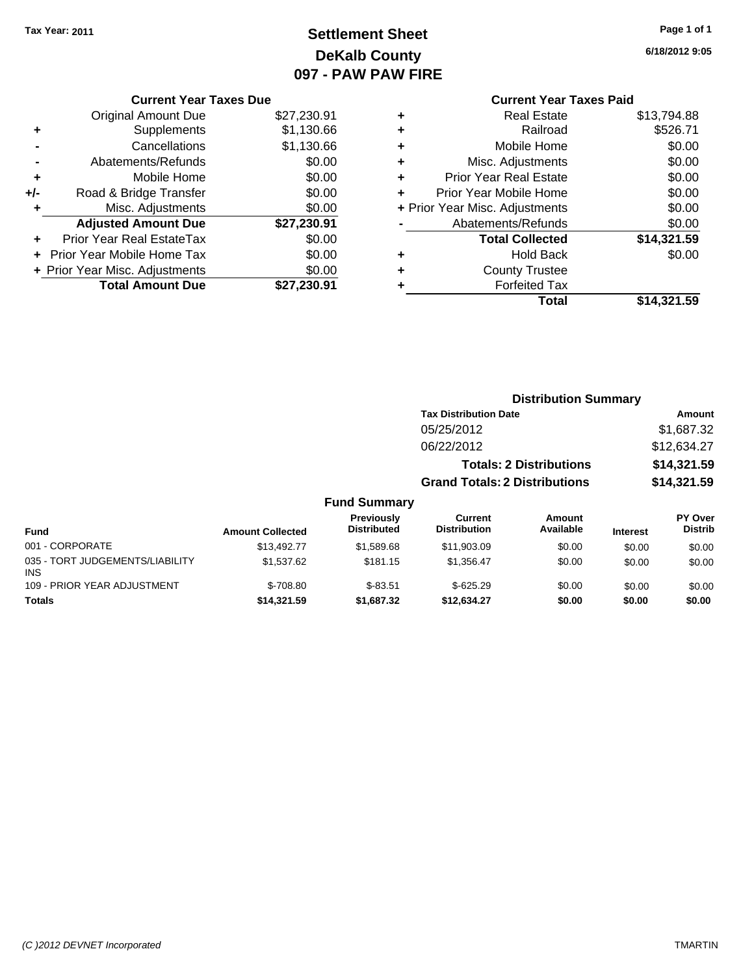## **Settlement Sheet Tax Year: 2011 Page 1 of 1 DeKalb County 097 - PAW PAW FIRE**

### **6/18/2012 9:05**

| <b>Current Year Taxes Paid</b> |             |  |  |  |
|--------------------------------|-------------|--|--|--|
| Real Estate                    | \$13,794.88 |  |  |  |
| Railroad                       | \$526.71    |  |  |  |
| Mobile Home                    | \$0.00      |  |  |  |
| Misc. Adjustments              | \$0.00      |  |  |  |
| <b>Prior Year Real Estate</b>  | \$0.00      |  |  |  |
| Prior Year Mobile Home         | \$0.00      |  |  |  |
| + Prior Year Misc. Adjustments | \$0.00      |  |  |  |
| Abatements/Refunds             | \$0.00      |  |  |  |
| <b>Total Collected</b>         | \$14,321.59 |  |  |  |
| Hold Back                      | \$0.00      |  |  |  |
| <b>County Trustee</b>          |             |  |  |  |
| <b>Forfeited Tax</b>           |             |  |  |  |
| Total                          | \$14,321.59 |  |  |  |
|                                |             |  |  |  |

## **Current Year Taxes Due** Original Amount Due \$27,230.91 **+** Supplements \$1,130.66 **-** Cancellations \$1,130.66 **-** Abatements/Refunds \$0.00 **+** Mobile Home \$0.00 **+/-** Road & Bridge Transfer \$0.00 **+** Misc. Adjustments \$0.00 **Adjusted Amount Due \$27,230.91 +** Prior Year Real EstateTax \$0.00 **+** Prior Year Mobile Home Tax \$0.00 **+ Prior Year Misc. Adjustments**  $$0.00$ **Total Amount Due \$27,230.91**

## **Distribution Summary**

| <b>Tax Distribution Date</b>         | Amount      |
|--------------------------------------|-------------|
| 05/25/2012                           | \$1.687.32  |
| 06/22/2012                           | \$12,634.27 |
| <b>Totals: 2 Distributions</b>       | \$14,321.59 |
| <b>Grand Totals: 2 Distributions</b> | \$14,321.59 |

### **Fund Summary**

| <b>Fund</b>                                   | <b>Amount Collected</b> | <b>Previously</b><br><b>Distributed</b> | Current<br><b>Distribution</b> | Amount<br>Available | <b>Interest</b> | PY Over<br><b>Distrib</b> |
|-----------------------------------------------|-------------------------|-----------------------------------------|--------------------------------|---------------------|-----------------|---------------------------|
| 001 - CORPORATE                               | \$13,492.77             | \$1,589.68                              | \$11,903.09                    | \$0.00              | \$0.00          | \$0.00                    |
| 035 - TORT JUDGEMENTS/LIABILITY<br><b>INS</b> | \$1,537.62              | \$181.15                                | \$1.356.47                     | \$0.00              | \$0.00          | \$0.00                    |
| 109 - PRIOR YEAR ADJUSTMENT                   | $$-708.80$              | $$-83.51$                               | $$-625.29$                     | \$0.00              | \$0.00          | \$0.00                    |
| <b>Totals</b>                                 | \$14,321.59             | \$1,687,32                              | \$12.634.27                    | \$0.00              | \$0.00          | \$0.00                    |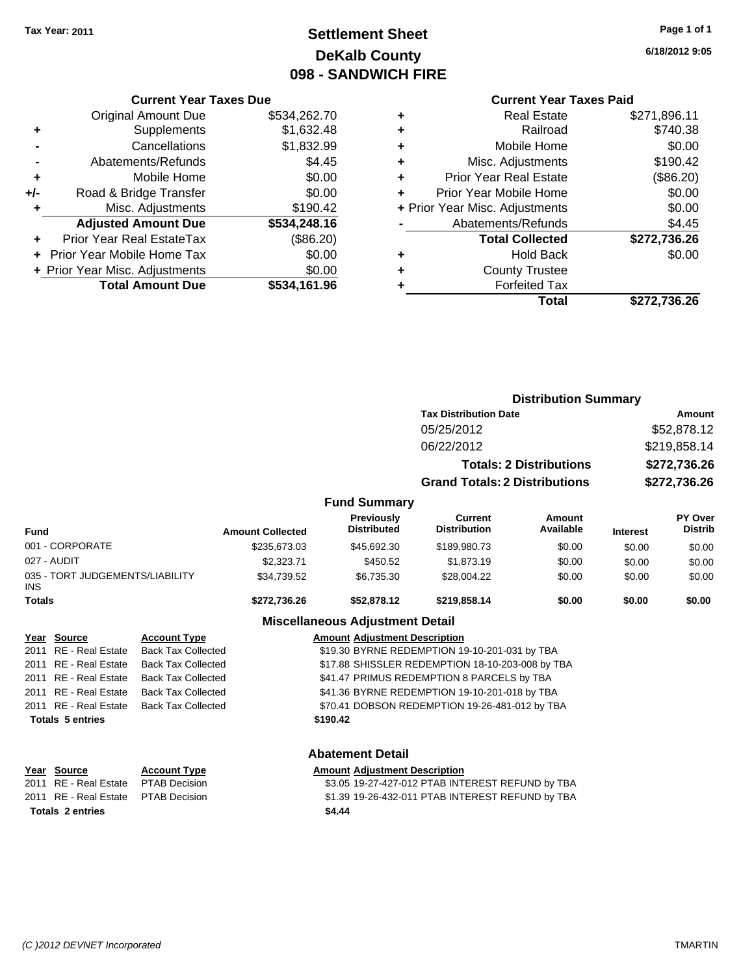## **Settlement Sheet Tax Year: 2011 Page 1 of 1 DeKalb County 098 - SANDWICH FIRE**

**6/18/2012 9:05**

|     | <b>Current Year Taxes Due</b>  |              |
|-----|--------------------------------|--------------|
|     | <b>Original Amount Due</b>     | \$534,262.70 |
| ٠   | Supplements                    | \$1,632.48   |
|     | Cancellations                  | \$1,832.99   |
|     | Abatements/Refunds             | \$4.45       |
| ٠   | Mobile Home                    | \$0.00       |
| +/- | Road & Bridge Transfer         | \$0.00       |
| ٠   | Misc. Adjustments              | \$190.42     |
|     | <b>Adjusted Amount Due</b>     | \$534,248.16 |
|     | Prior Year Real EstateTax      | (\$86.20)    |
|     | Prior Year Mobile Home Tax     | \$0.00       |
|     | + Prior Year Misc. Adjustments | \$0.00       |
|     | <b>Total Amount Due</b>        | \$534.161.96 |
|     |                                |              |

|   | <b>Current Year Taxes Paid</b>             |              |  |  |  |  |
|---|--------------------------------------------|--------------|--|--|--|--|
| ٠ | <b>Real Estate</b>                         | \$271,896.11 |  |  |  |  |
| ٠ | Railroad                                   | \$740.38     |  |  |  |  |
| ٠ | Mobile Home                                | \$0.00       |  |  |  |  |
| ٠ | Misc. Adjustments                          | \$190.42     |  |  |  |  |
| ٠ | (\$86.20)<br><b>Prior Year Real Estate</b> |              |  |  |  |  |
| ÷ | Prior Year Mobile Home                     | \$0.00       |  |  |  |  |
|   | + Prior Year Misc. Adjustments             | \$0.00       |  |  |  |  |
|   | Abatements/Refunds                         | \$4.45       |  |  |  |  |
|   | <b>Total Collected</b>                     | \$272,736.26 |  |  |  |  |
| ٠ | <b>Hold Back</b>                           | \$0.00       |  |  |  |  |
|   | <b>County Trustee</b>                      |              |  |  |  |  |
| ٠ | <b>Forfeited Tax</b>                       |              |  |  |  |  |
|   | <b>Total</b>                               | \$272,736.26 |  |  |  |  |

|                                         |                                               |                           |                                                  |                                        | <b>Distribution Summary</b>                   |                                |                 |                    |  |
|-----------------------------------------|-----------------------------------------------|---------------------------|--------------------------------------------------|----------------------------------------|-----------------------------------------------|--------------------------------|-----------------|--------------------|--|
|                                         |                                               |                           |                                                  |                                        | <b>Tax Distribution Date</b>                  |                                |                 | Amount             |  |
|                                         |                                               |                           | 05/25/2012                                       |                                        |                                               |                                | \$52,878.12     |                    |  |
|                                         |                                               |                           |                                                  |                                        | 06/22/2012                                    |                                |                 | \$219,858.14       |  |
|                                         |                                               |                           |                                                  |                                        |                                               | <b>Totals: 2 Distributions</b> |                 | \$272,736.26       |  |
|                                         |                                               |                           |                                                  |                                        | <b>Grand Totals: 2 Distributions</b>          |                                |                 | \$272,736.26       |  |
|                                         |                                               |                           |                                                  | <b>Fund Summary</b>                    |                                               |                                |                 |                    |  |
| <b>Fund</b>                             |                                               |                           | <b>Amount Collected</b>                          | Previously<br><b>Distributed</b>       | Current<br><b>Distribution</b>                | Amount<br>Available            | <b>Interest</b> | PY Over<br>Distrib |  |
| 001 - CORPORATE                         |                                               | \$235,673.03              | \$45,692.30                                      | \$189,980.73                           | \$0.00                                        | \$0.00                         | \$0.00          |                    |  |
| 027 - AUDIT                             |                                               | \$2,323.71                | \$450.52                                         | \$1,873.19                             | \$0.00                                        | \$0.00                         | \$0.00          |                    |  |
| 035 - TORT JUDGEMENTS/LIABILITY<br>INS. |                                               | \$34,739.52               | \$6,735.30                                       | \$28,004.22                            | \$0.00                                        | \$0.00                         | \$0.00          |                    |  |
| <b>Totals</b>                           |                                               |                           | \$272,736.26                                     | \$52,878.12                            | \$219,858.14                                  | \$0.00                         | \$0.00          | \$0.00             |  |
|                                         |                                               |                           |                                                  | <b>Miscellaneous Adjustment Detail</b> |                                               |                                |                 |                    |  |
|                                         | Year Source                                   | <b>Account Type</b>       |                                                  | <b>Amount Adjustment Description</b>   |                                               |                                |                 |                    |  |
| 2011                                    | <b>RE</b> - Real Estate                       | <b>Back Tax Collected</b> | \$19.30 BYRNE REDEMPTION 19-10-201-031 by TBA    |                                        |                                               |                                |                 |                    |  |
| 2011                                    | RE - Real Estate                              | <b>Back Tax Collected</b> | \$17.88 SHISSLER REDEMPTION 18-10-203-008 by TBA |                                        |                                               |                                |                 |                    |  |
| 2011                                    | RE - Real Estate<br><b>Back Tax Collected</b> |                           |                                                  |                                        | \$41.47 PRIMUS REDEMPTION 8 PARCELS by TBA    |                                |                 |                    |  |
|                                         | 2011 RE - Real Estate                         | <b>Back Tax Collected</b> |                                                  |                                        | \$41.36 BYRNE REDEMPTION 19-10-201-018 by TBA |                                |                 |                    |  |

2011 RE - Real Estate Back Tax Collected \$70.41 DOBSON REDEMPTION 19-26-481-012 by TBA **Totals \$190.42 5 entries**

## **Abatement Detail Year Source Account Type Amount Adjustment Description** 2011 RE - Real Estate \$3.05 19-27-427-012 PTAB INTEREST REFUND by TBA PTAB Decision 2011 RE - Real Estate PTAB Decision 61.39 19-26-432-011 PTAB INTEREST REFUND by TBA **Totals \$4.44 2 entries**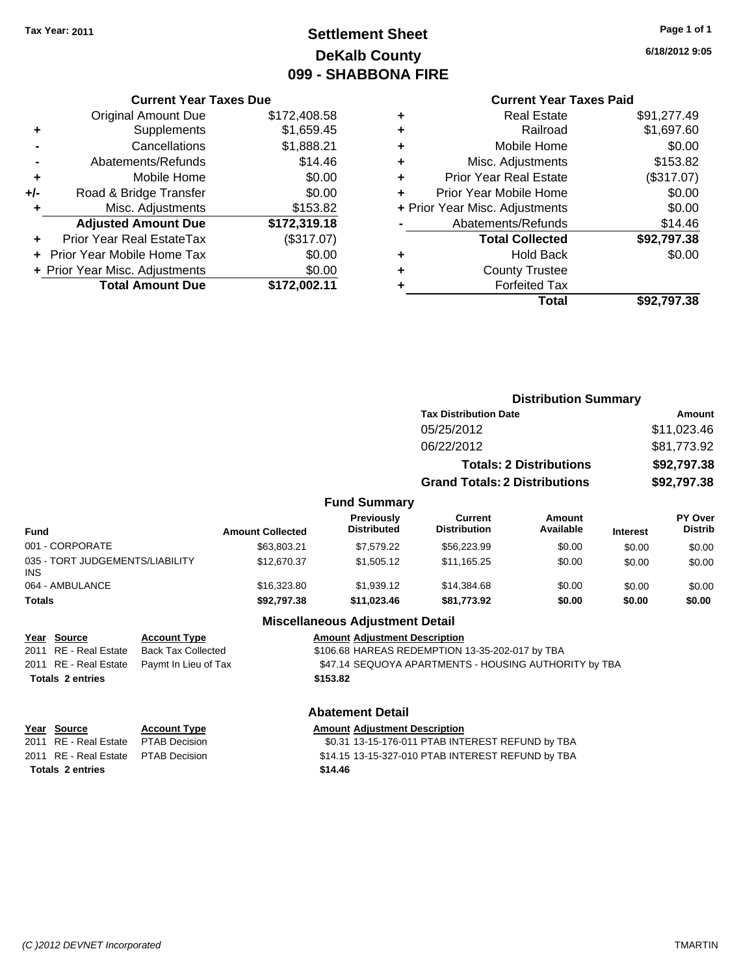## **Settlement Sheet Tax Year: 2011 Page 1 of 1 DeKalb County 099 - SHABBONA FIRE**

**6/18/2012 9:05**

## **Current Year Taxes Paid**

|     | <b>Current Year Taxes Due</b>  |              |
|-----|--------------------------------|--------------|
|     | <b>Original Amount Due</b>     | \$172,408.58 |
| ٠   | Supplements                    | \$1,659.45   |
|     | Cancellations                  | \$1,888.21   |
|     | Abatements/Refunds             | \$14.46      |
| ٠   | Mobile Home                    | \$0.00       |
| +/- | Road & Bridge Transfer         | \$0.00       |
| ٠   | Misc. Adjustments              | \$153.82     |
|     | <b>Adjusted Amount Due</b>     | \$172,319.18 |
|     | Prior Year Real EstateTax      | (\$317.07)   |
|     | Prior Year Mobile Home Tax     | \$0.00       |
|     | + Prior Year Misc. Adjustments | \$0.00       |
|     | <b>Total Amount Due</b>        | \$172.002.11 |
|     |                                |              |

| ٠ | <b>Real Estate</b>             | \$91,277.49 |
|---|--------------------------------|-------------|
| ٠ | Railroad                       | \$1,697.60  |
| ٠ | Mobile Home                    | \$0.00      |
| ٠ | Misc. Adjustments              | \$153.82    |
| ٠ | <b>Prior Year Real Estate</b>  | (\$317.07)  |
|   | Prior Year Mobile Home         | \$0.00      |
|   | + Prior Year Misc. Adjustments | \$0.00      |
|   | Abatements/Refunds             | \$14.46     |
|   | <b>Total Collected</b>         | \$92,797.38 |
| ٠ | <b>Hold Back</b>               | \$0.00      |
| ٠ | <b>County Trustee</b>          |             |
| ٠ | <b>Forfeited Tax</b>           |             |
|   | Total                          | \$92.797.38 |
|   |                                |             |

|                                         |                         |                                  | <b>Distribution Summary</b>          |                                |                 |                                  |
|-----------------------------------------|-------------------------|----------------------------------|--------------------------------------|--------------------------------|-----------------|----------------------------------|
|                                         |                         |                                  | <b>Tax Distribution Date</b>         |                                | Amount          |                                  |
|                                         |                         |                                  | 05/25/2012                           |                                |                 | \$11,023.46                      |
|                                         |                         |                                  | 06/22/2012                           |                                |                 | \$81,773.92                      |
|                                         |                         |                                  |                                      | <b>Totals: 2 Distributions</b> |                 | \$92,797.38                      |
|                                         |                         |                                  | <b>Grand Totals: 2 Distributions</b> |                                |                 | \$92,797.38                      |
|                                         |                         | <b>Fund Summary</b>              |                                      |                                |                 |                                  |
| <b>Fund</b>                             | <b>Amount Collected</b> | Previously<br><b>Distributed</b> | Current<br><b>Distribution</b>       | Amount<br>Available            | <b>Interest</b> | <b>PY Over</b><br><b>Distrib</b> |
| 001 - CORPORATE                         | \$63,803.21             | \$7,579.22                       | \$56,223.99                          | \$0.00                         | \$0.00          | \$0.00                           |
| 035 - TORT JUDGEMENTS/LIABILITY<br>INS. | \$12,670.37             | \$1,505.12                       | \$11,165.25                          | \$0.00                         | \$0.00          | \$0.00                           |
| 064 - AMBULANCE                         | \$16,323.80             | \$1,939.12                       | \$14,384.68                          | \$0.00                         | \$0.00          | \$0.00                           |
| <b>Totals</b>                           | \$92,797.38             | \$11,023.46                      | \$81,773.92                          | \$0.00                         | \$0.00          | \$0.00                           |

### **Miscellaneous Adjustment Detail**

| <u>Year Source</u>      | <b>Account Type</b>                         | <b>Amount Adjustment Description</b>                  |
|-------------------------|---------------------------------------------|-------------------------------------------------------|
| 2011 RE - Real Estate   | Back Tax Collected                          | \$106.68 HAREAS REDEMPTION 13-35-202-017 by TBA       |
|                         | 2011 RE - Real Estate  Paymt In Lieu of Tax | \$47.14 SEQUOYA APARTMENTS - HOUSING AUTHORITY by TBA |
| <b>Totals 2 entries</b> |                                             | \$153.82                                              |
|                         |                                             |                                                       |

### **Abatement Detail**

| Year Source                          | <b>Account Type</b> | <b>Amount Adiustment Description</b>              |
|--------------------------------------|---------------------|---------------------------------------------------|
| 2011 RE - Real Estate  PTAB Decision |                     | \$0.31 13-15-176-011 PTAB INTEREST REFUND by TBA  |
| 2011 RE - Real Estate  PTAB Decision |                     | \$14.15 13-15-327-010 PTAB INTEREST REFUND by TBA |
| <b>Totals 2 entries</b>              |                     | \$14.46                                           |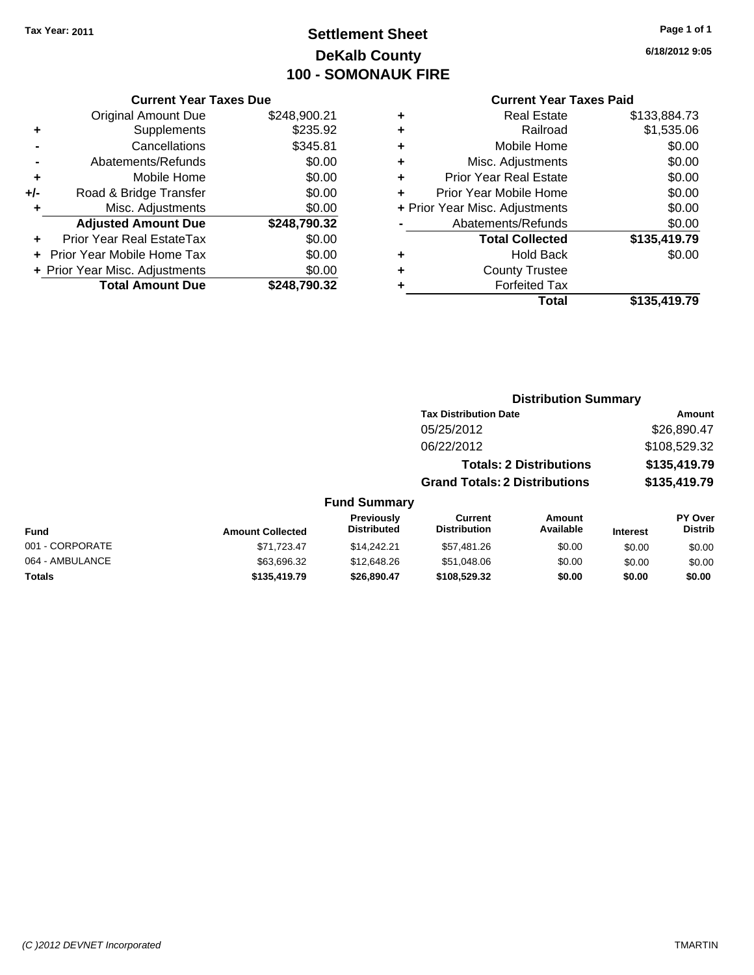## **Settlement Sheet Tax Year: 2011 Page 1 of 1 DeKalb County 100 - SOMONAUK FIRE**

|                | <b>Current Year Taxes Due</b>  |              |   | <b>Current Year Taxes Paid</b> |              |  |
|----------------|--------------------------------|--------------|---|--------------------------------|--------------|--|
|                | Original Amount Due            | \$248,900.21 | ٠ | <b>Real Estate</b>             | \$133,884.73 |  |
| ÷              | Supplements                    | \$235.92     | ٠ | Railroad                       | \$1,535.06   |  |
| $\blacksquare$ | Cancellations                  | \$345.81     |   | Mobile Home                    | \$0.00       |  |
|                | Abatements/Refunds             | \$0.00       | ٠ | Misc. Adjustments              | \$0.00       |  |
| $\ddot{}$      | Mobile Home                    | \$0.00       |   | <b>Prior Year Real Estate</b>  | \$0.00       |  |
| I-             | Road & Bridge Transfer         | \$0.00       |   | Prior Year Mobile Home         | \$0.00       |  |
| ٠              | Misc. Adjustments              | \$0.00       |   | + Prior Year Misc. Adjustments | \$0.00       |  |
|                | <b>Adjusted Amount Due</b>     | \$248,790.32 |   | Abatements/Refunds             | \$0.00       |  |
| ÷              | Prior Year Real EstateTax      | \$0.00       |   | <b>Total Collected</b>         | \$135,419.79 |  |
|                | + Prior Year Mobile Home Tax   | \$0.00       | ٠ | <b>Hold Back</b>               | \$0.00       |  |
|                | + Prior Year Misc. Adjustments | \$0.00       | ٠ | <b>County Trustee</b>          |              |  |
|                | <b>Total Amount Due</b>        | \$248,790.32 |   | <b>Forfeited Tax</b>           |              |  |
|                |                                |              |   | <b>Total</b>                   | \$135,419.79 |  |

|     | <b>Current Year Taxes Due</b>     |              |
|-----|-----------------------------------|--------------|
|     | <b>Original Amount Due</b>        | \$248,900.21 |
|     | Supplements                       | \$235.92     |
|     | Cancellations                     | \$345.81     |
|     | Abatements/Refunds                | \$0.00       |
| ÷   | Mobile Home                       | \$0.00       |
| +/- | Road & Bridge Transfer            | \$0.00       |
| ٠   | Misc. Adjustments                 | \$0.00       |
|     | <b>Adjusted Amount Due</b>        | \$248,790.32 |
|     | Prior Year Real EstateTax         | \$0.00       |
|     | <b>Prior Year Mobile Home Tax</b> | \$0.00       |

## **Distribution Summary**

| <b>Tax Distribution Date</b>         | Amount       |
|--------------------------------------|--------------|
| 05/25/2012                           | \$26,890.47  |
| 06/22/2012                           | \$108,529.32 |
| <b>Totals: 2 Distributions</b>       | \$135,419.79 |
| <b>Grand Totals: 2 Distributions</b> | \$135,419.79 |

### **Fund Summary**

| Fund            | <b>Amount Collected</b> | <b>Previously</b><br><b>Distributed</b> | Current<br><b>Distribution</b> | Amount<br>Available | <b>Interest</b> | PY Over<br><b>Distrib</b> |
|-----------------|-------------------------|-----------------------------------------|--------------------------------|---------------------|-----------------|---------------------------|
| 001 - CORPORATE | \$71.723.47             | \$14,242,21                             | \$57.481.26                    | \$0.00              | \$0.00          | \$0.00                    |
| 064 - AMBULANCE | \$63,696.32             | \$12,648.26                             | \$51,048.06                    | \$0.00              | \$0.00          | \$0.00                    |
| Totals          | \$135,419.79            | \$26,890.47                             | \$108,529.32                   | \$0.00              | \$0.00          | \$0.00                    |

**6/18/2012 9:05**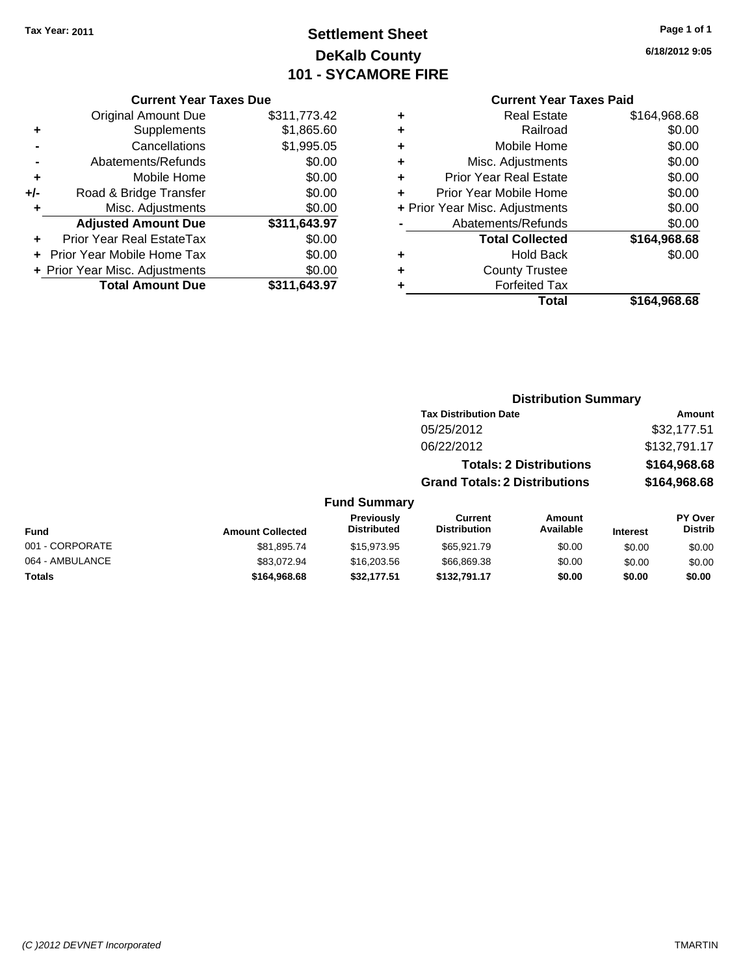## **Settlement Sheet Tax Year: 2011 Page 1 of 1 DeKalb County 101 - SYCAMORE FIRE**

**6/18/2012 9:05**

### **Current Year Taxes Due**

|     | <b>Total Amount Due</b>          | \$311,643.97 |
|-----|----------------------------------|--------------|
|     | + Prior Year Misc. Adjustments   | \$0.00       |
|     | Prior Year Mobile Home Tax       | \$0.00       |
|     | <b>Prior Year Real EstateTax</b> | \$0.00       |
|     | <b>Adjusted Amount Due</b>       | \$311,643.97 |
| ٠   | Misc. Adjustments                | \$0.00       |
| +/- | Road & Bridge Transfer           | \$0.00       |
| ٠   | Mobile Home                      | \$0.00       |
|     | Abatements/Refunds               | \$0.00       |
|     | Cancellations                    | \$1,995.05   |
| ٠   | Supplements                      | \$1,865.60   |
|     | <b>Original Amount Due</b>       | \$311,773.42 |
|     |                                  |              |

## **Current Year Taxes Paid**

| ٠ | <b>Real Estate</b>             | \$164,968.68 |
|---|--------------------------------|--------------|
| ٠ | Railroad                       | \$0.00       |
| ٠ | Mobile Home                    | \$0.00       |
| ٠ | Misc. Adjustments              | \$0.00       |
| ٠ | <b>Prior Year Real Estate</b>  | \$0.00       |
| ٠ | Prior Year Mobile Home         | \$0.00       |
|   | + Prior Year Misc. Adjustments | \$0.00       |
|   | Abatements/Refunds             | \$0.00       |
|   | <b>Total Collected</b>         | \$164,968.68 |
| ٠ | <b>Hold Back</b>               | \$0.00       |
| ٠ | <b>County Trustee</b>          |              |
| ٠ | <b>Forfeited Tax</b>           |              |
|   | Total                          | \$164,968.68 |
|   |                                |              |

### **Distribution Summary Tax Distribution Date Amount** 05/25/2012 \$32,177.51 06/22/2012 \$132,791.17 **Totals: 2 Distributions \$164,968.68 Grand Totals: 2 Distributions \$164,968.68 Fund Summary Fund Interest Amount Collected Distributed PY Over Distrib Amount Available Current Distribution Previously** 001 - CORPORATE 6000 \$81,895.74 \$15,973.95 \$65,921.79 \$0.00 \$0.00 \$0.00 \$0.00 064 - AMBULANCE \$83,072.94 \$16,203.56 \$66,869.38 \$0.00 \$0.00 \$0.00 **Totals \$164,968.68 \$32,177.51 \$132,791.17 \$0.00 \$0.00 \$0.00**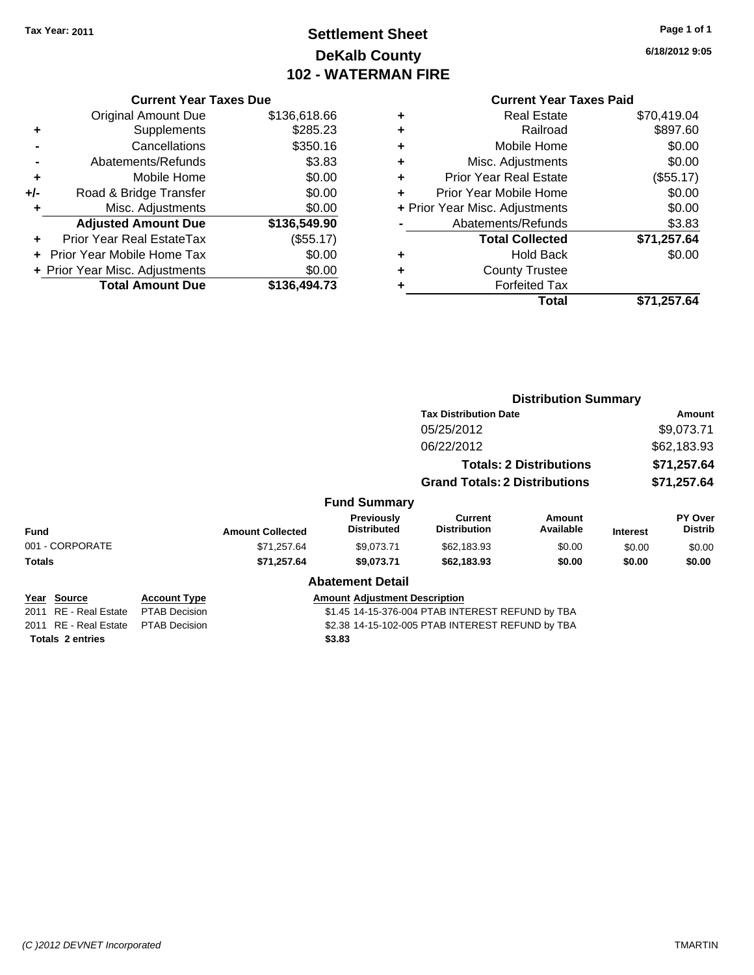## **Settlement Sheet Tax Year: 2011 Page 1 of 1 DeKalb County 102 - WATERMAN FIRE**

**6/18/2012 9:05**

|     | <b>Current Year Taxes Due</b>  |              |  |
|-----|--------------------------------|--------------|--|
|     | <b>Original Amount Due</b>     | \$136,618.66 |  |
| ٠   | Supplements                    | \$285.23     |  |
|     | Cancellations                  | \$350.16     |  |
|     | Abatements/Refunds             | \$3.83       |  |
| ÷   | Mobile Home                    | \$0.00       |  |
| +/- | Road & Bridge Transfer         | \$0.00       |  |
| ٠   | Misc. Adjustments              | \$0.00       |  |
|     | <b>Adjusted Amount Due</b>     | \$136,549.90 |  |
|     | Prior Year Real EstateTax      | (\$55.17)    |  |
|     | Prior Year Mobile Home Tax     | \$0.00       |  |
|     | + Prior Year Misc. Adjustments | \$0.00       |  |
|     | <b>Total Amount Due</b>        | \$136,494.73 |  |
|     |                                |              |  |

|   | Total                          | \$71,257.64 |
|---|--------------------------------|-------------|
| ٠ | <b>Forfeited Tax</b>           |             |
| ٠ | <b>County Trustee</b>          |             |
| ٠ | <b>Hold Back</b>               | \$0.00      |
|   | <b>Total Collected</b>         | \$71,257.64 |
|   | Abatements/Refunds             | \$3.83      |
|   | + Prior Year Misc. Adjustments | \$0.00      |
|   | Prior Year Mobile Home         | \$0.00      |
| ٠ | <b>Prior Year Real Estate</b>  | (\$55.17)   |
| ٠ | Misc. Adjustments              | \$0.00      |
| ٠ | Mobile Home                    | \$0.00      |
| ÷ | Railroad                       | \$897.60    |
|   | <b>Real Estate</b>             | \$70,419.04 |

|                         |                      |                                                  |                                      | <b>Distribution Summary</b>           |                                |                 |                           |
|-------------------------|----------------------|--------------------------------------------------|--------------------------------------|---------------------------------------|--------------------------------|-----------------|---------------------------|
|                         |                      |                                                  | <b>Tax Distribution Date</b>         |                                       | Amount                         |                 |                           |
|                         |                      |                                                  |                                      | 05/25/2012                            |                                |                 | \$9,073.71                |
|                         |                      |                                                  |                                      | 06/22/2012                            |                                |                 | \$62,183.93               |
|                         |                      |                                                  |                                      |                                       | <b>Totals: 2 Distributions</b> |                 | \$71,257.64               |
|                         |                      |                                                  |                                      | <b>Grand Totals: 2 Distributions</b>  |                                |                 | \$71,257.64               |
|                         |                      |                                                  | <b>Fund Summary</b>                  |                                       |                                |                 |                           |
| Fund                    |                      | <b>Amount Collected</b>                          | Previously<br><b>Distributed</b>     | <b>Current</b><br><b>Distribution</b> | Amount<br>Available            | <b>Interest</b> | PY Over<br><b>Distrib</b> |
| 001 - CORPORATE         |                      | \$71,257.64                                      | \$9,073.71                           | \$62,183.93                           | \$0.00                         | \$0.00          | \$0.00                    |
| <b>Totals</b>           |                      | \$71,257.64                                      | \$9,073.71                           | \$62,183.93                           | \$0.00                         | \$0.00          | \$0.00                    |
|                         |                      |                                                  | <b>Abatement Detail</b>              |                                       |                                |                 |                           |
| Year Source             | <b>Account Type</b>  |                                                  | <b>Amount Adjustment Description</b> |                                       |                                |                 |                           |
| 2011 RE - Real Estate   | <b>PTAB Decision</b> | \$1.45 14-15-376-004 PTAB INTEREST REFUND by TBA |                                      |                                       |                                |                 |                           |
| 2011 RE - Real Estate   | <b>PTAB Decision</b> | \$2.38 14-15-102-005 PTAB INTEREST REFUND by TBA |                                      |                                       |                                |                 |                           |
| <b>Totals 2 entries</b> |                      |                                                  | \$3.83                               |                                       |                                |                 |                           |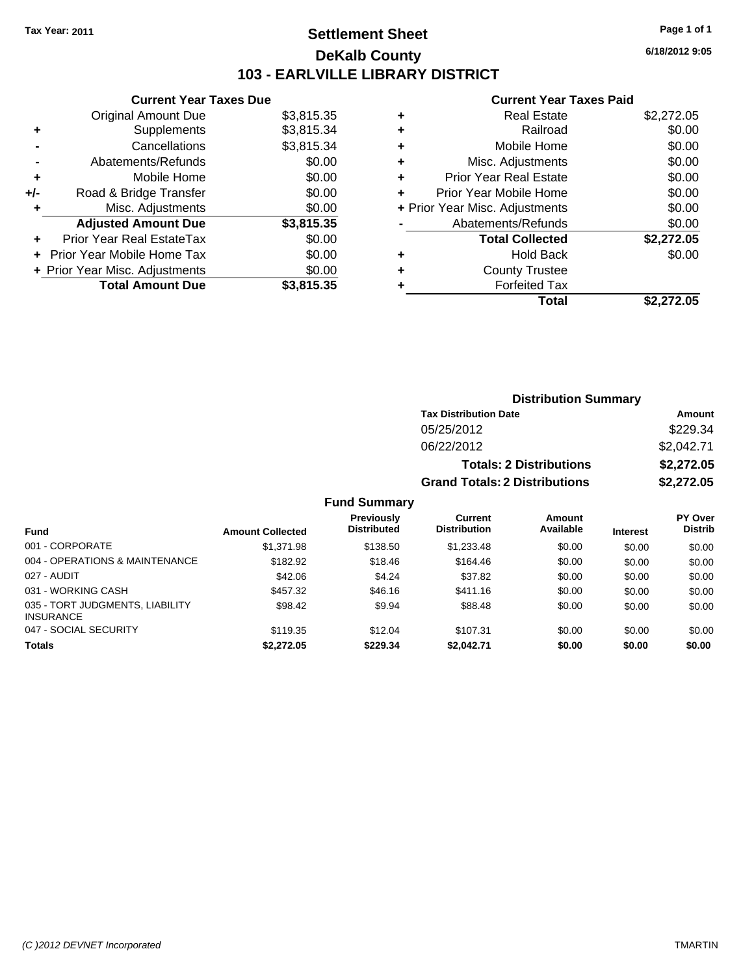## **Settlement Sheet Tax Year: 2011 Page 1 of 1 DeKalb County 103 - EARLVILLE LIBRARY DISTRICT**

**Current Year Taxes Due**

|     | <b>Original Amount Due</b>       | \$3,815.35 |
|-----|----------------------------------|------------|
| ٠   | Supplements                      | \$3,815.34 |
|     | Cancellations                    | \$3,815.34 |
|     | Abatements/Refunds               | \$0.00     |
| ٠   | Mobile Home                      | \$0.00     |
| +/- | Road & Bridge Transfer           | \$0.00     |
| ٠   | Misc. Adjustments                | \$0.00     |
|     | <b>Adjusted Amount Due</b>       | \$3,815.35 |
|     | <b>Prior Year Real EstateTax</b> | \$0.00     |
|     | Prior Year Mobile Home Tax       | \$0.00     |
|     | + Prior Year Misc. Adjustments   | \$0.00     |
|     | <b>Total Amount Due</b>          | \$3.815.35 |

|   | <b>Real Estate</b>             | \$2,272.05 |
|---|--------------------------------|------------|
| ٠ | Railroad                       | \$0.00     |
| ٠ | Mobile Home                    | \$0.00     |
| ٠ | Misc. Adjustments              | \$0.00     |
| ٠ | <b>Prior Year Real Estate</b>  | \$0.00     |
|   | Prior Year Mobile Home         | \$0.00     |
|   | + Prior Year Misc. Adjustments | \$0.00     |
|   | Abatements/Refunds             | \$0.00     |
|   | <b>Total Collected</b>         | \$2,272.05 |
| ٠ | Hold Back                      | \$0.00     |
| ٠ | <b>County Trustee</b>          |            |
| ٠ | <b>Forfeited Tax</b>           |            |
|   | Total                          | \$2,272.05 |
|   |                                |            |

| <b>Distribution Summary</b>          |            |  |  |
|--------------------------------------|------------|--|--|
| <b>Tax Distribution Date</b>         | Amount     |  |  |
| 05/25/2012                           | \$229.34   |  |  |
| 06/22/2012                           | \$2,042.71 |  |  |
| <b>Totals: 2 Distributions</b>       | \$2,272.05 |  |  |
| <b>Grand Totals: 2 Distributions</b> | \$2,272.05 |  |  |
|                                      |            |  |  |

|                                                     |                         | <b>Fund Summary</b>              |                                |                     |                 |                           |
|-----------------------------------------------------|-------------------------|----------------------------------|--------------------------------|---------------------|-----------------|---------------------------|
| <b>Fund</b>                                         | <b>Amount Collected</b> | Previously<br><b>Distributed</b> | Current<br><b>Distribution</b> | Amount<br>Available | <b>Interest</b> | PY Over<br><b>Distrib</b> |
| 001 - CORPORATE                                     | \$1,371.98              | \$138.50                         | \$1,233.48                     | \$0.00              | \$0.00          | \$0.00                    |
| 004 - OPERATIONS & MAINTENANCE                      | \$182.92                | \$18.46                          | \$164.46                       | \$0.00              | \$0.00          | \$0.00                    |
| 027 - AUDIT                                         | \$42.06                 | \$4.24                           | \$37.82                        | \$0.00              | \$0.00          | \$0.00                    |
| 031 - WORKING CASH                                  | \$457.32                | \$46.16                          | \$411.16                       | \$0.00              | \$0.00          | \$0.00                    |
| 035 - TORT JUDGMENTS, LIABILITY<br><b>INSURANCE</b> | \$98.42                 | \$9.94                           | \$88.48                        | \$0.00              | \$0.00          | \$0.00                    |
| 047 - SOCIAL SECURITY                               | \$119.35                | \$12.04                          | \$107.31                       | \$0.00              | \$0.00          | \$0.00                    |
| <b>Totals</b>                                       | \$2,272.05              | \$229.34                         | \$2,042.71                     | \$0.00              | \$0.00          | \$0.00                    |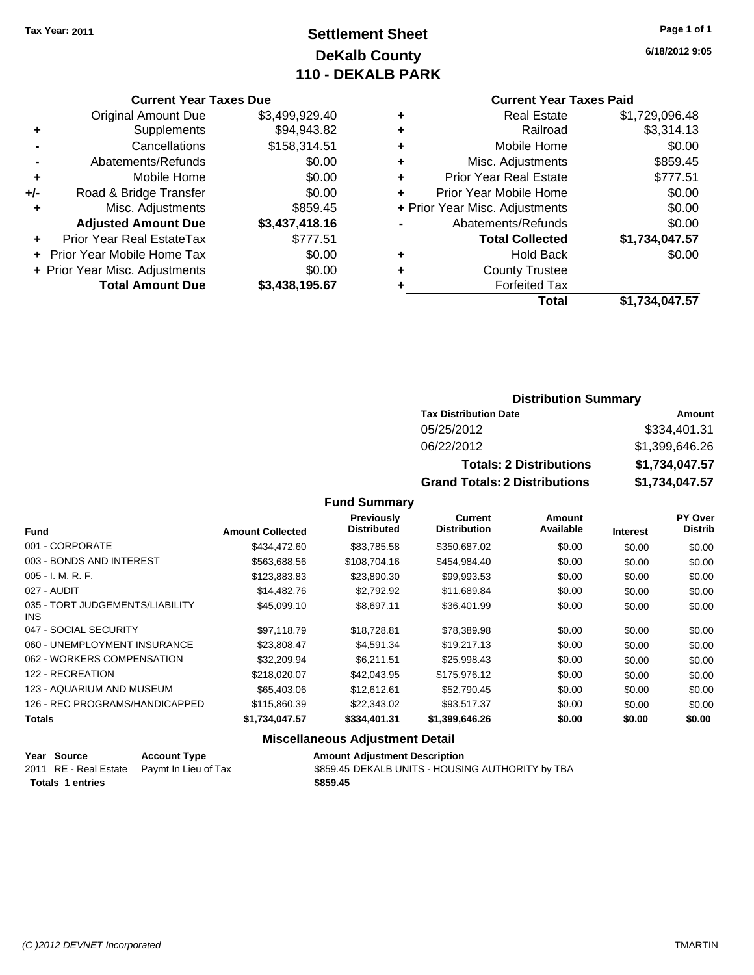## **Settlement Sheet Tax Year: 2011 Page 1 of 1 DeKalb County 110 - DEKALB PARK**

### **Current Year Taxes Due**

|     | <b>Original Amount Due</b>        | \$3,499,929.40 |
|-----|-----------------------------------|----------------|
| ٠   | Supplements                       | \$94,943.82    |
|     | Cancellations                     | \$158,314.51   |
|     | Abatements/Refunds                | \$0.00         |
| ٠   | Mobile Home                       | \$0.00         |
| +/- | Road & Bridge Transfer            | \$0.00         |
| ٠   | Misc. Adjustments                 | \$859.45       |
|     | <b>Adjusted Amount Due</b>        | \$3,437,418.16 |
|     | Prior Year Real EstateTax         | \$777.51       |
|     | <b>Prior Year Mobile Home Tax</b> | \$0.00         |
|     | + Prior Year Misc. Adjustments    | \$0.00         |
|     | <b>Total Amount Due</b>           | \$3,438,195.67 |

## **Current Year Taxes Paid**

| ٠ | <b>Real Estate</b>             | \$1,729,096.48 |
|---|--------------------------------|----------------|
| ٠ | Railroad                       | \$3,314.13     |
| ٠ | Mobile Home                    | \$0.00         |
| ٠ | Misc. Adjustments              | \$859.45       |
| ٠ | <b>Prior Year Real Estate</b>  | \$777.51       |
|   | Prior Year Mobile Home         | \$0.00         |
|   | + Prior Year Misc. Adjustments | \$0.00         |
|   | Abatements/Refunds             | \$0.00         |
|   | <b>Total Collected</b>         | \$1,734,047.57 |
| ٠ | Hold Back                      | \$0.00         |
| ٠ | <b>County Trustee</b>          |                |
| ٠ | <b>Forfeited Tax</b>           |                |
|   | Total                          | \$1,734,047.57 |
|   |                                |                |

## **Distribution Summary**

| <b>Tax Distribution Date</b>         | Amount         |  |
|--------------------------------------|----------------|--|
| 05/25/2012                           | \$334,401.31   |  |
| 06/22/2012                           | \$1,399,646.26 |  |
| <b>Totals: 2 Distributions</b>       | \$1,734,047.57 |  |
| <b>Grand Totals: 2 Distributions</b> | \$1,734,047.57 |  |

### **Fund Summary**

| <b>Fund</b>                             | <b>Amount Collected</b> | Previously<br><b>Distributed</b> | <b>Current</b><br><b>Distribution</b> | Amount<br>Available | <b>Interest</b> | PY Over<br><b>Distrib</b> |
|-----------------------------------------|-------------------------|----------------------------------|---------------------------------------|---------------------|-----------------|---------------------------|
|                                         |                         |                                  |                                       |                     |                 |                           |
| 001 - CORPORATE                         | \$434,472,60            | \$83,785.58                      | \$350,687.02                          | \$0.00              | \$0.00          | \$0.00                    |
| 003 - BONDS AND INTEREST                | \$563,688.56            | \$108,704.16                     | \$454,984.40                          | \$0.00              | \$0.00          | \$0.00                    |
| $005 - I. M. R. F.$                     | \$123,883.83            | \$23,890.30                      | \$99,993.53                           | \$0.00              | \$0.00          | \$0.00                    |
| 027 - AUDIT                             | \$14,482.76             | \$2.792.92                       | \$11,689.84                           | \$0.00              | \$0.00          | \$0.00                    |
| 035 - TORT JUDGEMENTS/LIABILITY<br>INS. | \$45,099.10             | \$8.697.11                       | \$36,401.99                           | \$0.00              | \$0.00          | \$0.00                    |
| 047 - SOCIAL SECURITY                   | \$97.118.79             | \$18,728.81                      | \$78,389.98                           | \$0.00              | \$0.00          | \$0.00                    |
| 060 - UNEMPLOYMENT INSURANCE            | \$23,808.47             | \$4,591.34                       | \$19,217.13                           | \$0.00              | \$0.00          | \$0.00                    |
| 062 - WORKERS COMPENSATION              | \$32,209.94             | \$6.211.51                       | \$25,998.43                           | \$0.00              | \$0.00          | \$0.00                    |
| 122 - RECREATION                        | \$218,020,07            | \$42,043.95                      | \$175,976.12                          | \$0.00              | \$0.00          | \$0.00                    |
| 123 - AQUARIUM AND MUSEUM               | \$65,403.06             | \$12,612.61                      | \$52,790.45                           | \$0.00              | \$0.00          | \$0.00                    |
| 126 - REC PROGRAMS/HANDICAPPED          | \$115,860,39            | \$22,343.02                      | \$93,517.37                           | \$0.00              | \$0.00          | \$0.00                    |
| <b>Totals</b>                           | \$1,734,047.57          | \$334,401.31                     | \$1,399,646.26                        | \$0.00              | \$0.00          | \$0.00                    |

## **Miscellaneous Adjustment Detail**

| Year Source             | <b>Account Type</b>                        | <b>Amount Adiustment Description</b>             |
|-------------------------|--------------------------------------------|--------------------------------------------------|
|                         | 2011 RE - Real Estate Paymt In Lieu of Tax | \$859.45 DEKALB UNITS - HOUSING AUTHORITY by TBA |
| <b>Totals 1 entries</b> |                                            | \$859.45                                         |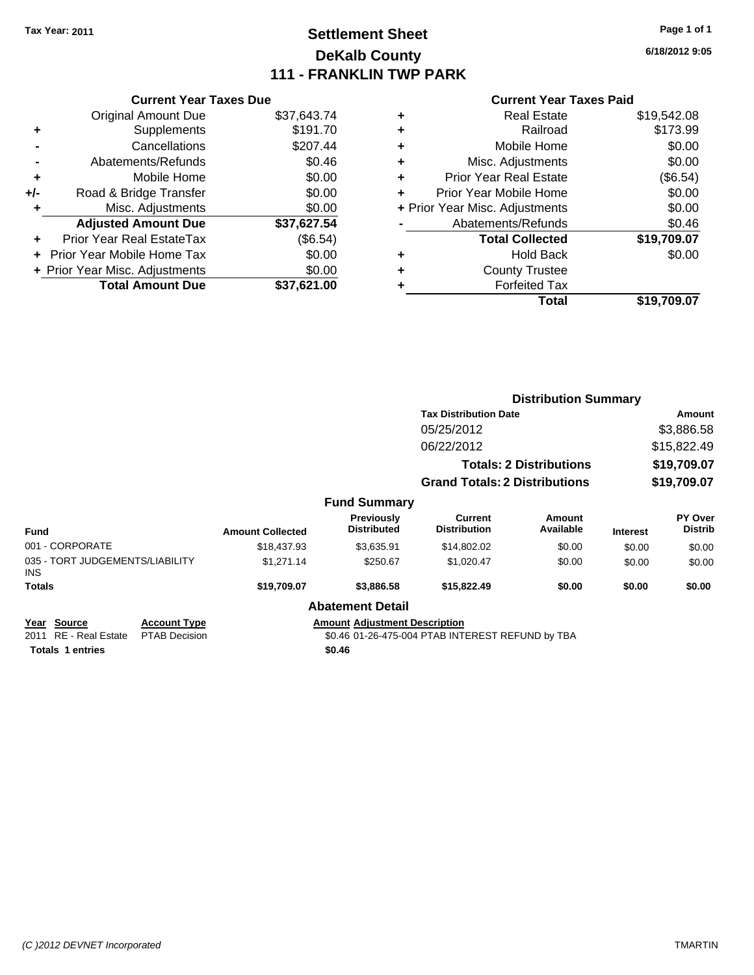## **Settlement Sheet Tax Year: 2011 Page 1 of 1 DeKalb County 111 - FRANKLIN TWP PARK**

**6/18/2012 9:05**

|     | <b>Current Year Taxes Due</b>  |             |
|-----|--------------------------------|-------------|
|     | <b>Original Amount Due</b>     | \$37,643.74 |
| ٠   | Supplements                    | \$191.70    |
|     | Cancellations                  | \$207.44    |
|     | Abatements/Refunds             | \$0.46      |
| ٠   | Mobile Home                    | \$0.00      |
| +/- | Road & Bridge Transfer         | \$0.00      |
| ٠   | Misc. Adjustments              | \$0.00      |
|     | <b>Adjusted Amount Due</b>     | \$37,627.54 |
| ÷   | Prior Year Real EstateTax      | (\$6.54)    |
|     | Prior Year Mobile Home Tax     | \$0.00      |
|     | + Prior Year Misc. Adjustments | \$0.00      |
|     | <b>Total Amount Due</b>        | \$37,621.00 |
|     |                                |             |

| ٠ | <b>Real Estate</b>             | \$19,542.08 |
|---|--------------------------------|-------------|
| ٠ | Railroad                       | \$173.99    |
| ٠ | Mobile Home                    | \$0.00      |
| ٠ | Misc. Adjustments              | \$0.00      |
| ٠ | <b>Prior Year Real Estate</b>  | (\$6.54)    |
|   | Prior Year Mobile Home         | \$0.00      |
|   | + Prior Year Misc. Adjustments | \$0.00      |
|   | Abatements/Refunds             | \$0.46      |
|   | <b>Total Collected</b>         | \$19,709.07 |
| ٠ | <b>Hold Back</b>               | \$0.00      |
| ٠ | <b>County Trustee</b>          |             |
| ٠ | <b>Forfeited Tax</b>           |             |
|   | Total                          | \$19,709.07 |
|   |                                |             |

|                                                                 |                                             |                         |                                                | <b>Distribution Summary</b>                      |                                |                 |                           |
|-----------------------------------------------------------------|---------------------------------------------|-------------------------|------------------------------------------------|--------------------------------------------------|--------------------------------|-----------------|---------------------------|
|                                                                 |                                             |                         |                                                | <b>Tax Distribution Date</b>                     |                                |                 | Amount                    |
|                                                                 |                                             |                         |                                                | 05/25/2012                                       |                                |                 | \$3,886.58                |
|                                                                 |                                             |                         |                                                | 06/22/2012                                       |                                |                 | \$15,822.49               |
|                                                                 |                                             |                         |                                                |                                                  | <b>Totals: 2 Distributions</b> |                 | \$19,709.07               |
|                                                                 |                                             |                         |                                                | <b>Grand Totals: 2 Distributions</b>             |                                |                 | \$19,709.07               |
|                                                                 |                                             |                         | <b>Fund Summary</b>                            |                                                  |                                |                 |                           |
| <b>Fund</b>                                                     |                                             | <b>Amount Collected</b> | Previously<br><b>Distributed</b>               | <b>Current</b><br><b>Distribution</b>            | Amount<br>Available            | <b>Interest</b> | PY Over<br><b>Distrib</b> |
| 001 - CORPORATE                                                 |                                             | \$18,437.93             | \$3,635.91                                     | \$14,802.02                                      | \$0.00                         | \$0.00          | \$0.00                    |
| 035 - TORT JUDGEMENTS/LIABILITY<br>INS.                         |                                             | \$1,271.14              | \$250.67                                       | \$1,020.47                                       | \$0.00                         | \$0.00          | \$0.00                    |
| Totals                                                          |                                             | \$19,709.07             | \$3,886.58                                     | \$15,822.49                                      | \$0.00                         | \$0.00          | \$0.00                    |
|                                                                 |                                             |                         | <b>Abatement Detail</b>                        |                                                  |                                |                 |                           |
| Year Source<br>2011 RE - Real Estate<br><b>Totals 1 entries</b> | <b>Account Type</b><br><b>PTAB Decision</b> |                         | <b>Amount Adjustment Description</b><br>\$0.46 | \$0.46 01-26-475-004 PTAB INTEREST REFUND by TBA |                                |                 |                           |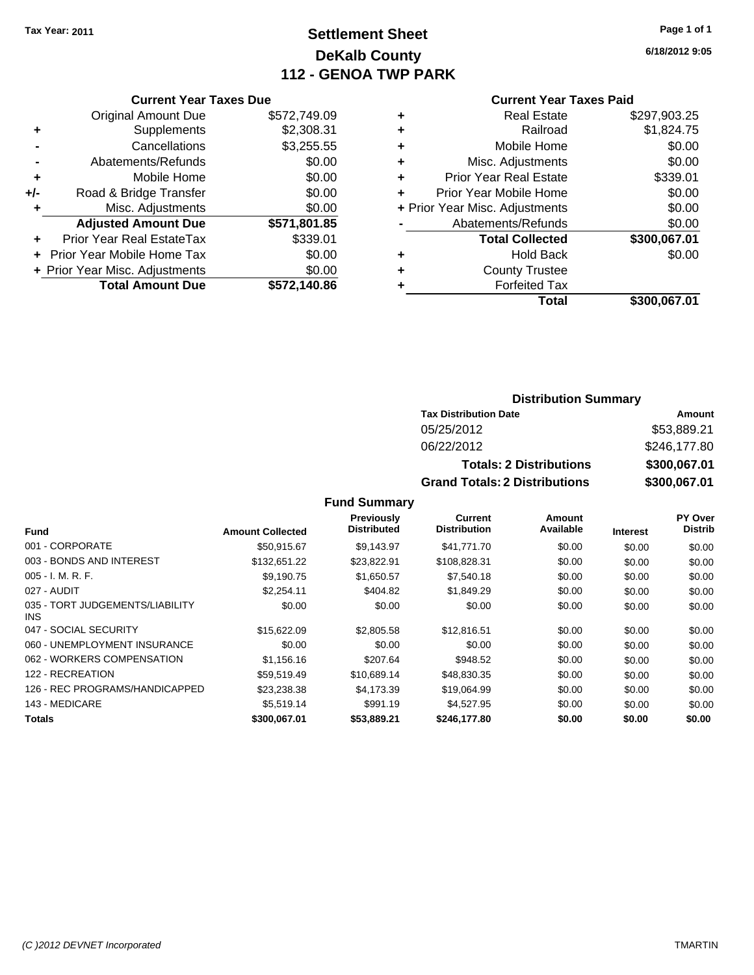## **Settlement Sheet Tax Year: 2011 Page 1 of 1 DeKalb County 112 - GENOA TWP PARK**

**6/18/2012 9:05**

## **Current Year Taxes Due**

|     | <b>Original Amount Due</b>       | \$572,749.09 |
|-----|----------------------------------|--------------|
| ٠   | Supplements                      | \$2,308.31   |
|     | Cancellations                    | \$3,255.55   |
|     | Abatements/Refunds               | \$0.00       |
| ÷   | Mobile Home                      | \$0.00       |
| +/- | Road & Bridge Transfer           | \$0.00       |
| ٠   | Misc. Adjustments                | \$0.00       |
|     | <b>Adjusted Amount Due</b>       | \$571,801.85 |
|     | <b>Prior Year Real EstateTax</b> | \$339.01     |
|     | Prior Year Mobile Home Tax       | \$0.00       |
|     | + Prior Year Misc. Adjustments   | \$0.00       |
|     | <b>Total Amount Due</b>          | \$572,140.86 |

### **Current Year Taxes Paid**

|   | <b>Real Estate</b>             | \$297,903.25 |
|---|--------------------------------|--------------|
| ٠ | Railroad                       | \$1,824.75   |
| ٠ | Mobile Home                    | \$0.00       |
| ٠ | Misc. Adjustments              | \$0.00       |
| ٠ | Prior Year Real Estate         | \$339.01     |
|   | Prior Year Mobile Home         | \$0.00       |
|   | + Prior Year Misc. Adjustments | \$0.00       |
|   | Abatements/Refunds             | \$0.00       |
|   | <b>Total Collected</b>         | \$300,067.01 |
| ٠ | <b>Hold Back</b>               | \$0.00       |
| ٠ | <b>County Trustee</b>          |              |
| ٠ | <b>Forfeited Tax</b>           |              |
|   | Total                          | \$300,067.01 |
|   |                                |              |

## **Distribution Summary**

| <b>Tax Distribution Date</b>         | Amount       |
|--------------------------------------|--------------|
| 05/25/2012                           | \$53,889.21  |
| 06/22/2012                           | \$246,177.80 |
| <b>Totals: 2 Distributions</b>       | \$300,067.01 |
| <b>Grand Totals: 2 Distributions</b> | \$300,067.01 |

### **Fund Summary**

|                                               |                         | Previously         | Current             | Amount    |                 | PY Over        |
|-----------------------------------------------|-------------------------|--------------------|---------------------|-----------|-----------------|----------------|
| <b>Fund</b>                                   | <b>Amount Collected</b> | <b>Distributed</b> | <b>Distribution</b> | Available | <b>Interest</b> | <b>Distrib</b> |
| 001 - CORPORATE                               | \$50.915.67             | \$9,143.97         | \$41,771.70         | \$0.00    | \$0.00          | \$0.00         |
| 003 - BONDS AND INTEREST                      | \$132,651.22            | \$23,822.91        | \$108,828.31        | \$0.00    | \$0.00          | \$0.00         |
| 005 - I. M. R. F.                             | \$9,190.75              | \$1,650.57         | \$7,540.18          | \$0.00    | \$0.00          | \$0.00         |
| 027 - AUDIT                                   | \$2,254.11              | \$404.82           | \$1,849.29          | \$0.00    | \$0.00          | \$0.00         |
| 035 - TORT JUDGEMENTS/LIABILITY<br><b>INS</b> | \$0.00                  | \$0.00             | \$0.00              | \$0.00    | \$0.00          | \$0.00         |
| 047 - SOCIAL SECURITY                         | \$15,622.09             | \$2,805.58         | \$12,816.51         | \$0.00    | \$0.00          | \$0.00         |
| 060 - UNEMPLOYMENT INSURANCE                  | \$0.00                  | \$0.00             | \$0.00              | \$0.00    | \$0.00          | \$0.00         |
| 062 - WORKERS COMPENSATION                    | \$1,156.16              | \$207.64           | \$948.52            | \$0.00    | \$0.00          | \$0.00         |
| 122 - RECREATION                              | \$59.519.49             | \$10.689.14        | \$48,830.35         | \$0.00    | \$0.00          | \$0.00         |
| 126 - REC PROGRAMS/HANDICAPPED                | \$23,238.38             | \$4.173.39         | \$19,064.99         | \$0.00    | \$0.00          | \$0.00         |
| 143 - MEDICARE                                | \$5,519.14              | \$991.19           | \$4,527.95          | \$0.00    | \$0.00          | \$0.00         |
| <b>Totals</b>                                 | \$300,067.01            | \$53,889.21        | \$246,177.80        | \$0.00    | \$0.00          | \$0.00         |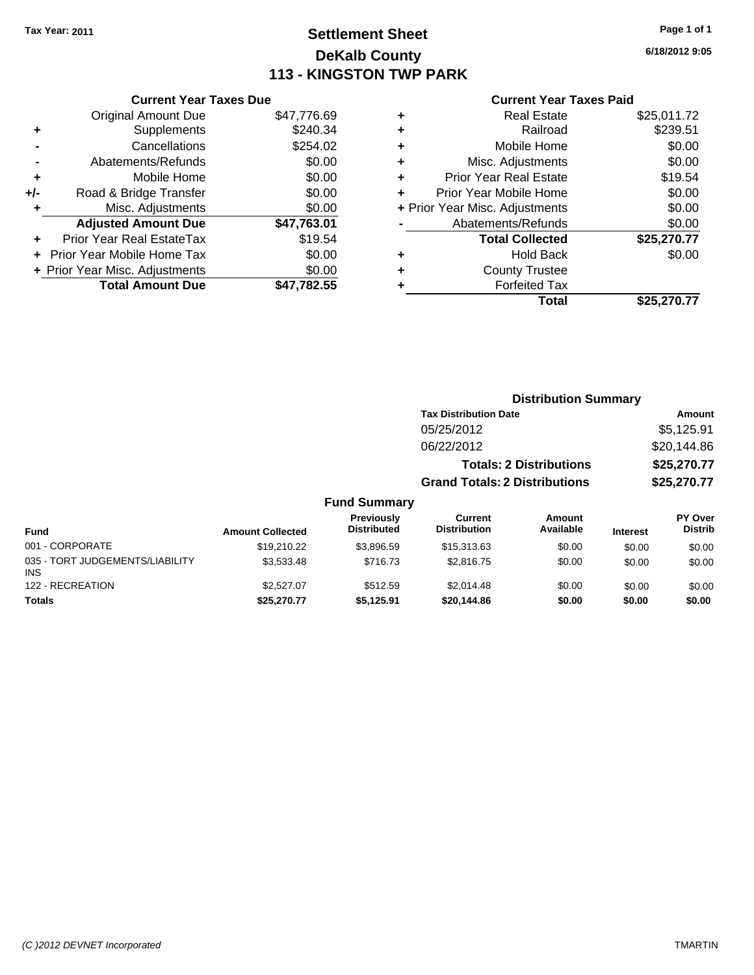## **Settlement Sheet Tax Year: 2011 Page 1 of 1 DeKalb County 113 - KINGSTON TWP PARK**

**6/18/2012 9:05**

### **Current Year Taxes Paid**

| <b>Current Year Taxes Due</b> |                                   |             |  |  |
|-------------------------------|-----------------------------------|-------------|--|--|
|                               | <b>Original Amount Due</b>        | \$47,776.69 |  |  |
| ٠                             | Supplements                       | \$240.34    |  |  |
|                               | Cancellations                     | \$254.02    |  |  |
|                               | Abatements/Refunds                | \$0.00      |  |  |
| ٠                             | Mobile Home                       | \$0.00      |  |  |
| +/-                           | Road & Bridge Transfer            | \$0.00      |  |  |
|                               | Misc. Adjustments                 | \$0.00      |  |  |
|                               | <b>Adjusted Amount Due</b>        | \$47,763.01 |  |  |
| ٠                             | Prior Year Real EstateTax         | \$19.54     |  |  |
|                               | <b>Prior Year Mobile Home Tax</b> | \$0.00      |  |  |
|                               | + Prior Year Misc. Adjustments    | \$0.00      |  |  |
|                               | <b>Total Amount Due</b>           | \$47.782.55 |  |  |
|                               |                                   |             |  |  |

|                                | <b>Real Estate</b>     | \$25,011.72 |
|--------------------------------|------------------------|-------------|
| ٠                              | Railroad               | \$239.51    |
| ٠                              | Mobile Home            | \$0.00      |
| ٠                              | Misc. Adjustments      | \$0.00      |
| Prior Year Real Estate<br>٠    |                        | \$19.54     |
| Prior Year Mobile Home<br>÷    |                        | \$0.00      |
| + Prior Year Misc. Adjustments |                        | \$0.00      |
|                                | Abatements/Refunds     | \$0.00      |
|                                | <b>Total Collected</b> | \$25,270.77 |
| ٠                              | <b>Hold Back</b>       | \$0.00      |
| ٠                              | <b>County Trustee</b>  |             |
| ٠                              | <b>Forfeited Tax</b>   |             |
|                                | Total                  | \$25.270.77 |

|                                               |                         |                                  | <b>Distribution Summary</b>           |                                |          |                           |
|-----------------------------------------------|-------------------------|----------------------------------|---------------------------------------|--------------------------------|----------|---------------------------|
|                                               |                         |                                  | <b>Tax Distribution Date</b>          |                                |          | <b>Amount</b>             |
|                                               |                         |                                  | 05/25/2012                            |                                |          | \$5,125.91                |
|                                               |                         |                                  | 06/22/2012                            |                                |          | \$20,144.86               |
|                                               |                         |                                  |                                       | <b>Totals: 2 Distributions</b> |          | \$25,270.77               |
|                                               |                         |                                  | <b>Grand Totals: 2 Distributions</b>  |                                |          | \$25,270.77               |
|                                               |                         | <b>Fund Summary</b>              |                                       |                                |          |                           |
| <b>Fund</b>                                   | <b>Amount Collected</b> | Previously<br><b>Distributed</b> | <b>Current</b><br><b>Distribution</b> | Amount<br>Available            | Interest | PY Over<br><b>Distrib</b> |
| 001 - CORPORATE                               | \$19,210.22             | \$3.896.59                       | \$15,313.63                           | \$0.00                         | \$0.00   | \$0.00                    |
| 035 - TORT JUDGEMENTS/LIABILITY<br><b>INS</b> | \$3,533.48              | \$716.73                         | \$2,816.75                            | \$0.00                         | \$0.00   | \$0.00                    |
| 122 - RECREATION                              | \$2,527.07              | \$512.59                         | \$2.014.48                            | \$0.00                         | \$0.00   | \$0.00                    |

**Totals \$25,270.77 \$5,125.91 \$20,144.86 \$0.00 \$0.00 \$0.00**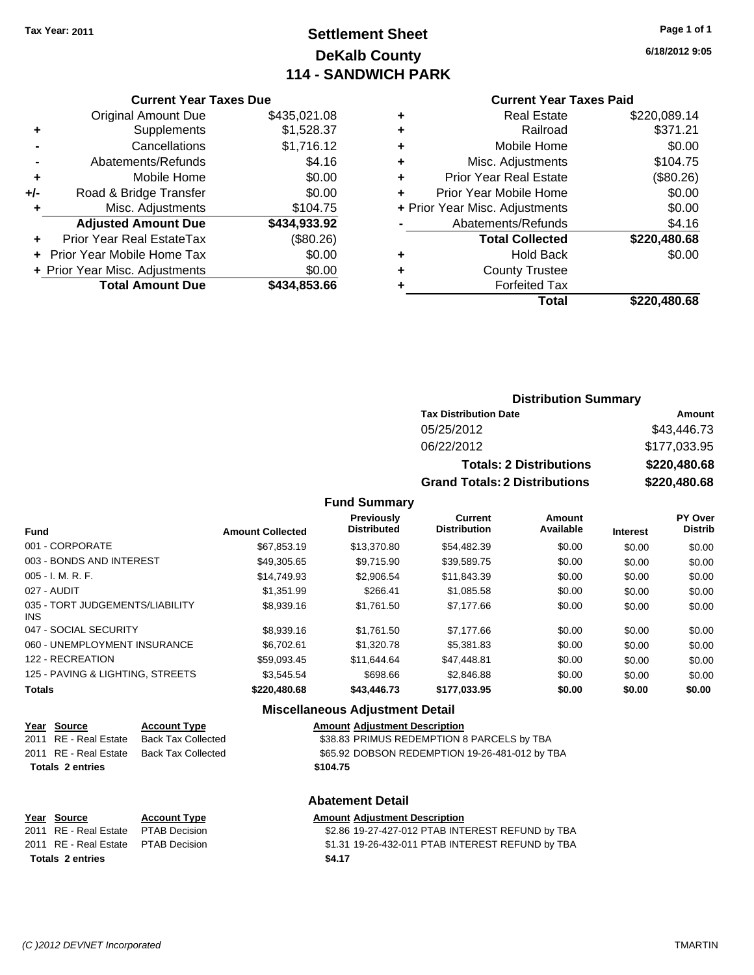## **Settlement Sheet Tax Year: 2011 Page 1 of 1 DeKalb County 114 - SANDWICH PARK**

**6/18/2012 9:05**

|       | <b>Current Year Taxes Due</b>  |              |
|-------|--------------------------------|--------------|
|       | <b>Original Amount Due</b>     | \$435,021.08 |
| ٠     | Supplements                    | \$1,528.37   |
|       | Cancellations                  | \$1,716.12   |
|       | Abatements/Refunds             | \$4.16       |
| ÷     | Mobile Home                    | \$0.00       |
| $+/-$ | Road & Bridge Transfer         | \$0.00       |
|       | Misc. Adjustments              | \$104.75     |
|       | <b>Adjusted Amount Due</b>     | \$434,933.92 |
|       | Prior Year Real EstateTax      | (\$80.26)    |
|       | Prior Year Mobile Home Tax     | \$0.00       |
|       | + Prior Year Misc. Adjustments | \$0.00       |
|       | <b>Total Amount Due</b>        | \$434,853.66 |
|       |                                |              |

## **Current Year Taxes Paid**

| ٠ | <b>Real Estate</b>             | \$220,089.14 |
|---|--------------------------------|--------------|
| ÷ | Railroad                       | \$371.21     |
| ٠ | Mobile Home                    | \$0.00       |
| ٠ | Misc. Adjustments              | \$104.75     |
| ٠ | Prior Year Real Estate         | (\$80.26)    |
| ÷ | Prior Year Mobile Home         | \$0.00       |
|   | + Prior Year Misc. Adjustments | \$0.00       |
|   | Abatements/Refunds             | \$4.16       |
|   | <b>Total Collected</b>         | \$220,480.68 |
| ٠ | <b>Hold Back</b>               | \$0.00       |
| ٠ | <b>County Trustee</b>          |              |
| ٠ | <b>Forfeited Tax</b>           |              |
|   | Total                          | \$220,480.68 |
|   |                                |              |

## **Distribution Summary**

| <b>Tax Distribution Date</b>         | Amount       |
|--------------------------------------|--------------|
| 05/25/2012                           | \$43,446.73  |
| 06/22/2012                           | \$177,033.95 |
| <b>Totals: 2 Distributions</b>       | \$220,480.68 |
| <b>Grand Totals: 2 Distributions</b> | \$220,480.68 |

**Fund Summary**

| <b>Fund</b>                             | <b>Amount Collected</b> | Previously<br><b>Distributed</b> | <b>Current</b><br><b>Distribution</b> | <b>Amount</b><br>Available | <b>Interest</b> | <b>PY Over</b><br><b>Distrib</b> |
|-----------------------------------------|-------------------------|----------------------------------|---------------------------------------|----------------------------|-----------------|----------------------------------|
| 001 - CORPORATE                         | \$67.853.19             | \$13,370.80                      | \$54,482.39                           | \$0.00                     | \$0.00          | \$0.00                           |
| 003 - BONDS AND INTEREST                | \$49,305.65             | \$9,715.90                       | \$39,589.75                           | \$0.00                     | \$0.00          | \$0.00                           |
| $005 - I. M. R. F.$                     | \$14,749.93             | \$2,906.54                       | \$11,843.39                           | \$0.00                     | \$0.00          | \$0.00                           |
| 027 - AUDIT                             | \$1,351.99              | \$266.41                         | \$1,085.58                            | \$0.00                     | \$0.00          | \$0.00                           |
| 035 - TORT JUDGEMENTS/LIABILITY<br>INS. | \$8,939.16              | \$1.761.50                       | \$7,177.66                            | \$0.00                     | \$0.00          | \$0.00                           |
| 047 - SOCIAL SECURITY                   | \$8,939.16              | \$1.761.50                       | \$7,177,66                            | \$0.00                     | \$0.00          | \$0.00                           |
| 060 - UNEMPLOYMENT INSURANCE            | \$6.702.61              | \$1,320.78                       | \$5,381.83                            | \$0.00                     | \$0.00          | \$0.00                           |
| 122 - RECREATION                        | \$59,093.45             | \$11.644.64                      | \$47.448.81                           | \$0.00                     | \$0.00          | \$0.00                           |
| 125 - PAVING & LIGHTING, STREETS        | \$3.545.54              | \$698.66                         | \$2,846.88                            | \$0.00                     | \$0.00          | \$0.00                           |
| <b>Totals</b>                           | \$220,480.68            | \$43,446.73                      | \$177,033.95                          | \$0.00                     | \$0.00          | \$0.00                           |
|                                         |                         |                                  |                                       |                            |                 |                                  |

| Year Source             | <b>Account Type</b>       | Amount   |
|-------------------------|---------------------------|----------|
| 2011 RE - Real Estate   | <b>Back Tax Collected</b> | \$38.83  |
| 2011 RE - Real Estate   | <b>Back Tax Collected</b> | \$65.92  |
| <b>Totals 2 entries</b> |                           | \$104.75 |

**Year Source Account Type Amount Adjustment Description**<br>
2011 RE - Real Estate PTAB Decision **1998 AMOUNT 18 S2.86 19-27-427-012 PTAB INT Totals \$4.17 2 entries**

**Miscellaneous Adjustment Detail**

## **Year Source Account Type Amount Adjustment Description** 33 PRIMUS REDEMPTION 8 PARCELS by TBA

92 DOBSON REDEMPTION 19-26-481-012 by TBA

### **Abatement Detail**

\$2.86 19-27-427-012 PTAB INTEREST REFUND by TBA 2011 RE - Real Estate \$1.31 19-26-432-011 PTAB INTEREST REFUND by TBA PTAB Decision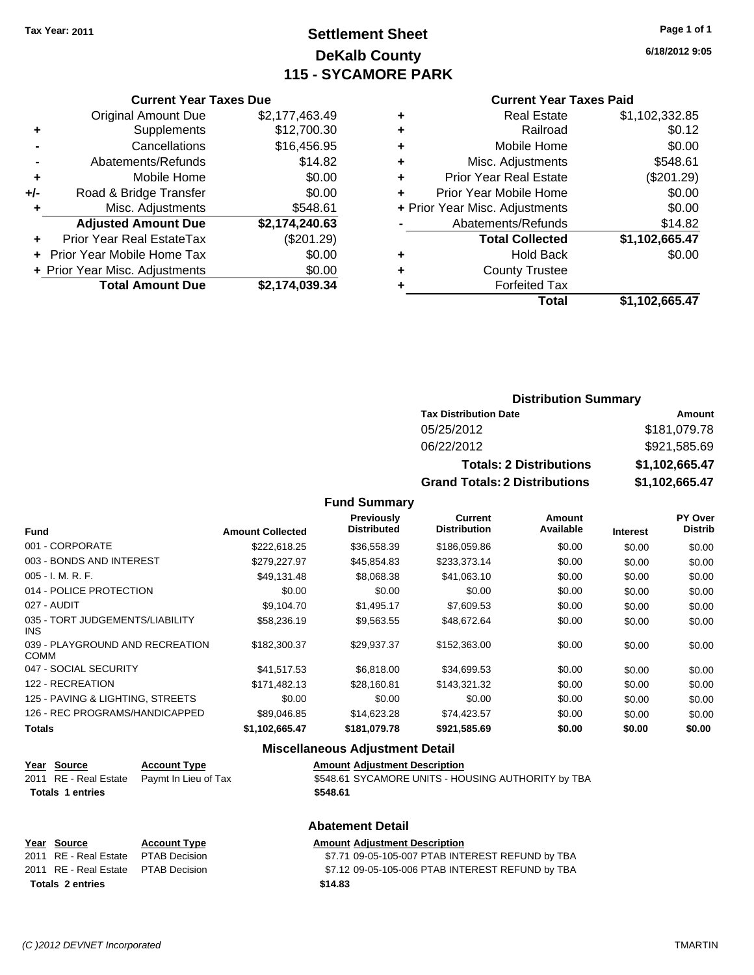## **Settlement Sheet Tax Year: 2011 Page 1 of 1 DeKalb County 115 - SYCAMORE PARK**

**6/18/2012 9:05**

## **Current Year Taxes Paid**

| ٠ | <b>Real Estate</b>             | \$1,102,332.85 |
|---|--------------------------------|----------------|
| ÷ | Railroad                       | \$0.12         |
| ٠ | Mobile Home                    | \$0.00         |
| ٠ | Misc. Adjustments              | \$548.61       |
| ÷ | <b>Prior Year Real Estate</b>  | (\$201.29)     |
| ÷ | Prior Year Mobile Home         | \$0.00         |
|   | + Prior Year Misc. Adjustments | \$0.00         |
|   | Abatements/Refunds             | \$14.82        |
|   | <b>Total Collected</b>         | \$1,102,665.47 |
| ٠ | <b>Hold Back</b>               | \$0.00         |
| ÷ | <b>County Trustee</b>          |                |
| ٠ | <b>Forfeited Tax</b>           |                |
|   | Total                          | \$1,102,665.47 |

|     | <b>Current Year Taxes Due</b>     |                |  |  |
|-----|-----------------------------------|----------------|--|--|
|     | <b>Original Amount Due</b>        | \$2,177,463.49 |  |  |
| ٠   | Supplements                       | \$12,700.30    |  |  |
|     | Cancellations                     | \$16,456.95    |  |  |
|     | Abatements/Refunds                | \$14.82        |  |  |
| ٠   | Mobile Home                       | \$0.00         |  |  |
| +/- | Road & Bridge Transfer            | \$0.00         |  |  |
| ٠   | Misc. Adjustments                 | \$548.61       |  |  |
|     | <b>Adjusted Amount Due</b>        | \$2,174,240.63 |  |  |
|     | Prior Year Real EstateTax         | (\$201.29)     |  |  |
|     | <b>Prior Year Mobile Home Tax</b> | \$0.00         |  |  |
|     | + Prior Year Misc. Adjustments    | \$0.00         |  |  |
|     | <b>Total Amount Due</b>           | \$2,174,039.34 |  |  |

## **Distribution Summary**

| <b>Tax Distribution Date</b>         | Amount         |  |  |
|--------------------------------------|----------------|--|--|
| 05/25/2012                           | \$181,079.78   |  |  |
| 06/22/2012                           | \$921,585.69   |  |  |
| <b>Totals: 2 Distributions</b>       | \$1.102.665.47 |  |  |
| <b>Grand Totals: 2 Distributions</b> | \$1,102,665.47 |  |  |

**Fund Summary**

| <b>Fund</b>                                    | <b>Amount Collected</b> | <b>Previously</b><br><b>Distributed</b> | Current<br><b>Distribution</b> | Amount<br>Available | <b>Interest</b> | PY Over<br><b>Distrib</b> |
|------------------------------------------------|-------------------------|-----------------------------------------|--------------------------------|---------------------|-----------------|---------------------------|
| 001 - CORPORATE                                | \$222,618.25            | \$36,558.39                             | \$186,059.86                   | \$0.00              | \$0.00          | \$0.00                    |
| 003 - BONDS AND INTEREST                       | \$279,227.97            | \$45,854.83                             | \$233,373.14                   | \$0.00              | \$0.00          | \$0.00                    |
| $005 - I. M. R. F.$                            | \$49,131.48             | \$8,068.38                              | \$41,063.10                    | \$0.00              | \$0.00          | \$0.00                    |
| 014 - POLICE PROTECTION                        | \$0.00                  | \$0.00                                  | \$0.00                         | \$0.00              | \$0.00          | \$0.00                    |
| 027 - AUDIT                                    | \$9,104.70              | \$1,495.17                              | \$7,609.53                     | \$0.00              | \$0.00          | \$0.00                    |
| 035 - TORT JUDGEMENTS/LIABILITY<br>INS.        | \$58,236.19             | \$9,563.55                              | \$48,672.64                    | \$0.00              | \$0.00          | \$0.00                    |
| 039 - PLAYGROUND AND RECREATION<br><b>COMM</b> | \$182,300.37            | \$29,937.37                             | \$152,363.00                   | \$0.00              | \$0.00          | \$0.00                    |
| 047 - SOCIAL SECURITY                          | \$41,517.53             | \$6,818.00                              | \$34,699.53                    | \$0.00              | \$0.00          | \$0.00                    |
| 122 - RECREATION                               | \$171.482.13            | \$28,160.81                             | \$143.321.32                   | \$0.00              | \$0.00          | \$0.00                    |
| 125 - PAVING & LIGHTING, STREETS               | \$0.00                  | \$0.00                                  | \$0.00                         | \$0.00              | \$0.00          | \$0.00                    |
| 126 - REC PROGRAMS/HANDICAPPED                 | \$89,046.85             | \$14,623.28                             | \$74,423.57                    | \$0.00              | \$0.00          | \$0.00                    |
| <b>Totals</b>                                  | \$1,102,665.47          | \$181,079.78                            | \$921,585.69                   | \$0.00              | \$0.00          | \$0.00                    |

## **Miscellaneous Adjustment Detail**

**Abatement Detail**

| <u>Year Source</u>      | <b>Account Type</b>                        | <b>Amount Adiustment Description</b>               |
|-------------------------|--------------------------------------------|----------------------------------------------------|
|                         | 2011 RE - Real Estate Paymt In Lieu of Tax | \$548.61 SYCAMORE UNITS - HOUSING AUTHORITY by TBA |
| <b>Totals 1 entries</b> |                                            | \$548.61                                           |
|                         |                                            |                                                    |

| Year Source                         | <b>Account Type</b> | <b>Amount Adiustment Description</b>             |
|-------------------------------------|---------------------|--------------------------------------------------|
| 2011 RE - Real Estate PTAB Decision |                     | \$7.71 09-05-105-007 PTAB INTEREST REFUND by TBA |
| 2011 RE - Real Estate PTAB Decision |                     | \$7.12 09-05-105-006 PTAB INTEREST REFUND by TBA |
| Totals 2 entries                    |                     | \$14.83                                          |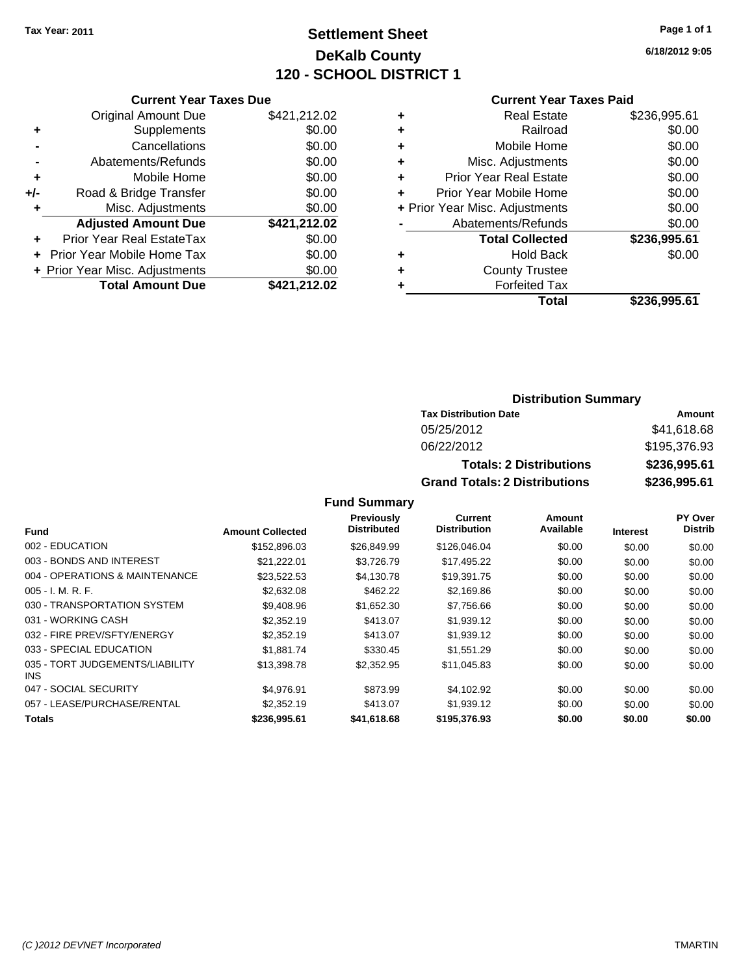## **Settlement Sheet Tax Year: 2011 Page 1 of 1 DeKalb County 120 - SCHOOL DISTRICT 1**

**6/18/2012 9:05**

|     | <b>Original Amount Due</b>        | \$421,212.02 |
|-----|-----------------------------------|--------------|
| ٠   | Supplements                       | \$0.00       |
|     | Cancellations                     | \$0.00       |
|     | Abatements/Refunds                | \$0.00       |
| ٠   | Mobile Home                       | \$0.00       |
| +/- | Road & Bridge Transfer            | \$0.00       |
| ٠   | Misc. Adjustments                 | \$0.00       |
|     | <b>Adjusted Amount Due</b>        | \$421,212.02 |
|     | Prior Year Real EstateTax         | \$0.00       |
|     | <b>Prior Year Mobile Home Tax</b> | \$0.00       |
|     | + Prior Year Misc. Adjustments    | \$0.00       |
|     |                                   |              |
|     | <b>Total Amount Due</b>           | \$421,212.02 |

### **Current Year Taxes Paid**

| \$236,995.61 |
|--------------|
| \$0.00       |
| \$0.00       |
| \$0.00       |
| \$0.00       |
| \$0.00       |
| \$0.00       |
| \$0.00       |
| \$236,995.61 |
| \$0.00       |
|              |
|              |
| \$236,995.61 |
|              |

## **Distribution Summary**

| <b>Tax Distribution Date</b>         | Amount       |
|--------------------------------------|--------------|
| 05/25/2012                           | \$41,618.68  |
| 06/22/2012                           | \$195,376.93 |
| <b>Totals: 2 Distributions</b>       | \$236,995.61 |
| <b>Grand Totals: 2 Distributions</b> | \$236,995.61 |

**Fund Summary**

|                                         |                         | Previously         | <b>Current</b>      | Amount    |                 | <b>PY Over</b> |
|-----------------------------------------|-------------------------|--------------------|---------------------|-----------|-----------------|----------------|
| <b>Fund</b>                             | <b>Amount Collected</b> | <b>Distributed</b> | <b>Distribution</b> | Available | <b>Interest</b> | <b>Distrib</b> |
| 002 - EDUCATION                         | \$152,896.03            | \$26,849.99        | \$126,046.04        | \$0.00    | \$0.00          | \$0.00         |
| 003 - BONDS AND INTEREST                | \$21,222.01             | \$3,726.79         | \$17,495.22         | \$0.00    | \$0.00          | \$0.00         |
| 004 - OPERATIONS & MAINTENANCE          | \$23,522.53             | \$4,130.78         | \$19,391.75         | \$0.00    | \$0.00          | \$0.00         |
| $005 - I. M. R. F.$                     | \$2,632.08              | \$462.22           | \$2,169.86          | \$0.00    | \$0.00          | \$0.00         |
| 030 - TRANSPORTATION SYSTEM             | \$9,408.96              | \$1,652.30         | \$7,756.66          | \$0.00    | \$0.00          | \$0.00         |
| 031 - WORKING CASH                      | \$2,352.19              | \$413.07           | \$1,939.12          | \$0.00    | \$0.00          | \$0.00         |
| 032 - FIRE PREV/SFTY/ENERGY             | \$2,352.19              | \$413.07           | \$1,939.12          | \$0.00    | \$0.00          | \$0.00         |
| 033 - SPECIAL EDUCATION                 | \$1,881.74              | \$330.45           | \$1,551.29          | \$0.00    | \$0.00          | \$0.00         |
| 035 - TORT JUDGEMENTS/LIABILITY<br>INS. | \$13,398.78             | \$2,352.95         | \$11,045.83         | \$0.00    | \$0.00          | \$0.00         |
| 047 - SOCIAL SECURITY                   | \$4.976.91              | \$873.99           | \$4,102.92          | \$0.00    | \$0.00          | \$0.00         |
| 057 - LEASE/PURCHASE/RENTAL             | \$2,352.19              | \$413.07           | \$1,939.12          | \$0.00    | \$0.00          | \$0.00         |
| <b>Totals</b>                           | \$236,995.61            | \$41,618.68        | \$195,376.93        | \$0.00    | \$0.00          | \$0.00         |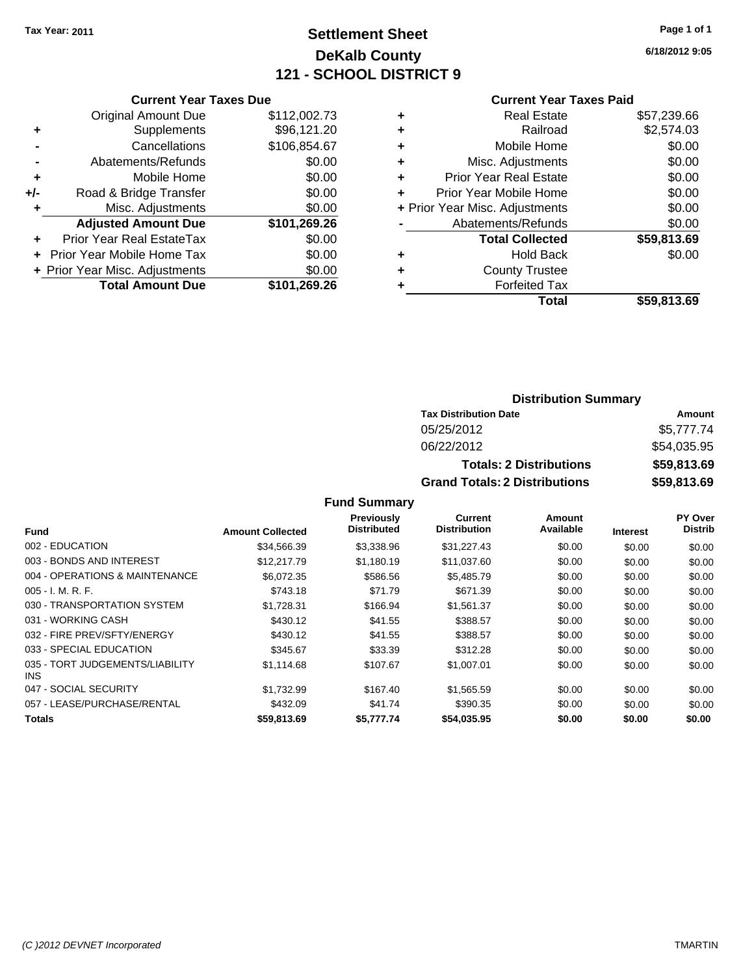## **Settlement Sheet Tax Year: 2011 Page 1 of 1 DeKalb County 121 - SCHOOL DISTRICT 9**

**6/18/2012 9:05**

|     | <b>Current Year Taxes Due</b>           |              |  |  |  |
|-----|-----------------------------------------|--------------|--|--|--|
|     | <b>Original Amount Due</b>              | \$112,002.73 |  |  |  |
|     | Supplements                             | \$96,121.20  |  |  |  |
|     | Cancellations                           | \$106,854.67 |  |  |  |
|     | Abatements/Refunds                      | \$0.00       |  |  |  |
| ٠   | Mobile Home                             | \$0.00       |  |  |  |
| +/- | Road & Bridge Transfer                  | \$0.00       |  |  |  |
| ٠   | Misc. Adjustments                       | \$0.00       |  |  |  |
|     | <b>Adjusted Amount Due</b>              | \$101,269.26 |  |  |  |
|     | Prior Year Real EstateTax               | \$0.00       |  |  |  |
|     | Prior Year Mobile Home Tax              | \$0.00       |  |  |  |
|     | + Prior Year Misc. Adjustments          | \$0.00       |  |  |  |
|     | <b>Total Amount Due</b><br>\$101,269.26 |              |  |  |  |
|     |                                         |              |  |  |  |

# **Current Year Taxes Paid**

|   | <b>Real Estate</b>             | \$57,239.66 |
|---|--------------------------------|-------------|
| ٠ | Railroad                       | \$2,574.03  |
| ٠ | Mobile Home                    | \$0.00      |
| ٠ | Misc. Adjustments              | \$0.00      |
| ٠ | <b>Prior Year Real Estate</b>  | \$0.00      |
| ÷ | Prior Year Mobile Home         | \$0.00      |
|   | + Prior Year Misc. Adjustments | \$0.00      |
|   | Abatements/Refunds             | \$0.00      |
|   | <b>Total Collected</b>         | \$59,813.69 |
| ٠ | <b>Hold Back</b>               | \$0.00      |
| ٠ | <b>County Trustee</b>          |             |
|   | <b>Forfeited Tax</b>           |             |
|   | Total                          | \$59,813.69 |
|   |                                |             |

## **Distribution Summary**

| <b>Tax Distribution Date</b>         | Amount      |
|--------------------------------------|-------------|
| 05/25/2012                           | \$5,777.74  |
| 06/22/2012                           | \$54.035.95 |
| <b>Totals: 2 Distributions</b>       | \$59,813.69 |
| <b>Grand Totals: 2 Distributions</b> | \$59,813.69 |

### **Fund Summary**

|                                         |                         | Previously         | Current             | Amount    |                 | PY Over        |
|-----------------------------------------|-------------------------|--------------------|---------------------|-----------|-----------------|----------------|
| <b>Fund</b>                             | <b>Amount Collected</b> | <b>Distributed</b> | <b>Distribution</b> | Available | <b>Interest</b> | <b>Distrib</b> |
| 002 - EDUCATION                         | \$34,566.39             | \$3,338.96         | \$31,227.43         | \$0.00    | \$0.00          | \$0.00         |
| 003 - BONDS AND INTEREST                | \$12,217.79             | \$1,180.19         | \$11,037.60         | \$0.00    | \$0.00          | \$0.00         |
| 004 - OPERATIONS & MAINTENANCE          | \$6.072.35              | \$586.56           | \$5,485.79          | \$0.00    | \$0.00          | \$0.00         |
| $005 - I. M. R. F.$                     | \$743.18                | \$71.79            | \$671.39            | \$0.00    | \$0.00          | \$0.00         |
| 030 - TRANSPORTATION SYSTEM             | \$1,728.31              | \$166.94           | \$1,561.37          | \$0.00    | \$0.00          | \$0.00         |
| 031 - WORKING CASH                      | \$430.12                | \$41.55            | \$388.57            | \$0.00    | \$0.00          | \$0.00         |
| 032 - FIRE PREV/SFTY/ENERGY             | \$430.12                | \$41.55            | \$388.57            | \$0.00    | \$0.00          | \$0.00         |
| 033 - SPECIAL EDUCATION                 | \$345.67                | \$33.39            | \$312.28            | \$0.00    | \$0.00          | \$0.00         |
| 035 - TORT JUDGEMENTS/LIABILITY<br>INS. | \$1,114.68              | \$107.67           | \$1,007.01          | \$0.00    | \$0.00          | \$0.00         |
| 047 - SOCIAL SECURITY                   | \$1.732.99              | \$167.40           | \$1,565.59          | \$0.00    | \$0.00          | \$0.00         |
| 057 - LEASE/PURCHASE/RENTAL             | \$432.09                | \$41.74            | \$390.35            | \$0.00    | \$0.00          | \$0.00         |
| <b>Totals</b>                           | \$59,813,69             | \$5,777,74         | \$54,035.95         | \$0.00    | \$0.00          | \$0.00         |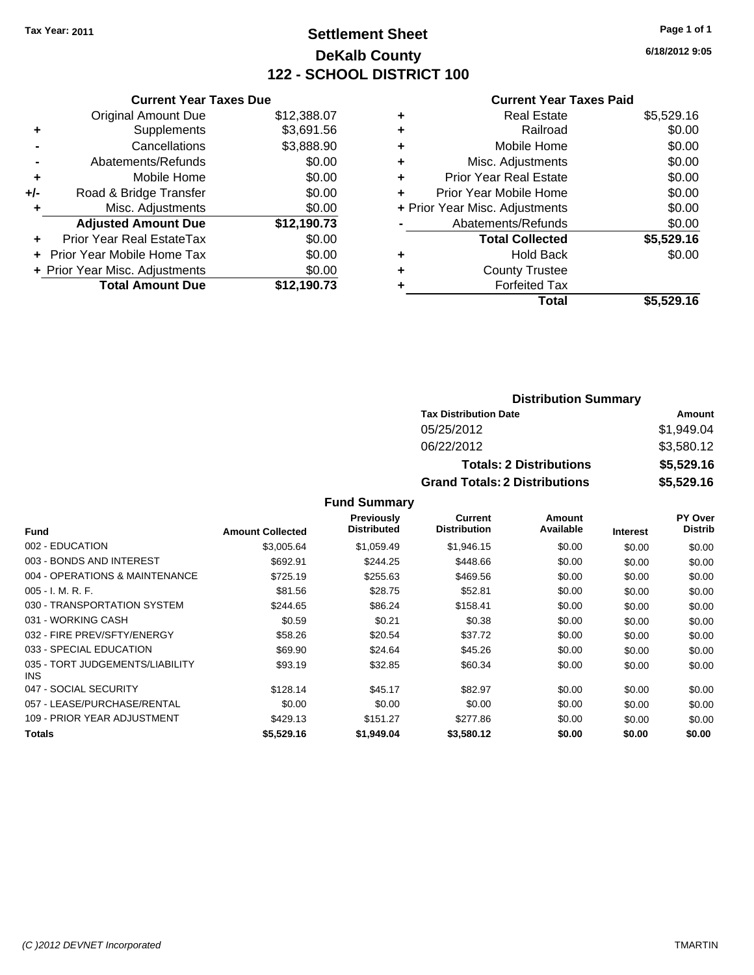## **Settlement Sheet Tax Year: 2011 Page 1 of 1 DeKalb County 122 - SCHOOL DISTRICT 100**

**6/18/2012 9:05**

#### **Current Year Taxes Paid**

| \$3,691.56                                                                                                     |
|----------------------------------------------------------------------------------------------------------------|
|                                                                                                                |
|                                                                                                                |
|                                                                                                                |
|                                                                                                                |
|                                                                                                                |
|                                                                                                                |
|                                                                                                                |
|                                                                                                                |
|                                                                                                                |
|                                                                                                                |
|                                                                                                                |
|                                                                                                                |
| \$3,888.90<br>\$0.00<br>\$0.00<br>\$0.00<br>\$0.00<br>\$12,190.73<br>\$0.00<br>\$0.00<br>\$0.00<br>\$12.190.73 |

| ٠ | <b>Real Estate</b>             | \$5,529.16 |
|---|--------------------------------|------------|
| ٠ | Railroad                       | \$0.00     |
| ٠ | Mobile Home                    | \$0.00     |
| ٠ | Misc. Adjustments              | \$0.00     |
| ÷ | Prior Year Real Estate         | \$0.00     |
| ÷ | Prior Year Mobile Home         | \$0.00     |
|   | + Prior Year Misc. Adjustments | \$0.00     |
|   | Abatements/Refunds             | \$0.00     |
|   | <b>Total Collected</b>         | \$5,529.16 |
| ٠ | <b>Hold Back</b>               | \$0.00     |
| ٠ | <b>County Trustee</b>          |            |
| ٠ | <b>Forfeited Tax</b>           |            |
|   | Total                          | \$5,529.16 |
|   |                                |            |

# **Distribution Summary**

| <b>Tax Distribution Date</b>         | Amount     |
|--------------------------------------|------------|
| 05/25/2012                           | \$1.949.04 |
| 06/22/2012                           | \$3.580.12 |
| <b>Totals: 2 Distributions</b>       | \$5,529.16 |
| <b>Grand Totals: 2 Distributions</b> | \$5,529.16 |

|                                               |                         | <b>Previously</b>  | Current             | Amount    |                 | <b>PY Over</b> |
|-----------------------------------------------|-------------------------|--------------------|---------------------|-----------|-----------------|----------------|
| <b>Fund</b>                                   | <b>Amount Collected</b> | <b>Distributed</b> | <b>Distribution</b> | Available | <b>Interest</b> | <b>Distrib</b> |
| 002 - EDUCATION                               | \$3.005.64              | \$1,059.49         | \$1,946.15          | \$0.00    | \$0.00          | \$0.00         |
| 003 - BONDS AND INTEREST                      | \$692.91                | \$244.25           | \$448.66            | \$0.00    | \$0.00          | \$0.00         |
| 004 - OPERATIONS & MAINTENANCE                | \$725.19                | \$255.63           | \$469.56            | \$0.00    | \$0.00          | \$0.00         |
| $005 - I. M. R. F.$                           | \$81.56                 | \$28.75            | \$52.81             | \$0.00    | \$0.00          | \$0.00         |
| 030 - TRANSPORTATION SYSTEM                   | \$244.65                | \$86.24            | \$158.41            | \$0.00    | \$0.00          | \$0.00         |
| 031 - WORKING CASH                            | \$0.59                  | \$0.21             | \$0.38              | \$0.00    | \$0.00          | \$0.00         |
| 032 - FIRE PREV/SFTY/ENERGY                   | \$58.26                 | \$20.54            | \$37.72             | \$0.00    | \$0.00          | \$0.00         |
| 033 - SPECIAL EDUCATION                       | \$69.90                 | \$24.64            | \$45.26             | \$0.00    | \$0.00          | \$0.00         |
| 035 - TORT JUDGEMENTS/LIABILITY<br><b>INS</b> | \$93.19                 | \$32.85            | \$60.34             | \$0.00    | \$0.00          | \$0.00         |
| 047 - SOCIAL SECURITY                         | \$128.14                | \$45.17            | \$82.97             | \$0.00    | \$0.00          | \$0.00         |
| 057 - LEASE/PURCHASE/RENTAL                   | \$0.00                  | \$0.00             | \$0.00              | \$0.00    | \$0.00          | \$0.00         |
| 109 - PRIOR YEAR ADJUSTMENT                   | \$429.13                | \$151.27           | \$277.86            | \$0.00    | \$0.00          | \$0.00         |
| <b>Totals</b>                                 | \$5.529.16              | \$1.949.04         | \$3.580.12          | \$0.00    | \$0.00          | \$0.00         |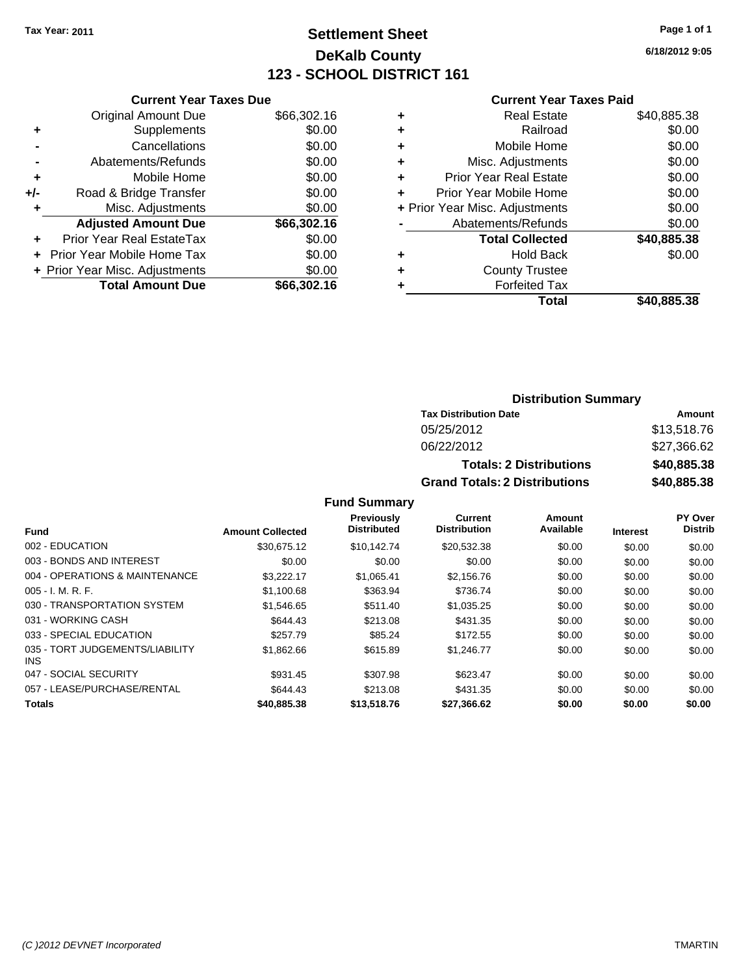## **Settlement Sheet Tax Year: 2011 Page 1 of 1 DeKalb County 123 - SCHOOL DISTRICT 161**

**6/18/2012 9:05**

### **Current Year Taxes Paid**

|     | <b>Current Year Taxes Due</b>  |             |
|-----|--------------------------------|-------------|
|     | <b>Original Amount Due</b>     | \$66,302.16 |
| ٠   | Supplements                    | \$0.00      |
|     | Cancellations                  | \$0.00      |
|     | Abatements/Refunds             | \$0.00      |
| ٠   | Mobile Home                    | \$0.00      |
| +/- | Road & Bridge Transfer         | \$0.00      |
| ٠   | Misc. Adjustments              | \$0.00      |
|     | <b>Adjusted Amount Due</b>     | \$66,302.16 |
|     | Prior Year Real EstateTax      | \$0.00      |
|     | Prior Year Mobile Home Tax     | \$0.00      |
|     | + Prior Year Misc. Adjustments | \$0.00      |
|     | <b>Total Amount Due</b>        | \$66,302.16 |

| \$40,885.38<br><b>Real Estate</b>        |
|------------------------------------------|
| \$0.00<br>Railroad                       |
| \$0.00<br>Mobile Home                    |
| \$0.00<br>Misc. Adjustments              |
| \$0.00<br><b>Prior Year Real Estate</b>  |
| \$0.00<br>Prior Year Mobile Home         |
| \$0.00<br>+ Prior Year Misc. Adjustments |
| \$0.00<br>Abatements/Refunds             |
| \$40,885.38<br><b>Total Collected</b>    |
| \$0.00<br>Hold Back                      |
| <b>County Trustee</b>                    |
| <b>Forfeited Tax</b>                     |
| Total<br>\$40.885.38                     |
|                                          |

### **Distribution Summary**

| <b>Tax Distribution Date</b>         | Amount      |
|--------------------------------------|-------------|
| 05/25/2012                           | \$13,518.76 |
| 06/22/2012                           | \$27,366,62 |
| <b>Totals: 2 Distributions</b>       | \$40,885.38 |
| <b>Grand Totals: 2 Distributions</b> | \$40,885.38 |

|                                         |                         | <b>Previously</b>  | Current             | Amount    |                 | <b>PY Over</b> |
|-----------------------------------------|-------------------------|--------------------|---------------------|-----------|-----------------|----------------|
| <b>Fund</b>                             | <b>Amount Collected</b> | <b>Distributed</b> | <b>Distribution</b> | Available | <b>Interest</b> | <b>Distrib</b> |
| 002 - EDUCATION                         | \$30.675.12             | \$10,142.74        | \$20,532.38         | \$0.00    | \$0.00          | \$0.00         |
| 003 - BONDS AND INTEREST                | \$0.00                  | \$0.00             | \$0.00              | \$0.00    | \$0.00          | \$0.00         |
| 004 - OPERATIONS & MAINTENANCE          | \$3,222.17              | \$1,065.41         | \$2,156.76          | \$0.00    | \$0.00          | \$0.00         |
| $005 - I. M. R. F.$                     | \$1,100.68              | \$363.94           | \$736.74            | \$0.00    | \$0.00          | \$0.00         |
| 030 - TRANSPORTATION SYSTEM             | \$1.546.65              | \$511.40           | \$1,035.25          | \$0.00    | \$0.00          | \$0.00         |
| 031 - WORKING CASH                      | \$644.43                | \$213.08           | \$431.35            | \$0.00    | \$0.00          | \$0.00         |
| 033 - SPECIAL EDUCATION                 | \$257.79                | \$85.24            | \$172.55            | \$0.00    | \$0.00          | \$0.00         |
| 035 - TORT JUDGEMENTS/LIABILITY<br>INS. | \$1,862.66              | \$615.89           | \$1.246.77          | \$0.00    | \$0.00          | \$0.00         |
| 047 - SOCIAL SECURITY                   | \$931.45                | \$307.98           | \$623.47            | \$0.00    | \$0.00          | \$0.00         |
| 057 - LEASE/PURCHASE/RENTAL             | \$644.43                | \$213.08           | \$431.35            | \$0.00    | \$0.00          | \$0.00         |
| <b>Totals</b>                           | \$40,885.38             | \$13,518.76        | \$27,366.62         | \$0.00    | \$0.00          | \$0.00         |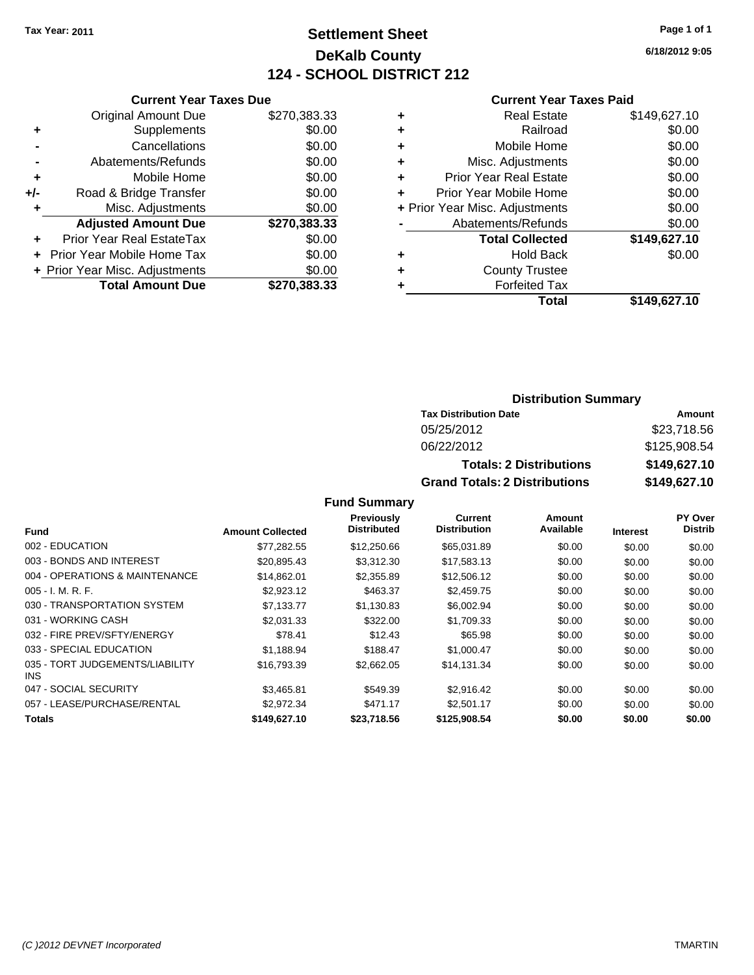### **Settlement Sheet Tax Year: 2011 Page 1 of 1 DeKalb County 124 - SCHOOL DISTRICT 212**

**6/18/2012 9:05**

#### **Current Year Taxes Paid**

|     | <b>Current Year Taxes Due</b>  |              |     |
|-----|--------------------------------|--------------|-----|
|     | <b>Original Amount Due</b>     | \$270,383.33 |     |
|     | Supplements                    | \$0.00       |     |
|     | Cancellations                  | \$0.00       | ٠   |
|     | Abatements/Refunds             | \$0.00       | ٠   |
|     | Mobile Home                    | \$0.00       | ٠   |
| +/- | Road & Bridge Transfer         | \$0.00       | ٠   |
|     | Misc. Adjustments              | \$0.00       | + l |
|     | <b>Adjusted Amount Due</b>     | \$270,383.33 |     |
|     | Prior Year Real EstateTax      | \$0.00       |     |
|     | Prior Year Mobile Home Tax     | \$0.00       |     |
|     | + Prior Year Misc. Adjustments | \$0.00       |     |
|     | <b>Total Amount Due</b>        | \$270,383.33 |     |
|     |                                |              |     |

| <b>Real Estate</b>            | \$149,627.10                                             |
|-------------------------------|----------------------------------------------------------|
| Railroad                      | \$0.00                                                   |
| Mobile Home                   | \$0.00                                                   |
| Misc. Adjustments             | \$0.00                                                   |
| <b>Prior Year Real Estate</b> | \$0.00                                                   |
|                               | \$0.00                                                   |
|                               | \$0.00                                                   |
| Abatements/Refunds            | \$0.00                                                   |
| <b>Total Collected</b>        | \$149,627.10                                             |
| <b>Hold Back</b>              | \$0.00                                                   |
| <b>County Trustee</b>         |                                                          |
| <b>Forfeited Tax</b>          |                                                          |
| Total                         | \$149,627.10                                             |
|                               | Prior Year Mobile Home<br>+ Prior Year Misc. Adjustments |

### **Distribution Summary**

| <b>Tax Distribution Date</b>         | Amount       |
|--------------------------------------|--------------|
| 05/25/2012                           | \$23,718.56  |
| 06/22/2012                           | \$125,908.54 |
| <b>Totals: 2 Distributions</b>       | \$149,627.10 |
| <b>Grand Totals: 2 Distributions</b> | \$149,627.10 |

|                                         |                         | Previously         | Current             | Amount    |                 | <b>PY Over</b> |
|-----------------------------------------|-------------------------|--------------------|---------------------|-----------|-----------------|----------------|
| <b>Fund</b>                             | <b>Amount Collected</b> | <b>Distributed</b> | <b>Distribution</b> | Available | <b>Interest</b> | <b>Distrib</b> |
| 002 - EDUCATION                         | \$77,282.55             | \$12,250.66        | \$65,031.89         | \$0.00    | \$0.00          | \$0.00         |
| 003 - BONDS AND INTEREST                | \$20,895.43             | \$3,312.30         | \$17,583.13         | \$0.00    | \$0.00          | \$0.00         |
| 004 - OPERATIONS & MAINTENANCE          | \$14,862.01             | \$2,355.89         | \$12,506.12         | \$0.00    | \$0.00          | \$0.00         |
| $005 - I. M. R. F.$                     | \$2,923.12              | \$463.37           | \$2,459.75          | \$0.00    | \$0.00          | \$0.00         |
| 030 - TRANSPORTATION SYSTEM             | \$7,133.77              | \$1,130.83         | \$6,002.94          | \$0.00    | \$0.00          | \$0.00         |
| 031 - WORKING CASH                      | \$2.031.33              | \$322.00           | \$1.709.33          | \$0.00    | \$0.00          | \$0.00         |
| 032 - FIRE PREV/SFTY/ENERGY             | \$78.41                 | \$12.43            | \$65.98             | \$0.00    | \$0.00          | \$0.00         |
| 033 - SPECIAL EDUCATION                 | \$1,188.94              | \$188.47           | \$1,000.47          | \$0.00    | \$0.00          | \$0.00         |
| 035 - TORT JUDGEMENTS/LIABILITY<br>INS. | \$16,793.39             | \$2,662.05         | \$14,131.34         | \$0.00    | \$0.00          | \$0.00         |
| 047 - SOCIAL SECURITY                   | \$3,465.81              | \$549.39           | \$2.916.42          | \$0.00    | \$0.00          | \$0.00         |
| 057 - LEASE/PURCHASE/RENTAL             | \$2.972.34              | \$471.17           | \$2,501.17          | \$0.00    | \$0.00          | \$0.00         |
| <b>Totals</b>                           | \$149,627.10            | \$23,718.56        | \$125,908.54        | \$0.00    | \$0.00          | \$0.00         |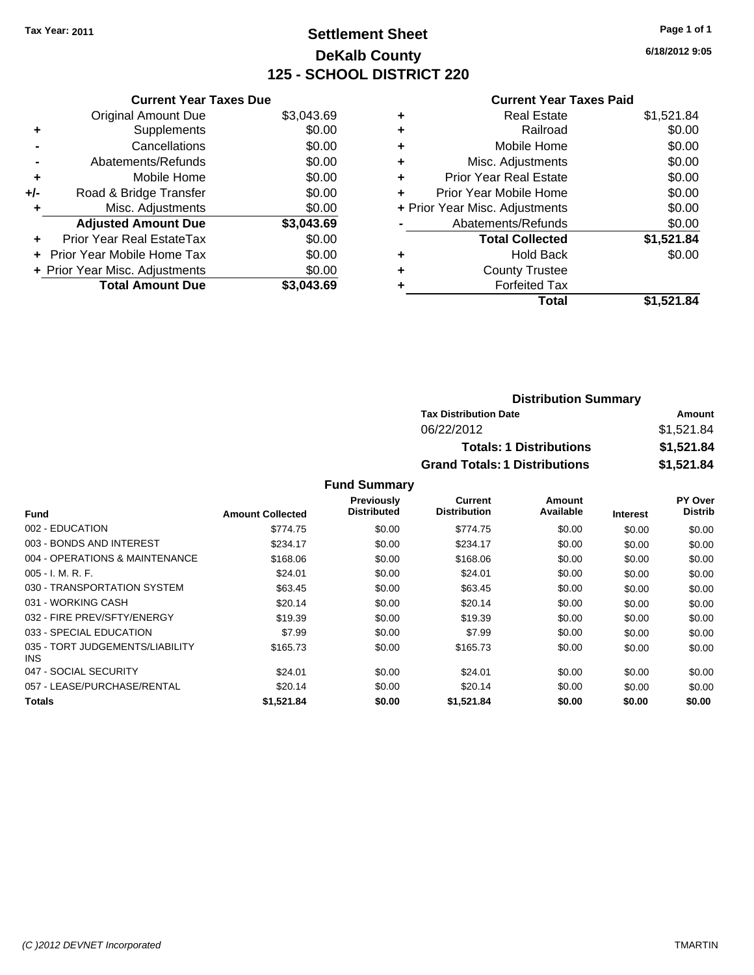## **Settlement Sheet Tax Year: 2011 Page 1 of 1 DeKalb County 125 - SCHOOL DISTRICT 220**

**6/18/2012 9:05**

#### **Current Year Taxes Paid**

|     | <b>Current Year Taxes Due</b>            |            |  |  |  |
|-----|------------------------------------------|------------|--|--|--|
|     | <b>Original Amount Due</b>               | \$3,043.69 |  |  |  |
| ٠   | Supplements                              | \$0.00     |  |  |  |
|     | Cancellations                            | \$0.00     |  |  |  |
|     | Abatements/Refunds                       | \$0.00     |  |  |  |
| ٠   | Mobile Home                              | \$0.00     |  |  |  |
| +/- | Road & Bridge Transfer                   | \$0.00     |  |  |  |
|     | \$0.00<br>Misc. Adjustments              |            |  |  |  |
|     | <b>Adjusted Amount Due</b>               | \$3,043.69 |  |  |  |
| ÷   | Prior Year Real EstateTax                | \$0.00     |  |  |  |
|     | <b>Prior Year Mobile Home Tax</b>        | \$0.00     |  |  |  |
|     | \$0.00<br>+ Prior Year Misc. Adjustments |            |  |  |  |
|     | <b>Total Amount Due</b>                  | \$3.043.69 |  |  |  |

| ٠ | <b>Real Estate</b>             | \$1,521.84 |
|---|--------------------------------|------------|
| ٠ | Railroad                       | \$0.00     |
| ٠ | Mobile Home                    | \$0.00     |
| ٠ | Misc. Adjustments              | \$0.00     |
| ÷ | Prior Year Real Estate         | \$0.00     |
|   | Prior Year Mobile Home         | \$0.00     |
|   | + Prior Year Misc. Adjustments | \$0.00     |
|   | Abatements/Refunds             | \$0.00     |
|   | <b>Total Collected</b>         | \$1,521.84 |
| ٠ | Hold Back                      | \$0.00     |
| ٠ | <b>County Trustee</b>          |            |
| ٠ | <b>Forfeited Tax</b>           |            |
|   | Total                          | \$1,521.84 |

| <b>Distribution Summary</b>          |            |
|--------------------------------------|------------|
| <b>Tax Distribution Date</b>         | Amount     |
| 06/22/2012                           | \$1,521.84 |
| <b>Totals: 1 Distributions</b>       | \$1,521.84 |
| <b>Grand Totals: 1 Distributions</b> | \$1,521.84 |

|                                         |                         | Previously         | Current             | Amount    |                 | <b>PY Over</b> |
|-----------------------------------------|-------------------------|--------------------|---------------------|-----------|-----------------|----------------|
| <b>Fund</b>                             | <b>Amount Collected</b> | <b>Distributed</b> | <b>Distribution</b> | Available | <b>Interest</b> | <b>Distrib</b> |
| 002 - EDUCATION                         | \$774.75                | \$0.00             | \$774.75            | \$0.00    | \$0.00          | \$0.00         |
| 003 - BONDS AND INTEREST                | \$234.17                | \$0.00             | \$234.17            | \$0.00    | \$0.00          | \$0.00         |
| 004 - OPERATIONS & MAINTENANCE          | \$168.06                | \$0.00             | \$168.06            | \$0.00    | \$0.00          | \$0.00         |
| $005 - I. M. R. F.$                     | \$24.01                 | \$0.00             | \$24.01             | \$0.00    | \$0.00          | \$0.00         |
| 030 - TRANSPORTATION SYSTEM             | \$63.45                 | \$0.00             | \$63.45             | \$0.00    | \$0.00          | \$0.00         |
| 031 - WORKING CASH                      | \$20.14                 | \$0.00             | \$20.14             | \$0.00    | \$0.00          | \$0.00         |
| 032 - FIRE PREV/SFTY/ENERGY             | \$19.39                 | \$0.00             | \$19.39             | \$0.00    | \$0.00          | \$0.00         |
| 033 - SPECIAL EDUCATION                 | \$7.99                  | \$0.00             | \$7.99              | \$0.00    | \$0.00          | \$0.00         |
| 035 - TORT JUDGEMENTS/LIABILITY<br>INS. | \$165.73                | \$0.00             | \$165.73            | \$0.00    | \$0.00          | \$0.00         |
| 047 - SOCIAL SECURITY                   | \$24.01                 | \$0.00             | \$24.01             | \$0.00    | \$0.00          | \$0.00         |
| 057 - LEASE/PURCHASE/RENTAL             | \$20.14                 | \$0.00             | \$20.14             | \$0.00    | \$0.00          | \$0.00         |
| <b>Totals</b>                           | \$1,521.84              | \$0.00             | \$1,521.84          | \$0.00    | \$0.00          | \$0.00         |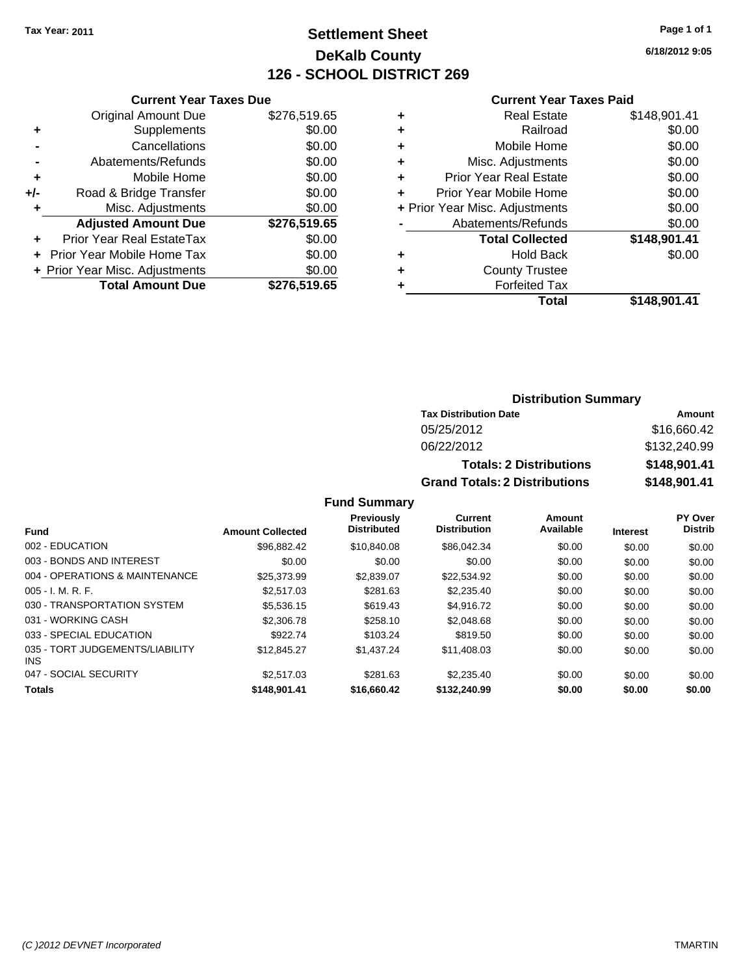## **Settlement Sheet Tax Year: 2011 Page 1 of 1 DeKalb County 126 - SCHOOL DISTRICT 269**

**6/18/2012 9:05**

| <b>Current Year Taxes Paid</b> |  |  |  |
|--------------------------------|--|--|--|
|--------------------------------|--|--|--|

|     | <b>Current Year Taxes Due</b>  |              |  |  |  |  |
|-----|--------------------------------|--------------|--|--|--|--|
|     | <b>Original Amount Due</b>     | \$276,519.65 |  |  |  |  |
| ٠   | Supplements                    | \$0.00       |  |  |  |  |
|     | Cancellations                  | \$0.00       |  |  |  |  |
|     | Abatements/Refunds             | \$0.00       |  |  |  |  |
| ٠   | Mobile Home                    | \$0.00       |  |  |  |  |
| +/- | Road & Bridge Transfer         | \$0.00       |  |  |  |  |
| ٠   | \$0.00<br>Misc. Adjustments    |              |  |  |  |  |
|     | <b>Adjusted Amount Due</b>     | \$276,519.65 |  |  |  |  |
|     | Prior Year Real EstateTax      | \$0.00       |  |  |  |  |
|     | Prior Year Mobile Home Tax     | \$0.00       |  |  |  |  |
|     | + Prior Year Misc. Adjustments | \$0.00       |  |  |  |  |
|     | <b>Total Amount Due</b>        | \$276,519.65 |  |  |  |  |

| ٠ | <b>Real Estate</b>             | \$148,901.41 |
|---|--------------------------------|--------------|
| ٠ | Railroad                       | \$0.00       |
| ٠ | Mobile Home                    | \$0.00       |
| ٠ | Misc. Adjustments              | \$0.00       |
| ٠ | <b>Prior Year Real Estate</b>  | \$0.00       |
| ٠ | Prior Year Mobile Home         | \$0.00       |
|   | + Prior Year Misc. Adjustments | \$0.00       |
|   | Abatements/Refunds             | \$0.00       |
|   | <b>Total Collected</b>         | \$148,901.41 |
| ٠ | <b>Hold Back</b>               | \$0.00       |
| ٠ | <b>County Trustee</b>          |              |
| ٠ | <b>Forfeited Tax</b>           |              |
|   | Total                          | \$148,901.41 |
|   |                                |              |

| <b>Distribution Summary</b> |  |
|-----------------------------|--|
|-----------------------------|--|

| <b>Tax Distribution Date</b>         | Amount       |  |  |
|--------------------------------------|--------------|--|--|
| 05/25/2012                           | \$16,660.42  |  |  |
| 06/22/2012                           | \$132,240.99 |  |  |
| <b>Totals: 2 Distributions</b>       | \$148,901.41 |  |  |
| <b>Grand Totals: 2 Distributions</b> | \$148,901.41 |  |  |

|                                               |                         | <b>Previously</b><br><b>Distributed</b> | Current<br><b>Distribution</b> | Amount<br>Available |                 | <b>PY Over</b><br><b>Distrib</b> |
|-----------------------------------------------|-------------------------|-----------------------------------------|--------------------------------|---------------------|-----------------|----------------------------------|
| <b>Fund</b>                                   | <b>Amount Collected</b> |                                         |                                |                     | <b>Interest</b> |                                  |
| 002 - EDUCATION                               | \$96.882.42             | \$10,840.08                             | \$86,042.34                    | \$0.00              | \$0.00          | \$0.00                           |
| 003 - BONDS AND INTEREST                      | \$0.00                  | \$0.00                                  | \$0.00                         | \$0.00              | \$0.00          | \$0.00                           |
| 004 - OPERATIONS & MAINTENANCE                | \$25,373.99             | \$2,839.07                              | \$22.534.92                    | \$0.00              | \$0.00          | \$0.00                           |
| $005 - I. M. R. F.$                           | \$2,517.03              | \$281.63                                | \$2,235.40                     | \$0.00              | \$0.00          | \$0.00                           |
| 030 - TRANSPORTATION SYSTEM                   | \$5,536.15              | \$619.43                                | \$4,916.72                     | \$0.00              | \$0.00          | \$0.00                           |
| 031 - WORKING CASH                            | \$2,306.78              | \$258.10                                | \$2,048.68                     | \$0.00              | \$0.00          | \$0.00                           |
| 033 - SPECIAL EDUCATION                       | \$922.74                | \$103.24                                | \$819.50                       | \$0.00              | \$0.00          | \$0.00                           |
| 035 - TORT JUDGEMENTS/LIABILITY<br><b>INS</b> | \$12,845.27             | \$1.437.24                              | \$11,408.03                    | \$0.00              | \$0.00          | \$0.00                           |
| 047 - SOCIAL SECURITY                         | \$2,517.03              | \$281.63                                | \$2,235.40                     | \$0.00              | \$0.00          | \$0.00                           |
| <b>Totals</b>                                 | \$148,901.41            | \$16,660.42                             | \$132,240.99                   | \$0.00              | \$0.00          | \$0.00                           |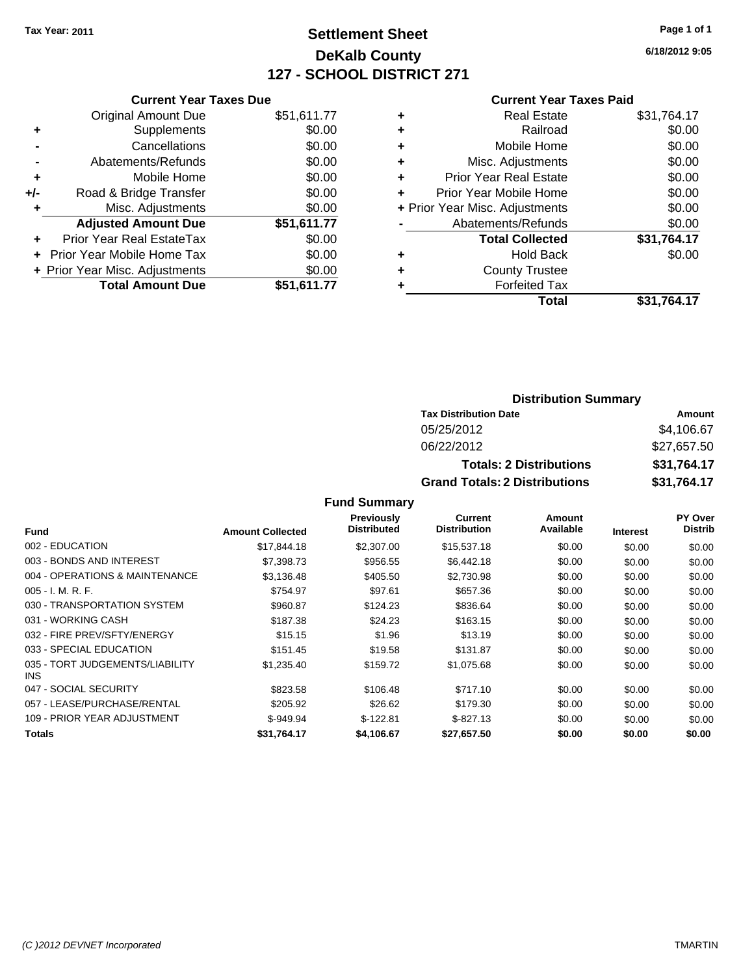## **Settlement Sheet Tax Year: 2011 Page 1 of 1 DeKalb County 127 - SCHOOL DISTRICT 271**

**6/18/2012 9:05**

### **Current Year Taxes Paid**

| <b>Current Year Taxes Due</b>  |                         |  |  |  |
|--------------------------------|-------------------------|--|--|--|
| <b>Original Amount Due</b>     | \$51,611.77             |  |  |  |
| Supplements                    | \$0.00                  |  |  |  |
| Cancellations                  | \$0.00                  |  |  |  |
| Abatements/Refunds             | \$0.00                  |  |  |  |
| Mobile Home                    | \$0.00                  |  |  |  |
| Road & Bridge Transfer         | \$0.00                  |  |  |  |
| Misc. Adjustments<br>\$0.00    |                         |  |  |  |
| <b>Adjusted Amount Due</b>     | \$51,611.77             |  |  |  |
| Prior Year Real EstateTax      | \$0.00                  |  |  |  |
| Prior Year Mobile Home Tax     | \$0.00                  |  |  |  |
| + Prior Year Misc. Adjustments | \$0.00                  |  |  |  |
|                                | \$51,611.77             |  |  |  |
|                                | <b>Total Amount Due</b> |  |  |  |

| ٠                                  | \$31,764.17<br><b>Real Estate</b> |
|------------------------------------|-----------------------------------|
| ٠                                  | \$0.00<br>Railroad                |
| Mobile Home<br>٠                   | \$0.00                            |
| Misc. Adjustments<br>٠             | \$0.00                            |
| <b>Prior Year Real Estate</b><br>÷ | \$0.00                            |
| Prior Year Mobile Home<br>÷        | \$0.00                            |
| + Prior Year Misc. Adjustments     | \$0.00                            |
| Abatements/Refunds                 | \$0.00                            |
| <b>Total Collected</b>             | \$31,764.17                       |
| ٠                                  | \$0.00<br><b>Hold Back</b>        |
| <b>County Trustee</b><br>٠         |                                   |
| <b>Forfeited Tax</b>               |                                   |
|                                    | Total<br>\$31,764.17              |

### **Distribution Summary**

| <b>Tax Distribution Date</b>         | Amount      |
|--------------------------------------|-------------|
| 05/25/2012                           | \$4,106,67  |
| 06/22/2012                           | \$27.657.50 |
| <b>Totals: 2 Distributions</b>       | \$31.764.17 |
| <b>Grand Totals: 2 Distributions</b> | \$31,764.17 |

|                                         |                         | <b>Previously</b>  | Current             | Amount    |                 | <b>PY Over</b> |
|-----------------------------------------|-------------------------|--------------------|---------------------|-----------|-----------------|----------------|
| <b>Fund</b>                             | <b>Amount Collected</b> | <b>Distributed</b> | <b>Distribution</b> | Available | <b>Interest</b> | <b>Distrib</b> |
| 002 - EDUCATION                         | \$17,844.18             | \$2,307.00         | \$15,537.18         | \$0.00    | \$0.00          | \$0.00         |
| 003 - BONDS AND INTEREST                | \$7,398,73              | \$956.55           | \$6,442.18          | \$0.00    | \$0.00          | \$0.00         |
| 004 - OPERATIONS & MAINTENANCE          | \$3,136.48              | \$405.50           | \$2,730.98          | \$0.00    | \$0.00          | \$0.00         |
| $005 - I. M. R. F.$                     | \$754.97                | \$97.61            | \$657.36            | \$0.00    | \$0.00          | \$0.00         |
| 030 - TRANSPORTATION SYSTEM             | \$960.87                | \$124.23           | \$836.64            | \$0.00    | \$0.00          | \$0.00         |
| 031 - WORKING CASH                      | \$187.38                | \$24.23            | \$163.15            | \$0.00    | \$0.00          | \$0.00         |
| 032 - FIRE PREV/SFTY/ENERGY             | \$15.15                 | \$1.96             | \$13.19             | \$0.00    | \$0.00          | \$0.00         |
| 033 - SPECIAL EDUCATION                 | \$151.45                | \$19.58            | \$131.87            | \$0.00    | \$0.00          | \$0.00         |
| 035 - TORT JUDGEMENTS/LIABILITY<br>INS. | \$1,235.40              | \$159.72           | \$1,075.68          | \$0.00    | \$0.00          | \$0.00         |
| 047 - SOCIAL SECURITY                   | \$823.58                | \$106.48           | \$717.10            | \$0.00    | \$0.00          | \$0.00         |
| 057 - LEASE/PURCHASE/RENTAL             | \$205.92                | \$26.62            | \$179.30            | \$0.00    | \$0.00          | \$0.00         |
| 109 - PRIOR YEAR ADJUSTMENT             | $$-949.94$              | $$-122.81$         | $$-827.13$          | \$0.00    | \$0.00          | \$0.00         |
| <b>Totals</b>                           | \$31.764.17             | \$4,106.67         | \$27.657.50         | \$0.00    | \$0.00          | \$0.00         |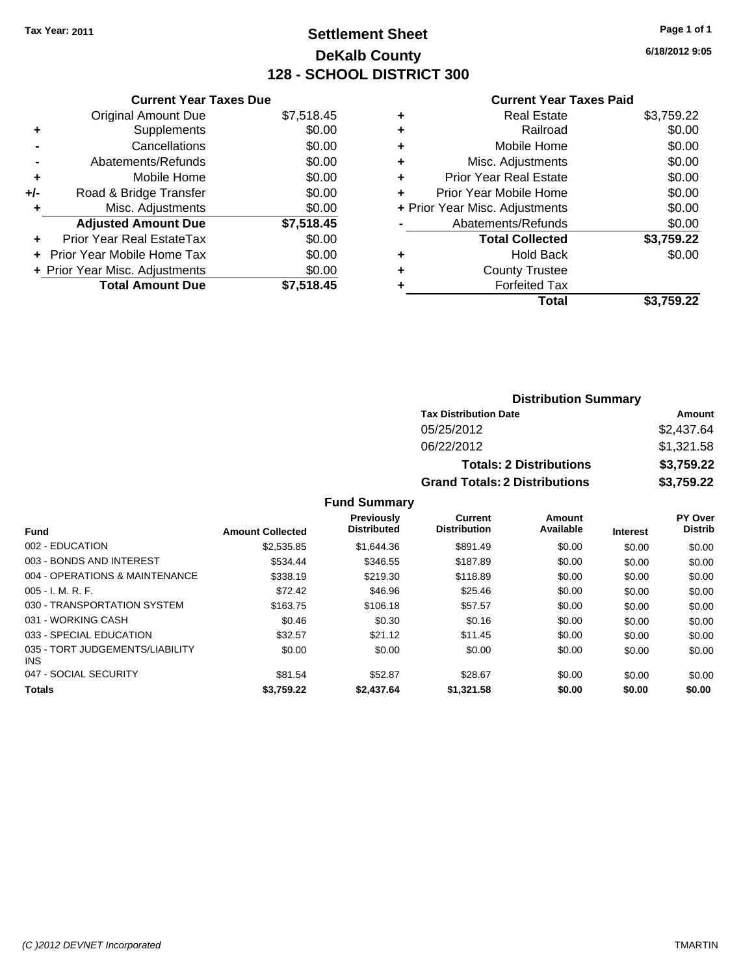## **Settlement Sheet Tax Year: 2011 Page 1 of 1 DeKalb County 128 - SCHOOL DISTRICT 300**

**6/18/2012 9:05**

#### **Current Year Taxes Paid**

|     | <b>Current Year Taxes Due</b>     |            |
|-----|-----------------------------------|------------|
|     | <b>Original Amount Due</b>        | \$7,518.45 |
| ٠   | Supplements                       | \$0.00     |
|     | Cancellations                     | \$0.00     |
|     | Abatements/Refunds                | \$0.00     |
| ٠   | Mobile Home                       | \$0.00     |
| +/- | Road & Bridge Transfer            | \$0.00     |
| ٠   | Misc. Adjustments                 | \$0.00     |
|     | <b>Adjusted Amount Due</b>        | \$7,518.45 |
| ÷   | Prior Year Real EstateTax         | \$0.00     |
| ÷   | <b>Prior Year Mobile Home Tax</b> | \$0.00     |
|     | + Prior Year Misc. Adjustments    | \$0.00     |
|     | <b>Total Amount Due</b>           | \$7.518.45 |

| <b>Real Estate</b><br>\$3,759.22         |
|------------------------------------------|
| \$0.00<br>Railroad                       |
| \$0.00<br>Mobile Home                    |
| \$0.00<br>Misc. Adjustments              |
| \$0.00<br><b>Prior Year Real Estate</b>  |
| \$0.00<br>Prior Year Mobile Home         |
| \$0.00<br>+ Prior Year Misc. Adjustments |
| \$0.00<br>Abatements/Refunds             |
| \$3,759.22<br><b>Total Collected</b>     |
| \$0.00<br><b>Hold Back</b>               |
| <b>County Trustee</b>                    |
| <b>Forfeited Tax</b>                     |
| Total<br>\$3.759.22                      |
|                                          |

| <b>Distribution Summary</b>          |            |
|--------------------------------------|------------|
| <b>Tax Distribution Date</b>         | Amount     |
| 05/25/2012                           | \$2,437.64 |
| 06/22/2012                           | \$1,321.58 |
| <b>Totals: 2 Distributions</b>       | \$3,759.22 |
| <b>Grand Totals: 2 Distributions</b> | \$3,759.22 |

| <b>Fund</b>                                   | <b>Amount Collected</b> | <b>Previously</b><br><b>Distributed</b> | Current<br><b>Distribution</b> | Amount<br>Available | <b>Interest</b> | <b>PY Over</b><br><b>Distrib</b> |
|-----------------------------------------------|-------------------------|-----------------------------------------|--------------------------------|---------------------|-----------------|----------------------------------|
| 002 - EDUCATION                               | \$2,535.85              | \$1,644.36                              | \$891.49                       | \$0.00              | \$0.00          | \$0.00                           |
| 003 - BONDS AND INTEREST                      | \$534.44                | \$346.55                                | \$187.89                       | \$0.00              | \$0.00          | \$0.00                           |
| 004 - OPERATIONS & MAINTENANCE                | \$338.19                | \$219.30                                | \$118.89                       | \$0.00              | \$0.00          | \$0.00                           |
| $005 - I. M. R. F.$                           | \$72.42                 | \$46.96                                 | \$25.46                        | \$0.00              | \$0.00          | \$0.00                           |
| 030 - TRANSPORTATION SYSTEM                   | \$163.75                | \$106.18                                | \$57.57                        | \$0.00              | \$0.00          | \$0.00                           |
| 031 - WORKING CASH                            | \$0.46                  | \$0.30                                  | \$0.16                         | \$0.00              | \$0.00          | \$0.00                           |
| 033 - SPECIAL EDUCATION                       | \$32.57                 | \$21.12                                 | \$11.45                        | \$0.00              | \$0.00          | \$0.00                           |
| 035 - TORT JUDGEMENTS/LIABILITY<br><b>INS</b> | \$0.00                  | \$0.00                                  | \$0.00                         | \$0.00              | \$0.00          | \$0.00                           |
| 047 - SOCIAL SECURITY                         | \$81.54                 | \$52.87                                 | \$28.67                        | \$0.00              | \$0.00          | \$0.00                           |
| <b>Totals</b>                                 | \$3,759.22              | \$2,437.64                              | \$1,321.58                     | \$0.00              | \$0.00          | \$0.00                           |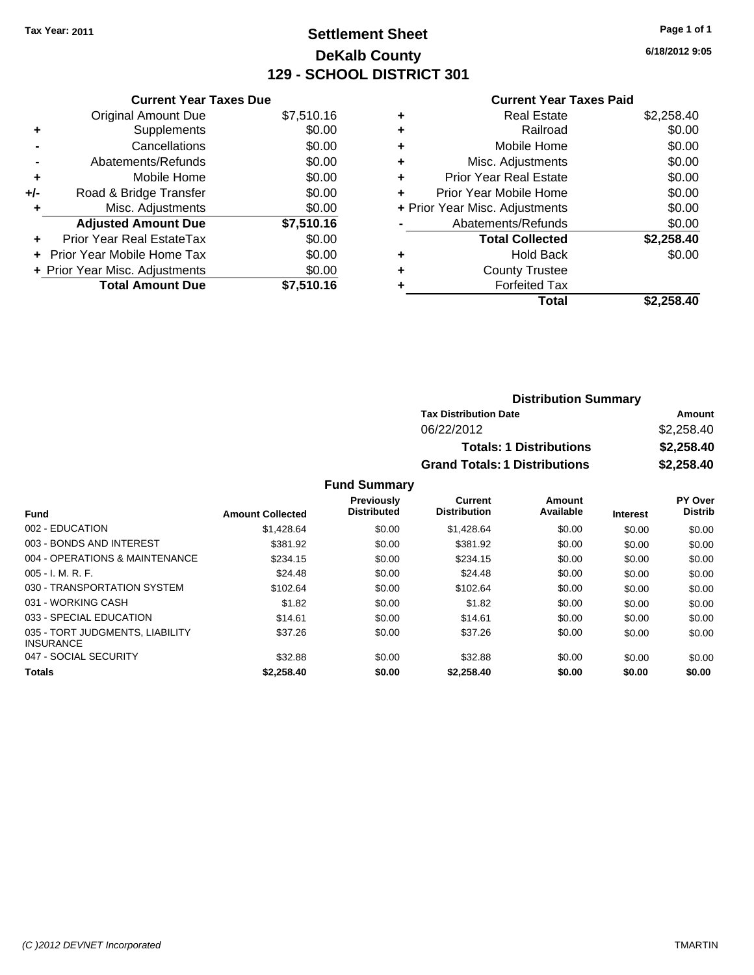## **Settlement Sheet Tax Year: 2011 Page 1 of 1 DeKalb County 129 - SCHOOL DISTRICT 301**

**6/18/2012 9:05**

### **Current Year Taxes Paid**

|     | <b>Current Year Taxes Due</b>     |            |
|-----|-----------------------------------|------------|
|     | <b>Original Amount Due</b>        | \$7,510.16 |
| ٠   | Supplements                       | \$0.00     |
|     | Cancellations                     | \$0.00     |
|     | Abatements/Refunds                | \$0.00     |
| ٠   | Mobile Home                       | \$0.00     |
| +/- | Road & Bridge Transfer            | \$0.00     |
|     | Misc. Adjustments                 | \$0.00     |
|     | <b>Adjusted Amount Due</b>        | \$7,510.16 |
| ÷   | Prior Year Real EstateTax         | \$0.00     |
|     | <b>Prior Year Mobile Home Tax</b> | \$0.00     |
|     | + Prior Year Misc. Adjustments    | \$0.00     |
|     | <b>Total Amount Due</b>           | \$7.510.16 |

| ٠ | Real Estate                    | \$2,258.40 |
|---|--------------------------------|------------|
| ٠ | Railroad                       | \$0.00     |
| ٠ | Mobile Home                    | \$0.00     |
| ٠ | Misc. Adjustments              | \$0.00     |
| ٠ | <b>Prior Year Real Estate</b>  | \$0.00     |
| ÷ | Prior Year Mobile Home         | \$0.00     |
|   | + Prior Year Misc. Adjustments | \$0.00     |
|   | Abatements/Refunds             | \$0.00     |
|   | <b>Total Collected</b>         | \$2,258.40 |
| ٠ | <b>Hold Back</b>               | \$0.00     |
| ٠ | <b>County Trustee</b>          |            |
|   | <b>Forfeited Tax</b>           |            |
|   | Total                          | \$2,258.40 |

| <b>Distribution Summary</b>          |            |
|--------------------------------------|------------|
| <b>Tax Distribution Date</b>         | Amount     |
| 06/22/2012                           | \$2,258.40 |
| <b>Totals: 1 Distributions</b>       | \$2,258.40 |
| <b>Grand Totals: 1 Distributions</b> | \$2,258,40 |

|                                                     |                         | <b>Previously</b>  | Current             | Amount    |                 | PY Over        |
|-----------------------------------------------------|-------------------------|--------------------|---------------------|-----------|-----------------|----------------|
| <b>Fund</b>                                         | <b>Amount Collected</b> | <b>Distributed</b> | <b>Distribution</b> | Available | <b>Interest</b> | <b>Distrib</b> |
| 002 - EDUCATION                                     | \$1.428.64              | \$0.00             | \$1.428.64          | \$0.00    | \$0.00          | \$0.00         |
| 003 - BONDS AND INTEREST                            | \$381.92                | \$0.00             | \$381.92            | \$0.00    | \$0.00          | \$0.00         |
| 004 - OPERATIONS & MAINTENANCE                      | \$234.15                | \$0.00             | \$234.15            | \$0.00    | \$0.00          | \$0.00         |
| $005 - I. M. R. F.$                                 | \$24.48                 | \$0.00             | \$24.48             | \$0.00    | \$0.00          | \$0.00         |
| 030 - TRANSPORTATION SYSTEM                         | \$102.64                | \$0.00             | \$102.64            | \$0.00    | \$0.00          | \$0.00         |
| 031 - WORKING CASH                                  | \$1.82                  | \$0.00             | \$1.82              | \$0.00    | \$0.00          | \$0.00         |
| 033 - SPECIAL EDUCATION                             | \$14.61                 | \$0.00             | \$14.61             | \$0.00    | \$0.00          | \$0.00         |
| 035 - TORT JUDGMENTS, LIABILITY<br><b>INSURANCE</b> | \$37.26                 | \$0.00             | \$37.26             | \$0.00    | \$0.00          | \$0.00         |
| 047 - SOCIAL SECURITY                               | \$32.88                 | \$0.00             | \$32.88             | \$0.00    | \$0.00          | \$0.00         |
| <b>Totals</b>                                       | \$2,258.40              | \$0.00             | \$2,258.40          | \$0.00    | \$0.00          | \$0.00         |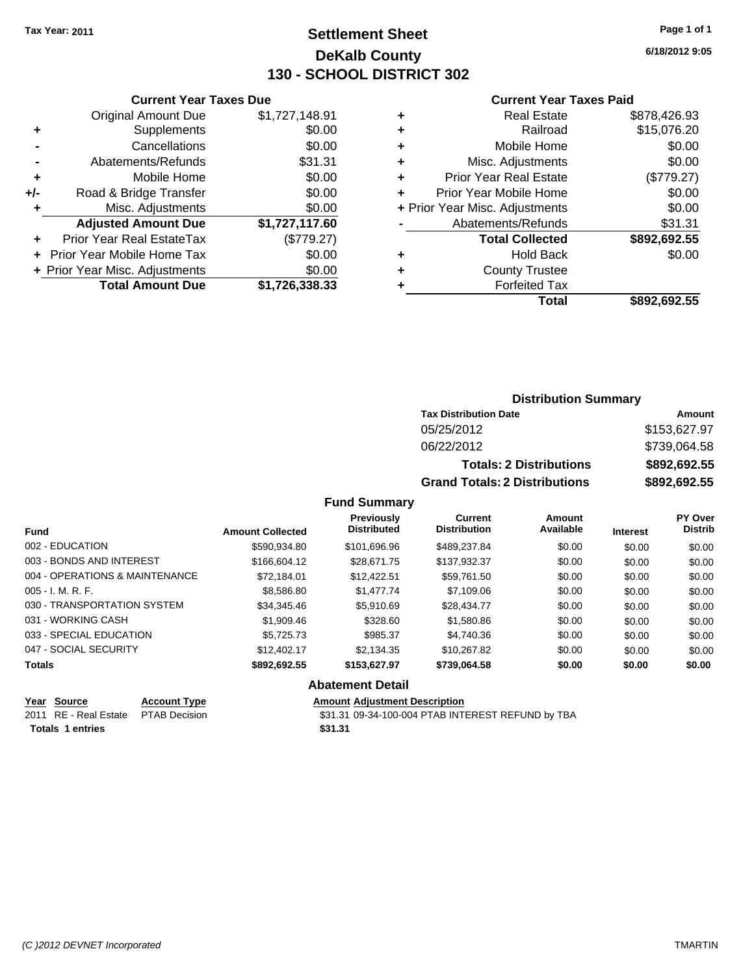### **Settlement Sheet Tax Year: 2011 Page 1 of 1 DeKalb County 130 - SCHOOL DISTRICT 302**

**6/18/2012 9:05**

#### **Current Year Taxes Paid**

|     | <b>Current Year Taxes Due</b>  |                |
|-----|--------------------------------|----------------|
|     | <b>Original Amount Due</b>     | \$1,727,148.91 |
| ٠   | Supplements                    | \$0.00         |
|     | Cancellations                  | \$0.00         |
|     | Abatements/Refunds             | \$31.31        |
| ٠   | Mobile Home                    | \$0.00         |
| +/- | Road & Bridge Transfer         | \$0.00         |
| ٠   | Misc. Adjustments              | \$0.00         |
|     | <b>Adjusted Amount Due</b>     | \$1,727,117.60 |
|     | Prior Year Real EstateTax      | (\$779.27)     |
|     | Prior Year Mobile Home Tax     | \$0.00         |
|     | + Prior Year Misc. Adjustments | \$0.00         |
|     | <b>Total Amount Due</b>        | \$1,726,338.33 |

| ٠ | <b>Real Estate</b>             | \$878,426.93 |
|---|--------------------------------|--------------|
| ٠ | Railroad                       | \$15,076.20  |
| ٠ | Mobile Home                    | \$0.00       |
| ٠ | Misc. Adjustments              | \$0.00       |
| ٠ | <b>Prior Year Real Estate</b>  | (\$779.27)   |
| ٠ | Prior Year Mobile Home         | \$0.00       |
|   | + Prior Year Misc. Adjustments | \$0.00       |
|   | Abatements/Refunds             | \$31.31      |
|   | <b>Total Collected</b>         | \$892,692.55 |
| ٠ | <b>Hold Back</b>               | \$0.00       |
| ٠ | <b>County Trustee</b>          |              |
| ٠ | <b>Forfeited Tax</b>           |              |
|   | Total                          | \$892.692.55 |
|   |                                |              |

### **Distribution Summary**

| <b>Tax Distribution Date</b>         | Amount       |
|--------------------------------------|--------------|
| 05/25/2012                           | \$153,627.97 |
| 06/22/2012                           | \$739,064.58 |
| <b>Totals: 2 Distributions</b>       | \$892,692.55 |
| <b>Grand Totals: 2 Distributions</b> | \$892,692.55 |

### **Fund Summary**

| <b>Fund</b>                    | <b>Amount Collected</b> | <b>Previously</b><br><b>Distributed</b> | <b>Current</b><br><b>Distribution</b> | Amount<br>Available | <b>Interest</b> | PY Over<br><b>Distrib</b> |
|--------------------------------|-------------------------|-----------------------------------------|---------------------------------------|---------------------|-----------------|---------------------------|
| 002 - EDUCATION                | \$590,934.80            | \$101,696.96                            | \$489.237.84                          | \$0.00              | \$0.00          | \$0.00                    |
| 003 - BONDS AND INTEREST       | \$166,604.12            | \$28.671.75                             | \$137,932.37                          | \$0.00              | \$0.00          | \$0.00                    |
| 004 - OPERATIONS & MAINTENANCE | \$72,184.01             | \$12,422.51                             | \$59,761.50                           | \$0.00              | \$0.00          | \$0.00                    |
| $005 - I. M. R. F.$            | \$8,586.80              | \$1,477.74                              | \$7,109.06                            | \$0.00              | \$0.00          | \$0.00                    |
| 030 - TRANSPORTATION SYSTEM    | \$34,345.46             | \$5,910.69                              | \$28,434.77                           | \$0.00              | \$0.00          | \$0.00                    |
| 031 - WORKING CASH             | \$1,909.46              | \$328.60                                | \$1,580.86                            | \$0.00              | \$0.00          | \$0.00                    |
| 033 - SPECIAL EDUCATION        | \$5,725.73              | \$985.37                                | \$4,740.36                            | \$0.00              | \$0.00          | \$0.00                    |
| 047 - SOCIAL SECURITY          | \$12,402.17             | \$2,134.35                              | \$10.267.82                           | \$0.00              | \$0.00          | \$0.00                    |
| <b>Totals</b>                  | \$892.692.55            | \$153,627.97                            | \$739.064.58                          | \$0.00              | \$0.00          | \$0.00                    |

### **Abatement Detail**

**Year Source Account Type Amount Adjustment Description**<br>
2011 RE - Real Estate PTAB Decision **Amount** \$31.31 09-34-100-004 PTAB INTI \$31.31 09-34-100-004 PTAB INTEREST REFUND by TBA **Totals 1 entries** \$31.31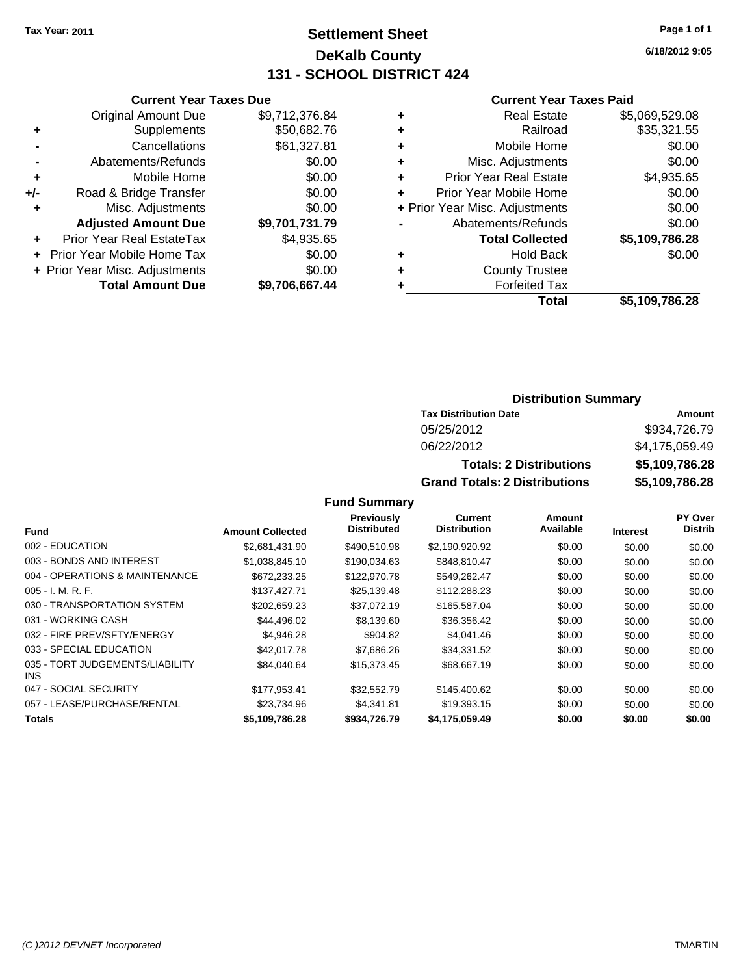### **Settlement Sheet Tax Year: 2011 Page 1 of 1 DeKalb County 131 - SCHOOL DISTRICT 424**

**6/18/2012 9:05**

### **Current Year Taxes Paid**

|     | <b>Current Year Taxes Due</b>  |                |
|-----|--------------------------------|----------------|
|     | <b>Original Amount Due</b>     | \$9,712,376.84 |
| ٠   | Supplements                    | \$50,682.76    |
|     | Cancellations                  | \$61,327.81    |
|     | Abatements/Refunds             | \$0.00         |
| ٠   | Mobile Home                    | \$0.00         |
| +/- | Road & Bridge Transfer         | \$0.00         |
| ٠   | Misc. Adjustments              | \$0.00         |
|     | <b>Adjusted Amount Due</b>     | \$9,701,731.79 |
|     | Prior Year Real EstateTax      | \$4,935.65     |
|     | Prior Year Mobile Home Tax     | \$0.00         |
|     | + Prior Year Misc. Adjustments | \$0.00         |
|     | <b>Total Amount Due</b>        | \$9,706,667.44 |

| ٠ | <b>Real Estate</b>             | \$5,069,529.08 |
|---|--------------------------------|----------------|
| ٠ | Railroad                       | \$35,321.55    |
| ٠ | Mobile Home                    | \$0.00         |
| ٠ | Misc. Adjustments              | \$0.00         |
| ٠ | <b>Prior Year Real Estate</b>  | \$4,935.65     |
|   | Prior Year Mobile Home         | \$0.00         |
|   | + Prior Year Misc. Adjustments | \$0.00         |
|   | Abatements/Refunds             | \$0.00         |
|   | <b>Total Collected</b>         | \$5,109,786.28 |
| ٠ | <b>Hold Back</b>               | \$0.00         |
| ٠ | <b>County Trustee</b>          |                |
| ٠ | <b>Forfeited Tax</b>           |                |
|   | Total                          | \$5,109,786.28 |
|   |                                |                |

### **Distribution Summary**

| <b>Tax Distribution Date</b>         | Amount         |
|--------------------------------------|----------------|
| 05/25/2012                           | \$934,726.79   |
| 06/22/2012                           | \$4,175,059.49 |
| <b>Totals: 2 Distributions</b>       | \$5,109,786.28 |
| <b>Grand Totals: 2 Distributions</b> | \$5,109,786.28 |

|                                         |                         | Previously         | Current             | Amount    |                 | <b>PY Over</b> |
|-----------------------------------------|-------------------------|--------------------|---------------------|-----------|-----------------|----------------|
| <b>Fund</b>                             | <b>Amount Collected</b> | <b>Distributed</b> | <b>Distribution</b> | Available | <b>Interest</b> | <b>Distrib</b> |
| 002 - EDUCATION                         | \$2,681,431.90          | \$490.510.98       | \$2,190,920.92      | \$0.00    | \$0.00          | \$0.00         |
| 003 - BONDS AND INTEREST                | \$1,038,845.10          | \$190,034.63       | \$848,810.47        | \$0.00    | \$0.00          | \$0.00         |
| 004 - OPERATIONS & MAINTENANCE          | \$672,233.25            | \$122,970.78       | \$549,262.47        | \$0.00    | \$0.00          | \$0.00         |
| $005 - I. M. R. F.$                     | \$137,427.71            | \$25,139.48        | \$112,288.23        | \$0.00    | \$0.00          | \$0.00         |
| 030 - TRANSPORTATION SYSTEM             | \$202.659.23            | \$37.072.19        | \$165,587,04        | \$0.00    | \$0.00          | \$0.00         |
| 031 - WORKING CASH                      | \$44,496.02             | \$8.139.60         | \$36,356.42         | \$0.00    | \$0.00          | \$0.00         |
| 032 - FIRE PREV/SFTY/ENERGY             | \$4,946.28              | \$904.82           | \$4,041.46          | \$0.00    | \$0.00          | \$0.00         |
| 033 - SPECIAL EDUCATION                 | \$42,017.78             | \$7,686.26         | \$34,331.52         | \$0.00    | \$0.00          | \$0.00         |
| 035 - TORT JUDGEMENTS/LIABILITY<br>INS. | \$84,040.64             | \$15,373.45        | \$68,667.19         | \$0.00    | \$0.00          | \$0.00         |
| 047 - SOCIAL SECURITY                   | \$177,953.41            | \$32,552.79        | \$145,400.62        | \$0.00    | \$0.00          | \$0.00         |
| 057 - LEASE/PURCHASE/RENTAL             | \$23.734.96             | \$4.341.81         | \$19,393.15         | \$0.00    | \$0.00          | \$0.00         |
| <b>Totals</b>                           | \$5,109,786.28          | \$934,726.79       | \$4,175,059.49      | \$0.00    | \$0.00          | \$0.00         |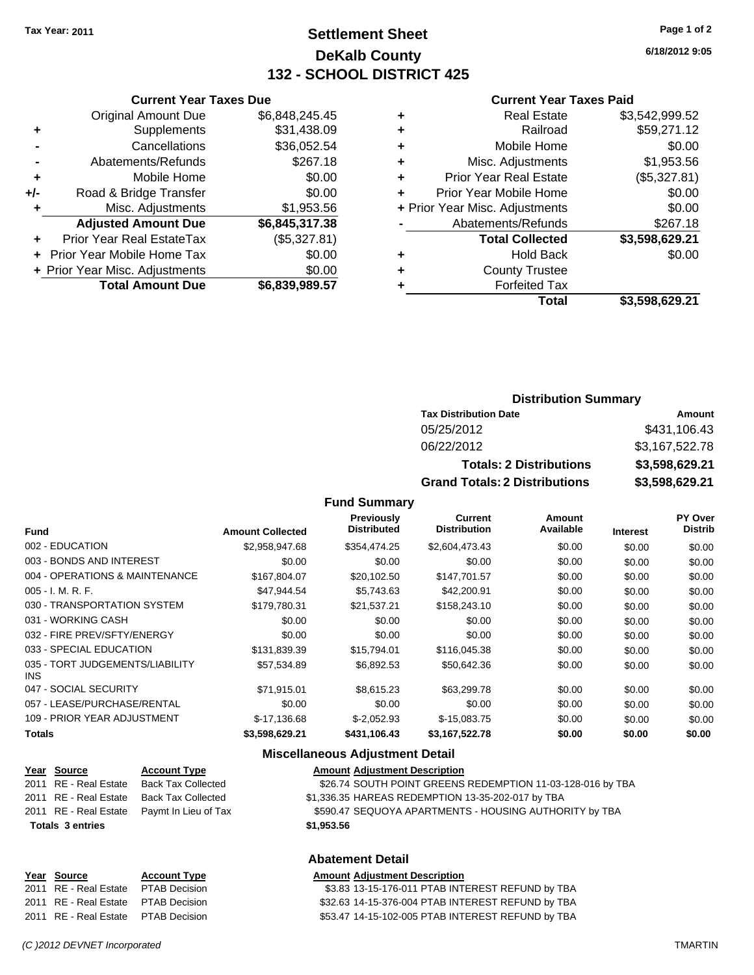### **Settlement Sheet Tax Year: 2011 Page 1 of 2 DeKalb County 132 - SCHOOL DISTRICT 425**

**6/18/2012 9:05**

#### **Current Year Taxes Paid**

|                                | \$3,598,629.21 |
|--------------------------------|----------------|
| <b>Forfeited Tax</b>           |                |
| <b>County Trustee</b>          |                |
| <b>Hold Back</b>               | \$0.00         |
| <b>Total Collected</b>         | \$3,598,629.21 |
| Abatements/Refunds             | \$267.18       |
| + Prior Year Misc. Adjustments | \$0.00         |
| Prior Year Mobile Home         | \$0.00         |
| <b>Prior Year Real Estate</b>  | (\$5,327.81)   |
| Misc. Adjustments              | \$1,953.56     |
| Mobile Home                    | \$0.00         |
| Railroad                       | \$59,271.12    |
| Real Estate                    | \$3,542,999.52 |
|                                | Total          |

|     | <b>Current Year Taxes Due</b>  |                |
|-----|--------------------------------|----------------|
|     | <b>Original Amount Due</b>     | \$6,848,245.45 |
| ٠   | Supplements                    | \$31,438.09    |
|     | Cancellations                  | \$36,052.54    |
|     | Abatements/Refunds             | \$267.18       |
| ٠   | Mobile Home                    | \$0.00         |
| +/- | Road & Bridge Transfer         | \$0.00         |
| ٠   | Misc. Adjustments              | \$1,953.56     |
|     | <b>Adjusted Amount Due</b>     | \$6,845,317.38 |
|     | Prior Year Real EstateTax      | (\$5,327.81)   |
|     | Prior Year Mobile Home Tax     | \$0.00         |
|     | + Prior Year Misc. Adjustments | \$0.00         |
|     | <b>Total Amount Due</b>        | \$6,839,989.57 |
|     |                                |                |

### **Distribution Summary**

| <b>Tax Distribution Date</b>         | Amount         |
|--------------------------------------|----------------|
| 05/25/2012                           | \$431,106.43   |
| 06/22/2012                           | \$3,167,522.78 |
| <b>Totals: 2 Distributions</b>       | \$3,598,629.21 |
| <b>Grand Totals: 2 Distributions</b> | \$3,598,629.21 |

#### **Fund Summary**

| <b>Fund</b>                                   | <b>Amount Collected</b> | <b>Previously</b><br><b>Distributed</b> | Current<br><b>Distribution</b> | Amount<br>Available | <b>Interest</b> | <b>PY Over</b><br><b>Distrib</b> |
|-----------------------------------------------|-------------------------|-----------------------------------------|--------------------------------|---------------------|-----------------|----------------------------------|
| 002 - EDUCATION                               | \$2,958,947.68          | \$354,474.25                            | \$2,604,473.43                 | \$0.00              | \$0.00          | \$0.00                           |
| 003 - BONDS AND INTEREST                      | \$0.00                  | \$0.00                                  | \$0.00                         | \$0.00              | \$0.00          | \$0.00                           |
| 004 - OPERATIONS & MAINTENANCE                | \$167.804.07            | \$20,102.50                             | \$147,701.57                   | \$0.00              | \$0.00          | \$0.00                           |
| $005 - I. M. R. F.$                           | \$47,944.54             | \$5,743.63                              | \$42,200.91                    | \$0.00              | \$0.00          | \$0.00                           |
| 030 - TRANSPORTATION SYSTEM                   | \$179.780.31            | \$21,537.21                             | \$158,243.10                   | \$0.00              | \$0.00          | \$0.00                           |
| 031 - WORKING CASH                            | \$0.00                  | \$0.00                                  | \$0.00                         | \$0.00              | \$0.00          | \$0.00                           |
| 032 - FIRE PREV/SFTY/ENERGY                   | \$0.00                  | \$0.00                                  | \$0.00                         | \$0.00              | \$0.00          | \$0.00                           |
| 033 - SPECIAL EDUCATION                       | \$131,839.39            | \$15,794.01                             | \$116,045.38                   | \$0.00              | \$0.00          | \$0.00                           |
| 035 - TORT JUDGEMENTS/LIABILITY<br><b>INS</b> | \$57,534.89             | \$6,892.53                              | \$50,642.36                    | \$0.00              | \$0.00          | \$0.00                           |
| 047 - SOCIAL SECURITY                         | \$71,915.01             | \$8,615.23                              | \$63,299.78                    | \$0.00              | \$0.00          | \$0.00                           |
| 057 - LEASE/PURCHASE/RENTAL                   | \$0.00                  | \$0.00                                  | \$0.00                         | \$0.00              | \$0.00          | \$0.00                           |
| 109 - PRIOR YEAR ADJUSTMENT                   | $$-17,136.68$           | $$-2,052.93$                            | $$-15,083.75$                  | \$0.00              | \$0.00          | \$0.00                           |
| <b>Totals</b>                                 | \$3,598,629.21          | \$431,106.43                            | \$3,167,522.78                 | \$0.00              | \$0.00          | \$0.00                           |

### **Miscellaneous Adjustment Detail**

| Year Source             | <b>Account Type</b>       | <b>Amount Adjustment Description</b>                       |
|-------------------------|---------------------------|------------------------------------------------------------|
| 2011 RE - Real Estate   | <b>Back Tax Collected</b> | \$26.74 SOUTH POINT GREENS REDEMPTION 11-03-128-016 by TBA |
| 2011 RE - Real Estate   | <b>Back Tax Collected</b> | \$1,336.35 HAREAS REDEMPTION 13-35-202-017 by TBA          |
| 2011 RE - Real Estate   | Paymt In Lieu of Tax      | \$590.47 SEQUOYA APARTMENTS - HOUSING AUTHORITY by TBA     |
| <b>Totals 3 entries</b> |                           | \$1,953.56                                                 |
|                         |                           | <b>Abatement Detail</b>                                    |
| Year Source             | <b>Account Type</b>       | <b>Amount Adjustment Description</b>                       |

# **Year Source 4.83 Account Type**<br>2011 RE - Real Estate PTAB Decision

| <u>. var ovarvo</u>   |                      |
|-----------------------|----------------------|
| 2011 RE - Real Estate | <b>PTAB Decision</b> |
| 2011 RE - Real Estate | <b>PTAB Decision</b> |
| 2011 RE - Real Estate | <b>PTAB Decision</b> |

| Amount Aujustinent Description |  |                                                   |  |
|--------------------------------|--|---------------------------------------------------|--|
|                                |  | \$3.83 13-15-176-011 PTAB INTEREST REFUND by TBA  |  |
|                                |  | \$32.63 14-15-376-004 PTAB INTEREST REFUND by TBA |  |
|                                |  | \$53.47 14-15-102-005 PTAB INTEREST REFUND by TBA |  |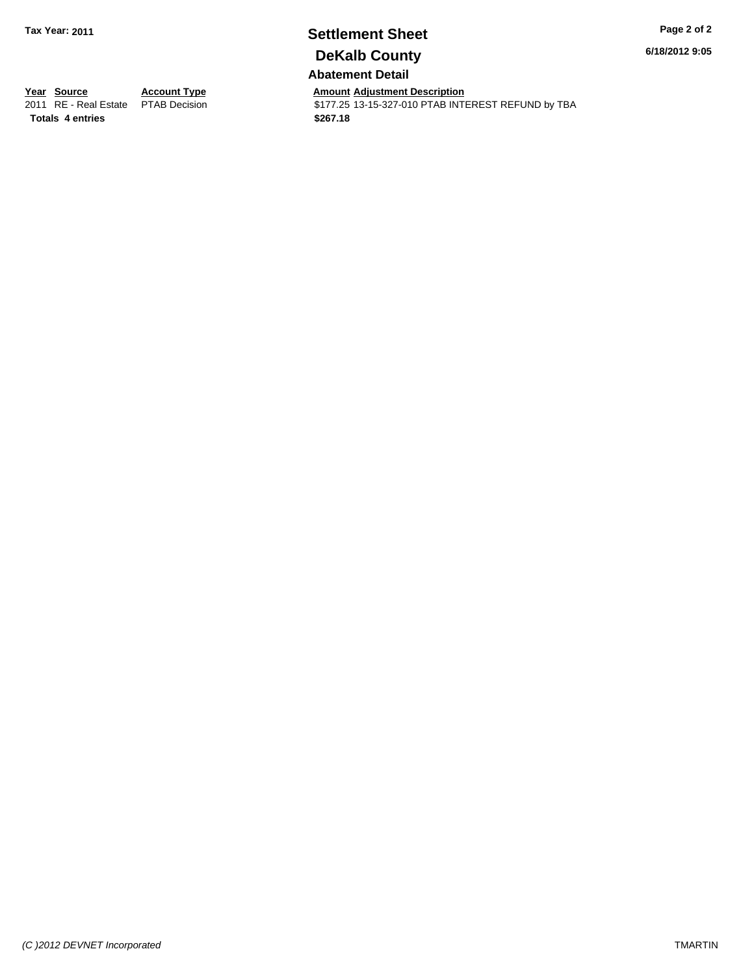# **Settlement Sheet Tax Year: 2011 Page 2 of 2 DeKalb County**

**6/18/2012 9:05**

**Abatement Detail**

\$177.25 13-15-327-010 PTAB INTEREST REFUND by TBA

**Year Source Account Type Amount Adjustment Description**<br>
2011 RE - Real Estate PTAB Decision **Amount** \$177.25 13-15-327-010 PTAB INTI **Totals \$267.18 4 entries**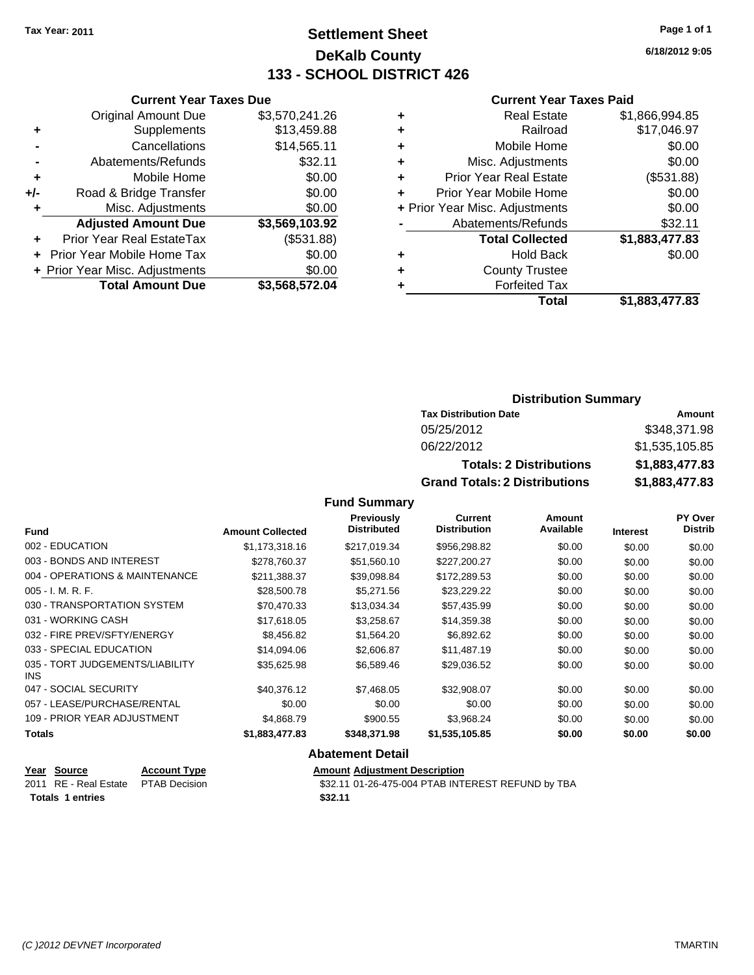**Current Year Taxes Due** Original Amount Due \$3,570,241.26

**Adjusted Amount Due \$3,569,103.92**

**Total Amount Due \$3,568,572.04**

**+** Supplements \$13,459.88 **-** Cancellations \$14,565.11 **-** Abatements/Refunds \$32.11 **+** Mobile Home \$0.00 **+/-** Road & Bridge Transfer \$0.00 **+** Misc. Adjustments \$0.00

**+** Prior Year Real EstateTax (\$531.88) **+** Prior Year Mobile Home Tax \$0.00 **+ Prior Year Misc. Adjustments**  $$0.00$ 

### **Settlement Sheet Tax Year: 2011 Page 1 of 1 DeKalb County 133 - SCHOOL DISTRICT 426**

**6/18/2012 9:05**

#### **Current Year Taxes Paid**

|   | Total                          | \$1,883,477.83 |
|---|--------------------------------|----------------|
|   | <b>Forfeited Tax</b>           |                |
| ٠ | <b>County Trustee</b>          |                |
| ٠ | <b>Hold Back</b>               | \$0.00         |
|   | <b>Total Collected</b>         | \$1,883,477.83 |
|   | Abatements/Refunds             | \$32.11        |
|   | + Prior Year Misc. Adjustments | \$0.00         |
| ÷ | Prior Year Mobile Home         | \$0.00         |
| ٠ | <b>Prior Year Real Estate</b>  | (\$531.88)     |
| ٠ | Misc. Adjustments              | \$0.00         |
| ٠ | Mobile Home                    | \$0.00         |
| ٠ | Railroad                       | \$17,046.97    |
| ٠ | <b>Real Estate</b>             | \$1,866,994.85 |
|   |                                |                |

| <b>Distribution Summary</b> |  |
|-----------------------------|--|
|-----------------------------|--|

| <b>Tax Distribution Date</b>         | Amount         |  |  |
|--------------------------------------|----------------|--|--|
| 05/25/2012                           | \$348.371.98   |  |  |
| 06/22/2012                           | \$1,535,105.85 |  |  |
| <b>Totals: 2 Distributions</b>       | \$1,883,477.83 |  |  |
| <b>Grand Totals: 2 Distributions</b> | \$1,883,477.83 |  |  |

**Fund Summary**

| <b>Fund</b>                             | <b>Amount Collected</b> | <b>Previously</b><br><b>Distributed</b> | <b>Current</b><br><b>Distribution</b> | Amount<br>Available | <b>Interest</b> | <b>PY Over</b><br><b>Distrib</b> |
|-----------------------------------------|-------------------------|-----------------------------------------|---------------------------------------|---------------------|-----------------|----------------------------------|
| 002 - EDUCATION                         | \$1,173,318.16          | \$217,019.34                            | \$956,298.82                          | \$0.00              | \$0.00          | \$0.00                           |
| 003 - BONDS AND INTEREST                | \$278,760.37            | \$51,560.10                             | \$227,200.27                          | \$0.00              | \$0.00          | \$0.00                           |
| 004 - OPERATIONS & MAINTENANCE          | \$211,388.37            | \$39,098.84                             | \$172,289.53                          | \$0.00              | \$0.00          | \$0.00                           |
| $005 - I. M. R. F.$                     | \$28,500.78             | \$5,271.56                              | \$23,229.22                           | \$0.00              | \$0.00          | \$0.00                           |
| 030 - TRANSPORTATION SYSTEM             | \$70.470.33             | \$13,034.34                             | \$57,435.99                           | \$0.00              | \$0.00          | \$0.00                           |
| 031 - WORKING CASH                      | \$17,618.05             | \$3,258.67                              | \$14,359.38                           | \$0.00              | \$0.00          | \$0.00                           |
| 032 - FIRE PREV/SFTY/ENERGY             | \$8,456.82              | \$1,564.20                              | \$6,892.62                            | \$0.00              | \$0.00          | \$0.00                           |
| 033 - SPECIAL EDUCATION                 | \$14,094.06             | \$2,606.87                              | \$11,487.19                           | \$0.00              | \$0.00          | \$0.00                           |
| 035 - TORT JUDGEMENTS/LIABILITY<br>INS. | \$35,625.98             | \$6,589.46                              | \$29,036.52                           | \$0.00              | \$0.00          | \$0.00                           |
| 047 - SOCIAL SECURITY                   | \$40,376.12             | \$7,468.05                              | \$32,908.07                           | \$0.00              | \$0.00          | \$0.00                           |
| 057 - LEASE/PURCHASE/RENTAL             | \$0.00                  | \$0.00                                  | \$0.00                                | \$0.00              | \$0.00          | \$0.00                           |
| 109 - PRIOR YEAR ADJUSTMENT             | \$4,868.79              | \$900.55                                | \$3,968.24                            | \$0.00              | \$0.00          | \$0.00                           |
| Totals                                  | \$1,883,477.83          | \$348,371.98                            | \$1,535,105.85                        | \$0.00              | \$0.00          | \$0.00                           |
|                                         |                         | <b>Abatement Detail</b>                 |                                       |                     |                 |                                  |

### **Year Source Account Type Amount Adjustment Description**

**Totals 1 entries** \$32.11

2011 RE - Real Estate \$32.11 01-26-475-004 PTAB INTEREST REFUND by TBA PTAB Decision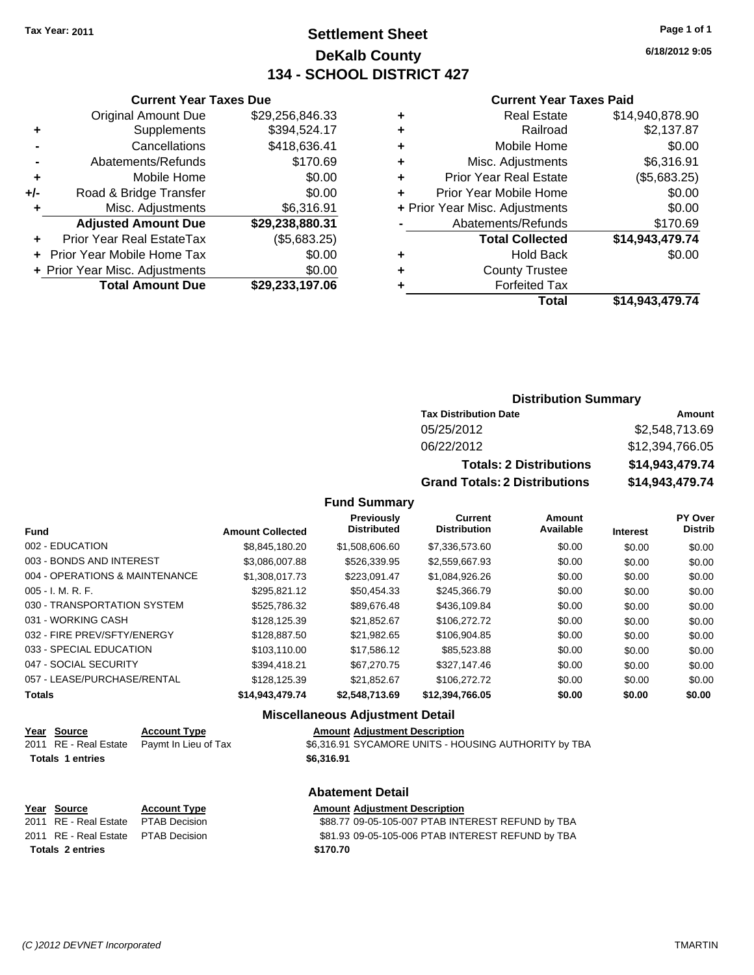### **Settlement Sheet Tax Year: 2011 Page 1 of 1 DeKalb County 134 - SCHOOL DISTRICT 427**

**6/18/2012 9:05**

#### **Current Year Taxes Paid**

|                            | Total                          | \$14.943.479.74 |
|----------------------------|--------------------------------|-----------------|
| ٠                          | <b>Forfeited Tax</b>           |                 |
| <b>County Trustee</b><br>٠ |                                |                 |
| ٠                          | <b>Hold Back</b>               | \$0.00          |
|                            | <b>Total Collected</b>         | \$14,943,479.74 |
|                            | Abatements/Refunds             | \$170.69        |
|                            | + Prior Year Misc. Adjustments | \$0.00          |
| ÷                          | Prior Year Mobile Home         | \$0.00          |
| ÷                          | <b>Prior Year Real Estate</b>  | (\$5,683.25)    |
| ٠                          | Misc. Adjustments              | \$6,316.91      |
| ÷                          | Mobile Home                    | \$0.00          |
| ÷                          | Railroad                       | \$2,137.87      |
| ٠                          | <b>Real Estate</b>             | \$14,940,878.90 |

|     | <b>Current Year Taxes Due</b>  |                 |  |  |  |
|-----|--------------------------------|-----------------|--|--|--|
|     | <b>Original Amount Due</b>     | \$29,256,846.33 |  |  |  |
| ٠   | Supplements                    | \$394,524.17    |  |  |  |
|     | Cancellations                  | \$418,636.41    |  |  |  |
|     | Abatements/Refunds             | \$170.69        |  |  |  |
| ٠   | Mobile Home                    | \$0.00          |  |  |  |
| +/- | Road & Bridge Transfer         | \$0.00          |  |  |  |
| ٠   | Misc. Adjustments              | \$6,316.91      |  |  |  |
|     | <b>Adjusted Amount Due</b>     | \$29,238,880.31 |  |  |  |
| ÷   | Prior Year Real EstateTax      | (\$5,683.25)    |  |  |  |
|     | Prior Year Mobile Home Tax     | \$0.00          |  |  |  |
|     | + Prior Year Misc. Adjustments | \$0.00          |  |  |  |
|     | <b>Total Amount Due</b>        | \$29,233,197.06 |  |  |  |
|     |                                |                 |  |  |  |

### **Distribution Summary**

| <b>Tax Distribution Date</b>         | Amount          |  |  |
|--------------------------------------|-----------------|--|--|
| 05/25/2012                           | \$2,548,713.69  |  |  |
| 06/22/2012                           | \$12,394,766.05 |  |  |
| <b>Totals: 2 Distributions</b>       | \$14,943,479.74 |  |  |
| <b>Grand Totals: 2 Distributions</b> | \$14,943,479.74 |  |  |

#### **Fund Summary**

| <b>Fund</b>                    | <b>Amount Collected</b> | <b>Previously</b><br><b>Distributed</b> | Current<br><b>Distribution</b> | Amount<br>Available | <b>Interest</b> | PY Over<br><b>Distrib</b> |
|--------------------------------|-------------------------|-----------------------------------------|--------------------------------|---------------------|-----------------|---------------------------|
| 002 - EDUCATION                | \$8,845,180.20          | \$1,508,606.60                          | \$7,336,573.60                 | \$0.00              | \$0.00          | \$0.00                    |
| 003 - BONDS AND INTEREST       | \$3.086.007.88          | \$526,339.95                            | \$2,559,667.93                 | \$0.00              | \$0.00          | \$0.00                    |
| 004 - OPERATIONS & MAINTENANCE | \$1,308,017.73          | \$223.091.47                            | \$1,084,926.26                 | \$0.00              | \$0.00          | \$0.00                    |
| $005 - I. M. R. F.$            | \$295,821.12            | \$50,454.33                             | \$245,366.79                   | \$0.00              | \$0.00          | \$0.00                    |
| 030 - TRANSPORTATION SYSTEM    | \$525,786.32            | \$89,676,48                             | \$436,109.84                   | \$0.00              | \$0.00          | \$0.00                    |
| 031 - WORKING CASH             | \$128,125.39            | \$21.852.67                             | \$106,272.72                   | \$0.00              | \$0.00          | \$0.00                    |
| 032 - FIRE PREV/SFTY/ENERGY    | \$128,887.50            | \$21.982.65                             | \$106.904.85                   | \$0.00              | \$0.00          | \$0.00                    |
| 033 - SPECIAL EDUCATION        | \$103.110.00            | \$17.586.12                             | \$85,523.88                    | \$0.00              | \$0.00          | \$0.00                    |
| 047 - SOCIAL SECURITY          | \$394.418.21            | \$67,270.75                             | \$327.147.46                   | \$0.00              | \$0.00          | \$0.00                    |
| 057 - LEASE/PURCHASE/RENTAL    | \$128,125.39            | \$21.852.67                             | \$106,272.72                   | \$0.00              | \$0.00          | \$0.00                    |
| <b>Totals</b>                  | \$14,943,479.74         | \$2,548,713.69                          | \$12,394,766.05                | \$0.00              | \$0.00          | \$0.00                    |

#### **Miscellaneous Adjustment Detail**

**Abatement Detail**

|                         | Year Source           | <b>Account Type</b>  | <b>Amount Adjustment Description</b>                 |
|-------------------------|-----------------------|----------------------|------------------------------------------------------|
|                         | 2011 RE - Real Estate | Pavmt In Lieu of Tax | \$6,316.91 SYCAMORE UNITS - HOUSING AUTHORITY by TBA |
| <b>Totals 1 entries</b> |                       |                      | \$6.316.91                                           |
|                         |                       |                      |                                                      |

# **Totals \$170.70 2 entries**

### **Year Source Account Type Amount Adjustment Description**

2011 RE - Real Estate \$88.77 09-05-105-007 PTAB INTEREST REFUND by TBA PTAB Decision 2011 RE - Real Estate \$81.93 09-05-105-006 PTAB INTEREST REFUND by TBA PTAB Decision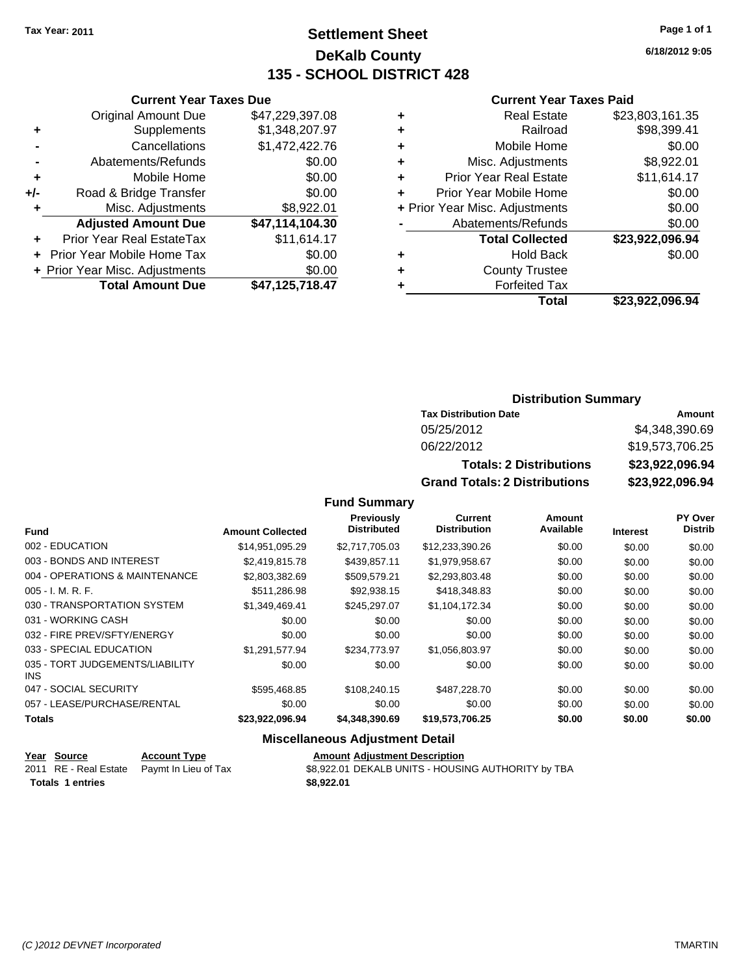### **Settlement Sheet Tax Year: 2011 Page 1 of 1 DeKalb County 135 - SCHOOL DISTRICT 428**

**6/18/2012 9:05**

### **Current Year Taxes Paid**

|   | Total                          | \$23.922.096.94 |
|---|--------------------------------|-----------------|
|   | <b>Forfeited Tax</b>           |                 |
| ٠ | <b>County Trustee</b>          |                 |
| ٠ | <b>Hold Back</b>               | \$0.00          |
|   | <b>Total Collected</b>         | \$23,922,096.94 |
|   | Abatements/Refunds             | \$0.00          |
|   | + Prior Year Misc. Adjustments | \$0.00          |
| ٠ | Prior Year Mobile Home         | \$0.00          |
| ٠ | <b>Prior Year Real Estate</b>  | \$11,614.17     |
| ٠ | Misc. Adjustments              | \$8,922.01      |
| ٠ | Mobile Home                    | \$0.00          |
| ٠ | Railroad                       | \$98,399.41     |
| ٠ | <b>Real Estate</b>             | \$23,803,161.35 |

|     | <b>Current Year Taxes Due</b>  |                 |  |  |  |
|-----|--------------------------------|-----------------|--|--|--|
|     | <b>Original Amount Due</b>     | \$47,229,397.08 |  |  |  |
| ٠   | Supplements                    | \$1,348,207.97  |  |  |  |
|     | Cancellations                  | \$1,472,422.76  |  |  |  |
|     | Abatements/Refunds             | \$0.00          |  |  |  |
| ٠   | Mobile Home                    | \$0.00          |  |  |  |
| +/- | Road & Bridge Transfer         | \$0.00          |  |  |  |
| ٠   | Misc. Adjustments              | \$8,922.01      |  |  |  |
|     | <b>Adjusted Amount Due</b>     | \$47,114,104.30 |  |  |  |
|     | Prior Year Real EstateTax      | \$11,614.17     |  |  |  |
|     | Prior Year Mobile Home Tax     | \$0.00          |  |  |  |
|     | + Prior Year Misc. Adjustments | \$0.00          |  |  |  |
|     | <b>Total Amount Due</b>        | \$47,125,718.47 |  |  |  |
|     |                                |                 |  |  |  |

### **Distribution Summary**

| <b>Tax Distribution Date</b>         | Amount          |
|--------------------------------------|-----------------|
| 05/25/2012                           | \$4,348,390.69  |
| 06/22/2012                           | \$19,573,706.25 |
| <b>Totals: 2 Distributions</b>       | \$23,922,096.94 |
| <b>Grand Totals: 2 Distributions</b> | \$23,922,096.94 |

**Fund Summary**

|                                         |                         | <b>Previously</b><br><b>Distributed</b> | Current<br><b>Distribution</b> | Amount<br>Available |                 | <b>PY Over</b><br><b>Distrib</b> |
|-----------------------------------------|-------------------------|-----------------------------------------|--------------------------------|---------------------|-----------------|----------------------------------|
| <b>Fund</b>                             | <b>Amount Collected</b> |                                         |                                |                     | <b>Interest</b> |                                  |
| 002 - EDUCATION                         | \$14,951,095.29         | \$2,717,705.03                          | \$12,233,390.26                | \$0.00              | \$0.00          | \$0.00                           |
| 003 - BONDS AND INTEREST                | \$2,419,815.78          | \$439,857.11                            | \$1,979,958.67                 | \$0.00              | \$0.00          | \$0.00                           |
| 004 - OPERATIONS & MAINTENANCE          | \$2,803,382.69          | \$509,579.21                            | \$2,293,803.48                 | \$0.00              | \$0.00          | \$0.00                           |
| $005 - I. M. R. F.$                     | \$511,286.98            | \$92,938.15                             | \$418,348.83                   | \$0.00              | \$0.00          | \$0.00                           |
| 030 - TRANSPORTATION SYSTEM             | \$1,349,469.41          | \$245.297.07                            | \$1,104,172.34                 | \$0.00              | \$0.00          | \$0.00                           |
| 031 - WORKING CASH                      | \$0.00                  | \$0.00                                  | \$0.00                         | \$0.00              | \$0.00          | \$0.00                           |
| 032 - FIRE PREV/SFTY/ENERGY             | \$0.00                  | \$0.00                                  | \$0.00                         | \$0.00              | \$0.00          | \$0.00                           |
| 033 - SPECIAL EDUCATION                 | \$1.291.577.94          | \$234,773,97                            | \$1,056,803.97                 | \$0.00              | \$0.00          | \$0.00                           |
| 035 - TORT JUDGEMENTS/LIABILITY<br>INS. | \$0.00                  | \$0.00                                  | \$0.00                         | \$0.00              | \$0.00          | \$0.00                           |
| 047 - SOCIAL SECURITY                   | \$595.468.85            | \$108,240.15                            | \$487,228,70                   | \$0.00              | \$0.00          | \$0.00                           |
| 057 - LEASE/PURCHASE/RENTAL             | \$0.00                  | \$0.00                                  | \$0.00                         | \$0.00              | \$0.00          | \$0.00                           |
| <b>Totals</b>                           | \$23,922,096.94         | \$4,348,390.69                          | \$19,573,706.25                | \$0.00              | \$0.00          | \$0.00                           |

### **Miscellaneous Adjustment Detail**

| <u> Year Source</u>     | <b>Account Type</b>                        | <b>Amount Adjustment Description</b>               |
|-------------------------|--------------------------------------------|----------------------------------------------------|
|                         | 2011 RE - Real Estate Paymt In Lieu of Tax | \$8,922.01 DEKALB UNITS - HOUSING AUTHORITY by TBA |
| <b>Totals 1 entries</b> |                                            | \$8,922,01                                         |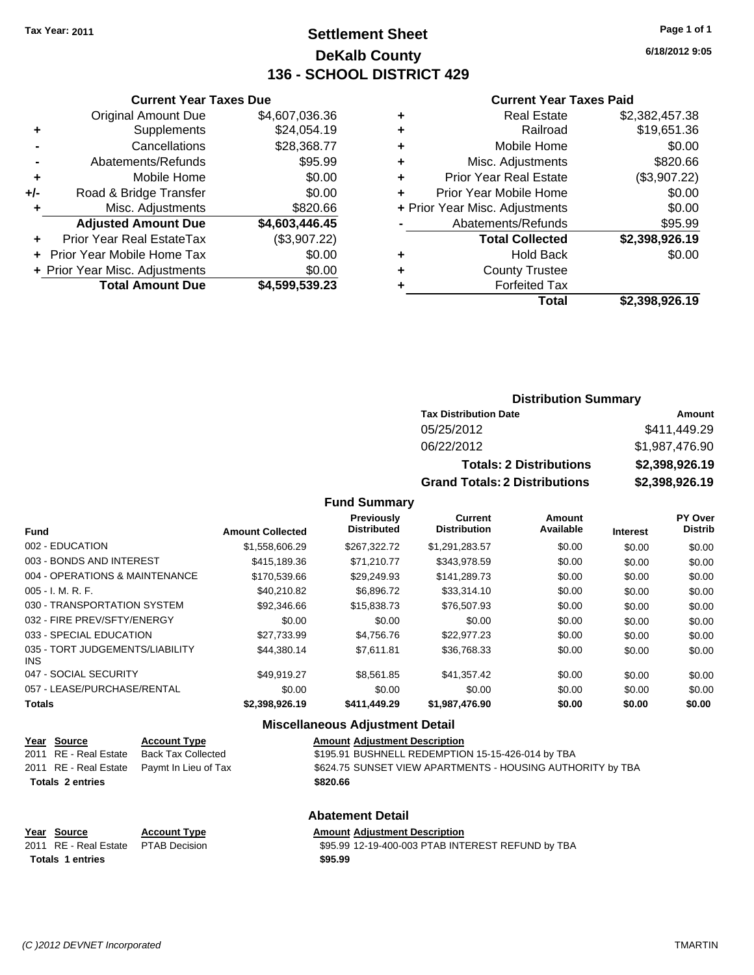### **Settlement Sheet Tax Year: 2011 Page 1 of 1 DeKalb County 136 - SCHOOL DISTRICT 429**

**6/18/2012 9:05**

### **Current Year Taxes Paid**

| ٠ | <b>Real Estate</b>             | \$2,382,457.38 |
|---|--------------------------------|----------------|
| ٠ | Railroad                       | \$19,651.36    |
| ٠ | Mobile Home                    | \$0.00         |
| ٠ | Misc. Adjustments              | \$820.66       |
| ٠ | <b>Prior Year Real Estate</b>  | (\$3,907.22)   |
| ÷ | Prior Year Mobile Home         | \$0.00         |
|   | + Prior Year Misc. Adjustments | \$0.00         |
|   | Abatements/Refunds             | \$95.99        |
|   | <b>Total Collected</b>         | \$2,398,926.19 |
| ٠ | <b>Hold Back</b>               | \$0.00         |
| ٠ | <b>County Trustee</b>          |                |
|   | <b>Forfeited Tax</b>           |                |
|   | Total                          | \$2,398,926.19 |

|     | <b>Current Year Taxes Due</b>     |                |  |  |  |
|-----|-----------------------------------|----------------|--|--|--|
|     | <b>Original Amount Due</b>        | \$4,607,036.36 |  |  |  |
| ٠   | Supplements                       | \$24,054.19    |  |  |  |
|     | Cancellations                     | \$28,368.77    |  |  |  |
|     | Abatements/Refunds                | \$95.99        |  |  |  |
| ٠   | Mobile Home                       | \$0.00         |  |  |  |
| +/- | Road & Bridge Transfer            | \$0.00         |  |  |  |
| ٠   | Misc. Adjustments                 | \$820.66       |  |  |  |
|     | <b>Adjusted Amount Due</b>        | \$4,603,446.45 |  |  |  |
| ÷   | Prior Year Real EstateTax         | (\$3,907.22)   |  |  |  |
|     | <b>Prior Year Mobile Home Tax</b> | \$0.00         |  |  |  |
|     | + Prior Year Misc. Adjustments    | \$0.00         |  |  |  |
|     | <b>Total Amount Due</b>           | \$4,599,539.23 |  |  |  |
|     |                                   |                |  |  |  |

### **Distribution Summary**

| <b>Tax Distribution Date</b>         | Amount         |
|--------------------------------------|----------------|
| 05/25/2012                           | \$411,449.29   |
| 06/22/2012                           | \$1,987,476.90 |
| <b>Totals: 2 Distributions</b>       | \$2,398,926.19 |
| <b>Grand Totals: 2 Distributions</b> | \$2,398,926.19 |

**Fund Summary**

|                                               |                         | Previously<br><b>Distributed</b> | Current<br><b>Distribution</b> | Amount<br>Available |                 | PY Over<br><b>Distrib</b> |
|-----------------------------------------------|-------------------------|----------------------------------|--------------------------------|---------------------|-----------------|---------------------------|
| <b>Fund</b>                                   | <b>Amount Collected</b> |                                  |                                |                     | <b>Interest</b> |                           |
| 002 - EDUCATION                               | \$1,558,606.29          | \$267.322.72                     | \$1,291,283.57                 | \$0.00              | \$0.00          | \$0.00                    |
| 003 - BONDS AND INTEREST                      | \$415.189.36            | \$71.210.77                      | \$343.978.59                   | \$0.00              | \$0.00          | \$0.00                    |
| 004 - OPERATIONS & MAINTENANCE                | \$170,539,66            | \$29.249.93                      | \$141.289.73                   | \$0.00              | \$0.00          | \$0.00                    |
| $005 - I. M. R. F.$                           | \$40.210.82             | \$6.896.72                       | \$33,314.10                    | \$0.00              | \$0.00          | \$0.00                    |
| 030 - TRANSPORTATION SYSTEM                   | \$92,346.66             | \$15,838,73                      | \$76,507.93                    | \$0.00              | \$0.00          | \$0.00                    |
| 032 - FIRE PREV/SFTY/ENERGY                   | \$0.00                  | \$0.00                           | \$0.00                         | \$0.00              | \$0.00          | \$0.00                    |
| 033 - SPECIAL EDUCATION                       | \$27.733.99             | \$4.756.76                       | \$22,977.23                    | \$0.00              | \$0.00          | \$0.00                    |
| 035 - TORT JUDGEMENTS/LIABILITY<br><b>INS</b> | \$44,380.14             | \$7.611.81                       | \$36,768.33                    | \$0.00              | \$0.00          | \$0.00                    |
| 047 - SOCIAL SECURITY                         | \$49.919.27             | \$8,561.85                       | \$41,357.42                    | \$0.00              | \$0.00          | \$0.00                    |
| 057 - LEASE/PURCHASE/RENTAL                   | \$0.00                  | \$0.00                           | \$0.00                         | \$0.00              | \$0.00          | \$0.00                    |
| <b>Totals</b>                                 | \$2,398,926.19          | \$411,449.29                     | \$1,987,476.90                 | \$0.00              | \$0.00          | \$0.00                    |

### **Miscellaneous Adjustment Detail**

|                         | Year Source             | <b>Account Type</b>                        | <b>Amount Adjustment Description</b>                       |
|-------------------------|-------------------------|--------------------------------------------|------------------------------------------------------------|
|                         |                         | 2011 RE - Real Estate Back Tax Collected   | \$195.91 BUSHNELL REDEMPTION 15-15-426-014 by TBA          |
|                         |                         | 2011 RE - Real Estate Paymt In Lieu of Tax | \$624.75 SUNSET VIEW APARTMENTS - HOUSING AUTHORITY by TBA |
|                         | <b>Totals 2 entries</b> |                                            | \$820.66                                                   |
| <b>Abatement Detail</b> |                         |                                            |                                                            |

| Year Source                         | <b>Account Type</b> | <b>Amount Adjustment Description</b>              |
|-------------------------------------|---------------------|---------------------------------------------------|
| 2011 RE - Real Estate PTAB Decision |                     | \$95.99 12-19-400-003 PTAB INTEREST REFUND by TBA |
| Totals 1 entries                    |                     | \$95.99                                           |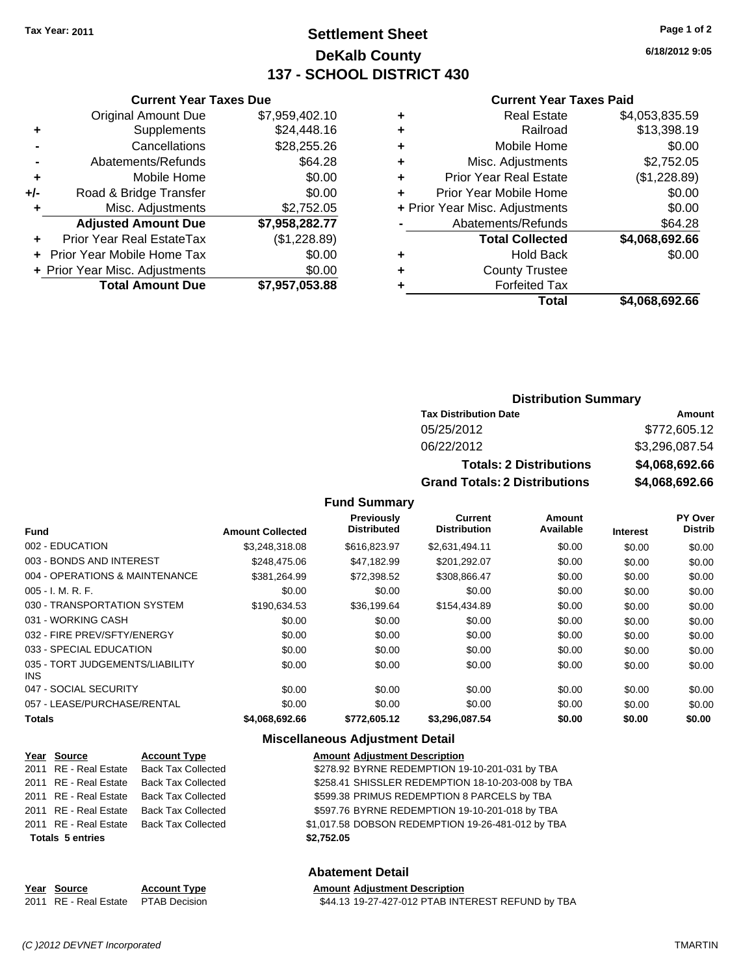### **Settlement Sheet Tax Year: 2011 Page 1 of 2 DeKalb County 137 - SCHOOL DISTRICT 430**

**6/18/2012 9:05**

### **Current Year Taxes Paid**

| \$4,053,835.59<br><b>Real Estate</b>          |
|-----------------------------------------------|
| \$13,398.19<br>Railroad                       |
| \$0.00<br>Mobile Home                         |
| \$2,752.05<br>Misc. Adjustments               |
| (\$1,228.89)<br><b>Prior Year Real Estate</b> |
| \$0.00<br>Prior Year Mobile Home              |
| \$0.00<br>+ Prior Year Misc. Adjustments      |
| \$64.28<br>Abatements/Refunds                 |
| \$4,068,692.66<br><b>Total Collected</b>      |
| \$0.00<br><b>Hold Back</b>                    |
| <b>County Trustee</b>                         |
| <b>Forfeited Tax</b>                          |
| \$4,068,692.66<br>Total                       |
|                                               |

|     | <b>Current Year Taxes Due</b>  |                |
|-----|--------------------------------|----------------|
|     | <b>Original Amount Due</b>     | \$7,959,402.10 |
| ٠   | Supplements                    | \$24,448.16    |
|     | Cancellations                  | \$28,255.26    |
|     | Abatements/Refunds             | \$64.28        |
| ٠   | Mobile Home                    | \$0.00         |
| +/- | Road & Bridge Transfer         | \$0.00         |
| ٠   | Misc. Adjustments              | \$2,752.05     |
|     | <b>Adjusted Amount Due</b>     | \$7,958,282.77 |
|     | Prior Year Real EstateTax      | (\$1,228.89)   |
|     | Prior Year Mobile Home Tax     | \$0.00         |
|     | + Prior Year Misc. Adjustments | \$0.00         |
|     | <b>Total Amount Due</b>        | \$7,957,053.88 |

### **Distribution Summary**

| <b>Tax Distribution Date</b>         | Amount         |
|--------------------------------------|----------------|
| 05/25/2012                           | \$772,605.12   |
| 06/22/2012                           | \$3,296,087.54 |
| <b>Totals: 2 Distributions</b>       | \$4,068,692.66 |
| <b>Grand Totals: 2 Distributions</b> | \$4,068,692.66 |

**Fund Summary**

| <b>Fund</b>                                   | <b>Amount Collected</b> | Previously<br><b>Distributed</b> | Current<br><b>Distribution</b> | Amount<br>Available | <b>Interest</b> | PY Over<br><b>Distrib</b> |
|-----------------------------------------------|-------------------------|----------------------------------|--------------------------------|---------------------|-----------------|---------------------------|
| 002 - EDUCATION                               | \$3.248.318.08          | \$616,823,97                     |                                |                     |                 |                           |
|                                               |                         |                                  | \$2,631,494.11                 | \$0.00              | \$0.00          | \$0.00                    |
| 003 - BONDS AND INTEREST                      | \$248,475.06            | \$47.182.99                      | \$201,292.07                   | \$0.00              | \$0.00          | \$0.00                    |
| 004 - OPERATIONS & MAINTENANCE                | \$381.264.99            | \$72.398.52                      | \$308,866.47                   | \$0.00              | \$0.00          | \$0.00                    |
| $005 - I. M. R. F.$                           | \$0.00                  | \$0.00                           | \$0.00                         | \$0.00              | \$0.00          | \$0.00                    |
| 030 - TRANSPORTATION SYSTEM                   | \$190.634.53            | \$36.199.64                      | \$154,434.89                   | \$0.00              | \$0.00          | \$0.00                    |
| 031 - WORKING CASH                            | \$0.00                  | \$0.00                           | \$0.00                         | \$0.00              | \$0.00          | \$0.00                    |
| 032 - FIRE PREV/SFTY/ENERGY                   | \$0.00                  | \$0.00                           | \$0.00                         | \$0.00              | \$0.00          | \$0.00                    |
| 033 - SPECIAL EDUCATION                       | \$0.00                  | \$0.00                           | \$0.00                         | \$0.00              | \$0.00          | \$0.00                    |
| 035 - TORT JUDGEMENTS/LIABILITY<br><b>INS</b> | \$0.00                  | \$0.00                           | \$0.00                         | \$0.00              | \$0.00          | \$0.00                    |
| 047 - SOCIAL SECURITY                         | \$0.00                  | \$0.00                           | \$0.00                         | \$0.00              | \$0.00          | \$0.00                    |
| 057 - LEASE/PURCHASE/RENTAL                   | \$0.00                  | \$0.00                           | \$0.00                         | \$0.00              | \$0.00          | \$0.00                    |
| <b>Totals</b>                                 | \$4,068,692.66          | \$772,605.12                     | \$3,296,087.54                 | \$0.00              | \$0.00          | \$0.00                    |

### **Miscellaneous Adjustment Detail**

| Year Source             | <b>Account Type</b>       | <b>Amount Adjustment Description</b>              |
|-------------------------|---------------------------|---------------------------------------------------|
| 2011 RE - Real Estate   | <b>Back Tax Collected</b> | \$278.92 BYRNE REDEMPTION 19-10-201-031 by TBA    |
| 2011 RE - Real Estate   | Back Tax Collected        | \$258.41 SHISSLER REDEMPTION 18-10-203-008 by TBA |
| 2011 RE - Real Estate   | Back Tax Collected        | \$599.38 PRIMUS REDEMPTION 8 PARCELS by TBA       |
| 2011 RE - Real Estate   | <b>Back Tax Collected</b> | \$597.76 BYRNE REDEMPTION 19-10-201-018 by TBA    |
| 2011 RE - Real Estate   | Back Tax Collected        | \$1,017.58 DOBSON REDEMPTION 19-26-481-012 by TBA |
| <b>Totals 5 entries</b> |                           | \$2.752.05                                        |
|                         |                           |                                                   |

### **Abatement Detail**

| Year Source                         | <b>Account Type</b> | <b>Amount Adiustment Description</b>              |
|-------------------------------------|---------------------|---------------------------------------------------|
| 2011 RE - Real Estate PTAB Decision |                     | \$44.13 19-27-427-012 PTAB INTEREST REFUND by TBA |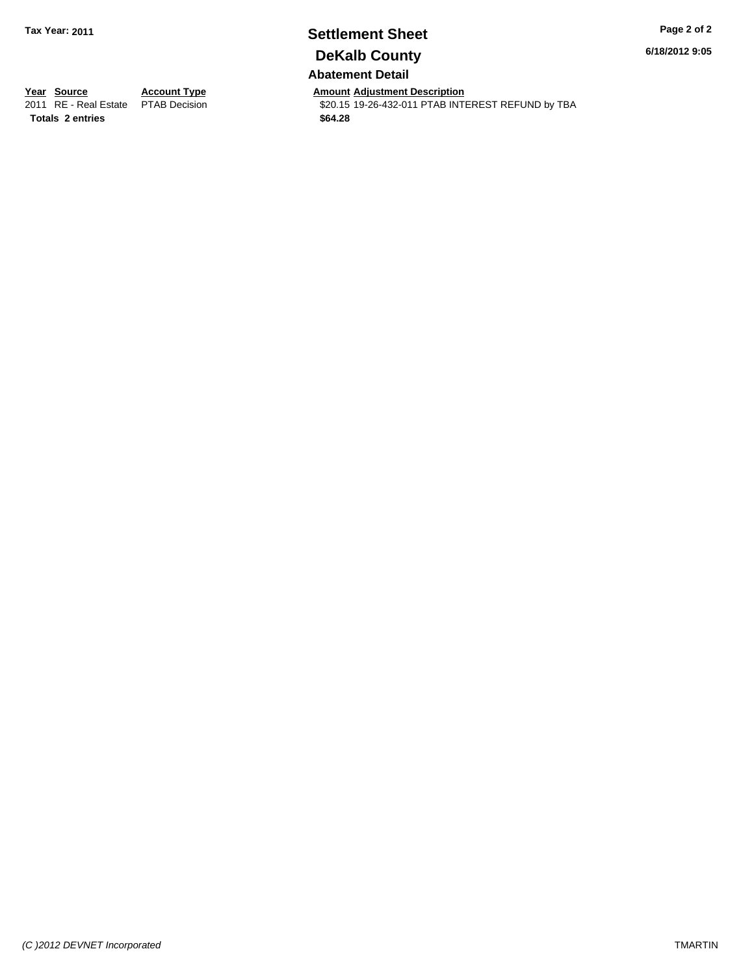### **Settlement Sheet Tax Year: 2011 Page 2 of 2 DeKalb County Abatement Detail**

**6/18/2012 9:05**

**Totals \$64.28 2 entries**

**Year Source Account Type Amount Adjustment Description**<br> **2011** RE - Real Estate PTAB Decision **Amount \$20.15** 19-26-432-011 PTAB INTI \$20.15 19-26-432-011 PTAB INTEREST REFUND by TBA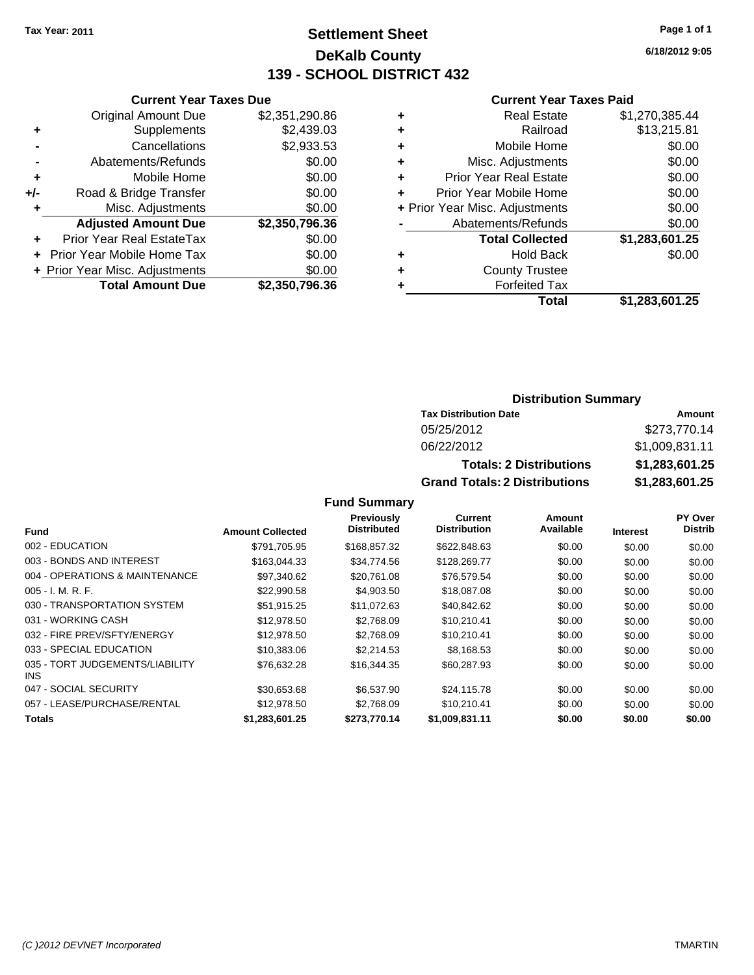### **Settlement Sheet Tax Year: 2011 Page 1 of 1 DeKalb County 139 - SCHOOL DISTRICT 432**

**6/18/2012 9:05**

### **Current Year Taxes Paid**

|     | <b>Current Year Taxes Due</b>  |                |      |  |
|-----|--------------------------------|----------------|------|--|
|     | <b>Original Amount Due</b>     | \$2,351,290.86 |      |  |
|     | Supplements                    | \$2,439.03     |      |  |
|     | Cancellations                  | \$2,933.53     |      |  |
|     | Abatements/Refunds             | \$0.00         | ٠    |  |
|     | Mobile Home                    | \$0.00         |      |  |
| +/- | Road & Bridge Transfer         | \$0.00         |      |  |
|     | Misc. Adjustments              | \$0.00         | + Pi |  |
|     | <b>Adjusted Amount Due</b>     | \$2,350,796.36 |      |  |
|     | Prior Year Real EstateTax      | \$0.00         |      |  |
|     | Prior Year Mobile Home Tax     | \$0.00         |      |  |
|     | + Prior Year Misc. Adjustments | \$0.00         |      |  |
|     | <b>Total Amount Due</b>        | \$2,350,796.36 |      |  |
|     |                                |                |      |  |

| ٠ | <b>Real Estate</b>             | \$1,270,385.44 |
|---|--------------------------------|----------------|
| ٠ | Railroad                       | \$13,215.81    |
| ÷ | Mobile Home                    | \$0.00         |
| ٠ | Misc. Adjustments              | \$0.00         |
| ٠ | Prior Year Real Estate         | \$0.00         |
| ÷ | Prior Year Mobile Home         | \$0.00         |
|   | + Prior Year Misc. Adjustments | \$0.00         |
|   | Abatements/Refunds             | \$0.00         |
|   | <b>Total Collected</b>         | \$1,283,601.25 |
| ٠ | <b>Hold Back</b>               | \$0.00         |
| ٠ | <b>County Trustee</b>          |                |
| ٠ | <b>Forfeited Tax</b>           |                |
|   | Total                          | \$1,283,601.25 |
|   |                                |                |

### **Distribution Summary**

| <b>Tax Distribution Date</b>         | Amount         |
|--------------------------------------|----------------|
| 05/25/2012                           | \$273,770.14   |
| 06/22/2012                           | \$1,009,831.11 |
| <b>Totals: 2 Distributions</b>       | \$1,283,601.25 |
| <b>Grand Totals: 2 Distributions</b> | \$1,283,601.25 |

|                                         |                         | Previously         | Current             | Amount    |                 | <b>PY Over</b> |
|-----------------------------------------|-------------------------|--------------------|---------------------|-----------|-----------------|----------------|
| <b>Fund</b>                             | <b>Amount Collected</b> | <b>Distributed</b> | <b>Distribution</b> | Available | <b>Interest</b> | <b>Distrib</b> |
| 002 - EDUCATION                         | \$791,705.95            | \$168,857.32       | \$622,848.63        | \$0.00    | \$0.00          | \$0.00         |
| 003 - BONDS AND INTEREST                | \$163,044.33            | \$34,774.56        | \$128,269.77        | \$0.00    | \$0.00          | \$0.00         |
| 004 - OPERATIONS & MAINTENANCE          | \$97,340.62             | \$20.761.08        | \$76,579.54         | \$0.00    | \$0.00          | \$0.00         |
| $005 - I. M. R. F.$                     | \$22,990.58             | \$4,903.50         | \$18,087.08         | \$0.00    | \$0.00          | \$0.00         |
| 030 - TRANSPORTATION SYSTEM             | \$51.915.25             | \$11.072.63        | \$40,842.62         | \$0.00    | \$0.00          | \$0.00         |
| 031 - WORKING CASH                      | \$12,978.50             | \$2.768.09         | \$10.210.41         | \$0.00    | \$0.00          | \$0.00         |
| 032 - FIRE PREV/SFTY/ENERGY             | \$12,978.50             | \$2,768.09         | \$10,210.41         | \$0.00    | \$0.00          | \$0.00         |
| 033 - SPECIAL EDUCATION                 | \$10,383,06             | \$2,214.53         | \$8,168.53          | \$0.00    | \$0.00          | \$0.00         |
| 035 - TORT JUDGEMENTS/LIABILITY<br>INS. | \$76,632.28             | \$16,344.35        | \$60,287.93         | \$0.00    | \$0.00          | \$0.00         |
| 047 - SOCIAL SECURITY                   | \$30.653.68             | \$6,537.90         | \$24,115.78         | \$0.00    | \$0.00          | \$0.00         |
| 057 - LEASE/PURCHASE/RENTAL             | \$12,978.50             | \$2.768.09         | \$10.210.41         | \$0.00    | \$0.00          | \$0.00         |
| <b>Totals</b>                           | \$1,283,601.25          | \$273.770.14       | \$1,009,831.11      | \$0.00    | \$0.00          | \$0.00         |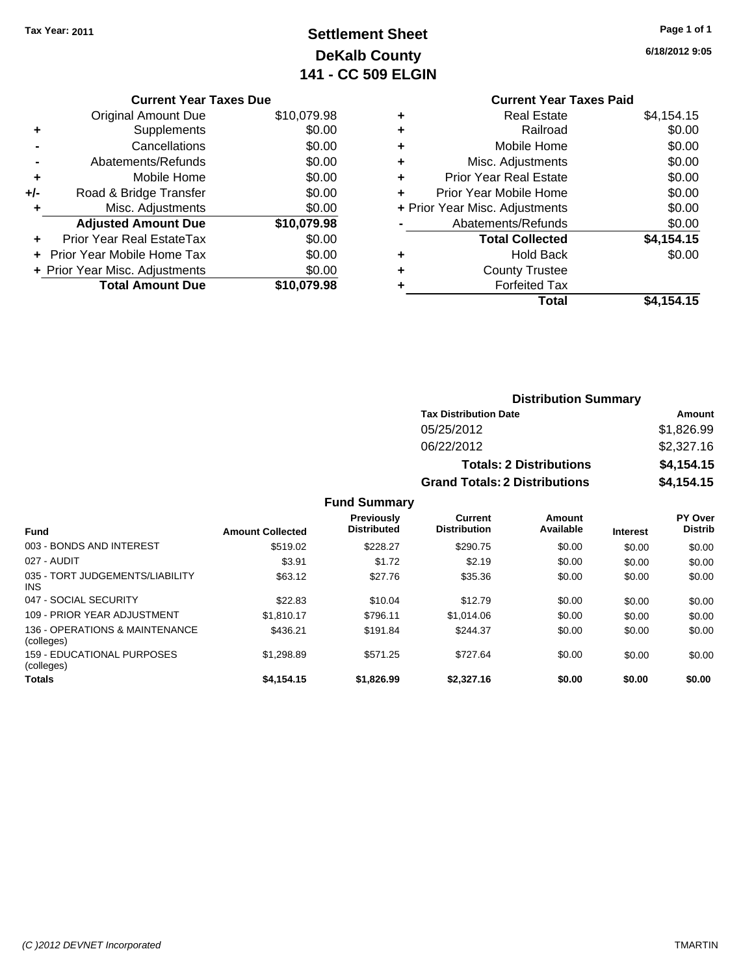# **Settlement Sheet Tax Year: 2011 Page 1 of 1 DeKalb County 141 - CC 509 ELGIN**

| Page 1 of 1 |  |
|-------------|--|
|             |  |

**6/18/2012 9:05**

|     | <b>Current Year Taxes Due</b>     |             |
|-----|-----------------------------------|-------------|
|     | Original Amount Due               | \$10,079.98 |
| ٠   | Supplements                       | \$0.00      |
|     | Cancellations                     | \$0.00      |
|     | Abatements/Refunds                | \$0.00      |
| ٠   | Mobile Home                       | \$0.00      |
| +/- | Road & Bridge Transfer            | \$0.00      |
|     | Misc. Adjustments                 | \$0.00      |
|     | <b>Adjusted Amount Due</b>        | \$10,079.98 |
|     | Prior Year Real EstateTax         | \$0.00      |
|     | <b>Prior Year Mobile Home Tax</b> | \$0.00      |
|     | + Prior Year Misc. Adjustments    | \$0.00      |
|     | <b>Total Amount Due</b>           | \$10,079.98 |
|     |                                   |             |

# **Current Year Taxes Paid**

|   | <b>Real Estate</b>             | \$4,154.15 |
|---|--------------------------------|------------|
| ٠ | Railroad                       | \$0.00     |
| ٠ | Mobile Home                    | \$0.00     |
| ٠ | Misc. Adjustments              | \$0.00     |
| ٠ | <b>Prior Year Real Estate</b>  | \$0.00     |
| ٠ | Prior Year Mobile Home         | \$0.00     |
|   | + Prior Year Misc. Adjustments | \$0.00     |
|   | Abatements/Refunds             | \$0.00     |
|   | <b>Total Collected</b>         | \$4,154.15 |
| ٠ | <b>Hold Back</b>               | \$0.00     |
| ٠ | <b>County Trustee</b>          |            |
| ٠ | <b>Forfeited Tax</b>           |            |
|   | Total                          | \$4,154.15 |
|   |                                |            |

### **Distribution Summary Tax Distribution Date Amount** 05/25/2012 \$1,826.99 06/22/2012 \$2,327.16 **Totals: 2 Distributions \$4,154.15 Grand Totals: 2 Distributions \$4,154.15**

#### **Fund Summary Fund Interest Amount Collected Distributed PY Over Distrib Amount Available Current Distribution Previously** 003 - BONDS AND INTEREST 60.00 \$519.02 \$228.27 \$290.75 \$0.00 \$0.00 \$0.00 \$0.00 027 - AUDIT \$3.91 \$1.72 \$2.19 \$0.00 \$0.00 \$0.00 035 - TORT JUDGEMENTS/LIABILITY INS \$63.12 \$27.76 \$35.36 \$0.00 \$0.00 \$0.00 047 - SOCIAL SECURITY \$22.83 \$10.04 \$0.00 \$0.00 \$0.00 \$0.00 109 - PRIOR YEAR ADJUSTMENT \$1,810.17 \$796.11 \$1,014.06 \$0.00 \$0.00 \$0.00 136 - OPERATIONS & MAINTENANCE (colleges) \$436.21 \$191.84 \$244.37 \$0.00 \$0.00 \$0.00 159 - EDUCATIONAL PURPOSES (colleges) \$1,298.89 \$571.25 \$727.64 \$0.00 \$0.00 \$0.00 **Totals \$4,154.15 \$1,826.99 \$2,327.16 \$0.00 \$0.00 \$0.00**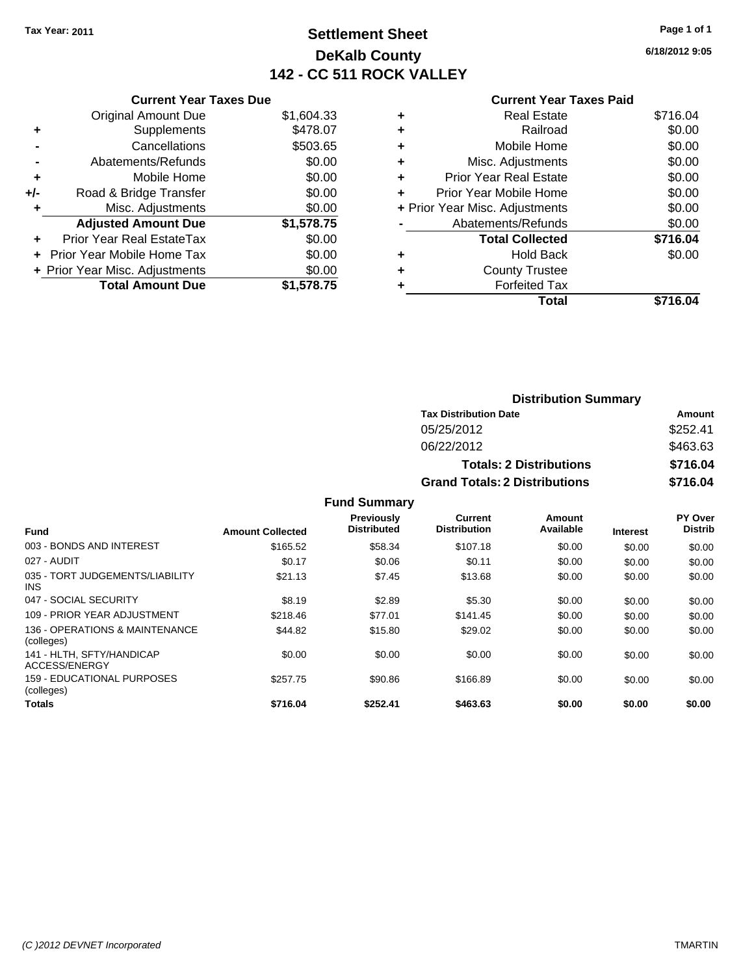## **Settlement Sheet Tax Year: 2011 Page 1 of 1 DeKalb County 142 - CC 511 ROCK VALLEY**

**6/18/2012 9:05**

|     | <b>Current Year Taxes Due</b>     |            |
|-----|-----------------------------------|------------|
|     | <b>Original Amount Due</b>        | \$1,604.33 |
| ٠   | Supplements                       | \$478.07   |
|     | Cancellations                     | \$503.65   |
|     | Abatements/Refunds                | \$0.00     |
| ٠   | Mobile Home                       | \$0.00     |
| +/- | Road & Bridge Transfer            | \$0.00     |
|     | Misc. Adjustments                 | \$0.00     |
|     | <b>Adjusted Amount Due</b>        | \$1,578.75 |
|     | Prior Year Real EstateTax         | \$0.00     |
|     | <b>Prior Year Mobile Home Tax</b> | \$0.00     |
|     | + Prior Year Misc. Adjustments    | \$0.00     |
|     | <b>Total Amount Due</b>           | \$1,578.75 |

|   | Total                          | \$716.04 |
|---|--------------------------------|----------|
| ٠ | <b>Forfeited Tax</b>           |          |
| ٠ | <b>County Trustee</b>          |          |
| ٠ | <b>Hold Back</b>               | \$0.00   |
|   | <b>Total Collected</b>         | \$716.04 |
|   | Abatements/Refunds             | \$0.00   |
|   | + Prior Year Misc. Adjustments | \$0.00   |
| ÷ | Prior Year Mobile Home         | \$0.00   |
| ٠ | Prior Year Real Estate         | \$0.00   |
| ٠ | Misc. Adjustments              | \$0.00   |
| ٠ | Mobile Home                    | \$0.00   |
| ٠ | Railroad                       | \$0.00   |
|   | <b>Real Estate</b>             | \$716.04 |
|   |                                |          |

| <b>Distribution Summary</b>          |          |  |  |  |
|--------------------------------------|----------|--|--|--|
| <b>Tax Distribution Date</b>         | Amount   |  |  |  |
| 05/25/2012                           | \$252.41 |  |  |  |
| 06/22/2012                           | \$463.63 |  |  |  |
| <b>Totals: 2 Distributions</b>       | \$716.04 |  |  |  |
| <b>Grand Totals: 2 Distributions</b> | \$716.04 |  |  |  |

|                                                   |                         | <b>Fund Summary</b>                     |                                |                     |                 |                                  |
|---------------------------------------------------|-------------------------|-----------------------------------------|--------------------------------|---------------------|-----------------|----------------------------------|
| <b>Fund</b>                                       | <b>Amount Collected</b> | <b>Previously</b><br><b>Distributed</b> | Current<br><b>Distribution</b> | Amount<br>Available | <b>Interest</b> | <b>PY Over</b><br><b>Distrib</b> |
| 003 - BONDS AND INTEREST                          | \$165.52                | \$58.34                                 | \$107.18                       | \$0.00              | \$0.00          | \$0.00                           |
| 027 - AUDIT                                       | \$0.17                  | \$0.06                                  | \$0.11                         | \$0.00              | \$0.00          | \$0.00                           |
| 035 - TORT JUDGEMENTS/LIABILITY<br>INS.           | \$21.13                 | \$7.45                                  | \$13.68                        | \$0.00              | \$0.00          | \$0.00                           |
| 047 - SOCIAL SECURITY                             | \$8.19                  | \$2.89                                  | \$5.30                         | \$0.00              | \$0.00          | \$0.00                           |
| 109 - PRIOR YEAR ADJUSTMENT                       | \$218.46                | \$77.01                                 | \$141.45                       | \$0.00              | \$0.00          | \$0.00                           |
| 136 - OPERATIONS & MAINTENANCE<br>(colleges)      | \$44.82                 | \$15.80                                 | \$29.02                        | \$0.00              | \$0.00          | \$0.00                           |
| 141 - HLTH. SFTY/HANDICAP<br><b>ACCESS/ENERGY</b> | \$0.00                  | \$0.00                                  | \$0.00                         | \$0.00              | \$0.00          | \$0.00                           |
| 159 - EDUCATIONAL PURPOSES<br>(colleges)          | \$257.75                | \$90.86                                 | \$166.89                       | \$0.00              | \$0.00          | \$0.00                           |
| Totals                                            | \$716.04                | \$252.41                                | \$463.63                       | \$0.00              | \$0.00          | \$0.00                           |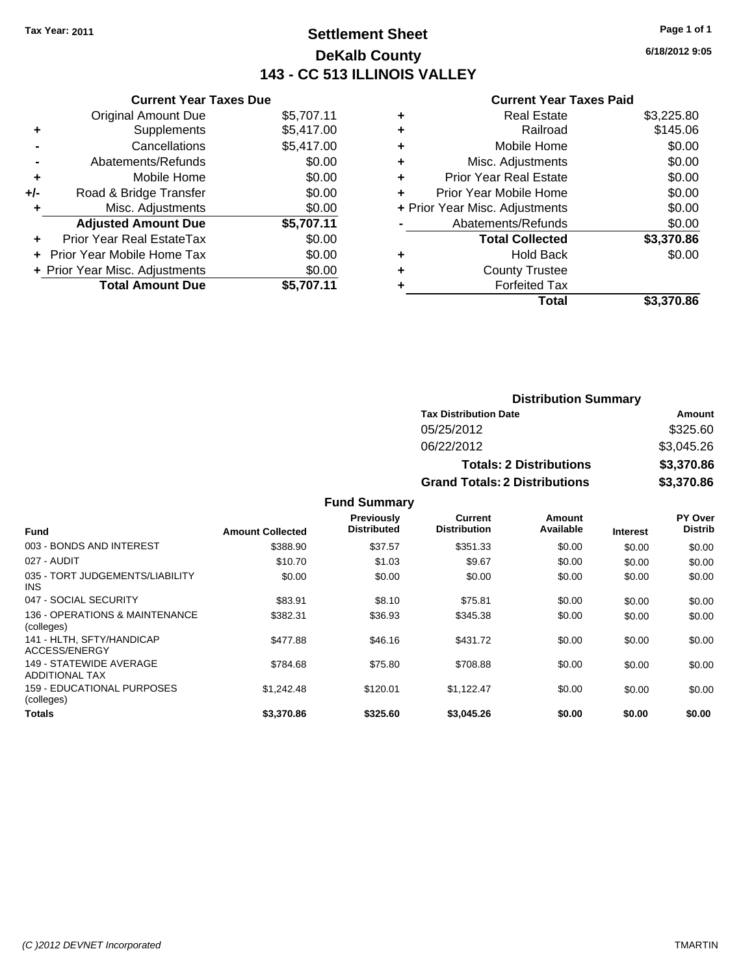### **Settlement Sheet Tax Year: 2011 Page 1 of 1 DeKalb County 143 - CC 513 ILLINOIS VALLEY**

**6/18/2012 9:05**

|     | <b>Current Year Taxes Due</b>  |            |
|-----|--------------------------------|------------|
|     | <b>Original Amount Due</b>     | \$5,707.11 |
| ٠   | Supplements                    | \$5,417.00 |
|     | Cancellations                  | \$5,417.00 |
|     | Abatements/Refunds             | \$0.00     |
| ٠   | Mobile Home                    | \$0.00     |
| +/- | Road & Bridge Transfer         | \$0.00     |
| ٠   | Misc. Adjustments              | \$0.00     |
|     | <b>Adjusted Amount Due</b>     | \$5,707.11 |
| ÷   | Prior Year Real EstateTax      | \$0.00     |
|     | Prior Year Mobile Home Tax     | \$0.00     |
|     | + Prior Year Misc. Adjustments | \$0.00     |
|     | <b>Total Amount Due</b>        | \$5.707.11 |

| ٠ | Real Estate                    | \$3,225.80 |
|---|--------------------------------|------------|
| ٠ | Railroad                       | \$145.06   |
| ٠ | Mobile Home                    | \$0.00     |
| ٠ | Misc. Adjustments              | \$0.00     |
| ÷ | <b>Prior Year Real Estate</b>  | \$0.00     |
| ٠ | Prior Year Mobile Home         | \$0.00     |
|   | + Prior Year Misc. Adjustments | \$0.00     |
|   | Abatements/Refunds             | \$0.00     |
|   | <b>Total Collected</b>         | \$3,370.86 |
| ٠ | Hold Back                      | \$0.00     |
| ٠ | <b>County Trustee</b>          |            |
|   | <b>Forfeited Tax</b>           |            |
|   | Total                          | \$3.370.86 |

| <b>Distribution Summary</b>                  |            |  |  |  |
|----------------------------------------------|------------|--|--|--|
| <b>Tax Distribution Date</b>                 | Amount     |  |  |  |
| 05/25/2012                                   | \$325.60   |  |  |  |
| 06/22/2012                                   | \$3,045.26 |  |  |  |
| \$3,370.86<br><b>Totals: 2 Distributions</b> |            |  |  |  |
| <b>Grand Totals: 2 Distributions</b>         | \$3,370.86 |  |  |  |

|                                                  |                         | <b>Fund Summary</b>                     |                                |                     |                 |                           |
|--------------------------------------------------|-------------------------|-----------------------------------------|--------------------------------|---------------------|-----------------|---------------------------|
| <b>Fund</b>                                      | <b>Amount Collected</b> | <b>Previously</b><br><b>Distributed</b> | Current<br><b>Distribution</b> | Amount<br>Available | <b>Interest</b> | PY Over<br><b>Distrib</b> |
| 003 - BONDS AND INTEREST                         | \$388.90                | \$37.57                                 | \$351.33                       | \$0.00              | \$0.00          | \$0.00                    |
| 027 - AUDIT                                      | \$10.70                 | \$1.03                                  | \$9.67                         | \$0.00              | \$0.00          | \$0.00                    |
| 035 - TORT JUDGEMENTS/LIABILITY<br>INS.          | \$0.00                  | \$0.00                                  | \$0.00                         | \$0.00              | \$0.00          | \$0.00                    |
| 047 - SOCIAL SECURITY                            | \$83.91                 | \$8.10                                  | \$75.81                        | \$0.00              | \$0.00          | \$0.00                    |
| 136 - OPERATIONS & MAINTENANCE<br>(colleges)     | \$382.31                | \$36.93                                 | \$345.38                       | \$0.00              | \$0.00          | \$0.00                    |
| 141 - HLTH, SFTY/HANDICAP<br>ACCESS/ENERGY       | \$477.88                | \$46.16                                 | \$431.72                       | \$0.00              | \$0.00          | \$0.00                    |
| 149 - STATEWIDE AVERAGE<br><b>ADDITIONAL TAX</b> | \$784.68                | \$75.80                                 | \$708.88                       | \$0.00              | \$0.00          | \$0.00                    |
| 159 - EDUCATIONAL PURPOSES<br>(colleges)         | \$1.242.48              | \$120.01                                | \$1,122.47                     | \$0.00              | \$0.00          | \$0.00                    |
| Totals                                           | \$3.370.86              | \$325.60                                | \$3,045.26                     | \$0.00              | \$0.00          | \$0.00                    |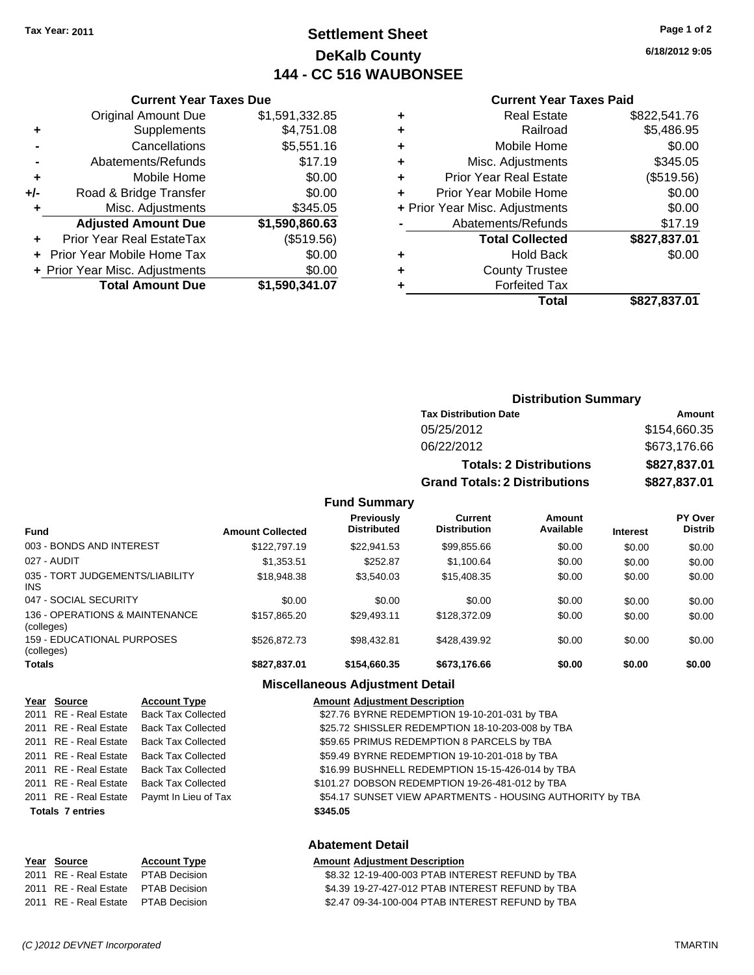Original Amount Due

**Adjusted Amount Due** 

**Total Amount Due** 

**+** Supplements **-** Cancellations **-** Abatements/Refunds **+** Mobile Home **+/-** Road & Bridge Transfer **+** Misc. Adjustments

**+** Prior Year Real EstateTax **+** Prior Year Mobile Home Tax **+ Prior Year Misc. Adjustments** 

### **Settlement Sheet Tax Year: 2011 Page 1 of 2 DeKalb County 144 - CC 516 WAUBONSEE**

**6/18/2012 9:05**

**Total \$827,837.01**

#### **Current Year Taxes Paid**

| <b>Current Year Taxes Due</b> |                |   | <b>Current Year Taxes Paid</b> |              |  |  |
|-------------------------------|----------------|---|--------------------------------|--------------|--|--|
| ıl Amount Due                 | \$1,591,332.85 | ٠ | <b>Real Estate</b>             | \$822,541.76 |  |  |
| Supplements                   | \$4,751.08     | ٠ | Railroad                       | \$5,486.95   |  |  |
| Cancellations                 | \$5,551.16     | ÷ | Mobile Home                    | \$0.00       |  |  |
| าents/Refunds                 | \$17.19        | ÷ | Misc. Adjustments              | \$345.05     |  |  |
| Mobile Home                   | \$0.00         | ÷ | <b>Prior Year Real Estate</b>  | (\$519.56)   |  |  |
| ridge Transfer                | \$0.00         | ÷ | Prior Year Mobile Home         | \$0.00       |  |  |
| . Adjustments                 | \$345.05       |   | + Prior Year Misc. Adjustments | \$0.00       |  |  |
| <b>Amount Due</b>             | \$1,590,860.63 |   | Abatements/Refunds             | \$17.19      |  |  |
| eal EstateTax                 | (\$519.56)     |   | <b>Total Collected</b>         | \$827,837.01 |  |  |
| pile Home Tax                 | \$0.00         | ٠ | <b>Hold Back</b>               | \$0.00       |  |  |
| . Adjustments                 | \$0.00         | ÷ | <b>County Trustee</b>          |              |  |  |
| <b>Amount Due</b>             | \$1,590,341.07 |   | <b>Forfeited Tax</b>           |              |  |  |
|                               |                |   | Total                          | \$827,837.01 |  |  |

### **Distribution Summary**

| <b>Tax Distribution Date</b>         | Amount       |
|--------------------------------------|--------------|
| 05/25/2012                           | \$154,660.35 |
| 06/22/2012                           | \$673,176.66 |
| <b>Totals: 2 Distributions</b>       | \$827.837.01 |
| <b>Grand Totals: 2 Distributions</b> | \$827,837.01 |

#### **Fund Summary**

| Fund                                          | <b>Amount Collected</b> | <b>Previously</b><br><b>Distributed</b> | Current<br><b>Distribution</b> | Amount<br>Available | <b>Interest</b> | PY Over<br><b>Distrib</b> |
|-----------------------------------------------|-------------------------|-----------------------------------------|--------------------------------|---------------------|-----------------|---------------------------|
| 003 - BONDS AND INTEREST                      | \$122,797.19            | \$22,941.53                             | \$99,855.66                    | \$0.00              | \$0.00          | \$0.00                    |
| 027 - AUDIT                                   | \$1.353.51              | \$252.87                                | \$1.100.64                     | \$0.00              | \$0.00          | \$0.00                    |
| 035 - TORT JUDGEMENTS/LIABILITY<br><b>INS</b> | \$18,948,38             | \$3.540.03                              | \$15,408.35                    | \$0.00              | \$0.00          | \$0.00                    |
| 047 - SOCIAL SECURITY                         | \$0.00                  | \$0.00                                  | \$0.00                         | \$0.00              | \$0.00          | \$0.00                    |
| 136 - OPERATIONS & MAINTENANCE<br>(colleges)  | \$157.865.20            | \$29,493.11                             | \$128,372.09                   | \$0.00              | \$0.00          | \$0.00                    |
| 159 - EDUCATIONAL PURPOSES<br>(colleges)      | \$526,872.73            | \$98.432.81                             | \$428,439.92                   | \$0.00              | \$0.00          | \$0.00                    |
| <b>Totals</b>                                 | \$827,837.01            | \$154,660.35                            | \$673,176.66                   | \$0.00              | \$0.00          | \$0.00                    |

### **Miscellaneous Adjustment Detail**

| Year Source             | <b>Account Type</b>                        | <b>Amount Adjustment Description</b>                      |
|-------------------------|--------------------------------------------|-----------------------------------------------------------|
|                         | 2011 RE - Real Estate Back Tax Collected   | \$27.76 BYRNE REDEMPTION 19-10-201-031 by TBA             |
|                         | 2011 RE - Real Estate Back Tax Collected   | \$25.72 SHISSLER REDEMPTION 18-10-203-008 by TBA          |
|                         | 2011 RE - Real Estate Back Tax Collected   | \$59.65 PRIMUS REDEMPTION 8 PARCELS by TBA                |
|                         | 2011 RE - Real Estate Back Tax Collected   | \$59.49 BYRNE REDEMPTION 19-10-201-018 by TBA             |
|                         | 2011 RE - Real Estate Back Tax Collected   | \$16.99 BUSHNELL REDEMPTION 15-15-426-014 by TBA          |
|                         | 2011 RE - Real Estate Back Tax Collected   | \$101.27 DOBSON REDEMPTION 19-26-481-012 by TBA           |
|                         | 2011 RE - Real Estate Paymt In Lieu of Tax | \$54.17 SUNSET VIEW APARTMENTS - HOUSING AUTHORITY by TBA |
| <b>Totals 7 entries</b> |                                            | \$345.05                                                  |
|                         |                                            |                                                           |

#### **Abatement Detail**

#### **Year Source Account Type Amount Adjustment Description**

| 2011 RE - Real Estate PTAB Decision  | \$8.32 12-19-400-003 PTAB INTEREST REFUND by TBA |
|--------------------------------------|--------------------------------------------------|
| 2011 RE - Real Estate  PTAB Decision | \$4.39 19-27-427-012 PTAB INTEREST REFUND by TBA |
| 2011 RE - Real Estate PTAB Decision  | \$2.47 09-34-100-004 PTAB INTEREST REFUND by TBA |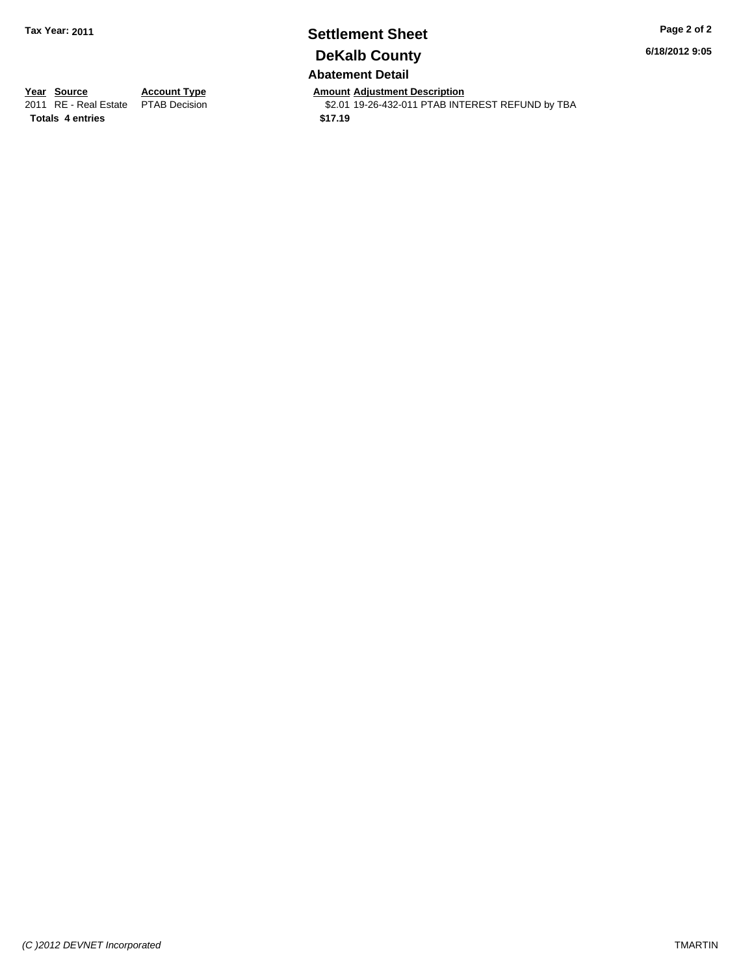### **Settlement Sheet Tax Year: 2011 Page 2 of 2 DeKalb County Abatement Detail**

**6/18/2012 9:05**

**Totals \$17.19 4 entries**

**Year Source Account Type Amount Adjustment Description**<br>2011 RE - Real Estate PTAB Decision **Amount** \$2.01 19-26-432-011 PTAB INTI \$2.01 19-26-432-011 PTAB INTEREST REFUND by TBA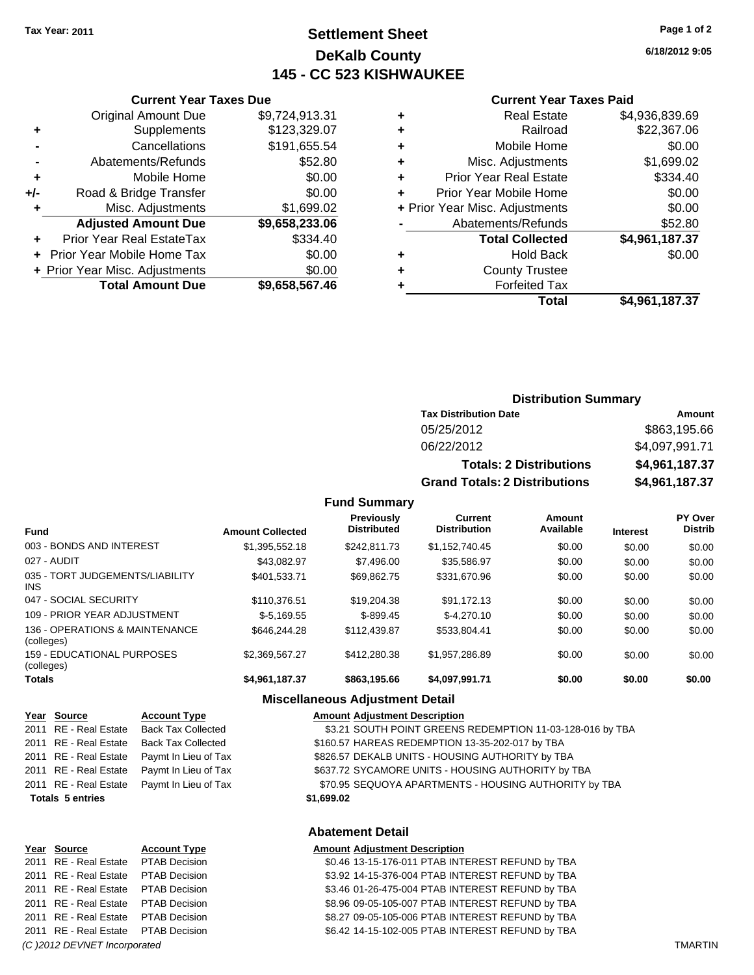### **Settlement Sheet Tax Year: 2011 Page 1 of 2 DeKalb County 145 - CC 523 KISHWAUKEE**

**6/18/2012 9:05**

#### **Current Year Taxes Paid**

|     | <b>Current Year Taxes Due</b>  |                |  |  |  |  |
|-----|--------------------------------|----------------|--|--|--|--|
|     | <b>Original Amount Due</b>     | \$9,724,913.31 |  |  |  |  |
| ٠   | Supplements                    | \$123,329.07   |  |  |  |  |
|     | Cancellations                  | \$191,655.54   |  |  |  |  |
|     | Abatements/Refunds             | \$52.80        |  |  |  |  |
| ٠   | Mobile Home                    | \$0.00         |  |  |  |  |
| +/- | Road & Bridge Transfer         | \$0.00         |  |  |  |  |
| ٠   | Misc. Adjustments              | \$1,699.02     |  |  |  |  |
|     | <b>Adjusted Amount Due</b>     | \$9,658,233.06 |  |  |  |  |
|     | Prior Year Real EstateTax      | \$334.40       |  |  |  |  |
|     | Prior Year Mobile Home Tax     | \$0.00         |  |  |  |  |
|     | + Prior Year Misc. Adjustments | \$0.00         |  |  |  |  |
|     | <b>Total Amount Due</b>        | \$9,658,567.46 |  |  |  |  |
|     |                                |                |  |  |  |  |

| ٠ | <b>Real Estate</b>             | \$4,936,839.69 |
|---|--------------------------------|----------------|
| ٠ | Railroad                       | \$22,367.06    |
| ٠ | Mobile Home                    | \$0.00         |
| ٠ | Misc. Adjustments              | \$1,699.02     |
| ٠ | <b>Prior Year Real Estate</b>  | \$334.40       |
| ÷ | Prior Year Mobile Home         | \$0.00         |
|   | + Prior Year Misc. Adjustments | \$0.00         |
|   | Abatements/Refunds             | \$52.80        |
|   | <b>Total Collected</b>         | \$4,961,187.37 |
| ٠ | <b>Hold Back</b>               | \$0.00         |
| ٠ | <b>County Trustee</b>          |                |
| ٠ | <b>Forfeited Tax</b>           |                |
|   | Total                          | \$4,961,187.37 |

### **Distribution Summary**

| <b>Tax Distribution Date</b>         | Amount         |
|--------------------------------------|----------------|
| 05/25/2012                           | \$863,195.66   |
| 06/22/2012                           | \$4,097,991.71 |
| <b>Totals: 2 Distributions</b>       | \$4,961,187.37 |
| <b>Grand Totals: 2 Distributions</b> | \$4,961,187.37 |

#### **Fund Summary**

| <b>Fund</b>                                     | <b>Amount Collected</b> | <b>Previously</b><br><b>Distributed</b> | Current<br><b>Distribution</b> | Amount<br>Available | <b>Interest</b> | <b>PY Over</b><br><b>Distrib</b> |
|-------------------------------------------------|-------------------------|-----------------------------------------|--------------------------------|---------------------|-----------------|----------------------------------|
| 003 - BONDS AND INTEREST                        | \$1,395,552.18          | \$242.811.73                            | \$1,152,740.45                 | \$0.00              | \$0.00          | \$0.00                           |
| 027 - AUDIT                                     | \$43.082.97             | \$7,496.00                              | \$35.586.97                    | \$0.00              | \$0.00          | \$0.00                           |
| 035 - TORT JUDGEMENTS/LIABILITY<br>INS.         | \$401.533.71            | \$69.862.75                             | \$331,670.96                   | \$0.00              | \$0.00          | \$0.00                           |
| 047 - SOCIAL SECURITY                           | \$110.376.51            | \$19,204.38                             | \$91.172.13                    | \$0.00              | \$0.00          | \$0.00                           |
| 109 - PRIOR YEAR ADJUSTMENT                     | $$-5.169.55$            | $$-899.45$                              | $$-4.270.10$                   | \$0.00              | \$0.00          | \$0.00                           |
| 136 - OPERATIONS & MAINTENANCE<br>(colleges)    | \$646,244,28            | \$112,439.87                            | \$533.804.41                   | \$0.00              | \$0.00          | \$0.00                           |
| <b>159 - EDUCATIONAL PURPOSES</b><br>(colleges) | \$2.369.567.27          | \$412,280,38                            | \$1,957,286.89                 | \$0.00              | \$0.00          | \$0.00                           |
| <b>Totals</b>                                   | \$4,961,187.37          | \$863,195.66                            | \$4,097,991.71                 | \$0.00              | \$0.00          | \$0.00                           |

#### **Miscellaneous Adjustment Detail**

| Year Source             | <b>Account Type</b>       | <b>Amount Adjustment Description</b>                      |
|-------------------------|---------------------------|-----------------------------------------------------------|
| 2011 RE - Real Estate   | <b>Back Tax Collected</b> | \$3.21 SOUTH POINT GREENS REDEMPTION 11-03-128-016 by TBA |
| 2011 RE - Real Estate   | <b>Back Tax Collected</b> | \$160.57 HAREAS REDEMPTION 13-35-202-017 by TBA           |
| 2011 RE - Real Estate   | Paymt In Lieu of Tax      | \$826.57 DEKALB UNITS - HOUSING AUTHORITY by TBA          |
| 2011 RE - Real Estate   | Paymt In Lieu of Tax      | \$637.72 SYCAMORE UNITS - HOUSING AUTHORITY by TBA        |
| 2011 RE - Real Estate   | Paymt In Lieu of Tax      | \$70.95 SEQUOYA APARTMENTS - HOUSING AUTHORITY by TBA     |
| <b>Totals 5 entries</b> |                           | \$1,699.02                                                |
|                         |                           | <b>Abatement Detail</b>                                   |
| Voar Source             | <b>Account Type</b>       | <b>Amount Adjustment Description</b>                      |

# **Year Source Account Type Amount Adjustment Description** 2011 RE - Real Estate \$6.42 14-15-102-005 PTAB INTEREST REFUND by TBA PTAB Decision *(C )2012 DEVNET Incorporated* TMARTIN

\$0.46 13-15-176-011 PTAB INTEREST REFUND by TBA 2011 RE - Real Estate \$3.92 14-15-376-004 PTAB INTEREST REFUND by TBA PTAB Decision 2011 RE - Real Estate \$3.46 01-26-475-004 PTAB INTEREST REFUND by TBA PTAB Decision 2011 RE - Real Estate \$8.96 09-05-105-007 PTAB INTEREST REFUND by TBA PTAB Decision 2011 RE - Real Estate \$8.27 09-05-105-006 PTAB INTEREST REFUND by TBA PTAB Decision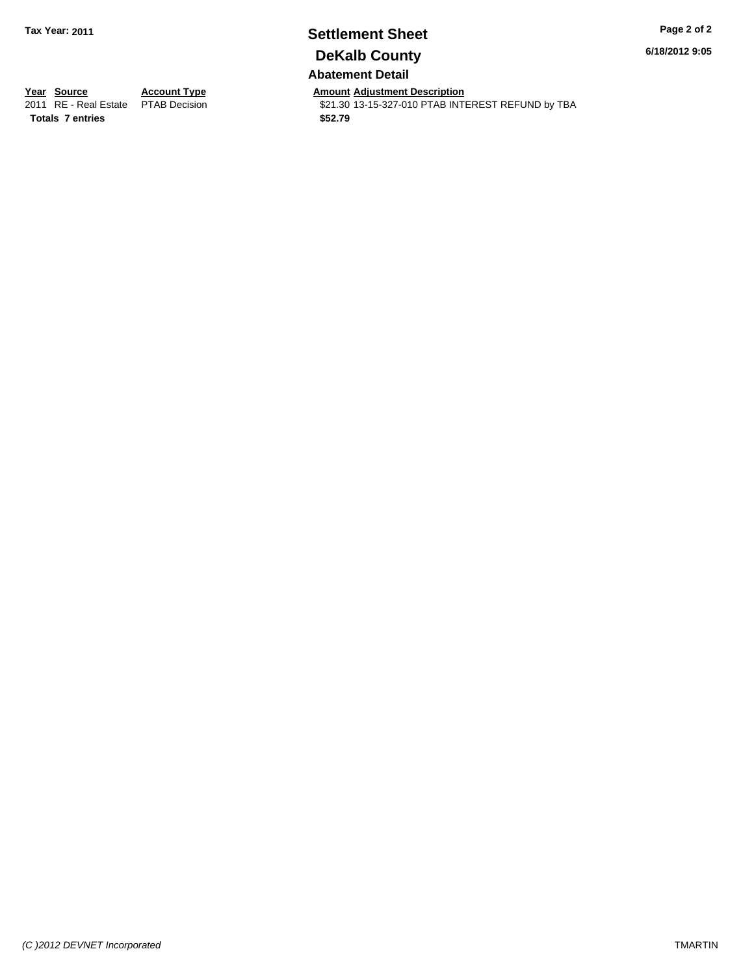### **Settlement Sheet Tax Year: 2011 Page 2 of 2 DeKalb County Abatement Detail**

**6/18/2012 9:05**

**<u>Year Source</u> <b>Account Type Amount Adjustment Description**<br>2011 RE - Real Estate PTAB Decision **Amount** \$21.30 13-15-327-010 PTAB INTI \$21.30 13-15-327-010 PTAB INTEREST REFUND by TBA **Totals \$52.79 7 entries**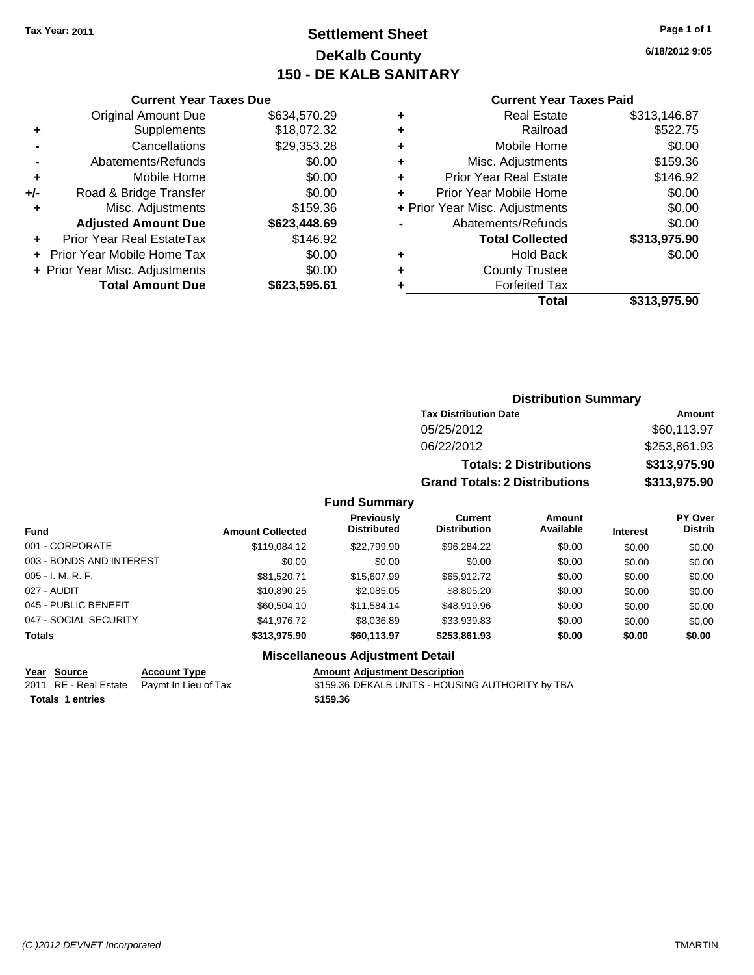## **Settlement Sheet Tax Year: 2011 Page 1 of 1 DeKalb County 150 - DE KALB SANITARY**

**6/18/2012 9:05**

#### **Current Year Taxes Paid**

|     | <b>Original Amount Due</b>     | \$634,570.29 |
|-----|--------------------------------|--------------|
| ٠   | Supplements                    | \$18,072.32  |
|     | Cancellations                  | \$29,353.28  |
|     | Abatements/Refunds             | \$0.00       |
| ٠   | Mobile Home                    | \$0.00       |
| +/- | Road & Bridge Transfer         | \$0.00       |
|     | Misc. Adjustments              | \$159.36     |
|     | <b>Adjusted Amount Due</b>     | \$623,448.69 |
|     | Prior Year Real EstateTax      | \$146.92     |
|     | Prior Year Mobile Home Tax     | \$0.00       |
|     | + Prior Year Misc. Adjustments | \$0.00       |
|     | <b>Total Amount Due</b>        | \$623,595.61 |
|     |                                |              |

**Current Year Taxes Due**

| ٠ | <b>Real Estate</b>             | \$313,146.87 |
|---|--------------------------------|--------------|
| ٠ | Railroad                       | \$522.75     |
| ٠ | Mobile Home                    | \$0.00       |
| ٠ | Misc. Adjustments              | \$159.36     |
| ٠ | <b>Prior Year Real Estate</b>  | \$146.92     |
| ÷ | Prior Year Mobile Home         | \$0.00       |
|   | + Prior Year Misc. Adjustments | \$0.00       |
|   | Abatements/Refunds             | \$0.00       |
|   | <b>Total Collected</b>         | \$313,975.90 |
| ٠ | <b>Hold Back</b>               | \$0.00       |
| ٠ | <b>County Trustee</b>          |              |
| ٠ | <b>Forfeited Tax</b>           |              |
|   | Total                          | \$313,975.90 |
|   |                                |              |

### **Distribution Summary Tax Distribution Date Amount** 05/25/2012 \$60,113.97 06/22/2012 \$253,861.93 **Totals: 2 Distributions \$313,975.90**

**Grand Totals: 2 Distributions \$313,975.90**

### **Fund Summary**

| <b>Fund</b>              | <b>Amount Collected</b> | <b>Previously</b><br><b>Distributed</b> | <b>Current</b><br><b>Distribution</b> | Amount<br>Available | <b>Interest</b> | PY Over<br><b>Distrib</b> |
|--------------------------|-------------------------|-----------------------------------------|---------------------------------------|---------------------|-----------------|---------------------------|
| 001 - CORPORATE          | \$119,084.12            | \$22,799.90                             | \$96.284.22                           | \$0.00              | \$0.00          | \$0.00                    |
| 003 - BONDS AND INTEREST | \$0.00                  | \$0.00                                  | \$0.00                                | \$0.00              | \$0.00          | \$0.00                    |
| $005 - I. M. R. F.$      | \$81.520.71             | \$15,607.99                             | \$65.912.72                           | \$0.00              | \$0.00          | \$0.00                    |
| 027 - AUDIT              | \$10.890.25             | \$2,085,05                              | \$8,805.20                            | \$0.00              | \$0.00          | \$0.00                    |
| 045 - PUBLIC BENEFIT     | \$60,504.10             | \$11.584.14                             | \$48.919.96                           | \$0.00              | \$0.00          | \$0.00                    |
| 047 - SOCIAL SECURITY    | \$41,976.72             | \$8,036.89                              | \$33,939.83                           | \$0.00              | \$0.00          | \$0.00                    |
| <b>Totals</b>            | \$313.975.90            | \$60,113.97                             | \$253.861.93                          | \$0.00              | \$0.00          | \$0.00                    |

**Totals \$159.36 1 entries**

### **Miscellaneous Adjustment Detail**

**Year Source Account Type Amount Adjustment Description**<br>
2011 RE - Real Estate Paymt In Lieu of Tax \$159.36 DEKALB UNITS - HOUSII Paymt In Lieu of Tax **6159.36 DEKALB UNITS - HOUSING AUTHORITY by TBA**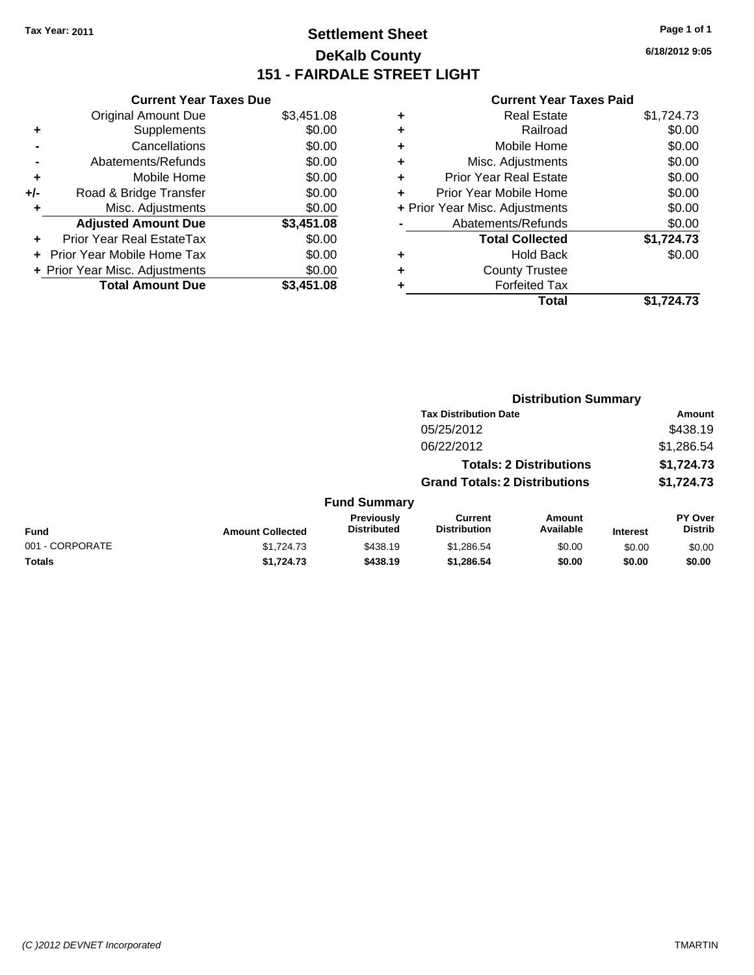## **Settlement Sheet Tax Year: 2011 Page 1 of 1 DeKalb County 151 - FAIRDALE STREET LIGHT**

**6/18/2012 9:05**

| <b>Current Year Taxes Due</b>     |                                |  |  |  |
|-----------------------------------|--------------------------------|--|--|--|
| <b>Original Amount Due</b>        | \$3,451.08                     |  |  |  |
| Supplements                       | \$0.00                         |  |  |  |
| Cancellations                     | \$0.00                         |  |  |  |
| Abatements/Refunds                | \$0.00                         |  |  |  |
| Mobile Home                       | \$0.00                         |  |  |  |
| Road & Bridge Transfer            | \$0.00                         |  |  |  |
| Misc. Adjustments                 | \$0.00                         |  |  |  |
| <b>Adjusted Amount Due</b>        | \$3,451.08                     |  |  |  |
| Prior Year Real EstateTax         | \$0.00                         |  |  |  |
| <b>Prior Year Mobile Home Tax</b> | \$0.00                         |  |  |  |
|                                   | \$0.00                         |  |  |  |
| <b>Total Amount Due</b>           | \$3.451.08                     |  |  |  |
|                                   | + Prior Year Misc. Adjustments |  |  |  |

|   | <b>Real Estate</b>             | \$1,724.73 |
|---|--------------------------------|------------|
| ٠ | Railroad                       | \$0.00     |
| ٠ | Mobile Home                    | \$0.00     |
| ٠ | Misc. Adjustments              | \$0.00     |
| ÷ | <b>Prior Year Real Estate</b>  | \$0.00     |
| ٠ | Prior Year Mobile Home         | \$0.00     |
|   | + Prior Year Misc. Adjustments | \$0.00     |
|   | Abatements/Refunds             | \$0.00     |
|   | <b>Total Collected</b>         | \$1,724.73 |
| ٠ | <b>Hold Back</b>               | \$0.00     |
| ÷ | <b>County Trustee</b>          |            |
| ٠ | <b>Forfeited Tax</b>           |            |
|   | Total                          | \$1,724.73 |
|   |                                |            |

|                 |                         |                                  | <b>Distribution Summary</b>           |                                |                 |                           |  |
|-----------------|-------------------------|----------------------------------|---------------------------------------|--------------------------------|-----------------|---------------------------|--|
|                 |                         |                                  | <b>Tax Distribution Date</b>          |                                |                 | Amount                    |  |
|                 |                         |                                  | 05/25/2012                            |                                |                 | \$438.19                  |  |
|                 |                         |                                  | 06/22/2012                            |                                |                 | \$1,286.54                |  |
|                 |                         |                                  |                                       | <b>Totals: 2 Distributions</b> |                 | \$1,724.73                |  |
|                 |                         |                                  | <b>Grand Totals: 2 Distributions</b>  |                                |                 | \$1,724.73                |  |
|                 |                         | <b>Fund Summary</b>              |                                       |                                |                 |                           |  |
| Fund            | <b>Amount Collected</b> | Previously<br><b>Distributed</b> | <b>Current</b><br><b>Distribution</b> | Amount<br>Available            | <b>Interest</b> | PY Over<br><b>Distrib</b> |  |
| 001 - CORPORATE | \$1,724,73              | \$438.19                         | \$1,286.54                            | \$0.00                         | \$0.00          | \$0.00                    |  |
| Totals          | \$1,724.73              | \$438.19                         | \$1,286.54                            | \$0.00                         | \$0.00          | \$0.00                    |  |
|                 |                         |                                  |                                       |                                |                 |                           |  |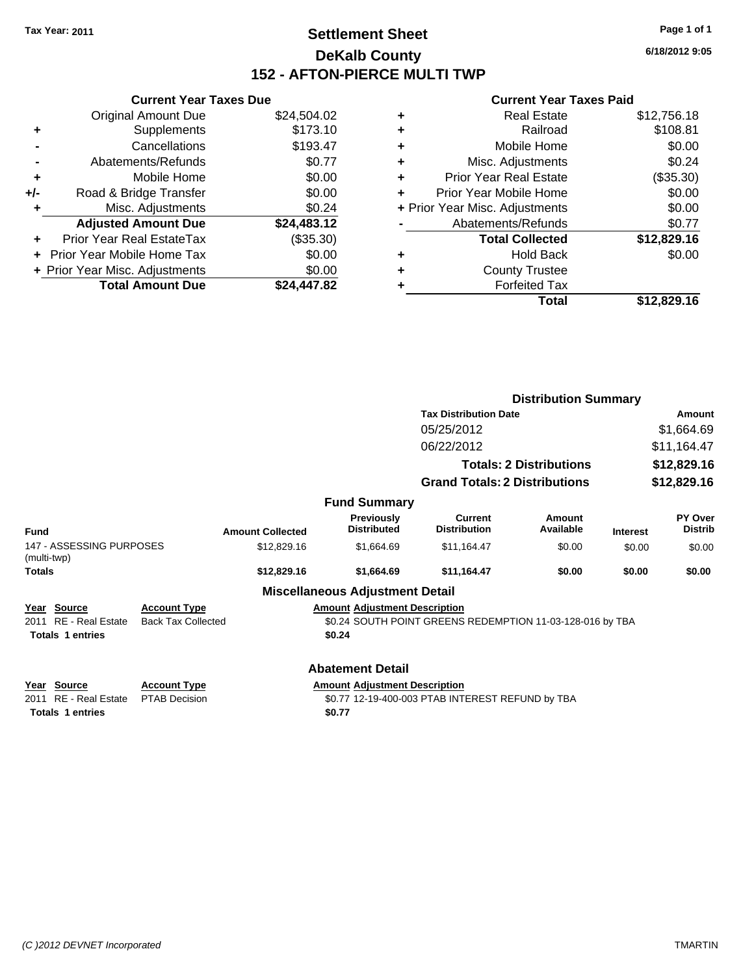### **Settlement Sheet Tax Year: 2011 Page 1 of 1 DeKalb County 152 - AFTON-PIERCE MULTI TWP**

**6/18/2012 9:05**

| <b>Current Year Taxes Due</b>  |             |                                        |  |  |  |
|--------------------------------|-------------|----------------------------------------|--|--|--|
| <b>Original Amount Due</b>     | \$24,504.02 |                                        |  |  |  |
| Supplements                    | \$173.10    |                                        |  |  |  |
| Cancellations                  | \$193.47    |                                        |  |  |  |
| Abatements/Refunds             | \$0.77      |                                        |  |  |  |
| Mobile Home                    | \$0.00      |                                        |  |  |  |
| Road & Bridge Transfer         | \$0.00      |                                        |  |  |  |
| Misc. Adjustments              | \$0.24      |                                        |  |  |  |
| <b>Adjusted Amount Due</b>     | \$24,483.12 |                                        |  |  |  |
| Prior Year Real EstateTax      | (\$35.30)   |                                        |  |  |  |
| Prior Year Mobile Home Tax     | \$0.00      |                                        |  |  |  |
| + Prior Year Misc. Adjustments | \$0.00      |                                        |  |  |  |
|                                |             |                                        |  |  |  |
|                                |             | <b>Total Amount Due</b><br>\$24.447.82 |  |  |  |

| \$12,756.18 |
|-------------|
| \$108.81    |
| \$0.00      |
| \$0.24      |
| (\$35.30)   |
| \$0.00      |
| \$0.00      |
| \$0.77      |
| \$12,829.16 |
| \$0.00      |
|             |
|             |
| \$12,829.16 |
|             |

|                                         |                           |                         |                                        |                                                           | <b>Distribution Summary</b>    |                 |                           |
|-----------------------------------------|---------------------------|-------------------------|----------------------------------------|-----------------------------------------------------------|--------------------------------|-----------------|---------------------------|
|                                         |                           |                         |                                        | <b>Tax Distribution Date</b>                              |                                |                 | Amount                    |
|                                         |                           |                         |                                        | 05/25/2012                                                |                                |                 | \$1,664.69                |
|                                         |                           |                         |                                        | 06/22/2012                                                |                                |                 | \$11,164.47               |
|                                         |                           |                         |                                        |                                                           | <b>Totals: 2 Distributions</b> |                 | \$12,829.16               |
|                                         |                           |                         |                                        | <b>Grand Totals: 2 Distributions</b>                      |                                | \$12,829.16     |                           |
|                                         |                           |                         | <b>Fund Summary</b>                    |                                                           |                                |                 |                           |
| <b>Fund</b>                             |                           | <b>Amount Collected</b> | Previously<br><b>Distributed</b>       | <b>Current</b><br><b>Distribution</b>                     | Amount<br>Available            | <b>Interest</b> | PY Over<br><b>Distrib</b> |
| 147 - ASSESSING PURPOSES<br>(multi-twp) |                           | \$12,829.16             | \$1,664.69                             | \$11,164.47                                               | \$0.00                         | \$0.00          | \$0.00                    |
| <b>Totals</b>                           |                           | \$12,829.16             | \$1,664.69                             | \$11,164.47                                               | \$0.00                         | \$0.00          | \$0.00                    |
|                                         |                           |                         | <b>Miscellaneous Adjustment Detail</b> |                                                           |                                |                 |                           |
| Year Source                             | <b>Account Type</b>       |                         | <b>Amount Adjustment Description</b>   |                                                           |                                |                 |                           |
| 2011 RE - Real Estate                   | <b>Back Tax Collected</b> |                         |                                        | \$0.24 SOUTH POINT GREENS REDEMPTION 11-03-128-016 by TBA |                                |                 |                           |
| <b>Totals 1 entries</b>                 |                           |                         | \$0.24                                 |                                                           |                                |                 |                           |
|                                         |                           |                         | <b>Abatement Detail</b>                |                                                           |                                |                 |                           |
|                                         |                           |                         |                                        |                                                           |                                |                 |                           |
| Year Source                             | <b>Account Type</b>       |                         | <b>Amount Adjustment Description</b>   |                                                           |                                |                 |                           |
| RE - Real Estate<br>2011                | <b>PTAB Decision</b>      |                         |                                        | \$0.77 12-19-400-003 PTAB INTEREST REFUND by TBA          |                                |                 |                           |
| <b>Totals 1 entries</b>                 |                           |                         | \$0.77                                 |                                                           |                                |                 |                           |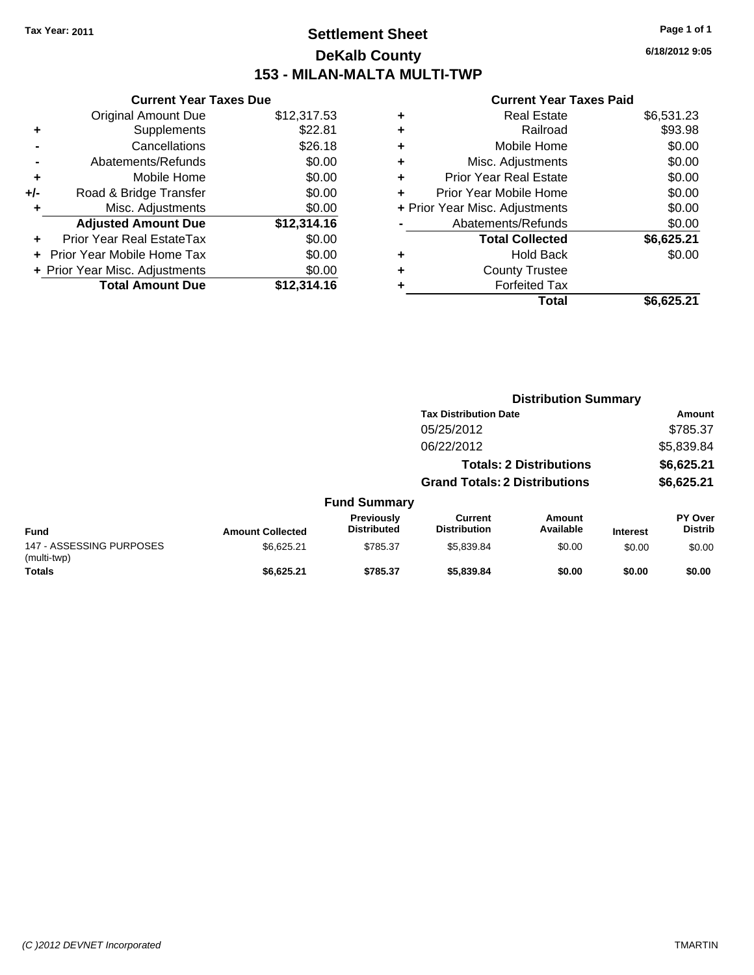### **Settlement Sheet Tax Year: 2011 Page 1 of 1 DeKalb County 153 - MILAN-MALTA MULTI-TWP**

**6/18/2012 9:05**

|     | <b>Current Year Taxes Due</b>  |             |
|-----|--------------------------------|-------------|
|     | <b>Original Amount Due</b>     | \$12,317.53 |
| ٠   | Supplements                    | \$22.81     |
|     | Cancellations                  | \$26.18     |
|     | Abatements/Refunds             | \$0.00      |
| ٠   | Mobile Home                    | \$0.00      |
| +/- | Road & Bridge Transfer         | \$0.00      |
| ٠   | Misc. Adjustments              | \$0.00      |
|     | <b>Adjusted Amount Due</b>     | \$12,314.16 |
| ÷   | Prior Year Real EstateTax      | \$0.00      |
| ÷   | Prior Year Mobile Home Tax     | \$0.00      |
|     | + Prior Year Misc. Adjustments | \$0.00      |
|     | <b>Total Amount Due</b>        | \$12,314.16 |
|     |                                |             |

| <b>Real Estate</b>             | \$6,531.23 |
|--------------------------------|------------|
| Railroad                       | \$93.98    |
| Mobile Home                    | \$0.00     |
| Misc. Adjustments              | \$0.00     |
| Prior Year Real Estate         | \$0.00     |
| Prior Year Mobile Home         | \$0.00     |
| + Prior Year Misc. Adjustments | \$0.00     |
| Abatements/Refunds             | \$0.00     |
| <b>Total Collected</b>         | \$6,625.21 |
| <b>Hold Back</b>               | \$0.00     |
| <b>County Trustee</b>          |            |
| <b>Forfeited Tax</b>           |            |
| Total                          | \$6,625.21 |
|                                |            |

|                                         |                         |                                  |                                       | <b>Distribution Summary</b>    |                 |                                  |  |
|-----------------------------------------|-------------------------|----------------------------------|---------------------------------------|--------------------------------|-----------------|----------------------------------|--|
|                                         |                         |                                  | <b>Tax Distribution Date</b>          |                                |                 | Amount                           |  |
|                                         |                         |                                  | 05/25/2012                            |                                |                 | \$785.37                         |  |
|                                         |                         |                                  | 06/22/2012                            |                                |                 | \$5,839.84                       |  |
|                                         |                         |                                  |                                       | <b>Totals: 2 Distributions</b> |                 | \$6,625.21                       |  |
|                                         |                         |                                  | <b>Grand Totals: 2 Distributions</b>  |                                |                 | \$6,625.21                       |  |
|                                         |                         | <b>Fund Summary</b>              |                                       |                                |                 |                                  |  |
| <b>Fund</b>                             | <b>Amount Collected</b> | Previously<br><b>Distributed</b> | <b>Current</b><br><b>Distribution</b> | Amount<br>Available            | <b>Interest</b> | <b>PY Over</b><br><b>Distrib</b> |  |
| 147 - ASSESSING PURPOSES<br>(multi-twp) | \$6,625.21              | \$785.37                         | \$5,839.84                            | \$0.00                         | \$0.00          | \$0.00                           |  |
| <b>Totals</b>                           | \$6,625.21              | \$785.37                         | \$5,839.84                            | \$0.00                         | \$0.00          | \$0.00                           |  |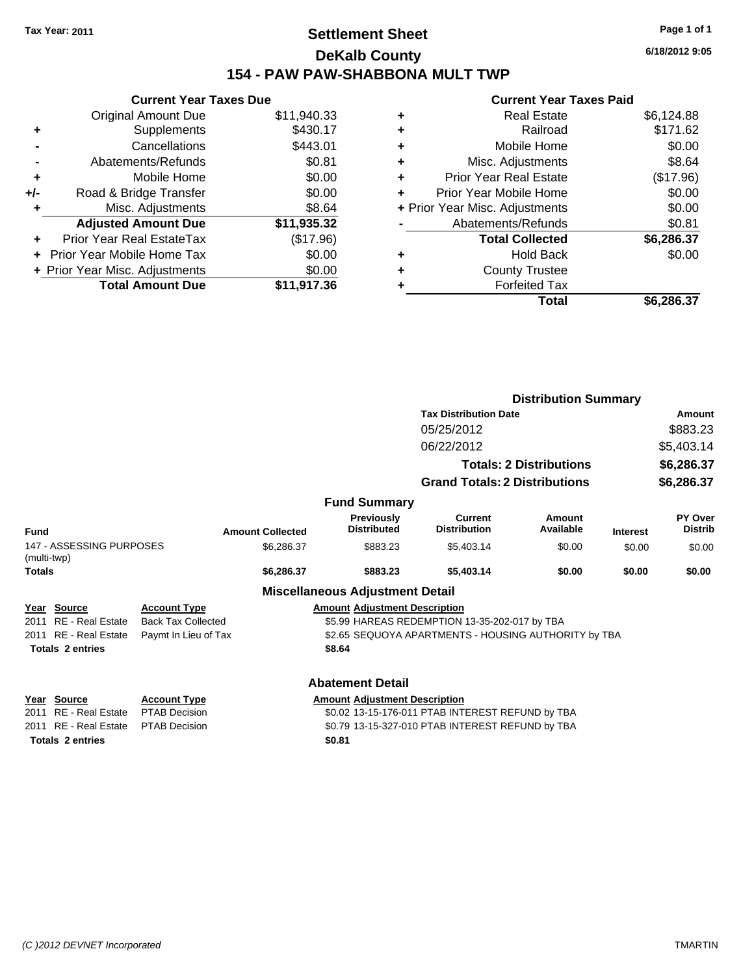### **Settlement Sheet Tax Year: 2011 Page 1 of 1 DeKalb County 154 - PAW PAW-SHABBONA MULT TWP**

**Current Year Taxes Due** Original Amount Due \$11,940.33 **+** Supplements \$430.17 **-** Cancellations \$443.01 **-** Abatements/Refunds \$0.81 **+** Mobile Home \$0.00 **+/-** Road & Bridge Transfer \$0.00 **+** Misc. Adjustments \$8.64 **Adjusted Amount Due \$11,935.32 +** Prior Year Real EstateTax (\$17.96) **+** Prior Year Mobile Home Tax \$0.00 **+ Prior Year Misc. Adjustments**  $$0.00$ **Total Amount Due \$11,917.36**

|   | <b>Real Estate</b>             | \$6,124.88 |
|---|--------------------------------|------------|
| ٠ | Railroad                       | \$171.62   |
| ٠ | Mobile Home                    | \$0.00     |
| ٠ | Misc. Adjustments              | \$8.64     |
| ٠ | <b>Prior Year Real Estate</b>  | (\$17.96)  |
|   | Prior Year Mobile Home         | \$0.00     |
|   | + Prior Year Misc. Adjustments | \$0.00     |
|   | Abatements/Refunds             | \$0.81     |
|   | <b>Total Collected</b>         | \$6,286.37 |
| ٠ | <b>Hold Back</b>               | \$0.00     |
| ٠ | <b>County Trustee</b>          |            |
| ٠ | <b>Forfeited Tax</b>           |            |
|   | Total                          | \$6,286.37 |
|   |                                |            |

|                                         |                           |                         |                                         |                                                      | <b>Distribution Summary</b>    |                 |                           |
|-----------------------------------------|---------------------------|-------------------------|-----------------------------------------|------------------------------------------------------|--------------------------------|-----------------|---------------------------|
|                                         |                           |                         |                                         | <b>Tax Distribution Date</b>                         |                                |                 | Amount                    |
|                                         |                           |                         |                                         | 05/25/2012                                           |                                |                 | \$883.23                  |
|                                         |                           |                         |                                         | 06/22/2012                                           |                                |                 | \$5,403.14                |
|                                         |                           |                         |                                         |                                                      | <b>Totals: 2 Distributions</b> |                 | \$6,286.37                |
|                                         |                           |                         |                                         | <b>Grand Totals: 2 Distributions</b>                 |                                |                 | \$6,286.37                |
|                                         |                           |                         | <b>Fund Summary</b>                     |                                                      |                                |                 |                           |
| Fund                                    |                           | <b>Amount Collected</b> | <b>Previously</b><br><b>Distributed</b> | <b>Current</b><br><b>Distribution</b>                | Amount<br>Available            | <b>Interest</b> | PY Over<br><b>Distrib</b> |
| 147 - ASSESSING PURPOSES<br>(multi-twp) |                           | \$6,286.37              | \$883.23                                | \$5,403.14                                           | \$0.00                         | \$0.00          | \$0.00                    |
| <b>Totals</b>                           |                           | \$6,286.37              | \$883.23                                | \$5,403.14                                           | \$0.00                         | \$0.00          | \$0.00                    |
|                                         |                           |                         | <b>Miscellaneous Adjustment Detail</b>  |                                                      |                                |                 |                           |
| Year Source                             | <b>Account Type</b>       |                         | <b>Amount Adjustment Description</b>    |                                                      |                                |                 |                           |
| 2011 RE - Real Estate                   | <b>Back Tax Collected</b> |                         |                                         | \$5.99 HAREAS REDEMPTION 13-35-202-017 by TBA        |                                |                 |                           |
| 2011 RE - Real Estate                   | Paymt In Lieu of Tax      |                         |                                         | \$2.65 SEQUOYA APARTMENTS - HOUSING AUTHORITY by TBA |                                |                 |                           |
| <b>Totals 2 entries</b>                 |                           |                         | \$8.64                                  |                                                      |                                |                 |                           |
|                                         |                           |                         | <b>Abatement Detail</b>                 |                                                      |                                |                 |                           |
| Year Source                             | <b>Account Type</b>       |                         | <b>Amount Adjustment Description</b>    |                                                      |                                |                 |                           |
| 2011 RE - Real Estate                   | PTAB Decision             |                         |                                         | \$0.02 13-15-176-011 PTAB INTEREST REFUND by TBA     |                                |                 |                           |
| 2011 RE - Real Estate                   | <b>PTAB Decision</b>      |                         |                                         | \$0.79 13-15-327-010 PTAB INTEREST REFUND by TBA     |                                |                 |                           |
| <b>Totals 2 entries</b>                 |                           |                         | \$0.81                                  |                                                      |                                |                 |                           |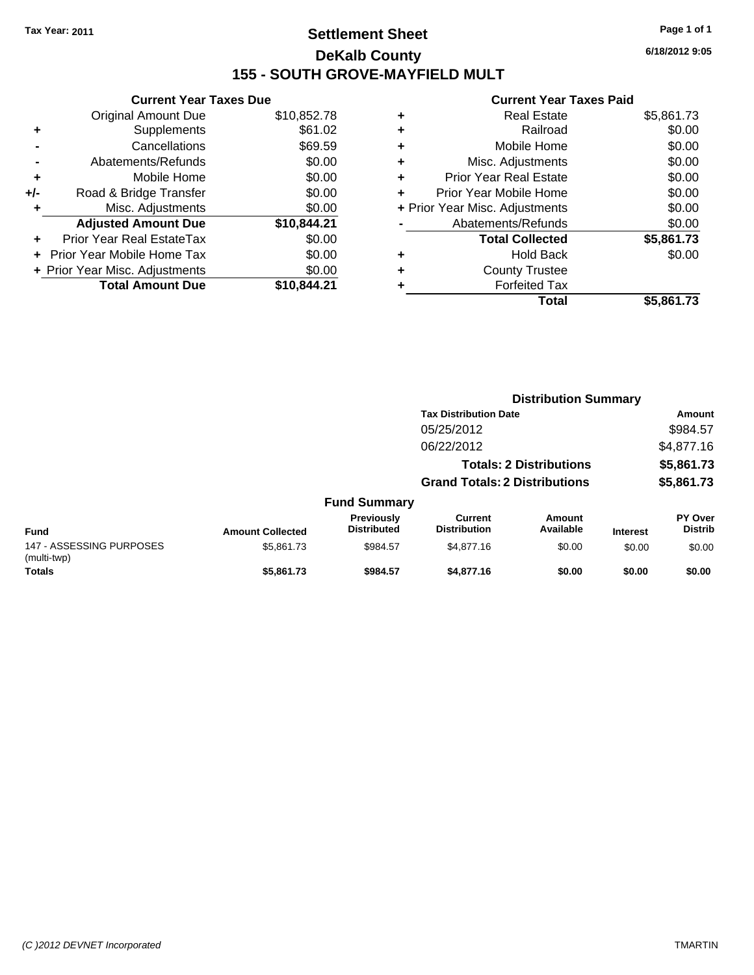### **Settlement Sheet Tax Year: 2011 Page 1 of 1 DeKalb County 155 - SOUTH GROVE-MAYFIELD MULT**

**6/18/2012 9:05**

#### **Current Year Taxes Paid**

| ٠ | <b>Real Estate</b>             | \$5,861.73 |
|---|--------------------------------|------------|
| ٠ | Railroad                       | \$0.00     |
| ٠ | Mobile Home                    | \$0.00     |
| ٠ | Misc. Adjustments              | \$0.00     |
| ÷ | Prior Year Real Estate         | \$0.00     |
| ٠ | Prior Year Mobile Home         | \$0.00     |
|   | + Prior Year Misc. Adjustments | \$0.00     |
|   | Abatements/Refunds             | \$0.00     |
|   | <b>Total Collected</b>         | \$5,861.73 |
| ٠ | <b>Hold Back</b>               | \$0.00     |
| ٠ | <b>County Trustee</b>          |            |
|   | <b>Forfeited Tax</b>           |            |
|   | Total                          | \$5,861.73 |
|   |                                |            |

**Distribution Summary**

|     | Supplements                    | \$61.02     |      |
|-----|--------------------------------|-------------|------|
|     | Cancellations                  | \$69.59     |      |
|     | Abatements/Refunds             | \$0.00      |      |
| ÷   | Mobile Home                    | \$0.00      |      |
| +/- | Road & Bridge Transfer         | \$0.00      |      |
|     | Misc. Adjustments              | \$0.00      | + Pr |
|     |                                |             |      |
|     | <b>Adjusted Amount Due</b>     | \$10,844.21 |      |
|     | Prior Year Real EstateTax      | \$0.00      |      |
|     | Prior Year Mobile Home Tax     | \$0.00      |      |
|     | + Prior Year Misc. Adjustments | \$0.00      |      |
|     | <b>Total Amount Due</b>        | \$10,844.21 |      |

**Current Year Taxes Due** Original Amount Due \$10,852.78

|                                         |                         |                                  | <b>Tax Distribution Date</b>          |                                |                 | Amount                           |
|-----------------------------------------|-------------------------|----------------------------------|---------------------------------------|--------------------------------|-----------------|----------------------------------|
|                                         |                         |                                  | 05/25/2012                            |                                |                 | \$984.57                         |
|                                         |                         |                                  | 06/22/2012                            |                                |                 | \$4,877.16                       |
|                                         |                         |                                  |                                       | <b>Totals: 2 Distributions</b> |                 | \$5,861.73                       |
|                                         |                         |                                  | <b>Grand Totals: 2 Distributions</b>  |                                |                 | \$5,861.73                       |
|                                         |                         | <b>Fund Summary</b>              |                                       |                                |                 |                                  |
| Fund                                    | <b>Amount Collected</b> | Previously<br><b>Distributed</b> | <b>Current</b><br><b>Distribution</b> | Amount<br>Available            | <b>Interest</b> | <b>PY Over</b><br><b>Distrib</b> |
| 147 - ASSESSING PURPOSES<br>(multi-twp) | \$5,861.73              | \$984.57                         | \$4,877.16                            | \$0.00                         | \$0.00          | \$0.00                           |
| Totals                                  | \$5,861.73              | \$984.57                         | \$4,877.16                            | \$0.00                         | \$0.00          | \$0.00                           |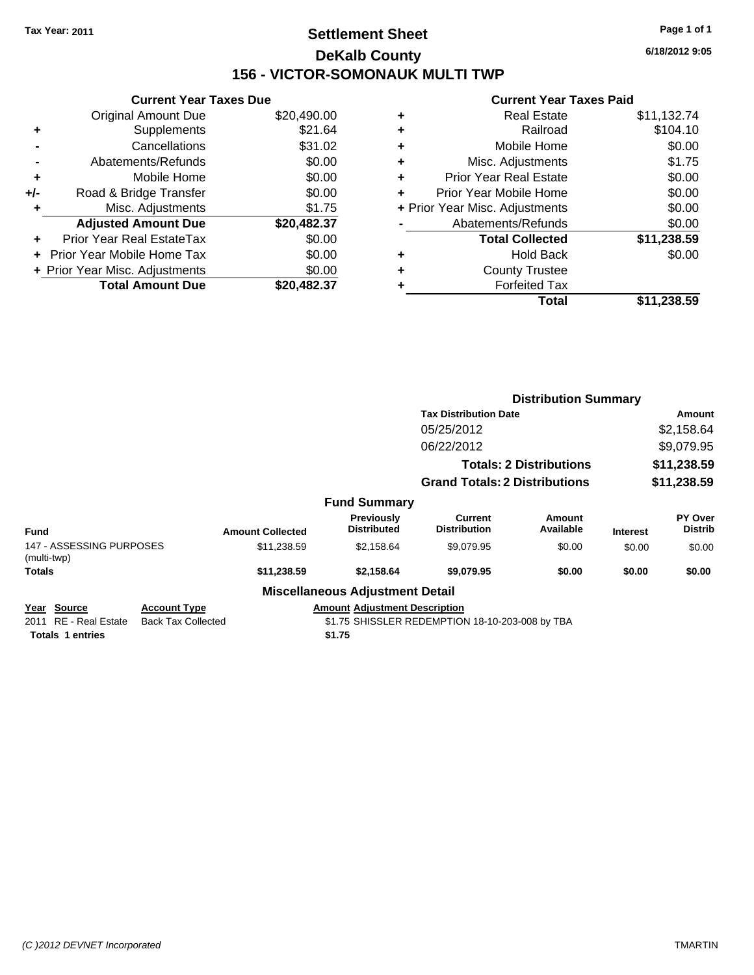### **Settlement Sheet Tax Year: 2011 Page 1 of 1 DeKalb County 156 - VICTOR-SOMONAUK MULTI TWP**

**6/18/2012 9:05**

|     | <b>Current Year Taxes Due</b>  |             |
|-----|--------------------------------|-------------|
|     | <b>Original Amount Due</b>     | \$20,490.00 |
| ÷   | Supplements                    | \$21.64     |
|     | Cancellations                  | \$31.02     |
|     | Abatements/Refunds             | \$0.00      |
| ٠   | Mobile Home                    | \$0.00      |
| +/- | Road & Bridge Transfer         | \$0.00      |
|     | Misc. Adjustments              | \$1.75      |
|     | <b>Adjusted Amount Due</b>     | \$20,482.37 |
| ÷   | Prior Year Real EstateTax      | \$0.00      |
|     | Prior Year Mobile Home Tax     | \$0.00      |
|     | + Prior Year Misc. Adjustments | \$0.00      |
|     | <b>Total Amount Due</b>        | \$20.482.37 |
|     |                                |             |

| ٠ | <b>Real Estate</b>             | \$11,132.74 |
|---|--------------------------------|-------------|
| ٠ | Railroad                       | \$104.10    |
| ٠ | Mobile Home                    | \$0.00      |
| ٠ | Misc. Adjustments              | \$1.75      |
| ÷ | Prior Year Real Estate         | \$0.00      |
| ÷ | Prior Year Mobile Home         | \$0.00      |
|   | + Prior Year Misc. Adjustments | \$0.00      |
|   | Abatements/Refunds             | \$0.00      |
|   | <b>Total Collected</b>         | \$11,238.59 |
| ٠ | <b>Hold Back</b>               | \$0.00      |
| ٠ | <b>County Trustee</b>          |             |
| ٠ | <b>Forfeited Tax</b>           |             |
|   | Total                          | \$11,238.59 |
|   |                                |             |

|                                                                    |                                                  |                         |                                                | <b>Distribution Summary</b>                     |                     |                           |                           |  |
|--------------------------------------------------------------------|--------------------------------------------------|-------------------------|------------------------------------------------|-------------------------------------------------|---------------------|---------------------------|---------------------------|--|
|                                                                    |                                                  |                         |                                                | <b>Tax Distribution Date</b>                    |                     | Amount                    |                           |  |
|                                                                    |                                                  |                         |                                                | 05/25/2012                                      |                     |                           | \$2,158.64                |  |
|                                                                    |                                                  |                         |                                                | 06/22/2012<br><b>Totals: 2 Distributions</b>    |                     | \$9,079.95<br>\$11,238.59 |                           |  |
|                                                                    |                                                  |                         |                                                |                                                 |                     |                           |                           |  |
|                                                                    | <b>Grand Totals: 2 Distributions</b>             |                         | \$11,238.59                                    |                                                 |                     |                           |                           |  |
|                                                                    |                                                  |                         | <b>Fund Summary</b>                            |                                                 |                     |                           |                           |  |
| <b>Fund</b>                                                        |                                                  | <b>Amount Collected</b> | Previously<br><b>Distributed</b>               | Current<br><b>Distribution</b>                  | Amount<br>Available | <b>Interest</b>           | PY Over<br><b>Distrib</b> |  |
| 147 - ASSESSING PURPOSES<br>(multi-twp)                            |                                                  | \$11,238.59             | \$2,158.64                                     | \$9,079.95                                      | \$0.00              | \$0.00                    | \$0.00                    |  |
| <b>Totals</b>                                                      |                                                  | \$11,238.59             | \$2,158.64                                     | \$9,079.95                                      | \$0.00              | \$0.00                    | \$0.00                    |  |
|                                                                    |                                                  |                         | <b>Miscellaneous Adjustment Detail</b>         |                                                 |                     |                           |                           |  |
| Year Source<br>RE - Real Estate<br>2011<br><b>Totals 1 entries</b> | <b>Account Type</b><br><b>Back Tax Collected</b> |                         | <b>Amount Adjustment Description</b><br>\$1.75 | \$1.75 SHISSLER REDEMPTION 18-10-203-008 by TBA |                     |                           |                           |  |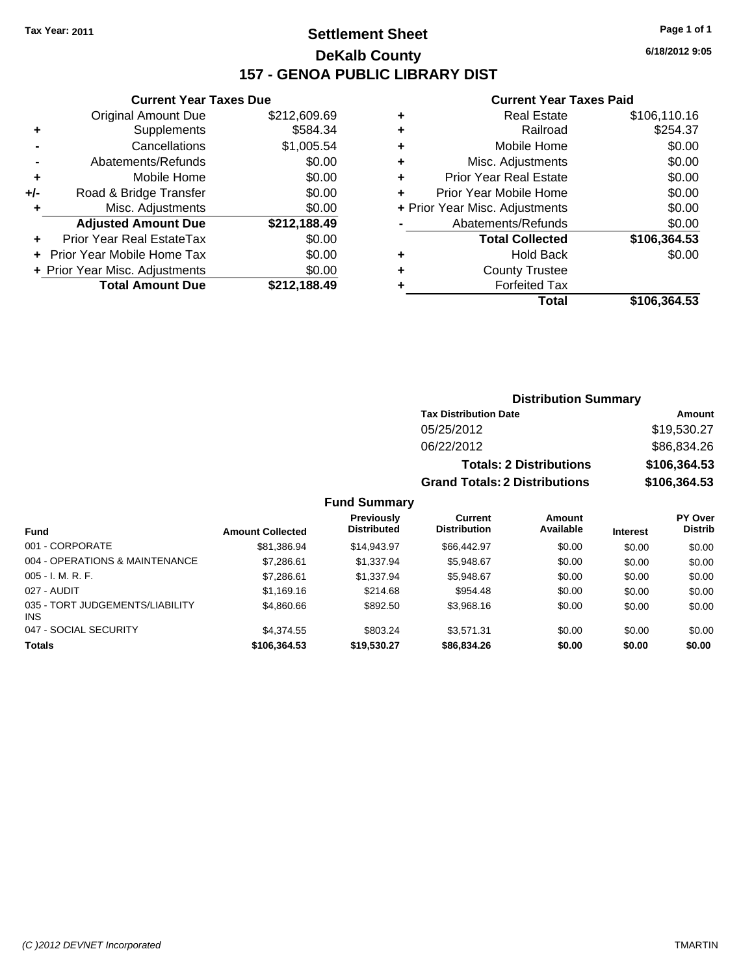### **Settlement Sheet Tax Year: 2011 Page 1 of 1 DeKalb County 157 - GENOA PUBLIC LIBRARY DIST**

### **Current Year Taxes Due**

|     | <b>Original Amount Due</b>        | \$212,609.69<br>\$584.34 |
|-----|-----------------------------------|--------------------------|
| ٠   | Supplements                       |                          |
|     | Cancellations                     | \$1,005.54               |
|     | Abatements/Refunds                | \$0.00                   |
| ٠   | Mobile Home                       | \$0.00                   |
| +/- | Road & Bridge Transfer            | \$0.00                   |
| ٠   | Misc. Adjustments                 | \$0.00                   |
|     | <b>Adjusted Amount Due</b>        | \$212,188.49             |
|     |                                   |                          |
|     | Prior Year Real EstateTax         | \$0.00                   |
|     | <b>Prior Year Mobile Home Tax</b> | \$0.00                   |
|     | + Prior Year Misc. Adjustments    | \$0.00                   |

#### **Current Year Taxes Paid**

|   | <b>Real Estate</b>             | \$106,110.16 |
|---|--------------------------------|--------------|
| ٠ | Railroad                       | \$254.37     |
| ٠ | Mobile Home                    | \$0.00       |
| ٠ | Misc. Adjustments              | \$0.00       |
| ٠ | <b>Prior Year Real Estate</b>  | \$0.00       |
|   | Prior Year Mobile Home         | \$0.00       |
|   | + Prior Year Misc. Adjustments | \$0.00       |
|   | Abatements/Refunds             | \$0.00       |
|   | <b>Total Collected</b>         | \$106,364.53 |
| ٠ | <b>Hold Back</b>               | \$0.00       |
| ٠ | <b>County Trustee</b>          |              |
| ٠ | <b>Forfeited Tax</b>           |              |
|   | Total                          | \$106,364.53 |
|   |                                |              |

| <b>Distribution Summary</b> |
|-----------------------------|
|-----------------------------|

| <b>Tax Distribution Date</b>         | Amount       |  |
|--------------------------------------|--------------|--|
| 05/25/2012                           | \$19.530.27  |  |
| 06/22/2012                           | \$86,834.26  |  |
| <b>Totals: 2 Distributions</b>       | \$106,364.53 |  |
| <b>Grand Totals: 2 Distributions</b> | \$106,364.53 |  |

|                                               |                         | <b>Previously</b>  | Current             | Amount    |                 | <b>PY Over</b> |
|-----------------------------------------------|-------------------------|--------------------|---------------------|-----------|-----------------|----------------|
| <b>Fund</b>                                   | <b>Amount Collected</b> | <b>Distributed</b> | <b>Distribution</b> | Available | <b>Interest</b> | <b>Distrib</b> |
| 001 - CORPORATE                               | \$81,386.94             | \$14,943.97        | \$66,442.97         | \$0.00    | \$0.00          | \$0.00         |
| 004 - OPERATIONS & MAINTENANCE                | \$7,286.61              | \$1,337.94         | \$5,948.67          | \$0.00    | \$0.00          | \$0.00         |
| $005 - I. M. R. F.$                           | \$7,286.61              | \$1,337.94         | \$5,948.67          | \$0.00    | \$0.00          | \$0.00         |
| 027 - AUDIT                                   | \$1,169.16              | \$214.68           | \$954.48            | \$0.00    | \$0.00          | \$0.00         |
| 035 - TORT JUDGEMENTS/LIABILITY<br><b>INS</b> | \$4,860.66              | \$892.50           | \$3.968.16          | \$0.00    | \$0.00          | \$0.00         |
| 047 - SOCIAL SECURITY                         | \$4,374.55              | \$803.24           | \$3.571.31          | \$0.00    | \$0.00          | \$0.00         |
| <b>Totals</b>                                 | \$106,364.53            | \$19.530.27        | \$86,834.26         | \$0.00    | \$0.00          | \$0.00         |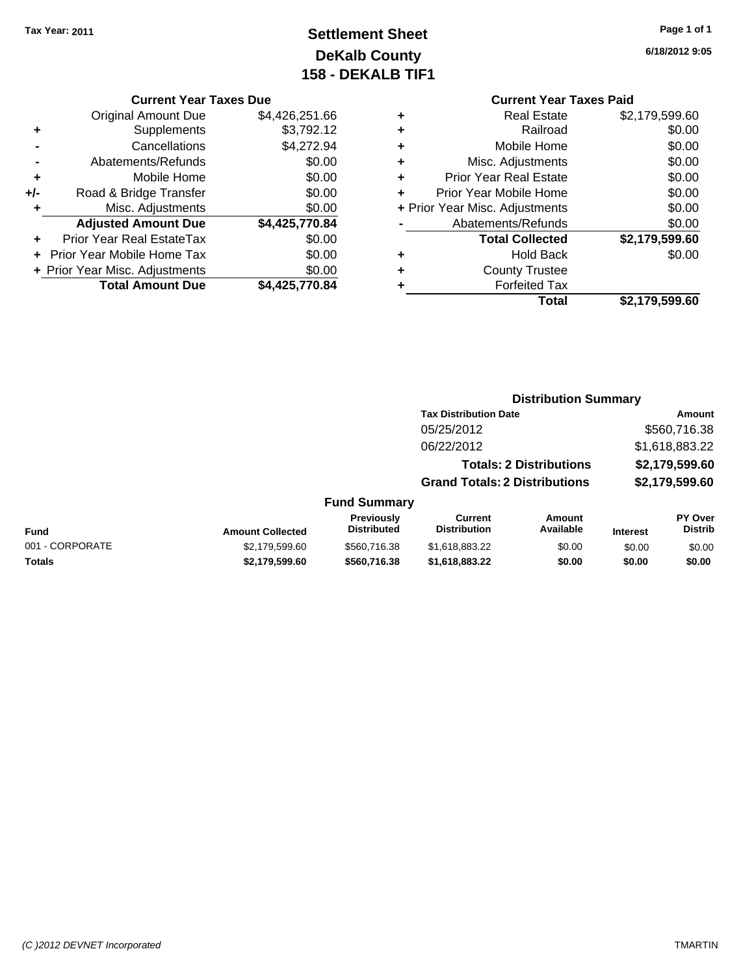# **Settlement Sheet Tax Year: 2011 Page 1 of 1 DeKalb County 158 - DEKALB TIF1**

#### **Current Year Taxes Due**

|     | <b>Total Amount Due</b>           | \$4,425,770.84 |
|-----|-----------------------------------|----------------|
|     | + Prior Year Misc. Adjustments    | \$0.00         |
|     | <b>Prior Year Mobile Home Tax</b> | \$0.00         |
|     | <b>Prior Year Real EstateTax</b>  | \$0.00         |
|     | <b>Adjusted Amount Due</b>        | \$4,425,770.84 |
| ٠   | Misc. Adjustments                 | \$0.00         |
| +/- | Road & Bridge Transfer            | \$0.00         |
| ÷   | Mobile Home                       | \$0.00         |
|     | Abatements/Refunds                | \$0.00         |
|     | Cancellations                     | \$4,272.94     |
| ٠   | Supplements                       | \$3,792.12     |
|     | <b>Original Amount Due</b>        | \$4,426,251.66 |
|     |                                   |                |

|   | <b>Current Year Taxes Paid</b> |                |
|---|--------------------------------|----------------|
| ٠ | <b>Real Estate</b>             | \$2,179,599.60 |
| ٠ | Railroad                       | \$0.00         |
| ٠ | Mobile Home                    | \$0.00         |
| ٠ | Misc. Adjustments              | \$0.00         |
| ÷ | <b>Prior Year Real Estate</b>  | \$0.00         |
| ÷ | Prior Year Mobile Home         | \$0.00         |
|   | + Prior Year Misc. Adjustments | \$0.00         |
|   | Abatements/Refunds             | \$0.00         |
|   | <b>Total Collected</b>         | \$2,179,599.60 |
| ٠ | <b>Hold Back</b>               | \$0.00         |
|   | <b>County Trustee</b>          |                |
|   | <b>Forfeited Tax</b>           |                |
|   | Total                          | \$2,179,599.60 |
|   |                                |                |

### **Distribution Summary**

|                     | <b>Tax Distribution Date</b>         | Amount         |
|---------------------|--------------------------------------|----------------|
|                     | 05/25/2012                           | \$560,716.38   |
|                     | 06/22/2012                           | \$1,618,883.22 |
|                     | <b>Totals: 2 Distributions</b>       | \$2,179,599.60 |
|                     | <b>Grand Totals: 2 Distributions</b> | \$2,179,599.60 |
| <b>Fund Summary</b> |                                      |                |

#### **Fund Interest Amount Collected Distributed PY Over Distrib Amount Available Current Distribution Previously** 001 - CORPORATE 6000 \$2,179,599.60 \$560,716.38 \$1,618,883.22 \$0.00 \$0.00 \$0.00 **Totals \$2,179,599.60 \$560,716.38 \$1,618,883.22 \$0.00 \$0.00 \$0.00**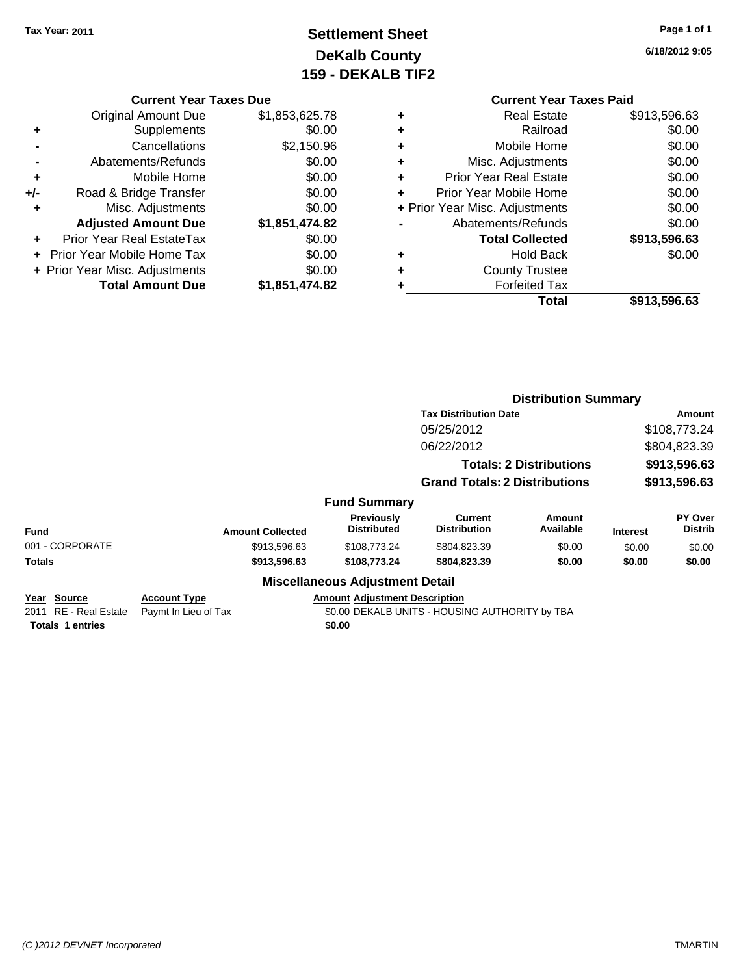# **Settlement Sheet Tax Year: 2011 Page 1 of 1 DeKalb County 159 - DEKALB TIF2**

**6/18/2012 9:05**

#### **Current Year Taxes Due**

|     | <b>Original Amount Due</b>     | \$1,853,625.78 |
|-----|--------------------------------|----------------|
| ٠   | Supplements                    | \$0.00         |
|     | Cancellations                  | \$2,150.96     |
|     | Abatements/Refunds             | \$0.00         |
| ٠   | Mobile Home                    | \$0.00         |
| +/- | Road & Bridge Transfer         | \$0.00         |
| ٠   | Misc. Adjustments              | \$0.00         |
|     | <b>Adjusted Amount Due</b>     | \$1,851,474.82 |
|     | Prior Year Real EstateTax      | \$0.00         |
|     | Prior Year Mobile Home Tax     | \$0.00         |
|     | + Prior Year Misc. Adjustments | \$0.00         |
|     | <b>Total Amount Due</b>        | \$1,851,474.82 |

# **Current Year Taxes Paid**

|   | Real Estate                    | \$913,596.63 |
|---|--------------------------------|--------------|
|   | Railroad                       | \$0.00       |
| ٠ | Mobile Home                    | \$0.00       |
| ٠ | Misc. Adjustments              | \$0.00       |
| ٠ | <b>Prior Year Real Estate</b>  | \$0.00       |
|   | Prior Year Mobile Home         | \$0.00       |
|   | + Prior Year Misc. Adjustments | \$0.00       |
|   | Abatements/Refunds             | \$0.00       |
|   | <b>Total Collected</b>         | \$913,596.63 |
| ٠ | <b>Hold Back</b>               | \$0.00       |
|   | <b>County Trustee</b>          |              |
|   | <b>Forfeited Tax</b>           |              |
|   | Total                          | \$913,596.63 |
|   |                                |              |

#### **Distribution Summary Tax Distribution Date Amount** 05/25/2012 \$108,773.24 06/22/2012 \$804,823.39 **Totals: 2 Distributions \$913,596.63 Grand Totals: 2 Distributions \$913,596.63 Fund Summary Fund Interest Amount Collected Distributed PY Over Distrib Amount Available Current Distribution Previously** 001 - CORPORATE 6000 \$913,596.63 \$108,773.24 \$804,823.39 \$0.00 \$0.00 \$0.00 \$0.00 **Totals \$913,596.63 \$108,773.24 \$804,823.39 \$0.00 \$0.00 \$0.00 Miscellaneous Adjustment Detail Year Source Account Type Amount Adjustment Description** 2011 RE - Real Estate Paymt In Lieu of Tax **50.00 DEKALB UNITS - HOUSING AUTHORITY by TBA Totals 1 entries** \$0.00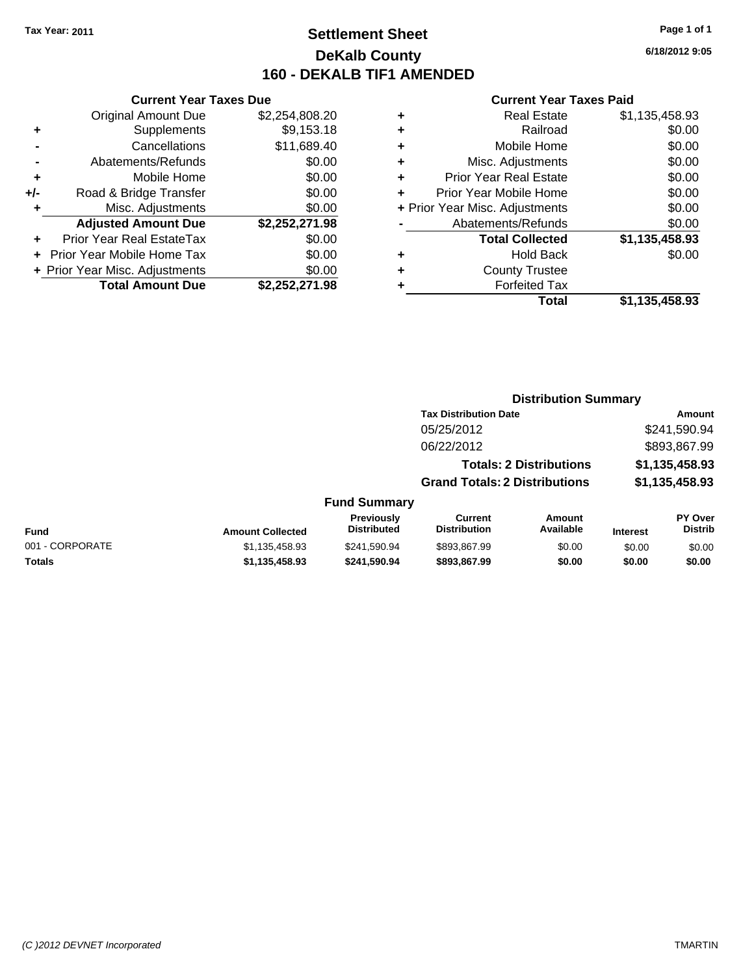### **Settlement Sheet Tax Year: 2011 Page 1 of 1 DeKalb County 160 - DEKALB TIF1 AMENDED**

**6/18/2012 9:05**

#### **Current Year Taxes Paid**

|     | <b>Current Year Taxes Due</b>  |                |  |  |  |
|-----|--------------------------------|----------------|--|--|--|
|     | <b>Original Amount Due</b>     | \$2,254,808.20 |  |  |  |
| ٠   | Supplements                    | \$9,153.18     |  |  |  |
|     | Cancellations                  | \$11,689.40    |  |  |  |
|     | Abatements/Refunds             | \$0.00         |  |  |  |
| ٠   | Mobile Home                    | \$0.00         |  |  |  |
| +/- | Road & Bridge Transfer         | \$0.00         |  |  |  |
| ٠   | Misc. Adjustments              | \$0.00         |  |  |  |
|     | <b>Adjusted Amount Due</b>     | \$2,252,271.98 |  |  |  |
|     | Prior Year Real EstateTax      | \$0.00         |  |  |  |
|     | Prior Year Mobile Home Tax     | \$0.00         |  |  |  |
|     | + Prior Year Misc. Adjustments | \$0.00         |  |  |  |
|     | <b>Total Amount Due</b>        | \$2,252,271.98 |  |  |  |

| ٠ | <b>Real Estate</b>             | \$1,135,458.93 |
|---|--------------------------------|----------------|
| ٠ | Railroad                       | \$0.00         |
| ٠ | Mobile Home                    | \$0.00         |
| ٠ | Misc. Adjustments              | \$0.00         |
| ÷ | Prior Year Real Estate         | \$0.00         |
| ÷ | Prior Year Mobile Home         | \$0.00         |
|   | + Prior Year Misc. Adjustments | \$0.00         |
|   | Abatements/Refunds             | \$0.00         |
|   | <b>Total Collected</b>         | \$1,135,458.93 |
| ٠ | <b>Hold Back</b>               | \$0.00         |
| ٠ | <b>County Trustee</b>          |                |
| ٠ | <b>Forfeited Tax</b>           |                |
|   | Total                          | \$1,135,458.93 |
|   |                                |                |

| <b>Distribution Summary</b> |  |
|-----------------------------|--|
|-----------------------------|--|

| <b>Tax Distribution Date</b>         | Amount         |
|--------------------------------------|----------------|
| 05/25/2012                           | \$241,590.94   |
| 06/22/2012                           | \$893,867.99   |
| <b>Totals: 2 Distributions</b>       | \$1,135,458.93 |
| <b>Grand Totals: 2 Distributions</b> | \$1,135,458.93 |
|                                      |                |

### **Fund Summary**

| Fund            | <b>Amount Collected</b> | <b>Previously</b><br><b>Distributed</b> | Current<br><b>Distribution</b> | Amount<br>Available | <b>Interest</b> | <b>PY Over</b><br><b>Distrib</b> |
|-----------------|-------------------------|-----------------------------------------|--------------------------------|---------------------|-----------------|----------------------------------|
| 001 - CORPORATE | \$1.135.458.93          | \$241,590.94                            | \$893.867.99                   | \$0.00              | \$0.00          | \$0.00                           |
| Totals          | \$1.135.458.93          | \$241.590.94                            | \$893.867.99                   | \$0.00              | \$0.00          | \$0.00                           |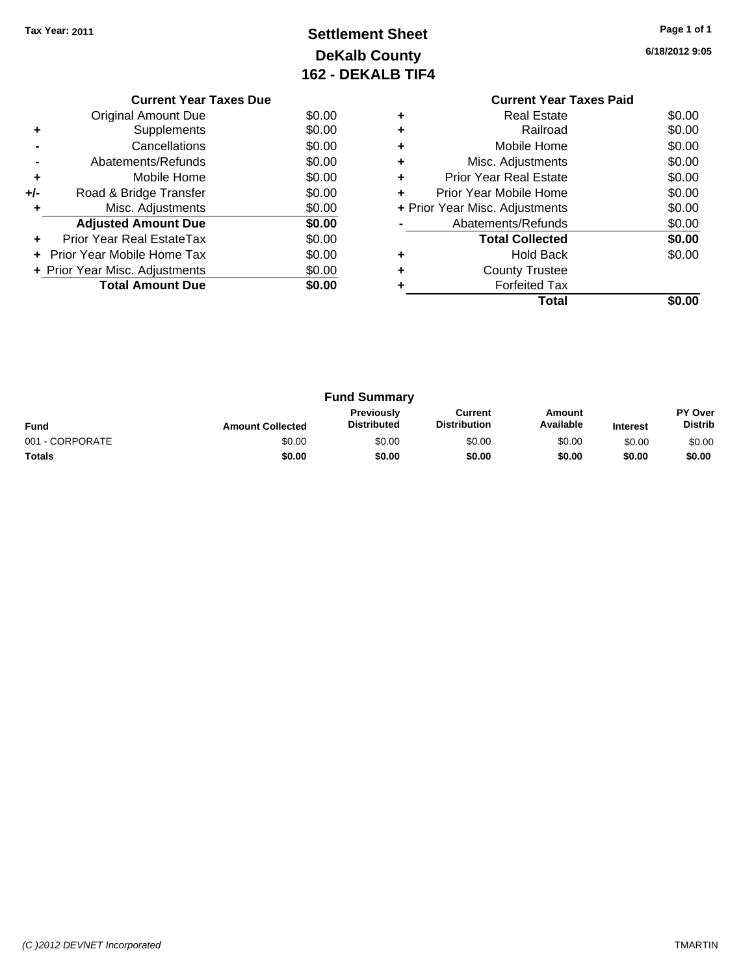### **Settlement Sheet Tax Year: 2011 Page 1 of 1 DeKalb County 162 - DEKALB TIF4**

**6/18/2012 9:05**

|     | <b>Current Year Taxes Due</b>     |        |  |  |  |  |  |
|-----|-----------------------------------|--------|--|--|--|--|--|
|     | \$0.00<br>Original Amount Due     |        |  |  |  |  |  |
|     | Supplements                       | \$0.00 |  |  |  |  |  |
|     | Cancellations                     | \$0.00 |  |  |  |  |  |
|     | Abatements/Refunds                | \$0.00 |  |  |  |  |  |
| ٠   | Mobile Home                       | \$0.00 |  |  |  |  |  |
| +/- | Road & Bridge Transfer            | \$0.00 |  |  |  |  |  |
|     | Misc. Adjustments                 | \$0.00 |  |  |  |  |  |
|     | <b>Adjusted Amount Due</b>        | \$0.00 |  |  |  |  |  |
|     | Prior Year Real EstateTax         | \$0.00 |  |  |  |  |  |
|     | <b>Prior Year Mobile Home Tax</b> | \$0.00 |  |  |  |  |  |
|     | + Prior Year Misc. Adjustments    | \$0.00 |  |  |  |  |  |
|     | <b>Total Amount Due</b><br>\$0.00 |        |  |  |  |  |  |
|     |                                   |        |  |  |  |  |  |

#### **Current Year Taxes Paid +** Real Estate \$0.00 **+** Railroad \$0.00 **+** Mobile Home \$0.00 **+** Misc. Adjustments \$0.00 **+** Prior Year Real Estate \$0.00 **+** Prior Year Mobile Home \$0.00 **+** Prior Year Misc. Adjustments \$0.00 **-** Abatements/Refunds \$0.00 **Total Collected \$0.00 +** Hold Back \$0.00 **+** County Trustee **+** Forfeited Tax **Total \$0.00**

| <b>Fund Summary</b> |                         |                                         |                                |                     |                 |                           |
|---------------------|-------------------------|-----------------------------------------|--------------------------------|---------------------|-----------------|---------------------------|
| <b>Fund</b>         | <b>Amount Collected</b> | <b>Previously</b><br><b>Distributed</b> | Current<br><b>Distribution</b> | Amount<br>Available | <b>Interest</b> | PY Over<br><b>Distrib</b> |
| 001 - CORPORATE     | \$0.00                  | \$0.00                                  | \$0.00                         | \$0.00              | \$0.00          | \$0.00                    |
| <b>Totals</b>       | \$0.00                  | \$0.00                                  | \$0.00                         | \$0.00              | \$0.00          | \$0.00                    |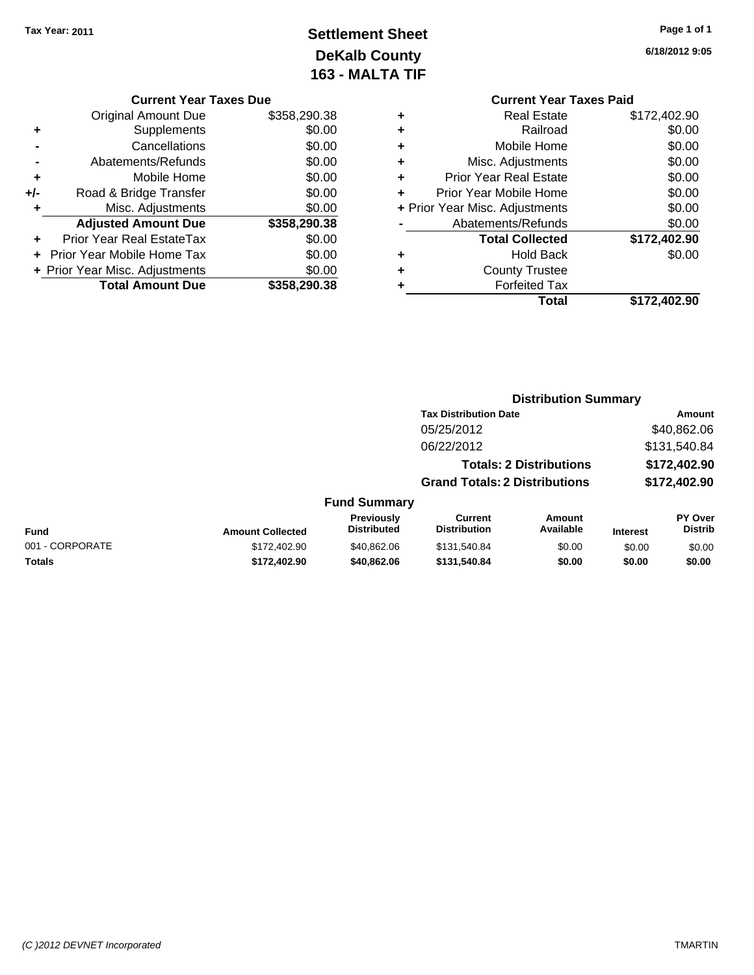### **Settlement Sheet Tax Year: 2011 Page 1 of 1 DeKalb County 163 - MALTA TIF**

**6/18/2012 9:05**

|                    | <b>Current Year Taxes Paid</b> |              |  |  |
|--------------------|--------------------------------|--------------|--|--|
| ٠                  | Real Estate                    | \$172,402.90 |  |  |
| ٠                  | Railroad                       | \$0.00       |  |  |
| ٠                  | Mobile Home                    | \$0.00       |  |  |
| ٠                  | Misc. Adjustments              | \$0.00       |  |  |
| ÷                  | <b>Prior Year Real Estate</b>  | \$0.00       |  |  |
|                    | Prior Year Mobile Home         | \$0.00       |  |  |
|                    | + Prior Year Misc. Adjustments | \$0.00       |  |  |
| Abatements/Refunds |                                | \$0.00       |  |  |
|                    | <b>Total Collected</b>         | \$172,402.90 |  |  |
|                    | Hold Back                      | \$0.00       |  |  |
|                    | <b>County Trustee</b>          |              |  |  |
|                    | <b>Forfeited Tax</b>           |              |  |  |
|                    | Total                          | \$172,402.90 |  |  |

|     | <b>Current Year Taxes Due</b>  |              |  |  |  |
|-----|--------------------------------|--------------|--|--|--|
|     | <b>Original Amount Due</b>     | \$358,290.38 |  |  |  |
| ٠   | Supplements                    | \$0.00       |  |  |  |
|     | Cancellations                  | \$0.00       |  |  |  |
|     | Abatements/Refunds             | \$0.00       |  |  |  |
| ٠   | Mobile Home                    | \$0.00       |  |  |  |
| +/- | Road & Bridge Transfer         | \$0.00       |  |  |  |
| ٠   | Misc. Adjustments              | \$0.00       |  |  |  |
|     | <b>Adjusted Amount Due</b>     | \$358,290.38 |  |  |  |
|     | Prior Year Real EstateTax      | \$0.00       |  |  |  |
|     | Prior Year Mobile Home Tax     | \$0.00       |  |  |  |
|     | + Prior Year Misc. Adjustments | \$0.00       |  |  |  |
|     | <b>Total Amount Due</b>        | \$358,290.38 |  |  |  |

| <b>Distribution Summary</b> |  |
|-----------------------------|--|
|-----------------------------|--|

|                     | <b>Tax Distribution Date</b>         | Amount       |  |  |
|---------------------|--------------------------------------|--------------|--|--|
|                     | 05/25/2012                           | \$40,862.06  |  |  |
|                     | 06/22/2012                           | \$131,540.84 |  |  |
|                     | <b>Totals: 2 Distributions</b>       | \$172,402.90 |  |  |
|                     | <b>Grand Totals: 2 Distributions</b> | \$172,402.90 |  |  |
| <b>Fund Summary</b> |                                      |              |  |  |

|                 |                         | Previously  | Current             | Amount    |                 | <b>PY Over</b> |
|-----------------|-------------------------|-------------|---------------------|-----------|-----------------|----------------|
| Fund            | <b>Amount Collected</b> | Distributed | <b>Distribution</b> | Available | <b>Interest</b> | Distrib        |
| 001 - CORPORATE | \$172,402.90            | \$40.862.06 | \$131.540.84        | \$0.00    | \$0.00          | \$0.00         |
| <b>Totals</b>   | \$172.402.90            | \$40.862.06 | \$131.540.84        | \$0.00    | \$0.00          | \$0.00         |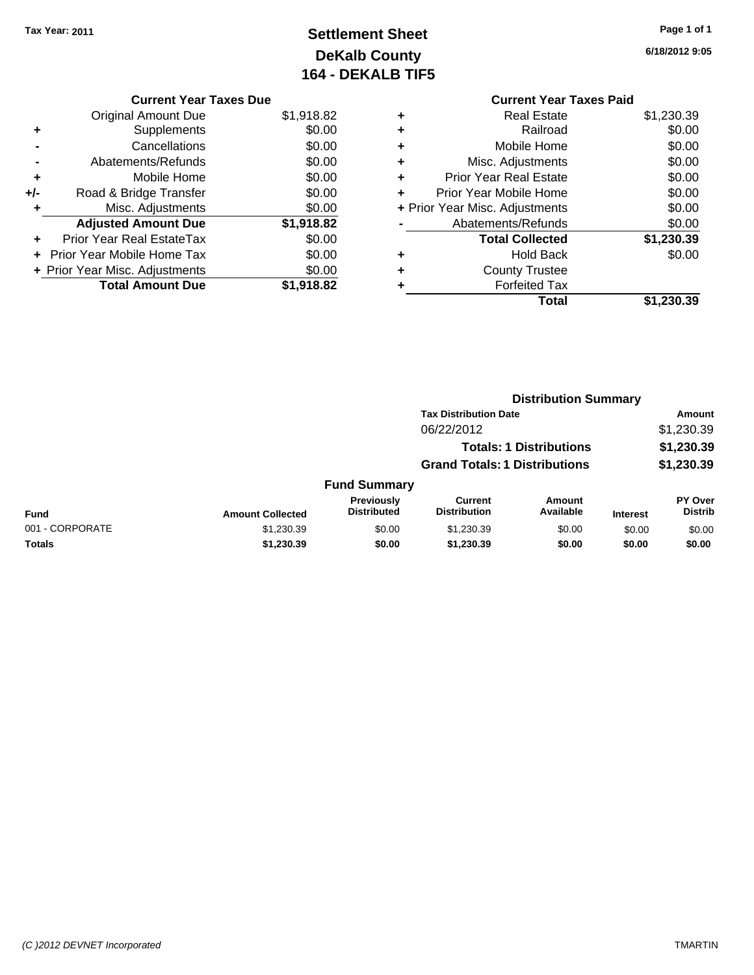### **Settlement Sheet Tax Year: 2011 Page 1 of 1 DeKalb County 164 - DEKALB TIF5**

**6/18/2012 9:05**

|     | <b>Current Year Taxes Due</b>     |            |
|-----|-----------------------------------|------------|
|     | <b>Original Amount Due</b>        | \$1,918.82 |
| ٠   | Supplements                       | \$0.00     |
|     | Cancellations                     | \$0.00     |
|     | Abatements/Refunds                | \$0.00     |
| ٠   | Mobile Home                       | \$0.00     |
| +/- | Road & Bridge Transfer            | \$0.00     |
| ٠   | Misc. Adjustments                 | \$0.00     |
|     | <b>Adjusted Amount Due</b>        | \$1,918.82 |
|     | Prior Year Real EstateTax         | \$0.00     |
|     | <b>Prior Year Mobile Home Tax</b> | \$0.00     |
|     | + Prior Year Misc. Adjustments    | \$0.00     |
|     | <b>Total Amount Due</b>           | \$1,918.82 |

## **Current Year Taxes Paid +** Real Estate \$1,230.39

|   | Total                          | \$1,230.39 |
|---|--------------------------------|------------|
|   | <b>Forfeited Tax</b>           |            |
| ٠ | <b>County Trustee</b>          |            |
|   | <b>Hold Back</b>               | \$0.00     |
|   | <b>Total Collected</b>         | \$1,230.39 |
|   | Abatements/Refunds             | \$0.00     |
|   | + Prior Year Misc. Adjustments | \$0.00     |
|   | Prior Year Mobile Home         | \$0.00     |
|   | <b>Prior Year Real Estate</b>  | \$0.00     |
| ٠ | Misc. Adjustments              | \$0.00     |
|   | Mobile Home                    | \$0.00     |
|   | Railroad                       | \$0.00     |

|                 |                         |                                         |                                       | <b>Distribution Summary</b>    |                 |                           |
|-----------------|-------------------------|-----------------------------------------|---------------------------------------|--------------------------------|-----------------|---------------------------|
|                 |                         |                                         | <b>Tax Distribution Date</b>          |                                |                 | <b>Amount</b>             |
|                 |                         |                                         | 06/22/2012                            |                                |                 | \$1,230.39                |
|                 |                         |                                         |                                       | <b>Totals: 1 Distributions</b> |                 | \$1,230.39                |
|                 |                         |                                         | <b>Grand Totals: 1 Distributions</b>  |                                |                 | \$1,230.39                |
|                 |                         | <b>Fund Summary</b>                     |                                       |                                |                 |                           |
| <b>Fund</b>     | <b>Amount Collected</b> | <b>Previously</b><br><b>Distributed</b> | <b>Current</b><br><b>Distribution</b> | Amount<br>Available            | <b>Interest</b> | PY Over<br><b>Distrib</b> |
| 001 - CORPORATE | \$1,230.39              | \$0.00                                  | \$1,230.39                            | \$0.00                         | \$0.00          | \$0.00                    |
| Totals          | \$1,230.39              | \$0.00                                  | \$1,230.39                            | \$0.00                         | \$0.00          | \$0.00                    |
|                 |                         |                                         |                                       |                                |                 |                           |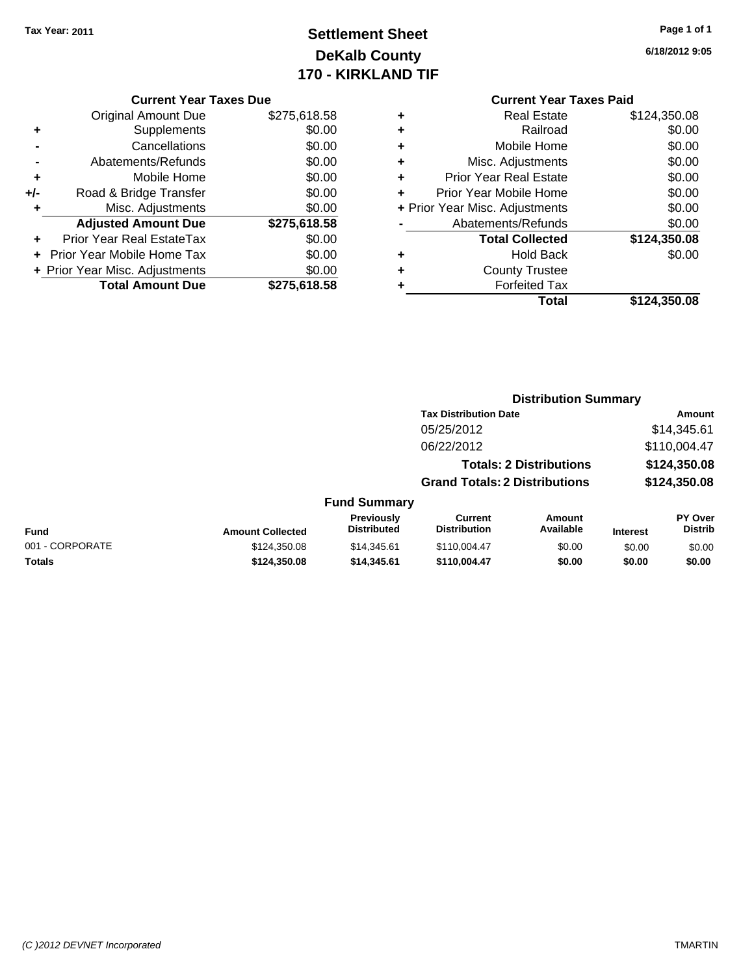### **Settlement Sheet Tax Year: 2011 Page 1 of 1 DeKalb County 170 - KIRKLAND TIF**

**6/18/2012 9:05**

|     | <b>Original Amount Due</b>        | \$275,618.58 |
|-----|-----------------------------------|--------------|
| ٠   | Supplements                       | \$0.00       |
|     | Cancellations                     | \$0.00       |
|     | Abatements/Refunds                | \$0.00       |
| ٠   | Mobile Home                       | \$0.00       |
| +/- | Road & Bridge Transfer            | \$0.00       |
| ٠   | Misc. Adjustments                 | \$0.00       |
|     | <b>Adjusted Amount Due</b>        | \$275,618.58 |
|     | Prior Year Real EstateTax         | \$0.00       |
|     | <b>Prior Year Mobile Home Tax</b> | \$0.00       |
|     | + Prior Year Misc. Adjustments    | \$0.00       |
|     |                                   |              |
|     | <b>Total Amount Due</b>           | \$275,618.58 |

|   | <b>Real Estate</b>             | \$124,350.08 |
|---|--------------------------------|--------------|
| ٠ | Railroad                       | \$0.00       |
| ٠ | Mobile Home                    | \$0.00       |
| ٠ | Misc. Adjustments              | \$0.00       |
| ٠ | <b>Prior Year Real Estate</b>  | \$0.00       |
|   | Prior Year Mobile Home         | \$0.00       |
|   | + Prior Year Misc. Adjustments | \$0.00       |
|   | Abatements/Refunds             | \$0.00       |
|   | <b>Total Collected</b>         | \$124,350.08 |
| ٠ | Hold Back                      | \$0.00       |
| ٠ | <b>County Trustee</b>          |              |
| ٠ | <b>Forfeited Tax</b>           |              |
|   | Total                          | \$124,350.08 |
|   |                                |              |

|                 |                         |                                  | <b>Distribution Summary</b>           |                                |                 |                                  |
|-----------------|-------------------------|----------------------------------|---------------------------------------|--------------------------------|-----------------|----------------------------------|
|                 |                         |                                  | <b>Tax Distribution Date</b>          |                                |                 | Amount                           |
|                 |                         |                                  | 05/25/2012                            |                                |                 | \$14,345.61                      |
|                 |                         |                                  | 06/22/2012                            |                                |                 | \$110,004.47                     |
|                 |                         |                                  |                                       | <b>Totals: 2 Distributions</b> |                 | \$124,350.08                     |
|                 |                         |                                  | <b>Grand Totals: 2 Distributions</b>  |                                |                 | \$124,350.08                     |
|                 |                         | <b>Fund Summary</b>              |                                       |                                |                 |                                  |
| Fund            | <b>Amount Collected</b> | Previously<br><b>Distributed</b> | <b>Current</b><br><b>Distribution</b> | Amount<br>Available            | <b>Interest</b> | <b>PY Over</b><br><b>Distrib</b> |
| 001 - CORPORATE | \$124,350.08            | \$14.345.61                      | \$110,004.47                          | \$0.00                         | \$0.00          | \$0.00                           |
| Totals          | \$124,350.08            | \$14,345.61                      | \$110,004.47                          | \$0.00                         | \$0.00          | \$0.00                           |
|                 |                         |                                  |                                       |                                |                 |                                  |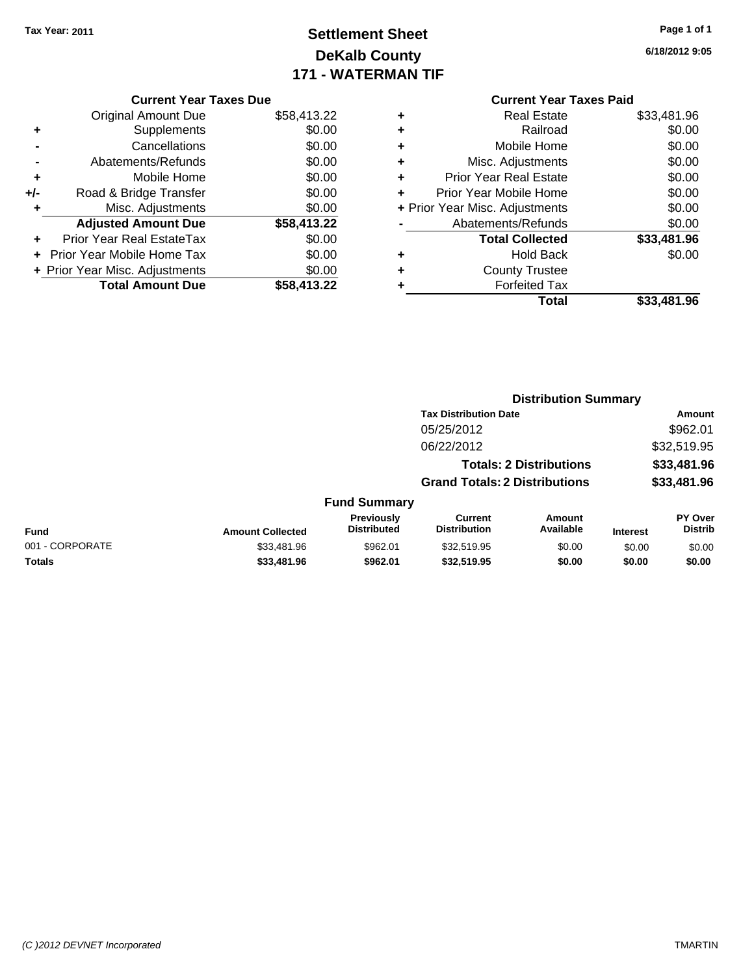### **Settlement Sheet Tax Year: 2011 Page 1 of 1 DeKalb County 171 - WATERMAN TIF**

**6/18/2012 9:05**

|     | <b>Current Year Taxes Due</b>     |             |
|-----|-----------------------------------|-------------|
|     | <b>Original Amount Due</b>        | \$58,413.22 |
| ٠   | Supplements                       | \$0.00      |
|     | Cancellations                     | \$0.00      |
|     | Abatements/Refunds                | \$0.00      |
| ٠   | Mobile Home                       | \$0.00      |
| +/- | Road & Bridge Transfer            | \$0.00      |
| ٠   | Misc. Adjustments                 | \$0.00      |
|     | <b>Adjusted Amount Due</b>        | \$58,413.22 |
| ÷   | Prior Year Real EstateTax         | \$0.00      |
|     | <b>Prior Year Mobile Home Tax</b> | \$0.00      |
|     | + Prior Year Misc. Adjustments    | \$0.00      |
|     | <b>Total Amount Due</b>           | \$58,413.22 |
|     |                                   |             |

|   | <b>Real Estate</b>             | \$33,481.96 |
|---|--------------------------------|-------------|
| ÷ | Railroad                       | \$0.00      |
| ÷ | Mobile Home                    | \$0.00      |
| ٠ | Misc. Adjustments              | \$0.00      |
| ٠ | <b>Prior Year Real Estate</b>  | \$0.00      |
|   | Prior Year Mobile Home         | \$0.00      |
|   | + Prior Year Misc. Adjustments | \$0.00      |
|   | Abatements/Refunds             | \$0.00      |
|   | <b>Total Collected</b>         | \$33,481.96 |
| ٠ | <b>Hold Back</b>               | \$0.00      |
| ٠ | <b>County Trustee</b>          |             |
| ٠ | <b>Forfeited Tax</b>           |             |
|   | Total                          | \$33,481.96 |
|   |                                |             |

|                 |                         |                                  | <b>Distribution Summary</b>           |                                |                 |                                  |
|-----------------|-------------------------|----------------------------------|---------------------------------------|--------------------------------|-----------------|----------------------------------|
|                 |                         |                                  | <b>Tax Distribution Date</b>          |                                |                 | Amount                           |
|                 |                         |                                  | 05/25/2012                            |                                |                 | \$962.01                         |
|                 |                         |                                  | 06/22/2012                            |                                |                 | \$32,519.95                      |
|                 |                         |                                  |                                       | <b>Totals: 2 Distributions</b> |                 | \$33,481.96                      |
|                 |                         |                                  | <b>Grand Totals: 2 Distributions</b>  |                                |                 | \$33,481.96                      |
|                 |                         | <b>Fund Summary</b>              |                                       |                                |                 |                                  |
| Fund            | <b>Amount Collected</b> | Previously<br><b>Distributed</b> | <b>Current</b><br><b>Distribution</b> | Amount<br>Available            | <b>Interest</b> | <b>PY Over</b><br><b>Distrib</b> |
| 001 - CORPORATE | \$33,481.96             | \$962.01                         | \$32,519.95                           | \$0.00                         | \$0.00          | \$0.00                           |
| Totals          | \$33,481.96             | \$962.01                         | \$32,519.95                           | \$0.00                         | \$0.00          | \$0.00                           |
|                 |                         |                                  |                                       |                                |                 |                                  |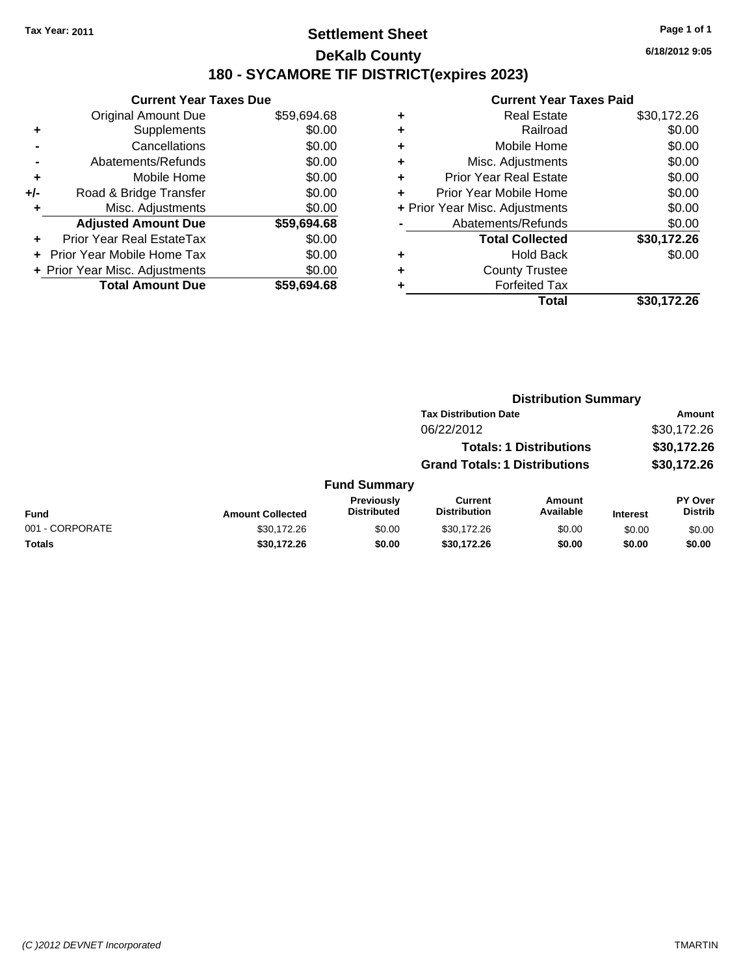### **Settlement Sheet Tax Year: 2011 Page 1 of 1 DeKalb County 180 - SYCAMORE TIF DISTRICT(expires 2023)**

**6/18/2012 9:05**

|     | <b>Current Year Taxes Due</b>     |             |
|-----|-----------------------------------|-------------|
|     | <b>Original Amount Due</b>        | \$59,694.68 |
| ÷   | Supplements                       | \$0.00      |
|     | Cancellations                     | \$0.00      |
|     | Abatements/Refunds                | \$0.00      |
| ٠   | Mobile Home                       | \$0.00      |
| +/- | Road & Bridge Transfer            | \$0.00      |
| ٠   | Misc. Adjustments                 | \$0.00      |
|     | <b>Adjusted Amount Due</b>        | \$59,694.68 |
|     | <b>Prior Year Real EstateTax</b>  | \$0.00      |
|     | <b>Prior Year Mobile Home Tax</b> | \$0.00      |
|     | + Prior Year Misc. Adjustments    | \$0.00      |
|     | <b>Total Amount Due</b>           | \$59,694.68 |

|   | <b>Current Year Taxes Paid</b> |             |
|---|--------------------------------|-------------|
| ٠ | <b>Real Estate</b>             | \$30,172.26 |
| ٠ | Railroad                       | \$0.00      |
| ٠ | Mobile Home                    | \$0.00      |
| ٠ | Misc. Adjustments              | \$0.00      |
| ٠ | <b>Prior Year Real Estate</b>  | \$0.00      |
| ÷ | Prior Year Mobile Home         | \$0.00      |
|   | + Prior Year Misc. Adjustments | \$0.00      |
|   | Abatements/Refunds             | \$0.00      |
|   | <b>Total Collected</b>         | \$30,172.26 |
| ٠ | Hold Back                      | \$0.00      |
|   | <b>County Trustee</b>          |             |
| ٠ | <b>Forfeited Tax</b>           |             |
|   | Total                          | \$30.172.26 |

|                 |                         |                                  | <b>Distribution Summary</b>           |                                |                 |                                  |
|-----------------|-------------------------|----------------------------------|---------------------------------------|--------------------------------|-----------------|----------------------------------|
|                 |                         |                                  | <b>Tax Distribution Date</b>          |                                |                 | Amount                           |
|                 |                         |                                  | 06/22/2012                            |                                |                 | \$30,172.26                      |
|                 |                         |                                  |                                       | <b>Totals: 1 Distributions</b> |                 | \$30,172.26                      |
|                 |                         |                                  | <b>Grand Totals: 1 Distributions</b>  |                                |                 | \$30,172.26                      |
|                 |                         | <b>Fund Summary</b>              |                                       |                                |                 |                                  |
| Fund            | <b>Amount Collected</b> | Previously<br><b>Distributed</b> | <b>Current</b><br><b>Distribution</b> | Amount<br>Available            | <b>Interest</b> | <b>PY Over</b><br><b>Distrib</b> |
| 001 - CORPORATE | \$30,172.26             | \$0.00                           | \$30,172.26                           | \$0.00                         | \$0.00          | \$0.00                           |
| Totals          | \$30,172.26             | \$0.00                           | \$30,172.26                           | \$0.00                         | \$0.00          | \$0.00                           |
|                 |                         |                                  |                                       |                                |                 |                                  |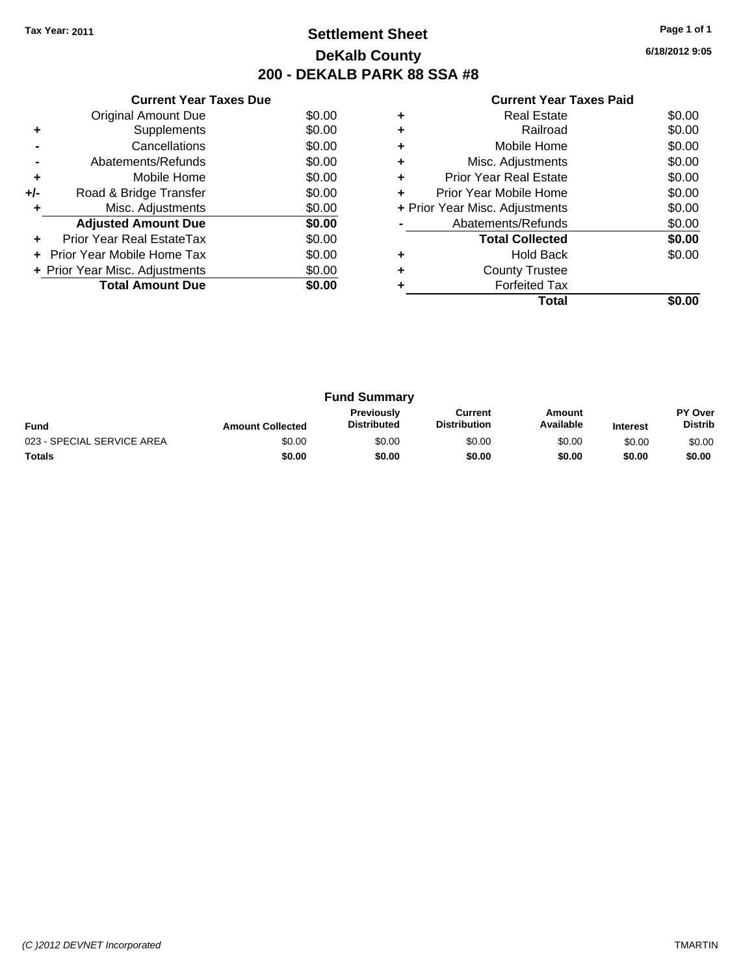### **Settlement Sheet Tax Year: 2011 Page 1 of 1 DeKalb County 200 - DEKALB PARK 88 SSA #8**

**6/18/2012 9:05**

|     | <b>Current Year Taxes Due</b>  |        |  |  |  |
|-----|--------------------------------|--------|--|--|--|
|     | <b>Original Amount Due</b>     | \$0.00 |  |  |  |
| ٠   | Supplements                    | \$0.00 |  |  |  |
|     | Cancellations                  | \$0.00 |  |  |  |
|     | Abatements/Refunds             | \$0.00 |  |  |  |
| ٠   | Mobile Home                    | \$0.00 |  |  |  |
| +/- | Road & Bridge Transfer         | \$0.00 |  |  |  |
| ٠   | Misc. Adjustments              | \$0.00 |  |  |  |
|     | <b>Adjusted Amount Due</b>     | \$0.00 |  |  |  |
| ٠   | Prior Year Real EstateTax      | \$0.00 |  |  |  |
|     | Prior Year Mobile Home Tax     | \$0.00 |  |  |  |
|     | + Prior Year Misc. Adjustments | \$0.00 |  |  |  |
|     | <b>Total Amount Due</b>        | \$0.00 |  |  |  |
|     |                                |        |  |  |  |

|   | <b>Real Estate</b>             | \$0.00 |
|---|--------------------------------|--------|
|   | Railroad                       | \$0.00 |
|   | Mobile Home                    | \$0.00 |
| ٠ | Misc. Adjustments              | \$0.00 |
| ٠ | <b>Prior Year Real Estate</b>  | \$0.00 |
| ٠ | Prior Year Mobile Home         | \$0.00 |
|   | + Prior Year Misc. Adjustments | \$0.00 |
|   | Abatements/Refunds             | \$0.00 |
|   | <b>Total Collected</b>         | \$0.00 |
| ٠ | <b>Hold Back</b>               | \$0.00 |
|   | <b>County Trustee</b>          |        |
|   | <b>Forfeited Tax</b>           |        |
|   | Total                          |        |

| <b>Fund Summary</b>        |                         |                                         |                                |                     |                 |                                  |
|----------------------------|-------------------------|-----------------------------------------|--------------------------------|---------------------|-----------------|----------------------------------|
| <b>Fund</b>                | <b>Amount Collected</b> | <b>Previously</b><br><b>Distributed</b> | Current<br><b>Distribution</b> | Amount<br>Available | <b>Interest</b> | <b>PY Over</b><br><b>Distrib</b> |
| 023 - SPECIAL SERVICE AREA | \$0.00                  | \$0.00                                  | \$0.00                         | \$0.00              | \$0.00          | \$0.00                           |
| Totals                     | \$0.00                  | \$0.00                                  | \$0.00                         | \$0.00              | \$0.00          | \$0.00                           |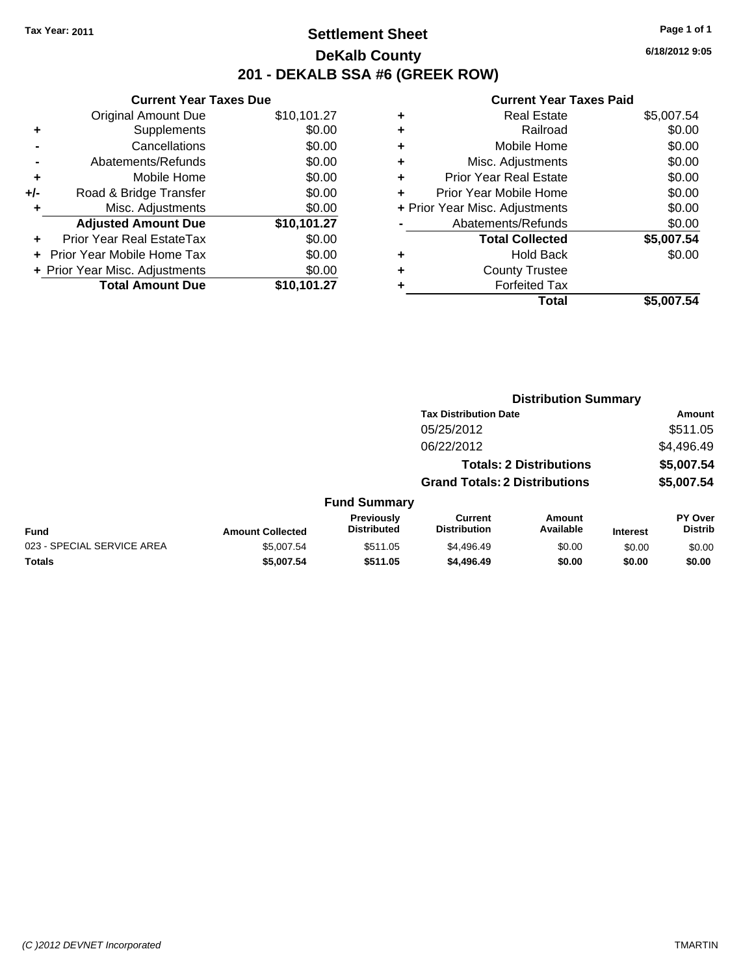Original Amount Due

**Adjusted Amount Due** 

**Total Amount Due** 

**+** Supplements **-** Cancellations **-** Abatements/Refunds **+** Mobile Home **+/-** Road & Bridge Transfer **+** Misc. Adjustments

**+** Prior Year Real EstateTax \$0.00 **+** Prior Year Mobile Home Tax **+ Prior Year Misc. Adjustments** 

### **Settlement Sheet Tax Year: 2011 Page 1 of 1 DeKalb County 201 - DEKALB SSA #6 (GREEK ROW)**

**6/18/2012 9:05**

| <b>Current Year Taxes Due</b> |             |   | <b>Current Year Taxes</b>      |  |
|-------------------------------|-------------|---|--------------------------------|--|
| ıl Amount Due                 | \$10,101.27 | ٠ | <b>Real Estate</b>             |  |
| Supplements                   | \$0.00      | ٠ | Railroad                       |  |
| Cancellations                 | \$0.00      | ÷ | Mobile Home                    |  |
| าents/Refunds                 | \$0.00      | ÷ | Misc. Adjustments              |  |
| Mobile Home                   | \$0.00      | ÷ | <b>Prior Year Real Estate</b>  |  |
| ridge Transfer                | \$0.00      | ÷ | Prior Year Mobile Home         |  |
| . Adjustments                 | \$0.00      |   | + Prior Year Misc. Adjustments |  |
| <b>Amount Due</b>             | \$10,101.27 |   | Abatements/Refunds             |  |
| leal EstateTax                | \$0.00      |   | <b>Total Collected</b>         |  |
| pile Home Tax                 | \$0.00      | ٠ | <b>Hold Back</b>               |  |
| . Adjustments                 | \$0.00      | ٠ | <b>County Trustee</b>          |  |
| <b>Amount Due</b>             | \$10,101.27 | ٠ | <b>Forfeited Tax</b>           |  |
|                               |             |   | Total                          |  |

|   | Total                          | \$5,007.54 |
|---|--------------------------------|------------|
| ٠ | <b>Forfeited Tax</b>           |            |
| ÷ | <b>County Trustee</b>          |            |
| ÷ | <b>Hold Back</b>               | \$0.00     |
|   | <b>Total Collected</b>         | \$5,007.54 |
|   | Abatements/Refunds             | \$0.00     |
|   | + Prior Year Misc. Adjustments | \$0.00     |
| ÷ | Prior Year Mobile Home         | \$0.00     |
| ÷ | <b>Prior Year Real Estate</b>  | \$0.00     |
| ÷ | Misc. Adjustments              | \$0.00     |
| ÷ | Mobile Home                    | \$0.00     |
| ÷ | Railroad                       | \$0.00     |
| ٠ | <b>Real Estate</b>             | \$5,007.54 |

|                            |                         |                                  | <b>Distribution Summary</b>           |                                |                 |                           |
|----------------------------|-------------------------|----------------------------------|---------------------------------------|--------------------------------|-----------------|---------------------------|
|                            |                         |                                  | <b>Tax Distribution Date</b>          |                                |                 | Amount                    |
|                            |                         |                                  | 05/25/2012                            |                                |                 | \$511.05                  |
|                            |                         |                                  | 06/22/2012                            |                                |                 | \$4,496.49                |
|                            |                         |                                  |                                       | <b>Totals: 2 Distributions</b> |                 | \$5,007.54                |
|                            |                         |                                  | <b>Grand Totals: 2 Distributions</b>  |                                |                 | \$5,007.54                |
|                            |                         | <b>Fund Summary</b>              |                                       |                                |                 |                           |
| <b>Fund</b>                | <b>Amount Collected</b> | Previously<br><b>Distributed</b> | <b>Current</b><br><b>Distribution</b> | Amount<br>Available            | <b>Interest</b> | PY Over<br><b>Distrib</b> |
| 023 - SPECIAL SERVICE AREA | \$5,007.54              | \$511.05                         | \$4,496.49                            | \$0.00                         | \$0.00          | \$0.00                    |
| <b>Totals</b>              | \$5,007.54              | \$511.05                         | \$4,496.49                            | \$0.00                         | \$0.00          | \$0.00                    |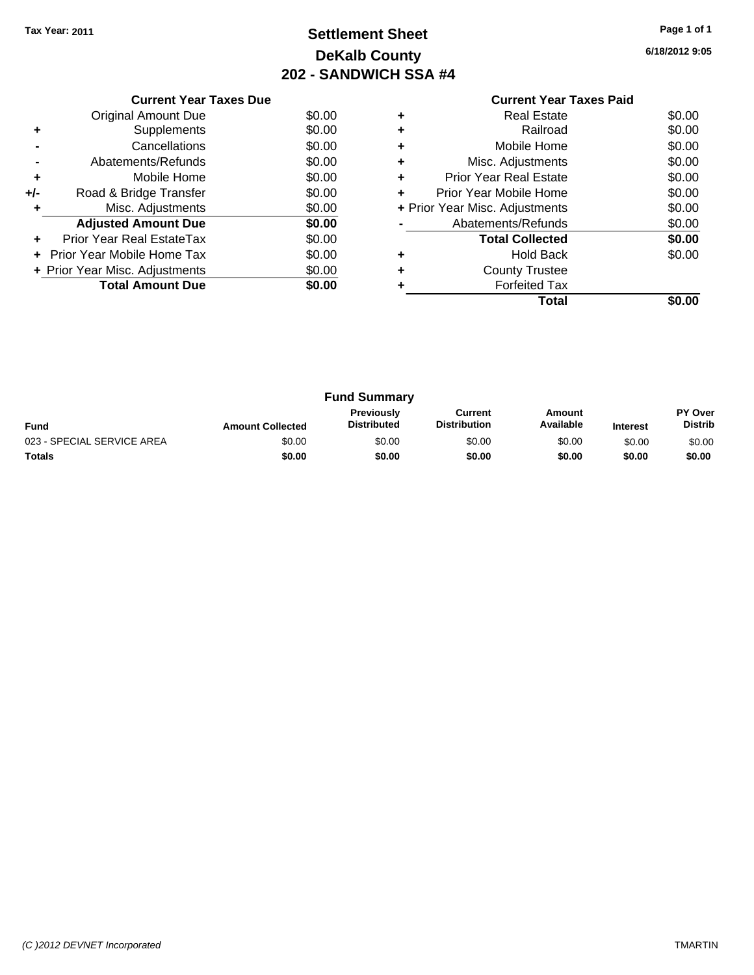### **Settlement Sheet Tax Year: 2011 Page 1 of 1 DeKalb County 202 - SANDWICH SSA #4**

**6/18/2012 9:05**

|                | <b>Current Year Taxes Due</b>  |        |  |  |  |  |
|----------------|--------------------------------|--------|--|--|--|--|
|                | Original Amount Due            | \$0.00 |  |  |  |  |
|                | Supplements                    | \$0.00 |  |  |  |  |
|                | Cancellations                  | \$0.00 |  |  |  |  |
| $\blacksquare$ | Abatements/Refunds             | \$0.00 |  |  |  |  |
| ٠              | Mobile Home                    | \$0.00 |  |  |  |  |
| +/-            | Road & Bridge Transfer         | \$0.00 |  |  |  |  |
|                | Misc. Adjustments              | \$0.00 |  |  |  |  |
|                | <b>Adjusted Amount Due</b>     | \$0.00 |  |  |  |  |
|                | Prior Year Real EstateTax      | \$0.00 |  |  |  |  |
|                | Prior Year Mobile Home Tax     | \$0.00 |  |  |  |  |
|                | + Prior Year Misc. Adjustments | \$0.00 |  |  |  |  |
|                | <b>Total Amount Due</b>        | \$0.00 |  |  |  |  |
|                |                                |        |  |  |  |  |

|                                       | <b>Current Year Taxes Paid</b> |        |
|---------------------------------------|--------------------------------|--------|
| ÷                                     | <b>Real Estate</b>             | \$0.00 |
| ٠                                     | Railroad                       | \$0.00 |
| ٠                                     | Mobile Home                    | \$0.00 |
| ٠                                     | Misc. Adjustments              | \$0.00 |
| Prior Year Real Estate<br>\$0.00<br>٠ |                                |        |
| ÷                                     | Prior Year Mobile Home         | \$0.00 |
|                                       | + Prior Year Misc. Adjustments | \$0.00 |
|                                       | Abatements/Refunds             | \$0.00 |
|                                       | <b>Total Collected</b>         | \$0.00 |
| ٠                                     | Hold Back                      | \$0.00 |
| ٠                                     | <b>County Trustee</b>          |        |
|                                       | <b>Forfeited Tax</b>           |        |
|                                       | Total                          | SO.OO  |
|                                       |                                |        |

| <b>Fund Summary</b>        |                         |                                         |                                |                     |                 |                           |
|----------------------------|-------------------------|-----------------------------------------|--------------------------------|---------------------|-----------------|---------------------------|
| <b>Fund</b>                | <b>Amount Collected</b> | <b>Previously</b><br><b>Distributed</b> | Current<br><b>Distribution</b> | Amount<br>Available | <b>Interest</b> | PY Over<br><b>Distrib</b> |
| 023 - SPECIAL SERVICE AREA | \$0.00                  | \$0.00                                  | \$0.00                         | \$0.00              | \$0.00          | \$0.00                    |
| <b>Totals</b>              | \$0.00                  | \$0.00                                  | \$0.00                         | \$0.00              | \$0.00          | \$0.00                    |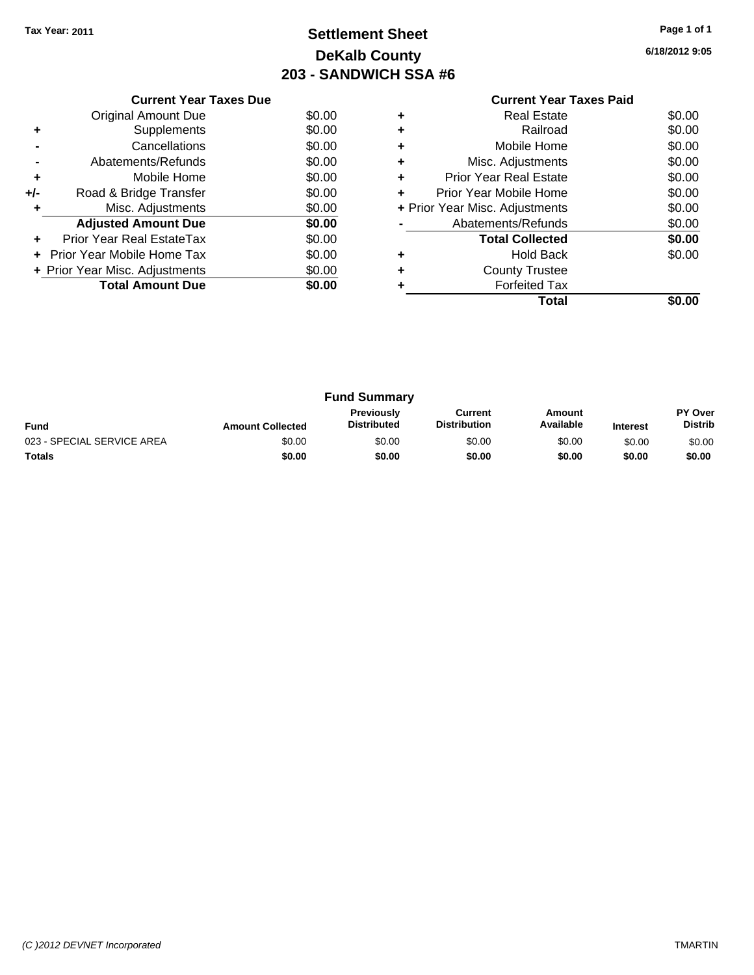### **Settlement Sheet Tax Year: 2011 Page 1 of 1 DeKalb County 203 - SANDWICH SSA #6**

**6/18/2012 9:05**

|                | <b>Current Year Taxes Due</b>  |        |  |  |  |  |
|----------------|--------------------------------|--------|--|--|--|--|
|                | Original Amount Due            | \$0.00 |  |  |  |  |
|                | Supplements                    | \$0.00 |  |  |  |  |
|                | Cancellations                  | \$0.00 |  |  |  |  |
| $\blacksquare$ | Abatements/Refunds             | \$0.00 |  |  |  |  |
| ٠              | Mobile Home                    | \$0.00 |  |  |  |  |
| +/-            | Road & Bridge Transfer         | \$0.00 |  |  |  |  |
|                | Misc. Adjustments              | \$0.00 |  |  |  |  |
|                | <b>Adjusted Amount Due</b>     | \$0.00 |  |  |  |  |
|                | Prior Year Real EstateTax      | \$0.00 |  |  |  |  |
|                | Prior Year Mobile Home Tax     | \$0.00 |  |  |  |  |
|                | + Prior Year Misc. Adjustments | \$0.00 |  |  |  |  |
|                | <b>Total Amount Due</b>        | \$0.00 |  |  |  |  |
|                |                                |        |  |  |  |  |

#### **Current Year Taxes Paid +** Real Estate \$0.00 **+** Railroad \$0.00 **+** Mobile Home \$0.00 **+** Misc. Adjustments \$0.00 **+** Prior Year Real Estate \$0.00 **+** Prior Year Mobile Home \$0.00 **+** Prior Year Misc. Adjustments \$0.00 **-** Abatements/Refunds \$0.00

|   | <b>Total Collected</b> | \$0.00 |
|---|------------------------|--------|
| ٠ | <b>Hold Back</b>       | \$0.00 |
| ٠ | <b>County Trustee</b>  |        |
| ٠ | <b>Forfeited Tax</b>   |        |
|   | <b>Total</b>           | \$0.00 |

|                            |                         | <b>Fund Summary</b>              |                                |                     |                 |                                  |
|----------------------------|-------------------------|----------------------------------|--------------------------------|---------------------|-----------------|----------------------------------|
| <b>Fund</b>                | <b>Amount Collected</b> | Previously<br><b>Distributed</b> | Current<br><b>Distribution</b> | Amount<br>Available | <b>Interest</b> | <b>PY Over</b><br><b>Distrib</b> |
| 023 - SPECIAL SERVICE AREA | \$0.00                  | \$0.00                           | \$0.00                         | \$0.00              | \$0.00          | \$0.00                           |
| Totals                     | \$0.00                  | \$0.00                           | \$0.00                         | \$0.00              | \$0.00          | \$0.00                           |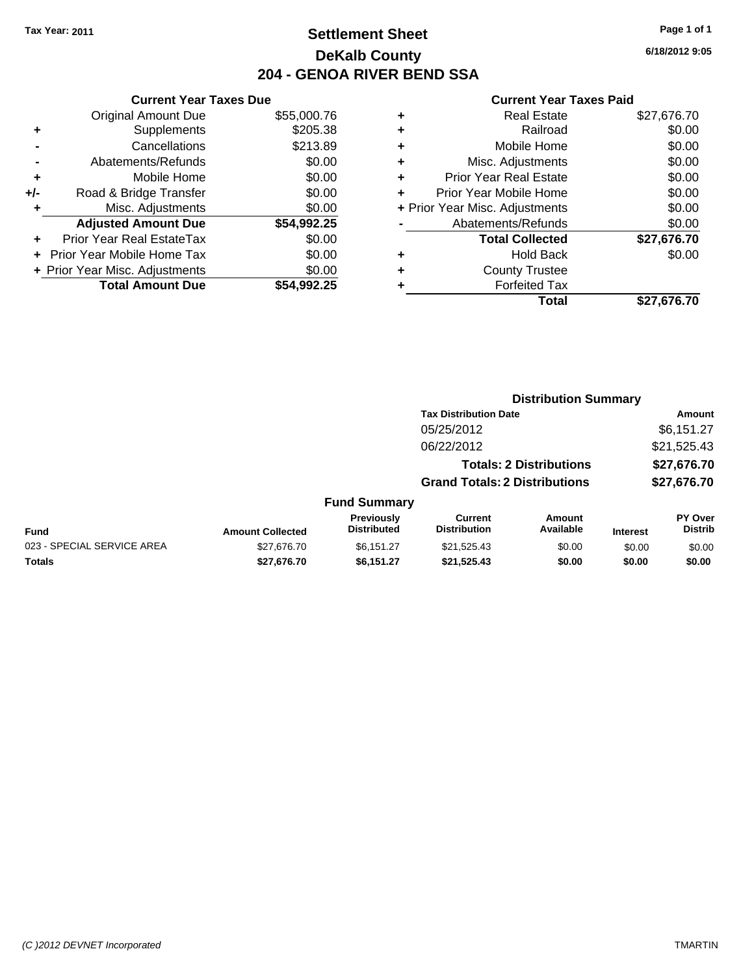### **Settlement Sheet Tax Year: 2011 Page 1 of 1 DeKalb County 204 - GENOA RIVER BEND SSA**

|       | <b>Current Year Taxes Due</b>     |             |
|-------|-----------------------------------|-------------|
|       | <b>Original Amount Due</b>        | \$55,000.76 |
| ٠     | Supplements                       | \$205.38    |
|       | Cancellations                     | \$213.89    |
|       | Abatements/Refunds                | \$0.00      |
| ٠     | Mobile Home                       | \$0.00      |
| $+/-$ | Road & Bridge Transfer            | \$0.00      |
| ٠     | Misc. Adjustments                 | \$0.00      |
|       | <b>Adjusted Amount Due</b>        | \$54,992.25 |
|       | Prior Year Real EstateTax         | \$0.00      |
|       | <b>Prior Year Mobile Home Tax</b> | \$0.00      |
|       | + Prior Year Misc. Adjustments    | \$0.00      |
|       | <b>Total Amount Due</b>           | \$54.992.25 |

|   | <b>Current Year Taxes Paid</b> |             |
|---|--------------------------------|-------------|
| ٠ | <b>Real Estate</b>             | \$27,676.70 |
|   | Railroad                       | \$0.00      |
| ٠ | Mobile Home                    | \$0.00      |
| ٠ | Misc. Adjustments              | \$0.00      |
| ٠ | <b>Prior Year Real Estate</b>  | \$0.00      |
| ÷ | Prior Year Mobile Home         | \$0.00      |
|   | + Prior Year Misc. Adjustments | \$0.00      |
|   | Abatements/Refunds             | \$0.00      |
|   | <b>Total Collected</b>         | \$27,676.70 |
| ٠ | <b>Hold Back</b>               | \$0.00      |
|   | <b>County Trustee</b>          |             |
|   | <b>Forfeited Tax</b>           |             |
|   | Total                          | \$27,676.70 |

**Distribution Summary**

|                            |                         |                                  | <b>Tax Distribution Date</b>          |                                |                 | Amount                           |
|----------------------------|-------------------------|----------------------------------|---------------------------------------|--------------------------------|-----------------|----------------------------------|
|                            |                         |                                  | 05/25/2012                            |                                |                 | \$6,151.27                       |
|                            |                         |                                  | 06/22/2012                            |                                |                 | \$21,525.43                      |
|                            |                         |                                  |                                       | <b>Totals: 2 Distributions</b> |                 | \$27,676.70                      |
|                            |                         |                                  | <b>Grand Totals: 2 Distributions</b>  |                                | \$27,676.70     |                                  |
|                            |                         | <b>Fund Summary</b>              |                                       |                                |                 |                                  |
| Fund                       | <b>Amount Collected</b> | Previously<br><b>Distributed</b> | <b>Current</b><br><b>Distribution</b> | Amount<br>Available            | <b>Interest</b> | <b>PY Over</b><br><b>Distrib</b> |
| 023 - SPECIAL SERVICE AREA | \$27,676.70             | \$6,151.27                       | \$21,525.43                           | \$0.00                         | \$0.00          | \$0.00                           |
| Totals                     | \$27,676.70             | \$6,151.27                       | \$21,525.43                           | \$0.00                         | \$0.00          | \$0.00                           |
|                            |                         |                                  |                                       |                                |                 |                                  |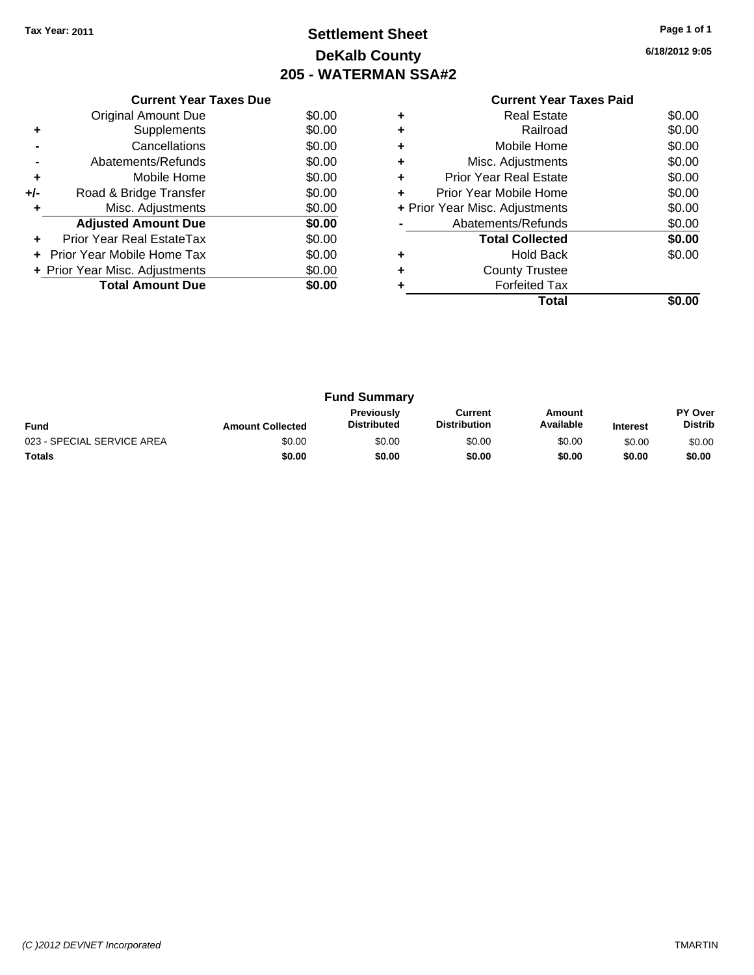### **Settlement Sheet Tax Year: 2011 Page 1 of 1 DeKalb County 205 - WATERMAN SSA#2**

**6/18/2012 9:05**

|     | <b>Current Year Taxes Due</b>    |        |
|-----|----------------------------------|--------|
|     | Original Amount Due              | \$0.00 |
| ٠   | Supplements                      | \$0.00 |
|     | Cancellations                    | \$0.00 |
|     | Abatements/Refunds               | \$0.00 |
| ٠   | Mobile Home                      | \$0.00 |
| +/- | Road & Bridge Transfer           | \$0.00 |
| ٠   | Misc. Adjustments                | \$0.00 |
|     | <b>Adjusted Amount Due</b>       | \$0.00 |
| ٠   | <b>Prior Year Real EstateTax</b> | \$0.00 |
| ÷   | Prior Year Mobile Home Tax       | \$0.00 |
|     | + Prior Year Misc. Adjustments   | \$0.00 |
|     | <b>Total Amount Due</b>          | \$0.00 |
|     |                                  |        |

### **Current Year Taxes Paid +** Real Estate \$0.00

|   | Total                          |        |
|---|--------------------------------|--------|
|   | <b>Forfeited Tax</b>           |        |
|   | <b>County Trustee</b>          |        |
|   | <b>Hold Back</b>               | \$0.00 |
|   | <b>Total Collected</b>         | \$0.00 |
|   | Abatements/Refunds             | \$0.00 |
|   | + Prior Year Misc. Adjustments | \$0.00 |
|   | Prior Year Mobile Home         | \$0.00 |
| ÷ | <b>Prior Year Real Estate</b>  | \$0.00 |
| ٠ | Misc. Adjustments              | \$0.00 |
| ÷ | Mobile Home                    | \$0.00 |
| ٠ | Railroad                       | \$0.00 |
|   |                                |        |

| <b>Fund Summary</b>        |                         |                                         |                         |                     |                 |                                  |
|----------------------------|-------------------------|-----------------------------------------|-------------------------|---------------------|-----------------|----------------------------------|
| Fund                       | <b>Amount Collected</b> | <b>Previously</b><br><b>Distributed</b> | Current<br>Distribution | Amount<br>Available | <b>Interest</b> | <b>PY Over</b><br><b>Distrib</b> |
| 023 - SPECIAL SERVICE AREA | \$0.00                  | \$0.00                                  | \$0.00                  | \$0.00              | \$0.00          | \$0.00                           |
| <b>Totals</b>              | \$0.00                  | \$0.00                                  | \$0.00                  | \$0.00              | \$0.00          | \$0.00                           |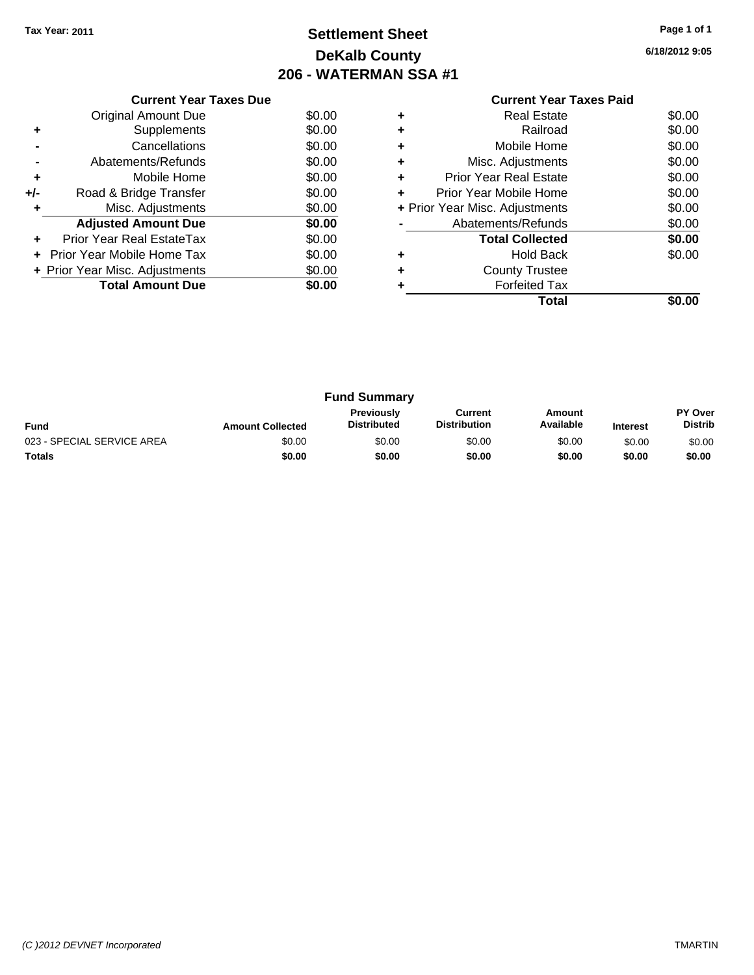### **Settlement Sheet Tax Year: 2011 Page 1 of 1 DeKalb County 206 - WATERMAN SSA #1**

**6/18/2012 9:05**

|     | <b>Current Year Taxes Due</b>     |        |
|-----|-----------------------------------|--------|
|     | <b>Original Amount Due</b>        | \$0.00 |
|     | Supplements                       | \$0.00 |
|     | Cancellations                     | \$0.00 |
|     | Abatements/Refunds                | \$0.00 |
| ٠   | Mobile Home                       | \$0.00 |
| +/- | Road & Bridge Transfer            | \$0.00 |
|     | Misc. Adjustments                 | \$0.00 |
|     | <b>Adjusted Amount Due</b>        | \$0.00 |
|     | <b>Prior Year Real EstateTax</b>  | \$0.00 |
|     | <b>Prior Year Mobile Home Tax</b> | \$0.00 |
|     | + Prior Year Misc. Adjustments    | \$0.00 |
|     | <b>Total Amount Due</b>           | \$0.00 |
|     |                                   |        |

#### **Current Year Taxes Paid +** Real Estate \$0.00 **+** Railroad \$0.00 **+** Mobile Home \$0.00 **+** Misc. Adjustments \$0.00 **+** Prior Year Real Estate \$0.00 **+** Prior Year Mobile Home \$0.00 **+** Prior Year Misc. Adjustments \$0.00 **-** Abatements/Refunds \$0.00 **Total Collected \$0.00 +** Hold Back \$0.00 **+** County Trustee **+** Forfeited Tax **Total \$0.00**

| <b>Fund Summary</b>        |                         |                                         |                                |                     |                 |                           |
|----------------------------|-------------------------|-----------------------------------------|--------------------------------|---------------------|-----------------|---------------------------|
| <b>Fund</b>                | <b>Amount Collected</b> | <b>Previously</b><br><b>Distributed</b> | Current<br><b>Distribution</b> | Amount<br>Available | <b>Interest</b> | PY Over<br><b>Distrib</b> |
| 023 - SPECIAL SERVICE AREA | \$0.00                  | \$0.00                                  | \$0.00                         | \$0.00              | \$0.00          | \$0.00                    |
| <b>Totals</b>              | \$0.00                  | \$0.00                                  | \$0.00                         | \$0.00              | \$0.00          | \$0.00                    |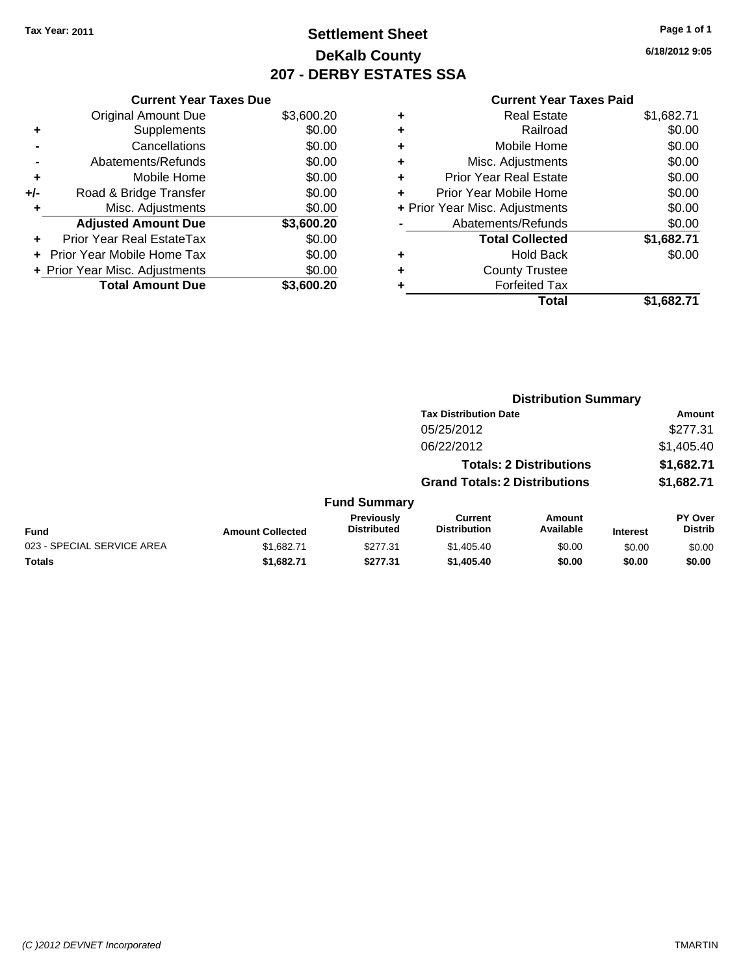### **Settlement Sheet Tax Year: 2011 Page 1 of 1 DeKalb County 207 - DERBY ESTATES SSA**

**6/18/2012 9:05**

|     | <b>Current Year Taxes Due</b>  |            |  |  |  |  |
|-----|--------------------------------|------------|--|--|--|--|
|     | <b>Original Amount Due</b>     | \$3,600.20 |  |  |  |  |
| ٠   | Supplements                    | \$0.00     |  |  |  |  |
|     | Cancellations                  | \$0.00     |  |  |  |  |
|     | Abatements/Refunds             | \$0.00     |  |  |  |  |
| ٠   | Mobile Home                    | \$0.00     |  |  |  |  |
| +/- | Road & Bridge Transfer         | \$0.00     |  |  |  |  |
| ٠   | Misc. Adjustments              | \$0.00     |  |  |  |  |
|     | <b>Adjusted Amount Due</b>     | \$3,600.20 |  |  |  |  |
|     | Prior Year Real EstateTax      | \$0.00     |  |  |  |  |
|     | Prior Year Mobile Home Tax     | \$0.00     |  |  |  |  |
|     | + Prior Year Misc. Adjustments | \$0.00     |  |  |  |  |
|     | <b>Total Amount Due</b>        | \$3.600.20 |  |  |  |  |

|   | <b>Real Estate</b>             | \$1,682.71 |
|---|--------------------------------|------------|
| ٠ | Railroad                       | \$0.00     |
| ٠ | Mobile Home                    | \$0.00     |
| ٠ | Misc. Adjustments              | \$0.00     |
| ÷ | <b>Prior Year Real Estate</b>  | \$0.00     |
| ٠ | Prior Year Mobile Home         | \$0.00     |
|   | + Prior Year Misc. Adjustments | \$0.00     |
|   | Abatements/Refunds             | \$0.00     |
|   | <b>Total Collected</b>         | \$1,682.71 |
| ٠ | <b>Hold Back</b>               | \$0.00     |
|   | <b>County Trustee</b>          |            |
| ٠ | <b>Forfeited Tax</b>           |            |
|   | Total                          | \$1,682.71 |

|                            | <b>Distribution Summary</b> |                                  |                                       |                                |                 |                                  |
|----------------------------|-----------------------------|----------------------------------|---------------------------------------|--------------------------------|-----------------|----------------------------------|
|                            |                             |                                  | <b>Tax Distribution Date</b>          |                                |                 | Amount                           |
|                            |                             |                                  | 05/25/2012                            |                                |                 | \$277.31                         |
|                            |                             |                                  | 06/22/2012                            |                                |                 | \$1,405.40                       |
|                            |                             |                                  |                                       | <b>Totals: 2 Distributions</b> |                 | \$1,682.71                       |
|                            |                             |                                  | <b>Grand Totals: 2 Distributions</b>  |                                |                 | \$1,682.71                       |
|                            |                             | <b>Fund Summary</b>              |                                       |                                |                 |                                  |
| Fund                       | <b>Amount Collected</b>     | Previously<br><b>Distributed</b> | <b>Current</b><br><b>Distribution</b> | <b>Amount</b><br>Available     | <b>Interest</b> | <b>PY Over</b><br><b>Distrib</b> |
| 023 - SPECIAL SERVICE AREA | \$1.682.71                  | \$277.31                         | \$1,405.40                            | \$0.00                         | \$0.00          | \$0.00                           |
| Totals                     | \$1,682.71                  | \$277.31                         | \$1,405.40                            | \$0.00                         | \$0.00          | \$0.00                           |
|                            |                             |                                  |                                       |                                |                 |                                  |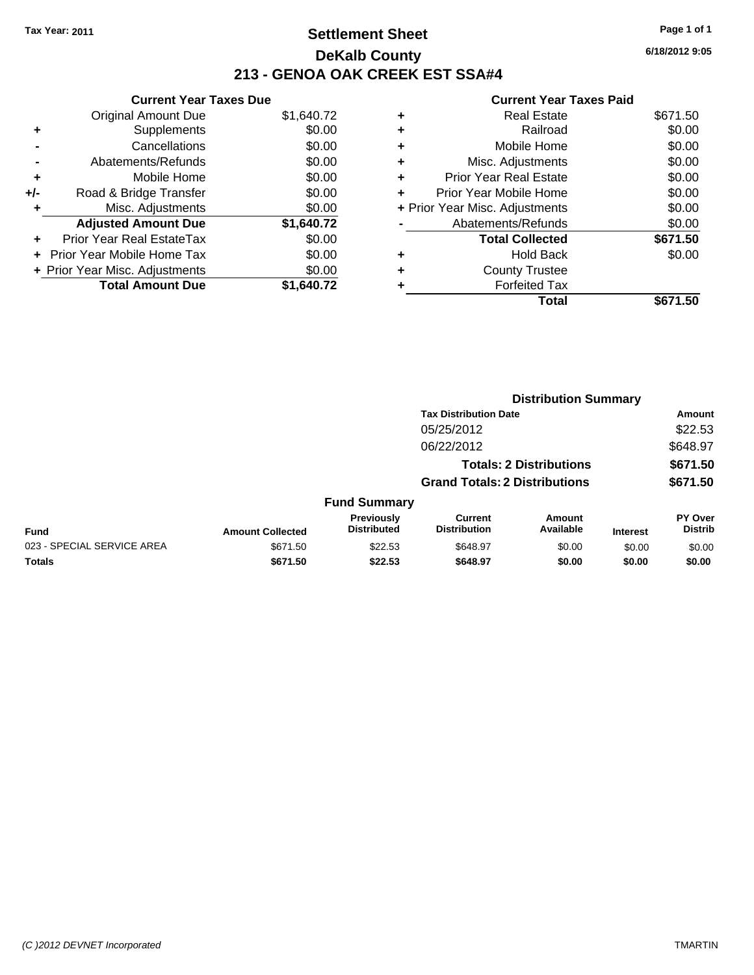### **Settlement Sheet Tax Year: 2011 Page 1 of 1 DeKalb County 213 - GENOA OAK CREEK EST SSA#4**

**6/18/2012 9:05**

|     | <b>Current Year Taxes Due</b>     |            |  |  |  |  |  |
|-----|-----------------------------------|------------|--|--|--|--|--|
|     | <b>Original Amount Due</b>        | \$1,640.72 |  |  |  |  |  |
| ٠   | Supplements                       | \$0.00     |  |  |  |  |  |
|     | Cancellations                     | \$0.00     |  |  |  |  |  |
|     | Abatements/Refunds                | \$0.00     |  |  |  |  |  |
| ٠   | Mobile Home                       | \$0.00     |  |  |  |  |  |
| +/- | Road & Bridge Transfer            | \$0.00     |  |  |  |  |  |
|     | Misc. Adjustments                 | \$0.00     |  |  |  |  |  |
|     | <b>Adjusted Amount Due</b>        | \$1,640.72 |  |  |  |  |  |
|     | Prior Year Real EstateTax         | \$0.00     |  |  |  |  |  |
|     | <b>Prior Year Mobile Home Tax</b> | \$0.00     |  |  |  |  |  |
|     | + Prior Year Misc. Adjustments    | \$0.00     |  |  |  |  |  |
|     | <b>Total Amount Due</b>           | \$1,640.72 |  |  |  |  |  |

|   | Total                          | \$671.50 |
|---|--------------------------------|----------|
|   | <b>Forfeited Tax</b>           |          |
| ٠ | <b>County Trustee</b>          |          |
| ٠ | <b>Hold Back</b>               | \$0.00   |
|   | <b>Total Collected</b>         | \$671.50 |
|   | Abatements/Refunds             | \$0.00   |
|   | + Prior Year Misc. Adjustments | \$0.00   |
| ٠ | Prior Year Mobile Home         | \$0.00   |
| ÷ | Prior Year Real Estate         | \$0.00   |
| ٠ | Misc. Adjustments              | \$0.00   |
| ÷ | Mobile Home                    | \$0.00   |
| ÷ | Railroad                       | \$0.00   |
| ٠ | <b>Real Estate</b>             | \$671.50 |
|   |                                |          |

|                            | <b>Distribution Summary</b> |                                  |                                       |                                |                 |                                  |  |
|----------------------------|-----------------------------|----------------------------------|---------------------------------------|--------------------------------|-----------------|----------------------------------|--|
|                            |                             |                                  | <b>Tax Distribution Date</b>          |                                |                 | Amount                           |  |
|                            |                             |                                  | 05/25/2012                            |                                |                 | \$22.53                          |  |
|                            |                             |                                  | 06/22/2012                            |                                |                 | \$648.97                         |  |
|                            |                             |                                  |                                       | <b>Totals: 2 Distributions</b> |                 | \$671.50                         |  |
|                            |                             |                                  | <b>Grand Totals: 2 Distributions</b>  |                                |                 | \$671.50                         |  |
|                            |                             | <b>Fund Summary</b>              |                                       |                                |                 |                                  |  |
| <b>Fund</b>                | <b>Amount Collected</b>     | Previously<br><b>Distributed</b> | <b>Current</b><br><b>Distribution</b> | Amount<br>Available            | <b>Interest</b> | <b>PY Over</b><br><b>Distrib</b> |  |
| 023 - SPECIAL SERVICE AREA | \$671.50                    | \$22.53                          | \$648.97                              | \$0.00                         | \$0.00          | \$0.00                           |  |
| Totals                     | \$671.50                    | \$22.53                          | \$648.97                              | \$0.00                         | \$0.00          | \$0.00                           |  |
|                            |                             |                                  |                                       |                                |                 |                                  |  |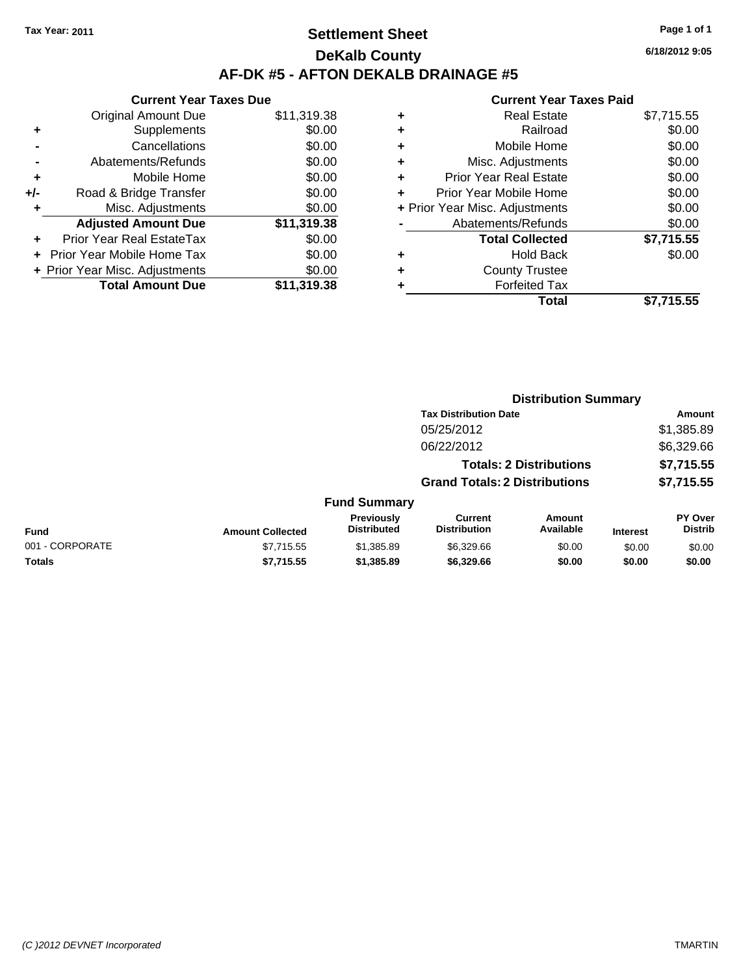### **Settlement Sheet Tax Year: 2011 Page 1 of 1 DeKalb County AF-DK #5 - AFTON DEKALB DRAINAGE #5**

**6/18/2012 9:05**

|     | <b>Current Year Taxes Due</b>  |             |  |  |  |  |  |
|-----|--------------------------------|-------------|--|--|--|--|--|
|     | <b>Original Amount Due</b>     | \$11,319.38 |  |  |  |  |  |
| ٠   | Supplements                    | \$0.00      |  |  |  |  |  |
|     | Cancellations                  | \$0.00      |  |  |  |  |  |
|     | Abatements/Refunds             | \$0.00      |  |  |  |  |  |
| ٠   | Mobile Home                    | \$0.00      |  |  |  |  |  |
| +/- | Road & Bridge Transfer         | \$0.00      |  |  |  |  |  |
|     | Misc. Adjustments              | \$0.00      |  |  |  |  |  |
|     | <b>Adjusted Amount Due</b>     | \$11,319.38 |  |  |  |  |  |
| ÷   | Prior Year Real EstateTax      | \$0.00      |  |  |  |  |  |
|     | Prior Year Mobile Home Tax     | \$0.00      |  |  |  |  |  |
|     | + Prior Year Misc. Adjustments | \$0.00      |  |  |  |  |  |
|     | <b>Total Amount Due</b>        | \$11,319.38 |  |  |  |  |  |

| ٠ | <b>Real Estate</b>             | \$7,715.55 |
|---|--------------------------------|------------|
| ٠ | Railroad                       | \$0.00     |
| ٠ | Mobile Home                    | \$0.00     |
| ٠ | Misc. Adjustments              | \$0.00     |
| ٠ | <b>Prior Year Real Estate</b>  | \$0.00     |
| ٠ | Prior Year Mobile Home         | \$0.00     |
|   | + Prior Year Misc. Adjustments | \$0.00     |
|   | Abatements/Refunds             | \$0.00     |
|   | <b>Total Collected</b>         | \$7,715.55 |
| ٠ | <b>Hold Back</b>               | \$0.00     |
| ٠ | <b>County Trustee</b>          |            |
| ٠ | <b>Forfeited Tax</b>           |            |
|   | Total                          | \$7,715.55 |
|   |                                |            |

|                         |                                  |                                       |                     |                                                                                                        | Amount                           |
|-------------------------|----------------------------------|---------------------------------------|---------------------|--------------------------------------------------------------------------------------------------------|----------------------------------|
|                         |                                  | 05/25/2012                            |                     |                                                                                                        | \$1,385.89                       |
|                         |                                  | 06/22/2012                            |                     |                                                                                                        | \$6,329.66                       |
|                         |                                  |                                       |                     |                                                                                                        | \$7,715.55                       |
|                         |                                  |                                       |                     |                                                                                                        | \$7,715.55                       |
|                         |                                  |                                       |                     |                                                                                                        |                                  |
| <b>Amount Collected</b> | Previously<br><b>Distributed</b> | <b>Current</b><br><b>Distribution</b> | Amount<br>Available | <b>Interest</b>                                                                                        | <b>PY Over</b><br><b>Distrib</b> |
| \$7,715.55              | \$1,385.89                       | \$6,329.66                            | \$0.00              | \$0.00                                                                                                 | \$0.00                           |
| \$7,715.55              | \$1,385.89                       | \$6,329.66                            | \$0.00              | \$0.00                                                                                                 | \$0.00                           |
|                         |                                  |                                       | <b>Fund Summary</b> | <b>Tax Distribution Date</b><br><b>Totals: 2 Distributions</b><br><b>Grand Totals: 2 Distributions</b> | <b>Distribution Summary</b>      |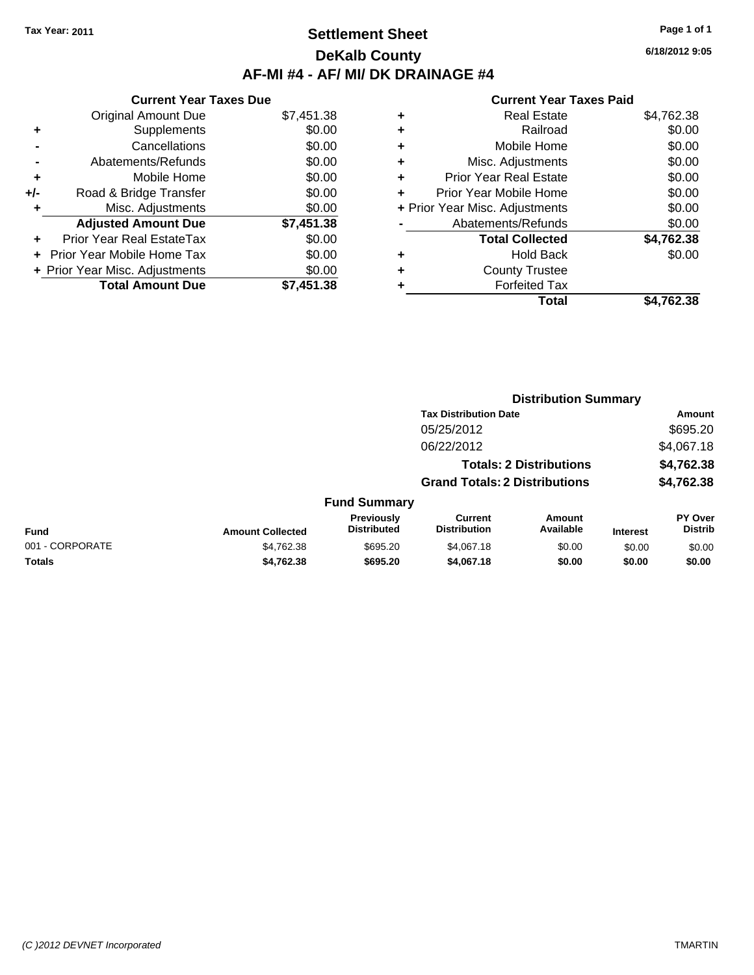### **Settlement Sheet Tax Year: 2011 Page 1 of 1 DeKalb County AF-MI #4 - AF/ MI/ DK DRAINAGE #4**

**6/18/2012 9:05**

|     | <b>Current Year Taxes Due</b>  |            |
|-----|--------------------------------|------------|
|     | <b>Original Amount Due</b>     | \$7,451.38 |
|     | Supplements                    | \$0.00     |
|     | Cancellations                  | \$0.00     |
|     | Abatements/Refunds             | \$0.00     |
| ٠   | Mobile Home                    | \$0.00     |
| +/- | Road & Bridge Transfer         | \$0.00     |
|     | Misc. Adjustments              | \$0.00     |
|     | <b>Adjusted Amount Due</b>     | \$7,451.38 |
|     | Prior Year Real EstateTax      | \$0.00     |
|     | Prior Year Mobile Home Tax     | \$0.00     |
|     | + Prior Year Misc. Adjustments | \$0.00     |
|     | <b>Total Amount Due</b>        | \$7,451.38 |
|     |                                |            |

|   | Total                          | \$4,762.38 |
|---|--------------------------------|------------|
| ٠ | <b>Forfeited Tax</b>           |            |
| ٠ | <b>County Trustee</b>          |            |
| ٠ | <b>Hold Back</b>               | \$0.00     |
|   | <b>Total Collected</b>         | \$4,762.38 |
|   | Abatements/Refunds             | \$0.00     |
|   | + Prior Year Misc. Adjustments | \$0.00     |
| ÷ | Prior Year Mobile Home         | \$0.00     |
| ٠ | <b>Prior Year Real Estate</b>  | \$0.00     |
| ٠ | Misc. Adjustments              | \$0.00     |
| ٠ | Mobile Home                    | \$0.00     |
| ٠ | Railroad                       | \$0.00     |
| ٠ | <b>Real Estate</b>             | \$4,762.38 |
|   |                                |            |

|                 | <b>Distribution Summary</b> |                                  |                                       |                                |                 |                                  |  |
|-----------------|-----------------------------|----------------------------------|---------------------------------------|--------------------------------|-----------------|----------------------------------|--|
|                 |                             |                                  | <b>Tax Distribution Date</b>          |                                |                 | Amount                           |  |
|                 |                             |                                  | 05/25/2012                            |                                |                 | \$695.20                         |  |
|                 |                             |                                  | 06/22/2012                            |                                |                 | \$4,067.18                       |  |
|                 |                             |                                  |                                       | <b>Totals: 2 Distributions</b> |                 | \$4,762.38                       |  |
|                 |                             |                                  | <b>Grand Totals: 2 Distributions</b>  |                                |                 | \$4,762.38                       |  |
|                 |                             | <b>Fund Summary</b>              |                                       |                                |                 |                                  |  |
| Fund            | <b>Amount Collected</b>     | Previously<br><b>Distributed</b> | <b>Current</b><br><b>Distribution</b> | <b>Amount</b><br>Available     | <b>Interest</b> | <b>PY Over</b><br><b>Distrib</b> |  |
| 001 - CORPORATE | \$4,762.38                  | \$695.20                         | \$4,067.18                            | \$0.00                         | \$0.00          | \$0.00                           |  |
| Totals          | \$4,762.38                  | \$695.20                         | \$4,067.18                            | \$0.00                         | \$0.00          | \$0.00                           |  |
|                 |                             |                                  |                                       |                                |                 |                                  |  |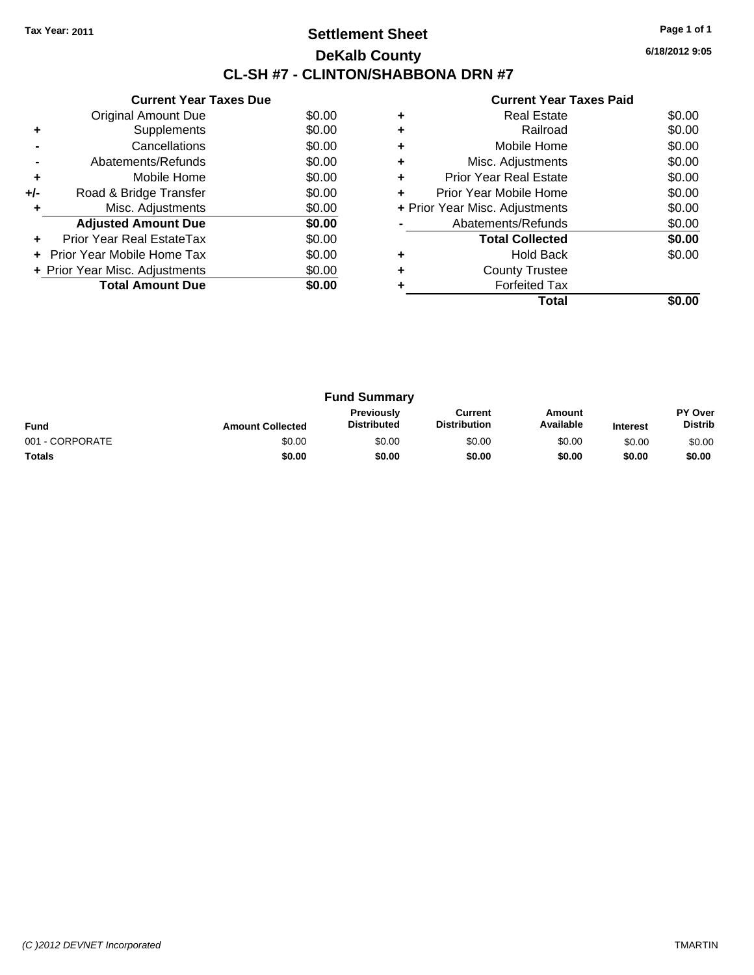### **Settlement Sheet Tax Year: 2011 Page 1 of 1 DeKalb County CL-SH #7 - CLINTON/SHABBONA DRN #7**

**6/18/2012 9:05**

|     | <b>Current Year Taxes Due</b>  |        |  |  |  |  |
|-----|--------------------------------|--------|--|--|--|--|
|     | Original Amount Due            | \$0.00 |  |  |  |  |
| ٠   | Supplements                    | \$0.00 |  |  |  |  |
|     | Cancellations                  | \$0.00 |  |  |  |  |
|     | Abatements/Refunds             | \$0.00 |  |  |  |  |
| ٠   | Mobile Home                    | \$0.00 |  |  |  |  |
| +/- | Road & Bridge Transfer         | \$0.00 |  |  |  |  |
| ٠   | Misc. Adjustments              | \$0.00 |  |  |  |  |
|     | <b>Adjusted Amount Due</b>     | \$0.00 |  |  |  |  |
|     | Prior Year Real EstateTax      | \$0.00 |  |  |  |  |
|     | Prior Year Mobile Home Tax     | \$0.00 |  |  |  |  |
|     | + Prior Year Misc. Adjustments | \$0.00 |  |  |  |  |
|     | <b>Total Amount Due</b>        | \$0.00 |  |  |  |  |
|     |                                |        |  |  |  |  |

|   | Total                          |        |
|---|--------------------------------|--------|
|   | <b>Forfeited Tax</b>           |        |
| ÷ | <b>County Trustee</b>          |        |
| ٠ | <b>Hold Back</b>               | \$0.00 |
|   | <b>Total Collected</b>         | \$0.00 |
|   | Abatements/Refunds             | \$0.00 |
|   | + Prior Year Misc. Adjustments | \$0.00 |
| ٠ | Prior Year Mobile Home         | \$0.00 |
| ٠ | Prior Year Real Estate         | \$0.00 |
| ٠ | Misc. Adjustments              | \$0.00 |
| ٠ | Mobile Home                    | \$0.00 |
| ٠ | Railroad                       | \$0.00 |
|   | <b>Real Estate</b>             | \$0.00 |
|   |                                |        |

| <b>Fund Summary</b> |                         |                                  |                                |                     |                 |                                  |
|---------------------|-------------------------|----------------------------------|--------------------------------|---------------------|-----------------|----------------------------------|
| <b>Fund</b>         | <b>Amount Collected</b> | Previously<br><b>Distributed</b> | Current<br><b>Distribution</b> | Amount<br>Available | <b>Interest</b> | <b>PY Over</b><br><b>Distrib</b> |
| 001 - CORPORATE     | \$0.00                  | \$0.00                           | \$0.00                         | \$0.00              | \$0.00          | \$0.00                           |
| <b>Totals</b>       | \$0.00                  | \$0.00                           | \$0.00                         | \$0.00              | \$0.00          | \$0.00                           |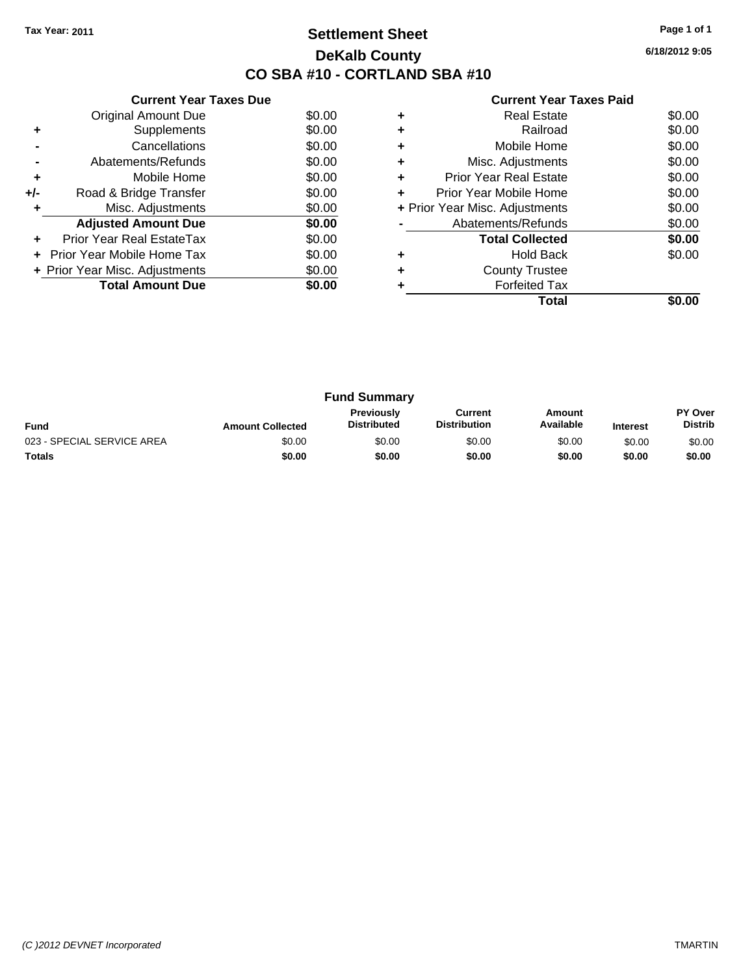### **Settlement Sheet Tax Year: 2011 Page 1 of 1 DeKalb County CO SBA #10 - CORTLAND SBA #10**

**6/18/2012 9:05**

| <b>Current Year Taxes Paid</b> |  |  |  |  |
|--------------------------------|--|--|--|--|
|--------------------------------|--|--|--|--|

|     | <b>Current Year Taxes Due</b>     |        |
|-----|-----------------------------------|--------|
|     | Original Amount Due               | \$0.00 |
| ٠   | Supplements                       | \$0.00 |
|     | Cancellations                     | \$0.00 |
|     | Abatements/Refunds                | \$0.00 |
| ٠   | Mobile Home                       | \$0.00 |
| +/- | Road & Bridge Transfer            | \$0.00 |
|     | Misc. Adjustments                 | \$0.00 |
|     | <b>Adjusted Amount Due</b>        | \$0.00 |
|     | Prior Year Real EstateTax         | \$0.00 |
|     | <b>Prior Year Mobile Home Tax</b> | \$0.00 |
|     | + Prior Year Misc. Adjustments    | \$0.00 |
|     | <b>Total Amount Due</b>           | \$0.00 |
|     |                                   |        |

|   | <b>Real Estate</b>             | \$0.00 |
|---|--------------------------------|--------|
| ٠ | Railroad                       | \$0.00 |
| ٠ | Mobile Home                    | \$0.00 |
| ٠ | Misc. Adjustments              | \$0.00 |
| ٠ | <b>Prior Year Real Estate</b>  | \$0.00 |
| ÷ | Prior Year Mobile Home         | \$0.00 |
|   | + Prior Year Misc. Adjustments | \$0.00 |
|   | Abatements/Refunds             | \$0.00 |
|   | <b>Total Collected</b>         | \$0.00 |
|   | <b>Hold Back</b>               | \$0.00 |
| ٠ | <b>County Trustee</b>          |        |
|   | <b>Forfeited Tax</b>           |        |
|   | Total                          |        |

| <b>Fund Summary</b>        |                         |                                  |                                |                     |                 |                                  |
|----------------------------|-------------------------|----------------------------------|--------------------------------|---------------------|-----------------|----------------------------------|
| <b>Fund</b>                | <b>Amount Collected</b> | Previously<br><b>Distributed</b> | Current<br><b>Distribution</b> | Amount<br>Available | <b>Interest</b> | <b>PY Over</b><br><b>Distrib</b> |
| 023 - SPECIAL SERVICE AREA | \$0.00                  | \$0.00                           | \$0.00                         | \$0.00              | \$0.00          | \$0.00                           |
| <b>Totals</b>              | \$0.00                  | \$0.00                           | \$0.00                         | \$0.00              | \$0.00          | \$0.00                           |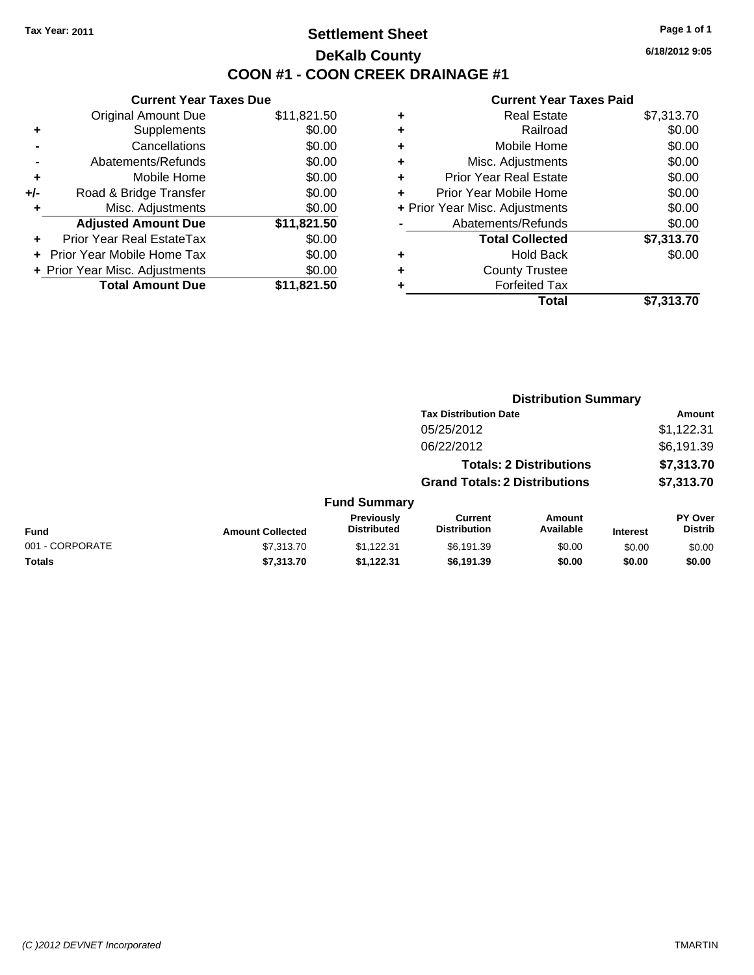### **Settlement Sheet Tax Year: 2011 Page 1 of 1 DeKalb County COON #1 - COON CREEK DRAINAGE #1**

**6/18/2012 9:05**

| <b>Current Year Taxes Due</b>     |                                |  |  |  |  |  |
|-----------------------------------|--------------------------------|--|--|--|--|--|
| <b>Original Amount Due</b>        | \$11,821.50                    |  |  |  |  |  |
| Supplements                       | \$0.00                         |  |  |  |  |  |
| Cancellations                     | \$0.00                         |  |  |  |  |  |
| Abatements/Refunds                | \$0.00                         |  |  |  |  |  |
| Mobile Home                       | \$0.00                         |  |  |  |  |  |
| Road & Bridge Transfer            | \$0.00                         |  |  |  |  |  |
| Misc. Adjustments                 | \$0.00                         |  |  |  |  |  |
| <b>Adjusted Amount Due</b>        | \$11,821.50                    |  |  |  |  |  |
| Prior Year Real EstateTax         | \$0.00                         |  |  |  |  |  |
| <b>Prior Year Mobile Home Tax</b> | \$0.00                         |  |  |  |  |  |
|                                   | \$0.00                         |  |  |  |  |  |
| <b>Total Amount Due</b>           | \$11.821.50                    |  |  |  |  |  |
|                                   | + Prior Year Misc. Adjustments |  |  |  |  |  |

| ٠                              | <b>Real Estate</b>            | \$7,313.70 |
|--------------------------------|-------------------------------|------------|
| ٠                              | Railroad                      | \$0.00     |
| ٠                              | Mobile Home                   | \$0.00     |
| ٠                              | Misc. Adjustments             | \$0.00     |
| ÷                              | <b>Prior Year Real Estate</b> | \$0.00     |
| ÷                              | Prior Year Mobile Home        | \$0.00     |
| + Prior Year Misc. Adjustments |                               | \$0.00     |
|                                | Abatements/Refunds            | \$0.00     |
|                                | <b>Total Collected</b>        | \$7,313.70 |
| ٠                              | <b>Hold Back</b>              | \$0.00     |
| ٠                              | <b>County Trustee</b>         |            |
| ٠                              | <b>Forfeited Tax</b>          |            |
|                                | <b>Total</b>                  | \$7,313.70 |
|                                |                               |            |

|                 |                         | <b>Distribution Summary</b>      |                                       |                                |                 |                                  |
|-----------------|-------------------------|----------------------------------|---------------------------------------|--------------------------------|-----------------|----------------------------------|
|                 |                         |                                  | <b>Tax Distribution Date</b>          |                                |                 | Amount                           |
|                 |                         |                                  | 05/25/2012                            |                                |                 | \$1,122.31                       |
|                 |                         |                                  | 06/22/2012                            |                                |                 | \$6,191.39                       |
|                 |                         |                                  |                                       | <b>Totals: 2 Distributions</b> |                 | \$7,313.70                       |
|                 |                         |                                  | <b>Grand Totals: 2 Distributions</b>  |                                |                 | \$7,313.70                       |
|                 |                         | <b>Fund Summary</b>              |                                       |                                |                 |                                  |
| <b>Fund</b>     | <b>Amount Collected</b> | Previously<br><b>Distributed</b> | <b>Current</b><br><b>Distribution</b> | Amount<br>Available            | <b>Interest</b> | <b>PY Over</b><br><b>Distrib</b> |
| 001 - CORPORATE | \$7,313.70              | \$1,122.31                       | \$6,191.39                            | \$0.00                         | \$0.00          | \$0.00                           |
| Totals          | \$7,313.70              | \$1,122.31                       | \$6,191.39                            | \$0.00                         | \$0.00          | \$0.00                           |
|                 |                         |                                  |                                       |                                |                 |                                  |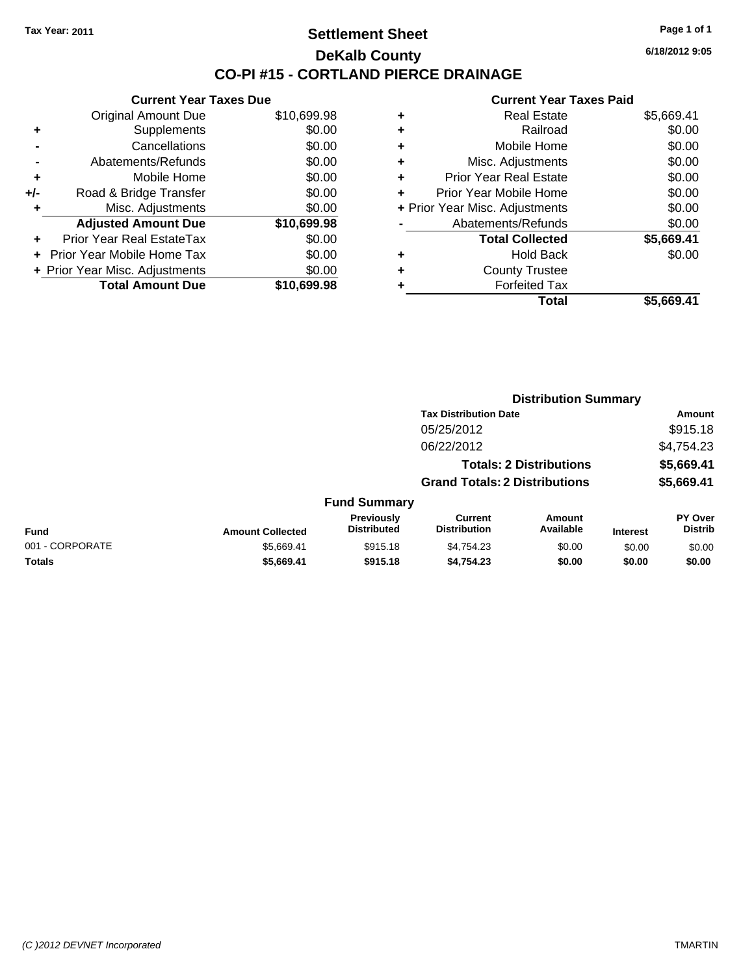**Current Year Taxes Due** Original Amount Due \$10,699.98

**Adjusted Amount Due \$10,699.98**

**Total Amount Due \$10,699.98**

**+** Supplements \$0.00 **-** Cancellations \$0.00 **-** Abatements/Refunds \$0.00 **+** Mobile Home \$0.00 **+/-** Road & Bridge Transfer \$0.00 **+** Misc. Adjustments \$0.00

**+** Prior Year Real EstateTax \$0.00 **+** Prior Year Mobile Home Tax \$0.00 **+ Prior Year Misc. Adjustments**  $$0.00$ 

### **Settlement Sheet Tax Year: 2011 Page 1 of 1 DeKalb County CO-PI #15 - CORTLAND PIERCE DRAINAGE**

**6/18/2012 9:05**

| Total                              | \$5,669.41 |
|------------------------------------|------------|
| <b>Forfeited Tax</b><br>٠          |            |
| <b>County Trustee</b><br>٠         |            |
| <b>Hold Back</b><br>٠              | \$0.00     |
| <b>Total Collected</b>             | \$5,669.41 |
| Abatements/Refunds                 | \$0.00     |
| + Prior Year Misc. Adjustments     | \$0.00     |
| Prior Year Mobile Home<br>٠        | \$0.00     |
| <b>Prior Year Real Estate</b><br>٠ | \$0.00     |
| Misc. Adjustments<br>٠             | \$0.00     |
| Mobile Home<br>٠                   | \$0.00     |
| Railroad<br>٠                      | \$0.00     |
| <b>Real Estate</b><br>٠            | \$5,669.41 |
|                                    |            |

|                 |                         |                                         | <b>Distribution Summary</b>           |                                |                 |                                  |  |
|-----------------|-------------------------|-----------------------------------------|---------------------------------------|--------------------------------|-----------------|----------------------------------|--|
|                 |                         |                                         | <b>Tax Distribution Date</b>          |                                |                 | Amount                           |  |
|                 |                         |                                         | 05/25/2012                            |                                |                 | \$915.18                         |  |
|                 |                         |                                         | 06/22/2012                            |                                |                 | \$4,754.23                       |  |
|                 |                         |                                         |                                       | <b>Totals: 2 Distributions</b> |                 | \$5,669.41                       |  |
|                 |                         |                                         | <b>Grand Totals: 2 Distributions</b>  |                                |                 | \$5,669.41                       |  |
|                 |                         | <b>Fund Summary</b>                     |                                       |                                |                 |                                  |  |
| <b>Fund</b>     | <b>Amount Collected</b> | <b>Previously</b><br><b>Distributed</b> | <b>Current</b><br><b>Distribution</b> | Amount<br>Available            | <b>Interest</b> | <b>PY Over</b><br><b>Distrib</b> |  |
| 001 - CORPORATE | \$5,669.41              | \$915.18                                | \$4,754.23                            | \$0.00                         | \$0.00          | \$0.00                           |  |
| <b>Totals</b>   | \$5,669.41              | \$915.18                                | \$4.754.23                            | \$0.00                         | \$0.00          | \$0.00                           |  |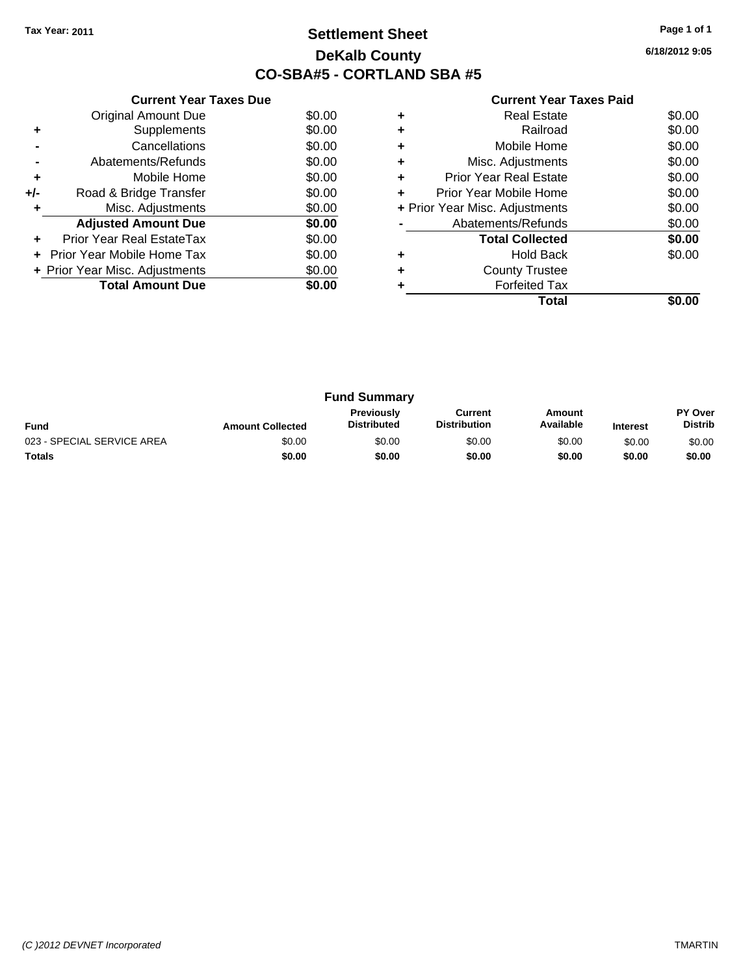### **Settlement Sheet Tax Year: 2011 Page 1 of 1 DeKalb County CO-SBA#5 - CORTLAND SBA #5**

**6/18/2012 9:05**

|     | <b>Current Year Taxes Due</b>     |        |  |  |  |  |  |
|-----|-----------------------------------|--------|--|--|--|--|--|
|     | <b>Original Amount Due</b>        | \$0.00 |  |  |  |  |  |
| ٠   | Supplements                       | \$0.00 |  |  |  |  |  |
|     | Cancellations                     | \$0.00 |  |  |  |  |  |
|     | Abatements/Refunds                | \$0.00 |  |  |  |  |  |
| ٠   | Mobile Home                       | \$0.00 |  |  |  |  |  |
| +/- | Road & Bridge Transfer            | \$0.00 |  |  |  |  |  |
|     | Misc. Adjustments                 | \$0.00 |  |  |  |  |  |
|     | <b>Adjusted Amount Due</b>        | \$0.00 |  |  |  |  |  |
|     | Prior Year Real EstateTax         | \$0.00 |  |  |  |  |  |
|     | <b>Prior Year Mobile Home Tax</b> | \$0.00 |  |  |  |  |  |
|     | + Prior Year Misc. Adjustments    | \$0.00 |  |  |  |  |  |
|     | <b>Total Amount Due</b>           | \$0.00 |  |  |  |  |  |
|     |                                   |        |  |  |  |  |  |

|   | Real Estate                    | \$0.00 |
|---|--------------------------------|--------|
|   | Railroad                       | \$0.00 |
|   | Mobile Home                    | \$0.00 |
| ٠ | Misc. Adjustments              | \$0.00 |
| ٠ | <b>Prior Year Real Estate</b>  | \$0.00 |
| ٠ | Prior Year Mobile Home         | \$0.00 |
|   | + Prior Year Misc. Adjustments | \$0.00 |
|   | Abatements/Refunds             | \$0.00 |
|   | <b>Total Collected</b>         | \$0.00 |
| ٠ | <b>Hold Back</b>               | \$0.00 |
|   | <b>County Trustee</b>          |        |
|   | <b>Forfeited Tax</b>           |        |
|   | Total                          |        |

|                            |                         | <b>Fund Summary</b>                     |                                |                     |                 |                                  |
|----------------------------|-------------------------|-----------------------------------------|--------------------------------|---------------------|-----------------|----------------------------------|
| <b>Fund</b>                | <b>Amount Collected</b> | <b>Previously</b><br><b>Distributed</b> | Current<br><b>Distribution</b> | Amount<br>Available | <b>Interest</b> | <b>PY Over</b><br><b>Distrib</b> |
| 023 - SPECIAL SERVICE AREA | \$0.00                  | \$0.00                                  | \$0.00                         | \$0.00              | \$0.00          | \$0.00                           |
| <b>Totals</b>              | \$0.00                  | \$0.00                                  | \$0.00                         | \$0.00              | \$0.00          | \$0.00                           |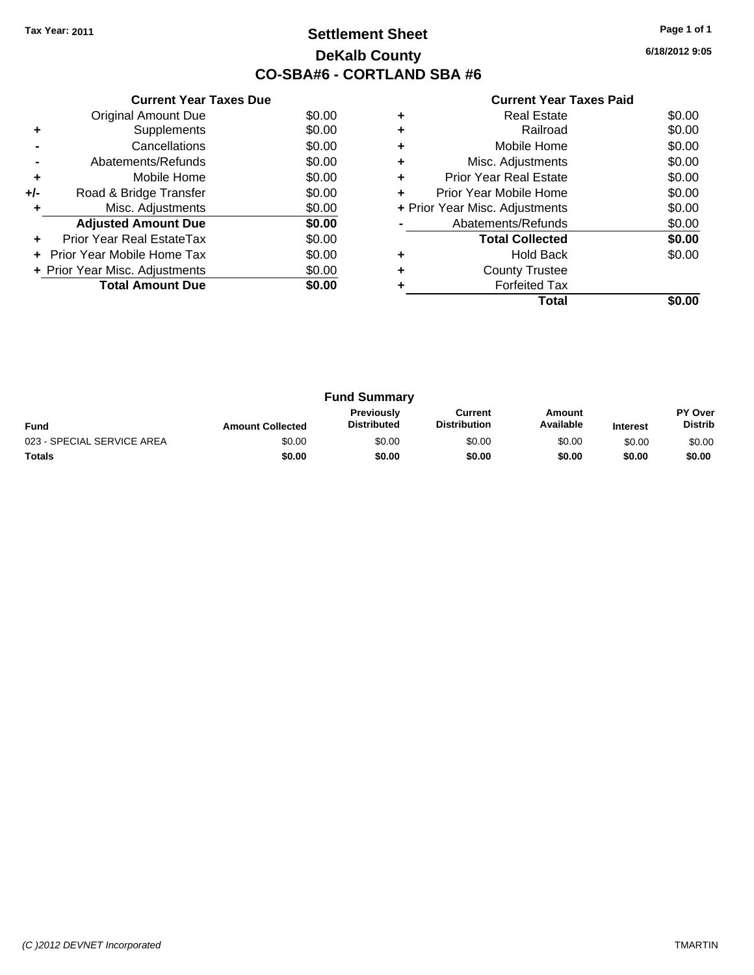### **Settlement Sheet Tax Year: 2011 Page 1 of 1 DeKalb County CO-SBA#6 - CORTLAND SBA #6**

**6/18/2012 9:05**

|     | <b>Current Year Taxes Due</b>            |        |  |  |  |  |
|-----|------------------------------------------|--------|--|--|--|--|
|     | <b>Original Amount Due</b>               | \$0.00 |  |  |  |  |
| ٠   | Supplements                              | \$0.00 |  |  |  |  |
|     | Cancellations                            | \$0.00 |  |  |  |  |
|     | Abatements/Refunds                       | \$0.00 |  |  |  |  |
| ٠   | Mobile Home                              | \$0.00 |  |  |  |  |
| +/- | Road & Bridge Transfer                   | \$0.00 |  |  |  |  |
|     | Misc. Adjustments<br>\$0.00              |        |  |  |  |  |
|     | <b>Adjusted Amount Due</b>               | \$0.00 |  |  |  |  |
|     | Prior Year Real EstateTax                | \$0.00 |  |  |  |  |
|     | <b>Prior Year Mobile Home Tax</b>        | \$0.00 |  |  |  |  |
|     | \$0.00<br>+ Prior Year Misc. Adjustments |        |  |  |  |  |
|     | <b>Total Amount Due</b>                  | \$0.00 |  |  |  |  |
|     |                                          |        |  |  |  |  |

|   | Real Estate                    | \$0.00 |
|---|--------------------------------|--------|
|   | Railroad                       | \$0.00 |
|   | Mobile Home                    | \$0.00 |
| ٠ | Misc. Adjustments              | \$0.00 |
| ٠ | <b>Prior Year Real Estate</b>  | \$0.00 |
| ٠ | Prior Year Mobile Home         | \$0.00 |
|   | + Prior Year Misc. Adjustments | \$0.00 |
|   | Abatements/Refunds             | \$0.00 |
|   | <b>Total Collected</b>         | \$0.00 |
| ٠ | <b>Hold Back</b>               | \$0.00 |
|   | <b>County Trustee</b>          |        |
|   | <b>Forfeited Tax</b>           |        |
|   | Total                          |        |

| <b>Fund Summary</b>        |                         |                                         |                                |                     |                 |                                  |
|----------------------------|-------------------------|-----------------------------------------|--------------------------------|---------------------|-----------------|----------------------------------|
| <b>Fund</b>                | <b>Amount Collected</b> | <b>Previously</b><br><b>Distributed</b> | Current<br><b>Distribution</b> | Amount<br>Available | <b>Interest</b> | <b>PY Over</b><br><b>Distrib</b> |
| 023 - SPECIAL SERVICE AREA | \$0.00                  | \$0.00                                  | \$0.00                         | \$0.00              | \$0.00          | \$0.00                           |
| <b>Totals</b>              | \$0.00                  | \$0.00                                  | \$0.00                         | \$0.00              | \$0.00          | \$0.00                           |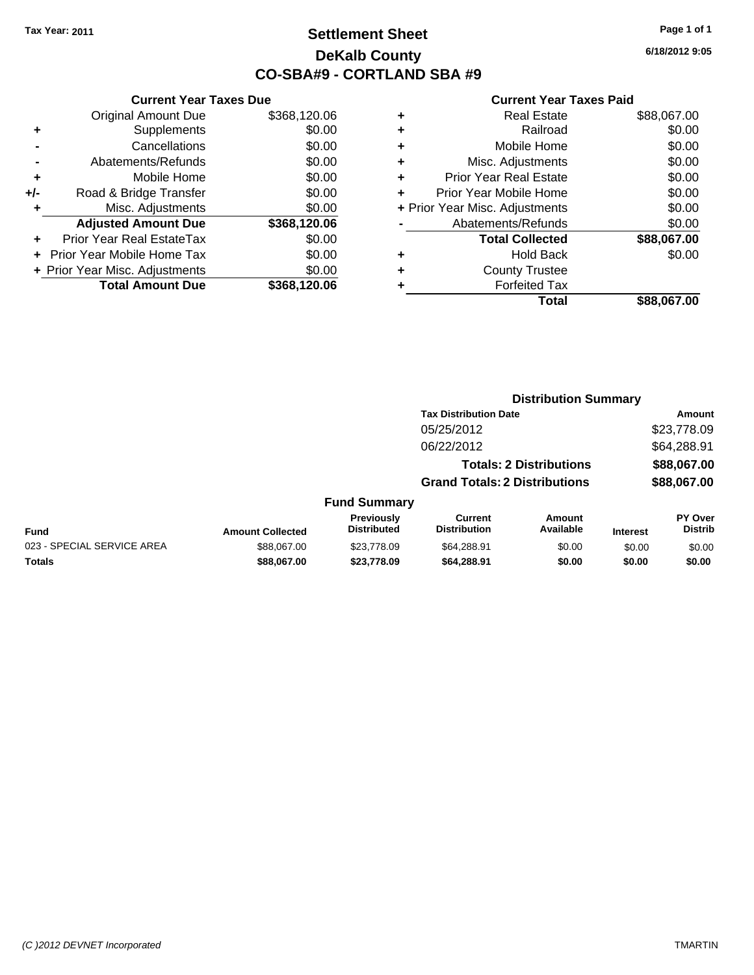### **Settlement Sheet Tax Year: 2011 Page 1 of 1 DeKalb County CO-SBA#9 - CORTLAND SBA #9**

**6/18/2012 9:05**

#### **Current Year Taxes Paid**

**Distribution Summary**

|                                | \$88.067.00 |
|--------------------------------|-------------|
| <b>Forfeited Tax</b>           |             |
| <b>County Trustee</b>          |             |
| <b>Hold Back</b>               | \$0.00      |
| <b>Total Collected</b>         | \$88,067.00 |
| Abatements/Refunds             | \$0.00      |
| + Prior Year Misc. Adjustments | \$0.00      |
| Prior Year Mobile Home         | \$0.00      |
| <b>Prior Year Real Estate</b>  | \$0.00      |
| Misc. Adjustments              | \$0.00      |
| Mobile Home                    | \$0.00      |
| Railroad                       | \$0.00      |
| <b>Real Estate</b>             | \$88,067.00 |
|                                | Total       |

|                            |                         |                                         | <b>Tax Distribution Date</b>          |                                |                 | Amount                           |
|----------------------------|-------------------------|-----------------------------------------|---------------------------------------|--------------------------------|-----------------|----------------------------------|
|                            |                         |                                         | 05/25/2012                            |                                |                 | \$23,778.09                      |
|                            |                         |                                         | 06/22/2012                            |                                |                 | \$64,288.91                      |
|                            |                         |                                         |                                       | <b>Totals: 2 Distributions</b> |                 | \$88,067.00                      |
|                            |                         |                                         | <b>Grand Totals: 2 Distributions</b>  |                                |                 | \$88,067.00                      |
|                            |                         | <b>Fund Summary</b>                     |                                       |                                |                 |                                  |
| Fund                       | <b>Amount Collected</b> | <b>Previously</b><br><b>Distributed</b> | <b>Current</b><br><b>Distribution</b> | Amount<br>Available            | <b>Interest</b> | <b>PY Over</b><br><b>Distrib</b> |
| 023 - SPECIAL SERVICE AREA | \$88,067.00             | \$23,778.09                             | \$64,288.91                           | \$0.00                         | \$0.00          | \$0.00                           |
| Totals                     | \$88,067.00             | \$23,778.09                             | \$64,288.91                           | \$0.00                         | \$0.00          | \$0.00                           |
|                            |                         |                                         |                                       |                                |                 |                                  |

|     | <b>Current Year Taxes Due</b>  |              |  |  |  |
|-----|--------------------------------|--------------|--|--|--|
|     | <b>Original Amount Due</b>     | \$368,120.06 |  |  |  |
| ٠   | Supplements                    | \$0.00       |  |  |  |
|     | Cancellations                  | \$0.00       |  |  |  |
|     | Abatements/Refunds             | \$0.00       |  |  |  |
| ÷   | Mobile Home                    | \$0.00       |  |  |  |
| +/- | Road & Bridge Transfer         | \$0.00       |  |  |  |
| ٠   | Misc. Adjustments              | \$0.00       |  |  |  |
|     | <b>Adjusted Amount Due</b>     | \$368,120.06 |  |  |  |
|     | Prior Year Real EstateTax      | \$0.00       |  |  |  |
|     | Prior Year Mobile Home Tax     | \$0.00       |  |  |  |
|     | + Prior Year Misc. Adjustments | \$0.00       |  |  |  |
|     | <b>Total Amount Due</b>        | \$368,120.06 |  |  |  |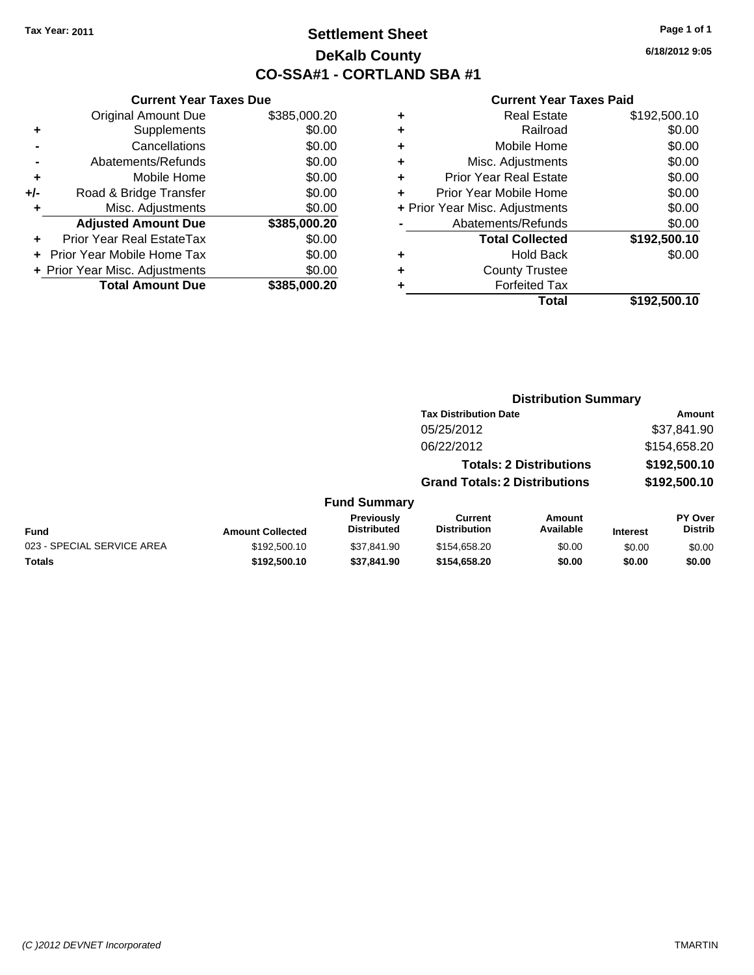### **Settlement Sheet Tax Year: 2011 Page 1 of 1 DeKalb County CO-SSA#1 - CORTLAND SBA #1**

**6/18/2012 9:05**

|     | <b>Current Year Taxes Due</b>  |              |  |  |  |
|-----|--------------------------------|--------------|--|--|--|
|     | <b>Original Amount Due</b>     | \$385,000.20 |  |  |  |
|     | Supplements                    | \$0.00       |  |  |  |
|     | Cancellations                  | \$0.00       |  |  |  |
|     | Abatements/Refunds             | \$0.00       |  |  |  |
| ٠   | Mobile Home                    | \$0.00       |  |  |  |
| +/- | Road & Bridge Transfer         | \$0.00       |  |  |  |
| ٠   | Misc. Adjustments              | \$0.00       |  |  |  |
|     | <b>Adjusted Amount Due</b>     | \$385,000.20 |  |  |  |
|     | Prior Year Real EstateTax      | \$0.00       |  |  |  |
|     | Prior Year Mobile Home Tax     | \$0.00       |  |  |  |
|     | + Prior Year Misc. Adjustments | \$0.00       |  |  |  |
|     | <b>Total Amount Due</b>        | \$385,000.20 |  |  |  |
|     |                                |              |  |  |  |

| ٠ | Railroad                       | \$0.00       |
|---|--------------------------------|--------------|
| ٠ | Mobile Home                    | \$0.00       |
| ٠ | Misc. Adjustments              | \$0.00       |
| ٠ | <b>Prior Year Real Estate</b>  | \$0.00       |
| ٠ | Prior Year Mobile Home         | \$0.00       |
|   | + Prior Year Misc. Adjustments | \$0.00       |
|   | Abatements/Refunds             | \$0.00       |
|   | <b>Total Collected</b>         | \$192,500.10 |
|   | <b>Hold Back</b>               | \$0.00       |
| ٠ |                                |              |
| ٠ | <b>County Trustee</b>          |              |
|   | <b>Forfeited Tax</b>           |              |
|   | Total                          | \$192,500.10 |

|                            |                         |                                         | <b>Distribution Summary</b>           |                                |                 |                                  |
|----------------------------|-------------------------|-----------------------------------------|---------------------------------------|--------------------------------|-----------------|----------------------------------|
|                            |                         |                                         | <b>Tax Distribution Date</b>          |                                |                 | Amount                           |
|                            |                         |                                         | 05/25/2012                            |                                |                 | \$37,841.90                      |
|                            |                         |                                         | 06/22/2012                            |                                |                 | \$154,658.20                     |
|                            |                         |                                         |                                       | <b>Totals: 2 Distributions</b> |                 | \$192,500.10                     |
|                            |                         |                                         | <b>Grand Totals: 2 Distributions</b>  |                                |                 | \$192,500.10                     |
|                            |                         | <b>Fund Summary</b>                     |                                       |                                |                 |                                  |
| Fund                       | <b>Amount Collected</b> | <b>Previously</b><br><b>Distributed</b> | <b>Current</b><br><b>Distribution</b> | Amount<br>Available            | <b>Interest</b> | <b>PY Over</b><br><b>Distrib</b> |
| 023 - SPECIAL SERVICE AREA | \$192,500.10            | \$37.841.90                             | \$154,658.20                          | \$0.00                         | \$0.00          | \$0.00                           |
| Totals                     | \$192,500.10            | \$37.841.90                             | \$154,658.20                          | \$0.00                         | \$0.00          | \$0.00                           |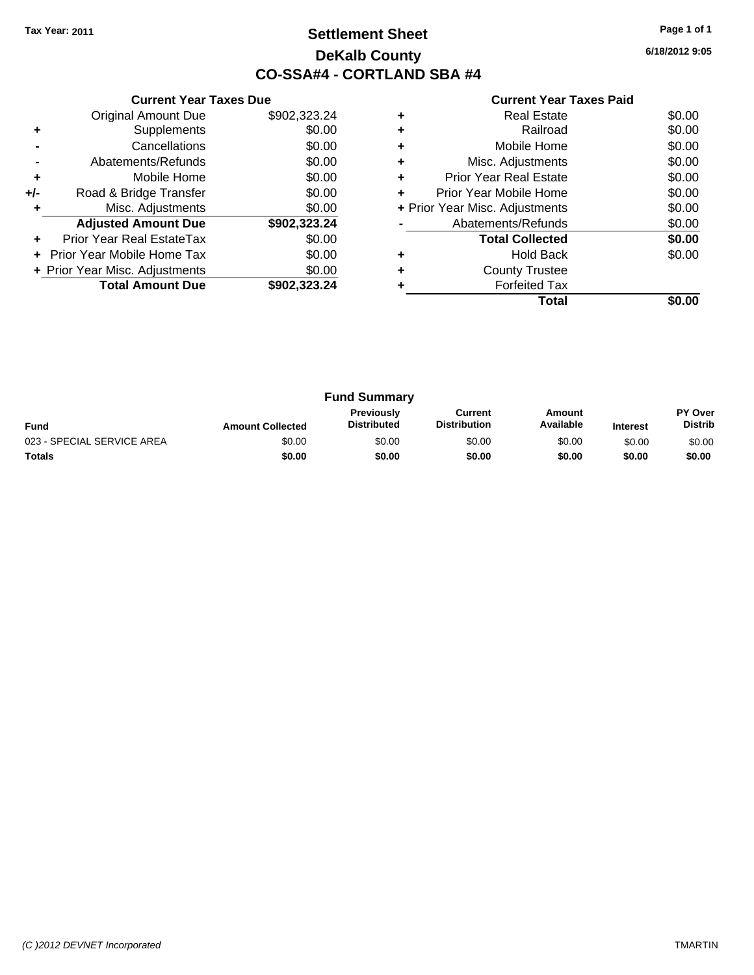### **Settlement Sheet Tax Year: 2011 Page 1 of 1 DeKalb County CO-SSA#4 - CORTLAND SBA #4**

**6/18/2012 9:05**

|     | <b>Current Year Taxes Due</b>  |              |  |  |  |
|-----|--------------------------------|--------------|--|--|--|
|     | <b>Original Amount Due</b>     | \$902,323.24 |  |  |  |
| ٠   | Supplements                    | \$0.00       |  |  |  |
|     | Cancellations                  | \$0.00       |  |  |  |
|     | Abatements/Refunds             | \$0.00       |  |  |  |
| ٠   | Mobile Home                    | \$0.00       |  |  |  |
| +/- | Road & Bridge Transfer         | \$0.00       |  |  |  |
| ٠   | Misc. Adjustments              | \$0.00       |  |  |  |
|     | <b>Adjusted Amount Due</b>     | \$902,323.24 |  |  |  |
| ٠   | Prior Year Real EstateTax      | \$0.00       |  |  |  |
|     | Prior Year Mobile Home Tax     | \$0.00       |  |  |  |
|     | + Prior Year Misc. Adjustments | \$0.00       |  |  |  |
|     | <b>Total Amount Due</b>        | \$902.323.24 |  |  |  |
|     |                                |              |  |  |  |

|   | Total                          |        |
|---|--------------------------------|--------|
|   | <b>Forfeited Tax</b>           |        |
| ٠ | <b>County Trustee</b>          |        |
|   | <b>Hold Back</b>               | \$0.00 |
|   | <b>Total Collected</b>         | \$0.00 |
|   | Abatements/Refunds             | \$0.00 |
|   | + Prior Year Misc. Adjustments | \$0.00 |
| ÷ | Prior Year Mobile Home         | \$0.00 |
| ٠ | <b>Prior Year Real Estate</b>  | \$0.00 |
| ٠ | Misc. Adjustments              | \$0.00 |
| ٠ | Mobile Home                    | \$0.00 |
|   | Railroad                       | \$0.00 |
| ٠ | <b>Real Estate</b>             | \$0.00 |
|   |                                |        |

| <b>Fund Summary</b>        |                         |                                  |                                |                     |                 |                                  |
|----------------------------|-------------------------|----------------------------------|--------------------------------|---------------------|-----------------|----------------------------------|
| <b>Fund</b>                | <b>Amount Collected</b> | Previously<br><b>Distributed</b> | Current<br><b>Distribution</b> | Amount<br>Available | <b>Interest</b> | <b>PY Over</b><br><b>Distrib</b> |
| 023 - SPECIAL SERVICE AREA | \$0.00                  | \$0.00                           | \$0.00                         | \$0.00              | \$0.00          | \$0.00                           |
| <b>Totals</b>              | \$0.00                  | \$0.00                           | \$0.00                         | \$0.00              | \$0.00          | \$0.00                           |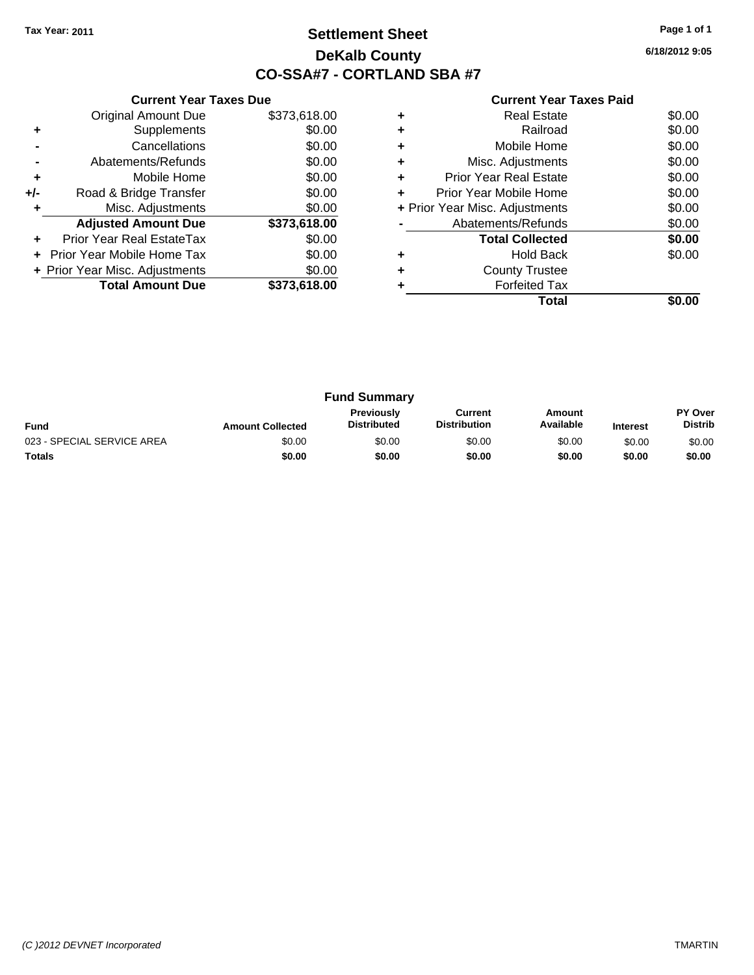### **Settlement Sheet Tax Year: 2011 Page 1 of 1 DeKalb County CO-SSA#7 - CORTLAND SBA #7**

**6/18/2012 9:05**

|     | <b>Current Year Taxes Due</b>  |              |  |  |  |
|-----|--------------------------------|--------------|--|--|--|
|     | Original Amount Due            | \$373,618.00 |  |  |  |
| ٠   | Supplements                    | \$0.00       |  |  |  |
|     | Cancellations                  | \$0.00       |  |  |  |
|     | Abatements/Refunds             | \$0.00       |  |  |  |
| ٠   | Mobile Home                    | \$0.00       |  |  |  |
| +/- | Road & Bridge Transfer         | \$0.00       |  |  |  |
|     | Misc. Adjustments              | \$0.00       |  |  |  |
|     | <b>Adjusted Amount Due</b>     | \$373,618.00 |  |  |  |
| ٠   | Prior Year Real EstateTax      | \$0.00       |  |  |  |
|     | Prior Year Mobile Home Tax     | \$0.00       |  |  |  |
|     | + Prior Year Misc. Adjustments | \$0.00       |  |  |  |
|     | <b>Total Amount Due</b>        | \$373,618.00 |  |  |  |
|     |                                |              |  |  |  |

|   | Total                          |        |
|---|--------------------------------|--------|
|   | <b>Forfeited Tax</b>           |        |
| ٠ | <b>County Trustee</b>          |        |
|   | <b>Hold Back</b>               | \$0.00 |
|   | <b>Total Collected</b>         | \$0.00 |
|   | Abatements/Refunds             | \$0.00 |
|   | + Prior Year Misc. Adjustments | \$0.00 |
| ٠ | Prior Year Mobile Home         | \$0.00 |
| ٠ | <b>Prior Year Real Estate</b>  | \$0.00 |
| ٠ | Misc. Adjustments              | \$0.00 |
| ٠ | Mobile Home                    | \$0.00 |
| ٠ | Railroad                       | \$0.00 |
| ٠ | Real Estate                    | \$0.00 |
|   |                                |        |

| <b>Fund Summary</b>        |                         |                                         |                                |                     |                 |                                  |
|----------------------------|-------------------------|-----------------------------------------|--------------------------------|---------------------|-----------------|----------------------------------|
| <b>Fund</b>                | <b>Amount Collected</b> | <b>Previously</b><br><b>Distributed</b> | Current<br><b>Distribution</b> | Amount<br>Available | <b>Interest</b> | <b>PY Over</b><br><b>Distrib</b> |
| 023 - SPECIAL SERVICE AREA | \$0.00                  | \$0.00                                  | \$0.00                         | \$0.00              | \$0.00          | \$0.00                           |
| <b>Totals</b>              | \$0.00                  | \$0.00                                  | \$0.00                         | \$0.00              | \$0.00          | \$0.00                           |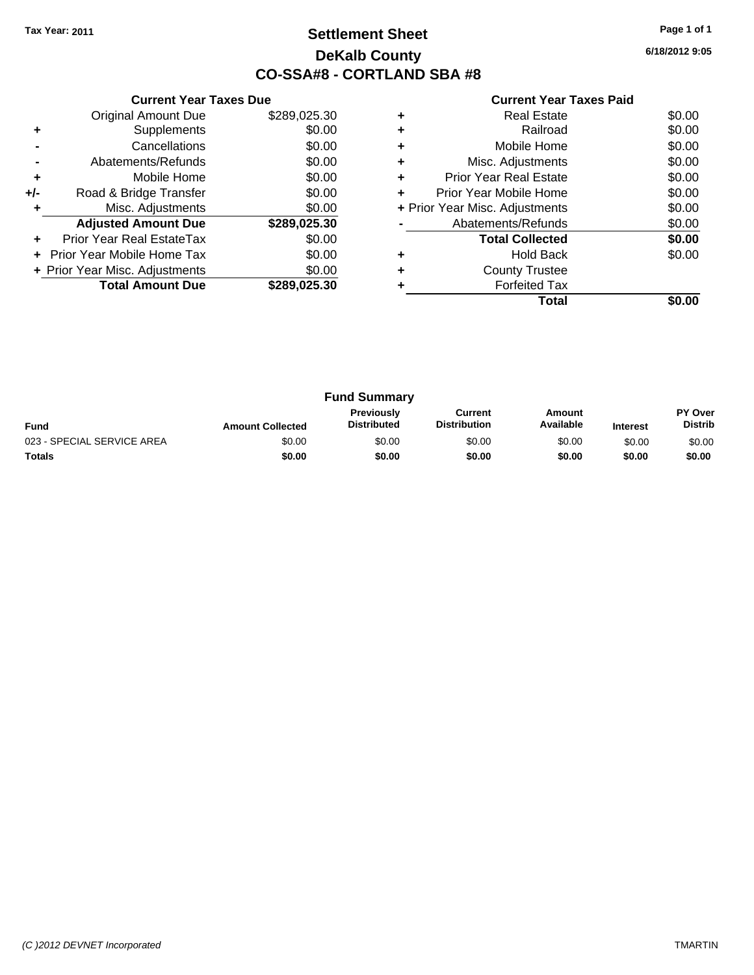### **Settlement Sheet Tax Year: 2011 Page 1 of 1 DeKalb County CO-SSA#8 - CORTLAND SBA #8**

**6/18/2012 9:05**

|     | <b>Current Year Taxes Due</b>  |              |  |  |  |
|-----|--------------------------------|--------------|--|--|--|
|     | <b>Original Amount Due</b>     | \$289,025.30 |  |  |  |
| ٠   | Supplements                    | \$0.00       |  |  |  |
|     | Cancellations                  | \$0.00       |  |  |  |
|     | Abatements/Refunds             | \$0.00       |  |  |  |
| ٠   | Mobile Home                    | \$0.00       |  |  |  |
| +/- | Road & Bridge Transfer         | \$0.00       |  |  |  |
|     | Misc. Adjustments              | \$0.00       |  |  |  |
|     | <b>Adjusted Amount Due</b>     | \$289,025.30 |  |  |  |
|     | Prior Year Real EstateTax      | \$0.00       |  |  |  |
|     | Prior Year Mobile Home Tax     | \$0.00       |  |  |  |
|     | + Prior Year Misc. Adjustments | \$0.00       |  |  |  |
|     | <b>Total Amount Due</b>        | \$289.025.30 |  |  |  |
|     |                                |              |  |  |  |

|   | <b>Real Estate</b>             | \$0.00 |
|---|--------------------------------|--------|
|   | Railroad                       | \$0.00 |
| ٠ | Mobile Home                    | \$0.00 |
|   | Misc. Adjustments              | \$0.00 |
| ٠ | <b>Prior Year Real Estate</b>  | \$0.00 |
| ÷ | Prior Year Mobile Home         | \$0.00 |
|   | + Prior Year Misc. Adjustments | \$0.00 |
|   | Abatements/Refunds             | \$0.00 |
|   | <b>Total Collected</b>         | \$0.00 |
|   | <b>Hold Back</b>               | \$0.00 |
|   | <b>County Trustee</b>          |        |
|   | <b>Forfeited Tax</b>           |        |
|   | Total                          |        |

| <b>Fund Summary</b>        |                         |                                         |                                |                     |                 |                           |
|----------------------------|-------------------------|-----------------------------------------|--------------------------------|---------------------|-----------------|---------------------------|
| <b>Fund</b>                | <b>Amount Collected</b> | <b>Previously</b><br><b>Distributed</b> | Current<br><b>Distribution</b> | Amount<br>Available | <b>Interest</b> | PY Over<br><b>Distrib</b> |
| 023 - SPECIAL SERVICE AREA | \$0.00                  | \$0.00                                  | \$0.00                         | \$0.00              | \$0.00          | \$0.00                    |
| <b>Totals</b>              | \$0.00                  | \$0.00                                  | \$0.00                         | \$0.00              | \$0.00          | \$0.00                    |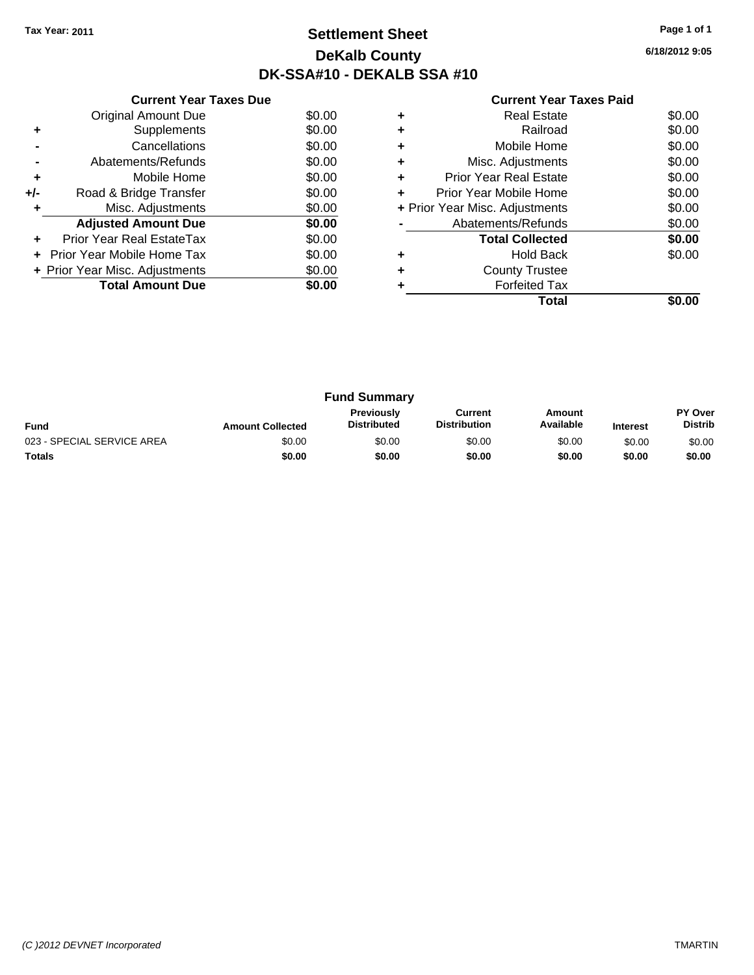### **Settlement Sheet Tax Year: 2011 Page 1 of 1 DeKalb County DK-SSA#10 - DEKALB SSA #10**

**6/18/2012 9:05**

|     | <b>Current Year Taxes Due</b>     |        |  |  |  |  |
|-----|-----------------------------------|--------|--|--|--|--|
|     | <b>Original Amount Due</b>        | \$0.00 |  |  |  |  |
| ٠   | Supplements                       | \$0.00 |  |  |  |  |
|     | Cancellations                     | \$0.00 |  |  |  |  |
|     | Abatements/Refunds                | \$0.00 |  |  |  |  |
| ٠   | Mobile Home                       | \$0.00 |  |  |  |  |
| +/- | Road & Bridge Transfer            | \$0.00 |  |  |  |  |
|     | Misc. Adjustments                 | \$0.00 |  |  |  |  |
|     | <b>Adjusted Amount Due</b>        | \$0.00 |  |  |  |  |
|     | Prior Year Real EstateTax         | \$0.00 |  |  |  |  |
|     | <b>Prior Year Mobile Home Tax</b> | \$0.00 |  |  |  |  |
|     | + Prior Year Misc. Adjustments    | \$0.00 |  |  |  |  |
|     | <b>Total Amount Due</b>           | \$0.00 |  |  |  |  |
|     |                                   |        |  |  |  |  |

|   | Total                          |        |
|---|--------------------------------|--------|
|   | <b>Forfeited Tax</b>           |        |
| ٠ | <b>County Trustee</b>          |        |
|   | <b>Hold Back</b>               | \$0.00 |
|   | <b>Total Collected</b>         | \$0.00 |
|   | Abatements/Refunds             | \$0.00 |
|   | + Prior Year Misc. Adjustments | \$0.00 |
| ٠ | Prior Year Mobile Home         | \$0.00 |
| ٠ | <b>Prior Year Real Estate</b>  | \$0.00 |
| ٠ | Misc. Adjustments              | \$0.00 |
| ٠ | Mobile Home                    | \$0.00 |
|   | Railroad                       | \$0.00 |
|   | <b>Real Estate</b>             | \$0.00 |
|   |                                |        |

| <b>Fund Summary</b>        |                         |                                         |                                |                     |                 |                                  |
|----------------------------|-------------------------|-----------------------------------------|--------------------------------|---------------------|-----------------|----------------------------------|
| <b>Fund</b>                | <b>Amount Collected</b> | <b>Previously</b><br><b>Distributed</b> | Current<br><b>Distribution</b> | Amount<br>Available | <b>Interest</b> | <b>PY Over</b><br><b>Distrib</b> |
| 023 - SPECIAL SERVICE AREA | \$0.00                  | \$0.00                                  | \$0.00                         | \$0.00              | \$0.00          | \$0.00                           |
| Totals                     | \$0.00                  | \$0.00                                  | \$0.00                         | \$0.00              | \$0.00          | \$0.00                           |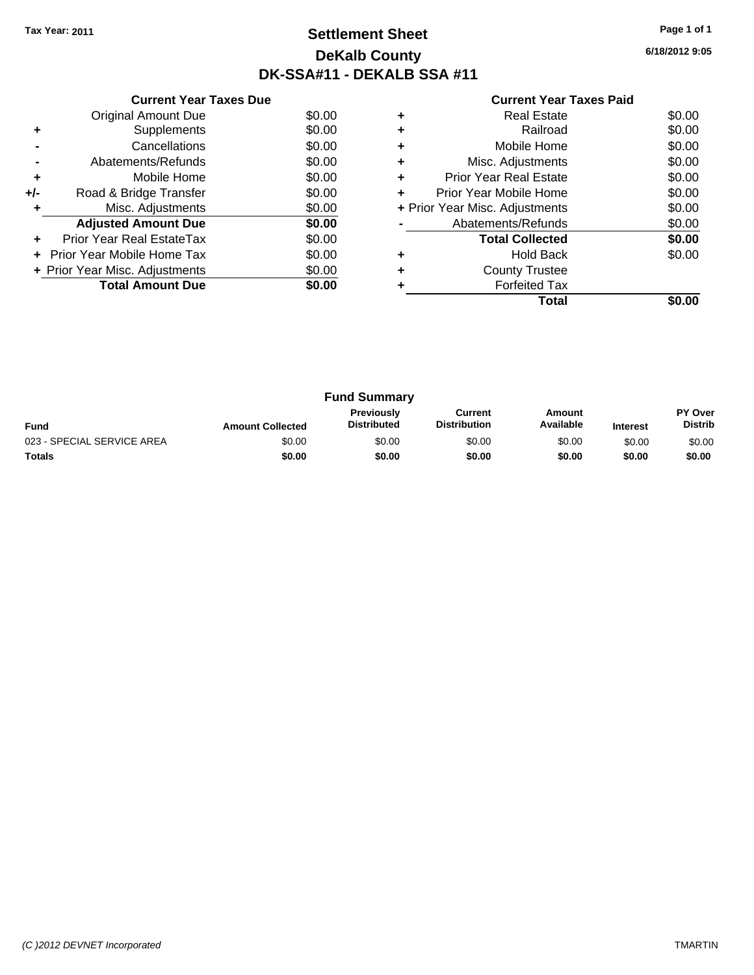### **Settlement Sheet Tax Year: 2011 Page 1 of 1 DeKalb County DK-SSA#11 - DEKALB SSA #11**

**6/18/2012 9:05**

|     | <b>Current Year Taxes Due</b>  |        |  |  |  |  |
|-----|--------------------------------|--------|--|--|--|--|
|     | <b>Original Amount Due</b>     | \$0.00 |  |  |  |  |
| ٠   | Supplements                    | \$0.00 |  |  |  |  |
|     | Cancellations                  | \$0.00 |  |  |  |  |
|     | Abatements/Refunds             | \$0.00 |  |  |  |  |
| ٠   | Mobile Home                    | \$0.00 |  |  |  |  |
| +/- | Road & Bridge Transfer         | \$0.00 |  |  |  |  |
| ٠   | Misc. Adjustments              | \$0.00 |  |  |  |  |
|     | <b>Adjusted Amount Due</b>     | \$0.00 |  |  |  |  |
|     | Prior Year Real EstateTax      | \$0.00 |  |  |  |  |
|     | Prior Year Mobile Home Tax     | \$0.00 |  |  |  |  |
|     | + Prior Year Misc. Adjustments | \$0.00 |  |  |  |  |
|     | <b>Total Amount Due</b>        | \$0.00 |  |  |  |  |
|     |                                |        |  |  |  |  |

|   | Real Estate                    | \$0.00 |
|---|--------------------------------|--------|
|   | Railroad                       | \$0.00 |
| ٠ | Mobile Home                    | \$0.00 |
| ٠ | Misc. Adjustments              | \$0.00 |
| ٠ | Prior Year Real Estate         | \$0.00 |
| ÷ | Prior Year Mobile Home         | \$0.00 |
|   | + Prior Year Misc. Adjustments | \$0.00 |
|   | Abatements/Refunds             | \$0.00 |
|   | <b>Total Collected</b>         | \$0.00 |
|   | <b>Hold Back</b>               | \$0.00 |
| ٠ | <b>County Trustee</b>          |        |
|   | <b>Forfeited Tax</b>           |        |
|   | Total                          |        |

| <b>Fund Summary</b>        |                         |                                         |                                |                     |                 |                                  |
|----------------------------|-------------------------|-----------------------------------------|--------------------------------|---------------------|-----------------|----------------------------------|
| <b>Fund</b>                | <b>Amount Collected</b> | <b>Previously</b><br><b>Distributed</b> | Current<br><b>Distribution</b> | Amount<br>Available | <b>Interest</b> | <b>PY Over</b><br><b>Distrib</b> |
| 023 - SPECIAL SERVICE AREA | \$0.00                  | \$0.00                                  | \$0.00                         | \$0.00              | \$0.00          | \$0.00                           |
| <b>Totals</b>              | \$0.00                  | \$0.00                                  | \$0.00                         | \$0.00              | \$0.00          | \$0.00                           |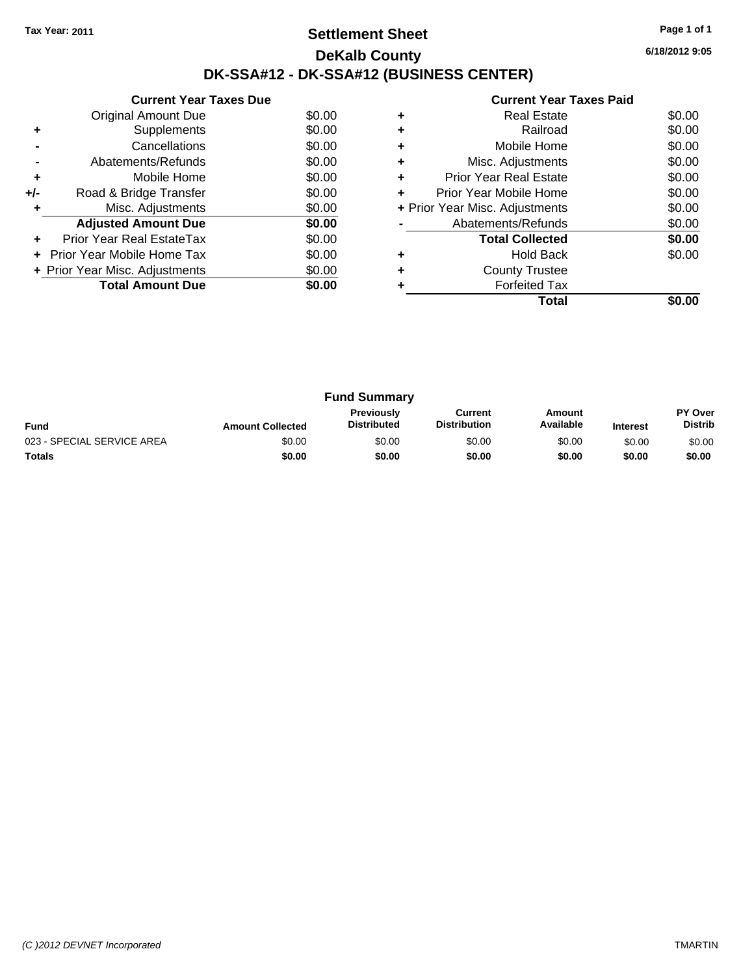### **Settlement Sheet Tax Year: 2011 Page 1 of 1 DeKalb County DK-SSA#12 - DK-SSA#12 (BUSINESS CENTER)**

**6/18/2012 9:05**

|     | <b>Current Year Taxes Due</b>  |        |  |  |  |  |  |
|-----|--------------------------------|--------|--|--|--|--|--|
|     | Original Amount Due            | \$0.00 |  |  |  |  |  |
| ٠   | Supplements                    | \$0.00 |  |  |  |  |  |
|     | Cancellations                  | \$0.00 |  |  |  |  |  |
|     | Abatements/Refunds             | \$0.00 |  |  |  |  |  |
| ٠   | Mobile Home                    | \$0.00 |  |  |  |  |  |
| +/- | Road & Bridge Transfer         | \$0.00 |  |  |  |  |  |
| ٠   | Misc. Adjustments              | \$0.00 |  |  |  |  |  |
|     | <b>Adjusted Amount Due</b>     | \$0.00 |  |  |  |  |  |
| ٠   | Prior Year Real EstateTax      | \$0.00 |  |  |  |  |  |
|     | Prior Year Mobile Home Tax     | \$0.00 |  |  |  |  |  |
|     | + Prior Year Misc. Adjustments | \$0.00 |  |  |  |  |  |
|     | <b>Total Amount Due</b>        | \$0.00 |  |  |  |  |  |
|     |                                |        |  |  |  |  |  |

|   | <b>Real Estate</b>             | \$0.00 |
|---|--------------------------------|--------|
|   | Railroad                       | \$0.00 |
| ٠ | Mobile Home                    | \$0.00 |
| ٠ | Misc. Adjustments              | \$0.00 |
| ٠ | <b>Prior Year Real Estate</b>  | \$0.00 |
| ÷ | Prior Year Mobile Home         | \$0.00 |
|   | + Prior Year Misc. Adjustments | \$0.00 |
|   | Abatements/Refunds             | \$0.00 |
|   | <b>Total Collected</b>         | \$0.00 |
| ٠ | <b>Hold Back</b>               | \$0.00 |
|   | <b>County Trustee</b>          |        |
|   | <b>Forfeited Tax</b>           |        |
|   | Total                          |        |

| <b>Fund Summary</b>        |                         |                                  |                                |                     |                 |                           |
|----------------------------|-------------------------|----------------------------------|--------------------------------|---------------------|-----------------|---------------------------|
| <b>Fund</b>                | <b>Amount Collected</b> | Previously<br><b>Distributed</b> | Current<br><b>Distribution</b> | Amount<br>Available | <b>Interest</b> | PY Over<br><b>Distrib</b> |
| 023 - SPECIAL SERVICE AREA | \$0.00                  | \$0.00                           | \$0.00                         | \$0.00              | \$0.00          | \$0.00                    |
| Totals                     | \$0.00                  | \$0.00                           | \$0.00                         | \$0.00              | \$0.00          | \$0.00                    |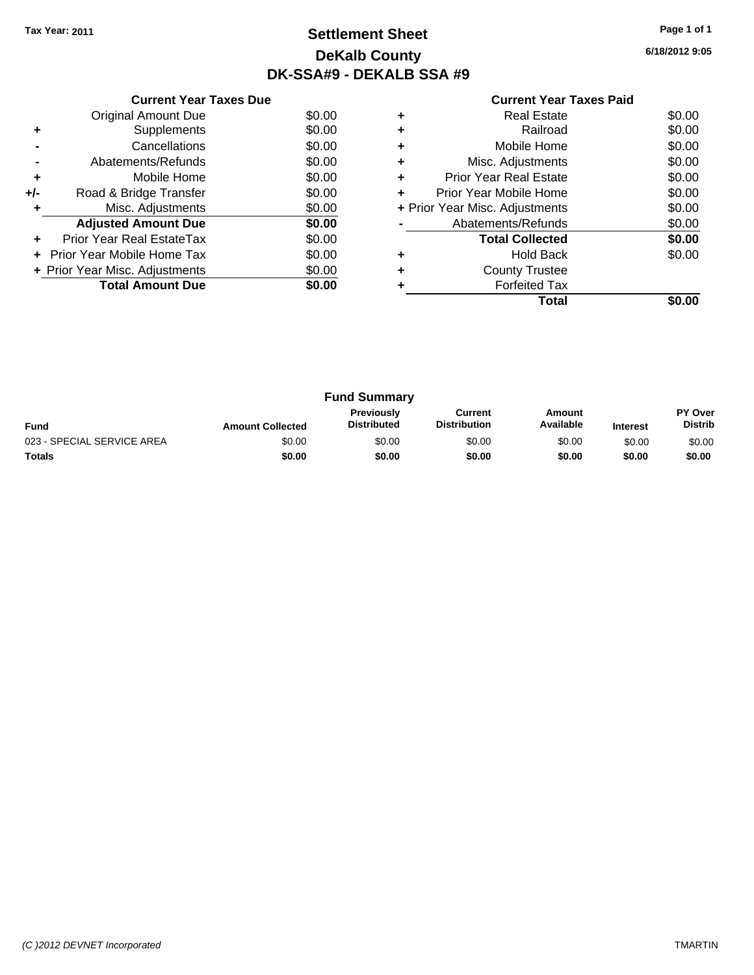### **Settlement Sheet Tax Year: 2011 Page 1 of 1 DeKalb County DK-SSA#9 - DEKALB SSA #9**

**6/18/2012 9:05**

|     | <b>Current Year Taxes Due</b>  |        |  |  |  |  |  |
|-----|--------------------------------|--------|--|--|--|--|--|
|     | <b>Original Amount Due</b>     | \$0.00 |  |  |  |  |  |
| ٠   | Supplements                    | \$0.00 |  |  |  |  |  |
|     | Cancellations                  | \$0.00 |  |  |  |  |  |
|     | Abatements/Refunds             | \$0.00 |  |  |  |  |  |
| ٠   | Mobile Home                    | \$0.00 |  |  |  |  |  |
| +/- | Road & Bridge Transfer         | \$0.00 |  |  |  |  |  |
| ٠   | Misc. Adjustments              | \$0.00 |  |  |  |  |  |
|     | <b>Adjusted Amount Due</b>     | \$0.00 |  |  |  |  |  |
|     | Prior Year Real EstateTax      | \$0.00 |  |  |  |  |  |
|     | Prior Year Mobile Home Tax     | \$0.00 |  |  |  |  |  |
|     | + Prior Year Misc. Adjustments | \$0.00 |  |  |  |  |  |
|     | <b>Total Amount Due</b>        | \$0.00 |  |  |  |  |  |
|     |                                |        |  |  |  |  |  |

|   | Total                          |        |
|---|--------------------------------|--------|
|   | <b>Forfeited Tax</b>           |        |
| ÷ | <b>County Trustee</b>          |        |
| ٠ | <b>Hold Back</b>               | \$0.00 |
|   | <b>Total Collected</b>         | \$0.00 |
|   | Abatements/Refunds             | \$0.00 |
|   | + Prior Year Misc. Adjustments | \$0.00 |
| ٠ | Prior Year Mobile Home         | \$0.00 |
| ٠ | Prior Year Real Estate         | \$0.00 |
| ٠ | Misc. Adjustments              | \$0.00 |
| ٠ | Mobile Home                    | \$0.00 |
| ٠ | Railroad                       | \$0.00 |
|   | <b>Real Estate</b>             | \$0.00 |
|   |                                |        |

| <b>Fund Summary</b>        |                         |                                  |                                |                     |                 |                                  |
|----------------------------|-------------------------|----------------------------------|--------------------------------|---------------------|-----------------|----------------------------------|
| <b>Fund</b>                | <b>Amount Collected</b> | Previously<br><b>Distributed</b> | Current<br><b>Distribution</b> | Amount<br>Available | <b>Interest</b> | <b>PY Over</b><br><b>Distrib</b> |
| 023 - SPECIAL SERVICE AREA | \$0.00                  | \$0.00                           | \$0.00                         | \$0.00              | \$0.00          | \$0.00                           |
| <b>Totals</b>              | \$0.00                  | \$0.00                           | \$0.00                         | \$0.00              | \$0.00          | \$0.00                           |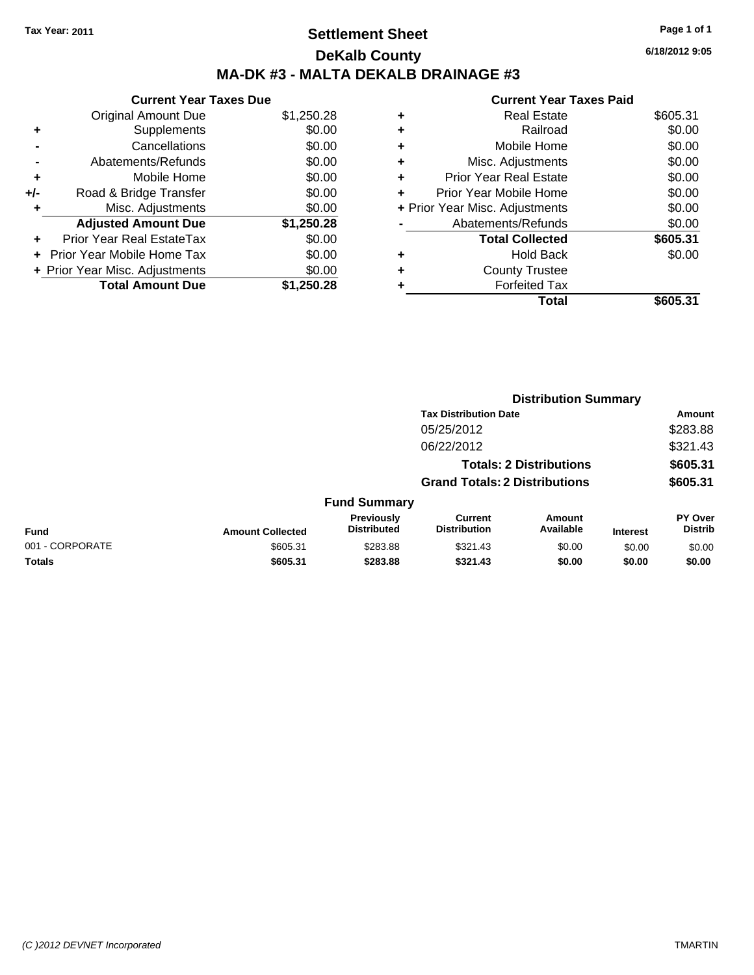### **Settlement Sheet Tax Year: 2011 Page 1 of 1 DeKalb County MA-DK #3 - MALTA DEKALB DRAINAGE #3**

**6/18/2012 9:05**

| <b>Current Year Taxes Due</b> |                                |  |  |  |  |  |
|-------------------------------|--------------------------------|--|--|--|--|--|
| <b>Original Amount Due</b>    | \$1,250.28                     |  |  |  |  |  |
| Supplements                   | \$0.00                         |  |  |  |  |  |
| Cancellations                 | \$0.00                         |  |  |  |  |  |
| Abatements/Refunds            | \$0.00                         |  |  |  |  |  |
| Mobile Home                   | \$0.00                         |  |  |  |  |  |
| Road & Bridge Transfer        | \$0.00                         |  |  |  |  |  |
| Misc. Adjustments             | \$0.00                         |  |  |  |  |  |
| <b>Adjusted Amount Due</b>    | \$1,250.28                     |  |  |  |  |  |
| Prior Year Real EstateTax     | \$0.00                         |  |  |  |  |  |
| Prior Year Mobile Home Tax    | \$0.00                         |  |  |  |  |  |
|                               | \$0.00                         |  |  |  |  |  |
| <b>Total Amount Due</b>       | \$1,250.28                     |  |  |  |  |  |
|                               | + Prior Year Misc. Adjustments |  |  |  |  |  |

|   | Total                          | \$605.31 |
|---|--------------------------------|----------|
|   | <b>Forfeited Tax</b>           |          |
|   | <b>County Trustee</b>          |          |
| ٠ | <b>Hold Back</b>               | \$0.00   |
|   | <b>Total Collected</b>         | \$605.31 |
|   | Abatements/Refunds             | \$0.00   |
|   | + Prior Year Misc. Adjustments | \$0.00   |
| ٠ | Prior Year Mobile Home         | \$0.00   |
| ÷ | <b>Prior Year Real Estate</b>  | \$0.00   |
| ٠ | Misc. Adjustments              | \$0.00   |
| ٠ | Mobile Home                    | \$0.00   |
| ٠ | Railroad                       | \$0.00   |
| ٠ | <b>Real Estate</b>             | \$605.31 |
|   |                                |          |

|                 | <b>Distribution Summary</b> |                                  |                                       |                                |                 |                           |  |
|-----------------|-----------------------------|----------------------------------|---------------------------------------|--------------------------------|-----------------|---------------------------|--|
|                 |                             |                                  | <b>Tax Distribution Date</b>          |                                |                 | <b>Amount</b>             |  |
|                 |                             |                                  | 05/25/2012                            |                                |                 | \$283.88                  |  |
|                 |                             |                                  | 06/22/2012                            |                                |                 | \$321.43                  |  |
|                 |                             |                                  |                                       | <b>Totals: 2 Distributions</b> |                 | \$605.31                  |  |
|                 |                             |                                  | <b>Grand Totals: 2 Distributions</b>  |                                |                 | \$605.31                  |  |
|                 |                             | <b>Fund Summary</b>              |                                       |                                |                 |                           |  |
| <b>Fund</b>     | <b>Amount Collected</b>     | Previously<br><b>Distributed</b> | <b>Current</b><br><b>Distribution</b> | Amount<br>Available            | <b>Interest</b> | PY Over<br><b>Distrib</b> |  |
| 001 - CORPORATE | \$605.31                    | \$283.88                         | \$321.43                              | \$0.00                         | \$0.00          | \$0.00                    |  |
| Totals          | \$605.31                    | \$283.88                         | \$321.43                              | \$0.00                         | \$0.00          | \$0.00                    |  |
|                 |                             |                                  |                                       |                                |                 |                           |  |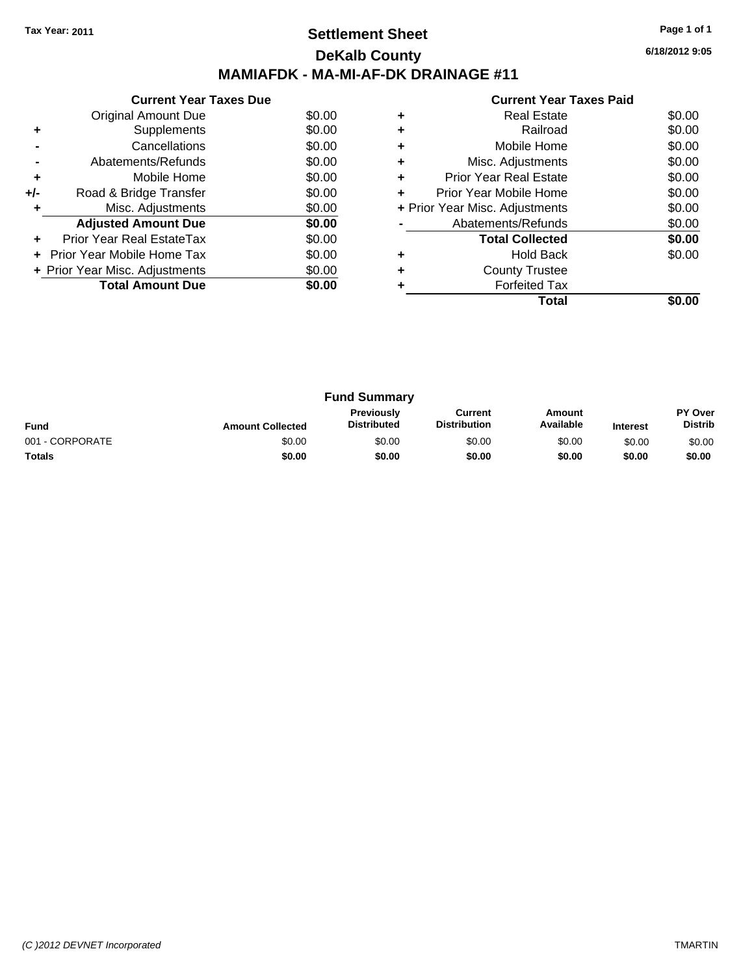### **Settlement Sheet Tax Year: 2011 Page 1 of 1 DeKalb County MAMIAFDK - MA-MI-AF-DK DRAINAGE #11**

**6/18/2012 9:05**

|     | <b>Current Year Taxes Due</b>     |        |  |  |  |  |
|-----|-----------------------------------|--------|--|--|--|--|
|     | Original Amount Due               | \$0.00 |  |  |  |  |
| ٠   | Supplements                       | \$0.00 |  |  |  |  |
|     | Cancellations                     | \$0.00 |  |  |  |  |
|     | Abatements/Refunds                | \$0.00 |  |  |  |  |
| ٠   | Mobile Home                       | \$0.00 |  |  |  |  |
| +/- | Road & Bridge Transfer            | \$0.00 |  |  |  |  |
| ٠   | Misc. Adjustments                 | \$0.00 |  |  |  |  |
|     | <b>Adjusted Amount Due</b>        | \$0.00 |  |  |  |  |
| ٠   | Prior Year Real EstateTax         | \$0.00 |  |  |  |  |
|     | <b>Prior Year Mobile Home Tax</b> | \$0.00 |  |  |  |  |
|     | + Prior Year Misc. Adjustments    | \$0.00 |  |  |  |  |
|     | <b>Total Amount Due</b>           | \$0.00 |  |  |  |  |
|     |                                   |        |  |  |  |  |

|   | Total                          |        |
|---|--------------------------------|--------|
|   | <b>Forfeited Tax</b>           |        |
|   | <b>County Trustee</b>          |        |
| ٠ | <b>Hold Back</b>               | \$0.00 |
|   | <b>Total Collected</b>         | \$0.00 |
|   | Abatements/Refunds             | \$0.00 |
|   | + Prior Year Misc. Adjustments | \$0.00 |
| ٠ | Prior Year Mobile Home         | \$0.00 |
| ٠ | <b>Prior Year Real Estate</b>  | \$0.00 |
| ٠ | Misc. Adjustments              | \$0.00 |
| ٠ | Mobile Home                    | \$0.00 |
| ٠ | Railroad                       | \$0.00 |
| ٠ | <b>Real Estate</b>             | \$0.00 |
|   |                                |        |

| <b>Fund Summary</b> |                         |                                  |                                |                     |                 |                                  |
|---------------------|-------------------------|----------------------------------|--------------------------------|---------------------|-----------------|----------------------------------|
| <b>Fund</b>         | <b>Amount Collected</b> | Previously<br><b>Distributed</b> | Current<br><b>Distribution</b> | Amount<br>Available | <b>Interest</b> | <b>PY Over</b><br><b>Distrib</b> |
| 001 - CORPORATE     | \$0.00                  | \$0.00                           | \$0.00                         | \$0.00              | \$0.00          | \$0.00                           |
| <b>Totals</b>       | \$0.00                  | \$0.00                           | \$0.00                         | \$0.00              | \$0.00          | \$0.00                           |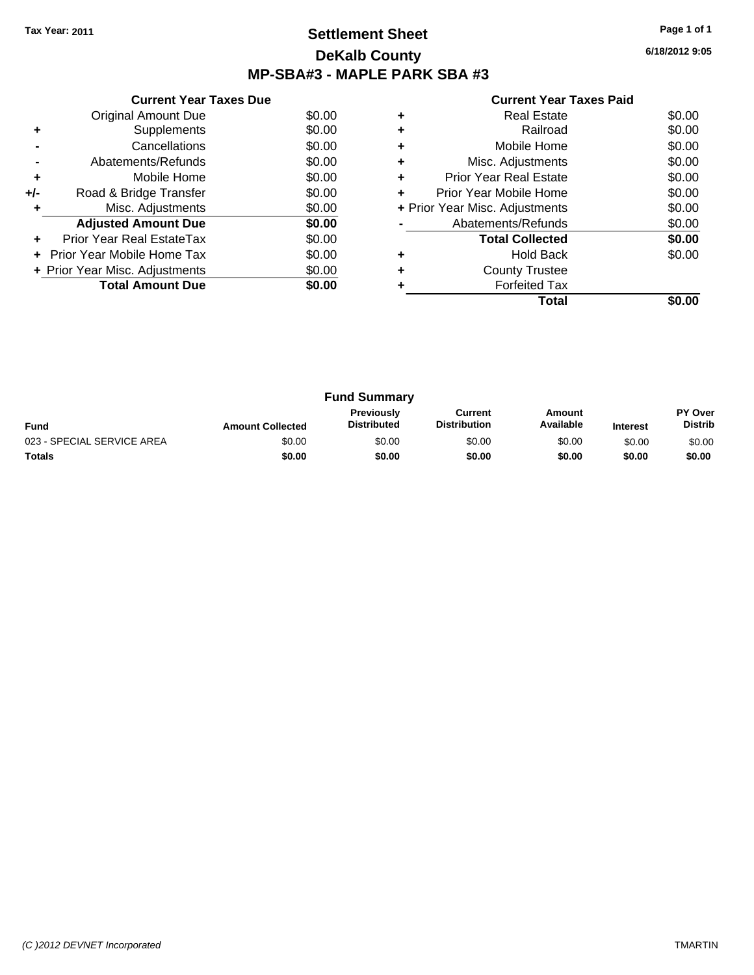### **Settlement Sheet Tax Year: 2011 Page 1 of 1 DeKalb County MP-SBA#3 - MAPLE PARK SBA #3**

**6/18/2012 9:05**

|     | <b>Current Year Taxes Due</b>     |        |  |  |
|-----|-----------------------------------|--------|--|--|
|     | Original Amount Due               | \$0.00 |  |  |
| ٠   | Supplements                       | \$0.00 |  |  |
|     | Cancellations                     | \$0.00 |  |  |
|     | Abatements/Refunds                | \$0.00 |  |  |
| ٠   | Mobile Home                       | \$0.00 |  |  |
| +/- | Road & Bridge Transfer            | \$0.00 |  |  |
|     | Misc. Adjustments                 | \$0.00 |  |  |
|     | <b>Adjusted Amount Due</b>        | \$0.00 |  |  |
|     | Prior Year Real EstateTax         | \$0.00 |  |  |
|     | <b>Prior Year Mobile Home Tax</b> | \$0.00 |  |  |
|     | + Prior Year Misc. Adjustments    | \$0.00 |  |  |
|     | \$0.00                            |        |  |  |
|     |                                   |        |  |  |

|   | Real Estate                    | \$0.00 |
|---|--------------------------------|--------|
| ٠ | Railroad                       | \$0.00 |
| ٠ | Mobile Home                    | \$0.00 |
| ٠ | Misc. Adjustments              | \$0.00 |
| ٠ | <b>Prior Year Real Estate</b>  | \$0.00 |
|   | Prior Year Mobile Home         | \$0.00 |
|   | + Prior Year Misc. Adjustments | \$0.00 |
|   | Abatements/Refunds             | \$0.00 |
|   | <b>Total Collected</b>         | \$0.00 |
|   | <b>Hold Back</b>               | \$0.00 |
| ٠ | <b>County Trustee</b>          |        |
|   | <b>Forfeited Tax</b>           |        |
|   | Total                          |        |

| <b>Fund Summary</b>        |                         |                                         |                                |                     |                 |                                  |  |  |
|----------------------------|-------------------------|-----------------------------------------|--------------------------------|---------------------|-----------------|----------------------------------|--|--|
| <b>Fund</b>                | <b>Amount Collected</b> | <b>Previously</b><br><b>Distributed</b> | Current<br><b>Distribution</b> | Amount<br>Available | <b>Interest</b> | <b>PY Over</b><br><b>Distrib</b> |  |  |
| 023 - SPECIAL SERVICE AREA | \$0.00                  | \$0.00                                  | \$0.00                         | \$0.00              | \$0.00          | \$0.00                           |  |  |
| Totals                     | \$0.00                  | \$0.00                                  | \$0.00                         | \$0.00              | \$0.00          | \$0.00                           |  |  |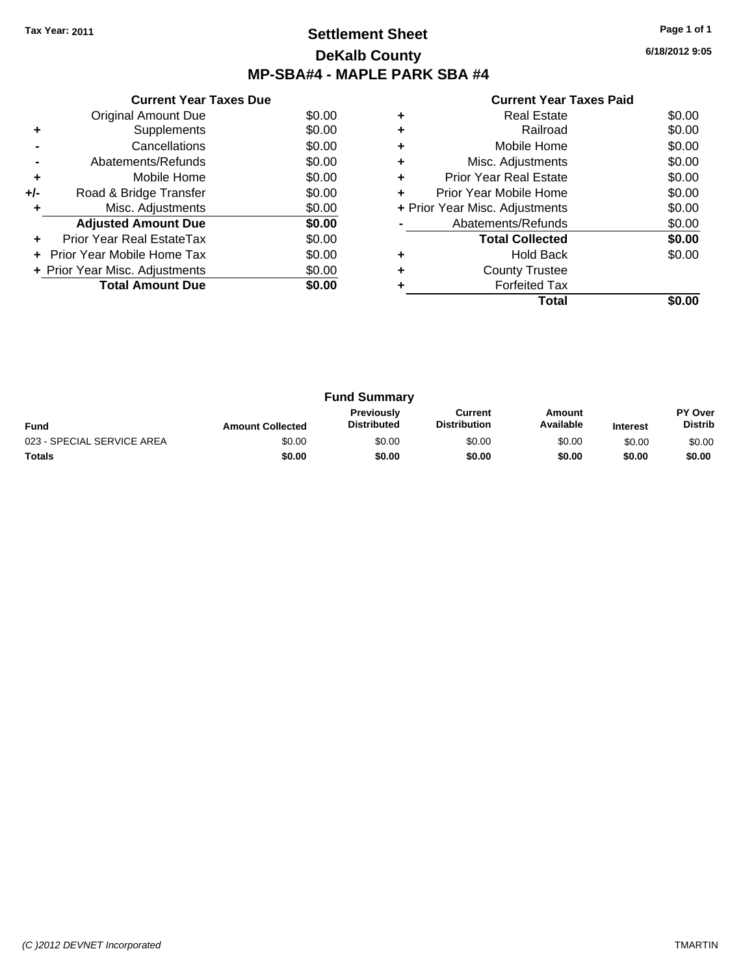# **Settlement Sheet Tax Year: 2011 Page 1 of 1 DeKalb County MP-SBA#4 - MAPLE PARK SBA #4**

**6/18/2012 9:05**

|     | <b>Current Year Taxes Due</b>     |        |
|-----|-----------------------------------|--------|
|     | Original Amount Due               | \$0.00 |
| ٠   | Supplements                       | \$0.00 |
|     | Cancellations                     | \$0.00 |
|     | Abatements/Refunds                | \$0.00 |
| ٠   | Mobile Home                       | \$0.00 |
| +/- | Road & Bridge Transfer            | \$0.00 |
|     | Misc. Adjustments                 | \$0.00 |
|     | <b>Adjusted Amount Due</b>        | \$0.00 |
|     | Prior Year Real EstateTax         | \$0.00 |
|     | <b>Prior Year Mobile Home Tax</b> | \$0.00 |
|     | + Prior Year Misc. Adjustments    | \$0.00 |
|     | <b>Total Amount Due</b>           | \$0.00 |
|     |                                   |        |

|   | Real Estate                    | \$0.00 |
|---|--------------------------------|--------|
|   | Railroad                       | \$0.00 |
| ٠ | Mobile Home                    | \$0.00 |
| ٠ | Misc. Adjustments              | \$0.00 |
| ٠ | <b>Prior Year Real Estate</b>  | \$0.00 |
| ٠ | Prior Year Mobile Home         | \$0.00 |
|   | + Prior Year Misc. Adjustments | \$0.00 |
|   | Abatements/Refunds             | \$0.00 |
|   | <b>Total Collected</b>         | \$0.00 |
|   | <b>Hold Back</b>               | \$0.00 |
| ٠ | <b>County Trustee</b>          |        |
|   | <b>Forfeited Tax</b>           |        |
|   | Total                          |        |

| <b>Fund Summary</b>        |                         |                                         |                                |                     |                 |                                  |
|----------------------------|-------------------------|-----------------------------------------|--------------------------------|---------------------|-----------------|----------------------------------|
| <b>Fund</b>                | <b>Amount Collected</b> | <b>Previously</b><br><b>Distributed</b> | Current<br><b>Distribution</b> | Amount<br>Available | <b>Interest</b> | <b>PY Over</b><br><b>Distrib</b> |
| 023 - SPECIAL SERVICE AREA | \$0.00                  | \$0.00                                  | \$0.00                         | \$0.00              | \$0.00          | \$0.00                           |
| <b>Totals</b>              | \$0.00                  | \$0.00                                  | \$0.00                         | \$0.00              | \$0.00          | \$0.00                           |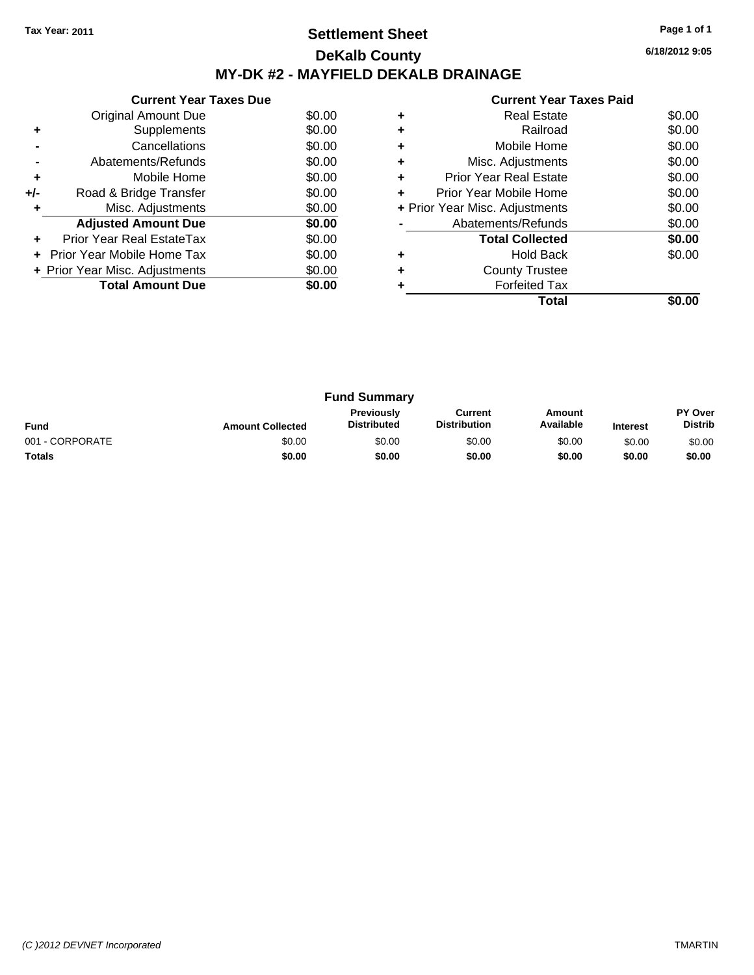# **Settlement Sheet Tax Year: 2011 Page 1 of 1 DeKalb County MY-DK #2 - MAYFIELD DEKALB DRAINAGE**

**6/18/2012 9:05**

|     | <b>Current Year Taxes Due</b>  |        |
|-----|--------------------------------|--------|
|     | Original Amount Due            | \$0.00 |
| ٠   | Supplements                    | \$0.00 |
|     | Cancellations                  | \$0.00 |
|     | Abatements/Refunds             | \$0.00 |
| ٠   | Mobile Home                    | \$0.00 |
| +/- | Road & Bridge Transfer         | \$0.00 |
|     | Misc. Adjustments              | \$0.00 |
|     | <b>Adjusted Amount Due</b>     | \$0.00 |
|     | Prior Year Real EstateTax      | \$0.00 |
|     | Prior Year Mobile Home Tax     | \$0.00 |
|     | + Prior Year Misc. Adjustments | \$0.00 |
|     | <b>Total Amount Due</b>        | \$0.00 |
|     |                                |        |

|   | <b>Real Estate</b>             | \$0.00 |
|---|--------------------------------|--------|
|   | Railroad                       | \$0.00 |
| ٠ | Mobile Home                    | \$0.00 |
| ٠ | Misc. Adjustments              | \$0.00 |
| ٠ | <b>Prior Year Real Estate</b>  | \$0.00 |
| ÷ | Prior Year Mobile Home         | \$0.00 |
|   | + Prior Year Misc. Adjustments | \$0.00 |
|   | Abatements/Refunds             | \$0.00 |
|   | <b>Total Collected</b>         | \$0.00 |
|   | <b>Hold Back</b>               | \$0.00 |
| ٠ | <b>County Trustee</b>          |        |
|   | <b>Forfeited Tax</b>           |        |
|   | Total                          |        |

| <b>Fund Summary</b> |                         |                                         |                                |                     |                 |                           |
|---------------------|-------------------------|-----------------------------------------|--------------------------------|---------------------|-----------------|---------------------------|
| <b>Fund</b>         | <b>Amount Collected</b> | <b>Previously</b><br><b>Distributed</b> | Current<br><b>Distribution</b> | Amount<br>Available | <b>Interest</b> | PY Over<br><b>Distrib</b> |
| 001 - CORPORATE     | \$0.00                  | \$0.00                                  | \$0.00                         | \$0.00              | \$0.00          | \$0.00                    |
| <b>Totals</b>       | \$0.00                  | \$0.00                                  | \$0.00                         | \$0.00              | \$0.00          | \$0.00                    |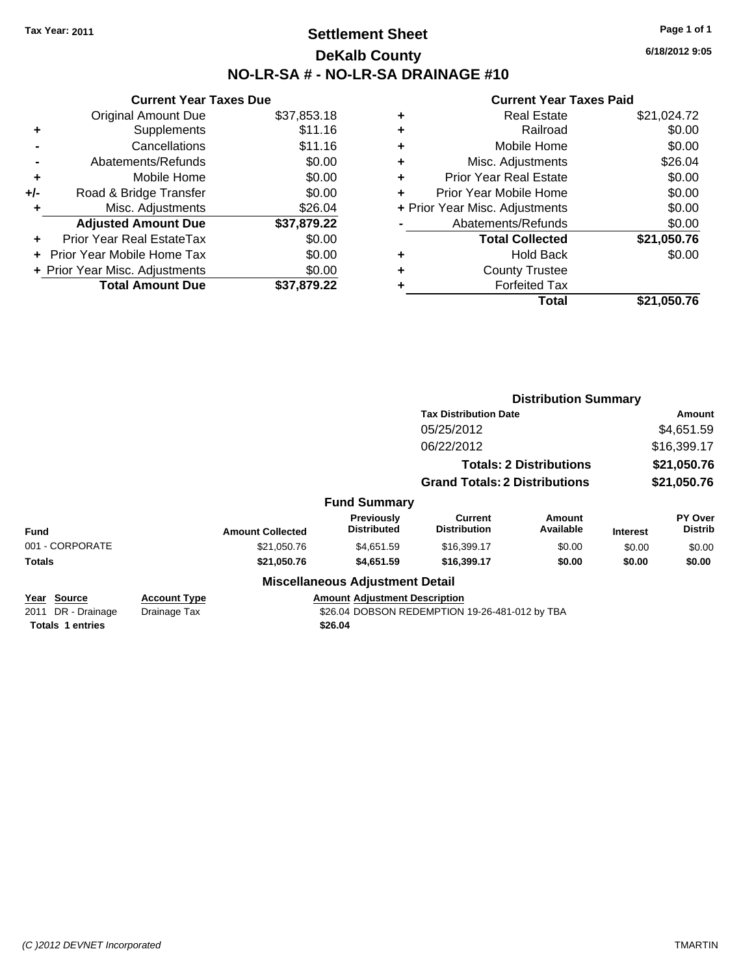# **Settlement Sheet Tax Year: 2011 Page 1 of 1 DeKalb County NO-LR-SA # - NO-LR-SA DRAINAGE #10**

**6/18/2012 9:05**

|       | <b>Current Year Taxes Due</b>  |             |   |                  |
|-------|--------------------------------|-------------|---|------------------|
|       | <b>Original Amount Due</b>     | \$37,853.18 | ٠ |                  |
|       | <b>Supplements</b>             | \$11.16     | ٠ |                  |
|       | Cancellations                  | \$11.16     | ٠ |                  |
|       | Abatements/Refunds             | \$0.00      | ٠ | Mis              |
| ٠     | Mobile Home                    | \$0.00      | ÷ | Prior Ye         |
| $+/-$ | Road & Bridge Transfer         | \$0.00      |   | Prior Yea        |
|       | Misc. Adjustments              | \$26.04     |   | + Prior Year Mis |
|       | <b>Adjusted Amount Due</b>     | \$37,879.22 |   | Abater           |
|       | Prior Year Real EstateTax      | \$0.00      |   | Ъ                |
|       | Prior Year Mobile Home Tax     | \$0.00      | ٠ |                  |
|       | + Prior Year Misc. Adjustments | \$0.00      |   |                  |
|       | <b>Total Amount Due</b>        | \$37,879.22 |   |                  |
|       |                                |             |   |                  |

| \$21,024.72<br><b>Real Estate</b>     |         |
|---------------------------------------|---------|
| Railroad<br>٠                         | \$0.00  |
| Mobile Home<br>٠                      | \$0.00  |
| Misc. Adjustments<br>٠                | \$26.04 |
| <b>Prior Year Real Estate</b><br>٠    | \$0.00  |
| Prior Year Mobile Home                | \$0.00  |
| + Prior Year Misc. Adjustments        | \$0.00  |
| Abatements/Refunds                    | \$0.00  |
| \$21,050.76<br><b>Total Collected</b> |         |
| <b>Hold Back</b><br>٠                 | \$0.00  |
| <b>County Trustee</b><br>٠            |         |
| <b>Forfeited Tax</b>                  |         |
| Total<br>\$21,050.76                  |         |

|                                                              |                                     |                         |                                                 |                                                | <b>Distribution Summary</b>    |                 |                           |
|--------------------------------------------------------------|-------------------------------------|-------------------------|-------------------------------------------------|------------------------------------------------|--------------------------------|-----------------|---------------------------|
|                                                              |                                     |                         |                                                 | <b>Tax Distribution Date</b>                   |                                | Amount          |                           |
|                                                              |                                     |                         |                                                 | 05/25/2012                                     |                                |                 | \$4,651.59                |
|                                                              |                                     |                         |                                                 | 06/22/2012                                     |                                |                 | \$16,399.17               |
|                                                              |                                     |                         |                                                 |                                                | <b>Totals: 2 Distributions</b> |                 | \$21,050.76               |
|                                                              |                                     |                         |                                                 | <b>Grand Totals: 2 Distributions</b>           |                                |                 | \$21,050.76               |
|                                                              |                                     |                         | <b>Fund Summary</b>                             |                                                |                                |                 |                           |
| <b>Fund</b>                                                  |                                     | <b>Amount Collected</b> | <b>Previously</b><br><b>Distributed</b>         | Current<br><b>Distribution</b>                 | Amount<br>Available            | <b>Interest</b> | PY Over<br><b>Distrib</b> |
| 001 - CORPORATE                                              |                                     | \$21,050.76             | \$4,651.59                                      | \$16,399.17                                    | \$0.00                         | \$0.00          | \$0.00                    |
| Totals                                                       |                                     | \$21,050.76             | \$4,651.59                                      | \$16,399.17                                    | \$0.00                         | \$0.00          | \$0.00                    |
|                                                              |                                     |                         | <b>Miscellaneous Adjustment Detail</b>          |                                                |                                |                 |                           |
| Year Source<br>2011 DR - Drainage<br><b>Totals 1 entries</b> | <b>Account Type</b><br>Drainage Tax |                         | <b>Amount Adjustment Description</b><br>\$26.04 | \$26.04 DOBSON REDEMPTION 19-26-481-012 by TBA |                                |                 |                           |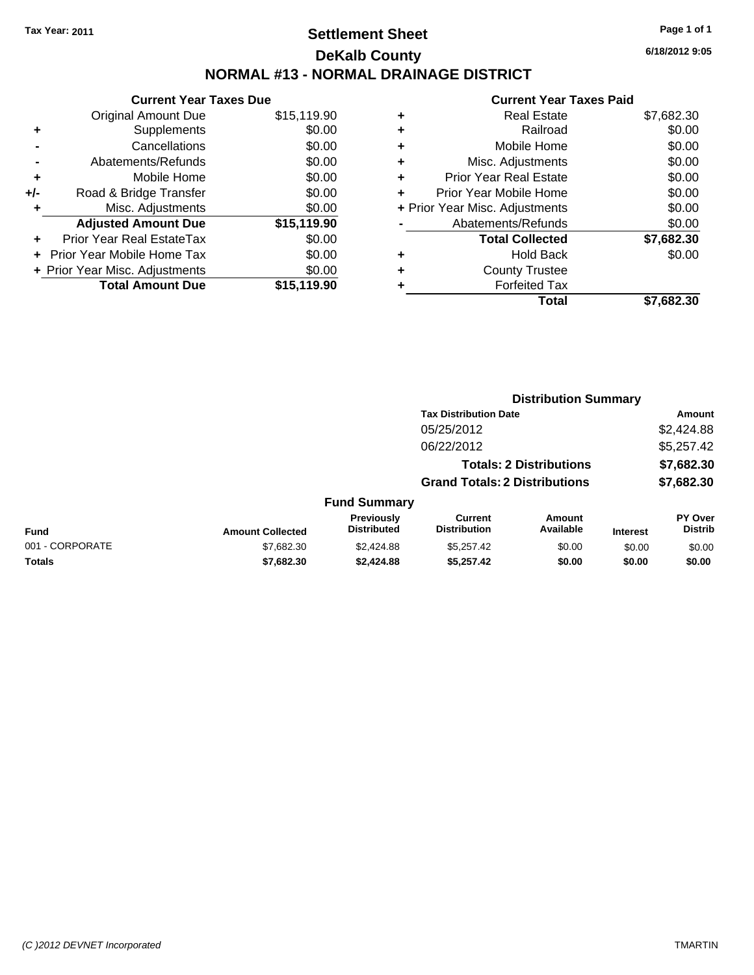# **Settlement Sheet Tax Year: 2011 Page 1 of 1 DeKalb County NORMAL #13 - NORMAL DRAINAGE DISTRICT**

|     | <b>Current Year Taxes Due</b>  |             |
|-----|--------------------------------|-------------|
|     | <b>Original Amount Due</b>     | \$15,119.90 |
| ٠   | Supplements                    | \$0.00      |
|     | Cancellations                  | \$0.00      |
|     | Abatements/Refunds             | \$0.00      |
| ÷   | Mobile Home                    | \$0.00      |
| +/- | Road & Bridge Transfer         | \$0.00      |
| ٠   | Misc. Adjustments              | \$0.00      |
|     | <b>Adjusted Amount Due</b>     | \$15,119.90 |
|     | Prior Year Real EstateTax      | \$0.00      |
|     | Prior Year Mobile Home Tax     | \$0.00      |
|     | + Prior Year Misc. Adjustments | \$0.00      |
|     | <b>Total Amount Due</b>        | \$15,119.90 |

|   | <b>Real Estate</b>             | \$7,682.30 |
|---|--------------------------------|------------|
| ٠ | Railroad                       | \$0.00     |
| ٠ | Mobile Home                    | \$0.00     |
| ٠ | Misc. Adjustments              | \$0.00     |
| ٠ | <b>Prior Year Real Estate</b>  | \$0.00     |
|   | Prior Year Mobile Home         | \$0.00     |
|   | + Prior Year Misc. Adjustments | \$0.00     |
|   | Abatements/Refunds             | \$0.00     |
|   | <b>Total Collected</b>         | \$7,682.30 |
| ٠ | <b>Hold Back</b>               | \$0.00     |
| ٠ | <b>County Trustee</b>          |            |
|   | <b>Forfeited Tax</b>           |            |
|   | Total                          | \$7,682.30 |
|   |                                |            |

|                 |                         |                                         | <b>Distribution Summary</b>           |                                |                 |                           |  |
|-----------------|-------------------------|-----------------------------------------|---------------------------------------|--------------------------------|-----------------|---------------------------|--|
|                 |                         |                                         | <b>Tax Distribution Date</b>          |                                |                 | Amount                    |  |
|                 |                         |                                         | 05/25/2012                            |                                |                 | \$2,424.88                |  |
|                 |                         |                                         | 06/22/2012                            |                                |                 | \$5,257.42                |  |
|                 |                         |                                         |                                       | <b>Totals: 2 Distributions</b> |                 | \$7,682.30                |  |
|                 |                         |                                         | <b>Grand Totals: 2 Distributions</b>  |                                |                 | \$7,682.30                |  |
|                 |                         | <b>Fund Summary</b>                     |                                       |                                |                 |                           |  |
| <b>Fund</b>     | <b>Amount Collected</b> | <b>Previously</b><br><b>Distributed</b> | <b>Current</b><br><b>Distribution</b> | Amount<br>Available            | <b>Interest</b> | PY Over<br><b>Distrib</b> |  |
| 001 - CORPORATE | \$7,682.30              | \$2,424.88                              | \$5,257.42                            | \$0.00                         | \$0.00          | \$0.00                    |  |
| <b>Totals</b>   | \$7,682.30              | \$2,424.88                              | \$5,257.42                            | \$0.00                         | \$0.00          | \$0.00                    |  |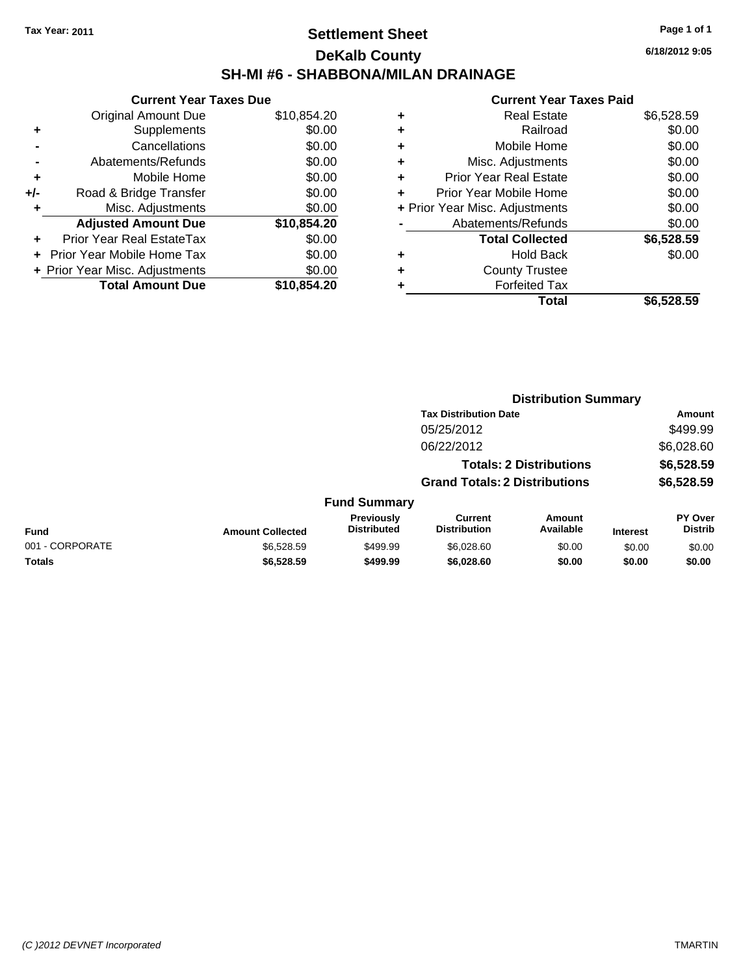## **Settlement Sheet Tax Year: 2011 Page 1 of 1 DeKalb County SH-MI #6 - SHABBONA/MILAN DRAINAGE**

**6/18/2012 9:05**

| <b>Original Amount Due</b> | \$10,854.20                                                     |
|----------------------------|-----------------------------------------------------------------|
| Supplements                | \$0.00                                                          |
| Cancellations              | \$0.00                                                          |
| Abatements/Refunds         | \$0.00                                                          |
| Mobile Home                | \$0.00                                                          |
| Road & Bridge Transfer     | \$0.00                                                          |
| Misc. Adjustments          | \$0.00                                                          |
| <b>Adjusted Amount Due</b> | \$10,854.20                                                     |
| Prior Year Real EstateTax  | \$0.00                                                          |
| Prior Year Mobile Home Tax | \$0.00                                                          |
|                            | \$0.00                                                          |
| <b>Total Amount Due</b>    | \$10,854.20                                                     |
|                            | <b>Current Year Taxes Due</b><br>+ Prior Year Misc. Adjustments |

| \$6,528.59 |
|------------|
| \$0.00     |
| \$0.00     |
| \$0.00     |
| \$0.00     |
| \$0.00     |
| \$0.00     |
| \$0.00     |
| \$6,528.59 |
| \$0.00     |
|            |
|            |
| \$6,528.59 |
|            |

|                 |                         |                                  | <b>Distribution Summary</b>           |                                |                 |                           |  |
|-----------------|-------------------------|----------------------------------|---------------------------------------|--------------------------------|-----------------|---------------------------|--|
|                 |                         |                                  | <b>Tax Distribution Date</b>          |                                |                 | Amount                    |  |
|                 |                         |                                  | 05/25/2012                            |                                |                 | \$499.99                  |  |
|                 |                         |                                  | 06/22/2012                            |                                |                 | \$6,028.60                |  |
|                 |                         |                                  |                                       | <b>Totals: 2 Distributions</b> |                 | \$6,528.59                |  |
|                 |                         |                                  | <b>Grand Totals: 2 Distributions</b>  |                                |                 | \$6,528.59                |  |
|                 |                         | <b>Fund Summary</b>              |                                       |                                |                 |                           |  |
| <b>Fund</b>     | <b>Amount Collected</b> | Previously<br><b>Distributed</b> | <b>Current</b><br><b>Distribution</b> | Amount<br>Available            | <b>Interest</b> | PY Over<br><b>Distrib</b> |  |
| 001 - CORPORATE | \$6,528.59              | \$499.99                         | \$6,028.60                            | \$0.00                         | \$0.00          | \$0.00                    |  |
| Totals          | \$6,528.59              | \$499.99                         | \$6,028.60                            | \$0.00                         | \$0.00          | \$0.00                    |  |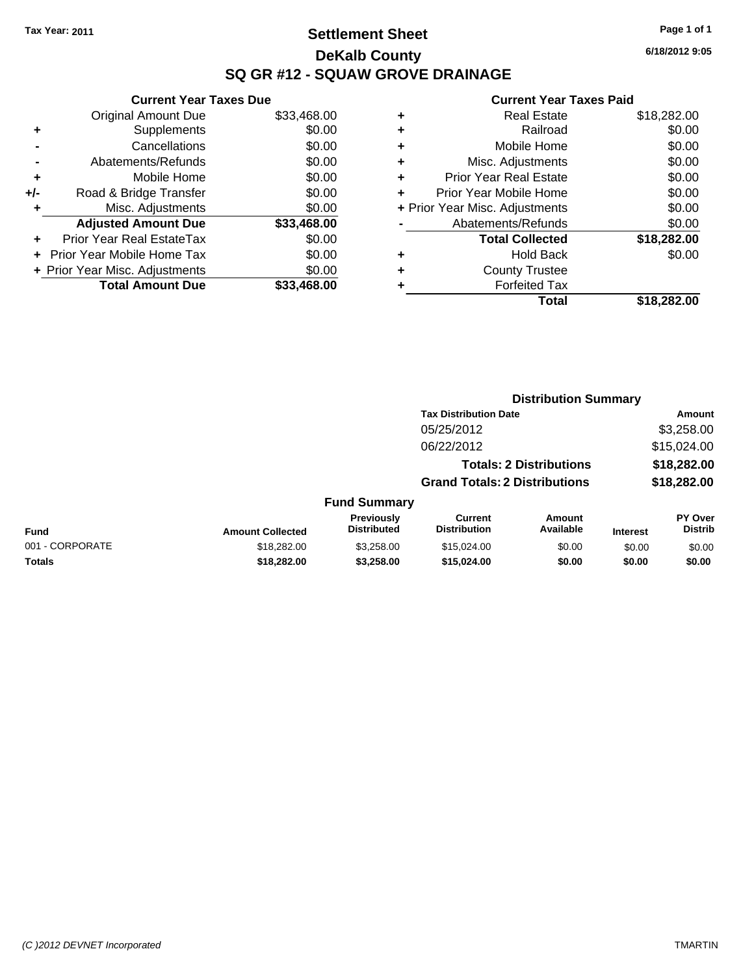## **Settlement Sheet Tax Year: 2011 Page 1 of 1 DeKalb County SQ GR #12 - SQUAW GROVE DRAINAGE**

**6/18/2012 9:05**

| <b>Current Year Taxes Due</b>     |                                |
|-----------------------------------|--------------------------------|
| <b>Original Amount Due</b>        | \$33,468.00                    |
| Supplements                       | \$0.00                         |
| Cancellations                     | \$0.00                         |
| Abatements/Refunds                | \$0.00                         |
| Mobile Home                       | \$0.00                         |
| Road & Bridge Transfer            | \$0.00                         |
| Misc. Adjustments                 | \$0.00                         |
| <b>Adjusted Amount Due</b>        | \$33,468.00                    |
| Prior Year Real EstateTax         | \$0.00                         |
| <b>Prior Year Mobile Home Tax</b> | \$0.00                         |
|                                   | \$0.00                         |
| <b>Total Amount Due</b>           | \$33,468,00                    |
|                                   | + Prior Year Misc. Adjustments |

| ٠ | <b>Real Estate</b>             | \$18,282.00 |
|---|--------------------------------|-------------|
| ٠ | Railroad                       | \$0.00      |
| ٠ | Mobile Home                    | \$0.00      |
| ٠ | Misc. Adjustments              | \$0.00      |
| ٠ | <b>Prior Year Real Estate</b>  | \$0.00      |
| ÷ | Prior Year Mobile Home         | \$0.00      |
|   | + Prior Year Misc. Adjustments | \$0.00      |
|   | Abatements/Refunds             | \$0.00      |
|   | <b>Total Collected</b>         | \$18,282.00 |
| ٠ | <b>Hold Back</b>               | \$0.00      |
| ٠ | <b>County Trustee</b>          |             |
| ٠ | <b>Forfeited Tax</b>           |             |
|   | Total                          | \$18,282.00 |
|   |                                |             |

|                 |                         |                                  | <b>Distribution Summary</b>           |                                |                 |                                  |
|-----------------|-------------------------|----------------------------------|---------------------------------------|--------------------------------|-----------------|----------------------------------|
|                 |                         |                                  | <b>Tax Distribution Date</b>          |                                |                 | Amount                           |
|                 |                         |                                  | 05/25/2012                            |                                |                 | \$3,258.00                       |
|                 |                         |                                  | 06/22/2012                            |                                |                 | \$15,024.00                      |
|                 |                         |                                  |                                       | <b>Totals: 2 Distributions</b> |                 | \$18,282.00                      |
|                 |                         |                                  | <b>Grand Totals: 2 Distributions</b>  |                                |                 | \$18,282.00                      |
|                 |                         | <b>Fund Summary</b>              |                                       |                                |                 |                                  |
| Fund            | <b>Amount Collected</b> | Previously<br><b>Distributed</b> | <b>Current</b><br><b>Distribution</b> | Amount<br>Available            | <b>Interest</b> | <b>PY Over</b><br><b>Distrib</b> |
| 001 - CORPORATE | \$18,282.00             | \$3,258.00                       | \$15,024,00                           | \$0.00                         | \$0.00          | \$0.00                           |
| Totals          | \$18,282.00             | \$3,258.00                       | \$15,024.00                           | \$0.00                         | \$0.00          | \$0.00                           |
|                 |                         |                                  |                                       |                                |                 |                                  |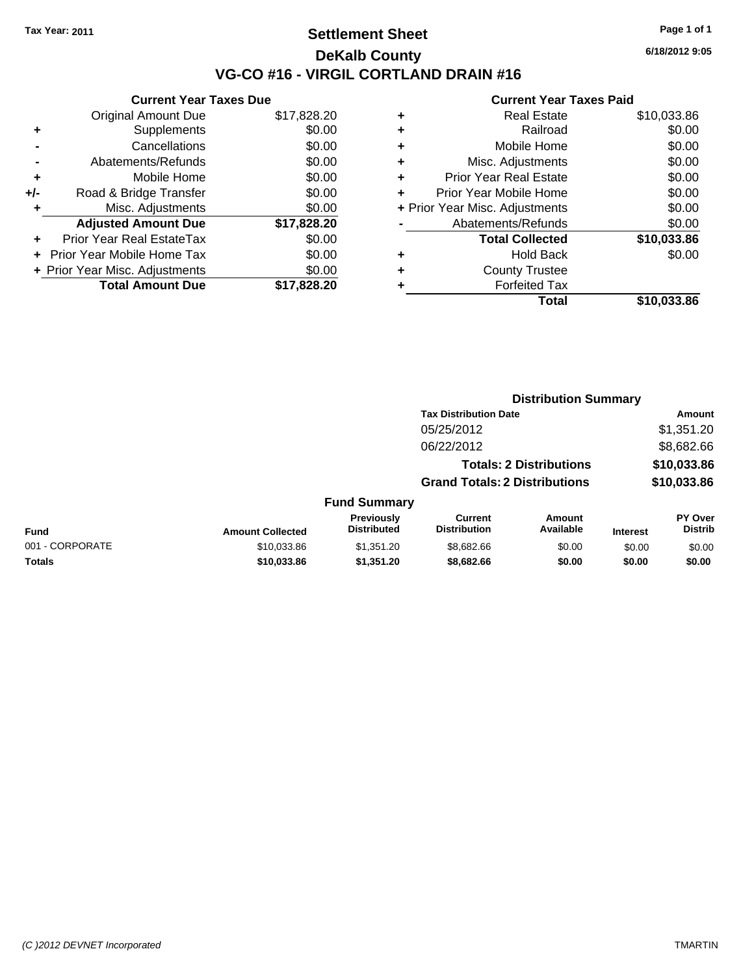## **Settlement Sheet Tax Year: 2011 Page 1 of 1 DeKalb County VG-CO #16 - VIRGIL CORTLAND DRAIN #16**

**6/18/2012 9:05**

| <b>Original Amount Due</b>        | \$17,828.20                                                     |
|-----------------------------------|-----------------------------------------------------------------|
| Supplements                       | \$0.00                                                          |
| Cancellations                     | \$0.00                                                          |
| Abatements/Refunds                | \$0.00                                                          |
| Mobile Home                       | \$0.00                                                          |
| Road & Bridge Transfer            | \$0.00                                                          |
| Misc. Adjustments                 | \$0.00                                                          |
| <b>Adjusted Amount Due</b>        | \$17,828.20                                                     |
| Prior Year Real EstateTax         | \$0.00                                                          |
| <b>Prior Year Mobile Home Tax</b> | \$0.00                                                          |
|                                   | \$0.00                                                          |
|                                   |                                                                 |
|                                   | <b>Current Year Taxes Due</b><br>+ Prior Year Misc. Adjustments |

| ٠ | <b>Real Estate</b>             | \$10,033.86 |
|---|--------------------------------|-------------|
| ٠ | Railroad                       | \$0.00      |
| ٠ | Mobile Home                    | \$0.00      |
| ٠ | Misc. Adjustments              | \$0.00      |
| ÷ | <b>Prior Year Real Estate</b>  | \$0.00      |
| ÷ | Prior Year Mobile Home         | \$0.00      |
|   | + Prior Year Misc. Adjustments | \$0.00      |
|   | Abatements/Refunds             | \$0.00      |
|   | <b>Total Collected</b>         | \$10,033.86 |
| ٠ | <b>Hold Back</b>               | \$0.00      |
| ٠ | <b>County Trustee</b>          |             |
| ٠ | <b>Forfeited Tax</b>           |             |
|   | Total                          | \$10,033.86 |
|   |                                |             |

|                 |                         |                                  | <b>Distribution Summary</b>           |                                |                 |                                  |
|-----------------|-------------------------|----------------------------------|---------------------------------------|--------------------------------|-----------------|----------------------------------|
|                 |                         |                                  | <b>Tax Distribution Date</b>          |                                |                 | Amount                           |
|                 |                         |                                  | 05/25/2012                            |                                |                 | \$1,351.20                       |
|                 |                         |                                  | 06/22/2012                            |                                |                 | \$8,682.66                       |
|                 |                         |                                  |                                       | <b>Totals: 2 Distributions</b> |                 | \$10,033.86                      |
|                 |                         |                                  | <b>Grand Totals: 2 Distributions</b>  |                                |                 | \$10,033.86                      |
|                 |                         | <b>Fund Summary</b>              |                                       |                                |                 |                                  |
| <b>Fund</b>     | <b>Amount Collected</b> | Previously<br><b>Distributed</b> | <b>Current</b><br><b>Distribution</b> | Amount<br>Available            | <b>Interest</b> | <b>PY Over</b><br><b>Distrib</b> |
| 001 - CORPORATE | \$10,033.86             | \$1,351.20                       | \$8,682.66                            | \$0.00                         | \$0.00          | \$0.00                           |
| Totals          | \$10,033.86             | \$1,351.20                       | \$8,682.66                            | \$0.00                         | \$0.00          | \$0.00                           |
|                 |                         |                                  |                                       |                                |                 |                                  |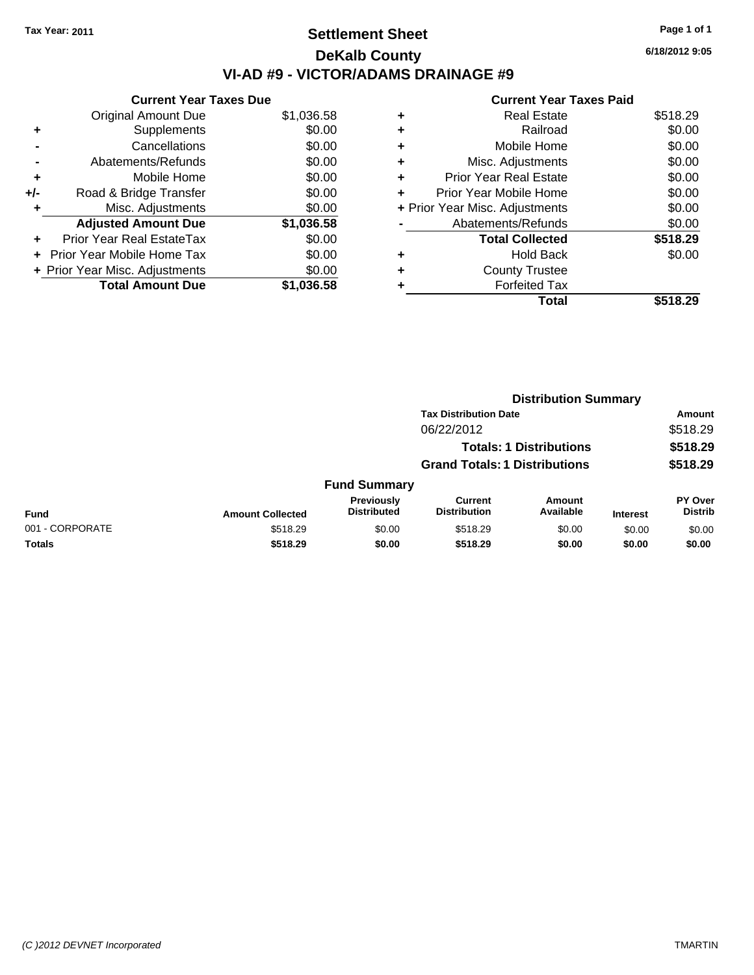# **Settlement Sheet Tax Year: 2011 Page 1 of 1 DeKalb County VI-AD #9 - VICTOR/ADAMS DRAINAGE #9**

#### **Current Year Taxes Due** Original Amount Due \$1,036.58 **+** Supplements \$0.00 **-** Cancellations \$0.00 **-** Abatements/Refunds \$0.00 **+** Mobile Home \$0.00 **+/-** Road & Bridge Transfer \$0.00 **+** Misc. Adjustments \$0.00 **Adjusted Amount Due \$1,036.58 +** Prior Year Real EstateTax \$0.00 **+** Prior Year Mobile Home Tax \$0.00 **+ Prior Year Misc. Adjustments**  $$0.00$ **Total Amount Due \$1,036.58**

|   | <b>Real Estate</b>             | \$518.29 |
|---|--------------------------------|----------|
| ٠ | Railroad                       | \$0.00   |
| ٠ | Mobile Home                    | \$0.00   |
| ٠ | Misc. Adjustments              | \$0.00   |
| ٠ | <b>Prior Year Real Estate</b>  | \$0.00   |
| ÷ | Prior Year Mobile Home         | \$0.00   |
|   | + Prior Year Misc. Adjustments | \$0.00   |
|   | Abatements/Refunds             | \$0.00   |
|   | <b>Total Collected</b>         | \$518.29 |
| ٠ | <b>Hold Back</b>               | \$0.00   |
| ٠ | <b>County Trustee</b>          |          |
|   | <b>Forfeited Tax</b>           |          |
|   | Total                          | \$518.29 |

|                 |                         |                                  | <b>Distribution Summary</b>          |                                |                 |                           |
|-----------------|-------------------------|----------------------------------|--------------------------------------|--------------------------------|-----------------|---------------------------|
|                 |                         |                                  | <b>Tax Distribution Date</b>         |                                |                 | Amount                    |
|                 |                         |                                  | 06/22/2012                           |                                |                 | \$518.29                  |
|                 |                         |                                  |                                      | <b>Totals: 1 Distributions</b> |                 | \$518.29                  |
|                 |                         |                                  | <b>Grand Totals: 1 Distributions</b> |                                |                 | \$518.29                  |
|                 |                         | <b>Fund Summary</b>              |                                      |                                |                 |                           |
| <b>Fund</b>     | <b>Amount Collected</b> | Previously<br><b>Distributed</b> | Current<br><b>Distribution</b>       | <b>Amount</b><br>Available     | <b>Interest</b> | PY Over<br><b>Distrib</b> |
| 001 - CORPORATE | \$518.29                | \$0.00                           | \$518.29                             | \$0.00                         | \$0.00          | \$0.00                    |
| Totals          | \$518.29                | \$0.00                           | \$518.29                             | \$0.00                         | \$0.00          | \$0.00                    |

|   | <b>Current Year Taxes Paid</b> |         |
|---|--------------------------------|---------|
| ٠ | <b>Real Estate</b>             | \$518.2 |
| ٠ | Railroad                       | \$0.0   |
| ٠ | Mobile Home                    | \$0.0   |
| ٠ | Misc. Adjustments              | \$0.0   |
| ٠ | <b>Prior Year Real Estate</b>  | \$0.0   |
|   | Prior Year Mobile Home         | \$0.0   |
|   | + Prior Year Misc. Adjustments | \$0.(   |
|   | Abatements/Refunds             | \$0.0   |
|   | <b>Total Collected</b>         | \$518.  |
| ٠ | <b>Hold Back</b>               | \$0.(   |
| ٠ | <b>County Trustee</b>          |         |
|   | <b>Forfeited Tax</b>           |         |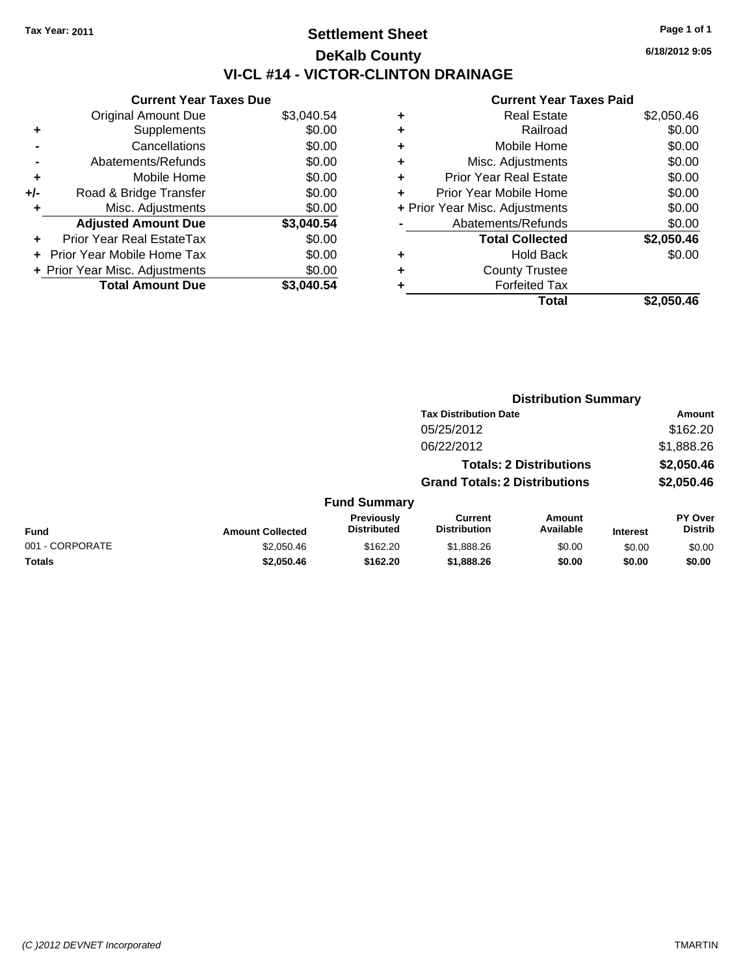# **Settlement Sheet Tax Year: 2011 Page 1 of 1 DeKalb County VI-CL #14 - VICTOR-CLINTON DRAINAGE**

**6/18/2012 9:05**

| <b>Current Year Taxes Due</b> |                                |            |  |  |  |
|-------------------------------|--------------------------------|------------|--|--|--|
|                               | <b>Original Amount Due</b>     | \$3,040.54 |  |  |  |
| ٠                             | Supplements                    | \$0.00     |  |  |  |
|                               | Cancellations                  | \$0.00     |  |  |  |
|                               | Abatements/Refunds             | \$0.00     |  |  |  |
| ٠                             | Mobile Home                    | \$0.00     |  |  |  |
| +/-                           | Road & Bridge Transfer         | \$0.00     |  |  |  |
| ٠                             | Misc. Adjustments              | \$0.00     |  |  |  |
|                               | <b>Adjusted Amount Due</b>     | \$3,040.54 |  |  |  |
|                               | Prior Year Real EstateTax      | \$0.00     |  |  |  |
|                               | Prior Year Mobile Home Tax     | \$0.00     |  |  |  |
|                               | + Prior Year Misc. Adjustments | \$0.00     |  |  |  |
|                               | <b>Total Amount Due</b>        | \$3.040.54 |  |  |  |

|                                | <b>Real Estate</b>            | \$2,050.46 |
|--------------------------------|-------------------------------|------------|
| ٠                              | Railroad                      | \$0.00     |
| ٠                              | Mobile Home                   | \$0.00     |
| ٠                              | Misc. Adjustments             | \$0.00     |
| ÷                              | <b>Prior Year Real Estate</b> | \$0.00     |
| ٠                              | Prior Year Mobile Home        | \$0.00     |
| + Prior Year Misc. Adjustments |                               | \$0.00     |
|                                | Abatements/Refunds            | \$0.00     |
|                                | <b>Total Collected</b>        | \$2,050.46 |
| ٠                              | Hold Back                     | \$0.00     |
| ٠                              | <b>County Trustee</b>         |            |
| ٠                              | <b>Forfeited Tax</b>          |            |
|                                | Total                         | \$2,050.46 |

|                                |                              |                                  |                                       | <b>Distribution Summary</b> |                 |                                  |  |
|--------------------------------|------------------------------|----------------------------------|---------------------------------------|-----------------------------|-----------------|----------------------------------|--|
|                                | <b>Tax Distribution Date</b> |                                  |                                       |                             |                 | Amount                           |  |
| 05/25/2012                     |                              |                                  |                                       |                             |                 | \$162.20                         |  |
|                                |                              | 06/22/2012                       |                                       |                             |                 | \$1,888.26                       |  |
| <b>Totals: 2 Distributions</b> |                              |                                  |                                       |                             | \$2,050.46      |                                  |  |
|                                |                              |                                  | <b>Grand Totals: 2 Distributions</b>  |                             |                 | \$2,050.46                       |  |
|                                |                              | <b>Fund Summary</b>              |                                       |                             |                 |                                  |  |
| <b>Fund</b>                    | <b>Amount Collected</b>      | Previously<br><b>Distributed</b> | <b>Current</b><br><b>Distribution</b> | <b>Amount</b><br>Available  | <b>Interest</b> | <b>PY Over</b><br><b>Distrib</b> |  |
| 001 - CORPORATE                | \$2,050.46                   | \$162.20                         | \$1,888.26                            | \$0.00                      | \$0.00          | \$0.00                           |  |
| Totals                         | \$2,050.46                   | \$162.20                         | \$1,888.26                            | \$0.00                      | \$0.00          | \$0.00                           |  |
|                                |                              |                                  |                                       |                             |                 |                                  |  |